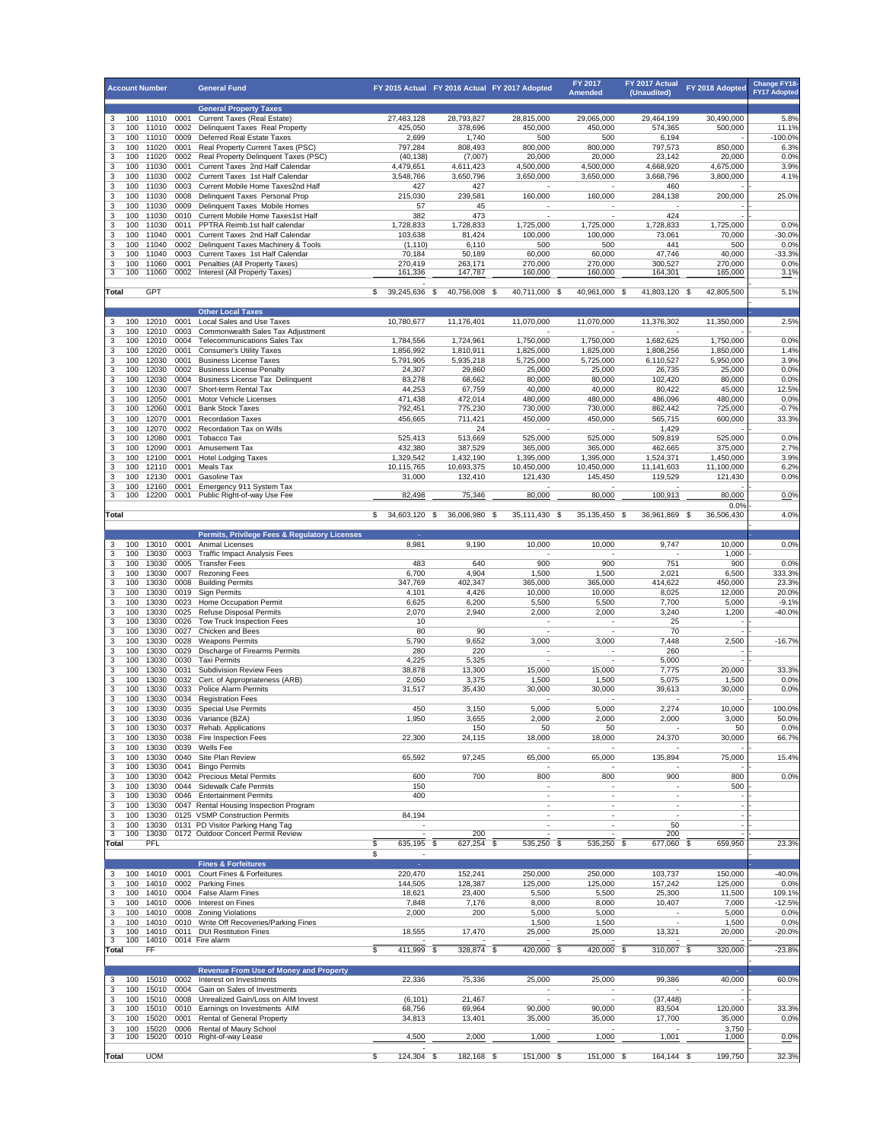|                         |            | <b>Account Number</b> |              | <b>General Fund</b>                                                    |                         |                        | FY 2015 Actual FY 2016 Actual FY 2017 Adopted        | <b>FY 2017</b><br><b>Amended</b>                     | FY 2017 Actual<br>(Unaudited)                        | FY 2018 Adopted                                      | Change FY18<br><b>FY17 Adopted</b> |
|-------------------------|------------|-----------------------|--------------|------------------------------------------------------------------------|-------------------------|------------------------|------------------------------------------------------|------------------------------------------------------|------------------------------------------------------|------------------------------------------------------|------------------------------------|
|                         |            |                       |              | <b>General Property Taxes</b>                                          |                         |                        |                                                      |                                                      |                                                      |                                                      |                                    |
| 3                       | 100        | 11010                 | 0001         | Current Taxes (Real Estate)                                            | 27,483,128              | 28.793.827             | 28,815,000                                           | 29,065,000                                           | 29,464,199                                           | 30.490.000                                           | 5.8%                               |
| 3<br>3                  | 100<br>100 | 11010<br>11010        | 0002<br>0009 | Delinquent Taxes Real Property<br>Deferred Real Estate Taxes           | 425,050<br>2,699        | 378,696<br>1,740       | 450,000<br>500                                       | 450,000<br>500                                       | 574,365<br>6,194                                     | 500,000                                              | 11.1%<br>$-100.0%$                 |
| 3                       | 100        | 11020                 | 0001         | Real Property Current Taxes (PSC)                                      | 797,284                 | 808,493                | 800,000                                              | 800,000                                              | 797,573                                              | 850,000                                              | 6.3%                               |
| 3                       | 100        | 11020                 | 0002         | Real Property Delinquent Taxes (PSC)                                   | (40, 138)               | (7,007)                | 20,000                                               | 20,000                                               | 23,142                                               | 20,000                                               | 0.0%                               |
| 3                       | 100        | 11030                 | 0001         | Current Taxes 2nd Half Calendar                                        | 4,479,651               | 4,611,423              | 4,500,000                                            | 4,500,000                                            | 4,668,920                                            | 4,675,000                                            | 3.9%                               |
| 3<br>3                  | 100<br>100 | 11030<br>11030        | 0002<br>0003 | Current Taxes 1st Half Calendar<br>Current Mobile Home Taxes2nd Half   | 3,548,766<br>427        | 3,650,796<br>427       | 3,650,000                                            | 3,650,000                                            | 3,668,796<br>460                                     | 3,800,000                                            | 4.1%                               |
| 3                       | 100        | 11030                 | 0008         | Delinquent Taxes Personal Prop                                         | 215,030                 | 239,581                | 160,000                                              | 160,000                                              | 284,138                                              | 200,000                                              | 25.0%                              |
| 3                       | 100        | 11030                 | 0009         | Delinquent Taxes Mobile Homes                                          | 57                      | 45                     |                                                      |                                                      |                                                      |                                                      |                                    |
| 3                       | 100        | 11030                 | 0010         | Current Mobile Home Taxes1st Half                                      | 382                     | 473                    |                                                      |                                                      | 424                                                  |                                                      |                                    |
| 3                       | 100        | 11030                 | 0011         | PPTRA Reimb.1st half calendar<br>Current Taxes 2nd Half Calendar       | 1,728,833               | 1,728,833              | 1,725,000<br>100,000                                 | 1,725,000<br>100.000                                 | 1,728,833                                            | 1,725,000                                            | 0.0%                               |
| 3<br>3                  | 100<br>100 | 11040<br>11040        | 0001<br>0002 | Delinquent Taxes Machinery & Tools                                     | 103,638<br>(1, 110)     | 81,424<br>6,110        | 500                                                  | 500                                                  | 73,061<br>441                                        | 70,000<br>500                                        | $-30.0%$<br>0.0%                   |
| 3                       | 100        | 11040                 | 0003         | Current Taxes 1st Half Calendar                                        | 70,184                  | 50,189                 | 60,000                                               | 60,000                                               | 47,746                                               | 40,000                                               | $-33.3%$                           |
| 3                       | 100        | 11060                 | 0001         | Penalties (All Property Taxes)                                         | 270,419                 | 263,171                | 270,000                                              | 270,000                                              | 300,527                                              | 270,000                                              | 0.0%                               |
| $\overline{3}$          | 100        | 11060                 | 0002         | Interest (All Property Taxes)                                          | 161,336                 | 147,787                | 160,000                                              | 160,000                                              | 164,301                                              | 165,000                                              | 3.1%                               |
| Total                   |            | GPT                   |              |                                                                        | \$<br>39,245,636        | 40,756,008<br>\$       | - \$<br>40,711,000                                   | -\$<br>40,961,000 \$                                 | 41,803,120 \$                                        | 42,805,500                                           | 5.1%                               |
|                         |            |                       |              | <b>Other Local Taxes</b>                                               |                         |                        |                                                      |                                                      |                                                      |                                                      |                                    |
| 3                       | 100        | 12010                 | 0001         | Local Sales and Use Taxes                                              | 10,780,677              | 11,176,401             | 11,070,000                                           | 11,070,000                                           | 11,376,302                                           | 11,350,000                                           | 2.5%                               |
| 3                       | 100        | 12010                 | 0003         | Commonwealth Sales Tax Adjustment                                      |                         |                        |                                                      |                                                      |                                                      |                                                      |                                    |
| 3<br>3                  | 100<br>100 | 12010<br>12020        | 0004<br>0001 | <b>Telecommunications Sales Tax</b><br><b>Consumer's Utility Taxes</b> | 1,784,556<br>1,856,992  | 1,724,961              | 1,750,000<br>1,825,000                               | 1,750,000                                            | 1,682,625<br>1,808,256                               | 1,750,000                                            | 0.0%<br>1.4%                       |
| 3                       | 100        | 12030                 | 0001         | <b>Business License Taxes</b>                                          | 5,791,905               | 1,810,911<br>5,935,218 | 5,725,000                                            | 1,825,000<br>5,725,000                               | 6,110,527                                            | 1,850,000<br>5,950,000                               | 3.9%                               |
| 3                       | 100        | 12030                 | 0002         | <b>Business License Penalty</b>                                        | 24,307                  | 29,860                 | 25,000                                               | 25,000                                               | 26,735                                               | 25,000                                               | 0.0%                               |
| 3                       | 100        | 12030                 | 0004         | <b>Business License Tax Delinquent</b>                                 | 83,278                  | 68,662                 | 80,000                                               | 80,000                                               | 102,420                                              | 80,000                                               | 0.0%                               |
| 3                       | 100        | 12030                 | 0007         | Short-term Rental Tax                                                  | 44,253                  | 67,759                 | 40,000                                               | 40,000                                               | 80,422                                               | 45,000                                               | 12.5%                              |
| 3<br>3                  | 100<br>100 | 12050<br>12060        | 0001<br>0001 | Motor Vehicle Licenses<br><b>Bank Stock Taxes</b>                      | 471,438                 | 472,014                | 480,000<br>730,000                                   | 480,000                                              | 486,096                                              | 480,000                                              | 0.0%<br>$-0.7%$                    |
| 3                       | 100        | 12070                 | 0001         | <b>Recordation Taxes</b>                                               | 792,451<br>456,665      | 775,230<br>711,421     | 450,000                                              | 730,000<br>450,000                                   | 862,442<br>565,715                                   | 725,000<br>600,000                                   | 33.3%                              |
| 3                       | 100        | 12070                 | 0002         | Recordation Tax on Wills                                               |                         | 24                     |                                                      |                                                      | 1,429                                                |                                                      |                                    |
| 3                       | 100        | 12080                 | 0001         | <b>Tobacco Tax</b>                                                     | 525,413                 | 513,669                | 525,000                                              | 525,000                                              | 509,819                                              | 525,000                                              | 0.0%                               |
| 3                       | 100        | 12090                 | 0001         | Amusement Tax                                                          | 432,380                 | 387,529                | 365,000                                              | 365,000                                              | 462,665                                              | 375,000                                              | 2.7%                               |
| 3                       | 100<br>100 | 12100<br>12110        | 0001         | <b>Hotel Lodging Taxes</b>                                             | 1,329,542<br>10,115,765 | 1,432,190              | 1,395,000                                            | 1,395,000                                            | 1,524,371                                            | 1,450,000                                            | 3.9%                               |
| 3<br>3                  | 100        | 12130                 | 0001<br>0001 | Meals Tax<br>Gasoline Tax                                              | 31,000                  | 10,693,375<br>132,410  | 10,450,000<br>121,430                                | 10,450,000<br>145,450                                | 11,141,603<br>119,529                                | 11,100,000<br>121,430                                | 6.2%<br>0.0%                       |
| 3<br>$\overline{3}$     | 100<br>100 | 12160                 | 0001         | Emergency 911 System Tax                                               |                         |                        |                                                      |                                                      |                                                      |                                                      |                                    |
|                         |            | 12200                 | 0001         | Public Right-of-way Use Fee                                            | 82,498                  | 75,346                 | 80,000                                               | 80,000                                               | 100,913                                              | 80,000<br>0.0%                                       | 0.0%                               |
| Total                   |            |                       |              |                                                                        | 34,603,120 \$<br>\$     | 36,006,980 \$          | 35,111,430 \$                                        | 35,135,450 \$                                        | 36,961,869 \$                                        | 36,506,430                                           | 4.0%                               |
|                         |            |                       |              | Permits, Privilege Fees & Regulatory Licenses                          |                         |                        |                                                      |                                                      |                                                      |                                                      |                                    |
| 3                       | 100        | 13010                 | 0001         | Animal Licenses                                                        | 8,981                   | 9,190                  | 10,000                                               | 10,000                                               | 9,747                                                | 10,000                                               | 0.0%                               |
| 3                       | 100        | 13030                 | 0003         | <b>Traffic Impact Analysis Fees</b>                                    |                         |                        |                                                      |                                                      |                                                      | 1,000                                                |                                    |
| 3<br>3                  | 100<br>100 | 13030<br>13030        | 0005<br>0007 | <b>Transfer Fees</b>                                                   | 483<br>6,700            | 640<br>4,904           | 900<br>1,500                                         | 900<br>1,500                                         | 751<br>2,021                                         | 900                                                  | 0.0%<br>333.3%                     |
| 3                       | 100        | 13030                 | 0008         | <b>Rezoning Fees</b><br><b>Building Permits</b>                        | 347,769                 | 402,347                | 365,000                                              | 365,000                                              | 414,622                                              | 6,500<br>450,000                                     | 23.3%                              |
| 3                       | 100        | 13030                 | 0019         | Sign Permits                                                           | 4,101                   | 4,426                  | 10,000                                               | 10,000                                               | 8,025                                                | 12,000                                               | 20.0%                              |
| 3                       | 100        | 13030                 | 0023         | Home Occupation Permit                                                 | 6,625                   | 6,200                  | 5,500                                                | 5,500                                                | 7,700                                                | 5,000                                                | $-9.1%$                            |
| 3                       | 100        | 13030                 | 0025         | <b>Refuse Disposal Permits</b>                                         | 2,070                   | 2,940                  | 2,000                                                | 2,000                                                | 3,240                                                | 1,200                                                | $-40.0%$                           |
| 3                       | 100<br>100 | 13030<br>13030        | 0026<br>0027 | <b>Tow Truck Inspection Fees</b>                                       | 10<br>80                |                        |                                                      |                                                      | 25<br>70                                             |                                                      |                                    |
| 3<br>3                  | 100        | 13030                 | 0028         | Chicken and Bees<br><b>Weapons Permits</b>                             | 5,790                   | 90<br>9,652            | 3,000                                                | 3,000                                                | 7,448                                                | 2,500                                                | $-16.7%$                           |
| 3                       | 100        | 13030                 | 0029         | Discharge of Firearms Permits                                          | 280                     | 220                    |                                                      |                                                      | 260                                                  |                                                      |                                    |
| 3                       | 100        | 13030                 | 0030         | <b>Taxi Permits</b>                                                    | 4,225                   | 5,325                  |                                                      |                                                      | 5,000                                                |                                                      |                                    |
| 3                       | 100        | 13030                 | 0031         | Subdivision Review Fees                                                | 38,878                  | 13,300                 | 15,000                                               | 15,000                                               | 7,775                                                | 20,000                                               | 33.3%                              |
| 3                       | 100<br>100 | 13030                 | 0032         | Cert. of Appropriateness (ARB)                                         | 2,050                   | 3,375                  | 1,500                                                | 1,500                                                | 5,075                                                | 1,500                                                | 0.0%                               |
| 3<br>3                  | 100        | 13030<br>13030        | 0033<br>0034 | Police Alarm Permits<br><b>Registration Fees</b>                       | 31,517                  | 35,430                 | 30,000                                               | 30,000                                               | 39,613                                               | 30,000                                               | 0.0%                               |
| 3                       | 100        | 13030                 | 0035         | <b>Special Use Permits</b>                                             | 450                     | 3,150                  | 5,000                                                | 5,000                                                | 2.274                                                | 10,000                                               | 100.0%                             |
| 3                       | 100        | 13030                 | 0036         | Variance (BZA)                                                         | 1,950                   | 3,655                  | 2,000                                                | 2,000                                                | 2,000                                                | 3,000                                                | 50.0%                              |
| 3                       | 100        | 13030                 | 0037         | Rehab. Applications                                                    |                         | 150                    | 50                                                   | 50                                                   |                                                      | 50                                                   | 0.0%                               |
| 3                       | 100        | 13030                 |              | 0038 Fire Inspection Fees<br>Wells Fee                                 | 22,300                  | 24,115                 | 18,000                                               | 18,000                                               | 24,370                                               | 30,000                                               | 66.7%                              |
| 3<br>3                  | 100<br>100 | 13030<br>13030        | 0039<br>0040 | Site Plan Review                                                       | 65,592                  | 97,245                 | 65,000                                               | 65,000                                               | 135,894                                              | 75,000                                               | 15.4%                              |
| 3                       | 100        | 13030                 | 0041         | <b>Bingo Permits</b>                                                   |                         |                        |                                                      |                                                      |                                                      |                                                      |                                    |
| 3                       | 100        | 13030                 | 0042         | Precious Metal Permits                                                 | 600                     | 700                    | 800                                                  | 800                                                  | 900                                                  | 800                                                  | 0.0%                               |
| 3                       | 100        | 13030                 | 0044         | <b>Sidewalk Cafe Permits</b>                                           | 150                     |                        |                                                      |                                                      |                                                      | 500                                                  |                                    |
| 3<br>3                  | 100<br>100 | 13030<br>13030        |              | 0046 Entertainment Permits<br>0047 Rental Housing Inspection Program   | 400                     |                        | $\overline{\phantom{a}}$<br>$\overline{\phantom{a}}$ | $\overline{\phantom{a}}$<br>$\overline{\phantom{a}}$ | $\overline{\phantom{a}}$<br>$\overline{\phantom{a}}$ | $\overline{\phantom{a}}$<br>$\overline{\phantom{a}}$ |                                    |
| 3                       | 100        | 13030                 |              | 0125 VSMP Construction Permits                                         | 84,194                  |                        | $\overline{a}$                                       | ٠                                                    | $\overline{\phantom{a}}$                             |                                                      |                                    |
| $\frac{3}{3}$           | 100        | 13030                 |              | 0131 PD Visitor Parking Hang Tag                                       |                         |                        | $\overline{\phantom{a}}$                             | $\overline{a}$                                       | 50                                                   |                                                      |                                    |
|                         | 100        |                       |              | 13030 0172 Outdoor Concert Permit Review                               |                         | 200                    |                                                      |                                                      | 200                                                  |                                                      |                                    |
| Total                   |            | PFL                   |              |                                                                        | s<br>635,195 \$<br>\$   | 627,254 \$             | 535,250 \$                                           | 535,250 \$                                           | 677,060 \$                                           | 659,950                                              | 23.3%                              |
|                         |            |                       |              | <b>Fines &amp; Forfeitures</b>                                         |                         |                        |                                                      |                                                      |                                                      |                                                      |                                    |
| 3                       | 100        | 14010                 | 0001         | Court Fines & Forfeitures                                              | 220,470                 | 152,241                | 250,000                                              | 250,000                                              | 103,737                                              | 150,000                                              | $-40.0%$                           |
| 3                       | 100        | 14010                 | 0002         | Parking Fines                                                          | 144,505                 | 128,387                | 125,000                                              | 125,000                                              | 157,242                                              | 125,000                                              | 0.0%                               |
| 3                       | 100<br>100 | 14010                 | 0004         | False Alarm Fines<br>0006 Interest on Fines                            | 18,621                  | 23,400                 | 5,500                                                | 5,500                                                | 25,300                                               | 11,500                                               | 109.1%                             |
| 3<br>3                  | 100        | 14010<br>14010        | 0008         | <b>Zoning Violations</b>                                               | 7,848<br>2,000          | 7,176<br>200           | 8,000<br>5,000                                       | 8,000<br>5,000                                       | 10,407                                               | 7,000<br>5,000                                       | $-12.5%$<br>0.0%                   |
| 3                       | 100        | 14010                 |              | 0010 Write Off Recoveries/Parking Fines                                |                         |                        | 1,500                                                | 1,500                                                | ÷,                                                   | 1,500                                                | 0.0%                               |
| 3                       | 100        | 14010                 | 0011         | <b>DUI Restitution Fines</b>                                           | 18,555                  | 17,470                 | 25,000                                               | 25,000                                               | 13,321                                               | 20,000                                               | $-20.0%$                           |
| $\overline{3}$<br>Total | 100        | 14010<br>FF           |              | 0014 Fire alarm                                                        | \$<br>411,999 \$        | 328,874 \$             | 420,000 \$                                           | 420,000 \$                                           | 310,007 \$                                           | 320,000                                              | $-23.8%$                           |
|                         |            |                       |              |                                                                        |                         |                        |                                                      |                                                      |                                                      |                                                      |                                    |
|                         |            |                       |              | Revenue From Use of Money and Property                                 |                         |                        |                                                      |                                                      |                                                      |                                                      |                                    |
| 3<br>3                  | 100<br>100 | 15010<br>15010        | 0002<br>0004 | Interest on Investments<br>Gain on Sales of Investments                | 22,336                  | 75,336                 | 25,000                                               | 25,000                                               | 99,386                                               | 40,000                                               | 60.0%                              |
| 3                       | 100        | 15010                 |              | 0008 Unrealized Gain/Loss on AIM Invest                                | (6, 101)                | 21,467                 | $\overline{\phantom{a}}$                             |                                                      | (37, 448)                                            |                                                      |                                    |
| 3                       | 100        | 15010                 |              | 0010 Earnings on Investments AIM                                       | 68,756                  | 69,964                 | 90,000                                               | 90,000                                               | 83,504                                               | 120,000                                              | 33.3%                              |
| 3                       | 100        | 15020                 | 0001         | Rental of General Property                                             | 34,813                  | 13,401                 | 35,000                                               | 35,000                                               | 17,700                                               | 35,000                                               | 0.0%                               |
| 3<br>3                  | 100<br>100 | 15020<br>15020        | 0006         | Rental of Maury School<br>0010 Right-of-way Lease                      | 4,500                   | 2,000                  | 1,000                                                | 1,000                                                | 1,001                                                | 3,750<br>1,000                                       | 0.0%                               |
|                         |            |                       |              |                                                                        |                         |                        |                                                      |                                                      |                                                      |                                                      |                                    |
| Total                   |            | <b>UOM</b>            |              |                                                                        | \$<br>124,304 \$        | 182,168 \$             | 151,000 \$                                           | 151,000 \$                                           | 164,144 \$                                           | 199,750                                              | 32.3%                              |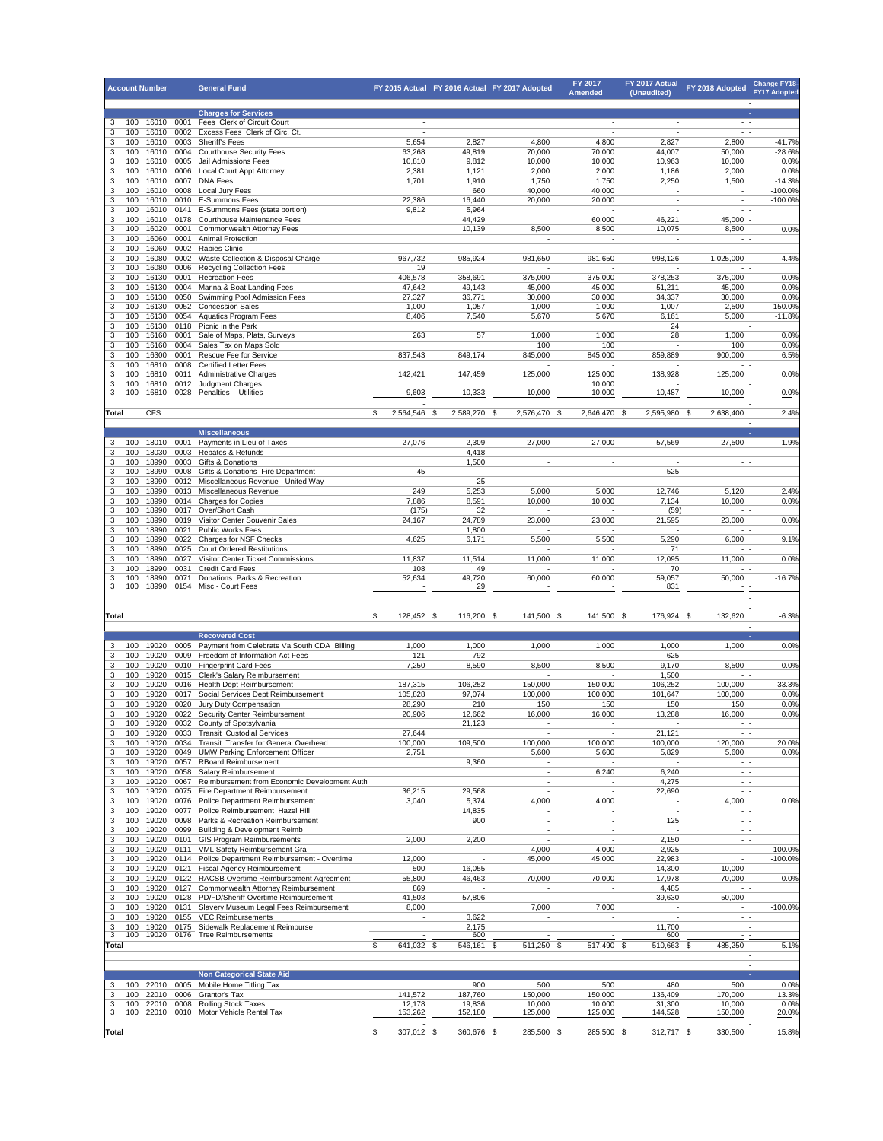|                         |            | <b>Account Number</b> |              | <b>General Fund</b>                                                          |                                              |                          | FY 2015 Actual FY 2016 Actual FY 2017 Adopted | FY 2017<br><b>Amended</b>              | FY 2017 Actual<br>(Unaudited) | FY 2018 Adopted   | Change FY18<br><b>FY17 Adopted</b> |
|-------------------------|------------|-----------------------|--------------|------------------------------------------------------------------------------|----------------------------------------------|--------------------------|-----------------------------------------------|----------------------------------------|-------------------------------|-------------------|------------------------------------|
|                         |            |                       |              | <b>Charges for Services</b>                                                  |                                              |                          |                                               |                                        |                               |                   |                                    |
| 3                       | 100        | 16010                 | 0001         | Fees Clerk of Circuit Court                                                  |                                              |                          |                                               | $\overline{\phantom{a}}$               |                               |                   |                                    |
| 3<br>3                  | 100<br>100 | 16010<br>16010        | 0002<br>0003 | Excess Fees Clerk of Circ. Ct.<br><b>Sheriff's Fees</b>                      | 5,654                                        | 2,827                    | 4,800                                         | 4,800                                  | 2,827                         | 2,800             | $-41.7%$                           |
| 3                       | 100        | 16010                 | 0004         | Courthouse Security Fees                                                     | 63,268                                       | 49,819                   | 70,000                                        | 70,000                                 | 44,007                        | 50,000            | $-28.6%$                           |
| 3                       | 100        | 16010                 | 0005         | Jail Admissions Fees                                                         | 10,810                                       | 9,812                    | 10,000                                        | 10,000                                 | 10,963                        | 10,000            | 0.0%                               |
| 3<br>3                  | 100<br>100 | 16010<br>16010        | 0006<br>0007 | <b>Local Court Appt Attorney</b><br><b>DNA Fees</b>                          | 2,381<br>1,701                               | 1,121<br>1,910           | 2,000<br>1,750                                | 2,000<br>1,750                         | 1,186<br>2,250                | 2,000<br>1,500    | 0.0%<br>$-14.3%$                   |
| 3                       | 100        | 16010                 | 0008         | Local Jury Fees                                                              |                                              | 660                      | 40,000                                        | 40,000                                 | ٠                             |                   | $-100.0%$                          |
| 3                       | 100        | 16010                 | 0010         | E-Summons Fees                                                               | 22,386                                       | 16,440                   | 20,000                                        | 20,000                                 |                               |                   | $-100.0%$                          |
| 3<br>3                  | 100<br>100 | 16010<br>16010        | 0141<br>0178 | E-Summons Fees (state portion)<br>Courthouse Maintenance Fees                | 9,812                                        | 5,964<br>44,429          |                                               | 60,000                                 | 46,221                        | 45,000            |                                    |
| 3                       | 100        | 16020                 | 0001         | Commonwealth Attorney Fees                                                   |                                              | 10,139                   | 8,500                                         | 8,500                                  | 10,075                        | 8,500             | 0.0%                               |
| 3<br>3                  | 100<br>100 | 16060<br>16060        | 0001<br>0002 | Animal Protection<br>Rabies Clinic                                           |                                              |                          |                                               |                                        |                               |                   |                                    |
| 3                       | 100        | 16080                 | 0002         | Waste Collection & Disposal Charge                                           | 967,732                                      | 985,924                  | 981,650                                       | 981,650                                | 998,126                       | 1,025,000         | 4.4%                               |
| 3                       | 100        | 16080                 | 0006         | Recycling Collection Fees                                                    | 19                                           |                          |                                               |                                        |                               |                   |                                    |
| 3<br>3                  | 100<br>100 | 16130<br>16130        | 0001<br>0004 | <b>Recreation Fees</b><br>Marina & Boat Landing Fees                         | 406,578<br>47,642                            | 358,691<br>49,143        | 375,000<br>45,000                             | 375,000<br>45,000                      | 378,253<br>51,211             | 375,000<br>45,000 | 0.0%<br>0.0%                       |
| 3                       | 100        | 16130                 | 0050         | Swimming Pool Admission Fees                                                 | 27,327                                       | 36,771                   | 30,000                                        | 30,000                                 | 34,337                        | 30,000            | 0.0%                               |
| 3<br>3                  | 100<br>100 | 16130<br>16130        | 0052<br>0054 | <b>Concession Sales</b><br><b>Aquatics Program Fees</b>                      | 1,000<br>8,406                               | 1,057<br>7,540           | 1,000<br>5,670                                | 1,000<br>5,670                         | 1,007<br>6,161                | 2,500<br>5,000    | 150.0%<br>$-11.8%$                 |
| 3                       | 100        | 16130                 | 0118         | Picnic in the Park                                                           |                                              |                          |                                               |                                        | 24                            |                   |                                    |
| 3                       | 100        | 16160                 | 0001         | Sale of Maps, Plats, Surveys                                                 | 263                                          | 57                       | 1,000                                         | 1,000                                  | 28                            | 1,000             | 0.0%                               |
| 3<br>3                  | 100<br>100 | 16160<br>16300        | 0004<br>0001 | Sales Tax on Maps Sold<br>Rescue Fee for Service                             | 837,543                                      | 849,174                  | 100<br>845,000                                | 100<br>845,000                         | 859,889                       | 100<br>900,000    | 0.0%<br>6.5%                       |
| 3                       | 100        | 16810                 | 0008         | <b>Certified Letter Fees</b>                                                 |                                              |                          |                                               |                                        |                               |                   |                                    |
| 3                       | 100<br>100 | 16810<br>16810        | 0011<br>0012 | <b>Administrative Charges</b><br>Judgment Charges                            | 142,421                                      | 147,459                  | 125,000                                       | 125,000<br>10,000                      | 138,928                       | 125,000           | 0.0%                               |
| 3<br>3                  | 100        | 16810                 | 0028         | Penalties -- Utilities                                                       | 9,603                                        | 10,333                   | 10,000                                        | 10,000                                 | 10,487                        | 10,000            | 0.0%                               |
|                         |            |                       |              |                                                                              |                                              |                          |                                               |                                        |                               |                   |                                    |
| Total                   |            | <b>CFS</b>            |              |                                                                              | \$<br>2,564,546                              | 2,589,270 \$<br>- \$     | 2,576,470 \$                                  | 2,646,470 \$                           | 2,595,980                     | 2,638,400<br>-\$  | 2.4%                               |
|                         |            |                       |              | <b>Miscellaneous</b>                                                         |                                              |                          |                                               |                                        |                               |                   |                                    |
| 3                       | 100        | 18010<br>18030        | 0001         | Payments in Lieu of Taxes                                                    | 27,076                                       | 2,309                    | 27,000                                        | 27,000                                 | 57,569                        | 27,500            | 1.9%                               |
| 3<br>3                  | 100<br>100 | 18990                 | 0003<br>0003 | Rebates & Refunds<br>Gifts & Donations                                       |                                              | 4,418<br>1,500           |                                               |                                        |                               |                   |                                    |
| 3                       | 100        | 18990                 | 0008         | Gifts & Donations Fire Department                                            | 45                                           |                          | ä,                                            | $\overline{\phantom{a}}$               | 525                           |                   |                                    |
| 3<br>3                  | 100<br>100 | 18990<br>18990        | 0012<br>0013 | Miscellaneous Revenue - United Way<br>Miscellaneous Revenue                  | 249                                          | 25<br>5,253              | 5,000                                         | 5,000                                  | 12,746                        | 5,120             | 2.4%                               |
| 3                       | 100        | 18990                 | 0014         | <b>Charges for Copies</b>                                                    | 7,886                                        | 8,591                    | 10,000                                        | 10,000                                 | 7,134                         | 10,000            | 0.0%                               |
| 3                       | 100        | 18990                 | 0017         | Over/Short Cash                                                              | (175)                                        | 32                       |                                               |                                        | (59)                          |                   |                                    |
| 3<br>3                  | 100<br>100 | 18990<br>18990        | 0019<br>0021 | Visitor Center Souvenir Sales<br>Public Works Fees                           | 24,167                                       | 24,789<br>1,800          | 23,000                                        | 23,000                                 | 21,595                        | 23,000            | 0.0%                               |
| 3                       | 100        | 18990                 | 0022         | Charges for NSF Checks                                                       | 4,625                                        | 6,171                    | 5,500                                         | 5,500                                  | 5,290                         | 6,000             | 9.1%                               |
| 3<br>3                  | 100<br>100 | 18990<br>18990        | 0025<br>0027 | <b>Court Ordered Restitutions</b><br>Visitor Center Ticket Commissions       | 11,837                                       | 11,514                   | 11,000                                        | 11,000                                 | 71<br>12,095                  | 11,000            | 0.0%                               |
| 3                       | 100        | 18990                 | 0031         | <b>Credit Card Fees</b>                                                      | 108                                          | 49                       |                                               |                                        | 70                            |                   |                                    |
| 3<br>3                  | 100<br>100 | 18990<br>18990        | 0071         | Donations Parks & Recreation<br>0154 Misc - Court Fees                       | 52,634                                       | 49,720<br>29             | 60,000                                        | 60,000                                 | 59,057<br>831                 | 50,000            | $-16.7%$                           |
|                         |            |                       |              |                                                                              |                                              |                          |                                               |                                        |                               |                   |                                    |
| Total                   |            |                       |              |                                                                              | S<br>128,452 \$                              | 116,200 \$               | 141,500 \$                                    | 141,500 \$                             | 176,924 \$                    | 132,620           | $-6.3%$                            |
|                         |            |                       |              |                                                                              |                                              |                          |                                               |                                        |                               |                   |                                    |
| 3                       | 100        | 19020                 | 0005         | <b>Recovered Cost</b><br>Payment from Celebrate Va South CDA Billing         | 1,000                                        | 1,000                    | 1,000                                         | 1,000                                  | 1,000                         | 1,000             | 0.0%                               |
| 3                       | 100        | 19020                 | 0009         | Freedom of Information Act Fees                                              | 121                                          | 792                      |                                               |                                        | 625                           |                   |                                    |
| 3<br>3                  | 100<br>100 | 19020<br>19020        | 0010<br>0015 | <b>Fingerprint Card Fees</b><br>Clerk's Salary Reimbursement                 | 7,250                                        | 8,590                    | 8,500                                         | 8,500                                  | 9,170<br>1,500                | 8,500             | 0.0%                               |
| 3                       | 100        | 19020                 |              | 0016 Health Dept Reimbursement                                               | 187,315                                      | 106,252                  | 150,000                                       | 150,000                                | 106,252                       | 100,000           | $-33.3%$                           |
| 3                       | 100        | 19020                 | 0017         | Social Services Dept Reimbursement                                           | 105,828                                      | 97,074                   | 100,000                                       | 100,000                                | 101,647                       | 100,000           | 0.0%                               |
| 3<br>3                  | 100<br>100 | 19020<br>19020        | 0020<br>0022 | Jury Duty Compensation<br>Security Center Reimbursement                      | 28,290<br>20,906                             | 210<br>12,662            | 150<br>16,000                                 | 150<br>16,000                          | 150<br>13,288                 | 150<br>16,000     | 0.0%<br>0.0%                       |
| 3                       | 100        | 19020                 | 0032         | County of Spotsylvania                                                       |                                              | 21.123                   |                                               |                                        |                               |                   |                                    |
| 3<br>3                  | 100<br>100 | 19020<br>19020        |              | 0033 Transit Custodial Services<br>Transit Transfer for General Overhead     | 27,644                                       | 109,500                  | 100,000                                       | 100,000                                | 21,121                        | 120,000           | 20.0%                              |
| 3                       | 100        | 19020                 | 0034<br>0049 | <b>UMW Parking Enforcement Officer</b>                                       | 100,000<br>2,751                             |                          | 5,600                                         | 5,600                                  | 100,000<br>5,829              | 5,600             | 0.0%                               |
| 3                       | 100        | 19020                 | 0057         | RBoard Reimbursement                                                         |                                              | 9,360                    |                                               |                                        |                               |                   |                                    |
| 3<br>3                  | 100<br>100 | 19020<br>19020        | 0058<br>0067 | Salary Reimbursement<br>Reimbursement from Economic Development Auth         |                                              |                          | ä,<br>$\overline{\phantom{a}}$                | 6,240                                  | 6,240<br>4,275                |                   |                                    |
| 3                       | 100        | 19020                 | 0075         | Fire Department Reimbursement                                                | 36,215                                       | 29,568                   | ä,                                            |                                        | 22,690                        |                   |                                    |
| 3                       | 100        | 19020                 | 0076         | Police Department Reimbursement                                              | 3,040                                        | 5,374                    | 4,000                                         | 4,000                                  |                               | 4,000             | 0.0%                               |
| 3<br>3                  | 100<br>100 | 19020<br>19020        | 0077<br>0098 | Police Reimbursement Hazel Hill<br>Parks & Recreation Reimbursement          |                                              | 14,835<br>900            |                                               |                                        | 125                           |                   |                                    |
| 3                       | 100        | 19020                 | 0099         | Building & Development Reimb                                                 |                                              |                          | $\overline{\phantom{a}}$                      | $\overline{\phantom{a}}$               |                               |                   |                                    |
| 3<br>3                  | 100<br>100 | 19020<br>19020        | 0101<br>0111 | GIS Program Reimbursements<br>VML Safety Reimbursement Gra                   | 2,000                                        | 2,200                    | $\overline{a}$<br>4,000                       | $\overline{\phantom{a}}$<br>4,000      | 2,150<br>2,925                |                   | $-100.0%$                          |
| 3                       | 100        | 19020                 |              | 0114 Police Department Reimbursement - Overtime                              | 12,000                                       | $\overline{\phantom{a}}$ | 45,000                                        | 45,000                                 | 22,983                        |                   | $-100.0%$                          |
| 3                       | 100        | 19020                 | 0121         | <b>Fiscal Agency Reimbursement</b><br>RACSB Overtime Reimbursement Agreement | 500                                          | 16,055                   |                                               |                                        | 14,300                        | 10,000            |                                    |
| 3<br>3                  | 100<br>100 | 19020<br>19020        | 0122<br>0127 | Commonwealth Attorney Reimbursement                                          | 55,800<br>869                                | 46,463                   | 70,000                                        | 70,000                                 | 17,978<br>4,485               | 70,000            | 0.0%                               |
| 3                       | 100        | 19020                 | 0128         | PD/FD/Sheriff Overtime Reimbursement                                         | 41,503                                       | 57,806                   |                                               |                                        | 39,630                        | 50,000            |                                    |
| 3<br>3                  | 100<br>100 | 19020<br>19020        | 0131<br>0155 | Slavery Museum Legal Fees Reimbursement<br><b>VEC Reimbursements</b>         | 8,000                                        | 3,622                    | 7,000<br>٠                                    | 7,000                                  | $\overline{\phantom{a}}$      |                   | $-100.0%$                          |
| $\overline{\mathbf{3}}$ | 100        | 19020                 | 0175         | Sidewalk Replacement Reimburse                                               |                                              | 2,175                    |                                               |                                        | 11,700                        |                   |                                    |
| 3<br>Total              | 100        | 19020                 | 0176         | <b>Tree Reimbursements</b>                                                   | $\overline{\phantom{a}}$<br>\$<br>641,032 \$ | 600<br>546,161 \$        | $\overline{\phantom{a}}$<br>511,250 \$        | $\overline{\phantom{a}}$<br>517,490 \$ | 600<br>510,663 \$             | 485,250           | $-5.1%$                            |
|                         |            |                       |              |                                                                              |                                              |                          |                                               |                                        |                               |                   |                                    |
|                         |            |                       |              | <b>Non Categorical State Aid</b>                                             |                                              |                          |                                               |                                        |                               |                   |                                    |
| 3                       | 100        | 22010                 | 0005         | Mobile Home Titling Tax                                                      |                                              | 900                      | 500                                           | 500                                    | 480                           | 500               | 0.0%                               |
| 3<br>3                  | 100<br>100 | 22010<br>22010        | 0006<br>0008 | Grantor's Tax<br><b>Rolling Stock Taxes</b>                                  | 141,572<br>12,178                            | 187,760<br>19,836        | 150,000<br>10,000                             | 150,000<br>10,000                      | 136,409<br>31,300             | 170,000<br>10,000 | 13.3%<br>0.0%                      |
| 3                       | 100        | 22010                 |              | 0010 Motor Vehicle Rental Tax                                                | 153,262                                      | 152,180                  | 125,000                                       | 125,000                                | 144,528                       | 150,000           | 20.0%                              |
|                         |            |                       |              |                                                                              | $\overline{307,012}$ \$                      |                          |                                               |                                        |                               | 330,500           |                                    |
| Total                   |            |                       |              |                                                                              | \$                                           | 360,676 \$               | 285,500 \$                                    | 285,500 \$                             | 312,717 \$                    |                   | 15.8%                              |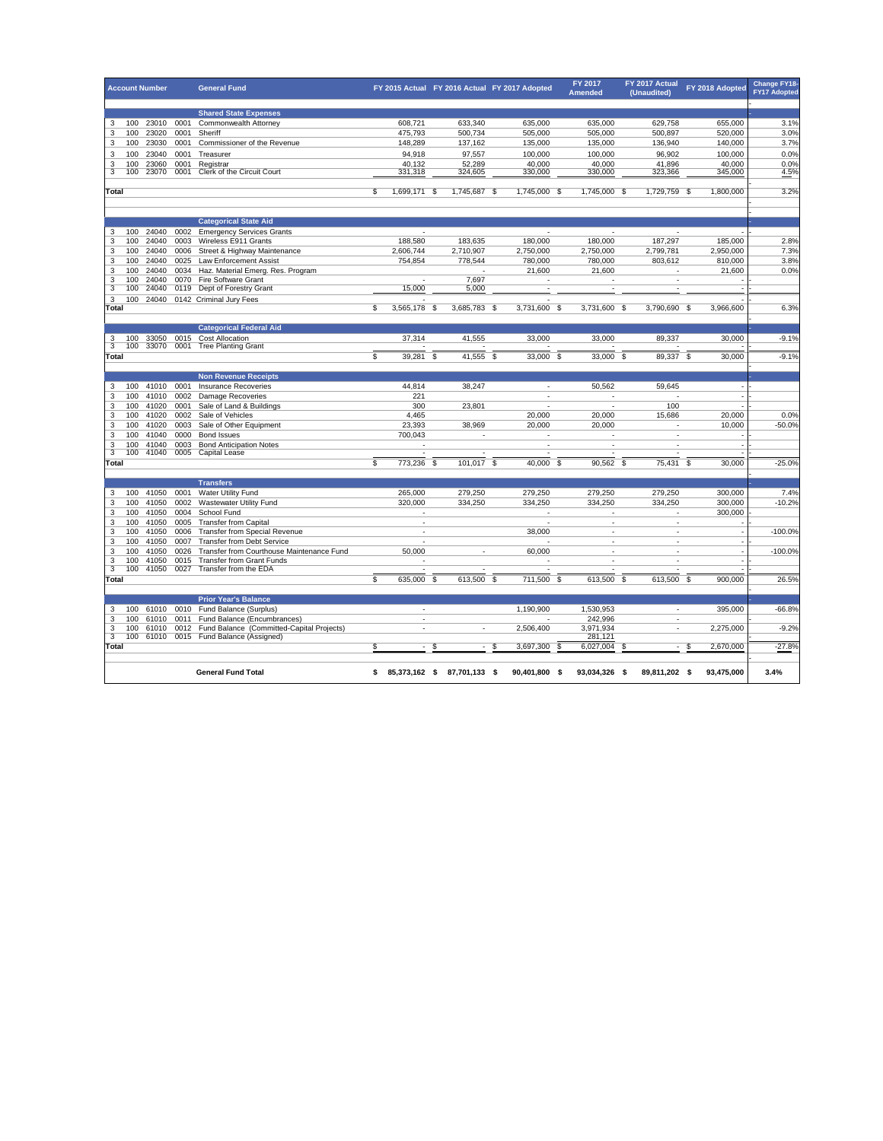|                |            | <b>Account Number</b> |              | <b>General Fund</b>                                       |    |                          |    | FY 2015 Actual FY 2016 Actual FY 2017 Adopted |                          |     | <b>FY 2017</b><br><b>Amended</b> | FY 2017 Actual<br>(Unaudited)      |    | FY 2018 Adopted | <b>Change FY18-</b><br><b>FY17 Adopted</b> |
|----------------|------------|-----------------------|--------------|-----------------------------------------------------------|----|--------------------------|----|-----------------------------------------------|--------------------------|-----|----------------------------------|------------------------------------|----|-----------------|--------------------------------------------|
|                |            |                       |              |                                                           |    |                          |    |                                               |                          |     |                                  |                                    |    |                 |                                            |
| 3              | 100        | 23010                 | 0001         | <b>Shared State Expenses</b><br>Commonwealth Attorney     |    | 608,721                  |    | 633,340                                       | 635,000                  |     | 635,000                          | 629,758                            |    | 655,000         | 3.1%                                       |
| 3              | 100        | 23020                 | 0001         | Sheriff                                                   |    | 475,793                  |    | 500,734                                       | 505,000                  |     | 505,000                          | 500,897                            |    | 520,000         | 3.0%                                       |
| 3              | 100        | 23030                 | 0001         | Commissioner of the Revenue                               |    | 148,289                  |    | 137,162                                       | 135,000                  |     | 135,000                          | 136,940                            |    | 140,000         | 3.7%                                       |
| 3              | 100        | 23040                 | 0001         | Treasurer                                                 |    | 94,918                   |    | 97,557                                        | 100,000                  |     | 100,000                          | 96,902                             |    | 100,000         | 0.0%                                       |
| 3              | 100        | 23060                 | 0001         | Registrar                                                 |    | 40,132                   |    | 52,289                                        | 40,000                   |     | 40,000                           | 41,896                             |    | 40,000          | 0.0%                                       |
| 3              | 100        | 23070                 | 0001         | Clerk of the Circuit Court                                |    | 331,318                  |    | 324,605                                       | 330,000                  |     | 330,000                          | 323,366                            |    | 345,000         | 4.5%                                       |
|                |            |                       |              |                                                           |    |                          |    |                                               |                          |     |                                  |                                    |    |                 |                                            |
| Total          |            |                       |              |                                                           | \$ | 1,699,171 \$             |    | 1,745,687 \$                                  | 1,745,000 \$             |     | 1,745,000 \$                     | 1,729,759 \$                       |    | 1,800,000       | 3.2%                                       |
|                |            |                       |              |                                                           |    |                          |    |                                               |                          |     |                                  |                                    |    |                 |                                            |
|                |            |                       |              | <b>Categorical State Aid</b>                              |    |                          |    |                                               |                          |     |                                  |                                    |    |                 |                                            |
| 3              | 100        | 24040                 | 0002         | <b>Emergency Services Grants</b>                          |    |                          |    |                                               | $\overline{\phantom{a}}$ |     |                                  | ٠                                  |    |                 |                                            |
| 3              | 100        | 24040                 | 0003         | Wireless E911 Grants                                      |    | 188,580                  |    | 183,635                                       | 180,000                  |     | 180,000                          | 187,297                            |    | 185,000         | 2.8%                                       |
| 3              | 100        | 24040                 | 0006         | Street & Highway Maintenance                              |    | 2,606,744                |    | 2,710,907                                     | 2,750,000                |     | 2,750,000                        | 2,799,781                          |    | 2,950,000       | 7.3%                                       |
| 3              | 100        | 24040                 | 0025         | Law Enforcement Assist                                    |    | 754,854                  |    | 778,544                                       | 780,000                  |     | 780,000                          | 803,612                            |    | 810,000         | 3.8%                                       |
| 3              | 100        | 24040                 | 0034         | Haz. Material Emerg. Res. Program                         |    |                          |    |                                               | 21,600                   |     | 21,600                           | ٠                                  |    | 21,600          | 0.0%                                       |
| 3              | 100        | 24040                 | 0070         | <b>Fire Software Grant</b>                                |    |                          |    | 7.697                                         |                          |     |                                  | ÷,                                 |    |                 |                                            |
| 3              | 100        | 24040                 | 0119         | Dept of Forestry Grant                                    |    | 15,000                   |    | 5,000                                         | $\overline{\phantom{a}}$ |     | $\overline{\phantom{a}}$         | $\sim$                             |    |                 |                                            |
| 3<br>Total     | 100        | 24040                 |              | 0142 Criminal Jury Fees                                   | S  | 3,565,178 \$             |    | 3,685,783 \$                                  | 3,731,600 \$             |     | 3,731,600 \$                     | 3,790,690 \$                       |    | 3,966,600       | 6.3%                                       |
|                |            |                       |              |                                                           |    |                          |    |                                               |                          |     |                                  |                                    |    |                 |                                            |
|                |            |                       |              | <b>Categorical Federal Aid</b>                            |    |                          |    |                                               |                          |     |                                  |                                    |    |                 |                                            |
| 3              | 100        | 33050                 | 0015         | <b>Cost Allocation</b>                                    |    | 37,314                   |    | 41,555                                        | 33,000                   |     | 33,000                           | 89,337                             |    | 30,000          | $-9.1%$                                    |
| $\overline{3}$ | 100        | 33070                 | 0001         | <b>Tree Planting Grant</b>                                |    |                          |    |                                               |                          |     |                                  |                                    |    |                 |                                            |
| Total          |            |                       |              |                                                           | s  | 39,281 \$                |    | 41,555 \$                                     | $33,000$ \$              |     | $33,000$ \$                      | 89,337 \$                          |    | 30,000          | $-9.1%$                                    |
|                |            |                       |              |                                                           |    |                          |    |                                               |                          |     |                                  |                                    |    |                 |                                            |
|                | 100        | 41010                 | 0001         | <b>Non Revenue Receipts</b>                               |    | 44,814                   |    | 38.247                                        | $\overline{a}$           |     | 50,562                           |                                    |    |                 |                                            |
| 3<br>3         | 100        | 41010                 | 0002         | <b>Insurance Recoveries</b><br>Damage Recoveries          |    | 221                      |    |                                               | ÷,                       |     |                                  | 59,645                             |    |                 |                                            |
| 3              | 100        | 41020                 | 0001         | Sale of Land & Buildings                                  |    | 300                      |    | 23,801                                        | $\overline{\phantom{a}}$ |     | $\overline{\phantom{a}}$         | 100                                |    |                 |                                            |
| 3              | 100        | 41020                 | 0002         | Sale of Vehicles                                          |    | 4,465                    |    |                                               | 20,000                   |     | 20,000                           | 15,686                             |    | 20,000          | 0.0%                                       |
| 3              | 100        | 41020                 | 0003         | Sale of Other Equipment                                   |    | 23,393                   |    | 38,969                                        | 20,000                   |     | 20,000                           | ٠                                  |    | 10,000          | $-50.0%$                                   |
| 3              | 100        | 41040                 | 0000         | <b>Bond Issues</b>                                        |    | 700,043                  |    |                                               | L,                       |     |                                  | ÷,                                 |    |                 |                                            |
| $\frac{3}{3}$  | 100        | 41040                 | 0003         | <b>Bond Anticipation Notes</b>                            |    |                          |    |                                               | $\overline{\phantom{a}}$ |     |                                  | ÷,                                 |    |                 |                                            |
|                | 100        | 41040                 | 0005         | <b>Capital Lease</b>                                      |    |                          |    |                                               |                          |     |                                  |                                    |    |                 |                                            |
| Total          |            |                       |              |                                                           | s  | 773,236                  | -S | 101,017 \$                                    | 40,000 \$                |     | 90,562                           | <b>S</b><br>75.431                 | -S | 30,000          | $-25.0%$                                   |
|                |            |                       |              | <b>Transfers</b>                                          |    |                          |    |                                               |                          |     |                                  |                                    |    |                 |                                            |
| 3              | 100        | 41050                 | 0001         | Water Utility Fund                                        |    | 265.000                  |    | 279,250                                       | 279.250                  |     | 279,250                          | 279.250                            |    | 300.000         | 7.4%                                       |
| 3              | 100        | 41050                 | 0002         | Wastewater Utility Fund                                   |    | 320,000                  |    | 334,250                                       | 334,250                  |     | 334,250                          | 334,250                            |    | 300,000         | $-10.2%$                                   |
| 3              | 100        | 41050                 | 0004         | School Fund                                               |    |                          |    |                                               |                          |     |                                  |                                    |    | 300,000         |                                            |
| 3              | 100        | 41050                 | 0005         | <b>Transfer from Capital</b>                              |    | $\overline{\phantom{a}}$ |    |                                               | $\overline{\phantom{a}}$ |     | $\overline{\phantom{a}}$         | ÷,                                 |    |                 |                                            |
| 3              | 100        | 41050                 | 0006         | Transfer from Special Revenue                             |    |                          |    |                                               | 38,000                   |     | $\overline{\phantom{a}}$         | ÷,                                 |    |                 | $-100.0%$                                  |
| 3              | 100        | 41050                 | 0007         | <b>Transfer from Debt Service</b>                         |    |                          |    |                                               |                          |     |                                  | ÷.                                 |    |                 |                                            |
| 3              | 100        | 41050                 | 0026         | Transfer from Courthouse Maintenance Fund                 |    | 50,000                   |    | ٠                                             | 60,000                   |     |                                  | ÷.                                 |    |                 | $-100.0%$                                  |
| 3<br>3         | 100<br>100 | 41050<br>41050        | 0015<br>0027 | <b>Transfer from Grant Funds</b><br>Transfer from the EDA |    |                          |    | ٠                                             |                          |     |                                  | ÷.                                 |    |                 |                                            |
| Total          |            |                       |              |                                                           | Ś  | 635,000                  | -S | 613,500 \$                                    | 711,500                  | -\$ | 613,500                          | $\overline{\mathbb{S}}$<br>613,500 | \$ | 900,000         | 26.5%                                      |
|                |            |                       |              |                                                           |    |                          |    |                                               |                          |     |                                  |                                    |    |                 |                                            |
|                |            |                       |              | <b>Prior Year's Balance</b>                               |    |                          |    |                                               |                          |     |                                  |                                    |    |                 |                                            |
| 3              | 100        | 61010                 | 0010         | Fund Balance (Surplus)                                    |    | $\sim$                   |    |                                               | 1,190,900                |     | 1,530,953                        | ÷.                                 |    | 395,000         | $-66.8%$                                   |
| 3              | 100        | 61010                 | 0011         | Fund Balance (Encumbrances)                               |    |                          |    |                                               |                          |     | 242,996                          | $\overline{\phantom{a}}$           |    |                 |                                            |
| 3              | 100        | 61010                 | 0012         | Fund Balance (Committed-Capital Projects)                 |    | ÷,                       |    | Ĭ.                                            | 2,506,400                |     | 3,971,934                        | $\overline{\phantom{a}}$           |    | 2,275,000       | $-9.2%$                                    |
| 3              | 100        | 61010                 | 0015         | Fund Balance (Assigned)                                   |    |                          |    |                                               |                          |     | 281,121                          |                                    |    |                 |                                            |
| Total          |            |                       |              |                                                           | \$ | $\overline{\phantom{a}}$ | S  | $\sim$                                        | \$<br>3,697,300          |     | 6,027,004                        | S<br>٠                             | S  | 2,670,000       | $-27.8%$                                   |
|                |            |                       |              |                                                           |    |                          |    |                                               |                          |     |                                  |                                    |    |                 |                                            |
|                |            |                       |              | <b>General Fund Total</b>                                 | s. |                          |    | 85,373,162 \$ 87,701,133 \$                   | 90,401,800 \$            |     | 93,034,326 \$                    | 89,811,202 \$                      |    | 93.475.000      | 3.4%                                       |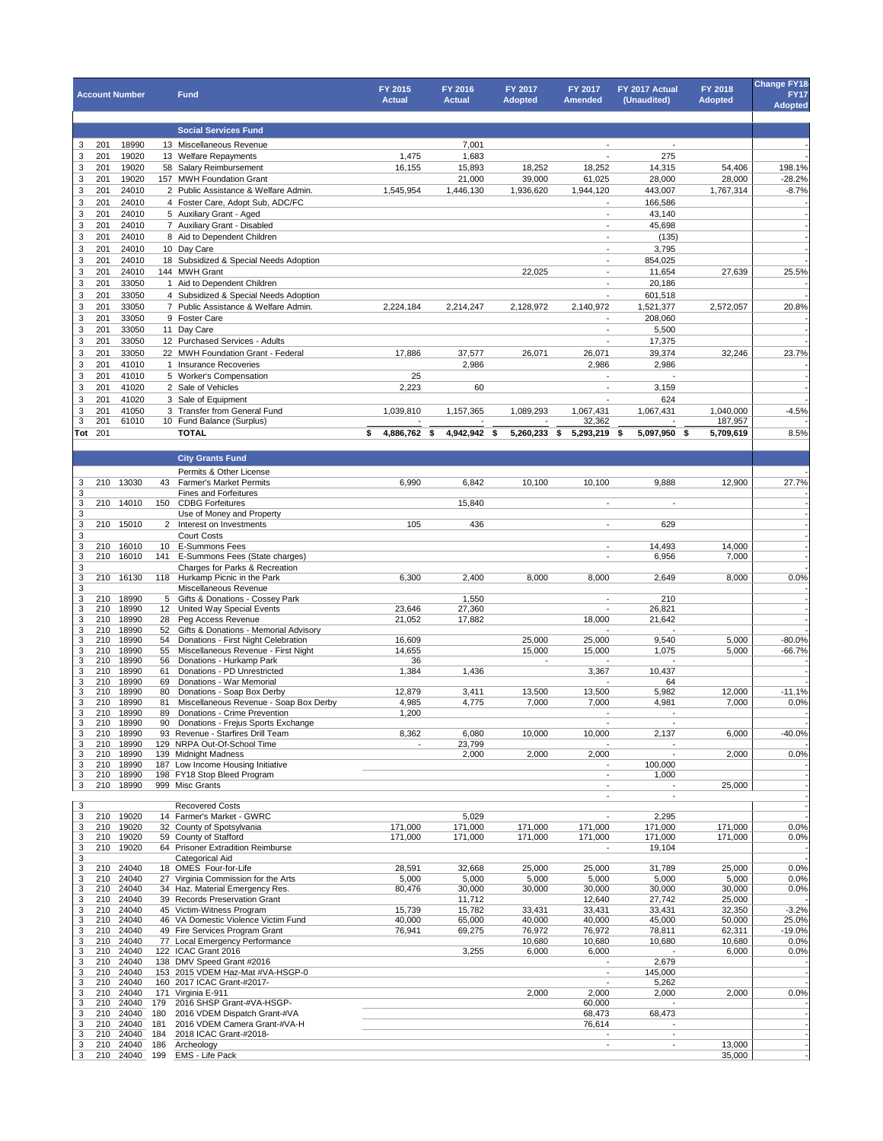|        |            | <b>Account Number</b> |            | <b>Fund</b>                                                            | FY 2015<br><b>Actual</b> | FY 2016<br><b>Actual</b> | FY 2017<br><b>Adopted</b>          | FY 2017<br><b>Amended</b>                            | FY 2017 Actual<br>(Unaudited)     | <b>FY 2018</b><br><b>Adopted</b> | <b>Change FY18</b><br><b>FY17</b><br><b>Adopted</b> |
|--------|------------|-----------------------|------------|------------------------------------------------------------------------|--------------------------|--------------------------|------------------------------------|------------------------------------------------------|-----------------------------------|----------------------------------|-----------------------------------------------------|
|        |            |                       |            | <b>Social Services Fund</b>                                            |                          |                          |                                    |                                                      |                                   |                                  |                                                     |
| 3      | 201        | 18990                 |            | 13 Miscellaneous Revenue                                               |                          | 7,001                    |                                    | $\blacksquare$                                       | $\overline{\phantom{a}}$          |                                  |                                                     |
| 3      | 201        | 19020                 |            | 13 Welfare Repayments                                                  | 1,475                    | 1,683                    |                                    |                                                      | 275                               |                                  |                                                     |
| 3      | 201        | 19020                 |            | 58 Salary Reimbursement<br>157 MWH Foundation Grant                    | 16,155                   | 15,893                   | 18,252                             | 18,252                                               | 14,315                            | 54,406                           | 198.1%                                              |
| 3<br>3 | 201<br>201 | 19020<br>24010        |            | 2 Public Assistance & Welfare Admin.                                   | 1,545,954                | 21,000<br>1,446,130      | 39,000<br>1,936,620                | 61,025<br>1,944,120                                  | 28,000<br>443,007                 | 28,000<br>1,767,314              | $-28.2%$<br>$-8.7%$                                 |
| 3      | 201        | 24010                 |            | 4 Foster Care, Adopt Sub, ADC/FC                                       |                          |                          |                                    | $\sim$                                               | 166,586                           |                                  |                                                     |
| 3      | 201        | 24010                 |            | 5 Auxiliary Grant - Aged                                               |                          |                          |                                    | ä,                                                   | 43,140                            |                                  |                                                     |
| 3<br>3 | 201<br>201 | 24010<br>24010        |            | 7 Auxiliary Grant - Disabled<br>8 Aid to Dependent Children            |                          |                          |                                    | ÷.<br>$\blacksquare$                                 | 45,698<br>(135)                   |                                  |                                                     |
| 3      | 201        | 24010                 |            | 10 Day Care                                                            |                          |                          |                                    | ä,                                                   | 3,795                             |                                  |                                                     |
| 3      | 201        | 24010                 |            | 18 Subsidized & Special Needs Adoption                                 |                          |                          |                                    | $\sim$                                               | 854,025                           |                                  |                                                     |
| 3      | 201        | 24010                 |            | 144 MWH Grant                                                          |                          |                          | 22,025                             | $\blacksquare$                                       | 11,654                            | 27,639                           | 25.5%                                               |
| 3<br>3 | 201<br>201 | 33050<br>33050        |            | 1 Aid to Dependent Children<br>4 Subsidized & Special Needs Adoption   |                          |                          |                                    | ä,                                                   | 20,186<br>601,518                 |                                  |                                                     |
| 3      | 201        | 33050                 |            | 7 Public Assistance & Welfare Admin.                                   | 2,224,184                | 2,214,247                | 2,128,972                          | 2,140,972                                            | 1,521,377                         | 2,572,057                        | 20.8%                                               |
| 3      | 201        | 33050                 |            | 9 Foster Care                                                          |                          |                          |                                    | ä,                                                   | 208,060                           |                                  |                                                     |
| 3      | 201        | 33050                 |            | 11 Day Care                                                            |                          |                          |                                    | ÷                                                    | 5,500                             |                                  |                                                     |
| 3<br>3 | 201<br>201 | 33050<br>33050        |            | 12 Purchased Services - Adults<br>22 MWH Foundation Grant - Federal    | 17,886                   | 37,577                   | 26,071                             | ä,<br>26,071                                         | 17,375<br>39,374                  | 32,246                           | 23.7%                                               |
| 3      | 201        | 41010                 |            | 1 Insurance Recoveries                                                 |                          | 2,986                    |                                    | 2,986                                                | 2,986                             |                                  |                                                     |
| 3      | 201        | 41010                 |            | 5 Worker's Compensation                                                | 25                       |                          |                                    |                                                      |                                   |                                  |                                                     |
| 3      | 201        | 41020                 |            | 2 Sale of Vehicles                                                     | 2,223                    | 60                       |                                    | $\blacksquare$                                       | 3,159                             |                                  |                                                     |
| 3<br>3 | 201<br>201 | 41020<br>41050        |            | 3 Sale of Equipment<br>3 Transfer from General Fund                    | 1,039,810                | 1,157,365                | 1,089,293                          | 1,067,431                                            | 624<br>1,067,431                  | 1,040,000                        | $-4.5%$                                             |
| 3      | 201        | 61010                 |            | 10 Fund Balance (Surplus)                                              |                          |                          |                                    | 32,362                                               |                                   | 187,957                          |                                                     |
| Tot    | 201        |                       |            | <b>TOTAL</b>                                                           | \$<br>4,886,762 \$       | 4,942,942<br>- \$        | 5,260,233 \$                       | 5,293,219 \$                                         | 5,097,950 \$                      | 5,709,619                        | 8.5%                                                |
|        |            |                       |            | <b>City Grants Fund</b>                                                |                          |                          |                                    |                                                      |                                   |                                  |                                                     |
|        |            |                       |            | Permits & Other License                                                |                          |                          |                                    |                                                      |                                   |                                  |                                                     |
| 3      | 210        | 13030                 | 43         | <b>Farmer's Market Permits</b>                                         | 6,990                    | 6,842                    | 10,100                             | 10,100                                               | 9,888                             | 12,900                           | 27.7%                                               |
| 3<br>3 | 210        | 14010                 | 150        | Fines and Forfeitures<br><b>CDBG</b> Forfeitures                       |                          | 15,840                   |                                    | $\overline{\phantom{a}}$                             |                                   |                                  |                                                     |
| 3      |            |                       |            | Use of Money and Property                                              |                          |                          |                                    |                                                      |                                   |                                  |                                                     |
| 3      | 210        | 15010                 |            | 2 Interest on Investments                                              | 105                      | 436                      |                                    | ÷.                                                   | 629                               |                                  |                                                     |
| 3      | 210        |                       | 10         | <b>Court Costs</b><br>E-Summons Fees                                   |                          |                          |                                    |                                                      | 14,493                            |                                  |                                                     |
| 3<br>3 | 210        | 16010<br>16010        | 141        | E-Summons Fees (State charges)                                         |                          |                          |                                    | $\blacksquare$                                       | 6,956                             | 14,000<br>7,000                  |                                                     |
| 3      |            |                       |            | Charges for Parks & Recreation                                         |                          |                          |                                    |                                                      |                                   |                                  |                                                     |
| 3<br>3 | 210        | 16130                 |            | 118 Hurkamp Picnic in the Park<br>Miscellaneous Revenue                | 6,300                    | 2,400                    | 8,000                              | 8,000                                                | 2,649                             | 8,000                            | 0.0%                                                |
| 3      | 210        | 18990                 | 5          | Gifts & Donations - Cossey Park                                        |                          | 1,550                    |                                    | ä,                                                   | 210                               |                                  |                                                     |
| 3      | 210        | 18990                 | 12         | <b>United Way Special Events</b>                                       | 23,646                   | 27,360                   |                                    | $\blacksquare$                                       | 26,821                            |                                  |                                                     |
| 3<br>3 | 210<br>210 | 18990<br>18990        | 28<br>52   | Peg Access Revenue<br>Gifts & Donations - Memorial Advisory            | 21,052                   | 17,882                   |                                    | 18,000                                               | 21,642                            |                                  |                                                     |
| 3      | 210        | 18990                 | 54         | Donations - First Night Celebration                                    | 16,609                   |                          | 25,000                             | 25,000                                               | 9,540                             | 5,000                            | $-80.0%$                                            |
| 3      | 210<br>210 | 18990<br>18990        | 55<br>56   | Miscellaneous Revenue - First Night                                    | 14,655<br>36             |                          | 15,000<br>$\overline{\phantom{a}}$ | 15,000<br>$\sim$                                     | 1,075                             | 5,000                            | $-66.7%$                                            |
| 3<br>3 | 210        | 18990                 | 61         | Donations - Hurkamp Park<br>Donations - PD Unrestricted                | 1,384                    | 1,436                    |                                    | 3,367                                                | 10,437                            |                                  |                                                     |
| 3      | 210        | 18990                 | 69         | Donations - War Memorial                                               |                          |                          |                                    |                                                      | 64                                |                                  |                                                     |
| 3<br>3 | 210<br>210 | 18990<br>18990        | 80<br>81   | Donations - Soap Box Derby<br>Miscellaneous Revenue - Soap Box Derby   | 12,879<br>4,985          | 3,411<br>4,775           | 13,500<br>7,000                    | 13,500<br>7,000                                      | 5,982<br>4,981                    | 12,000<br>7,000                  | $-11.1%$<br>0.0%                                    |
| 3      | 210        | 18990                 | 89         | Donations - Crime Prevention                                           | 1,200                    |                          |                                    | $\sim$                                               |                                   |                                  |                                                     |
| 3      | 210        | 18990                 | 90         | Donations - Frejus Sports Exchange                                     |                          |                          |                                    |                                                      |                                   |                                  |                                                     |
| 3<br>3 | 210<br>210 | 18990<br>18990        |            | 93 Revenue - Starfires Drill Team<br>129 NRPA Out-Of-School Time       | 8,362                    | 6,080<br>23,799          | 10,000                             | 10,000                                               | 2,137                             | 6,000                            | $-40.0%$                                            |
| 3      | 210        | 18990                 |            | 139 Midnight Madness                                                   |                          | 2,000                    | 2,000                              | 2,000                                                |                                   | 2,000                            | 0.0%                                                |
| 3      | 210        | 18990<br>18990        |            | 187 Low Income Housing Initiative<br>198 FY18 Stop Bleed Program       |                          |                          |                                    | $\overline{\phantom{a}}$<br>÷.                       | 100,000                           |                                  |                                                     |
| 3<br>3 | 210<br>210 | 18990                 |            | 999 Misc Grants                                                        |                          |                          |                                    | $\blacksquare$                                       | 1,000<br>$\overline{\phantom{a}}$ | 25,000                           |                                                     |
|        |            |                       |            |                                                                        |                          |                          |                                    | ÷,                                                   | $\Box$                            |                                  |                                                     |
| 3<br>3 | 210        | 19020                 |            | <b>Recovered Costs</b><br>14 Farmer's Market - GWRC                    |                          | 5,029                    |                                    | ÷,                                                   | 2,295                             |                                  |                                                     |
| 3      | 210        | 19020                 |            | 32 County of Spotsylvania                                              | 171,000                  | 171,000                  | 171,000                            | 171,000                                              | 171,000                           | 171,000                          | 0.0%                                                |
| 3      | 210<br>210 | 19020<br>19020        |            | 59 County of Stafford<br>64 Prisoner Extradition Reimburse             | 171,000                  | 171,000                  | 171,000                            | 171,000                                              | 171,000                           | 171,000                          | 0.0%                                                |
| 3<br>3 |            |                       |            | Categorical Aid                                                        |                          |                          |                                    |                                                      | 19,104                            |                                  |                                                     |
| 3      | 210        | 24040                 |            | 18 OMES Four-for-Life                                                  | 28,591                   | 32,668                   | 25,000                             | 25,000                                               | 31,789                            | 25,000                           | 0.0%                                                |
| 3      | 210<br>210 | 24040<br>24040        |            | 27 Virginia Commission for the Arts<br>34 Haz. Material Emergency Res. | 5,000<br>80,476          | 5,000<br>30,000          | 5,000<br>30,000                    | 5,000<br>30,000                                      | 5,000                             | 5,000<br>30,000                  | 0.0%<br>0.0%                                        |
| 3<br>3 | 210        | 24040                 |            | 39 Records Preservation Grant                                          |                          | 11,712                   |                                    | 12,640                                               | 30,000<br>27,742                  | 25,000                           |                                                     |
| 3      | 210        | 24040                 |            | 45 Victim-Witness Program                                              | 15,739                   | 15,782                   | 33,431                             | 33,431                                               | 33,431                            | 32,350                           | $-3.2%$                                             |
| 3<br>3 | 210<br>210 | 24040<br>24040        |            | 46 VA Domestic Violence Victim Fund<br>49 Fire Services Program Grant  | 40,000<br>76,941         | 65,000<br>69,275         | 40,000<br>76,972                   | 40,000<br>76,972                                     | 45,000<br>78,811                  | 50,000<br>62,311                 | 25.0%<br>$-19.0%$                                   |
| 3      | 210        | 24040                 |            | 77 Local Emergency Performance                                         |                          |                          | 10,680                             | 10,680                                               | 10,680                            | 10,680                           | 0.0%                                                |
| 3      | 210        | 24040                 |            | 122 ICAC Grant 2016                                                    |                          | 3,255                    | 6,000                              | 6,000                                                |                                   | 6,000                            | 0.0%                                                |
| 3<br>3 | 210<br>210 | 24040<br>24040        |            | 138 DMV Speed Grant #2016<br>153 2015 VDEM Haz-Mat #VA-HSGP-0          |                          |                          |                                    | $\overline{\phantom{a}}$<br>$\blacksquare$           | 2,679<br>145,000                  |                                  |                                                     |
| 3      | 210        | 24040                 |            | 160 2017 ICAC Grant-#2017-                                             |                          |                          |                                    | ä,                                                   | 5,262                             |                                  |                                                     |
| 3      | 210        | 24040                 |            | 171 Virginia E-911                                                     |                          |                          | 2,000                              | 2,000                                                | 2,000                             | 2,000                            | 0.0%                                                |
| 3<br>3 | 210<br>210 | 24040<br>24040        | 179<br>180 | 2016 SHSP Grant-#VA-HSGP-<br>2016 VDEM Dispatch Grant-#VA              |                          |                          |                                    | 60,000<br>68,473                                     | 68,473                            |                                  |                                                     |
| 3      | 210        | 24040                 | 181        | 2016 VDEM Camera Grant-#VA-H                                           |                          |                          |                                    | 76,614                                               | $\overline{\phantom{a}}$          |                                  |                                                     |
| 3<br>3 | 210<br>210 | 24040<br>24040        | 184<br>186 | 2018 ICAC Grant-#2018-<br>Archeology                                   |                          |                          |                                    | $\overline{\phantom{a}}$<br>$\overline{\phantom{a}}$ | ÷.<br>۰                           | 13,000                           |                                                     |
| 3      | 210        | 24040                 | 199        | EMS - Life Pack                                                        |                          |                          |                                    |                                                      |                                   | 35,000                           |                                                     |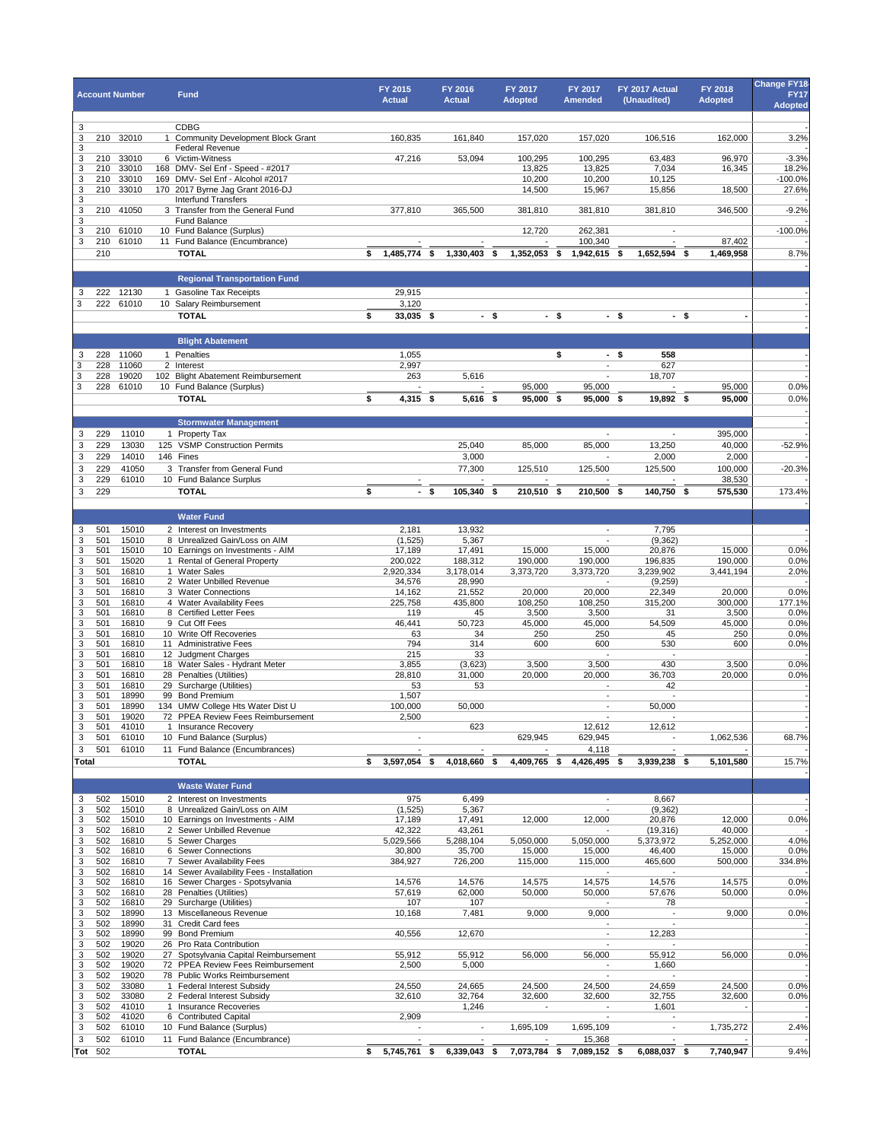|                     |                | <b>Account Number</b> | <b>Fund</b>                                                           | FY 2015<br><b>Actual</b> |      | FY 2016<br><b>Actual</b> |        | FY 2017<br><b>Adopted</b> | FY 2017<br><b>Amended</b> |      | FY 2017 Actual<br>(Unaudited) |      | FY 2018<br><b>Adopted</b> | <b>Change FY18</b><br><b>FY17</b><br><b>Adopted</b> |
|---------------------|----------------|-----------------------|-----------------------------------------------------------------------|--------------------------|------|--------------------------|--------|---------------------------|---------------------------|------|-------------------------------|------|---------------------------|-----------------------------------------------------|
| 3                   |                |                       | <b>CDBG</b>                                                           |                          |      |                          |        |                           |                           |      |                               |      |                           |                                                     |
| 3<br>3              |                | 210 32010             | 1 Community Development Block Grant<br><b>Federal Revenue</b>         | 160,835                  |      | 161,840                  |        | 157,020                   | 157,020                   |      | 106,516                       |      | 162,000                   | 3.2%                                                |
| 3                   | 210            | 33010                 | 6 Victim-Witness                                                      | 47,216                   |      | 53,094                   |        | 100,295                   | 100,295                   |      | 63,483                        |      | 96,970                    | $-3.3%$                                             |
| 3                   | 210            | 33010                 | 168 DMV- Sel Enf - Speed - #2017<br>169 DMV- Sel Enf - Alcohol #2017  |                          |      |                          |        | 13,825                    | 13,825                    |      | 7,034                         |      | 16,345                    | 18.2%                                               |
| 3<br>3              | 210<br>210     | 33010<br>33010        | 170 2017 Byrne Jag Grant 2016-DJ                                      |                          |      |                          |        | 10,200<br>14,500          | 10,200<br>15,967          |      | 10,125<br>15,856              |      | 18,500                    | $-100.0%$<br>27.6%                                  |
| 3                   |                |                       | <b>Interfund Transfers</b>                                            |                          |      |                          |        |                           |                           |      |                               |      |                           |                                                     |
| 3<br>3              |                | 210 41050             | 3 Transfer from the General Fund<br>Fund Balance                      | 377,810                  |      | 365,500                  |        | 381,810                   | 381,810                   |      | 381,810                       |      | 346,500                   | $-9.2%$                                             |
| 3                   | 210            | 61010                 | 10 Fund Balance (Surplus)                                             |                          |      |                          |        | 12,720                    | 262,381                   |      |                               |      |                           | $-100.0%$                                           |
| 3                   | 210            | 61010                 | 11 Fund Balance (Encumbrance)                                         |                          |      |                          |        |                           | 100,340                   |      |                               |      | 87,402                    |                                                     |
|                     | 210            |                       | <b>TOTAL</b>                                                          | \$<br>1,485,774 \$       |      | 1,330,403                | - \$   | $1,352,053$ \$            | 1,942,615 \$              |      | 1,652,594 \$                  |      | 1,469,958                 | 8.7%                                                |
|                     |                |                       | <b>Regional Transportation Fund</b>                                   |                          |      |                          |        |                           |                           |      |                               |      |                           |                                                     |
| 3                   | 222            | 12130                 | 1 Gasoline Tax Receipts                                               | 29,915                   |      |                          |        |                           |                           |      |                               |      |                           |                                                     |
| 3                   | 222            | 61010                 | 10 Salary Reimbursement                                               | 3,120                    |      |                          |        |                           |                           |      |                               |      |                           |                                                     |
|                     |                |                       | <b>TOTAL</b>                                                          | \$<br>33,035 \$          |      |                          | $-$ \$ |                           | - \$                      | - \$ |                               | - \$ |                           |                                                     |
|                     |                |                       |                                                                       |                          |      |                          |        |                           |                           |      |                               |      |                           |                                                     |
|                     |                | 11060                 | <b>Blight Abatement</b><br>1 Penalties                                | 1,055                    |      |                          |        |                           | \$                        |      | 558                           |      |                           |                                                     |
| 3<br>$\overline{3}$ | 228<br>228     | 11060                 | 2 Interest                                                            | 2,997                    |      |                          |        |                           | ä,                        | - \$ | 627                           |      |                           |                                                     |
| 3                   | 228            | 19020                 | 102 Blight Abatement Reimbursement                                    | 263                      |      | 5,616                    |        |                           |                           |      | 18,707                        |      |                           |                                                     |
| 3                   | 228            | 61010                 | 10 Fund Balance (Surplus)                                             |                          |      |                          |        | 95,000                    | 95,000                    |      |                               |      | 95,000                    | 0.0%                                                |
|                     |                |                       | <b>TOTAL</b>                                                          | \$<br>4,315 \$           |      | 5,616 \$                 |        | 95,000 \$                 | 95,000 \$                 |      | 19,892 \$                     |      | 95,000                    | 0.0%                                                |
|                     |                |                       | <b>Stormwater Management</b>                                          |                          |      |                          |        |                           |                           |      |                               |      |                           |                                                     |
| 3                   | 229            | 11010                 | 1 Property Tax                                                        |                          |      |                          |        |                           | $\sim$                    |      | $\sim$                        |      | 395,000                   |                                                     |
| 3                   | 229            | 13030                 | 125 VSMP Construction Permits                                         |                          |      | 25,040                   |        | 85,000                    | 85,000                    |      | 13,250                        |      | 40,000                    | $-52.9%$                                            |
| 3                   | 229<br>229     | 14010<br>41050        | 146 Fines<br>3 Transfer from General Fund                             |                          |      | 3,000<br>77,300          |        | 125,510                   | 125,500                   |      | 2,000<br>125,500              |      | 2,000<br>100,000          | $-20.3%$                                            |
| 3<br>3              | 229            | 61010                 | 10 Fund Balance Surplus                                               | $\overline{\phantom{a}}$ |      |                          |        |                           |                           |      |                               |      | 38,530                    |                                                     |
| 3                   | 229            |                       | <b>TOTAL</b>                                                          | \$                       | - \$ | 105,340 \$               |        | 210,510 \$                | 210,500 \$                |      | 140,750 \$                    |      | 575,530                   | 173.4%                                              |
|                     |                |                       |                                                                       |                          |      |                          |        |                           |                           |      |                               |      |                           |                                                     |
|                     |                |                       | <b>Water Fund</b>                                                     |                          |      |                          |        |                           |                           |      |                               |      |                           |                                                     |
| 3                   | 501            | 15010                 | 2 Interest on Investments                                             | 2,181                    |      | 13,932                   |        |                           |                           |      | 7,795                         |      |                           |                                                     |
| 3<br>3              | 501<br>501     | 15010<br>15010        | 8 Unrealized Gain/Loss on AIM<br>10 Earnings on Investments - AIM     | (1,525)<br>17,189        |      | 5,367<br>17,491          |        | 15,000                    | 15,000                    |      | (9, 362)<br>20,876            |      | 15,000                    | 0.0%                                                |
| 3                   | 501            | 15020                 | 1 Rental of General Property                                          | 200,022                  |      | 188,312                  |        | 190,000                   | 190,000                   |      | 196,835                       |      | 190,000                   | 0.0%                                                |
| 3                   | 501            | 16810                 | 1 Water Sales                                                         | 2,920,334                |      | 3,178,014                |        | 3,373,720                 | 3,373,720                 |      | 3,239,902                     |      | 3,441,194                 | 2.0%                                                |
| 3<br>3              | 501<br>501     | 16810<br>16810        | 2 Water Unbilled Revenue<br>3 Water Connections                       | 34,576<br>14,162         |      | 28,990<br>21,552         |        | 20,000                    | 20,000                    |      | (9, 259)<br>22,349            |      | 20,000                    | 0.0%                                                |
| 3                   | 501            | 16810                 | 4 Water Availability Fees                                             | 225,758                  |      | 435,800                  |        | 108,250                   | 108,250                   |      | 315,200                       |      | 300,000                   | 177.1%                                              |
| 3                   | 501            | 16810                 | 8 Certified Letter Fees                                               | 119                      |      | 45                       |        | 3,500                     | 3,500                     |      | 31                            |      | 3,500                     | 0.0%                                                |
| 3<br>3              | 501<br>501     | 16810<br>16810        | 9 Cut Off Fees<br>10 Write Off Recoveries                             | 46,441<br>63             |      | 50,723<br>34             |        | 45,000<br>250             | 45,000<br>250             |      | 54,509<br>45                  |      | 45,000<br>250             | 0.0%<br>0.0%                                        |
| 3                   | 501            | 16810                 | 11 Administrative Fees                                                | 794                      |      | 314                      |        | 600                       | 600                       |      | 530                           |      | 600                       | 0.0%                                                |
| 3                   | 501            | 16810                 | 12 Judgment Charges                                                   | 215                      |      | 33                       |        |                           |                           |      |                               |      |                           |                                                     |
| 3<br>3              | 501<br>501     | 16810<br>16810        | 18 Water Sales - Hydrant Meter<br>28 Penalties (Utilities)            | 3,855<br>28,810          |      | (3,623)<br>31,000        |        | 3,500<br>20,000           | 3,500<br>20,000           |      | 430<br>36,703                 |      | 3,500<br>20,000           | 0.0%<br>0.0%                                        |
| 3                   | 501            | 16810                 | 29 Surcharge (Utilities)                                              | 53                       |      | 53                       |        |                           |                           |      | 42                            |      |                           |                                                     |
| 3                   | 501            | 18990                 | 99 Bond Premium                                                       | 1,507                    |      |                          |        |                           | $\sim$                    |      |                               |      |                           |                                                     |
| 3<br>3              | 501<br>501     | 18990<br>19020        | 134 UMW College Hts Water Dist U<br>72 PPEA Review Fees Reimbursement | 100,000<br>2,500         |      | 50,000                   |        |                           |                           |      | 50,000                        |      |                           |                                                     |
| 3                   | 501            | 41010                 | 1 Insurance Recovery                                                  |                          |      | 623                      |        |                           | 12,612                    |      | 12,612                        |      |                           |                                                     |
| 3                   | 501            | 61010                 | 10 Fund Balance (Surplus)                                             | $\overline{\phantom{a}}$ |      |                          |        | 629,945                   | 629,945                   |      | $\overline{\phantom{a}}$      |      | 1,062,536                 | 68.7%                                               |
| 3<br><b>Total</b>   | 501            | 61010                 | 11 Fund Balance (Encumbrances)<br><b>TOTAL</b>                        | 3.597.054 \$<br>\$       |      | 4,018,660 \$             |        | 4,409,765 \$              | 4,118<br>4,426,495 \$     |      | 3,939,238 \$                  |      | 5,101,580                 | 15.7%                                               |
|                     |                |                       |                                                                       |                          |      |                          |        |                           |                           |      |                               |      |                           |                                                     |
|                     |                |                       | <b>Waste Water Fund</b>                                               |                          |      |                          |        |                           |                           |      |                               |      |                           |                                                     |
| 3                   | 502            | 15010                 | 2 Interest on Investments                                             | 975                      |      | 6,499                    |        |                           |                           |      | 8,667                         |      |                           |                                                     |
| 3<br>3              | 502<br>502     | 15010<br>15010        | 8 Unrealized Gain/Loss on AIM<br>10 Earnings on Investments - AIM     | (1,525)<br>17,189        |      | 5,367<br>17,491          |        | 12,000                    | 12,000                    |      | (9, 362)<br>20,876            |      | 12,000                    | 0.0%                                                |
| 3                   | 502            | 16810                 | 2 Sewer Unbilled Revenue                                              | 42,322                   |      | 43,261                   |        |                           |                           |      | (19, 316)                     |      | 40,000                    |                                                     |
| 3                   | 502            | 16810                 | 5 Sewer Charges                                                       | 5,029,566                |      | 5,288,104                |        | 5,050,000                 | 5,050,000                 |      | 5,373,972                     |      | 5,252,000                 | 4.0%                                                |
| 3<br>3              | 502<br>502     | 16810<br>16810        | 6 Sewer Connections<br>7 Sewer Availability Fees                      | 30,800<br>384,927        |      | 35,700<br>726,200        |        | 15,000<br>115,000         | 15,000<br>115,000         |      | 46,400<br>465,600             |      | 15,000<br>500,000         | 0.0%<br>334.8%                                      |
| 3                   | 502            | 16810                 | 14 Sewer Availability Fees - Installation                             |                          |      |                          |        |                           |                           |      |                               |      |                           |                                                     |
| 3                   | 502            | 16810                 | 16 Sewer Charges - Spotsylvania                                       | 14,576                   |      | 14,576                   |        | 14,575                    | 14,575                    |      | 14,576                        |      | 14,575                    | 0.0%                                                |
| 3<br>3              | 502<br>502     | 16810<br>16810        | 28 Penalties (Utilities)<br>29 Surcharge (Utilities)                  | 57,619<br>107            |      | 62,000<br>107            |        | 50,000                    | 50,000                    |      | 57,676<br>78                  |      | 50,000                    | 0.0%                                                |
| 3                   | 502            | 18990                 | 13 Miscellaneous Revenue                                              | 10,168                   |      | 7,481                    |        | 9,000                     | 9,000                     |      |                               |      | 9,000                     | 0.0%                                                |
| 3                   | 502            | 18990                 | 31 Credit Card fees                                                   |                          |      |                          |        |                           |                           |      |                               |      |                           |                                                     |
| 3<br>3              | 502<br>502     | 18990<br>19020        | 99 Bond Premium<br>26 Pro Rata Contribution                           | 40,556                   |      | 12,670                   |        |                           | $\blacksquare$            |      | 12,283                        |      |                           |                                                     |
| 3                   | 502            | 19020                 | 27 Spotsylvania Capital Reimbursement                                 | 55,912                   |      | 55,912                   |        | 56,000                    | 56,000                    |      | 55,912                        |      | 56,000                    | 0.0%                                                |
| 3                   | 502            | 19020                 | 72 PPEA Review Fees Reimbursement                                     | 2,500                    |      | 5,000                    |        |                           |                           |      | 1,660                         |      |                           |                                                     |
| 3<br>3              | 502<br>502     | 19020<br>33080        | 78 Public Works Reimbursement<br>1 Federal Interest Subsidy           | 24,550                   |      | 24,665                   |        | 24,500                    | 24,500                    |      | 24,659                        |      | 24,500                    | 0.0%                                                |
| 3                   | 502            | 33080                 | 2 Federal Interest Subsidy                                            | 32,610                   |      | 32,764                   |        | 32,600                    | 32,600                    |      | 32,755                        |      | 32,600                    | 0.0%                                                |
| 3                   | 502            | 41010                 | 1 Insurance Recoveries                                                |                          |      | 1,246                    |        |                           |                           |      | 1,601                         |      |                           |                                                     |
| 3<br>3              | 502<br>502     | 41020<br>61010        | 6 Contributed Capital<br>10 Fund Balance (Surplus)                    | 2,909                    |      |                          |        | 1,695,109                 | 1,695,109                 |      | $\overline{\phantom{a}}$      |      | 1,735,272                 | 2.4%                                                |
| 3                   | 502            | 61010                 | 11 Fund Balance (Encumbrance)                                         |                          |      |                          |        |                           | 15,368                    |      |                               |      |                           |                                                     |
|                     | <b>Tot</b> 502 |                       | <b>TOTAL</b>                                                          | \$<br>5,745,761 \$       |      | 6,339,043 \$             |        | 7,073,784 \$              | 7,089,152 \$              |      | 6,088,037 \$                  |      | 7,740,947                 | 9.4%                                                |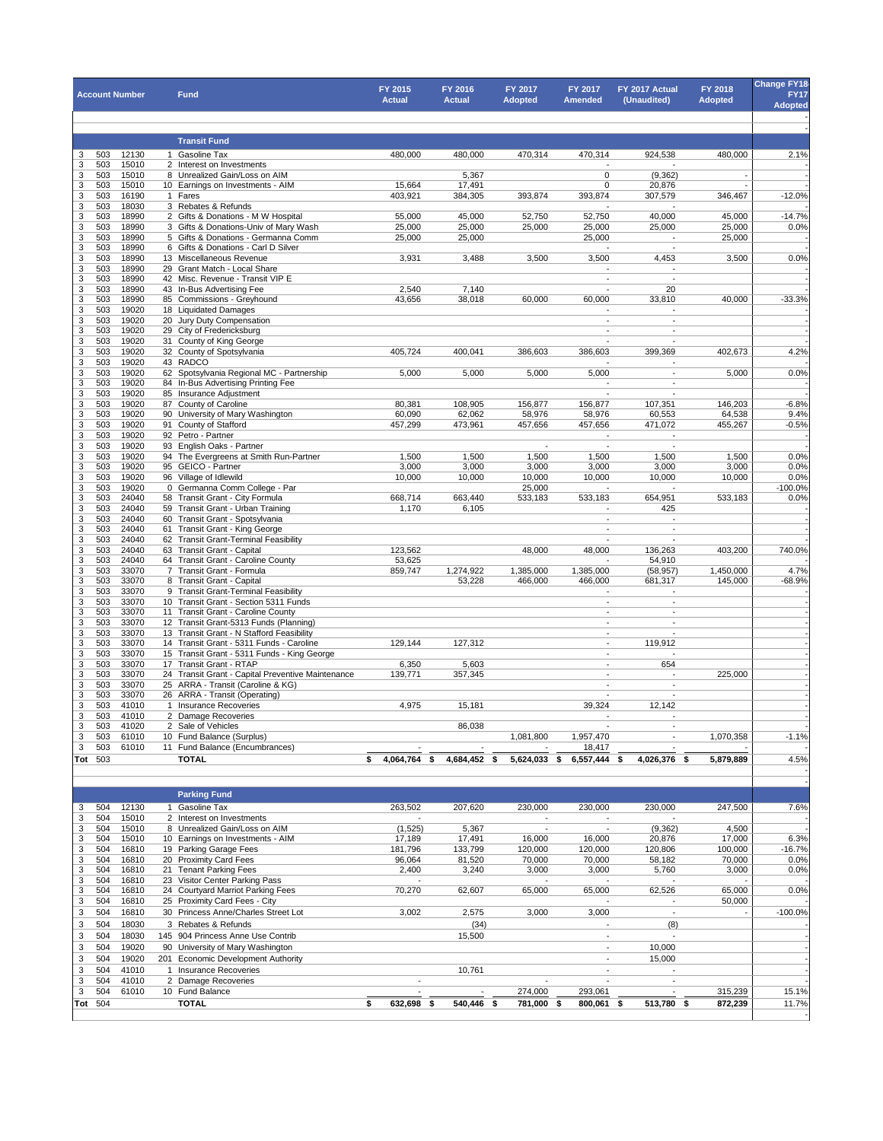|                |            | <b>Account Number</b> |          | <b>Fund</b>                                                                     | FY 2015<br><b>Actual</b> | FY 2016<br><b>Actual</b> | FY 2017<br><b>Adopted</b> | FY 2017<br><b>Amended</b>      | FY 2017 Actual<br>(Unaudited)              | FY 2018<br><b>Adopted</b> | <b>Change FY18</b><br><b>FY17</b><br>Adopted |
|----------------|------------|-----------------------|----------|---------------------------------------------------------------------------------|--------------------------|--------------------------|---------------------------|--------------------------------|--------------------------------------------|---------------------------|----------------------------------------------|
|                |            |                       |          |                                                                                 |                          |                          |                           |                                |                                            |                           |                                              |
|                |            |                       |          | <b>Transit Fund</b>                                                             |                          |                          |                           |                                |                                            |                           |                                              |
| 3              | 503        | 12130                 |          | 1 Gasoline Tax                                                                  | 480,000                  | 480,000                  | 470,314                   | 470,314                        | 924,538                                    | 480,000                   | 2.1%                                         |
| 3              | 503        | 15010                 |          | 2 Interest on Investments                                                       |                          |                          |                           |                                |                                            |                           |                                              |
| 3              | 503        | 15010                 |          | 8 Unrealized Gain/Loss on AIM                                                   |                          | 5,367                    |                           | $\mathbf 0$                    | (9, 362)                                   |                           |                                              |
| 3<br>3         | 503<br>503 | 15010<br>16190        |          | 10 Earnings on Investments - AIM<br>1 Fares                                     | 15,664<br>403,921        | 17,491<br>384,305        | 393,874                   | $\pmb{0}$<br>393,874           | 20,876<br>307,579                          | 346,467                   | $-12.0%$                                     |
| 3              | 503        | 18030                 |          | 3 Rebates & Refunds                                                             |                          |                          |                           |                                |                                            |                           |                                              |
| 3              | 503        | 18990                 |          | 2 Gifts & Donations - M W Hospital                                              | 55,000                   | 45,000                   | 52,750                    | 52,750                         | 40,000                                     | 45,000                    | $-14.7%$                                     |
| 3<br>3         | 503<br>503 | 18990<br>18990        |          | 3 Gifts & Donations-Univ of Mary Wash<br>5 Gifts & Donations - Germanna Comm    | 25,000<br>25,000         | 25,000<br>25,000         | 25,000                    | 25,000<br>25,000               | 25,000                                     | 25,000<br>25,000          | 0.0%                                         |
| 3              | 503        | 18990                 |          | 6 Gifts & Donations - Carl D Silver                                             |                          |                          |                           |                                |                                            |                           |                                              |
| 3              | 503        | 18990                 |          | 13 Miscellaneous Revenue                                                        | 3,931                    | 3,488                    | 3,500                     | 3,500                          | 4,453                                      | 3,500                     | 0.0%                                         |
| 3              | 503<br>503 | 18990<br>18990        |          | 29 Grant Match - Local Share                                                    |                          |                          |                           | $\blacksquare$                 |                                            |                           |                                              |
| 3<br>3         | 503        | 18990                 |          | 42 Misc. Revenue - Transit VIP E<br>43 In-Bus Advertising Fee                   | 2,540                    | 7,140                    |                           |                                | 20                                         |                           |                                              |
| 3              | 503        | 18990                 |          | 85 Commissions - Greyhound                                                      | 43,656                   | 38,018                   | 60,000                    | 60,000                         | 33,810                                     | 40,000                    | $-33.3%$                                     |
| 3              | 503        | 19020                 |          | 18 Liquidated Damages                                                           |                          |                          |                           |                                |                                            |                           |                                              |
| 3<br>3         | 503<br>503 | 19020<br>19020        |          | 20 Jury Duty Compensation<br>29 City of Fredericksburg                          |                          |                          |                           | ÷,<br>÷,                       | $\blacksquare$<br>$\overline{\phantom{a}}$ |                           |                                              |
| 3              | 503        | 19020                 |          | 31 County of King George                                                        |                          |                          |                           |                                |                                            |                           |                                              |
| 3              | 503        | 19020                 |          | 32 County of Spotsylvania                                                       | 405,724                  | 400,041                  | 386.603                   | 386,603                        | 399,369                                    | 402,673                   | 4.2%                                         |
| 3              | 503        | 19020                 |          | 43 RADCO                                                                        |                          |                          |                           |                                |                                            |                           |                                              |
| 3<br>3         | 503<br>503 | 19020<br>19020        |          | 62 Spotsylvania Regional MC - Partnership<br>84 In-Bus Advertising Printing Fee | 5,000                    | 5,000                    | 5,000                     | 5,000<br>$\sim$                | $\Box$                                     | 5,000                     | 0.0%                                         |
| 3              | 503        | 19020                 |          | 85 Insurance Adjustment                                                         |                          |                          |                           | $\sim$                         | $\blacksquare$                             |                           |                                              |
| 3              | 503        | 19020                 |          | 87 County of Caroline                                                           | 80,381                   | 108,905                  | 156,877                   | 156,877                        | 107,351                                    | 146,203                   | $-6.8%$                                      |
| 3<br>3         | 503<br>503 | 19020<br>19020        |          | 90 University of Mary Washington<br>91 County of Stafford                       | 60,090<br>457,299        | 62,062<br>473,961        | 58,976<br>457,656         | 58,976<br>457,656              | 60,553<br>471,072                          | 64,538<br>455,267         | 9.4%<br>$-0.5%$                              |
| 3              | 503        | 19020                 |          | 92 Petro - Partner                                                              |                          |                          |                           |                                |                                            |                           |                                              |
| 3              | 503        | 19020                 |          | 93 English Oaks - Partner                                                       |                          |                          |                           | $\sim$                         | ÷,                                         |                           |                                              |
| 3              | 503        | 19020                 |          | 94 The Evergreens at Smith Run-Partner                                          | 1,500                    | 1,500                    | 1,500                     | 1,500                          | 1,500                                      | 1,500                     | 0.0%                                         |
| 3<br>3         | 503<br>503 | 19020<br>19020        |          | 95 GEICO - Partner<br>96 Village of Idlewild                                    | 3,000<br>10,000          | 3,000<br>10,000          | 3,000<br>10,000           | 3,000<br>10,000                | 3,000<br>10,000                            | 3,000<br>10,000           | 0.0%<br>0.0%                                 |
| 3              | 503        | 19020                 |          | 0 Germanna Comm College - Par                                                   |                          |                          | 25,000                    |                                |                                            |                           | $-100.0%$                                    |
| 3              | 503        | 24040                 |          | 58 Transit Grant - City Formula                                                 | 668,714                  | 663,440                  | 533,183                   | 533,183                        | 654,951                                    | 533,183                   | 0.0%                                         |
| 3              | 503        | 24040<br>24040        | 59       | Transit Grant - Urban Training                                                  | 1,170                    | 6,105                    |                           |                                | 425                                        |                           |                                              |
| 3<br>3         | 503<br>503 | 24040                 | 61       | 60 Transit Grant - Spotsylvania<br>Transit Grant - King George                  |                          |                          |                           |                                |                                            |                           |                                              |
| 3              | 503        | 24040                 | 62       | <b>Transit Grant-Terminal Feasibility</b>                                       |                          |                          |                           |                                |                                            |                           |                                              |
| 3              | 503        | 24040                 | 63       | Transit Grant - Capital                                                         | 123,562                  |                          | 48,000                    | 48,000                         | 136,263                                    | 403,200                   | 740.0%                                       |
| 3<br>3         | 503<br>503 | 24040<br>33070        | 64<br>7  | Transit Grant - Caroline County<br>Transit Grant - Formula                      | 53,625<br>859,747        | 1,274,922                | 1,385,000                 | 1,385,000                      | 54,910<br>(58, 957)                        | 1,450,000                 | 4.7%                                         |
| 3              | 503        | 33070                 |          | 8 Transit Grant - Capital                                                       |                          | 53,228                   | 466,000                   | 466,000                        | 681,317                                    | 145,000                   | $-68.9%$                                     |
| 3              | 503        | 33070                 |          | 9 Transit Grant-Terminal Feasibility                                            |                          |                          |                           |                                |                                            |                           |                                              |
| 3              | 503        | 33070                 |          | 10 Transit Grant - Section 5311 Funds                                           |                          |                          |                           | $\blacksquare$                 | $\Box$                                     |                           |                                              |
| 3<br>3         | 503<br>503 | 33070<br>33070        |          | 11 Transit Grant - Caroline County<br>12 Transit Grant-5313 Funds (Planning)    |                          |                          |                           | $\sim$<br>$\sim$               | $\sim$<br>$\sim$                           |                           |                                              |
| 3              | 503        | 33070                 |          | 13 Transit Grant - N Stafford Feasibility                                       |                          |                          |                           | ÷,                             | ÷,                                         |                           |                                              |
| 3              | 503        | 33070                 |          | 14 Transit Grant - 5311 Funds - Caroline                                        | 129,144                  | 127,312                  |                           | $\overline{\phantom{a}}$       | 119,912                                    |                           |                                              |
| 3<br>3         | 503        | 33070<br>33070        |          | 15 Transit Grant - 5311 Funds - King George<br>Transit Grant - RTAP             | 6,350                    | 5,603                    |                           | ÷.<br>$\overline{\phantom{a}}$ |                                            |                           |                                              |
| 3              | 503<br>503 | 33070                 | 17<br>24 | Transit Grant - Capital Preventive Maintenance                                  | 139,771                  | 357,345                  |                           | $\sim$                         | 654                                        | 225,000                   |                                              |
| 3              | 503        | 33070                 |          | 25 ARRA - Transit (Caroline & KG)                                               |                          |                          |                           | $\overline{\phantom{a}}$       | ÷.                                         |                           |                                              |
| 3              | 503        | 33070                 |          | 26 ARRA - Transit (Operating)                                                   |                          |                          |                           |                                |                                            |                           |                                              |
| 3<br>3         | 503<br>503 | 41010<br>41010        |          | 1 Insurance Recoveries<br>2 Damage Recoveries                                   | 4,975                    | 15,181                   |                           | 39,324                         | 12,142                                     |                           |                                              |
| 3              | 503        | 41020                 |          | 2 Sale of Vehicles                                                              |                          | 86,038                   |                           |                                |                                            |                           |                                              |
| $\overline{3}$ | 503        | 61010                 |          | 10 Fund Balance (Surplus)                                                       |                          |                          | 1,081,800                 | 1,957,470                      |                                            | 1,070,358                 | $-1.1%$                                      |
| 3              | 503        | 61010                 |          | 11 Fund Balance (Encumbrances)                                                  |                          |                          |                           | 18,417                         |                                            |                           |                                              |
| Tot            | 503        |                       |          | <b>TOTAL</b>                                                                    | \$<br>4.064.764<br>\$    | 4,684,452<br>Ŝ.          | $5,624,033$ \$            | 6,557,444                      | \$<br>4,026,376 \$                         | 5.879.889                 | 4.5%                                         |
|                |            |                       |          |                                                                                 |                          |                          |                           |                                |                                            |                           |                                              |
|                |            |                       |          | <b>Parking Fund</b>                                                             |                          |                          |                           |                                |                                            |                           |                                              |
| 3              | 504        | 12130                 |          | 1 Gasoline Tax                                                                  | 263,502                  | 207,620                  | 230,000                   | 230,000                        | 230,000                                    | 247,500                   | 7.6%                                         |
| 3              | 504        | 15010                 |          | 2 Interest on Investments                                                       |                          |                          |                           |                                |                                            |                           |                                              |
| 3              | 504        | 15010                 |          | 8 Unrealized Gain/Loss on AIM                                                   | (1.525)                  | 5.367                    |                           |                                | (9.362)                                    | 4.500                     |                                              |

|   |         |       |                                     | ------  |                          | ------     | ------  | ------         | ------                             | -       | .         |
|---|---------|-------|-------------------------------------|---------|--------------------------|------------|---------|----------------|------------------------------------|---------|-----------|
| 3 | 504     | 15010 | 2 Interest on Investments           |         |                          |            |         |                |                                    |         |           |
| 3 | 504     | 15010 | 8 Unrealized Gain/Loss on AIM       |         | (1,525)                  | 5,367      |         |                | (9, 362)                           | 4.500   |           |
| 3 | 504     | 15010 | 10 Earnings on Investments - AIM    |         | 17.189                   | 17,491     | 16,000  | 16,000         | 20,876                             | 17,000  | 6.3%      |
| 3 | 504     | 16810 | 19 Parking Garage Fees              | 181.796 |                          | 133,799    | 120,000 | 120,000        | 120,806                            | 100,000 | $-16.7%$  |
| 3 | 504     | 16810 | 20 Proximity Card Fees              |         | 96.064                   | 81,520     | 70,000  | 70.000         | 58,182                             | 70,000  | 0.0%      |
| 3 | 504     | 16810 | 21 Tenant Parking Fees              |         | 2.400                    | 3,240      | 3,000   | 3,000          | 5.760                              | 3,000   | 0.0%      |
| 3 | 504     | 16810 | 23 Visitor Center Parking Pass      |         |                          |            |         |                |                                    |         |           |
| 3 | 504     | 16810 | 24 Courtyard Marriot Parking Fees   |         | 70.270                   | 62.607     | 65,000  | 65,000         | 62,526                             | 65,000  | 0.0%      |
| 3 | 504     | 16810 | 25 Proximity Card Fees - City       |         |                          |            |         |                |                                    | 50,000  |           |
| 3 | 504     | 16810 | 30 Princess Anne/Charles Street Lot |         | 3.002                    | 2,575      | 3,000   | 3,000          |                                    |         | $-100.0%$ |
| 3 | 504     | 18030 | 3 Rebates & Refunds                 |         |                          | (34)       |         |                | (8)                                |         |           |
| 3 | 504     | 18030 | 145 904 Princess Anne Use Contrib   |         |                          | 15,500     |         |                | $\overline{\phantom{a}}$           |         |           |
| 3 | 504     | 19020 | 90 University of Mary Washington    |         |                          |            |         |                | 10,000<br>$\overline{\phantom{a}}$ |         |           |
| 3 | 504     | 19020 | 201 Economic Development Authority  |         |                          |            |         |                | 15,000<br>$\overline{\phantom{a}}$ |         |           |
| 3 | 504     | 41010 | Insurance Recoveries                |         |                          | 10.761     |         |                | $\sim$                             |         |           |
| 3 | 504     | 41010 | 2 Damage Recoveries                 |         | $\overline{\phantom{0}}$ |            |         |                |                                    |         |           |
| 3 | 504     | 61010 | 10 Fund Balance                     |         |                          |            | 274,000 | 293,061        |                                    | 315,239 | 15.1%     |
|   | Tot 504 |       | <b>TOTAL</b>                        | 632.698 | 5                        | 540,446 \$ | 781.000 | 800,061<br>-55 | 513,780<br>S                       | 872,239 | 11.7%     |
|   |         |       |                                     |         |                          |            |         |                |                                    |         |           |
|   |         |       |                                     |         |                          |            |         |                |                                    |         |           |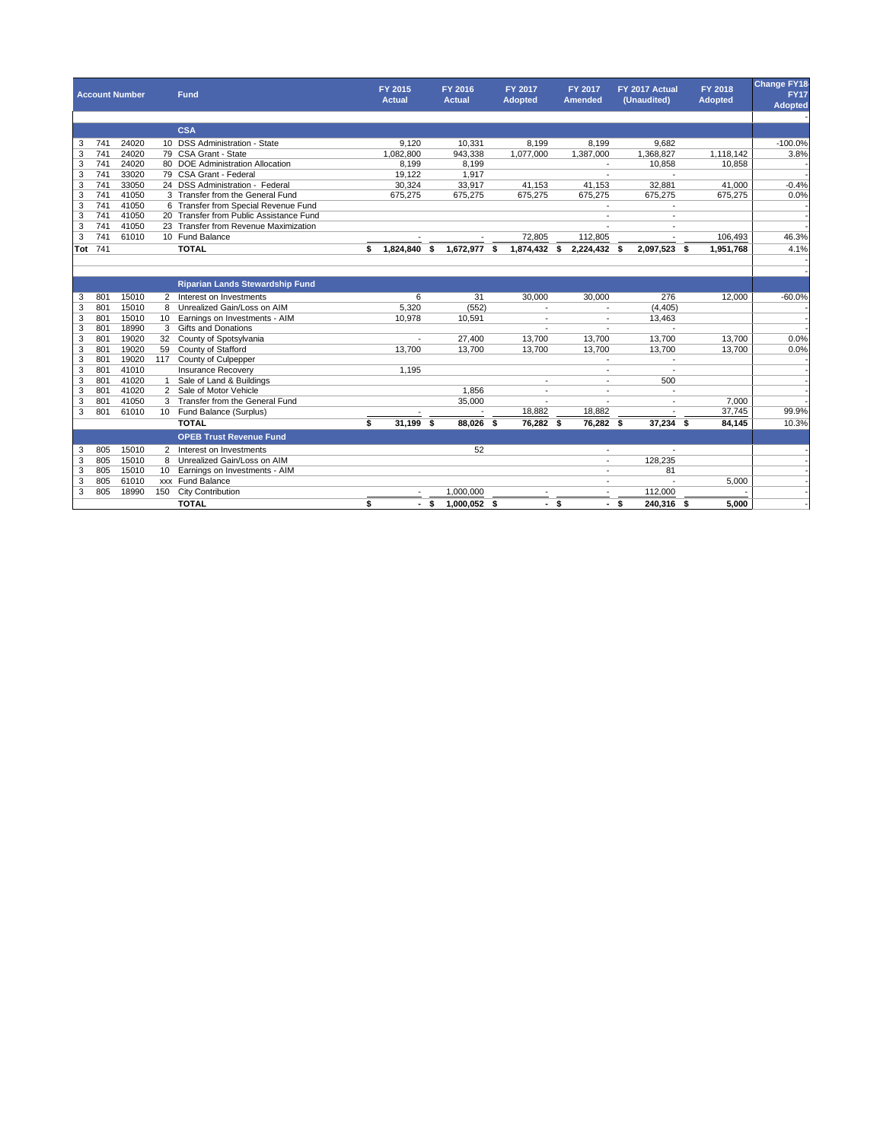|   |                | <b>Account Number</b> |                 | <b>Fund</b>                             | FY 2015<br><b>Actual</b>       |      | FY 2016<br><b>Actual</b> | FY 2017<br><b>Adopted</b> | FY 2017<br><b>Amended</b> | FY 2017 Actual<br>(Unaudited) |      | FY 2018<br><b>Adopted</b> | Change FY18<br><b>FY17</b><br><b>Adopted</b> |
|---|----------------|-----------------------|-----------------|-----------------------------------------|--------------------------------|------|--------------------------|---------------------------|---------------------------|-------------------------------|------|---------------------------|----------------------------------------------|
|   |                |                       |                 | <b>CSA</b>                              |                                |      |                          |                           |                           |                               |      |                           |                                              |
| 3 | 741            | 24020                 |                 | 10 DSS Administration - State           | 9.120                          |      | 10,331                   | 8,199                     | 8,199                     | 9.682                         |      |                           | $-100.0%$                                    |
| 3 | 741            | 24020                 |                 | 79 CSA Grant - State                    | 1.082.800                      |      | 943,338                  | 1,077,000                 | 1,387,000                 | 1,368,827                     |      | 1,118,142                 | 3.8%                                         |
| 3 | 741            | 24020                 |                 | 80 DOE Administration Allocation        | 8,199                          |      | 8,199                    |                           |                           | 10,858                        |      | 10,858                    |                                              |
| 3 | 741            | 33020                 |                 | 79 CSA Grant - Federal                  | 19,122                         |      | 1,917                    |                           |                           | ÷                             |      |                           |                                              |
| 3 | 741            | 33050                 |                 | 24 DSS Administration - Federal         | 30,324                         |      | 33,917                   | 41.153                    | 41.153                    | 32.881                        |      | 41.000                    | $-0.4%$                                      |
| 3 | 741            | 41050                 |                 | 3 Transfer from the General Fund        | 675,275                        |      | 675,275                  | 675,275                   | 675,275                   | 675,275                       |      | 675,275                   | 0.0%                                         |
| 3 | 741            | 41050                 |                 | 6 Transfer from Special Revenue Fund    |                                |      |                          |                           |                           | $\overline{\phantom{a}}$      |      |                           |                                              |
| 3 | 741            | 41050                 |                 | 20 Transfer from Public Assistance Fund |                                |      |                          |                           |                           |                               |      |                           |                                              |
| 3 | 741            | 41050                 |                 | 23 Transfer from Revenue Maximization   |                                |      |                          |                           |                           |                               |      |                           |                                              |
| 3 | 741            | 61010                 |                 | 10 Fund Balance                         |                                |      |                          | 72.805                    | 112,805                   |                               |      | 106,493                   | 46.3%                                        |
|   | <b>Tot</b> 741 |                       |                 | <b>TOTAL</b>                            | 1.824.840                      | - \$ | 1,672,977                | \$<br>1,874,432           | 2,224,432 \$<br>- \$      | $2,097,523$ \$                |      | 1,951,768                 | 4.1%                                         |
|   |                |                       |                 |                                         |                                |      |                          |                           |                           |                               |      |                           |                                              |
|   |                |                       |                 |                                         |                                |      |                          |                           |                           |                               |      |                           |                                              |
|   |                |                       |                 | <b>Riparian Lands Stewardship Fund</b>  |                                |      |                          |                           |                           |                               |      |                           |                                              |
| 3 | 801            | 15010                 |                 | 2 Interest on Investments               | 6                              |      | 31                       | 30,000                    | 30,000                    | 276                           |      | 12,000                    | $-60.0%$                                     |
| 3 | 801            | 15010                 |                 | 8 Unrealized Gain/Loss on AIM           | 5,320                          |      | (552)                    |                           |                           | (4, 405)                      |      |                           |                                              |
| 3 | 801            | 15010                 | 10              | Earnings on Investments - AIM           | 10,978                         |      | 10,591                   |                           |                           | 13,463                        |      |                           |                                              |
| 3 | 801            | 18990                 | 3               | <b>Gifts and Donations</b>              |                                |      |                          |                           | $\overline{a}$            |                               |      |                           |                                              |
| 3 | 801            | 19020                 | 32              | County of Spotsylvania                  |                                |      | 27,400                   | 13,700                    | 13,700                    | 13.700                        |      | 13,700                    | 0.0%                                         |
| 3 | 801            | 19020                 | 59              | County of Stafford                      | 13,700                         |      | 13,700                   | 13,700                    | 13,700                    | 13,700                        |      | 13,700                    | 0.0%                                         |
| 3 | 801            | 19020                 | 117             | County of Culpepper                     |                                |      |                          |                           |                           |                               |      |                           |                                              |
| 3 | 801            | 41010                 |                 | <b>Insurance Recoverv</b>               | 1.195                          |      |                          |                           |                           |                               |      |                           |                                              |
| 3 | 801            | 41020                 | $\mathbf{1}$    | Sale of Land & Buildings                |                                |      |                          | $\blacksquare$            | $\overline{\phantom{a}}$  | 500                           |      |                           |                                              |
| 3 | 801            | 41020                 |                 | 2 Sale of Motor Vehicle                 |                                |      | 1,856                    | $\sim$                    | $\sim$                    | $\blacksquare$                |      |                           |                                              |
| 3 | 801            | 41050                 | 3               | Transfer from the General Fund          |                                |      | 35,000                   |                           |                           |                               |      | 7,000                     |                                              |
| 3 | 801            | 61010                 | 10 <sup>°</sup> | Fund Balance (Surplus)                  |                                |      |                          | 18.882                    | 18.882                    |                               |      | 37,745                    | 99.9%                                        |
|   |                |                       |                 | <b>TOTAL</b>                            | \$<br>$31,199$ \$              |      | 88,026 \$                | 76,282 \$                 | 76,282 \$                 | 37,234 \$                     |      | 84,145                    | 10.3%                                        |
|   |                |                       |                 | <b>OPEB Trust Revenue Fund</b>          |                                |      |                          |                           |                           |                               |      |                           |                                              |
| 3 | 805            | 15010                 |                 | 2 Interest on Investments               |                                |      | 52                       |                           | $\blacksquare$            |                               |      |                           |                                              |
| 3 | 805            | 15010                 |                 | 8 Unrealized Gain/Loss on AIM           |                                |      |                          |                           | $\overline{\phantom{a}}$  | 128,235                       |      |                           |                                              |
| 3 | 805            | 15010                 | 10              | Earnings on Investments - AIM           |                                |      |                          |                           | $\sim$                    | 81                            |      |                           |                                              |
| 3 | 805            | 61010                 |                 | xxx Fund Balance                        |                                |      |                          |                           | $\overline{\phantom{a}}$  | $\sim$                        |      | 5,000                     |                                              |
| 3 | 805            | 18990                 | 150             | <b>City Contribution</b>                |                                |      | 1,000,000                |                           |                           | 112,000                       |      |                           |                                              |
|   |                |                       |                 | <b>TOTAL</b>                            | \$<br>$\overline{\phantom{a}}$ | \$   | 1,000,052 \$             | $\blacksquare$            | S<br>٠                    | 240,316<br>S.                 | - \$ | 5.000                     |                                              |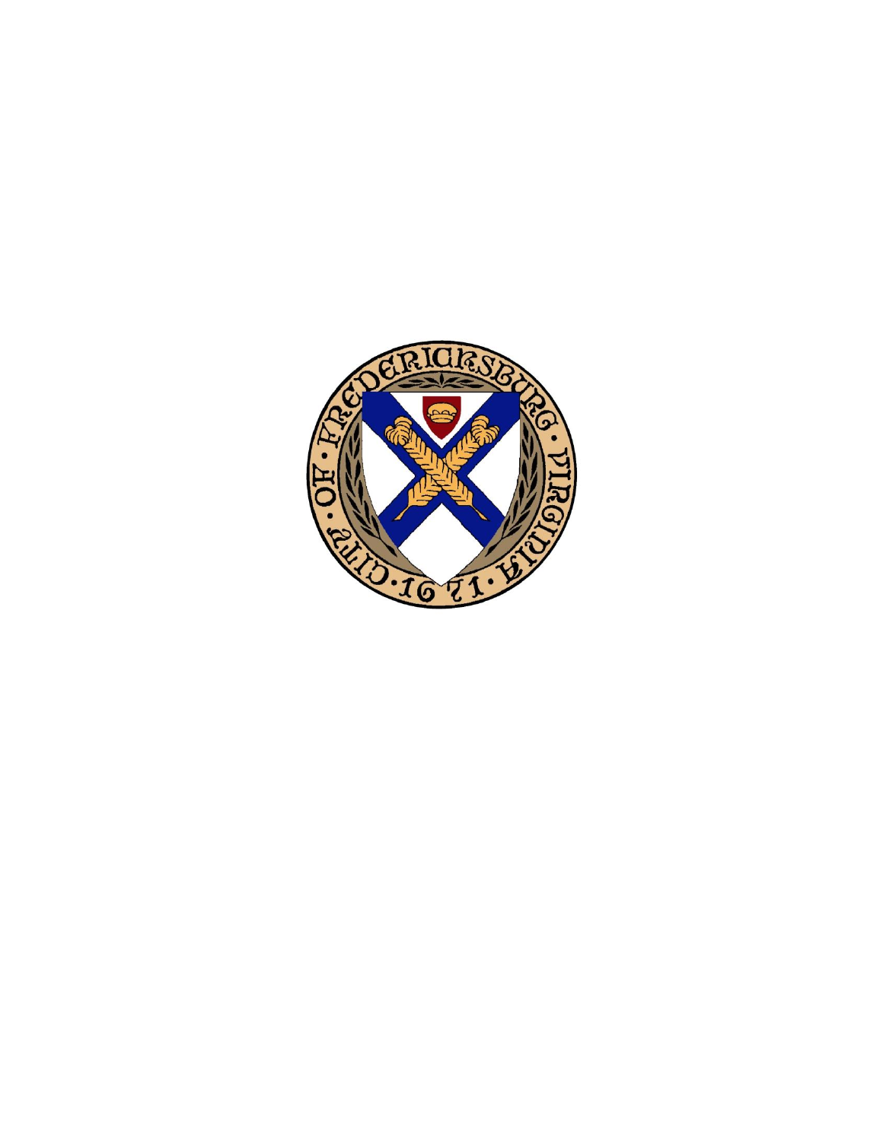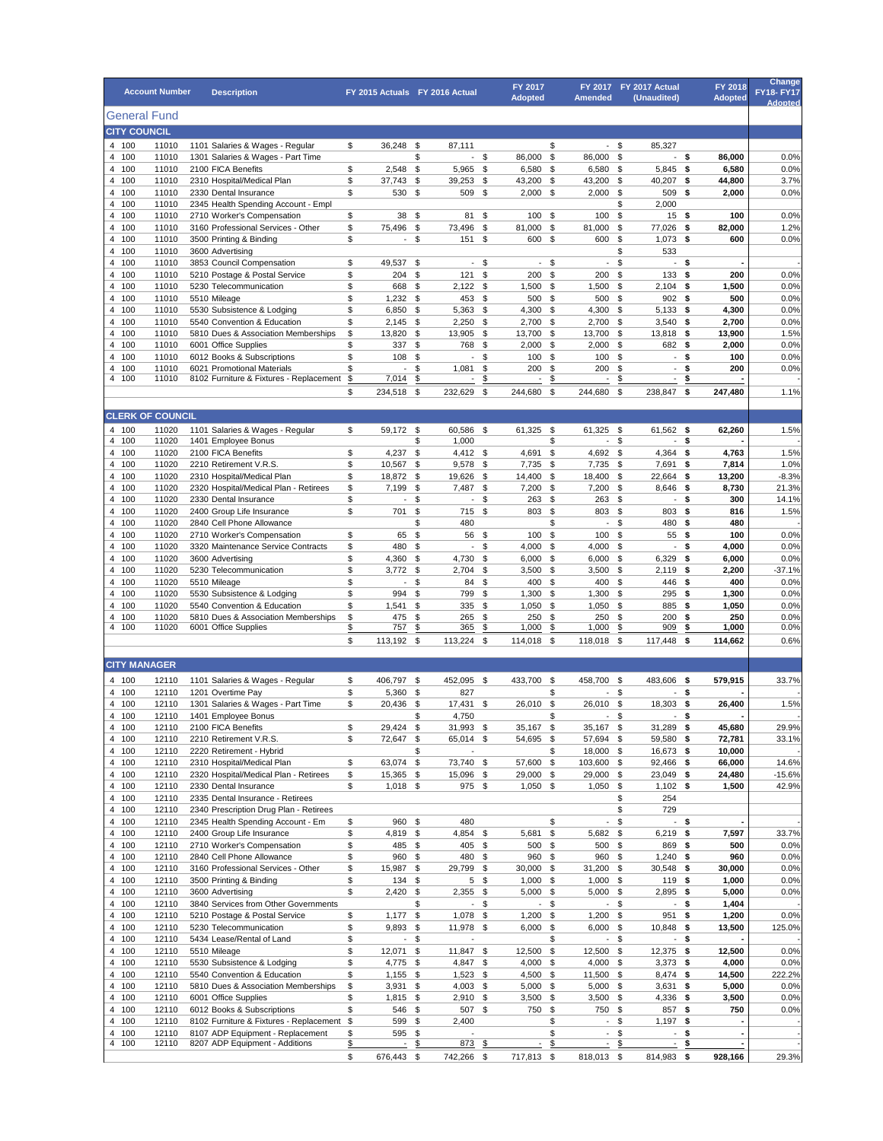|                     | <b>Account Number</b>   | <b>Description</b>                                                          |                     |                                    | FY 2015 Actuals FY 2016 Actual |              | FY 2017<br><b>Adopted</b> | <b>Amended</b>                      | FY 2017 FY 2017 Actual<br>(Unaudited)  | <b>FY 2018</b><br><b>Adopted</b> | Change<br><b>FY18-FY17</b><br><b>Adopted</b> |
|---------------------|-------------------------|-----------------------------------------------------------------------------|---------------------|------------------------------------|--------------------------------|--------------|---------------------------|-------------------------------------|----------------------------------------|----------------------------------|----------------------------------------------|
| <b>General Fund</b> |                         |                                                                             |                     |                                    |                                |              |                           |                                     |                                        |                                  |                                              |
| <b>CITY COUNCIL</b> |                         |                                                                             |                     |                                    |                                |              |                           |                                     |                                        |                                  |                                              |
| 4 100               | 11010                   | 1101 Salaries & Wages - Regular                                             | \$                  | 36,248 \$                          | 87,111                         |              |                           | \$                                  | - \$<br>85,327                         |                                  |                                              |
| 4 100               | 11010                   | 1301 Salaries & Wages - Part Time                                           |                     |                                    | \$<br>$\overline{\phantom{a}}$ | \$           | 86,000                    | \$<br>86,000                        | \$                                     | - \$<br>86.000                   | 0.0%                                         |
| 4 100<br>100<br>4   | 11010<br>11010          | 2100 FICA Benefits<br>2310 Hospital/Medical Plan                            | \$<br>\$            | 2,548<br>37,743                    | \$<br>5,965<br>\$<br>39,253    | \$<br>\$     | 6,580<br>43,200           | \$<br>6,580<br>\$<br>43,200         | \$<br>5,845<br>40,207<br>\$            | \$<br>6,580<br>44,800<br>\$      | 0.0%<br>3.7%                                 |
| 4 100               | 11010                   | 2330 Dental Insurance                                                       | \$                  | 530 \$                             | 509                            | -\$          | 2,000                     | \$<br>2,000                         | \$<br>509                              | S.<br>2,000                      | 0.0%                                         |
| 4 100               | 11010                   | 2345 Health Spending Account - Empl                                         |                     |                                    |                                |              |                           |                                     | 2,000<br>\$                            |                                  |                                              |
| 100<br>4            | 11010                   | 2710 Worker's Compensation                                                  | \$                  | 38                                 | \$<br>81                       | \$           | 100                       | \$<br>100                           | \$<br>15S                              | 100                              | 0.0%                                         |
| 100<br>4<br>4 100   | 11010<br>11010          | 3160 Professional Services - Other<br>3500 Printing & Binding               | \$<br>\$            | 75,496<br>$\overline{\phantom{a}}$ | \$<br>73,496<br>\$<br>151      | \$<br>\$     | 81,000<br>600             | \$<br>81,000<br>\$<br>600           | 77,026<br>\$<br>\$<br>1,073            | 82,000<br>\$<br>\$<br>600        | 1.2%<br>0.0%                                 |
| 4 100               | 11010                   | 3600 Advertising                                                            |                     |                                    |                                |              |                           |                                     | \$<br>533                              |                                  |                                              |
| 4<br>100            | 11010                   | 3853 Council Compensation                                                   | \$                  | 49,537 \$                          |                                | $-$ \$       | $-$ \$                    | $\blacksquare$                      | \$                                     | - \$                             |                                              |
| 4 100               | 11010                   | 5210 Postage & Postal Service                                               | \$                  | 204 \$                             | 121                            | \$           | 200                       | \$<br>200                           | \$<br>133                              | \$<br>200                        | 0.0%                                         |
| 4 100               | 11010                   | 5230 Telecommunication                                                      | \$                  | 668 \$                             | $2,122$ \$                     |              | 1,500                     | \$<br>1,500                         | $2,104$ \$<br>- \$                     | 1,500                            | 0.0%                                         |
| 4 100<br>100<br>4   | 11010<br>11010          | 5510 Mileage<br>5530 Subsistence & Lodging                                  | \$<br>\$            | $1,232$ \$<br>6,850                | 453 \$<br>\$<br>$5,363$ \$     |              | 500<br>4,300              | \$<br>500<br>\$<br>4,300            | \$<br>$902$ \$<br>\$<br>$5,133$ \$     | 500<br>4,300                     | 0.0%<br>0.0%                                 |
| 4 100               | 11010                   | 5540 Convention & Education                                                 | \$                  | 2,145                              | \$<br>2,250                    | \$           | 2,700                     | \$<br>2,700                         | \$<br>3,540                            | 2,700<br>\$                      | 0.0%                                         |
| 4 100               | 11010                   | 5810 Dues & Association Memberships                                         | \$                  | 13,820                             | \$<br>13,905                   | \$           | 13,700                    | \$<br>13,700                        | \$<br>13,818 \$                        | 13,900                           | 1.5%                                         |
| 100<br>4            | 11010                   | 6001 Office Supplies                                                        | \$                  | 337                                | \$<br>768                      | \$           | 2,000                     | \$<br>2,000                         | \$<br>682 \$                           | 2,000                            | 0.0%                                         |
| 4 100               | 11010                   | 6012 Books & Subscriptions                                                  | \$                  | 108                                | -\$<br>$\mathbf{r}$            | \$           | 100                       | \$<br>100                           | \$<br>$\mathcal{L}_{\mathrm{eff}}$     | \$<br>100                        | 0.0%                                         |
| 4 100<br>4 100      | 11010<br>11010          | 6021 Promotional Materials<br>8102 Furniture & Fixtures - Replacement       | \$<br>$\frac{3}{2}$ | $\mathbf{r}$<br>7,014              | \$<br>1,081<br>\$              | \$<br>\$     | 200<br>÷                  | \$<br>200<br>\$                     | \$<br>$\omega$<br>$\overline{a}$<br>\$ | \$<br>200<br>\$                  | 0.0%                                         |
|                     |                         |                                                                             | \$                  | 234,518 \$                         | 232,629                        | - \$         | 244,680 \$                | 244,680                             | \$<br>238.847                          | \$<br>247,480                    | 1.1%                                         |
|                     |                         |                                                                             |                     |                                    |                                |              |                           |                                     |                                        |                                  |                                              |
|                     | <b>CLERK OF COUNCIL</b> |                                                                             |                     |                                    |                                |              |                           |                                     |                                        |                                  |                                              |
| 4 100               | 11020                   | 1101 Salaries & Wages - Regular                                             | \$                  | 59,172 \$                          | 60,586                         | \$           | 61.325                    | 61,325 \$<br>-\$                    | 61.562 \$                              | 62,260                           | 1.5%                                         |
| 4 100<br>4 100      | 11020<br>11020          | 1401 Employee Bonus<br>2100 FICA Benefits                                   | \$                  | 4,237 \$                           | \$<br>1,000<br>4,412 \$        |              | 4,691                     | \$<br>$\blacksquare$<br>\$<br>4,692 | \$<br>$\sim$<br>\$<br>$4,364$ \$       | \$<br>4,763                      | 1.5%                                         |
| 4 100               | 11020                   | 2210 Retirement V.R.S.                                                      | \$                  | 10,567                             | \$<br>9,578                    | \$           | 7,735                     | \$<br>7,735                         | \$<br>7,691                            | 7,814<br>\$                      | 1.0%                                         |
| 4 100               | 11020                   | 2310 Hospital/Medical Plan                                                  | \$                  | 18,872 \$                          | 19,626 \$                      |              | 14,400                    | \$<br>18,400                        | \$<br>22,664 \$                        | 13,200                           | $-8.3%$                                      |
| 4 100               | 11020                   | 2320 Hospital/Medical Plan - Retirees                                       | \$                  | 7,199                              | \$<br>7,487                    | \$           | 7,200                     | \$<br>7,200                         | \$<br>$8.646$ \$                       | 8,730                            | 21.3%                                        |
| 4 100               | 11020                   | 2330 Dental Insurance                                                       | \$                  | $\overline{\phantom{a}}$           | \$<br>$\sim$                   | \$           | 263                       | \$<br>263                           | \$<br>$\sim$                           | 300<br>\$                        | 14.1%                                        |
| 4 100               | 11020                   | 2400 Group Life Insurance                                                   | \$                  | 701                                | \$<br>715 \$<br>480            |              | 803                       | \$<br>803                           | \$<br>803                              | 816<br>\$<br>480                 | 1.5%                                         |
| 4 100<br>4 100      | 11020<br>11020          | 2840 Cell Phone Allowance<br>2710 Worker's Compensation                     | \$                  | 65                                 | \$<br>\$                       | 56 \$        | 100                       | \$<br>$\blacksquare$<br>\$<br>100   | \$<br>480 \$<br>\$<br>55 \$            | 100                              | 0.0%                                         |
| 4 100               | 11020                   | 3320 Maintenance Service Contracts                                          | \$                  | 480                                | \$<br>$\mathbf{r}$             | \$           | 4,000                     | \$<br>4,000                         | \$<br>$\sim$                           | \$<br>4,000                      | 0.0%                                         |
| 4 100               | 11020                   | 3600 Advertising                                                            | \$                  | 4,360                              | -\$<br>4,730                   | \$           | 6,000                     | \$<br>6,000                         | \$<br>6,329                            | 6,000<br>\$                      | 0.0%                                         |
| 100<br>4            | 11020                   | 5230 Telecommunication                                                      | \$                  | $3,772$ \$                         | 2,704                          | \$           | 3,500                     | \$<br>3,500                         | \$<br>2,119                            | 2,200<br>\$                      | $-37.1%$                                     |
| 4 100               | 11020                   | 5510 Mileage                                                                | \$                  | $\omega$                           | \$<br>84                       | \$           | 400                       | \$<br>400                           | \$<br>446                              | \$<br>400                        | 0.0%                                         |
| 4 100<br>4 100      | 11020<br>11020          | 5530 Subsistence & Lodging<br>5540 Convention & Education                   | \$<br>\$            | 994<br>1,541                       | \$<br>799<br>\$<br>335 \$      | \$           | 1,300<br>1,050            | \$<br>1,300<br>\$<br>1,050          | \$<br>295<br>\$<br>885                 | 1,300<br>\$<br>\$<br>1,050       | 0.0%<br>0.0%                                 |
| 100<br>4            | 11020                   | 5810 Dues & Association Memberships                                         | \$                  | 475                                | \$<br>265                      | \$           | 250                       | \$<br>250                           | \$<br>200                              | 250<br>\$                        | 0.0%                                         |
| 4 100               | 11020                   | 6001 Office Supplies                                                        | \$                  | 757                                | \$<br>365                      | \$           | 1,000                     | \$<br>1,000                         | 909<br>\$                              | 1,000<br>\$                      | 0.0%                                         |
|                     |                         |                                                                             | \$                  | 113,192 \$                         | 113,224 \$                     |              | 114,018 \$                | 118,018 \$                          | 117,448 \$                             | 114,662                          | 0.6%                                         |
| <b>CITY MANAGER</b> |                         |                                                                             |                     |                                    |                                |              |                           |                                     |                                        |                                  |                                              |
| 4 100               | 12110                   | 1101 Salaries & Wages - Regular                                             | \$                  | 406,797 \$                         | 452,095 \$                     |              | 433,700 \$                | 458,700 \$                          | 483,606 \$                             | 579,915                          | 33.7%                                        |
| 4 100               | 12110                   | 1201 Overtime Pay                                                           | \$                  | 5,360 \$                           | 827                            |              |                           | \$<br>$\mathbf{r}$                  | \$<br>$\sim$                           | \$                               |                                              |
| 4 100               | 12110                   | 1301 Salaries & Wages - Part Time                                           | \$                  | 20,436                             | \$<br>17,431 \$                |              | 26,010                    | \$<br>26,010 \$                     | 18.303 \$                              | 26,400                           | 1.5%                                         |
| 4 100               | 12110                   | 1401 Employee Bonus                                                         |                     |                                    | 4,750<br>\$                    |              |                           | \$<br>÷.                            | \$<br>$\mathcal{L}_{\mathcal{A}}$      | \$                               |                                              |
| 4 100               | 12110                   | 2100 FICA Benefits                                                          | \$                  | 29,424                             | - \$<br>31,993 \$              |              | 35,167                    | \$<br>35,167                        | $31,289$ \$<br>\$                      | 45,680                           | 29.9%                                        |
| 4 100<br>4 100      | 12110<br>12110          | 2210 Retirement V.R.S.<br>2220 Retirement - Hybrid                          | \$                  | 72,647 \$                          | 65,014 \$<br>\$                |              | 54,695 \$                 | 57,694 \$<br>\$<br>18,000 \$        | 59,580 \$<br>16,673 \$                 | 72,781<br>10,000                 | 33.1%                                        |
| 4 100               | 12110                   | 2310 Hospital/Medical Plan                                                  | \$                  | 63,074 \$                          | 73,740 \$                      |              | 57,600                    | \$<br>103,600 \$                    | 92,466 \$                              | 66,000                           | 14.6%                                        |
| 4 100               | 12110                   | 2320 Hospital/Medical Plan - Retirees                                       | \$                  | 15,365 \$                          | 15,096 \$                      |              | 29,000 \$                 | 29,000 \$                           | 23,049 \$                              | 24,480                           | $-15.6%$                                     |
| 4 100               | 12110                   | 2330 Dental Insurance                                                       | \$                  | $1,018$ \$                         | 975 \$                         |              | $1,050$ \$                | $1,050$ \$                          | $1,102$ \$                             | 1,500                            | 42.9%                                        |
| 4 100               | 12110                   | 2335 Dental Insurance - Retirees                                            |                     |                                    |                                |              |                           |                                     | \$<br>254                              |                                  |                                              |
| 4 100<br>4 100      | 12110<br>12110          | 2340 Prescription Drug Plan - Retirees<br>2345 Health Spending Account - Em | \$                  | 960 \$                             | 480                            |              |                           | \$<br>$\overline{\phantom{a}}$      | \$<br>729<br>\$                        | - \$                             |                                              |
| 4 100               | 12110                   | 2400 Group Life Insurance                                                   | \$                  | 4,819 \$                           | 4,854 \$                       |              | 5,681                     | \$<br>5,682                         | \$<br>$6,219$ \$                       | 7,597                            | 33.7%                                        |
| 4 100               | 12110                   | 2710 Worker's Compensation                                                  | \$                  | 485 \$                             | 405 \$                         |              | 500                       | \$<br>500                           | - \$<br>869 \$                         | 500                              | 0.0%                                         |
| 4 100               | 12110                   | 2840 Cell Phone Allowance                                                   | \$                  | 960 \$                             | 480 \$                         |              | 960 \$                    | 960 \$                              | $1,240$ \$                             | 960                              | 0.0%                                         |
| 4 100               | 12110                   | 3160 Professional Services - Other                                          | \$                  | 15,987                             | \$<br>29,799 \$                |              | 30,000                    | \$<br>31,200                        | -\$<br>30,548 \$                       | 30,000                           | 0.0%                                         |
| 4 100               | 12110                   | 3500 Printing & Binding                                                     | \$                  | 134 \$                             |                                | $5 \sqrt{3}$ | $1,000$ \$                | $1,000$ \$                          | 119 \$                                 | 1,000                            | 0.0%                                         |
| 4 100<br>4 100      | 12110<br>12110          | 3600 Advertising<br>3840 Services from Other Governments                    | \$                  | $2,420$ \$                         | $2,355$ \$<br>\$               | - \$         | 5,000 \$<br>- \$          | $5,000$ \$<br>$\sim$                | 2,895 \$<br>\$                         | 5,000<br>1,404<br>- \$           | 0.0%                                         |
| 4 100               | 12110                   | 5210 Postage & Postal Service                                               | \$                  | $1,177$ \$                         | 1,078 \$                       |              | $1,200$ \$                | 1,200                               | 951<br>- \$                            | 1,200<br>\$                      | 0.0%                                         |
| 4 100               | 12110                   | 5230 Telecommunication                                                      | \$                  | 9,893 \$                           | 11,978 \$                      |              | $6,000$ \$                | $6,000$ \$                          | 10,848 \$                              | 13,500                           | 125.0%                                       |
| 4 100               | 12110                   | 5434 Lease/Rental of Land                                                   | \$                  | - \$                               | $\overline{\phantom{a}}$       |              |                           | \$                                  | - \$                                   | - \$                             |                                              |
| 4 100               | 12110                   | 5510 Mileage                                                                | \$                  | 12,071 \$                          | 11,847 \$                      |              | 12,500 \$                 | 12,500 \$                           | 12,375 \$                              | 12,500                           | 0.0%                                         |
| 4 100<br>4 100      | 12110<br>12110          | 5530 Subsistence & Lodging<br>5540 Convention & Education                   | \$<br>\$            | 4,775 \$<br>$1,155$ \$             | 4,847 \$<br>$1,523$ \$         |              | 4,000<br>4,500 \$         | \$<br>$4,000$ \$<br>11,500 \$       | $3,373$ \$<br>8,474 \$                 | 4,000<br>14,500                  | 0.0%<br>222.2%                               |
| 4 100               | 12110                   | 5810 Dues & Association Memberships                                         | \$                  | $3,931$ \$                         | $4,003$ \$                     |              | $5,000$ \$                | $5,000$ \$                          | $3,631$ \$                             | 5,000                            | 0.0%                                         |
| 4 100               | 12110                   | 6001 Office Supplies                                                        | \$                  | $1,815$ \$                         | $2,910$ \$                     |              | $3,500$ \$                | $3,500$ \$                          | 4,336 \$                               | 3,500                            | 0.0%                                         |
| 4 100               | 12110                   | 6012 Books & Subscriptions                                                  | \$                  | 546 \$                             | 507 \$                         |              | 750 \$                    | 750 \$                              | 857 \$                                 | 750                              | 0.0%                                         |
| 4 100               | 12110                   | 8102 Furniture & Fixtures - Replacement \$                                  |                     | 599 \$                             | 2,400                          |              |                           | \$<br>$\blacksquare$                | \$<br>$1,197$ \$                       |                                  |                                              |
| 4 100<br>4 100      | 12110<br>12110          | 8107 ADP Equipment - Replacement<br>8207 ADP Equipment - Additions          | \$<br>$\frac{1}{2}$ | 595 \$<br>٠                        | 873<br>$\frac{3}{2}$           | \$           | ٠                         | \$<br>÷.<br>\$<br>$\blacksquare$    | \$<br>\$<br>$\sim$                     | - \$<br>\$                       |                                              |
|                     |                         |                                                                             | \$                  | 676,443 \$                         | 742,266 \$                     |              | 717,813 \$                | 818,013 \$                          | 814,983 \$                             | 928,166                          | 29.3%                                        |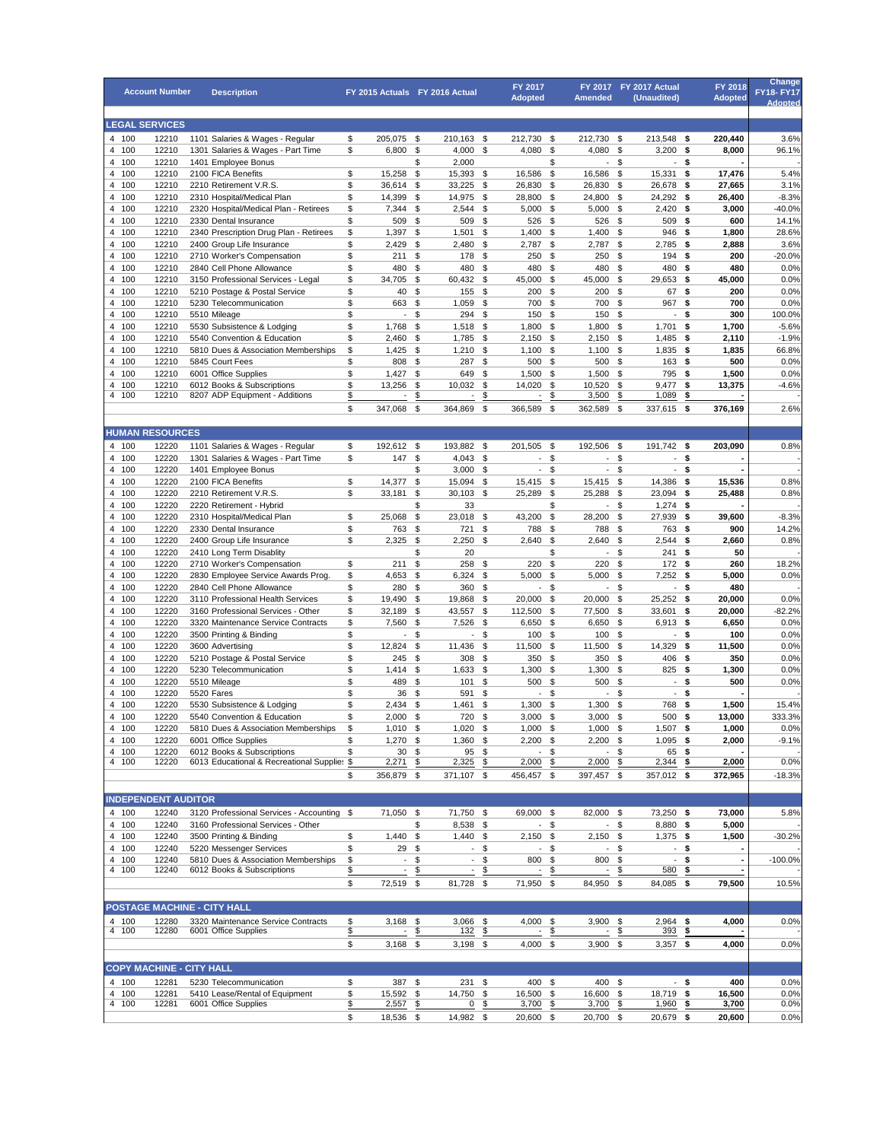|                   | <b>Account Number</b>           | <b>Description</b>                                                  |          |                        | FY 2015 Actuals FY 2016 Actual  |                               | FY 2017<br><b>Adopted</b> | <b>Amended</b>              | FY 2017 FY 2017 Actual<br>(Unaudited)             |                     | FY 2018<br><b>Adopted</b> | Change<br><b>FY18-FY17</b><br><b>Adopted</b> |
|-------------------|---------------------------------|---------------------------------------------------------------------|----------|------------------------|---------------------------------|-------------------------------|---------------------------|-----------------------------|---------------------------------------------------|---------------------|---------------------------|----------------------------------------------|
|                   | <b>LEGAL SERVICES</b>           |                                                                     |          |                        |                                 |                               |                           |                             |                                                   |                     |                           |                                              |
| 4 100             | 12210                           | 1101 Salaries & Wages - Regular                                     | \$       | 205,075 \$             | 210,163 \$                      |                               | 212,730 \$                | 212,730 \$                  | 213,548 \$                                        | 220,440             |                           | 3.6%                                         |
| 4 100             | 12210                           | 1301 Salaries & Wages - Part Time                                   | \$       | 6,800 \$               | 4,000 \$                        |                               | 4,080 \$                  | 4,080 \$                    | $3,200$ \$                                        |                     | 8,000                     | 96.1%                                        |
| 4 100             | 12210                           | 1401 Employee Bonus                                                 |          |                        | \$<br>2,000                     |                               |                           | \$<br>÷.                    | \$<br>$\sim$                                      | \$                  |                           |                                              |
| 4 100             | 12210                           | 2100 FICA Benefits                                                  | \$       | 15.258                 | \$<br>15,393                    | \$                            | 16,586                    | \$<br>16.586                | \$<br>15,331                                      | \$                  | 17,476                    | 5.4%                                         |
| 4 100             | 12210                           | 2210 Retirement V.R.S.                                              | \$       | 36,614                 | \$<br>33,225                    | \$                            | 26,830                    | \$<br>26,830                | \$<br>26,678 \$                                   |                     | 27,665                    | 3.1%                                         |
| 4 100<br>4 100    | 12210<br>12210                  | 2310 Hospital/Medical Plan<br>2320 Hospital/Medical Plan - Retirees | \$<br>\$ | 14,399<br>7,344        | \$<br>14,975<br>\$<br>2,544     | \$<br>\$                      | 28,800<br>5,000           | \$<br>24,800<br>\$<br>5,000 | \$<br>24,292<br>\$<br>2,420                       | \$<br>-\$           | 26,400<br>3,000           | $-8.3%$<br>$-40.0%$                          |
| 4 100             | 12210                           | 2330 Dental Insurance                                               | \$       | 509                    | \$<br>509                       | \$                            | 526                       | \$<br>526                   | \$<br>509                                         | -\$                 | 600                       | 14.1%                                        |
| 4 100             | 12210                           | 2340 Prescription Drug Plan - Retirees                              | \$       | 1,397                  | \$<br>1,501                     | \$                            | 1,400                     | \$<br>1,400                 | \$<br>946                                         | -\$                 | 1,800                     | 28.6%                                        |
| 4 100             | 12210                           | 2400 Group Life Insurance                                           | \$       | 2,429                  | \$<br>2,480                     | \$                            | 2,787                     | \$<br>2,787                 | \$<br>$2,785$ \$                                  |                     | 2,888                     | 3.6%                                         |
| 4 100             | 12210                           | 2710 Worker's Compensation                                          | \$       | 211                    | \$<br>178                       | \$                            | 250                       | \$<br>250                   | \$<br>194                                         | -\$                 | 200                       | $-20.0%$                                     |
| 4 100             | 12210                           | 2840 Cell Phone Allowance                                           | \$       | 480                    | \$<br>480                       | \$                            | 480                       | \$<br>480                   | \$<br>480                                         | - \$                | 480                       | 0.0%                                         |
| 4 100             | 12210                           | 3150 Professional Services - Legal                                  | \$       | 34,705                 | \$<br>60,432                    | \$                            | 45,000                    | \$<br>45,000                | \$<br>29,653                                      | - \$                | 45,000                    | 0.0%                                         |
| 4 100<br>4 100    | 12210<br>12210                  | 5210 Postage & Postal Service<br>5230 Telecommunication             | \$<br>\$ | 40<br>663              | \$<br>155<br>\$                 | \$<br>\$                      | 200<br>700                | \$<br>200<br>\$<br>700      | \$<br>67 \$<br>\$<br>967                          | \$                  | 200<br>700                | 0.0%<br>0.0%                                 |
| 4 100             | 12210                           | 5510 Mileage                                                        | \$       | ä,                     | 1,059<br>\$<br>294              | \$                            | 150                       | \$<br>150                   | \$<br>$\omega$                                    | \$                  | 300                       | 100.0%                                       |
| 4 100             | 12210                           | 5530 Subsistence & Lodging                                          | \$       | 1,768                  | -\$<br>1,518                    | \$                            | 1,800                     | \$<br>1,800                 | 1,701<br>\$                                       | \$                  | 1,700                     | $-5.6%$                                      |
| 4 100             | 12210                           | 5540 Convention & Education                                         | \$       | 2,460                  | - \$<br>1,785                   | \$                            | 2,150                     | \$<br>2,150                 | \$<br>$1,485$ \$                                  |                     | 2,110                     | $-1.9%$                                      |
| 4 100             | 12210                           | 5810 Dues & Association Memberships                                 | \$       | 1,425                  | \$<br>1,210                     | \$                            | 1,100                     | \$<br>1,100                 | \$<br>1,835                                       | - \$                | 1,835                     | 66.8%                                        |
| 4 100             | 12210                           | 5845 Court Fees                                                     | \$       | 808                    | - \$<br>287                     | \$                            | 500                       | \$<br>500                   | \$<br>163                                         | - \$                | 500                       | 0.0%                                         |
| 4 100             | 12210                           | 6001 Office Supplies                                                | \$       | 1,427                  | \$<br>649                       | \$                            | 1,500                     | \$<br>1,500                 | \$<br>795                                         | - \$                | 1,500                     | 0.0%                                         |
| 100<br>4<br>4 100 | 12210<br>12210                  | 6012 Books & Subscriptions<br>8207 ADP Equipment - Additions        | \$       | 13,256<br>٠            | \$<br>10,032                    | \$                            | 14,020                    | \$<br>10,520                | \$<br>9,477                                       | \$                  | 13.375                    | $-4.6%$                                      |
|                   |                                 |                                                                     | \$<br>\$ |                        | \$                              | \$                            |                           | 3,500<br>\$                 | 1,089<br>\$                                       | \$<br>376.169       |                           |                                              |
|                   |                                 |                                                                     |          | 347,068 \$             | 364,869                         | \$                            | 366,589                   | \$<br>362,589               | \$<br>337,615 \$                                  |                     |                           | 2.6%                                         |
|                   | <b>HUMAN RESOURCES</b>          |                                                                     |          |                        |                                 |                               |                           |                             |                                                   |                     |                           |                                              |
| 4 100             | 12220                           | 1101 Salaries & Wages - Regular                                     | \$       | 192,612 \$             | 193,882 \$                      |                               | 201,505 \$                | 192,506 \$                  | 191,742 \$                                        | 203.090             |                           | 0.8%                                         |
| 4 100             | 12220                           | 1301 Salaries & Wages - Part Time                                   | \$       | 147                    | \$<br>$4,043$ \$                |                               | $\blacksquare$            | \$<br>$\sim$                | - \$<br>$\sim$                                    | \$                  |                           |                                              |
| 4 100             | 12220                           | 1401 Employee Bonus                                                 |          |                        | \$<br>3,000                     | \$                            | ÷.                        | \$<br>ä,                    | \$<br>÷.                                          | \$                  |                           |                                              |
| 4 100             | 12220                           | 2100 FICA Benefits                                                  | \$       | 14,377                 | -\$<br>15,094                   | \$                            | 15,415                    | -\$<br>15,415               | 14,386<br>\$                                      | -\$                 | 15,536                    | 0.8%                                         |
| 4 100             | 12220                           | 2210 Retirement V.R.S.                                              | \$       | 33,181                 | $\mathsf{\$}$<br>30,103         | \$                            | 25.289                    | \$<br>25,288                | \$<br>23,094                                      | - \$                | 25,488                    | 0.8%                                         |
| 4 100             | 12220                           | 2220 Retirement - Hybrid                                            |          |                        | \$<br>33                        |                               |                           | \$<br>÷.                    | \$<br>$1,274$ \$                                  |                     |                           |                                              |
| 4 100             | 12220                           | 2310 Hospital/Medical Plan                                          | \$       | 25,068                 | \$<br>23,018                    | \$                            | 43,200                    | \$<br>28,200                | 27,939<br>\$                                      | \$                  | 39,600                    | $-8.3%$                                      |
| 4 100<br>4 100    | 12220<br>12220                  | 2330 Dental Insurance<br>2400 Group Life Insurance                  | \$<br>\$ | 763<br>2,325           | \$<br>721<br>\$<br>2,250        | \$<br>\$                      | 788<br>2,640              | \$<br>788<br>\$<br>2,640    | \$<br>763<br>\$<br>2,544                          | - \$<br>\$          | 900<br>2,660              | 14.2%<br>0.8%                                |
| 4 100             | 12220                           | 2410 Long Term Disablity                                            |          |                        | \$<br>20                        |                               |                           | \$<br>÷.                    | \$<br>241                                         | -\$                 | 50                        |                                              |
| 4 100             | 12220                           | 2710 Worker's Compensation                                          | \$       | 211S                   | 258                             | \$                            | 220                       | \$<br>220                   | 172 \$<br>\$                                      |                     | 260                       | 18.2%                                        |
| 4 100             | 12220                           | 2830 Employee Service Awards Prog.                                  | \$       | 4,653                  | \$<br>6,324                     | \$                            | 5,000                     | \$<br>5,000                 | \$<br>$7,252$ \$                                  |                     | 5,000                     | 0.0%                                         |
| 4 100             | 12220                           | 2840 Cell Phone Allowance                                           | \$       | 280                    | -\$<br>360                      | \$                            | ÷.                        | \$<br>$\omega$              | \$<br>$\sim$                                      | \$                  | 480                       |                                              |
| 4 100             | 12220                           | 3110 Professional Health Services                                   | \$       | 19,490                 | \$<br>19,868                    | \$                            | 20,000                    | \$<br>20,000                | \$<br>25,252                                      | -\$                 | 20,000                    | 0.0%                                         |
| 4 100             | 12220                           | 3160 Professional Services - Other                                  | \$       | 32,189                 | \$<br>43,557                    | \$                            | 112,500                   | \$<br>77,500                | \$<br>33,601                                      | -\$                 | 20,000                    | $-82.2%$                                     |
| 4 100<br>4 100    | 12220                           | 3320 Maintenance Service Contracts                                  | \$       | 7,560                  | \$<br>7,526<br>÷,               | \$                            | 6,650                     | \$<br>6,650                 | \$<br>6,913                                       | -\$                 | 6,650                     | 0.0%                                         |
| 4 100             | 12220<br>12220                  | 3500 Printing & Binding<br>3600 Advertising                         | \$<br>\$ | ÷.<br>12,824           | \$<br>\$<br>11,436              | \$<br>\$                      | 100<br>11,500             | \$<br>100<br>\$<br>11,500   | \$<br>$\mathcal{L}_{\mathcal{A}}$<br>14,329<br>\$ | \$<br>\$            | 100<br>11,500             | 0.0%<br>0.0%                                 |
| 4 100             | 12220                           | 5210 Postage & Postal Service                                       | \$       | 245                    | \$<br>308                       | \$                            | 350                       | \$<br>350                   | \$<br>406                                         | - \$                | 350                       | 0.0%                                         |
| 4 100             | 12220                           | 5230 Telecommunication                                              | \$       | 1,414                  | \$<br>1,633                     | \$                            | 1,300                     | \$<br>1,300                 | \$<br>825 \$                                      |                     | 1,300                     | 0.0%                                         |
| 4 100             | 12220                           | 5510 Mileage                                                        | \$       | 489                    | \$<br>101                       | \$                            | 500                       | \$<br>500                   | \$<br>$\overline{\phantom{a}}$                    | \$                  | 500                       | 0.0%                                         |
| 4 100             | 12220                           | 5520 Fares                                                          | \$       | 36                     | -\$<br>591                      | \$                            | $\sim$                    | \$<br>$\sim$                | \$<br>$\omega$                                    | \$                  |                           |                                              |
| 4 100             | 12220                           | 5530 Subsistence & Lodging                                          | \$       | 2,434                  | \$<br>1,461                     | \$                            | 1,300                     | \$<br>1,300                 | \$<br>768                                         | \$                  | 1,500                     | 15.4%                                        |
| 4 100             | 12220                           | 5540 Convention & Education                                         | \$       | $2,000$ \$             | 720                             | \$                            | 3,000                     | - \$<br>3,000               | \$<br>500                                         | -\$                 | 13,000                    | 333.3%                                       |
| 4 100             | 12220                           | 5810 Dues & Association Memberships                                 | \$       | 1,010 \$               | 1,020 \$                        |                               | $1,000$ \$                | $1,000$ \$                  | $1,507$ \$                                        |                     | 1,000                     | 0.0%                                         |
| 4 100<br>4 100    | 12220<br>12220                  | 6001 Office Supplies<br>6012 Books & Subscriptions                  | \$<br>\$ | 1,270 \$<br>$30*$      | $1,360$ \$                      | 95 \$                         | $2,200$ \$<br>- \$        | $2,200$ \$                  | $1,095$ \$<br>65 \$<br>- \$                       |                     | 2,000                     | $-9.1%$                                      |
| 4 100             | 12220                           | 6013 Educational & Recreational Supplie: \$                         |          | 2,271                  | \$<br>2,325                     | \$                            | 2,000                     | 2,000<br>\$                 | $2,344$ \$<br>\$                                  |                     | 2,000                     | 0.0%                                         |
|                   |                                 |                                                                     | \$       | 356,879 \$             | 371,107 \$                      |                               | 456,457 \$                | 397,457 \$                  | 357,012 \$                                        | 372,965             |                           | $-18.3%$                                     |
|                   |                                 |                                                                     |          |                        |                                 |                               |                           |                             |                                                   |                     |                           |                                              |
|                   | <b>INDEPENDENT AUDITOR</b>      |                                                                     |          |                        |                                 |                               |                           |                             |                                                   |                     |                           |                                              |
| 4 100             | 12240                           | 3120 Professional Services - Accounting \$                          |          | 71,050 \$              | 71,750 \$                       |                               | 69,000 \$                 | 82,000 \$                   | 73,250 \$                                         |                     | 73,000                    | 5.8%                                         |
| 4 100             | 12240                           | 3160 Professional Services - Other                                  |          |                        | \$<br>8,538 \$                  |                               | - \$                      | $\blacksquare$              | \$<br>8,880 \$                                    |                     | 5,000                     |                                              |
| 4 100             | 12240                           | 3500 Printing & Binding                                             | \$       | $1,440$ \$             | $1,440$ \$                      |                               | $2,150$ \$                | 2,150                       | 1,375 \$<br>- \$                                  |                     | 1,500                     | $-30.2%$                                     |
| 4 100             | 12240                           | 5220 Messenger Services                                             | \$       | 29 \$                  |                                 | $-$ \$                        | - \$                      |                             | - \$                                              | - \$                |                           |                                              |
| 4 100<br>4 100    | 12240<br>12240                  | 5810 Dues & Association Memberships<br>6012 Books & Subscriptions   | \$<br>\$ | - \$<br>$\blacksquare$ | \$<br>$\blacksquare$            | \$<br>$\sim$<br>$\frac{1}{2}$ | 800 \$                    | 800<br>\$<br>$\blacksquare$ | \$<br>580<br>\$                                   | $-$ \$<br><u>\$</u> |                           | $-100.0%$                                    |
|                   |                                 |                                                                     | \$       | 72,519 \$              | 81,728 \$                       |                               | 71,950 \$                 | 84,950 \$                   | 84,085 \$                                         |                     | 79,500                    | 10.5%                                        |
|                   |                                 |                                                                     |          |                        |                                 |                               |                           |                             |                                                   |                     |                           |                                              |
|                   |                                 | POSTAGE MACHINE - CITY HALL                                         |          |                        |                                 |                               |                           |                             |                                                   |                     |                           |                                              |
| 4 100             | 12280                           | 3320 Maintenance Service Contracts                                  | \$       | $3,168$ \$             | $3,066$ \$                      |                               | 4,000 \$                  | $3,900$ \$                  | $2,964$ \$                                        |                     | 4,000                     | 0.0%                                         |
| 4 100             | 12280                           | 6001 Office Supplies                                                | \$       |                        | 132<br>\$                       | $\frac{1}{2}$                 |                           | \$                          | 393 \$<br>\$                                      |                     |                           |                                              |
|                   |                                 |                                                                     | \$       | $3,168$ \$             | $3,198$ \$                      |                               | 4,000 \$                  | $3,900$ \$                  | $3,357$ \$                                        |                     | 4,000                     | 0.0%                                         |
|                   |                                 |                                                                     |          |                        |                                 |                               |                           |                             |                                                   |                     |                           |                                              |
|                   | <b>COPY MACHINE - CITY HALL</b> |                                                                     |          |                        |                                 |                               |                           |                             |                                                   |                     |                           |                                              |
| 4 100             | 12281                           | 5230 Telecommunication                                              | \$       | 387 \$                 |                                 | 231 \$                        | 400 \$                    | 400 \$                      |                                                   | - \$                | 400                       | 0.0%                                         |
| 4 100             | 12281                           | 5410 Lease/Rental of Equipment                                      | \$       | 15,592 \$              | 14,750 \$                       |                               | 16,500 \$                 | 16,600 \$                   | 18,719 \$                                         |                     | 16,500                    | 0.0%                                         |
| 4 100             | 12281                           | 6001 Office Supplies                                                | \$       | 2,557                  | $\overline{0}$<br>$\frac{3}{2}$ | $\frac{1}{2}$                 | 3,700                     | 3,700<br>\$                 | $1,960$ \$<br>\$                                  |                     | 3,700                     | 0.0%                                         |
|                   |                                 |                                                                     | \$       | 18,536 \$              | 14,982 \$                       |                               | 20,600 \$                 | 20,700 \$                   | 20,679 \$                                         |                     | 20,600                    | 0.0%                                         |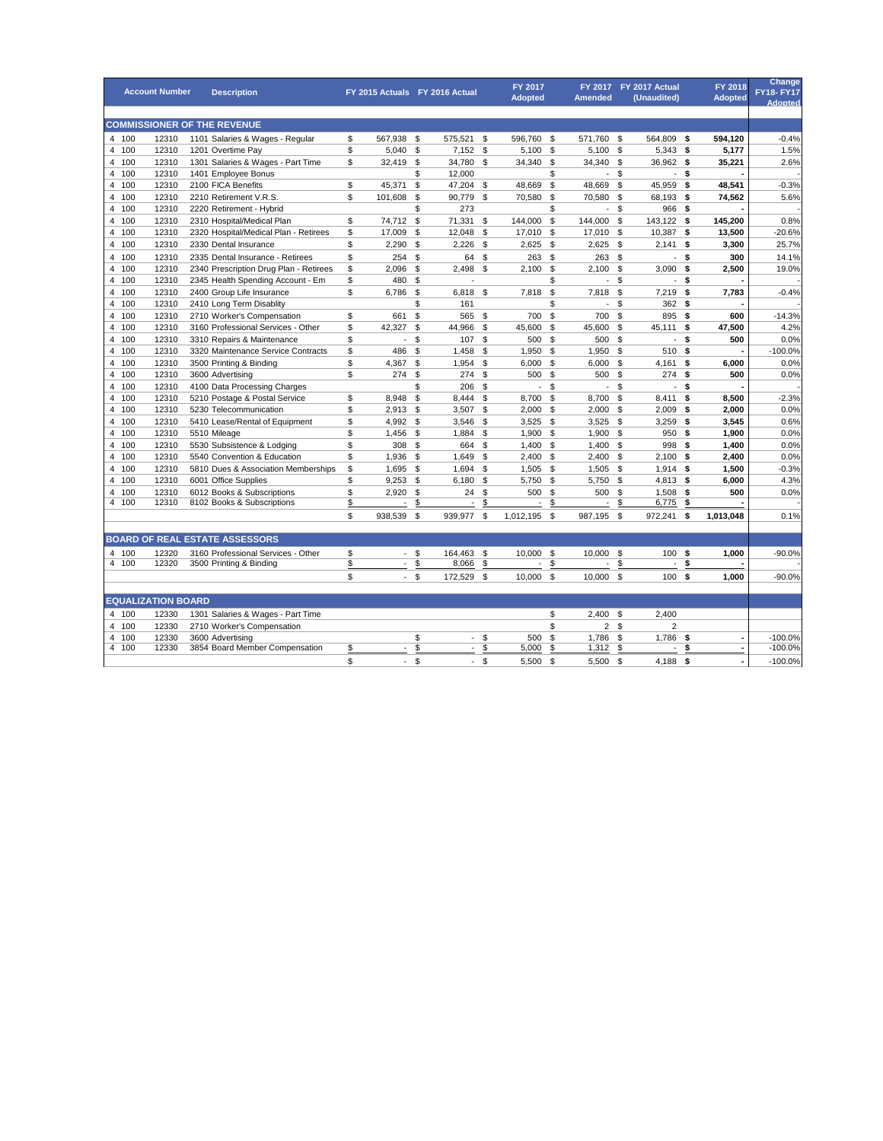|                           | <b>Account Number</b> | <b>Description</b>                     |                          | FY 2015 Actuals FY 2016 Actual |                          |                          | FY 2017<br><b>Adopted</b>      |          | <b>Amended</b>           |          | FY 2017 FY 2017 Actual<br>(Unaudited) |      | FY 2018<br><b>Adopted</b> | Change<br>FY18-FY17<br><b>Adopted</b> |
|---------------------------|-----------------------|----------------------------------------|--------------------------|--------------------------------|--------------------------|--------------------------|--------------------------------|----------|--------------------------|----------|---------------------------------------|------|---------------------------|---------------------------------------|
|                           |                       |                                        |                          |                                |                          |                          |                                |          |                          |          |                                       |      |                           |                                       |
|                           |                       | <b>COMMISSIONER OF THE REVENUE</b>     |                          |                                |                          |                          |                                |          |                          |          |                                       |      |                           |                                       |
| 4 100                     | 12310                 | 1101 Salaries & Wages - Regular        | \$                       | 567,938                        | - \$                     | 575,521 \$               | 596,760 \$                     |          | 571,760 \$               |          | 564,809 \$                            |      | 594,120                   | $-0.4%$                               |
| 4 100                     | 12310                 | 1201 Overtime Pay                      | \$                       | 5,040                          | - \$                     | $7,152$ \$               | 5,100                          | \$       | 5,100                    | \$       | $5,343$ \$                            |      | 5,177                     | 1.5%                                  |
| 4 100                     | 12310                 | 1301 Salaries & Wages - Part Time      | \$                       | 32,419                         | \$                       | 34,780                   | \$<br>34,340                   | \$       | 34,340                   | - \$     | 36,962 \$                             |      | 35,221                    | 2.6%                                  |
| 4 100                     | 12310                 | 1401 Employee Bonus                    |                          |                                | \$                       | 12,000                   |                                | \$       | ä,                       | <b>S</b> |                                       | - \$ |                           |                                       |
| 4 100                     | 12310                 | 2100 FICA Benefits                     | \$                       | 45,371                         | $\mathsf{\$}$            | 47,204 \$                | 48,669                         | \$       | 48,669                   | \$       | 45,959                                | \$   | 48,541                    | $-0.3%$                               |
| 4 100                     | 12310                 | 2210 Retirement V.R.S.                 | \$                       | 101,608                        | \$                       | 90,779 \$                | 70,580                         | \$       | 70,580                   | \$       | 68,193 \$                             |      | 74,562                    | 5.6%                                  |
| 4 100                     | 12310                 | 2220 Retirement - Hybrid               |                          |                                | \$                       | 273                      |                                | \$       | ä,                       | \$       | 966 \$                                |      |                           |                                       |
| 4 100                     | 12310                 | 2310 Hospital/Medical Plan             | \$                       | 74,712                         | \$                       | 71,331                   | \$<br>144,000                  | \$       | 144,000                  | \$       | 143,122 \$                            |      | 145,200                   | 0.8%                                  |
| 4 100                     | 12310                 | 2320 Hospital/Medical Plan - Retirees  | \$                       | 17,009                         | \$                       | 12,048                   | \$<br>17,010                   | \$       | 17,010                   | \$       | 10,387 \$                             |      | 13,500                    | $-20.6%$                              |
| 4 100                     | 12310                 | 2330 Dental Insurance                  | \$                       | $2,290$ \$                     |                          | 2,226                    | \$<br>2,625                    | \$       | 2,625                    | \$       | 2,141                                 | \$   | 3,300                     | 25.7%                                 |
| 4 100                     | 12310                 | 2335 Dental Insurance - Retirees       | \$                       | 254                            | \$                       | 64                       | \$<br>263                      | \$       | 263                      | \$       |                                       | $-5$ | 300                       | 14.1%                                 |
| 4 100                     | 12310                 | 2340 Prescription Drug Plan - Retirees | \$                       | 2,096                          | \$                       | 2,498                    | \$<br>2,100                    | \$       | 2,100                    | \$       | 3,090                                 | \$   | 2,500                     | 19.0%                                 |
| 4 100                     | 12310                 | 2345 Health Spending Account - Em      | \$                       | 480                            | \$                       |                          |                                | \$       | ä,                       | \$       | ÷.                                    | \$   |                           |                                       |
| 4 100                     | 12310                 | 2400 Group Life Insurance              | \$                       | 6,786                          | \$                       | 6,818 \$                 | 7,818                          | \$       | 7,818                    | \$       | 7,219 \$                              |      | 7,783                     | $-0.4%$                               |
| 4 100                     | 12310                 | 2410 Long Term Disablity               |                          |                                | \$                       | 161                      |                                | \$       | $\blacksquare$           | \$       | 362                                   | \$   |                           |                                       |
| 4 100                     | 12310                 | 2710 Worker's Compensation             | \$                       | 661                            | \$                       | 565                      | \$<br>700                      | \$       | 700                      | \$       | 895 \$                                |      | 600                       | $-14.3%$                              |
| 4 100                     | 12310                 | 3160 Professional Services - Other     | \$                       | 42,327                         | \$                       | 44,966                   | \$<br>45,600                   | \$       | 45,600                   | \$       | 45,111                                | \$   | 47,500                    | 4.2%                                  |
| 4 100                     | 12310                 | 3310 Repairs & Maintenance             | \$                       | $\sim$                         | \$                       | 107                      | \$<br>500                      | \$       | 500                      | \$       |                                       | $-5$ | 500                       | 0.0%                                  |
| 4 100                     | 12310                 | 3320 Maintenance Service Contracts     | \$                       | 486                            | \$                       | 1,458                    | \$<br>1,950                    | \$       | 1,950                    | \$       | 510                                   | \$   |                           | $-100.0%$                             |
| 4 100                     | 12310                 | 3500 Printing & Binding                | \$                       | 4,367                          | \$                       | 1,954                    | \$<br>6,000                    | \$       | 6,000                    | \$       | $4,161$ \$                            |      | 6,000                     | 0.0%                                  |
| 4 100                     | 12310                 | 3600 Advertising                       | \$                       | 274                            | \$                       | 274                      | \$<br>500                      | \$       | 500                      | \$       | 274S                                  |      | 500                       | 0.0%                                  |
| 4 100                     | 12310                 | 4100 Data Processing Charges           |                          |                                | \$                       | 206 \$                   | $\sim$                         | \$       | $\overline{\phantom{a}}$ | \$       |                                       | $-5$ |                           |                                       |
| 4 100                     | 12310                 | 5210 Postage & Postal Service          | \$                       | 8,948                          | \$                       | 8,444                    | \$<br>8,700                    | \$       | 8,700                    | \$       | 8,411                                 | \$   | 8,500                     | $-2.3%$                               |
| 4 100                     | 12310                 | 5230 Telecommunication                 | \$                       | $2,913$ \$                     |                          | $3,507$ \$               | 2,000                          | \$       | 2,000                    | -\$      | $2,009$ \$                            |      | 2,000                     | 0.0%                                  |
| 4 100                     | 12310                 | 5410 Lease/Rental of Equipment         | \$                       | 4,992                          | - \$                     | 3,546                    | \$<br>3,525                    | \$       | 3,525                    | -\$      | $3,259$ \$                            |      | 3,545                     | 0.6%                                  |
| 4 100                     | 12310                 | 5510 Mileage                           | \$                       | 1,456                          | \$                       | 1,884 \$                 | 1,900                          | \$       | 1,900                    | \$       | 950 \$                                |      | 1,900                     | 0.0%                                  |
| 4 100                     | 12310                 | 5530 Subsistence & Lodging             | \$                       | 308                            | $\mathbf s$              | 664                      | \$<br>$1,400$ \$               |          | 1,400                    | -S       | 998 \$                                |      | 1,400                     | 0.0%                                  |
| 4 100                     | 12310                 | 5540 Convention & Education            | \$                       | 1,936                          | \$                       | 1,649                    | \$<br>2,400                    | \$       | 2,400                    | \$       | $2,100$ \$                            |      | 2,400                     | 0.0%                                  |
| 4 100                     | 12310                 | 5810 Dues & Association Memberships    | \$                       | 1,695                          | $\mathbf s$              | 1,694                    | \$<br>$1,505$ \$               |          | 1,505                    | - \$     | $1,914$ \$                            |      | 1,500                     | $-0.3%$                               |
| 4 100                     | 12310                 | 6001 Office Supplies                   | \$                       | 9,253                          | \$                       | 6,180                    | \$<br>5,750                    | - \$     | 5,750                    | \$       | $4,813$ \$                            |      | 6,000                     | 4.3%                                  |
| 4 100                     | 12310                 | 6012 Books & Subscriptions             | \$                       | 2,920                          | <b>S</b>                 | 24                       | \$<br>500                      | <b>S</b> | 500                      | -S       | $1,508$ \$                            |      | 500                       | 0.0%                                  |
| 4 100                     | 12310                 | 8102 Books & Subscriptions             | \$                       | $\sim$                         | \$                       | $\blacksquare$           | \$<br>$\overline{\phantom{a}}$ | \$       | $\blacksquare$           | \$       | 6,775                                 | \$   |                           |                                       |
|                           |                       |                                        | \$                       | 938,539                        | <b>S</b>                 | 939,977 \$               | 1,012,195 \$                   |          | 987,195 \$               |          | 972,241 \$                            |      | 1,013,048                 | 0.1%                                  |
|                           |                       |                                        |                          |                                |                          |                          |                                |          |                          |          |                                       |      |                           |                                       |
|                           |                       | <b>BOARD OF REAL ESTATE ASSESSORS</b>  |                          |                                |                          |                          |                                |          |                          |          |                                       |      |                           |                                       |
| 4 100                     | 12320                 | 3160 Professional Services - Other     | \$                       |                                | $-$ \$                   | 164,463 \$               | 10,000 \$                      |          | 10,000 \$                |          | 100S                                  |      | 1,000                     | $-90.0%$                              |
| 4 100                     | 12320                 | 3500 Printing & Binding                | $\overline{\mathcal{L}}$ | ÷.                             | $\overline{\mathcal{E}}$ | 8,066                    | \$                             | \$       |                          | \$       | $\blacksquare$                        | \$   |                           |                                       |
|                           |                       |                                        | \$                       | $\blacksquare$                 | \$                       | 172,529 \$               | 10,000                         | \$       | 10,000                   | \$       | 100S                                  |      | 1,000                     | $-90.0%$                              |
| <b>EQUALIZATION BOARD</b> |                       |                                        |                          |                                |                          |                          |                                |          |                          |          |                                       |      |                           |                                       |
| 4 100                     | 12330                 | 1301 Salaries & Wages - Part Time      |                          |                                |                          |                          |                                | S        | $2,400$ \$               |          | 2,400                                 |      |                           |                                       |
| 4 100                     | 12330                 | 2710 Worker's Compensation             |                          |                                |                          |                          |                                | \$       | $\overline{2}$           | \$       | $\overline{2}$                        |      |                           |                                       |
| 4 100                     | 12330                 | 3600 Advertising                       |                          |                                | \$                       | $\overline{\phantom{a}}$ | \$<br>500                      | \$       | 1,786                    | \$       | 1,786                                 | \$   |                           | $-100.0%$                             |
| 4 100                     | 12330                 | 3854 Board Member Compensation         | \$                       |                                | $\overline{\$}$          |                          | \$<br>5,000                    | \$       | 1,312                    | \$       | $\sim$                                | \$   |                           | $-100.0%$                             |
|                           |                       |                                        | \$                       | ÷.                             | \$                       | $\blacksquare$           | \$<br>5,500                    | \$       | 5,500                    | \$       | 4,188                                 | \$   |                           | $-100.0%$                             |
|                           |                       |                                        |                          |                                |                          |                          |                                |          |                          |          |                                       |      |                           |                                       |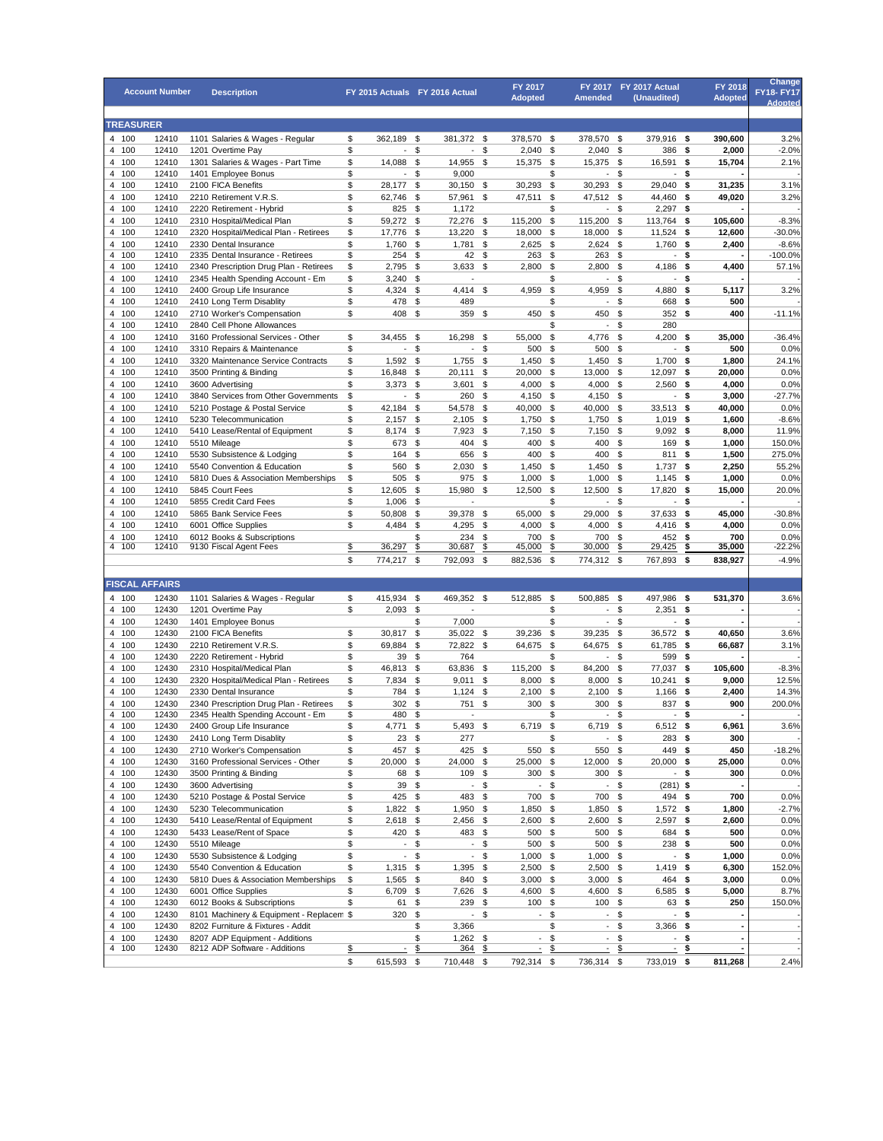|                                                                                                                                                                                                                                                                                                       | <b>Account Number</b> | <b>Description</b>                                                  | FY 2015 Actuals FY 2016 Actual   |                              |                                    | FY 2017<br><b>Adopted</b>        | <b>Amended</b>                 |                                | FY 2017 FY 2017 Actual<br>(Unaudited) | FY 2018<br><b>Adopted</b>        | Change<br><b>FY18-FY17</b><br>Adopted |
|-------------------------------------------------------------------------------------------------------------------------------------------------------------------------------------------------------------------------------------------------------------------------------------------------------|-----------------------|---------------------------------------------------------------------|----------------------------------|------------------------------|------------------------------------|----------------------------------|--------------------------------|--------------------------------|---------------------------------------|----------------------------------|---------------------------------------|
| <b>TREASURER</b>                                                                                                                                                                                                                                                                                      |                       |                                                                     |                                  |                              |                                    |                                  |                                |                                |                                       |                                  |                                       |
| 4 100                                                                                                                                                                                                                                                                                                 | 12410                 | 1101 Salaries & Wages - Regular                                     | \$<br>362,189 \$                 |                              | 381,372 \$                         | 378,570 \$                       | 378,570 \$                     |                                | 379,916 \$                            | 390,600                          | 3.2%                                  |
| 4 100                                                                                                                                                                                                                                                                                                 | 12410                 | 1201 Overtime Pay                                                   | \$                               | $-$ \$                       | \$<br>$\sim$                       | 2,040 \$                         | $2,040$ \$                     |                                | 386 \$                                | 2,000                            | $-2.0%$                               |
| 4 100                                                                                                                                                                                                                                                                                                 | 12410                 | 1301 Salaries & Wages - Part Time                                   | \$<br>14,088 \$                  | 14,955                       | \$                                 | 15,375 \$                        | 15,375 \$                      |                                | 16,591 \$                             | 15,704                           | 2.1%                                  |
| 4 100                                                                                                                                                                                                                                                                                                 | 12410                 | 1401 Employee Bonus                                                 | \$<br>$\sim$                     | -\$<br>9,000                 |                                    |                                  | \$                             | - \$                           | - \$                                  |                                  |                                       |
| 4 100                                                                                                                                                                                                                                                                                                 | 12410                 | 2100 FICA Benefits                                                  | \$<br>28,177 \$                  |                              | $30,150$ \$                        | 30,293 \$                        | 30,293 \$                      |                                | 29,040 \$                             | 31,235                           | 3.1%                                  |
| 4 100                                                                                                                                                                                                                                                                                                 | 12410                 | 2210 Retirement V.R.S.                                              | \$<br>62,746                     | \$<br>57,961                 | \$                                 | 47,511 \$                        | 47,512 \$                      |                                | 44,460                                | 49,020<br>- \$                   | 3.2%                                  |
| 4 100                                                                                                                                                                                                                                                                                                 | 12410                 | 2220 Retirement - Hybrid                                            | \$<br>825                        | -\$<br>1,172                 |                                    |                                  | \$                             | $\sim$<br>\$                   | $2,297$ \$                            |                                  |                                       |
| 4 100<br>4 100                                                                                                                                                                                                                                                                                        | 12410<br>12410        | 2310 Hospital/Medical Plan<br>2320 Hospital/Medical Plan - Retirees | \$<br>59,272<br>\$<br>17,776     | \$<br>72,276<br>\$<br>13,220 | \$<br>\$                           | 115,200<br>18,000 \$             | \$<br>115,200<br>18,000 \$     | \$                             | 113,764<br>11,524                     | -\$<br>105,600<br>12,600<br>- \$ | $-8.3%$<br>$-30.0%$                   |
| 4 100                                                                                                                                                                                                                                                                                                 | 12410                 | 2330 Dental Insurance                                               | \$<br>1,760                      | 1,781<br>-\$                 | \$                                 | 2,625                            | - \$<br>$2,624$ \$             |                                | $1,760$ \$                            | 2,400                            | $-8.6%$                               |
| 4 100                                                                                                                                                                                                                                                                                                 | 12410                 | 2335 Dental Insurance - Retirees                                    | \$<br>254                        | \$                           | 42<br>\$                           | 263                              | \$<br>263                      | -\$                            | $\blacksquare$                        | \$                               | $-100.0%$                             |
| 4 100                                                                                                                                                                                                                                                                                                 | 12410                 | 2340 Prescription Drug Plan - Retirees                              | \$<br>2,795                      | \$                           | $3,633$ \$                         | 2,800                            | \$<br>$2,800$ \$               |                                | 4,186                                 | 4,400<br>- \$                    | 57.1%                                 |
| 4 100                                                                                                                                                                                                                                                                                                 | 12410                 | 2345 Health Spending Account - Em                                   | \$<br>3,240                      | \$                           |                                    |                                  | \$                             | $\blacksquare$<br>\$           | - \$                                  |                                  |                                       |
| 4 100                                                                                                                                                                                                                                                                                                 | 12410                 | 2400 Group Life Insurance                                           | \$<br>4,324                      | \$<br>4,414                  | \$                                 | 4,959                            | \$<br>4,959                    | \$                             | 4,880                                 | \$<br>5,117                      | 3.2%                                  |
| 4 100                                                                                                                                                                                                                                                                                                 | 12410                 | 2410 Long Term Disablity                                            | \$<br>478                        | \$                           | 489                                |                                  | \$                             | \$<br>$\blacksquare$           | 668                                   | -\$<br>500                       |                                       |
| 4 100                                                                                                                                                                                                                                                                                                 | 12410                 | 2710 Worker's Compensation                                          | \$<br>408                        | \$                           | 359 \$                             | 450                              | \$<br>450                      | \$                             | 352                                   | -\$<br>400                       | $-11.1%$                              |
| 4 100                                                                                                                                                                                                                                                                                                 | 12410                 | 2840 Cell Phone Allowances                                          |                                  |                              |                                    |                                  | \$                             | \$<br>$\omega$                 | 280                                   |                                  |                                       |
| 4 100                                                                                                                                                                                                                                                                                                 | 12410                 | 3160 Professional Services - Other                                  | \$<br>34,455 \$                  |                              | 16,298 \$                          | 55,000<br>\$                     | 4,776 \$                       |                                | $4,200$ \$                            | 35,000                           | $-36.4%$                              |
| 4 100                                                                                                                                                                                                                                                                                                 | 12410                 | 3310 Repairs & Maintenance                                          | \$<br>$\blacksquare$             | \$                           | \$<br>$\blacksquare$               | 500<br>- \$                      |                                | 500 \$                         | ÷.                                    | \$<br>500                        | 0.0%                                  |
| 4 100<br>4 100                                                                                                                                                                                                                                                                                        | 12410<br>12410        | 3320 Maintenance Service Contracts                                  | \$<br>1,592<br>\$<br>16,848 \$   | -\$<br>1,755                 | \$<br>\$                           | 1,450<br>20,000 \$               | \$<br>1,450<br>13,000 \$       | -\$                            | 1,700<br>12,097 \$                    | 1,800<br>- \$<br>20,000          | 24.1%<br>0.0%                         |
| 4 100                                                                                                                                                                                                                                                                                                 | 12410                 | 3500 Printing & Binding<br>3600 Advertising                         | \$<br>$3,373$ \$                 | 20,111<br>3,601              | \$                                 | $4,000$ \$                       | $4,000$ \$                     |                                | $2,560$ \$                            | 4,000                            | 0.0%                                  |
| 4 100                                                                                                                                                                                                                                                                                                 | 12410                 | 3840 Services from Other Governments                                | \$<br>$\overline{\phantom{a}}$   | \$                           | \$<br>260                          | 4,150<br>- \$                    | $4,150$ \$                     |                                | ÷.                                    | \$<br>3,000                      | $-27.7%$                              |
| 4 100                                                                                                                                                                                                                                                                                                 | 12410                 | 5210 Postage & Postal Service                                       | 42,184 \$<br>\$                  | 54,578                       | \$                                 | 40,000<br>- \$                   | 40,000 \$                      |                                | 33,513 \$                             | 40,000                           | 0.0%                                  |
| 4 100                                                                                                                                                                                                                                                                                                 | 12410                 | 5230 Telecommunication                                              | \$<br>2,157                      | \$                           | $2,105$ \$                         | 1,750 \$                         | 1,750 \$                       |                                | $1,019$ \$                            | 1,600                            | $-8.6%$                               |
| 4 100                                                                                                                                                                                                                                                                                                 | 12410                 | 5410 Lease/Rental of Equipment                                      | \$<br>8,174                      | -\$                          | 7,923 \$                           | $7,150$ \$                       | $7,150$ \$                     |                                | $9,092$ \$                            | 8,000                            | 11.9%                                 |
| 4 100                                                                                                                                                                                                                                                                                                 | 12410                 | 5510 Mileage                                                        | \$<br>673                        | -\$                          | \$<br>404                          | 400 \$                           |                                | 400 \$                         | 169 \$                                | 1,000                            | 150.0%                                |
| 4 100                                                                                                                                                                                                                                                                                                 | 12410                 | 5530 Subsistence & Lodging                                          | \$<br>164                        | \$                           | \$<br>656                          | 400                              | -\$<br>400                     | -\$                            | 811                                   | 1,500<br>- \$                    | 275.0%                                |
| 4 100                                                                                                                                                                                                                                                                                                 | 12410                 | 5540 Convention & Education                                         | \$<br>560                        | \$                           | $2,030$ \$                         | $1,450$ \$                       | $1,450$ \$                     |                                | $1,737$ \$                            | 2,250                            | 55.2%                                 |
| 4 100                                                                                                                                                                                                                                                                                                 | 12410                 | 5810 Dues & Association Memberships                                 | \$<br>505                        | \$                           | 975<br>\$                          | 1,000                            | - \$<br>$1,000$ \$             |                                | $1,145$ \$                            | 1,000                            | 0.0%                                  |
| 4 100                                                                                                                                                                                                                                                                                                 | 12410                 | 5845 Court Fees                                                     | \$<br>12,605                     | \$<br>15,980                 | \$                                 | 12,500                           | \$<br>12,500                   | -\$                            | 17,820 \$                             | 15,000                           | 20.0%                                 |
| 4 100                                                                                                                                                                                                                                                                                                 | 12410                 | 5855 Credit Card Fees                                               | \$<br>1,006                      | \$                           | ÷                                  |                                  | \$                             | \$<br>$\blacksquare$           | - \$                                  |                                  |                                       |
| 4 100                                                                                                                                                                                                                                                                                                 | 12410                 | 5865 Bank Service Fees                                              | \$<br>50,808                     | \$<br>39,378                 | \$                                 | 65,000 \$                        | 29,000 \$                      |                                | 37,633 \$                             | 45,000                           | $-30.8%$                              |
| 4 100                                                                                                                                                                                                                                                                                                 | 12410                 | 6001 Office Supplies                                                | \$<br>4,484                      | \$<br>4,295                  | \$                                 | 4,000                            | \$<br>4,000                    | - \$                           | 4,416                                 | 4,000<br>- \$                    | 0.0%                                  |
| 4 100                                                                                                                                                                                                                                                                                                 | 12410                 | 6012 Books & Subscriptions                                          |                                  | \$                           | 234<br>\$<br>\$                    | 700<br>45,000                    | \$<br>700<br>30,000<br>S       | -\$<br>\$                      | 452<br>29,425                         | - \$<br>700<br>35,000<br>\$      | 0.0%                                  |
|                                                                                                                                                                                                                                                                                                       |                       |                                                                     |                                  |                              |                                    |                                  |                                |                                |                                       |                                  |                                       |
|                                                                                                                                                                                                                                                                                                       | 12410                 | 9130 Fiscal Agent Fees                                              | 36,297<br>\$                     | \$<br>30,687                 |                                    |                                  |                                |                                |                                       |                                  | $-22.2%$                              |
|                                                                                                                                                                                                                                                                                                       |                       |                                                                     | \$<br>774,217 \$                 | 792,093                      | \$                                 | - \$<br>882,536                  | 774,312 \$                     |                                | 767,893                               | - \$<br>838,927                  | $-4.9%$                               |
|                                                                                                                                                                                                                                                                                                       | <b>FISCAL AFFAIRS</b> |                                                                     |                                  |                              |                                    |                                  |                                |                                |                                       |                                  |                                       |
|                                                                                                                                                                                                                                                                                                       | 12430                 | 1101 Salaries & Wages - Regular                                     | \$<br>415,934 \$                 |                              | 469,352 \$                         | 512,885 \$                       | 500,885 \$                     |                                | 497,986 \$                            | 531,370                          | 3.6%                                  |
|                                                                                                                                                                                                                                                                                                       | 12430                 | 1201 Overtime Pay                                                   | \$<br>2,093                      | \$                           |                                    |                                  | \$                             | \$<br>$\overline{\phantom{a}}$ | 2,351                                 | \$                               |                                       |
|                                                                                                                                                                                                                                                                                                       | 12430                 | 1401 Employee Bonus                                                 |                                  | \$<br>7,000                  |                                    |                                  | \$                             | \$<br>$\blacksquare$           | - \$                                  |                                  |                                       |
|                                                                                                                                                                                                                                                                                                       | 12430                 | 2100 FICA Benefits                                                  | \$<br>30,817                     | \$<br>35,022                 | \$                                 | 39,236<br>- \$                   | 39,235 \$                      |                                | 36,572 \$                             | 40,650                           | 3.6%                                  |
|                                                                                                                                                                                                                                                                                                       | 12430                 | 2210 Retirement V.R.S.                                              | \$<br>69,884                     | \$<br>72,822                 | \$                                 | - \$<br>64,675                   | 64,675 \$                      |                                | 61,785 \$                             | 66,687                           | 3.1%                                  |
|                                                                                                                                                                                                                                                                                                       | 12430                 | 2220 Retirement - Hybrid                                            | \$<br>39                         | \$                           | 764                                |                                  | \$                             | - \$                           | 599 \$                                |                                  |                                       |
|                                                                                                                                                                                                                                                                                                       | 12430                 | 2310 Hospital/Medical Plan                                          | \$<br>46,813                     | \$<br>63,836                 | \$                                 | 115,200                          | \$<br>84,200 \$                |                                | 77,037                                | -\$<br>105,600                   | $-8.3%$                               |
|                                                                                                                                                                                                                                                                                                       | 12430                 | 2320 Hospital/Medical Plan - Retirees                               | 7,834<br>\$                      | \$<br>9,011                  | \$                                 | 8,000                            | \$<br>8,000                    | \$                             | $10,241$ \$                           | 9,000                            | 12.5%                                 |
|                                                                                                                                                                                                                                                                                                       | 12430<br>12430        | 2330 Dental Insurance<br>2340 Prescription Drug Plan - Retirees     | \$<br>784<br>\$<br>302           | \$<br>\$                     | \$<br>1,124<br>751<br>\$           | - \$<br>2,100<br>300             | $2,100$ \$<br>\$               | 300S                           | $1,166$ \$<br>837                     | 2,400<br>-\$<br>900              | 14.3%<br>200.0%                       |
| 100                                                                                                                                                                                                                                                                                                   | 12430                 | 2345 Health Spending Account - Em                                   | \$<br>480                        | \$                           |                                    |                                  | \$<br>÷.                       | \$                             | ÷.                                    | \$<br>$\overline{\phantom{a}}$   |                                       |
|                                                                                                                                                                                                                                                                                                       | 12430                 | 2400 Group Life Insurance                                           | 4,771 \$<br>P                    |                              | 5,493 \$                           | 6,719 \$                         | 6,719 \$                       |                                | 6,512 \$                              | 6,961                            | 3.6%                                  |
|                                                                                                                                                                                                                                                                                                       | 12430                 | 2410 Long Term Disablity                                            | \$<br>$23 \quad $$               |                              | 277                                |                                  | \$                             | \$<br>$\sim$                   | 283 \$                                | 300                              |                                       |
|                                                                                                                                                                                                                                                                                                       | 12430                 | 2710 Worker's Compensation                                          | \$<br>457 \$                     |                              | 425 \$                             | 550 \$                           |                                | 550 \$                         | 449 \$                                | 450                              | $-18.2%$                              |
|                                                                                                                                                                                                                                                                                                       | 12430                 | 3160 Professional Services - Other                                  | \$<br>20,000 \$                  |                              | 24,000 \$                          | 25,000 \$                        | 12,000 \$                      |                                | 20,000 \$                             | 25,000                           | 0.0%                                  |
|                                                                                                                                                                                                                                                                                                       | 12430                 | 3500 Printing & Binding                                             | \$<br>68 \$                      |                              | 109 \$                             | 300 \$                           |                                | 300 \$                         | - \$                                  | 300                              | 0.0%                                  |
|                                                                                                                                                                                                                                                                                                       | 12430                 | 3600 Advertising                                                    | \$<br>39                         | \$                           | \$<br>$\blacksquare$               | - \$                             |                                | - \$                           | $(281)$ \$                            |                                  |                                       |
|                                                                                                                                                                                                                                                                                                       | 12430                 | 5210 Postage & Postal Service                                       | \$<br>425                        | - \$                         | 483 \$                             | 700 \$                           |                                | 700 \$                         | 494 \$                                | 700                              | 0.0%                                  |
|                                                                                                                                                                                                                                                                                                       | 12430                 | 5230 Telecommunication                                              | \$<br>1,822 \$                   | 1,950                        | \$                                 | 1,850 \$                         | 1,850 \$                       |                                | $1,572$ \$                            | 1,800                            | $-2.7%$                               |
|                                                                                                                                                                                                                                                                                                       | 12430                 | 5410 Lease/Rental of Equipment                                      | \$<br>2,618 \$                   |                              | 2,456 \$                           | $2,600$ \$                       | $2,600$ \$                     |                                | $2,597$ \$                            | 2,600                            | 0.0%                                  |
|                                                                                                                                                                                                                                                                                                       | 12430                 | 5433 Lease/Rent of Space                                            | \$<br>420 \$                     |                              | 483 \$                             | 500 \$                           |                                | 500 \$                         | 684 \$                                | 500                              | 0.0%                                  |
|                                                                                                                                                                                                                                                                                                       | 12430                 | 5510 Mileage                                                        | \$                               | $-$ \$                       | $-$ \$                             | 500 \$                           |                                | 500 \$                         | 238 \$                                | 500                              | 0.0%                                  |
|                                                                                                                                                                                                                                                                                                       | 12430                 | 5530 Subsistence & Lodging                                          | \$                               | $-$ \$                       | $-$ \$                             | $1,000$ \$                       | $1,000$ \$                     |                                | - \$                                  | 1,000                            | 0.0%                                  |
|                                                                                                                                                                                                                                                                                                       | 12430                 | 5540 Convention & Education                                         | \$<br>$1,315$ \$                 |                              | 1,395 \$                           | 2,500 \$                         | $2,500$ \$                     |                                | 1,419 \$                              | 6,300                            | 152.0%                                |
|                                                                                                                                                                                                                                                                                                       | 12430<br>12430        | 5810 Dues & Association Memberships<br>6001 Office Supplies         | \$<br>1,565 \$<br>\$<br>6,709 \$ |                              | 840 \$                             | $3,000$ \$                       | $3,000$ \$                     |                                | 464 \$                                | 3,000                            | 0.0%<br>8.7%                          |
|                                                                                                                                                                                                                                                                                                       | 12430                 | 6012 Books & Subscriptions                                          | 61 \$<br>\$                      |                              | 7,626 \$<br>239 \$                 | 4,600 \$<br>100 \$               | 4,600 \$                       | 100 \$                         | $6,585$ \$<br>63 \$                   | 5,000<br>250                     | 150.0%                                |
|                                                                                                                                                                                                                                                                                                       | 12430                 | 8101 Machinery & Equipment - Replacem \$                            | 320                              | - \$                         | \$<br>$\blacksquare$               | - \$                             |                                | $-$ \$                         | - \$                                  |                                  |                                       |
|                                                                                                                                                                                                                                                                                                       | 12430                 | 8202 Furniture & Fixtures - Addit                                   |                                  | \$<br>3,366                  |                                    |                                  | \$                             | \$<br>$\blacksquare$           | $3,366$ \$                            |                                  |                                       |
| 4 100<br>4 100<br>4 100<br>4 100<br>4 100<br>4 100<br>4 100<br>4 100<br>4 100<br>4 100<br>4 100<br>$\overline{4}$<br>4 100<br>4 100<br>4 100<br>4 100<br>4 100<br>4 100<br>4 100<br>4 100<br>4 100<br>4 100<br>4 100<br>4 100<br>4 100<br>4 100<br>4 100<br>4 100<br>4 100<br>4 100<br>4 100<br>4 100 | 12430<br>12430        | 8207 ADP Equipment - Additions<br>8212 ADP Software - Additions     | $$\mathbb{S}$$<br>$\blacksquare$ | \$<br>$\frac{1}{2}$          | $1,262$ \$<br>364<br>$\frac{3}{2}$ | - \$<br>$\overline{\phantom{a}}$ | $\overline{\phantom{a}}$<br>\$ | \$<br>$\blacksquare$<br>\$     | - \$<br>$\overline{\phantom{a}}$      | $\overline{\phantom{a}}$<br>\$   |                                       |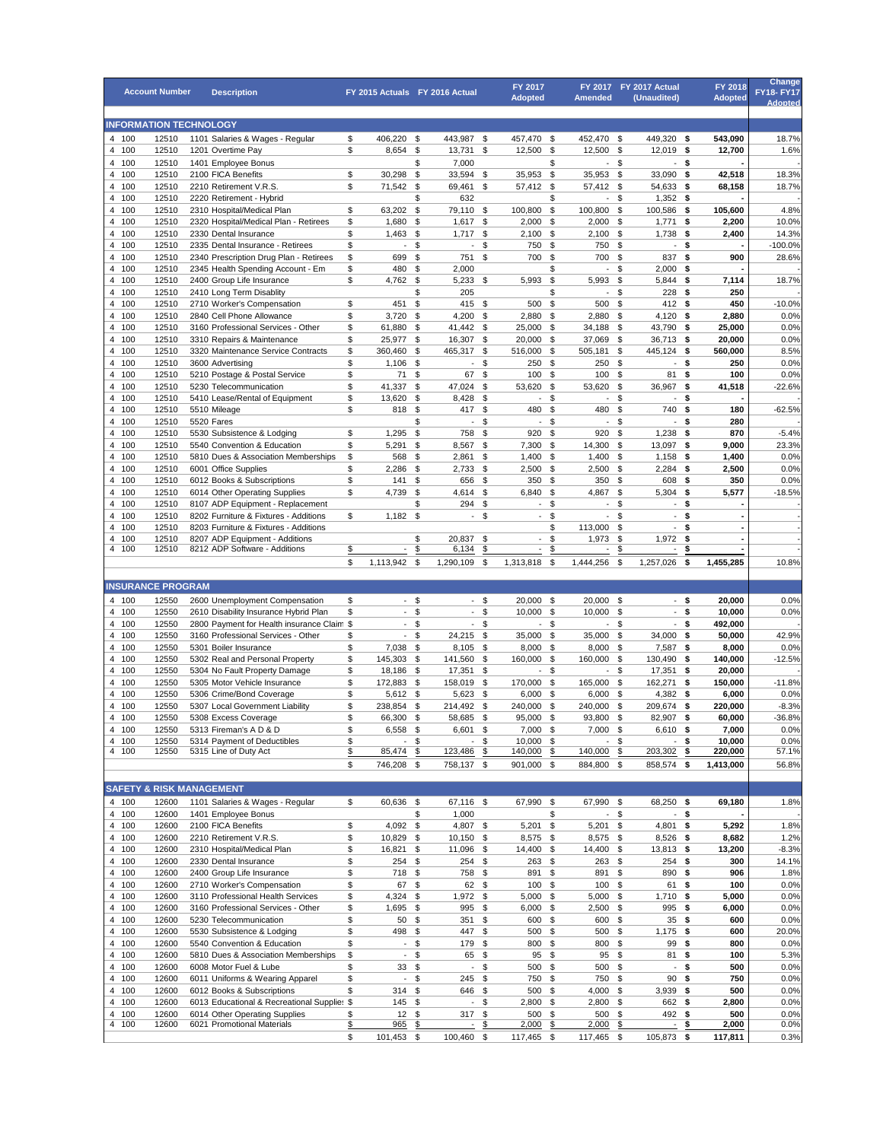|                | <b>Account Number</b>    | <b>Description</b>                                                      | FY 2015 Actuals FY 2016 Actual            |                                                         | FY 2017<br><b>Adopted</b>       | FY 2017<br><b>Amended</b>         | FY 2017 Actual<br>(Unaudited)                | FY 2018<br><b>Adopted</b> | Change<br><b>FY18-FY17</b><br>Adopted |
|----------------|--------------------------|-------------------------------------------------------------------------|-------------------------------------------|---------------------------------------------------------|---------------------------------|-----------------------------------|----------------------------------------------|---------------------------|---------------------------------------|
|                |                          | <b>INFORMATION TECHNOLOGY</b>                                           |                                           |                                                         |                                 |                                   |                                              |                           |                                       |
| 4 100          | 12510                    | 1101 Salaries & Wages - Regular                                         | 406,220 \$<br>\$                          | 443,987 \$                                              | 457,470 \$                      | 452,470                           | \$<br>449,320 \$                             | 543,090                   | 18.7%                                 |
| 4 100          | 12510                    | 1201 Overtime Pay                                                       | \$<br>8,654 \$                            | 13,731 \$                                               | 12,500                          | \$<br>12,500 \$                   | 12.019 \$                                    | 12,700                    | 1.6%                                  |
| 4 100          | 12510                    | 1401 Employee Bonus                                                     |                                           | \$<br>7,000                                             |                                 | \$<br>÷.                          | \$<br>$\sim$                                 | \$                        |                                       |
| 4 100          | 12510                    | 2100 FICA Benefits                                                      | \$<br>30,298                              | \$<br>33,594                                            | -\$<br>35,953                   | \$<br>35,953                      | 33,090 \$<br>\$                              | 42,518                    | 18.3%                                 |
| 4 100          | 12510                    | 2210 Retirement V.R.S.                                                  | \$<br>71,542                              | \$<br>69,461                                            | \$<br>57,412                    | \$<br>57,412                      | - \$<br>54,633 \$                            | 68,158                    | 18.7%                                 |
| 4 100          | 12510                    | 2220 Retirement - Hybrid                                                |                                           | \$<br>632                                               |                                 | \$<br>$\sim$                      | \$<br>$1,352$ \$                             |                           |                                       |
| 4 100          | 12510                    | 2310 Hospital/Medical Plan                                              | \$<br>63,202 \$                           | 79,110 \$                                               | 100,800                         | \$<br>100,800                     | \$<br>100,586 \$                             | 105,600                   | 4.8%                                  |
| 4 100          | 12510                    | 2320 Hospital/Medical Plan - Retirees                                   | \$<br>1,680                               | \$<br>1,617                                             | \$<br>2,000                     | \$<br>2,000                       | \$<br>1,771                                  | \$<br>2,200               | 10.0%                                 |
| 4 100<br>4 100 | 12510<br>12510           | 2330 Dental Insurance<br>2335 Dental Insurance - Retirees               | \$<br>$1,463$ \$<br>\$<br>$\blacksquare$  | $1,717$ \$<br>\$<br>$\overline{\phantom{a}}$            | 2,100<br>\$<br>750              | \$<br>2,100<br>\$<br>750          | \$<br>$1,738$ \$<br>\$<br>$\omega$           | 2,400<br>\$               | 14.3%<br>$-100.0%$                    |
| 4 100          | 12510                    | 2340 Prescription Drug Plan - Retirees                                  | \$<br>699                                 | \$<br>751                                               | \$<br>700                       | \$<br>700                         | \$<br>837                                    | 900<br>\$                 | 28.6%                                 |
| 4 100          | 12510                    | 2345 Health Spending Account - Em                                       | \$<br>480                                 | \$<br>2,000                                             |                                 | \$<br>$\blacksquare$              | \$<br>2,000                                  | \$                        |                                       |
| 4 100          | 12510                    | 2400 Group Life Insurance                                               | \$<br>4,762                               | \$<br>5,233                                             | $\mathfrak s$<br>5,993          | \$<br>5,993                       | \$<br>5,844                                  | 7,114<br>\$               | 18.7%                                 |
| 4 100          | 12510                    | 2410 Long Term Disablity                                                |                                           | \$<br>205                                               |                                 | \$<br>$\overline{\phantom{a}}$    | 228 \$<br>\$                                 | 250                       |                                       |
| 4 100          | 12510                    | 2710 Worker's Compensation                                              | \$<br>451                                 | \$<br>415 \$                                            | 500                             | \$<br>500                         | \$<br>412 \$                                 | 450                       | $-10.0%$                              |
| 4 100          | 12510                    | 2840 Cell Phone Allowance                                               | 3,720<br>\$                               | 4,200<br>\$                                             | 2,880<br>-\$                    | \$<br>2,880                       | \$<br>$4,120$ \$                             | 2,880                     | 0.0%                                  |
| 4 100          | 12510                    | 3160 Professional Services - Other                                      | \$<br>61,880                              | - \$<br>41,442                                          | - \$<br>25,000                  | \$<br>34,188                      | 43,790<br>\$                                 | 25,000<br>- \$            | 0.0%                                  |
| 4 100          | 12510                    | 3310 Repairs & Maintenance                                              | \$<br>25,977 \$                           | 16,307 \$                                               | 20,000                          | \$<br>37,069                      | \$<br>36,713 \$                              | 20,000                    | 0.0%                                  |
| 4 100          | 12510                    | 3320 Maintenance Service Contracts                                      | \$<br>360,460                             | \$<br>465,317                                           | \$<br>516,000                   | \$<br>505,181                     | \$<br>445,124                                | \$<br>560,000             | 8.5%                                  |
| 4 100          | 12510                    | 3600 Advertising                                                        | \$<br>1,106                               | - \$                                                    | \$<br>250                       | \$<br>250                         | \$<br>$\sim$                                 | \$<br>250                 | 0.0%                                  |
| 4 100<br>4 100 | 12510<br>12510           | 5210 Postage & Postal Service<br>5230 Telecommunication                 | \$<br>71<br>\$<br>41,337                  | \$<br>67<br>-\$<br>47,024                               | \$<br>100<br>\$<br>53,620       | \$<br>100<br>\$<br>53,620         | \$<br>81<br>\$<br>36,967                     | \$<br>100<br>41,518<br>\$ | 0.0%<br>$-22.6%$                      |
| 4 100          | 12510                    | 5410 Lease/Rental of Equipment                                          | \$<br>13,620                              | -\$<br>8,428                                            | - \$<br>$\sim$                  | \$<br>$\sim$                      | \$<br>$\sim$                                 | \$                        |                                       |
| 4 100          | 12510                    | 5510 Mileage                                                            | \$<br>818                                 | \$<br>417 \$                                            | 480                             | \$<br>480                         | \$<br>740                                    | 180<br>\$                 | $-62.5%$                              |
| 4 100          | 12510                    | 5520 Fares                                                              |                                           | \$<br>ä,                                                | \$<br>÷.                        | \$<br>ä,                          | \$<br>$\omega$                               | \$<br>280                 |                                       |
| 4 100          | 12510                    | 5530 Subsistence & Lodging                                              | \$<br>1,295                               | \$<br>758                                               | \$<br>920                       | \$<br>920                         | \$<br>$1,238$ \$                             | 870                       | $-5.4%$                               |
| 4 100          | 12510                    | 5540 Convention & Education                                             | \$<br>5,291                               | \$<br>8,567                                             | \$<br>7,300                     | \$<br>14,300                      | \$<br>13,097                                 | 9,000<br>\$               | 23.3%                                 |
| 4 100          | 12510                    | 5810 Dues & Association Memberships                                     | \$<br>568                                 | \$<br>2,861                                             | \$<br>1,400                     | \$<br>1,400                       | \$<br>1,158                                  | 1,400<br>\$               | 0.0%                                  |
| 4 100          | 12510                    | 6001 Office Supplies                                                    | \$<br>2,286                               | -\$<br>2,733                                            | -\$<br>2,500                    | \$<br>2,500                       | \$<br>$2,284$ \$                             | 2,500                     | 0.0%                                  |
| 4 100          | 12510                    | 6012 Books & Subscriptions                                              | \$<br>141                                 | \$<br>656                                               | -\$<br>350                      | \$<br>350                         | \$<br>608 \$                                 | 350                       | 0.0%                                  |
| 4 100          | 12510                    | 6014 Other Operating Supplies                                           | \$<br>4,739                               | \$<br>4,614 \$                                          | 6,840                           | \$<br>4,867                       | \$<br>$5,304$ \$                             | 5,577                     | $-18.5%$                              |
| 4 100          | 12510                    | 8107 ADP Equipment - Replacement                                        |                                           | \$<br>294                                               | - \$<br>\$                      | ÷.                                | $-$ \$<br>\$                                 |                           |                                       |
| 4 100          | 12510                    | 8202 Furniture & Fixtures - Additions                                   | \$<br>1,182                               | \$<br>$\overline{\phantom{a}}$                          | \$<br>$\blacksquare$            | \$<br>÷,                          | \$<br>$\sim$                                 | \$                        |                                       |
| 4 100<br>4 100 | 12510<br>12510           | 8203 Furniture & Fixtures - Additions<br>8207 ADP Equipment - Additions |                                           |                                                         | \$<br>$\overline{\phantom{a}}$  | \$<br>113,000<br>\$               | \$<br>$\omega$<br>\$<br>1,972                | \$<br>\$                  |                                       |
| 4 100          | 12510                    | 8212 ADP Software - Additions                                           | $\frac{1}{2}$<br>$\overline{\phantom{a}}$ | \$<br>20,837<br>\$<br>6,134                             | \$<br>$\frac{1}{2}$             | 1,973<br>\$                       | \$<br>$\overline{\phantom{a}}$               | \$                        |                                       |
|                |                          |                                                                         | \$<br>1,113,942                           | \$<br>1,290,109                                         | \$<br>1,313,818                 | \$<br>1,444,256                   | \$<br>1,257,026                              | 1,455,285<br>\$           | 10.8%                                 |
|                |                          |                                                                         |                                           |                                                         |                                 |                                   |                                              |                           |                                       |
|                | <b>INSURANCE PROGRAM</b> |                                                                         |                                           |                                                         |                                 |                                   |                                              |                           |                                       |
| 4 100          | 12550                    | 2600 Unemployment Compensation                                          | $-$ \$<br>\$                              | - \$                                                    | 20,000 \$                       | 20,000 \$                         | - \$                                         | 20,000                    | 0.0%                                  |
| 4 100          | 12550                    | 2610 Disability Insurance Hybrid Plan                                   | \$<br>$\omega$                            | \$<br>$\sim$                                            | \$<br>10,000 \$                 | 10,000                            | ¥.<br>\$                                     | \$<br>10,000              | 0.0%                                  |
| 4 100          | 12550                    | 2800 Payment for Health insurance Claim \$                              | $\blacksquare$                            | \$<br>$\overline{\phantom{a}}$                          | -\$<br>$\overline{\phantom{a}}$ | \$<br>$\sim$                      | \$<br>$\sim$                                 | \$<br>492,000             |                                       |
| 4 100          | 12550                    | 3160 Professional Services - Other                                      | \$<br>$\blacksquare$                      | \$<br>24,215                                            | 35,000<br>- \$                  | \$<br>35,000                      | \$<br>34,000 \$                              | 50,000                    | 42.9%                                 |
| 4 100          | 12550                    | 5301 Boiler Insurance                                                   | \$<br>7,038                               | \$<br>8,105                                             | \$<br>8,000                     | \$<br>8,000                       | \$<br>7,587                                  | 8,000<br>\$               | 0.0%                                  |
| 4 100          | 12550                    | 5302 Real and Personal Property                                         | \$<br>145,303                             | - \$<br>141,560                                         | \$<br>160,000                   | \$<br>160,000                     | \$<br>130,490                                | 140,000<br>\$             | $-12.5%$                              |
| 4 100          | 12550                    | 5304 No Fault Property Damage                                           | \$<br>18,186                              | \$<br>17,351                                            | \$<br>$\blacksquare$            | \$<br>$\overline{\phantom{a}}$    | \$<br>17,351                                 | 20,000<br>\$              |                                       |
| 4 100          | 12550                    | 5305 Motor Vehicle Insurance                                            | \$<br>172,883                             | - \$<br>158,019                                         | \$<br>170,000                   | \$<br>165,000                     | \$<br>162,271                                | \$<br>150,000             | $-11.8%$                              |
| 4 100<br>4 100 | 12550<br>12550           | 5306 Crime/Bond Coverage<br>5307 Local Government Liability             | \$<br>5,612 \$<br>\$<br>238,854           | 5,623<br>- \$<br>214,492                                | -\$<br>6,000<br>- \$<br>240,000 | \$<br>6,000<br>\$<br>240,000      | \$<br>$4,382$ \$<br>\$<br>209,674 \$         | 6,000<br>220,000          | 0.0%<br>$-8.3%$                       |
| 4 100          | 12550                    | 5308 Excess Coverage                                                    | \$<br>66,300 \$                           | 58,685 \$                                               | 95,000                          | -\$<br>93,800                     | \$<br>82,907                                 | 60,000<br>\$              | $-36.8%$                              |
| 4 100          | 12550                    | 5313 Fireman's A D & D                                                  | \$<br>6,558                               | - \$<br>6,601 \$                                        | 7,000 \$                        | 7,000 \$                          | 6,610 \$                                     | 7,000                     | 0.0%                                  |
| 4 100          | 12550                    | 5314 Payment of Deductibles                                             | \$                                        | \$                                                      | \$<br>10,000                    | \$                                | \$<br>$\sim$                                 | 10,000<br>\$              | 0.0%                                  |
| 4 100          | 12550                    | 5315 Line of Duty Act                                                   | $\frac{1}{2}$<br>85,474                   | $\overline{\$}$<br>123,486                              | \$<br>140,000                   | \$<br>140,000                     | \$<br>203,302                                | 220,000<br>\$             | 57.1%                                 |
|                |                          |                                                                         | \$<br>746,208 \$                          | 758,137 \$                                              | 901,000                         | \$<br>884,800                     | -S<br>858,574 \$                             | 1,413,000                 | 56.8%                                 |
|                |                          |                                                                         |                                           |                                                         |                                 |                                   |                                              |                           |                                       |
|                |                          | <b>SAFETY &amp; RISK MANAGEMENT</b>                                     |                                           |                                                         |                                 |                                   |                                              |                           |                                       |
| 4 100          | 12600                    | 1101 Salaries & Wages - Regular                                         | \$<br>60,636 \$                           | 67,116 \$                                               | 67,990 \$                       | 67,990 \$                         | 68,250 \$                                    | 69,180                    | 1.8%                                  |
| 4 100          | 12600                    | 1401 Employee Bonus                                                     |                                           | \$<br>1,000                                             |                                 | \$<br>$\mathcal{L}_{\mathcal{A}}$ | \$<br>- \$                                   |                           |                                       |
| 4 100          | 12600                    | 2100 FICA Benefits                                                      | \$<br>4,092 \$                            | 4,807 \$                                                | 5,201                           | \$<br>5,201                       | \$<br>$4,801$ \$                             | 5,292                     | 1.8%                                  |
| 4 100          | 12600                    | 2210 Retirement V.R.S.                                                  | \$<br>10,829 \$                           | 10,150 \$                                               | 8,575                           | \$<br>8,575 \$                    | 8,526 \$                                     | 8,682                     | 1.2%                                  |
| 4 100          | 12600                    | 2310 Hospital/Medical Plan                                              | \$<br>16,821 \$                           | 11,096 \$                                               | 14,400                          | \$<br>14,400 \$                   | 13,813 \$                                    | 13,200                    | $-8.3%$                               |
| 4 100          | 12600                    | 2330 Dental Insurance                                                   | \$<br>254 \$                              | 254 \$                                                  | 263                             | \$<br>263                         | \$<br>$254$ \$                               | 300                       | 14.1%                                 |
| 4 100          | 12600                    | 2400 Group Life Insurance                                               | \$<br>718 \$                              | 758 \$                                                  | 891                             | \$<br>891                         | \$<br>890 \$                                 | 906                       | 1.8%                                  |
| 4 100<br>4 100 | 12600<br>12600           | 2710 Worker's Compensation<br>3110 Professional Health Services         | \$<br>67 \$<br>\$<br>4,324 \$             | 62 \$<br>1,972 \$                                       | 100<br>5,000                    | \$<br>100<br>\$<br>$5,000$ \$     | \$<br>61 \$<br>$1,710$ \$                    | 100<br>5,000              | 0.0%<br>0.0%                          |
| 4 100          | 12600                    | 3160 Professional Services - Other                                      | \$<br>1,695 \$                            | 995 \$                                                  | 6,000                           | \$<br>$2,500$ \$                  | 995 \$                                       | 6,000                     | 0.0%                                  |
| 4 100          | 12600                    | 5230 Telecommunication                                                  | \$<br>50 \$                               | 351 \$                                                  | 600                             | \$<br>600                         | - \$<br>$35$ \$                              | 600                       | 0.0%                                  |
| 4 100          | 12600                    | 5530 Subsistence & Lodging                                              | \$<br>498                                 | \$<br>447 \$                                            | 500                             | \$<br>500                         | $1,175$ \$<br>\$                             | 600                       | 20.0%                                 |
| 4 100          | 12600                    | 5540 Convention & Education                                             | \$<br>$\blacksquare$                      | \$<br>179 \$                                            | 800                             | \$<br>800                         | \$<br>99\$                                   | 800                       | 0.0%                                  |
| 4 100          | 12600                    | 5810 Dues & Association Memberships                                     | \$<br>$\blacksquare$                      | \$<br>65 \$                                             | 95                              | \$<br>95                          | \$<br>81 \$                                  | 100                       | 5.3%                                  |
| 4 100          | 12600                    | 6008 Motor Fuel & Lube                                                  | \$<br>33                                  | - \$                                                    | \$<br>500                       | \$<br>500                         | \$<br>÷.                                     | \$<br>500                 | 0.0%                                  |
| 4 100          | 12600                    | 6011 Uniforms & Wearing Apparel                                         | \$<br>$\sim$                              | 245 \$<br>-\$                                           | 750                             | \$<br>750                         | \$<br>$90*$                                  | 750                       | 0.0%                                  |
| 4 100          | 12600                    | 6012 Books & Subscriptions                                              | \$<br>314                                 | \$<br>646 \$                                            | 500                             | \$<br>4,000                       | $3,939$ \$<br>\$                             | 500                       | 0.0%                                  |
| 4 100          | 12600                    | 6013 Educational & Recreational Supplies \$                             | 145 \$                                    | - \$                                                    | $2,800$ \$                      | 2,800 \$                          | 662 \$                                       | 2,800                     | 0.0%                                  |
| 4 100          |                          |                                                                         |                                           |                                                         |                                 |                                   |                                              |                           |                                       |
|                | 12600                    | 6014 Other Operating Supplies                                           | \$<br>12                                  | 317<br>-\$                                              | -\$<br>500                      | \$<br>500                         | 492 \$<br>\$                                 | 500                       | 0.0%                                  |
| 4 100          | 12600                    | 6021 Promotional Materials                                              | $\frac{1}{2}$<br>965<br>\$<br>101,453 \$  | $\frac{1}{2}$<br>$\overline{\phantom{a}}$<br>100,460 \$ | 2,000<br>\$<br>117,465 \$       | 2,000<br>\$<br>117,465 \$         | \$<br>$\overline{\phantom{a}}$<br>105,873 \$ | 2,000<br>\$<br>117,811    | 0.0%<br>0.3%                          |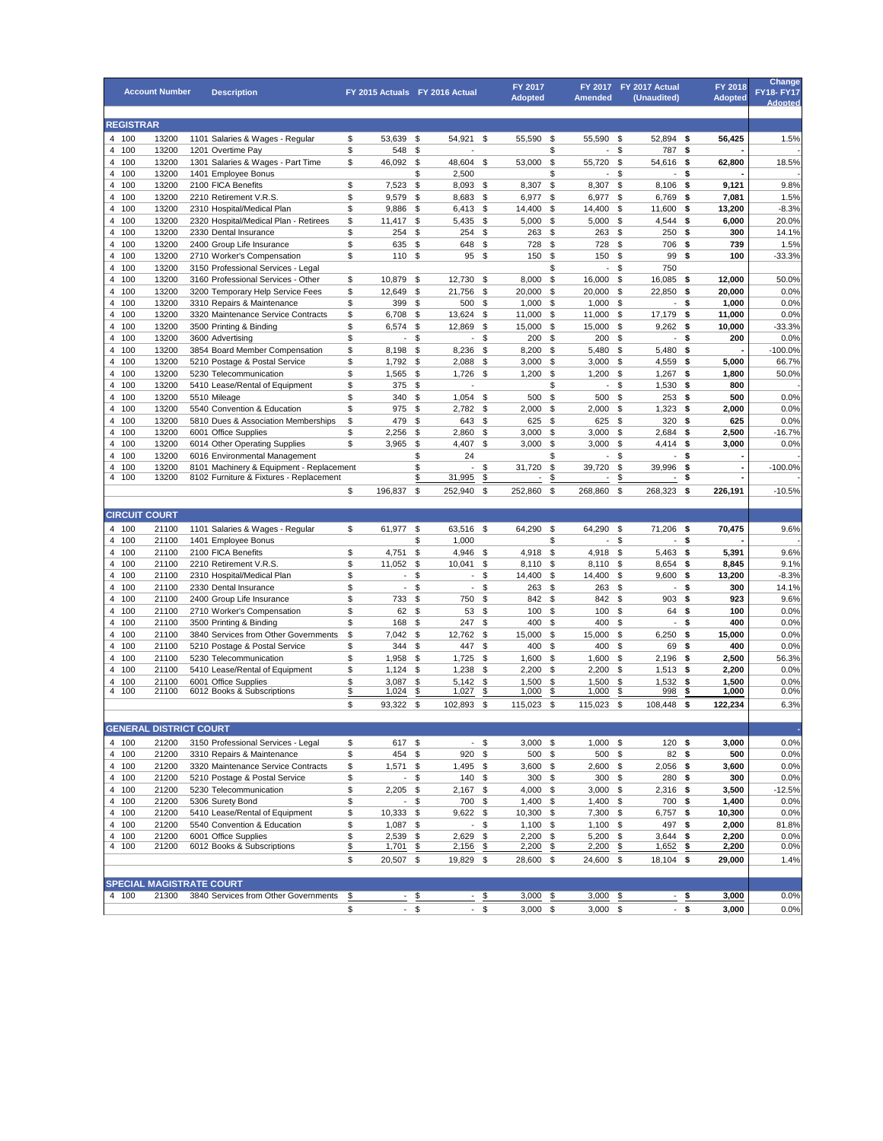|                           | <b>Account Number</b>         | <b>Description</b>                                                                  |                               |                             | FY 2015 Actuals FY 2016 Actual                 |                  | FY 2017<br><b>Adopted</b> | <b>Amended</b>                                 | FY 2017 FY 2017 Actual<br>(Unaudited) | <b>FY 2018</b><br><b>Adopted</b>     | Change<br><b>FY18-FY17</b><br><b>Adopted</b>          |
|---------------------------|-------------------------------|-------------------------------------------------------------------------------------|-------------------------------|-----------------------------|------------------------------------------------|------------------|---------------------------|------------------------------------------------|---------------------------------------|--------------------------------------|-------------------------------------------------------|
|                           |                               |                                                                                     |                               |                             |                                                |                  |                           |                                                |                                       |                                      |                                                       |
| <b>REGISTRAR</b><br>4 100 | 13200                         | 1101 Salaries & Wages - Regular                                                     | \$                            | 53,639 \$                   | 54,921 \$                                      |                  | 55,590 \$                 | 55,590 \$                                      | 52,894 \$                             | 56,425                               | 1.5%                                                  |
| 4 100                     | 13200                         | 1201 Overtime Pay                                                                   | \$                            | 548                         | \$                                             |                  |                           | \$<br>$\blacksquare$                           | \$<br>787 \$                          |                                      |                                                       |
| 4 100                     | 13200                         | 1301 Salaries & Wages - Part Time                                                   | \$                            | 46,092 \$                   | 48,604                                         | \$               | 53,000                    | - \$<br>55,720                                 | -\$<br>54,616 \$                      | 62,800                               | 18.5%                                                 |
| 4 100                     | 13200                         | 1401 Employee Bonus                                                                 |                               |                             | \$<br>2,500                                    |                  |                           | \$<br>$\blacksquare$                           | -S                                    | - \$                                 |                                                       |
| 4 100<br>4 100            | 13200<br>13200                | 2100 FICA Benefits<br>2210 Retirement V.R.S.                                        | \$<br>\$                      | 7,523<br>9,579              | \$<br>8,093 \$<br>\$<br>8,683                  | \$               | 8,307<br>6,977            | \$<br>8,307<br>\$<br>6,977                     | \$<br>8,106 \$<br>6,769<br>\$         | 9,121<br>7,081<br>- \$               | 9.8%<br>1.5%                                          |
| 4 100                     | 13200                         | 2310 Hospital/Medical Plan                                                          | \$                            | 9,886                       | -\$<br>6,413                                   | \$               | 14,400                    | \$<br>14,400                                   | \$<br>11,600 \$                       | 13,200                               | $-8.3%$                                               |
| 4 100                     | 13200                         | 2320 Hospital/Medical Plan - Retirees                                               | \$                            | 11,417                      | \$<br>5,435                                    | \$               | 5,000                     | \$<br>5,000                                    | \$<br>$4,544$ \$                      | 6,000                                | 20.0%                                                 |
| 4 100                     | 13200                         | 2330 Dental Insurance                                                               | \$                            | 254                         | \$<br>254                                      | \$               | 263                       | \$<br>263                                      | \$<br>250                             | 300<br>- \$                          | 14.1%                                                 |
| 4 100                     | 13200                         | 2400 Group Life Insurance                                                           | \$                            | 635                         | \$<br>648                                      | \$               | 728                       | 728<br>- \$                                    | \$<br>706 \$                          | 739                                  | 1.5%                                                  |
| 4 100<br>4 100            | 13200<br>13200                | 2710 Worker's Compensation<br>3150 Professional Services - Legal                    | \$                            | 110                         | - \$<br>$95 \t$$                               |                  | 150                       | \$<br>150<br>\$<br>$\sim$                      | \$<br>99<br>\$<br>750                 | 100<br>\$                            | $-33.3%$                                              |
| 4 100                     | 13200                         | 3160 Professional Services - Other                                                  | \$                            | 10,879                      | - \$<br>12,730                                 | \$               | 8,000                     | \$<br>16.000                                   | \$<br>16,085 \$                       | 12.000                               | 50.0%                                                 |
| 4 100                     | 13200                         | 3200 Temporary Help Service Fees                                                    | \$                            | 12,649                      | \$<br>21,756                                   | \$               | 20,000                    | \$<br>20,000                                   | \$<br>22,850 \$                       | 20,000                               | 0.0%                                                  |
| 4 100                     | 13200                         | 3310 Repairs & Maintenance                                                          | \$                            | 399                         | \$<br>500                                      | \$               | 1,000                     | \$<br>1,000                                    | \$<br>$\blacksquare$                  | 1,000<br>\$                          | 0.0%                                                  |
| 4 100<br>4 100            | 13200<br>13200                | 3320 Maintenance Service Contracts                                                  | \$                            | 6,708                       | - \$<br>13,624                                 | \$               | 11,000                    | \$<br>11,000<br>\$<br>15,000                   | \$<br>17,179                          | \$<br>11,000<br>10,000               | 0.0%                                                  |
| 4 100                     | 13200                         | 3500 Printing & Binding<br>3600 Advertising                                         | \$<br>\$                      | 6,574 \$<br>$\sim$          | 12,869<br>$\ddot{\$}$                          | \$<br>- \$       | 15,000<br>200             | \$<br>200                                      | 9,262<br>\$<br>\$<br>$\sim$           | -\$<br>200<br>\$                     | $-33.3%$<br>0.0%                                      |
| 4 100                     | 13200                         | 3854 Board Member Compensation                                                      | \$                            | 8,198                       | \$<br>8,236 \$                                 |                  | 8,200                     | \$<br>5,480                                    | 5,480<br>\$                           | -\$                                  | $-100.0%$                                             |
| 4 100                     | 13200                         | 5210 Postage & Postal Service                                                       | \$                            | 1,792                       | - \$<br>$2,088$ \$                             |                  | 3,000                     | \$<br>3,000                                    | \$<br>$4,559$ \$                      | 5,000                                | 66.7%                                                 |
| 4 100                     | 13200                         | 5230 Telecommunication                                                              | \$                            | 1,565                       | -\$<br>$1,726$ \$                              |                  | 1,200                     | \$<br>1,200                                    | \$<br>$1,267$ \$                      | 1,800                                | 50.0%                                                 |
| 4 100                     | 13200                         | 5410 Lease/Rental of Equipment                                                      | \$                            | 375                         | \$                                             |                  |                           | \$<br>ä,                                       | \$<br>1,530                           | 800<br>- \$                          |                                                       |
| 4 100<br>4 100            | 13200<br>13200                | 5510 Mileage<br>5540 Convention & Education                                         | \$<br>\$                      | 340<br>975                  | \$<br>$1,054$ \$<br>\$<br>2,782                | \$               | 500<br>2,000              | \$<br>500<br>\$<br>2,000                       | \$<br>$253$ \$<br>\$<br>$1,323$ \$    | 500<br>2,000                         | 0.0%<br>0.0%                                          |
| 4 100                     | 13200                         | 5810 Dues & Association Memberships                                                 | \$                            | 479                         | \$<br>643                                      | \$               | 625                       | \$<br>625                                      | \$<br>320                             | - \$<br>625                          | 0.0%                                                  |
| 4 100                     | 13200                         | 6001 Office Supplies                                                                | \$                            | 2,256                       | \$<br>2,860                                    | \$               | 3,000                     | \$<br>3,000                                    | \$<br>$2,684$ \$                      | 2,500                                | $-16.7%$                                              |
| 4 100                     | 13200                         | 6014 Other Operating Supplies                                                       | \$                            | 3,965                       | \$<br>4,407                                    | \$               | 3,000                     | \$<br>3,000                                    | -\$<br>$4,414$ \$                     | 3,000                                | 0.0%                                                  |
| 4 100                     | 13200                         | 6016 Environmental Management                                                       |                               |                             | \$<br>24                                       |                  |                           | \$<br>÷                                        | \$<br>$\sim$                          | \$                                   |                                                       |
| 4 100<br>4 100            | 13200<br>13200                | 8101 Machinery & Equipment - Replacement<br>8102 Furniture & Fixtures - Replacement |                               |                             | \$<br>$\overline{\phantom{a}}$<br>\$<br>31,995 | \$<br>\$         | 31,720<br>٠               | \$<br>39,720<br>\$<br>$\overline{\phantom{a}}$ | \$<br>39,996<br>\$<br>$\overline{a}$  | - \$<br>\$                           | $-100.0%$                                             |
|                           |                               |                                                                                     | \$                            | 196,837                     | \$<br>252,940                                  | \$               | 252.860                   | \$<br>268,860                                  | \$<br>268,323                         | 226,191<br>\$                        | $-10.5%$                                              |
|                           |                               |                                                                                     |                               |                             |                                                |                  |                           |                                                |                                       |                                      |                                                       |
|                           |                               |                                                                                     |                               |                             |                                                |                  |                           |                                                |                                       |                                      |                                                       |
| <b>CIRCUIT COURT</b>      |                               |                                                                                     |                               |                             |                                                |                  |                           |                                                |                                       |                                      |                                                       |
| 4 100                     | 21100                         | 1101 Salaries & Wages - Regular                                                     | \$                            | 61,977 \$                   | 63,516 \$                                      |                  | 64,290 \$                 | 64,290                                         | - \$<br>71,206 \$                     | 70,475                               | 9.6%                                                  |
| 4 100                     | 21100                         | 1401 Employee Bonus                                                                 |                               |                             | \$<br>1,000                                    |                  |                           | \$<br>$\overline{\phantom{a}}$                 | \$<br>$\blacksquare$                  | \$                                   |                                                       |
| 4 100<br>4 100            | 21100<br>21100                | 2100 FICA Benefits<br>2210 Retirement V.R.S                                         | \$                            | 4,751 \$                    | 4,946 \$<br>10,041 \$                          |                  | 4,918<br>8,110            | \$<br>4,918<br>- \$                            | -\$<br>$5,463$ \$<br>-\$              | 5,391                                | 9.6%                                                  |
| 4 100                     | 21100                         | 2310 Hospital/Medical Plan                                                          | \$<br>\$                      | 11,052 \$<br>$\blacksquare$ | \$<br>$\overline{\phantom{a}}$                 | \$               | 14,400                    | 8,110<br>\$<br>14,400                          | 8,654 \$<br>\$<br>9,600               | 8,845<br>13,200<br>-\$               | 9.1%<br>$-8.3%$                                       |
| 4 100                     | 21100                         | 2330 Dental Insurance                                                               | \$                            | $\blacksquare$              | \$<br>$\blacksquare$                           | \$               | 263                       | \$<br>263                                      | \$<br>$\sim$                          | 300<br>\$                            | 14.1%                                                 |
| 4 100                     | 21100                         | 2400 Group Life Insurance                                                           | \$                            | 733                         | \$<br>750                                      | \$               | 842                       | \$<br>842                                      | \$<br>903                             | 923<br>-\$                           | 9.6%                                                  |
| 4 100                     | 21100                         | 2710 Worker's Compensation                                                          | \$                            | 62                          | \$<br>53                                       | \$               | 100                       | \$<br>100                                      | \$<br>64 \$                           | 100                                  | 0.0%                                                  |
| 4 100<br>4 100            | 21100<br>21100                | 3500 Printing & Binding                                                             | \$                            | 168<br>7,042                | \$<br>247<br>\$                                | \$<br>\$         | 400                       | \$<br>400                                      | \$<br>$\omega$<br>\$                  | 400<br>\$<br>-\$                     | 0.0%                                                  |
| 4 100                     | 21100                         | 3840 Services from Other Governments<br>5210 Postage & Postal Service               | \$<br>\$                      | 344                         | 12,762<br>$\mathbf{\$}$<br>447                 | \$               | 15,000<br>400             | \$<br>15,000<br>\$<br>400                      | 6,250<br>\$<br>69\$                   | 15,000<br>400                        | 0.0%<br>0.0%                                          |
| 4 100                     | 21100                         | 5230 Telecommunication                                                              | \$                            | 1,958                       | - \$<br>$1,725$ \$                             |                  | 1,600                     | \$<br>1,600                                    | \$<br>$2,196$ \$                      | 2,500                                | 56.3%                                                 |
| 4 100                     | 21100                         | 5410 Lease/Rental of Equipment                                                      | \$                            | 1,124                       | \$<br>1,238                                    | \$               | 2,200                     | 2,200<br>\$                                    | \$<br>$1,513$ \$                      | 2,200                                | 0.0%                                                  |
| 4 100<br>4 100            | 21100<br>21100                | 6001 Office Supplies                                                                | \$                            | 3,087                       | \$<br>5,142                                    | \$               | 1,500                     | \$<br>1,500                                    | \$<br>1,532                           | 1,500<br>\$                          | 0.0%                                                  |
|                           |                               | 6012 Books & Subscriptions                                                          | \$<br>\$                      | 1,024<br>93,322 \$          | \$<br>1,027<br>102,893                         | \$<br>\$         | 1,000<br>115,023          | \$<br>1,000<br>\$<br>115,023                   | 998<br>\$<br>\$<br>108,448 \$         | 1,000<br>\$<br>122,234               | 0.0%                                                  |
|                           |                               |                                                                                     |                               |                             |                                                |                  |                           |                                                |                                       |                                      | 6.3%                                                  |
|                           | <b>GENERAL DISTRICT COURT</b> |                                                                                     |                               |                             |                                                |                  |                           |                                                |                                       |                                      |                                                       |
| 4 100                     | 21200                         | 3150 Professional Services - Legal                                                  | \$                            | 617 \$                      |                                                | - \$             | $3,000$ \$                | $1,000$ \$                                     | 120S                                  | 3,000                                |                                                       |
| 4 100                     | 21200                         | 3310 Repairs & Maintenance                                                          | \$                            | 454 \$                      | 920 \$                                         |                  | 500 \$                    | 500 \$                                         | 82 \$                                 | 500                                  | 0.0%                                                  |
| 4 100                     | 21200                         | 3320 Maintenance Service Contracts                                                  | \$                            | $1,571$ \$                  | $1,495$ \$                                     |                  | $3,600$ \$                | $2,600$ \$                                     | $2,056$ \$                            | 3,600                                |                                                       |
| 4 100<br>4 100            | 21200<br>21200                | 5210 Postage & Postal Service<br>5230 Telecommunication                             | \$<br>\$                      | - \$<br>$2,205$ \$          | 140 \$<br>$2,167$ \$                           |                  | 300 \$<br>$4,000$ \$      | 300 \$<br>$3,000$ \$                           | 280 \$<br>$2,316$ \$                  | 300<br>3,500                         | 0.0%<br>$-12.5%$                                      |
| 4 100                     | 21200                         | 5306 Surety Bond                                                                    | \$                            | $\blacksquare$              | \$<br>700 \$                                   |                  | $1,400$ \$                | $1,400$ \$                                     | 700 \$                                | 1,400                                | 0.0%                                                  |
| 4 100                     | 21200                         | 5410 Lease/Rental of Equipment                                                      | \$                            | 10,333 \$                   | $9,622$ \$                                     |                  | 10,300 \$                 | 7,300 \$                                       | 6,757 \$                              | 10,300                               | 0.0%                                                  |
| 4 100                     | 21200                         | 5540 Convention & Education                                                         | \$                            | $1,087$ \$                  |                                                | - \$             | $1,100$ \$                | $1,100$ \$                                     | 497\$                                 | 2,000                                |                                                       |
| 4 100<br>4 100            | 21200<br>21200                | 6001 Office Supplies                                                                | \$                            | 2,539                       | $\sqrt{3}$<br>$2,629$ \$                       |                  | $2,200$ \$                | 5,200 \$                                       | $3,644$ \$                            | 2,200                                | 0.0%                                                  |
|                           |                               | 6012 Books & Subscriptions                                                          | \$<br>\$                      | 1,701<br>20,507 \$          | $\frac{3}{2}$<br>2,156<br>19,829 \$            | $\frac{3}{2}$    | 2,200<br>28,600 \$        | 2,200<br>\$<br>24,600 \$                       | $1,652$ \$<br>\$<br>18,104 \$         | 2,200<br>29,000                      |                                                       |
|                           |                               |                                                                                     |                               |                             |                                                |                  |                           |                                                |                                       |                                      |                                                       |
|                           |                               | <b>SPECIAL MAGISTRATE COURT</b>                                                     |                               |                             |                                                |                  |                           |                                                |                                       |                                      |                                                       |
| 4 100                     | 21300                         | 3840 Services from Other Governments                                                | $\sqrt[6]{\frac{1}{2}}$<br>\$ | $-$ \$<br>$-$ \$            |                                                | $-$ \$<br>$-$ \$ | $3,000$ \$<br>$3,000$ \$  | 3,000<br>$3,000$ \$                            | $\frac{3}{2}$                         | 3,000<br><u>- s</u><br>- \$<br>3,000 | 0.0%<br>0.0%<br>81.8%<br>0.0%<br>1.4%<br>0.0%<br>0.0% |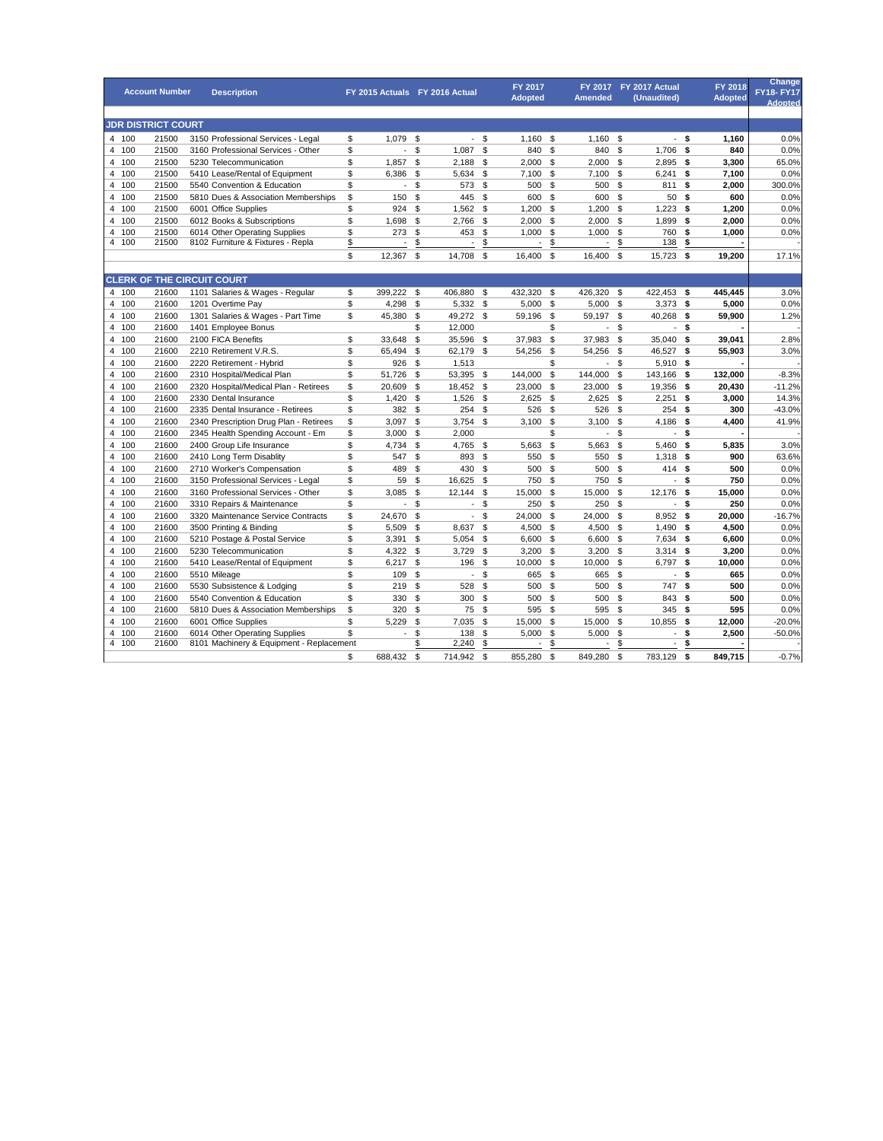|                           | <b>Account Number</b> | <b>Description</b>                       |                                |                    | FY 2015 Actuals FY 2016 Actual |               | FY 2017<br><b>Adopted</b> |          | <b>Amended</b>           |          | FY 2017 FY 2017 Actual<br>(Unaudited) |      | FY 2018<br><b>Adopted</b> | Change<br>FY18-FY17<br><b>Adopted</b> |
|---------------------------|-----------------------|------------------------------------------|--------------------------------|--------------------|--------------------------------|---------------|---------------------------|----------|--------------------------|----------|---------------------------------------|------|---------------------------|---------------------------------------|
|                           |                       |                                          |                                |                    |                                |               |                           |          |                          |          |                                       |      |                           |                                       |
| <b>JDR DISTRICT COURT</b> |                       |                                          |                                |                    |                                |               |                           |          |                          |          |                                       |      |                           |                                       |
| 4 100                     | 21500                 | 3150 Professional Services - Legal       | \$<br>1,079                    | $\mathbf{s}$       |                                | $-$ \$        | $1,160$ \$                |          | $1,160$ \$               |          |                                       | $-5$ | 1,160                     | 0.0%                                  |
| 4 100                     | 21500                 | 3160 Professional Services - Other       | \$                             | $-5$               | 1,087 \$                       |               | 840                       | -S       | 840                      | <b>S</b> | 1,706 \$                              |      | 840                       | 0.0%                                  |
| 4 100                     | 21500                 | 5230 Telecommunication                   | \$<br>1,857                    | \$                 | 2,188                          | \$            | 2,000                     | - \$     | 2,000                    | -\$      | $2,895$ \$                            |      | 3,300                     | 65.0%                                 |
| 4 100                     | 21500                 | 5410 Lease/Rental of Equipment           | \$<br>6,386                    | - \$               | 5,634                          | \$            | 7,100                     | \$       | 7,100                    | -\$      | $6,241$ \$                            |      | 7,100                     | 0.0%                                  |
| 4 100                     | 21500                 | 5540 Convention & Education              | \$<br>$\sim$                   | -S                 | 573                            | \$            | 500                       | -S       | 500                      | -S       | 811                                   | - \$ | 2.000                     | 300.0%                                |
| 4 100                     | 21500                 | 5810 Dues & Association Memberships      | \$<br>150                      | <b>S</b>           | 445 \$                         |               | 600                       | -S       | 600                      | -S       | 50 \$                                 |      | 600                       | 0.0%                                  |
| 4 100                     | 21500                 | 6001 Office Supplies                     | \$<br>924                      | $\mathbf{s}$       | 1,562                          | \$            | 1,200                     | - \$     | 1,200                    | \$       | $1,223$ \$                            |      | 1,200                     | 0.0%                                  |
| 4 100                     | 21500                 | 6012 Books & Subscriptions               | \$<br>1,698                    | \$                 | 2,766                          | \$            | 2,000                     | \$       | 2,000                    | \$       | 1,899 \$                              |      | 2,000                     | 0.0%                                  |
| 4 100                     | 21500                 | 6014 Other Operating Supplies            | \$<br>273                      | <b>S</b>           | 453                            | \$            | 1.000                     | -S       | 1.000                    | -S       | 760                                   | - \$ | 1.000                     | 0.0%                                  |
| 4 100                     | 21500                 | 8102 Furniture & Fixtures - Repla        | \$<br>$\overline{\phantom{a}}$ | \$                 | $\overline{\phantom{a}}$       | \$            | $\overline{\phantom{a}}$  | \$       | $\overline{\phantom{a}}$ | \$       | 138                                   | \$   |                           |                                       |
|                           |                       |                                          | \$<br>12,367                   | \$                 | 14,708                         | \$            | 16,400                    | - \$     | 16,400                   | \$       | 15,723                                | \$   | 19,200                    | 17.1%                                 |
|                           |                       | <b>CLERK OF THE CIRCUIT COURT</b>        |                                |                    |                                |               |                           |          |                          |          |                                       |      |                           |                                       |
| 4 100                     | 21600                 | 1101 Salaries & Wages - Regular          | \$<br>399,222 \$               |                    | 406,880 \$                     |               | 432,320 \$                |          | 426,320 \$               |          | 422,453 \$                            |      | 445.445                   | 3.0%                                  |
| 4 100                     | 21600                 | 1201 Overtime Pay                        | \$<br>4,298                    | $\mathbf{s}$       | 5,332 \$                       |               | $5,000$ \$                |          | 5,000                    | \$       | $3,373$ \$                            |      | 5,000                     | 0.0%                                  |
| 4 100                     | 21600                 | 1301 Salaries & Wages - Part Time        | \$<br>45,380                   | <b>S</b>           | 49,272 \$                      |               | 59,196                    | - \$     | 59,197                   | Ŝ.       | 40,268 \$                             |      | 59,900                    | 1.2%                                  |
| 4 100                     | 21600                 | 1401 Employee Bonus                      |                                | \$                 | 12,000                         |               |                           | \$       | ä,                       | S        | $\sim$                                | S.   |                           |                                       |
| 4 100                     | 21600                 | 2100 FICA Benefits                       | \$<br>33.648                   | <b>S</b>           | 35,596                         | \$            | 37,983                    | \$       | 37,983                   | Ŝ.       | 35,040 \$                             |      | 39,041                    | 2.8%                                  |
| 4 100                     | 21600                 | 2210 Retirement V.R.S.                   | \$<br>65,494                   | $\mathbf{\hat{s}}$ | 62,179 \$                      |               | 54,256                    | - \$     | 54,256                   | - \$     | 46,527 \$                             |      | 55,903                    | 3.0%                                  |
| 4 100                     | 21600                 | 2220 Retirement - Hybrid                 | \$<br>926                      | <b>S</b>           | 1,513                          |               |                           | \$       | ä,                       | S        | $5,910$ \$                            |      |                           |                                       |
| 4 100                     | 21600                 | 2310 Hospital/Medical Plan               | \$<br>51,726                   | \$                 | 53,395                         | \$            | 144,000                   | \$       | 144,000                  | \$       | 143,166 \$                            |      | 132,000                   | $-8.3%$                               |
| 4 100                     | 21600                 | 2320 Hospital/Medical Plan - Retirees    | \$<br>20,609                   | <b>S</b>           | 18,452                         | \$            | 23,000                    | - \$     | 23,000                   | -S       | 19,356 \$                             |      | 20,430                    | $-11.2%$                              |
| 4 100                     | 21600                 | 2330 Dental Insurance                    | \$<br>1,420                    | \$                 | 1,526 \$                       |               | 2,625                     | - \$     | 2,625                    | - \$     | $2,251$ \$                            |      | 3,000                     | 14.3%                                 |
| 4 100                     | 21600                 | 2335 Dental Insurance - Retirees         | \$<br>382                      | \$                 | 254                            | \$            | 526                       | <b>S</b> | 526                      | <b>S</b> | 254S                                  |      | 300                       | $-43.0%$                              |
| 4 100                     | 21600                 | 2340 Prescription Drug Plan - Retirees   | \$<br>3,097 \$                 |                    | 3,754                          | \$            | 3,100                     | - \$     | 3,100                    | \$       | 4,186                                 | - \$ | 4,400                     | 41.9%                                 |
| 4 100                     | 21600                 | 2345 Health Spending Account - Em        | \$<br>3,000                    | - \$               | 2,000                          |               |                           | \$       | $\blacksquare$           | <b>S</b> | $\sim$                                | S.   |                           |                                       |
| 4 100                     | 21600                 | 2400 Group Life Insurance                | \$<br>4,734                    | - \$               | 4,765 \$                       |               | 5,663                     | - \$     | 5,663                    | -\$      | $5,460$ \$                            |      | 5,835                     | 3.0%                                  |
| 4 100                     | 21600                 | 2410 Long Term Disablity                 | \$<br>547 \$                   |                    | 893                            | \$            | 550                       | \$       | 550                      | <b>S</b> | $1,318$ \$                            |      | 900                       | 63.6%                                 |
| 4 100                     | 21600                 | 2710 Worker's Compensation               | \$<br>489                      | \$                 | 430                            | $\mathbf{\$}$ | 500                       | - \$     | 500                      | \$       | 414 \$                                |      | 500                       | 0.0%                                  |
| 4 100                     | 21600                 | 3150 Professional Services - Legal       | \$<br>59                       | - \$               | 16,625                         | \$            | 750                       | - \$     | 750                      | Ŝ.       |                                       | - \$ | 750                       | 0.0%                                  |
| 4 100                     | 21600                 | 3160 Professional Services - Other       | \$<br>3.085                    | <b>S</b>           | $12,144$ \$                    |               | 15,000 \$                 |          | 15,000                   | -S       | 12,176                                | - \$ | 15,000                    | 0.0%                                  |
| 4 100                     | 21600                 | 3310 Repairs & Maintenance               | \$<br>÷                        | \$                 |                                | - \$          | 250                       | <b>S</b> | 250                      | S        | ÷.                                    | S.   | 250                       | 0.0%                                  |
| 4 100                     | 21600                 | 3320 Maintenance Service Contracts       | \$<br>24,670                   | \$                 | ÷.                             | \$            | 24,000                    | - \$     | 24,000                   | -S       | 8,952                                 | - \$ | 20,000                    | $-16.7%$                              |
| 4 100                     | 21600                 | 3500 Printing & Binding                  | \$<br>5,509                    | - \$               | 8,637                          | \$            | 4,500 \$                  |          | 4,500                    | - \$     | $1,490$ \$                            |      | 4,500                     | 0.0%                                  |
| 4 100                     | 21600                 | 5210 Postage & Postal Service            | \$<br>3,391 \$                 |                    | 5,054                          | \$            | 6,600 \$                  |          | 6,600                    | - \$     | $7,634$ \$                            |      | 6,600                     | 0.0%                                  |
| 4 100                     | 21600                 | 5230 Telecommunication                   | \$<br>4,322                    | <b>S</b>           | 3,729                          | \$            | 3,200                     | - \$     | 3,200                    | <b>S</b> | $3,314$ \$                            |      | 3,200                     | 0.0%                                  |
| 4 100                     | 21600                 | 5410 Lease/Rental of Equipment           | \$<br>6,217 \$                 |                    | 196                            | \$            | 10,000                    | \$       | 10,000                   | <b>S</b> | 6,797                                 | \$   | 10,000                    | 0.0%                                  |
| 4 100                     | 21600                 | 5510 Mileage                             | \$<br>109                      | \$                 | $\sim$                         | <b>S</b>      | 665                       | \$       | 665                      | Ŝ.       | ÷.                                    | S.   | 665                       | 0.0%                                  |
| 4 100                     | 21600                 | 5530 Subsistence & Lodging               | \$<br>219                      | $\mathbf{s}$       | 528                            | \$            | 500                       | - \$     | 500                      | \$       | 747                                   | \$   | 500                       | 0.0%                                  |
| 4 100                     | 21600                 | 5540 Convention & Education              | \$<br>330                      | -S                 | 300                            | \$            | 500                       | \$       | 500                      | Ŝ.       | 843 \$                                |      | 500                       | 0.0%                                  |
| 4 100                     | 21600                 | 5810 Dues & Association Memberships      | \$<br>320                      | <b>S</b>           | 75                             | \$            | 595                       | -S       | 595                      | -S       | 345                                   | - \$ | 595                       | 0.0%                                  |
| 4 100                     | 21600                 | 6001 Office Supplies                     | \$<br>5,229                    | - \$               | 7,035                          | \$            | 15,000                    | <b>S</b> | 15,000                   | <b>S</b> | 10,855 \$                             |      | 12,000                    | $-20.0%$                              |
| 4 100                     | 21600                 | 6014 Other Operating Supplies            | \$<br>÷                        | \$                 | 138                            | \$            | 5,000                     | <b>S</b> | 5,000                    | -S       | $\sim$                                | S.   | 2,500                     | $-50.0%$                              |
| 4 100                     | 21600                 | 8101 Machinery & Equipment - Replacement |                                | \$                 | 2,240                          | \$            | $\sim$                    | \$       | ÷,                       | \$       | $\blacksquare$                        | \$   |                           |                                       |
|                           |                       |                                          | \$<br>688.432 \$               |                    | 714.942                        | \$            | 855,280 \$                |          | 849.280                  | <b>S</b> | 783,129                               | -S   | 849.715                   | $-0.7%$                               |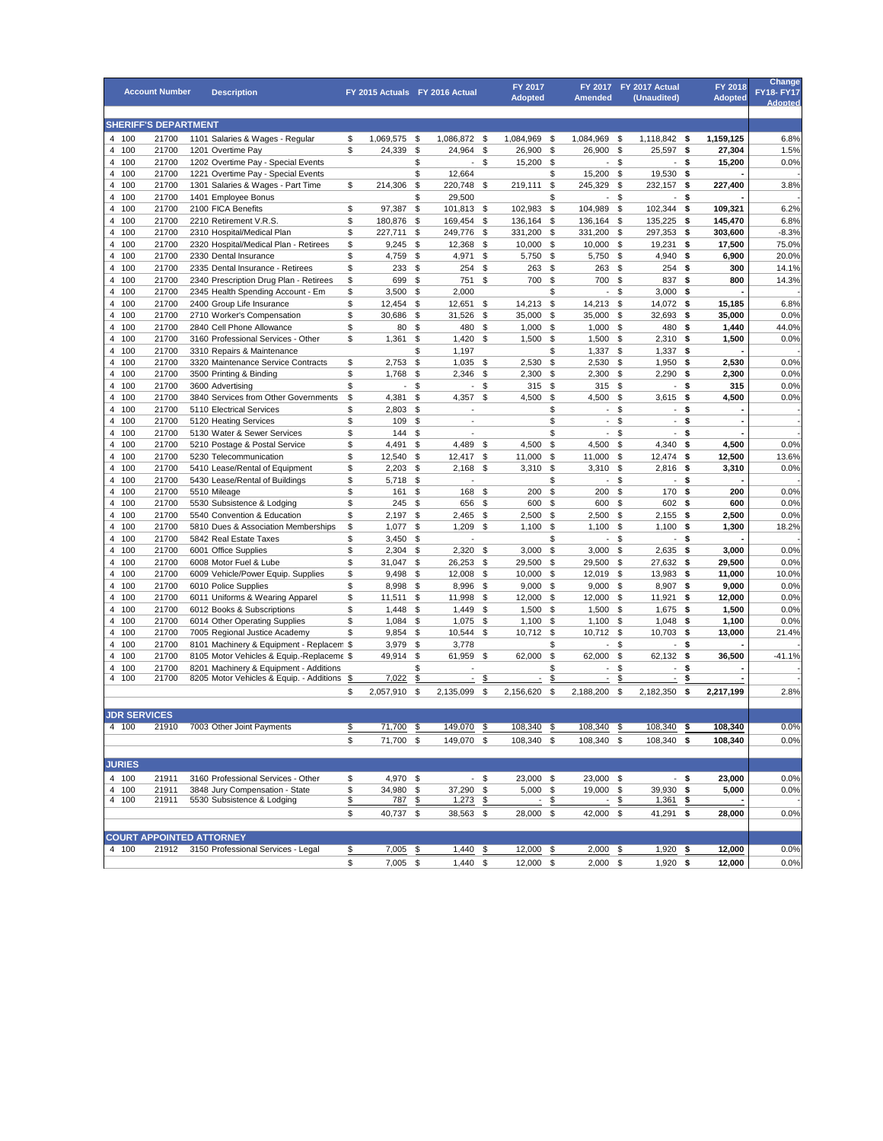|                             | <b>Account Number</b> | <b>Description</b>                                                                    |                      |                         |               | FY 2015 Actuals FY 2016 Actual    |               | FY 2017<br><b>Adopted</b> | <b>Amended</b>                                |          | FY 2017 FY 2017 Actual<br>(Unaudited) |           | FY 2018<br><b>Adopted</b> | Change<br><b>FY18-FY17</b><br><b>Adopted</b> |
|-----------------------------|-----------------------|---------------------------------------------------------------------------------------|----------------------|-------------------------|---------------|-----------------------------------|---------------|---------------------------|-----------------------------------------------|----------|---------------------------------------|-----------|---------------------------|----------------------------------------------|
| <b>SHERIFF'S DEPARTMENT</b> |                       |                                                                                       |                      |                         |               |                                   |               |                           |                                               |          |                                       |           |                           |                                              |
| 4 100                       | 21700                 | 1101 Salaries & Wages - Regular                                                       | \$                   | 1,069,575 \$            |               | 1,086,872 \$                      |               | 1,084,969 \$              | 1,084,969                                     | - \$     | 1,118,842 \$                          | 1,159,125 |                           | 6.8%                                         |
| 4 100                       | 21700                 | 1201 Overtime Pay                                                                     | \$                   | 24,339 \$               |               | 24,964 \$                         |               | 26,900 \$                 | 26,900 \$                                     |          | 25,597 \$                             |           | 27,304                    | 1.5%                                         |
| 4 100                       | 21700                 | 1202 Overtime Pay - Special Events                                                    |                      |                         | \$            | $\overline{\phantom{a}}$          | \$            | 15,200 \$                 | $\sim$                                        | \$       | - \$                                  |           | 15,200                    | 0.0%                                         |
| 4 100                       | 21700                 | 1221 Overtime Pay - Special Events                                                    |                      |                         | \$            | 12,664                            |               |                           | \$<br>15,200                                  | \$       | 19,530 \$                             |           |                           |                                              |
| 4 100                       | 21700                 | 1301 Salaries & Wages - Part Time                                                     | \$                   | 214,306                 | \$            | 220,748                           | -\$           | 219,111                   | \$<br>245,329                                 | \$       | 232,157 \$                            |           | 227,400                   | 3.8%                                         |
| 4 100                       | 21700                 | 1401 Employee Bonus                                                                   |                      |                         | \$            | 29,500                            |               |                           | \$                                            | \$       |                                       | \$        |                           |                                              |
| 4 100                       | 21700                 | 2100 FICA Benefits                                                                    | \$<br>\$             | 97,387                  | \$<br>\$      | 101,813 \$                        |               | 102,983                   | \$<br>104,989                                 | \$       | 102,344                               | \$        | 109,321<br>145,470        | 6.2%                                         |
| 4 100<br>4 100              | 21700<br>21700        | 2210 Retirement V.R.S.<br>2310 Hospital/Medical Plan                                  | \$                   | 180,876<br>227,711      | \$            | 169,454<br>249,776                | \$<br>-\$     | 136,164<br>331,200        | \$<br>136,164<br>\$<br>331,200                | \$<br>\$ | 135,225 \$<br>297,353                 | \$        | 303,600                   | 6.8%<br>$-8.3%$                              |
| 4 100                       | 21700                 | 2320 Hospital/Medical Plan - Retirees                                                 | \$                   | 9,245                   | - \$          | 12,368                            | -\$           | 10,000                    | \$<br>10,000                                  | \$       | 19,231                                | \$        | 17,500                    | 75.0%                                        |
| 4 100                       | 21700                 | 2330 Dental Insurance                                                                 | \$                   | 4,759                   | -\$           | 4,971                             | \$            | 5,750                     | \$<br>5,750                                   | \$       | 4,940                                 | - \$      | 6,900                     | 20.0%                                        |
| 4 100                       | 21700                 | 2335 Dental Insurance - Retirees                                                      | \$                   | 233                     | -\$           | 254                               | \$            | 263                       | \$<br>263                                     | \$       | 254                                   | \$        | 300                       | 14.1%                                        |
| 4 100                       | 21700                 | 2340 Prescription Drug Plan - Retirees                                                | \$                   | 699                     | \$            | 751                               | \$            | 700                       | \$<br>700                                     | \$       | 837                                   | \$        | 800                       | 14.3%                                        |
| 4 100                       | 21700                 | 2345 Health Spending Account - Em                                                     | \$                   | 3,500                   | \$            | 2,000                             |               |                           | \$<br>$\sim$                                  | \$       | 3,000                                 | - \$      |                           |                                              |
| 4 100                       | 21700                 | 2400 Group Life Insurance                                                             | \$                   | 12,454                  | \$            | 12,651                            | \$            | 14,213                    | \$<br>14,213                                  | \$       | 14,072                                | - \$      | 15,185                    | 6.8%                                         |
| 4 100                       | 21700                 | 2710 Worker's Compensation                                                            | \$                   | 30,686                  | -\$           | 31,526                            | \$            | 35,000                    | \$<br>35,000                                  | \$       | 32,693 \$                             |           | 35,000                    | 0.0%                                         |
| 4 100                       | 21700                 | 2840 Cell Phone Allowance                                                             | \$                   | 80                      | -\$           | 480                               | \$            | 1,000                     | \$<br>1,000                                   | \$       | 480                                   | - \$      | 1,440                     | 44.0%                                        |
| 4 100                       | 21700                 | 3160 Professional Services - Other                                                    | \$                   | 1,361                   | \$            | 1,420                             | \$            | 1,500                     | \$<br>1,500                                   | \$       | 2,310                                 | -\$       | 1,500                     | 0.0%                                         |
| 4 100                       | 21700                 | 3310 Repairs & Maintenance                                                            |                      |                         | \$            | 1,197                             |               |                           | \$<br>1,337                                   | \$       | 1,337                                 | \$        |                           |                                              |
| 4 100                       | 21700<br>21700        | 3320 Maintenance Service Contracts                                                    | \$                   | 2,753                   | \$<br>\$      | 1,035                             | \$            | 2,530                     | \$<br>2,530<br>\$                             | \$       | 1,950                                 | \$        | 2,530                     | 0.0%                                         |
| 4 100<br>4 100              | 21700                 | 3500 Printing & Binding<br>3600 Advertising                                           | \$<br>\$             | 1,768<br>$\blacksquare$ | \$            | 2,346<br>$\overline{\phantom{a}}$ | -\$<br>\$     | 2,300<br>315              | 2,300<br>\$<br>315                            | \$<br>\$ | 2,290<br>$\sim$                       | \$<br>\$  | 2,300<br>315              | 0.0%<br>0.0%                                 |
| 4 100                       | 21700                 | 3840 Services from Other Governments                                                  | \$                   | 4,381                   | \$            | 4,357 \$                          |               | 4,500                     | \$<br>4,500                                   | \$       | $3,615$ \$                            |           | 4,500                     | 0.0%                                         |
| 4 100                       | 21700                 | 5110 Electrical Services                                                              | \$                   | 2,803                   | \$            | $\blacksquare$                    |               |                           | \$<br>$\mathcal{L}_{\mathcal{A}}$             | \$       | $\sim$                                | \$        | ٠                         |                                              |
| 4 100                       | 21700                 | 5120 Heating Services                                                                 | \$                   | 109                     | \$            | ä,                                |               |                           | \$<br>$\mathcal{L}_{\mathcal{A}}$             | \$       | $\sim$                                | \$        | ×                         |                                              |
| 4 100                       | 21700                 | 5130 Water & Sewer Services                                                           | \$                   | 144                     | \$            | ä,                                |               |                           | \$<br>$\overline{\phantom{a}}$                | \$       | - \$                                  |           |                           |                                              |
| 4 100                       | 21700                 | 5210 Postage & Postal Service                                                         | \$                   | 4,491                   | \$            | 4,489                             | \$            | 4,500                     | \$<br>4,500                                   | \$       | $4,340$ \$                            |           | 4,500                     | 0.0%                                         |
| 4 100                       | 21700                 | 5230 Telecommunication                                                                | \$                   | 12,540                  | \$            | 12,417                            | \$            | 11,000                    | \$<br>11,000                                  | \$       | 12,474                                | \$        | 12,500                    | 13.6%                                        |
| 4 100                       | 21700                 | 5410 Lease/Rental of Equipment                                                        | \$                   | 2,203                   | -\$           | 2,168                             | - \$          | 3,310                     | \$<br>3,310                                   | \$       | 2,816                                 | - \$      | 3,310                     | 0.0%                                         |
| 4 100                       | 21700                 | 5430 Lease/Rental of Buildings                                                        | \$                   | 5,718                   | -\$           | $\sim$                            |               |                           | \$<br>$\overline{\phantom{a}}$                | \$       | $\sim$                                | \$        |                           |                                              |
| 4 100                       | 21700                 | 5510 Mileage                                                                          | \$                   | 161                     | \$            | 168                               | - \$          | 200                       | \$<br>200                                     | \$       | 170                                   | - \$      | 200                       | 0.0%                                         |
| 4 100                       | 21700                 | 5530 Subsistence & Lodging                                                            | \$                   | 245                     | - \$          | 656                               | -\$           | 600                       | \$<br>600                                     | \$       | 602                                   | - \$      | 600                       | 0.0%                                         |
| 4 100                       | 21700                 | 5540 Convention & Education                                                           | \$                   | 2,197                   | \$            | 2,465                             | \$            | 2,500                     | \$<br>2,500                                   | \$       | 2,155                                 | - \$      | 2,500                     | 0.0%                                         |
| 4 100<br>4 100              | 21700<br>21700        | 5810 Dues & Association Memberships<br>5842 Real Estate Taxes                         | \$<br>\$             | 1,077                   | \$<br>\$      | 1,209                             | -\$           | 1,100                     | \$<br>1,100<br>\$<br>$\overline{\phantom{a}}$ | \$<br>\$ | $1,100$ \$<br>- \$                    |           | 1,300                     | 18.2%                                        |
| 4 100                       | 21700                 | 6001 Office Supplies                                                                  | \$                   | 3,450<br>2,304          | \$            | 2,320                             | -\$           | 3,000                     | \$<br>3,000                                   | \$       | 2,635                                 | - \$      | 3,000                     | 0.0%                                         |
| 4 100                       | 21700                 | 6008 Motor Fuel & Lube                                                                | \$                   | 31,047                  | \$            | 26,253                            | \$            | 29,500                    | \$<br>29,500                                  | \$       | 27,632                                | \$        | 29,500                    | 0.0%                                         |
| 4 100                       | 21700                 | 6009 Vehicle/Power Equip. Supplies                                                    | \$                   | 9,498                   | -\$           | 12,008 \$                         |               | 10,000                    | \$<br>12,019                                  | \$       | 13,983 \$                             |           | 11,000                    | 10.0%                                        |
| 4 100                       | 21700                 | 6010 Police Supplies                                                                  | \$                   | 8,998                   | -\$           | 8,996                             | \$            | 9,000                     | \$<br>9,000                                   | \$       | 8,907                                 | \$        | 9,000                     | 0.0%                                         |
| 4 100                       | 21700                 | 6011 Uniforms & Wearing Apparel                                                       | \$                   | 11,511                  | \$            | 11,998                            | \$            | 12,000                    | \$<br>12,000                                  | \$       | 11,921                                | \$        | 12,000                    | 0.0%                                         |
| 4 100                       | 21700                 | 6012 Books & Subscriptions                                                            | \$                   | 1,448                   | -\$           | 1,449                             | \$            | 1,500                     | \$<br>1,500                                   | \$       | $1,675$ \$                            |           | 1,500                     | 0.0%                                         |
| 4 100                       | 21700                 | 6014 Other Operating Supplies                                                         | \$                   | 1,084                   | \$            | $1,075$ \$                        |               | 1,100                     | \$<br>1,100                                   | \$       | 1,048                                 | \$        | 1,100                     | 0.0%                                         |
| 4 100                       | 21700                 | 7005 Regional Justice Academy                                                         | \$                   | 9,854                   | -\$           | 10,544 \$                         |               | 10,712                    | \$<br>10,712                                  | \$       | 10,703                                | -\$       | 13,000                    | 21.4%                                        |
| 4 100                       | 21700                 | 8101 Machinery & Equipment - Replacem \$                                              |                      | 3,979                   | \$            | 3,778                             |               |                           | \$<br>$\blacksquare$                          | \$       | $\sim$                                | \$        |                           |                                              |
| 4 100                       | 21700                 | 8105 Motor Vehicles & Equip.-Replaceme \$                                             |                      | 49,914                  | \$            | 61,959                            | -\$           | 62,000                    | \$<br>62,000                                  | \$       | 62,132 \$                             |           | 36,500                    | $-41.1%$                                     |
| 4 100<br>4 100              | 21700<br>21700        | 8201 Machinery & Equipment - Additions<br>8205 Motor Vehicles & Equip. - Additions \$ |                      | 7,022                   | \$<br>\$      | $\overline{\phantom{a}}$          | \$            | ÷                         | \$<br>ä,<br>\$<br>$\overline{a}$              | \$<br>\$ | $\omega$<br>$\overline{\phantom{a}}$  | \$<br>\$  |                           |                                              |
|                             |                       |                                                                                       | \$                   | 2,057,910 \$            |               | 2,135,099                         | $\mathfrak s$ | 2,156,620 \$              | 2,188,200                                     | \$       | 2,182,350 \$                          |           | 2,217,199                 | 2.8%                                         |
|                             |                       |                                                                                       |                      |                         |               |                                   |               |                           |                                               |          |                                       |           |                           |                                              |
| <b>JDR SERVICES</b>         |                       |                                                                                       |                      |                         |               |                                   |               |                           |                                               |          |                                       |           |                           |                                              |
| 4 100                       | 21910                 | 7003 Other Joint Payments                                                             | \$                   | 71,700                  | \$            | 149,070                           | \$            | 108,340                   | \$<br>108,340                                 | \$       | 108,340                               |           | 108,340                   | 0.0%                                         |
|                             |                       |                                                                                       | \$                   | 71,700 \$               |               | 149,070                           | - \$          | 108,340 \$                | 108,340 \$                                    |          | 108,340 \$                            |           | 108,340                   | 0.0%                                         |
|                             |                       |                                                                                       |                      |                         |               |                                   |               |                           |                                               |          |                                       |           |                           |                                              |
| <b>JURIES</b>               |                       |                                                                                       |                      |                         |               |                                   |               |                           |                                               |          |                                       |           |                           |                                              |
| 4 100                       | 21911                 | 3160 Professional Services - Other                                                    | \$                   | 4,970 \$                |               |                                   | $-$ \$        | 23,000 \$                 | 23,000 \$                                     |          | $-$ \$                                |           | 23,000                    | 0.0%                                         |
| 4 100                       | 21911                 | 3848 Jury Compensation - State                                                        | \$                   | 34,980 \$               |               | 37,290 \$                         |               | 5,000                     | \$<br>19,000 \$                               |          | 39,930 \$                             |           | 5,000                     | 0.0%                                         |
| 4 100                       | 21911                 | 5530 Subsistence & Lodging                                                            | $\frac{3}{2}$        | 787                     | $\frac{3}{2}$ | $1,273$ \$                        |               | ٠                         | $\frac{1}{2}$                                 | \$       | $1,361$ \$                            |           |                           |                                              |
|                             |                       |                                                                                       | \$                   | 40,737 \$               |               | 38,563 \$                         |               | 28,000 \$                 | 42,000 \$                                     |          | 41,291 \$                             |           | 28,000                    | 0.0%                                         |
|                             |                       |                                                                                       |                      |                         |               |                                   |               |                           |                                               |          |                                       |           |                           |                                              |
|                             |                       | <b>COURT APPOINTED ATTORNEY</b>                                                       |                      |                         |               |                                   |               |                           |                                               |          |                                       |           |                           |                                              |
| 4 100                       | 21912                 | 3150 Professional Services - Legal                                                    | $\sqrt{\frac{2}{3}}$ | 7,005                   | <u>\$</u>     | 1,440                             | <u>\$</u>     | 12,000                    | 2,000<br>\$                                   | \$       | $1,920$ \$                            |           | 12,000                    | 0.0%                                         |
|                             |                       |                                                                                       | \$                   | 7,005 \$                |               | 1,440 \$                          |               | 12,000 \$                 | $2,000$ \$                                    |          | $1,920$ \$                            |           | 12,000                    | 0.0%                                         |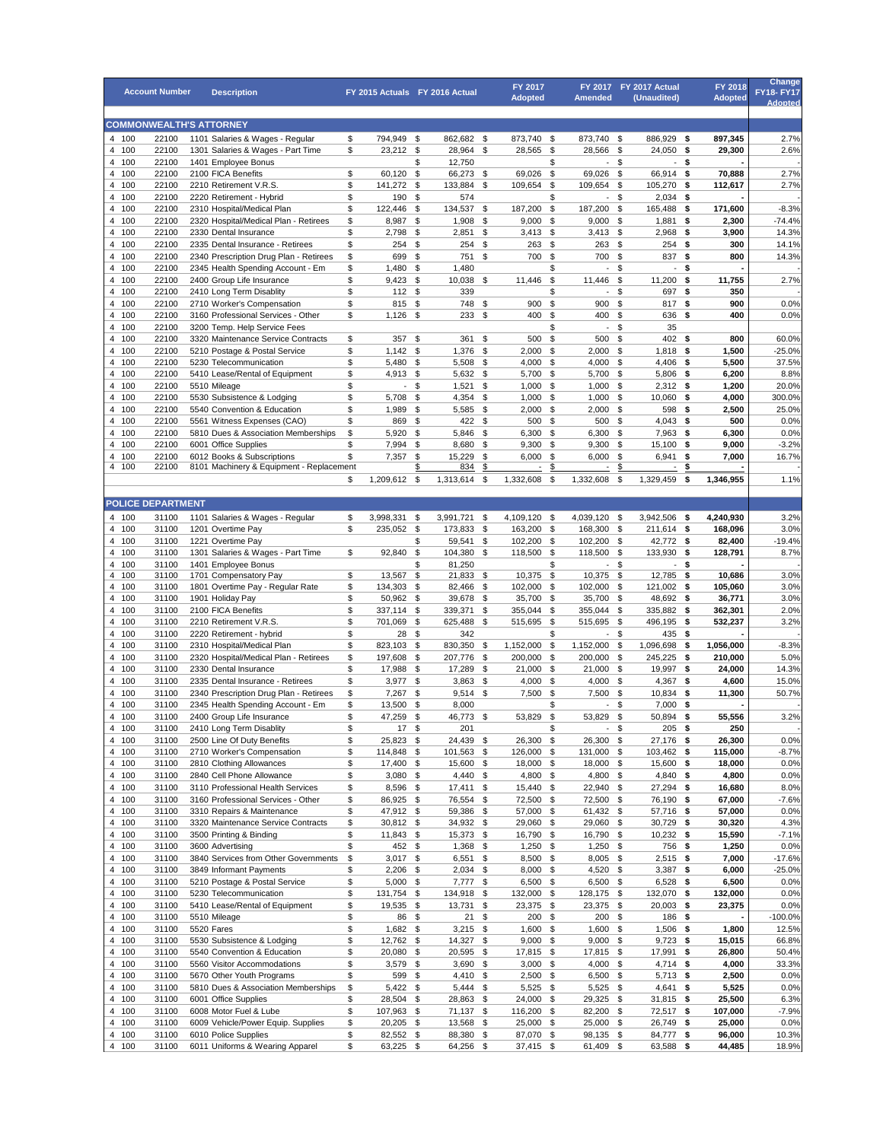|                       | <b>Account Number</b>    | <b>Description</b>                       |                    | FY 2015 Actuals FY 2016 Actual | FY 2017<br><b>Adopted</b> | <b>Amended</b>                                                                                                                                                                                                                                                                                                                                                                                                                                                                   |      | FY 2017 FY 2017 Actual<br>(Unaudited) |      | FY 2018<br><b>Adopted</b> | Change<br><b>FY18-FY17</b><br><b>Adopted</b> |
|-----------------------|--------------------------|------------------------------------------|--------------------|--------------------------------|---------------------------|----------------------------------------------------------------------------------------------------------------------------------------------------------------------------------------------------------------------------------------------------------------------------------------------------------------------------------------------------------------------------------------------------------------------------------------------------------------------------------|------|---------------------------------------|------|---------------------------|----------------------------------------------|
|                       |                          | <b>COMMONWEALTH'S ATTORNEY</b>           |                    |                                |                           |                                                                                                                                                                                                                                                                                                                                                                                                                                                                                  |      |                                       |      |                           |                                              |
| 4 100                 | 22100                    | 1101 Salaries & Wages - Regular          | \$<br>794,949 \$   | 862,682 \$                     | 873,740 \$                | 873,740 \$                                                                                                                                                                                                                                                                                                                                                                                                                                                                       |      | 886,929 \$                            |      | 897,345                   | 2.7%                                         |
| 4 100                 | 22100                    | 1301 Salaries & Wages - Part Time        | \$<br>23,212 \$    | 28,964 \$                      | 28,565 \$                 | 28,566 \$                                                                                                                                                                                                                                                                                                                                                                                                                                                                        |      | 24,050 \$                             |      | 29,300                    | 2.6%                                         |
| 4 100                 | 22100                    | 1401 Employee Bonus                      |                    | \$<br>12,750                   |                           | \$<br>$\mathbf{r}$                                                                                                                                                                                                                                                                                                                                                                                                                                                               | \$   |                                       | - \$ |                           |                                              |
| 4 100                 | 22100                    | 2100 FICA Benefits                       | \$<br>60,120 \$    | 66,273                         | \$<br>69,026              | \$<br>69,026                                                                                                                                                                                                                                                                                                                                                                                                                                                                     | -\$  | 66,914 \$                             |      | 70,888                    | 2.7%                                         |
| 4 100                 | 22100                    | 2210 Retirement V.R.S.                   | \$<br>141,272 \$   | 133,884                        | \$<br>109,654             | \$<br>109,654                                                                                                                                                                                                                                                                                                                                                                                                                                                                    | \$   | 105,270 \$                            |      | 112,617                   | 2.7%                                         |
| 100<br>4              | 22100                    | 2220 Retirement - Hybrid                 | \$<br>190          | -\$<br>574                     |                           | \$<br>ä,                                                                                                                                                                                                                                                                                                                                                                                                                                                                         | \$   | 2,034                                 | \$   |                           |                                              |
| 4 100                 | 22100                    | 2310 Hospital/Medical Plan               | \$<br>122,446      | 134,537<br>-\$                 | \$<br>187,200             | \$<br>187,200                                                                                                                                                                                                                                                                                                                                                                                                                                                                    | \$   | 165,488 \$                            |      | 171,600                   | $-8.3%$                                      |
| 4 100                 | 22100                    | 2320 Hospital/Medical Plan - Retirees    | \$<br>8,987        | \$<br>1,908                    | \$<br>9,000               | \$<br>9,000                                                                                                                                                                                                                                                                                                                                                                                                                                                                      | \$   | 1,881                                 | \$   | 2,300                     | $-74.4%$                                     |
| 4 100                 | 22100                    | 2330 Dental Insurance                    | \$<br>2,798 \$     | 2,851                          | \$<br>3,413               | -\$<br>3,413                                                                                                                                                                                                                                                                                                                                                                                                                                                                     | -\$  | $2,968$ \$                            |      | 3,900                     | 14.3%                                        |
| 4 100                 | 22100                    | 2335 Dental Insurance - Retirees         | \$<br>254 \$       | 254                            | \$<br>263                 | - \$<br>263                                                                                                                                                                                                                                                                                                                                                                                                                                                                      | \$   | $254$ \$                              |      | 300                       | 14.1%                                        |
| 100<br>4              | 22100                    | 2340 Prescription Drug Plan - Retirees   | \$<br>699          | \$<br>751                      | \$<br>700                 | \$<br>700                                                                                                                                                                                                                                                                                                                                                                                                                                                                        | \$   | 837 \$                                |      | 800                       | 14.3%                                        |
| 4 100                 | 22100                    | 2345 Health Spending Account - Em        | \$<br>1,480        | \$<br>1,480                    |                           | \$<br>÷.                                                                                                                                                                                                                                                                                                                                                                                                                                                                         | \$   | $\sim$                                | \$   |                           |                                              |
| 4 100                 | 22100                    | 2400 Group Life Insurance                | \$<br>9,423        | \$<br>10,038                   | \$<br>11,446              | \$<br>11.446                                                                                                                                                                                                                                                                                                                                                                                                                                                                     | \$   | 11,200                                | \$   | 11,755                    | 2.7%                                         |
| 4 100                 | 22100                    | 2410 Long Term Disablity                 | \$<br>112S         | 339                            |                           | \$<br>$\blacksquare$                                                                                                                                                                                                                                                                                                                                                                                                                                                             | \$   | 697                                   | \$   | 350                       |                                              |
| 4 100                 | 22100                    | 2710 Worker's Compensation               | \$<br>815 \$       | 748                            | \$<br>900                 | \$<br>900                                                                                                                                                                                                                                                                                                                                                                                                                                                                        | \$   | 817                                   | \$   | 900                       | 0.0%                                         |
| 4 100                 | 22100                    | 3160 Professional Services - Other       | \$<br>$1,126$ \$   | 233                            | \$<br>400                 | \$<br>400                                                                                                                                                                                                                                                                                                                                                                                                                                                                        | \$   | 636 \$                                |      | 400                       | 0.0%                                         |
| 100<br>4              | 22100                    | 3200 Temp. Help Service Fees             |                    |                                |                           | \$<br>÷,                                                                                                                                                                                                                                                                                                                                                                                                                                                                         | \$   | 35                                    |      |                           |                                              |
| 4 100                 | 22100                    | 3320 Maintenance Service Contracts       | \$<br>357 \$       | 361                            | \$<br>500                 | \$<br>500                                                                                                                                                                                                                                                                                                                                                                                                                                                                        | \$   | 402                                   | \$   | 800                       | 60.0%                                        |
| 4 100                 | 22100                    | 5210 Postage & Postal Service            | \$<br>1,142        | $\mathsf{\$}$<br>1,376         | \$<br>2,000               | \$<br>2,000                                                                                                                                                                                                                                                                                                                                                                                                                                                                      | \$   | 1,818                                 | \$   | 1,500                     | $-25.0%$                                     |
| 4 100                 | 22100                    | 5230 Telecommunication                   | \$<br>5,480        | - \$<br>5,508                  | \$<br>4,000               | \$<br>4,000                                                                                                                                                                                                                                                                                                                                                                                                                                                                      | \$   | $4,406$ \$                            |      | 5,500                     | 37.5%                                        |
| 4 100                 | 22100                    | 5410 Lease/Rental of Equipment           | \$<br>4,913 \$     | 5,632                          | \$<br>5,700               | \$<br>5,700                                                                                                                                                                                                                                                                                                                                                                                                                                                                      | \$   | 5,806 \$                              |      | 6,200                     | 8.8%                                         |
| 4 100                 | 22100                    | 5510 Mileage                             | \$<br>$\mathbf{r}$ | \$<br>1,521                    | \$<br>1,000               | \$<br>1,000                                                                                                                                                                                                                                                                                                                                                                                                                                                                      | -\$  | $2,312$ \$                            |      | 1,200                     | 20.0%                                        |
| 4 100                 | 22100                    | 5530 Subsistence & Lodging               | \$<br>5,708 \$     | 4,354                          | \$<br>1,000               | \$<br>1,000                                                                                                                                                                                                                                                                                                                                                                                                                                                                      | - \$ | 10,060 \$                             |      | 4,000                     | 300.0%                                       |
| 4 100                 |                          |                                          |                    |                                |                           |                                                                                                                                                                                                                                                                                                                                                                                                                                                                                  |      |                                       |      |                           |                                              |
|                       | 22100                    | 5540 Convention & Education              | \$<br>1,989        | \$<br>5,585                    | \$<br>2,000               | \$<br>2,000                                                                                                                                                                                                                                                                                                                                                                                                                                                                      | -\$  | 598 \$                                |      | 2,500                     | 25.0%                                        |
| 4<br>100              | 22100                    | 5561 Witness Expenses (CAO)              | \$<br>869          | \$<br>422                      | \$<br>500                 | \$<br>500                                                                                                                                                                                                                                                                                                                                                                                                                                                                        | \$   | $4,043$ \$                            |      | 500                       | 0.0%                                         |
| 4 100                 | 22100                    | 5810 Dues & Association Memberships      | \$<br>5,920        | \$<br>5,846                    | \$<br>6,300               | \$<br>6,300                                                                                                                                                                                                                                                                                                                                                                                                                                                                      | \$   | $7,963$ \$                            |      | 6,300                     | 0.0%                                         |
| 4 100                 | 22100                    | 6001 Office Supplies                     | \$<br>7,994        | \$<br>8,680                    | \$<br>9,300               | \$<br>9,300                                                                                                                                                                                                                                                                                                                                                                                                                                                                      | \$   | 15,100 \$                             |      | 9,000                     | $-3.2%$                                      |
| 100<br>4<br>4 100     | 22100<br>22100           | 6012 Books & Subscriptions               | \$<br>7,357        | \$<br>15,229                   | \$<br>6,000<br>٠          | \$<br>6,000                                                                                                                                                                                                                                                                                                                                                                                                                                                                      | \$   | 6,941<br>$\sim$                       | \$   | 7,000                     | 16.7%                                        |
|                       |                          | 8101 Machinery & Equipment - Replacement |                    | 834<br>\$                      | \$                        | \$                                                                                                                                                                                                                                                                                                                                                                                                                                                                               | \$   |                                       | \$   |                           |                                              |
|                       |                          |                                          | \$<br>1,209,612 \$ | 1,313,614                      | \$<br>1,332,608           | \$<br>1,332,608                                                                                                                                                                                                                                                                                                                                                                                                                                                                  | \$   | 1,329,459                             | \$   | 1,346,955                 | 1.1%                                         |
|                       |                          |                                          |                    |                                |                           |                                                                                                                                                                                                                                                                                                                                                                                                                                                                                  |      |                                       |      |                           |                                              |
|                       | <b>POLICE DEPARTMENT</b> |                                          |                    |                                |                           |                                                                                                                                                                                                                                                                                                                                                                                                                                                                                  |      |                                       |      |                           |                                              |
| 4 100                 | 31100                    | 1101 Salaries & Wages - Regular          | \$<br>3,998,331 \$ | 3,991,721 \$                   | 4,109,120 \$              | 4,039,120                                                                                                                                                                                                                                                                                                                                                                                                                                                                        | - \$ | 3,942,506 \$                          |      | 4,240,930                 | 3.2%                                         |
| 4 100                 | 31100                    | 1201 Overtime Pay                        | \$<br>235,052 \$   | 173,833 \$                     | 163,200 \$                | 168,300                                                                                                                                                                                                                                                                                                                                                                                                                                                                          | -\$  | 211,614 \$                            |      | 168,096                   | 3.0%                                         |
| 4 100                 | 31100                    | 1221 Overtime Pay                        |                    | \$<br>59,541                   | \$<br>102,200             | \$<br>102,200                                                                                                                                                                                                                                                                                                                                                                                                                                                                    | - \$ | 42,772 \$                             |      | 82,400                    | $-19.4%$                                     |
| 4 100                 | 31100                    | 1301 Salaries & Wages - Part Time        | \$<br>92,840 \$    | 104,380                        | \$<br>118,500 \$          | 118,500 \$                                                                                                                                                                                                                                                                                                                                                                                                                                                                       |      | 133,930 \$                            |      | 128,791                   | 8.7%                                         |
| 4 100                 | 31100                    | 1401 Employee Bonus                      |                    | \$<br>81,250                   |                           | \$<br>÷.                                                                                                                                                                                                                                                                                                                                                                                                                                                                         | \$   |                                       | $-5$ |                           |                                              |
| $\overline{4}$<br>100 | 31100                    | 1701 Compensatory Pay                    | \$<br>13,567       | \$<br>21,833                   | \$<br>10,375              | \$<br>10,375                                                                                                                                                                                                                                                                                                                                                                                                                                                                     | - \$ | 12,785 \$                             |      | 10,686                    | 3.0%                                         |
| 4 100                 | 31100                    | 1801 Overtime Pay - Regular Rate         | \$<br>134,303 \$   | 82,466                         | \$<br>102,000 \$          | 102,000                                                                                                                                                                                                                                                                                                                                                                                                                                                                          | - \$ | 121,002 \$                            |      | 105,060                   | 3.0%                                         |
| 4 100                 | 31100                    | 1901 Holiday Pay                         | \$<br>50,962 \$    | 39,678                         | \$<br>35,700              | - \$<br>35,700                                                                                                                                                                                                                                                                                                                                                                                                                                                                   | -\$  | 48,692 \$                             |      | 36,771                    | 3.0%                                         |
| 4 100                 | 31100                    | 2100 FICA Benefits                       | \$<br>337,114      | \$<br>339,371                  | \$<br>355,044             | \$<br>355,044                                                                                                                                                                                                                                                                                                                                                                                                                                                                    | \$   | 335,882 \$                            |      | 362,301                   | 2.0%                                         |
| 4 100                 | 31100                    | 2210 Retirement V.R.S.                   | \$<br>701,069 \$   | 625,488                        | \$<br>515,695             | \$<br>515,695                                                                                                                                                                                                                                                                                                                                                                                                                                                                    | -\$  | 496,195 \$                            |      | 532,237                   | 3.2%                                         |
| 4 100                 | 31100                    | 2220 Retirement - hybrid                 | \$<br>28 \$        | 342                            |                           | \$<br>÷,                                                                                                                                                                                                                                                                                                                                                                                                                                                                         | \$   | 435 \$                                |      |                           |                                              |
| 100<br>4              | 31100                    | 2310 Hospital/Medical Plan               | \$<br>823,103      | - \$<br>830,350                | \$<br>1,152,000           | \$<br>1,152,000                                                                                                                                                                                                                                                                                                                                                                                                                                                                  | \$   | 1,096,698 \$                          |      | 1,056,000                 | $-8.3%$                                      |
| 4 100                 | 31100                    | 2320 Hospital/Medical Plan - Retirees    | \$<br>197,608      | -\$<br>207,776                 | \$<br>200,000             | \$<br>200,000                                                                                                                                                                                                                                                                                                                                                                                                                                                                    | \$   | 245,225                               | - \$ | 210,000                   | 5.0%                                         |
| 4 100                 | 31100                    | 2330 Dental Insurance                    | \$<br>17,988 \$    | 17,289 \$                      | 21,000 \$                 | 21,000                                                                                                                                                                                                                                                                                                                                                                                                                                                                           | \$   | 19,997 \$                             |      | 24,000                    | 14.3%                                        |
| 4 100                 | 31100                    | 2335 Dental Insurance - Retirees         | \$<br>3,977 \$     | 3,863                          | \$<br>4,000               | $\mathbb{S}$<br>4,000                                                                                                                                                                                                                                                                                                                                                                                                                                                            | - \$ | 4,367                                 | \$   | 4,600                     | 15.0%                                        |
| 4 100                 | 31100                    | 2340 Prescription Drug Plan - Retirees   | \$<br>7,267 \$     | 9,514                          | \$<br>7,500               | \$<br>7,500                                                                                                                                                                                                                                                                                                                                                                                                                                                                      | \$   | 10,834 \$                             |      | 11,300                    | 50.7%                                        |
| 100<br>4              | 31100                    | 2345 Health Spending Account - Em        | \$<br>13,500       | \$<br>8,000                    |                           | \$<br>$\frac{1}{2} \left( \frac{1}{2} \right) \left( \frac{1}{2} \right) \left( \frac{1}{2} \right) \left( \frac{1}{2} \right) \left( \frac{1}{2} \right) \left( \frac{1}{2} \right) \left( \frac{1}{2} \right) \left( \frac{1}{2} \right) \left( \frac{1}{2} \right) \left( \frac{1}{2} \right) \left( \frac{1}{2} \right) \left( \frac{1}{2} \right) \left( \frac{1}{2} \right) \left( \frac{1}{2} \right) \left( \frac{1}{2} \right) \left( \frac{1}{2} \right) \left( \frac$ | \$   | $7,000$ \$                            |      |                           |                                              |
| $\overline{4}$<br>100 | 31100                    | 2400 Group Life Insurance                | \$<br>47,259 \$    | 46,773 \$                      | 53.829                    | \$<br>53,829                                                                                                                                                                                                                                                                                                                                                                                                                                                                     | \$   | 50,894                                | \$   | 55,556                    | 3.2%                                         |
| 4 100                 | 31100                    | 2410 Long Term Disablity                 | \$<br>17S          | 201                            |                           | \$<br>- \$                                                                                                                                                                                                                                                                                                                                                                                                                                                                       |      | $205$ \$                              |      | 250                       |                                              |
| 4 100                 | 31100                    | 2500 Line Of Duty Benefits               | \$<br>25,823 \$    | 24,439 \$                      | 26,300 \$                 | 26,300 \$                                                                                                                                                                                                                                                                                                                                                                                                                                                                        |      | 27,176 \$                             |      | 26,300                    | 0.0%                                         |
| 4 100                 | 31100                    | 2710 Worker's Compensation               | \$<br>114,848 \$   | 101,563                        | \$<br>126,000 \$          | 131,000                                                                                                                                                                                                                                                                                                                                                                                                                                                                          | -\$  | 103,462 \$                            |      | 115,000                   | $-8.7%$                                      |
| 4 100                 | 31100                    | 2810 Clothing Allowances                 | \$<br>17,400 \$    | 15,600                         | \$<br>18,000              | -\$<br>18,000                                                                                                                                                                                                                                                                                                                                                                                                                                                                    | -\$  | 15,600 \$                             |      | 18,000                    | 0.0%                                         |
| 4 100                 | 31100                    | 2840 Cell Phone Allowance                | \$<br>3,080 \$     | 4,440 \$                       | 4,800                     | 4,800 \$<br>- \$                                                                                                                                                                                                                                                                                                                                                                                                                                                                 |      | 4,840 \$                              |      | 4,800                     | 0.0%                                         |
| 4 100                 | 31100                    | 3110 Professional Health Services        | \$<br>8,596 \$     | $17,411$ \$                    | 15,440 \$                 | 22,940 \$                                                                                                                                                                                                                                                                                                                                                                                                                                                                        |      | 27,294 \$                             |      | 16,680                    | 8.0%                                         |
| 4 100                 | 31100                    | 3160 Professional Services - Other       | \$<br>86,925 \$    | 76,554 \$                      | 72,500 \$                 | 72,500 \$                                                                                                                                                                                                                                                                                                                                                                                                                                                                        |      | 76,190 \$                             |      | 67,000                    | $-7.6%$                                      |
| 100<br>4              | 31100                    | 3310 Repairs & Maintenance               | \$<br>47,912 \$    | 59,386                         | \$<br>57,000              | -\$<br>61,432 \$                                                                                                                                                                                                                                                                                                                                                                                                                                                                 |      | 57,716 \$                             |      | 57,000                    | 0.0%                                         |
| 4 100                 | 31100                    | 3320 Maintenance Service Contracts       | \$<br>30,812 \$    | 34,932                         | \$<br>29,060              | \$<br>29,060                                                                                                                                                                                                                                                                                                                                                                                                                                                                     | -\$  | 30,729 \$                             |      | 30,320                    | 4.3%                                         |
| 4 100                 | 31100                    | 3500 Printing & Binding                  | \$<br>11,843 \$    | 15,373                         | \$                        | \$<br>16,790 \$                                                                                                                                                                                                                                                                                                                                                                                                                                                                  |      | $10,232$ \$                           |      | 15,590                    | $-7.1%$                                      |
| 4 100                 | 31100                    | 3600 Advertising                         | \$<br>452 \$       | $1,368$ \$                     | 16,790                    | $1,250$ \$                                                                                                                                                                                                                                                                                                                                                                                                                                                                       |      |                                       |      |                           | 0.0%                                         |
|                       |                          |                                          | $3,017$ \$         |                                | $1,250$ \$                |                                                                                                                                                                                                                                                                                                                                                                                                                                                                                  |      | 756 \$                                |      | 1,250                     |                                              |
| 4 100                 | 31100                    | 3840 Services from Other Governments     | \$                 | $6,551$ \$                     | 8,500 \$                  | $8,005$ \$                                                                                                                                                                                                                                                                                                                                                                                                                                                                       |      | $2,515$ \$                            |      | 7,000                     | $-17.6%$                                     |
| 4 100                 | 31100                    | 3849 Informant Payments                  | \$<br>2,206 \$     | 2,034 \$                       | $8,000$ \$                | 4,520 \$                                                                                                                                                                                                                                                                                                                                                                                                                                                                         |      | $3,387$ \$                            |      | 6,000                     | $-25.0%$                                     |
| 4 100                 | 31100                    | 5210 Postage & Postal Service            | \$<br>$5,000$ \$   | 7,777 \$                       | 6,500 \$                  | 6,500 \$                                                                                                                                                                                                                                                                                                                                                                                                                                                                         |      | $6,528$ \$                            |      | 6,500                     | 0.0%                                         |
| 4 100                 | 31100                    | 5230 Telecommunication                   | \$<br>131,754 \$   | 134,918 \$                     | 132,000 \$                | 128,175 \$                                                                                                                                                                                                                                                                                                                                                                                                                                                                       |      | 132,070 \$                            |      | 132,000                   | 0.0%                                         |
| 4 100                 | 31100                    | 5410 Lease/Rental of Equipment           | \$<br>19,535 \$    | 13,731                         | \$<br>23,375              | 23,375<br>- \$                                                                                                                                                                                                                                                                                                                                                                                                                                                                   | - \$ | 20,003 \$                             |      | 23,375                    | 0.0%                                         |
| 4 100                 | 31100                    | 5510 Mileage                             | \$<br>86 \$        | 21 \$                          | 200 \$                    | 200                                                                                                                                                                                                                                                                                                                                                                                                                                                                              | - \$ | 186 \$                                |      |                           | $-100.0%$                                    |
| 4 100                 | 31100                    | 5520 Fares                               | \$<br>1,682 \$     | $3,215$ \$                     | $1,600$ \$                | $1,600$ \$                                                                                                                                                                                                                                                                                                                                                                                                                                                                       |      | $1,506$ \$                            |      | 1,800                     | 12.5%                                        |
| 100<br>4              | 31100                    | 5530 Subsistence & Lodging               | \$<br>12,762 \$    | 14,327                         | \$<br>9,000               | 9,000<br>- \$                                                                                                                                                                                                                                                                                                                                                                                                                                                                    | -\$  | $9,723$ \$                            |      | 15,015                    | 66.8%                                        |
| 4 100                 | 31100                    | 5540 Convention & Education              | \$<br>20,080 \$    | 20,595 \$                      | 17,815 \$                 | 17,815 \$                                                                                                                                                                                                                                                                                                                                                                                                                                                                        |      | 17,991 \$                             |      | 26,800                    | 50.4%                                        |
| 4 100                 | 31100                    | 5560 Visitor Accommodations              | \$<br>3,579 \$     | $3,690$ \$                     | $3,000$ \$                | $4,000$ \$                                                                                                                                                                                                                                                                                                                                                                                                                                                                       |      | $4,714$ \$                            |      | 4,000                     | 33.3%                                        |
| 4 100                 | 31100                    | 5670 Other Youth Programs                | \$<br>599 \$       | 4,410 \$                       | $2,500$ \$                | 6,500 \$                                                                                                                                                                                                                                                                                                                                                                                                                                                                         |      | 5,713 \$                              |      | 2,500                     | 0.0%                                         |
| 4 100                 | 31100                    | 5810 Dues & Association Memberships      | \$<br>5,422 \$     | 5,444 \$                       | $5,525$ \$                | 5,525 \$                                                                                                                                                                                                                                                                                                                                                                                                                                                                         |      | $4,641$ \$                            |      | 5,525                     | 0.0%                                         |
| 4 100                 | 31100                    | 6001 Office Supplies                     | \$<br>28,504 \$    | 28,863 \$                      | 24,000 \$                 | 29,325 \$                                                                                                                                                                                                                                                                                                                                                                                                                                                                        |      | 31,815 \$                             |      | 25,500                    | 6.3%                                         |
| 4 100                 | 31100                    | 6008 Motor Fuel & Lube                   | \$<br>107,963 \$   | 71,137 \$                      | 116,200 \$                | 82,200 \$                                                                                                                                                                                                                                                                                                                                                                                                                                                                        |      | 72,517 \$                             |      | 107,000                   | $-7.9%$                                      |
| 4 100                 | 31100                    | 6009 Vehicle/Power Equip. Supplies       | \$<br>20,205 \$    | 13,568                         | \$<br>25,000 \$           | 25,000 \$                                                                                                                                                                                                                                                                                                                                                                                                                                                                        |      | 26,749 \$                             |      | 25,000                    | 0.0%                                         |
| 4 100                 | 31100                    | 6010 Police Supplies                     | \$<br>82,552 \$    | 88,380                         | \$<br>87,070 \$           | 98,135 \$                                                                                                                                                                                                                                                                                                                                                                                                                                                                        |      | 84,777 \$                             |      | 96,000                    | 10.3%                                        |
| 4 100                 | 31100                    | 6011 Uniforms & Wearing Apparel          | \$<br>63,225 \$    | 64,256 \$                      | 37,415 \$                 | 61,409 \$                                                                                                                                                                                                                                                                                                                                                                                                                                                                        |      | 63,588 \$                             |      | 44,485                    | 18.9%                                        |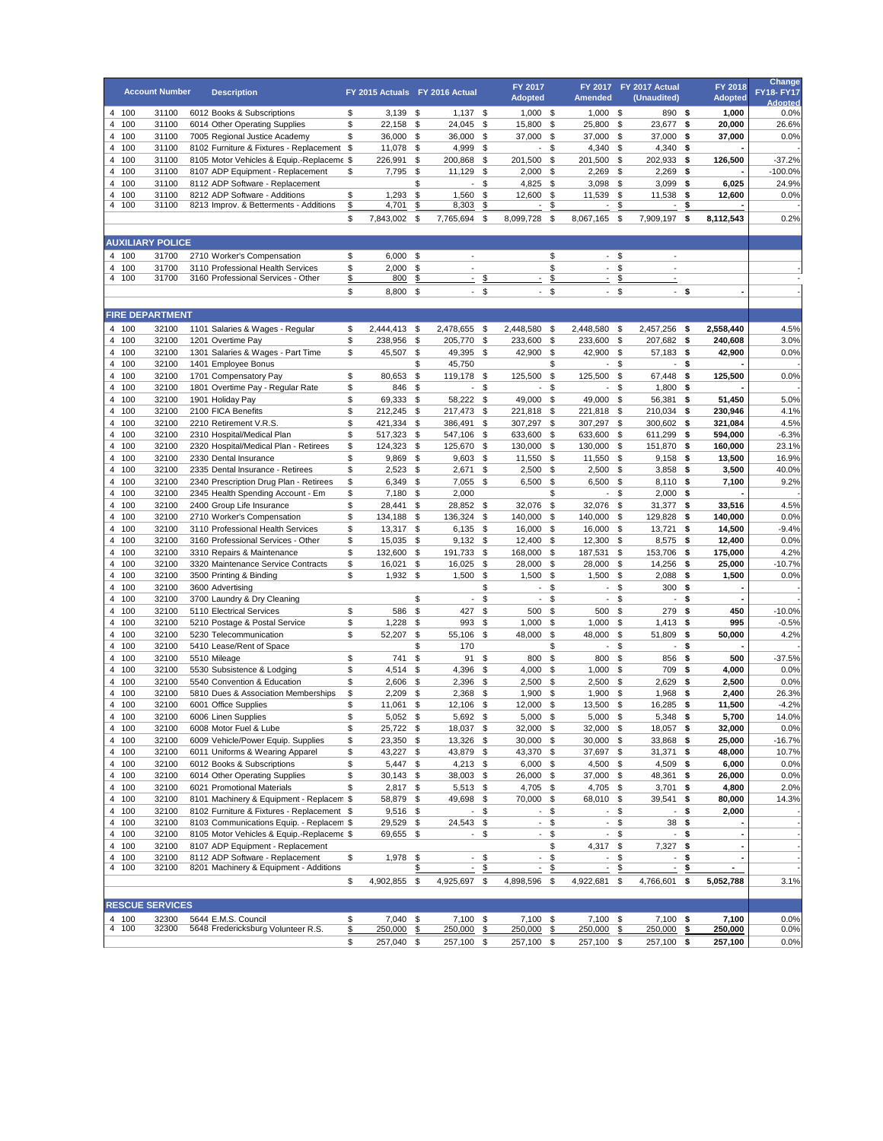|                | <b>Account Number</b>   | <b>Description</b>                                                                     |                          |                         |                          | FY 2015 Actuals FY 2016 Actual     |                | FY 2017<br><b>Adopted</b> | <b>Amended</b>                 |                          | FY 2017 FY 2017 Actual<br>(Unaudited) |              | <b>FY 2018</b><br><b>Adopted</b> | Change<br><b>FY18-FY17</b><br><b>Adopted</b> |
|----------------|-------------------------|----------------------------------------------------------------------------------------|--------------------------|-------------------------|--------------------------|------------------------------------|----------------|---------------------------|--------------------------------|--------------------------|---------------------------------------|--------------|----------------------------------|----------------------------------------------|
| 4 100          | 31100                   | 6012 Books & Subscriptions                                                             | \$                       | 3,139                   | - \$                     | $1,137$ \$                         |                | $1,000$ \$                | $1,000$ \$                     |                          | 890 \$                                |              | 1,000                            | 0.0%                                         |
| 4 100          | 31100                   | 6014 Other Operating Supplies                                                          | \$                       | 22,158                  | - \$                     | 24,045                             | - \$           | 15,800                    | \$<br>25,800                   | - \$                     | 23,677 \$                             |              | 20,000                           | 26.6%                                        |
| 4 100          | 31100                   | 7005 Regional Justice Academy                                                          | \$                       | 36,000 \$               |                          | 36,000                             | -\$            | 37,000                    | \$<br>37,000                   | \$                       | 37,000                                | - \$         | 37,000                           | 0.0%                                         |
| 4 100          | 31100                   | 8102 Furniture & Fixtures - Replacement \$                                             |                          | 11,078 \$               |                          | 4,999                              | -\$            | $\sim$                    | \$<br>4,340 \$                 |                          | $4,340$ \$                            |              |                                  |                                              |
| 4 100          | 31100                   | 8105 Motor Vehicles & Equip.-Replaceme \$                                              |                          | 226,991                 | - \$                     | 200,868                            | - \$           | 201,500                   | \$<br>201,500                  | -\$                      | 202,933                               | \$           | 126,500                          | $-37.2%$                                     |
| 4 100<br>4 100 | 31100<br>31100          | 8107 ADP Equipment - Replacement<br>8112 ADP Software - Replacement                    | \$                       | 7,795                   | \$<br>\$                 | 11,129<br>$\overline{\phantom{a}}$ | \$<br>\$       | 2,000<br>4,825            | \$<br>2,269<br>\$<br>3,098     | \$<br>\$                 | 2,269<br>3,099                        | - \$<br>- \$ | 6,025                            | $-100.0%$<br>24.9%                           |
| 4 100          | 31100                   | 8212 ADP Software - Additions                                                          | \$                       | 1,293                   | \$                       | 1,560                              | \$             | 12,600                    | \$<br>11,539                   | \$                       | 11,538 \$                             |              | 12,600                           | 0.0%                                         |
| 4 100          | 31100                   | 8213 Improv. & Betterments - Additions                                                 | $\overline{\$}$          | 4,701                   | \$                       | 8,303                              | \$             | ÷,                        | \$                             | \$                       | $\overline{\phantom{a}}$              | \$           |                                  |                                              |
|                |                         |                                                                                        | \$                       | 7,843,002               | \$                       | 7,765,694                          | \$             | 8,099,728                 | \$<br>8,067,165                | \$                       | 7,909,197                             | \$           | 8,112,543                        | 0.2%                                         |
|                |                         |                                                                                        |                          |                         |                          |                                    |                |                           |                                |                          |                                       |              |                                  |                                              |
|                | <b>AUXILIARY POLICE</b> |                                                                                        |                          |                         |                          |                                    |                |                           |                                |                          |                                       |              |                                  |                                              |
| 4 100          | 31700                   | 2710 Worker's Compensation                                                             | \$                       | $6,000$ \$              |                          | $\overline{\phantom{a}}$           |                |                           | \$                             | $-$ \$                   | $\omega$ .                            |              |                                  |                                              |
| 4 100          | 31700                   | 3110 Professional Health Services                                                      | \$                       | 2,000                   | \$                       | $\overline{a}$                     |                |                           | \$<br>ä,                       | \$                       | $\blacksquare$                        |              |                                  |                                              |
| 4 100          | 31700                   | 3160 Professional Services - Other                                                     | $$\mathbb{S}$$           | 800                     | $\frac{1}{2}$            | $\overline{\phantom{a}}$           | \$             | $\sim$                    | $\sqrt{2}$<br>$\blacksquare$   | \$                       | $\overline{\phantom{a}}$              |              |                                  |                                              |
|                |                         |                                                                                        | \$                       | 8,800                   | \$                       | $\overline{\phantom{a}}$           | \$             | $-$ \$                    | $\blacksquare$                 | \$                       | - \$                                  |              |                                  |                                              |
|                |                         |                                                                                        |                          |                         |                          |                                    |                |                           |                                |                          |                                       |              |                                  |                                              |
|                | <b>FIRE DEPARTMENT</b>  |                                                                                        |                          |                         |                          |                                    |                |                           |                                |                          |                                       |              |                                  |                                              |
| 4 100          | 32100                   | 1101 Salaries & Wages - Regular                                                        | \$                       | 2,444,413 \$            |                          | 2,478,655 \$                       |                | 2,448,580 \$              | 2,448,580                      | -\$                      | 2,457,256 \$                          |              | 2,558,440                        | 4.5%                                         |
| 4 100          | 32100                   | 1201 Overtime Pay                                                                      | \$                       | 238,956                 | \$                       | 205,770                            | \$             | 233,600                   | \$<br>233,600                  | \$                       | 207,682 \$                            |              | 240,608                          | 3.0%                                         |
| 4 100          | 32100                   | 1301 Salaries & Wages - Part Time                                                      | \$                       | 45,507 \$               |                          | 49,395 \$                          |                | 42,900                    | \$<br>42,900                   | -\$                      | 57,183 \$                             |              | 42,900                           | 0.0%                                         |
| 4 100          | 32100                   | 1401 Employee Bonus                                                                    |                          |                         | \$                       | 45,750                             |                |                           | \$<br>$\sim$                   | \$                       | - \$                                  |              |                                  |                                              |
| 4 100          | 32100                   | 1701 Compensatory Pay                                                                  | \$                       | 80,653                  | - \$                     | 119,178 \$                         |                | 125,500                   | \$<br>125,500                  | -\$                      | 67,448                                | \$           | 125.500                          | 0.0%                                         |
| 4 100          | 32100                   | 1801 Overtime Pay - Regular Rate                                                       | \$<br>\$                 | 846                     | - \$                     | ÷.<br>58,222                       | \$             | ÷.                        | \$<br>÷.<br>\$                 | \$                       | 1,800                                 | -\$          |                                  | 5.0%                                         |
| 4 100<br>4 100 | 32100<br>32100          | 1901 Holiday Pay<br>2100 FICA Benefits                                                 | \$                       | 69,333 \$<br>212,245 \$ |                          | 217,473 \$                         | \$             | 49,000<br>221,818 \$      | 49,000<br>221,818              | \$<br>\$                 | 56,381<br>210,034 \$                  | \$           | 51,450<br>230,946                | 4.1%                                         |
| 4 100          | 32100                   | 2210 Retirement V.R.S.                                                                 | \$                       | 421,334 \$              |                          | 386,491                            | -\$            | 307,297 \$                | 307,297                        | \$                       | 300,602 \$                            |              | 321,084                          | 4.5%                                         |
| 4 100          | 32100                   | 2310 Hospital/Medical Plan                                                             | \$                       | 517,323                 | - \$                     | 547,106                            | \$             | 633,600                   | \$<br>633,600                  | \$                       | 611,299                               | - \$         | 594,000                          | $-6.3%$                                      |
| 4 100          | 32100                   | 2320 Hospital/Medical Plan - Retirees                                                  | \$                       | 124,323 \$              |                          | 125,670 \$                         |                | 130,000                   | \$<br>130,000                  | \$                       | 151,870 \$                            |              | 160,000                          | 23.1%                                        |
| 4 100          | 32100                   | 2330 Dental Insurance                                                                  | \$                       | 9,869 \$                |                          | $9,603$ \$                         |                | 11,550                    | \$<br>11,550                   | \$                       | $9,158$ \$                            |              | 13,500                           | 16.9%                                        |
| 4 100          | 32100                   | 2335 Dental Insurance - Retirees                                                       | \$                       | 2,523                   | $\sqrt{3}$               | 2,671                              | \$             | 2,500                     | \$<br>2,500                    | \$                       | $3,858$ \$                            |              | 3,500                            | 40.0%                                        |
| 4 100          | 32100                   | 2340 Prescription Drug Plan - Retirees                                                 | \$                       | 6,349                   | - \$                     | $7,055$ \$                         |                | 6,500                     | \$<br>6,500                    | \$                       | 8,110 \$                              |              | 7,100                            | 9.2%                                         |
| 4 100          | 32100                   | 2345 Health Spending Account - Em                                                      | \$                       | 7,180 \$                |                          | 2,000                              |                |                           | \$<br>$\sim$                   | \$                       | $2,000$ \$                            |              |                                  |                                              |
| 4 100          | 32100                   | 2400 Group Life Insurance                                                              | \$                       | 28,441                  | -\$                      | 28,852                             | - \$           | 32,076                    | \$<br>32,076                   | - \$                     | 31,377 \$                             |              | 33,516                           | 4.5%                                         |
| 4 100          | 32100                   | 2710 Worker's Compensation                                                             | \$                       | 134,188                 | \$                       | 136,324                            | -\$            | 140,000                   | \$<br>140,000                  | \$                       | 129,828                               | - \$         | 140,000                          | 0.0%                                         |
| 4 100          | 32100                   | 3110 Professional Health Services                                                      | \$                       | 13,317 \$               |                          | $6,135$ \$                         |                | 16,000                    | \$<br>16,000                   | \$                       | 13,721                                | \$           | 14,500                           | $-9.4%$                                      |
| 4 100          | 32100                   | 3160 Professional Services - Other                                                     | \$                       | 15,035 \$               |                          | $9,132$ \$                         |                | 12,400 \$                 | 12,300                         | - \$                     | 8,575 \$                              |              | 12,400                           | 0.0%                                         |
| 4 100          | 32100                   | 3310 Repairs & Maintenance                                                             | \$                       | 132,600 \$              |                          | 191,733 \$                         |                | 168,000                   | - \$<br>187,531                | \$                       | 153,706 \$                            |              | 175,000                          | 4.2%                                         |
| 4 100          | 32100                   | 3320 Maintenance Service Contracts                                                     | \$                       | 16,021 \$               |                          | 16,025                             | - \$           | 28,000                    | \$<br>28,000                   | \$                       | 14,256                                | - \$         | 25,000                           | $-10.7%$                                     |
| 4 100          | 32100                   | 3500 Printing & Binding                                                                | \$                       | 1,932 \$                |                          | 1,500                              | -\$            | $1,500$ \$                | 1,500                          | \$                       | 2,088                                 | \$           | 1,500                            | 0.0%                                         |
| 4 100          | 32100                   | 3600 Advertising                                                                       |                          |                         |                          |                                    | \$             | $\blacksquare$            | \$<br>$\overline{\phantom{a}}$ | \$                       | 300                                   | \$           |                                  |                                              |
| 4 100          | 32100                   | 3700 Laundry & Dry Cleaning                                                            | \$                       | 586                     | \$                       | $\overline{\phantom{a}}$           | \$<br>\$       | ÷.                        | \$<br>÷.<br>\$                 | \$                       | $\sim$                                | \$           |                                  | $-10.0%$                                     |
| 4 100<br>4 100 | 32100<br>32100          | 5110 Electrical Services<br>5210 Postage & Postal Service                              | \$                       | 1,228                   | \$<br>\$                 | 427<br>993                         | \$             | 500<br>1,000              | 500<br>\$<br>1,000             | \$<br>\$                 | 279<br>$1,413$ \$                     | -\$          | 450<br>995                       | $-0.5%$                                      |
| 4 100          | 32100                   | 5230 Telecommunication                                                                 | \$                       | 52,207                  | \$                       | 55,106                             | \$             | 48,000                    | \$<br>48.000                   | \$                       | 51,809                                | \$           | 50,000                           | 4.2%                                         |
| 4 100          | 32100                   | 5410 Lease/Rent of Space                                                               |                          |                         | \$                       | 170                                |                |                           | \$<br>÷.                       | \$                       | $\sim$                                | \$           |                                  |                                              |
| 4 100          | 32100                   | 5510 Mileage                                                                           | \$                       | 741                     | \$                       | 91                                 | -\$            | 800                       | \$<br>800                      | \$                       | 856                                   | \$           | 500                              | $-37.5%$                                     |
| 4 100          | 32100                   | 5530 Subsistence & Lodging                                                             | \$                       | 4,514                   | - \$                     | 4,396                              | - \$           | 4,000                     | \$<br>1,000                    | \$                       | 709                                   | \$           | 4,000                            | 0.0%                                         |
| 4 100          | 32100                   | 5540 Convention & Education                                                            | \$                       | 2,606                   | -\$                      | 2,396                              | \$             | 2,500                     | \$<br>2,500                    | \$                       | 2,629                                 | \$           | 2,500                            | 0.0%                                         |
| 4 100          | 32100                   | 5810 Dues & Association Memberships                                                    | \$                       | 2,209                   | \$                       | 2,368                              | \$             | 1,900                     | \$<br>1,900                    | \$                       | 1,968                                 | \$           | 2,400                            | 26.3%                                        |
| 4 100          | 32100                   | 6001 Office Supplies                                                                   | \$                       | 11,061                  | \$                       | 12,106 \$                          |                | 12,000                    | \$<br>13,500                   | \$                       | 16,285 \$                             |              | 11,500                           | $-4.2%$                                      |
| 4 100          | 32100                   | 6006 Linen Supplies                                                                    | \$                       | 5,052                   | \$                       | 5,692 \$                           |                | 5,000                     | \$<br>5,000                    | \$                       | 5,348                                 | \$           | 5,700                            | 14.0%                                        |
| 4 100          | 32100                   | 6008 Motor Fuel & Lube                                                                 | \$                       | 25,722 \$               |                          | 18,037 \$                          |                | 32,000 \$                 | 32,000 \$                      |                          | 18,057 \$                             |              | 32,000                           | 0.0%                                         |
| 4 100          | 32100                   | 6009 Vehicle/Power Equip. Supplies                                                     | \$                       | 23,350 \$               |                          | 13,326 \$                          |                | 30,000 \$                 | 30,000 \$                      |                          | 33,868 \$                             |              | 25,000                           | $-16.7%$                                     |
| 4 100          | 32100                   | 6011 Uniforms & Wearing Apparel                                                        | \$                       | 43,227 \$               |                          | 43,879 \$                          |                | 43,370 \$                 | 37,697 \$                      |                          | 31,371 \$                             |              | 48,000                           | 10.7%                                        |
| 4 100          | 32100                   | 6012 Books & Subscriptions                                                             | \$                       | 5,447 \$                |                          | $4,213$ \$                         |                | $6,000$ \$                | 4,500 \$                       |                          | $4,509$ \$                            |              | 6,000                            | 0.0%                                         |
| 4 100          | 32100                   | 6014 Other Operating Supplies                                                          | \$                       | $30,143$ \$             |                          | 38,003 \$                          |                | 26,000                    | \$<br>37,000 \$                |                          | 48,361                                | - \$         | 26,000                           | 0.0%                                         |
| 4 100          | 32100                   | 6021 Promotional Materials                                                             | \$                       | $2,817$ \$              |                          | 5,513 \$                           |                | 4,705 \$                  | 4,705 \$                       |                          | $3,701$ \$                            |              | 4,800                            | 2.0%                                         |
| 4 100          | 32100                   | 8101 Machinery & Equipment - Replacem \$                                               |                          | 58,879 \$               |                          | 49,698 \$                          |                | 70,000 \$                 | 68,010 \$                      |                          | 39,541 \$                             |              | 80,000                           | 14.3%                                        |
| 4 100<br>4 100 | 32100<br>32100          | 8102 Furniture & Fixtures - Replacement \$<br>8103 Communications Equip. - Replacem \$ |                          | 9,516 \$<br>29,529 \$   |                          | 24,543 \$                          | - \$           | - \$<br>$-$ \$            | $\omega$<br>$\omega$           | \$<br>\$                 | - \$<br>$38 \quad $$                  |              | 2,000                            |                                              |
| 4 100          | 32100                   | 8105 Motor Vehicles & Equip.-Replaceme \$                                              |                          | 69,655 \$               |                          |                                    | - \$           | $-$ \$                    | $\mathcal{L}_{\mathcal{A}}$    | \$                       | $-$ \$                                |              | ٠                                |                                              |
| 4 100          | 32100                   | 8107 ADP Equipment - Replacement                                                       |                          |                         |                          |                                    |                |                           | \$<br>4,317 \$                 |                          | $7,327$ \$                            |              |                                  |                                              |
| 4 100          | 32100                   | 8112 ADP Software - Replacement                                                        | \$                       | 1,978                   | - \$                     |                                    | $-$ \$         | - \$                      | ÷.                             | \$                       | $\sim$                                | \$           |                                  |                                              |
| 4 100          | 32100                   | 8201 Machinery & Equipment - Additions                                                 |                          |                         | \$                       | -                                  | \$             | $\overline{\phantom{a}}$  | \$<br>$\equiv$                 | \$                       | $\overline{a}$                        | \$           | $\overline{\phantom{a}}$         |                                              |
|                |                         |                                                                                        | \$                       | 4,902,855 \$            |                          | 4,925,697                          | \$             | 4,898,596                 | \$<br>4,922,681                | \$                       | 4,766,601                             | \$           | 5,052,788                        | 3.1%                                         |
|                |                         |                                                                                        |                          |                         |                          |                                    |                |                           |                                |                          |                                       |              |                                  |                                              |
|                | <b>RESCUE SERVICES</b>  |                                                                                        |                          |                         |                          |                                    |                |                           |                                |                          |                                       |              |                                  |                                              |
| 4 100          | 32300                   | 5644 E.M.S. Council                                                                    | \$                       | 7,040                   | \$                       | $7,100$ \$                         |                | 7,100                     | \$<br>7,100 \$                 |                          | $7,100$ \$                            |              | 7,100                            | 0.0%                                         |
| 4 100          | 32300                   | 5648 Fredericksburg Volunteer R.S.                                                     | $\overline{\mathcal{L}}$ | 250,000                 | $\overline{\mathcal{S}}$ | 250,000                            | $$\mathbb{S}$$ | 250,000                   | $\frac{1}{2}$<br>250,000       | $\overline{\mathcal{S}}$ | 250,000                               | \$           | 250,000                          | 0.0%                                         |
|                |                         |                                                                                        | \$                       | 257,040 \$              |                          | 257,100 \$                         |                | 257,100 \$                | 257,100 \$                     |                          | 257,100 \$                            |              | 257,100                          | 0.0%                                         |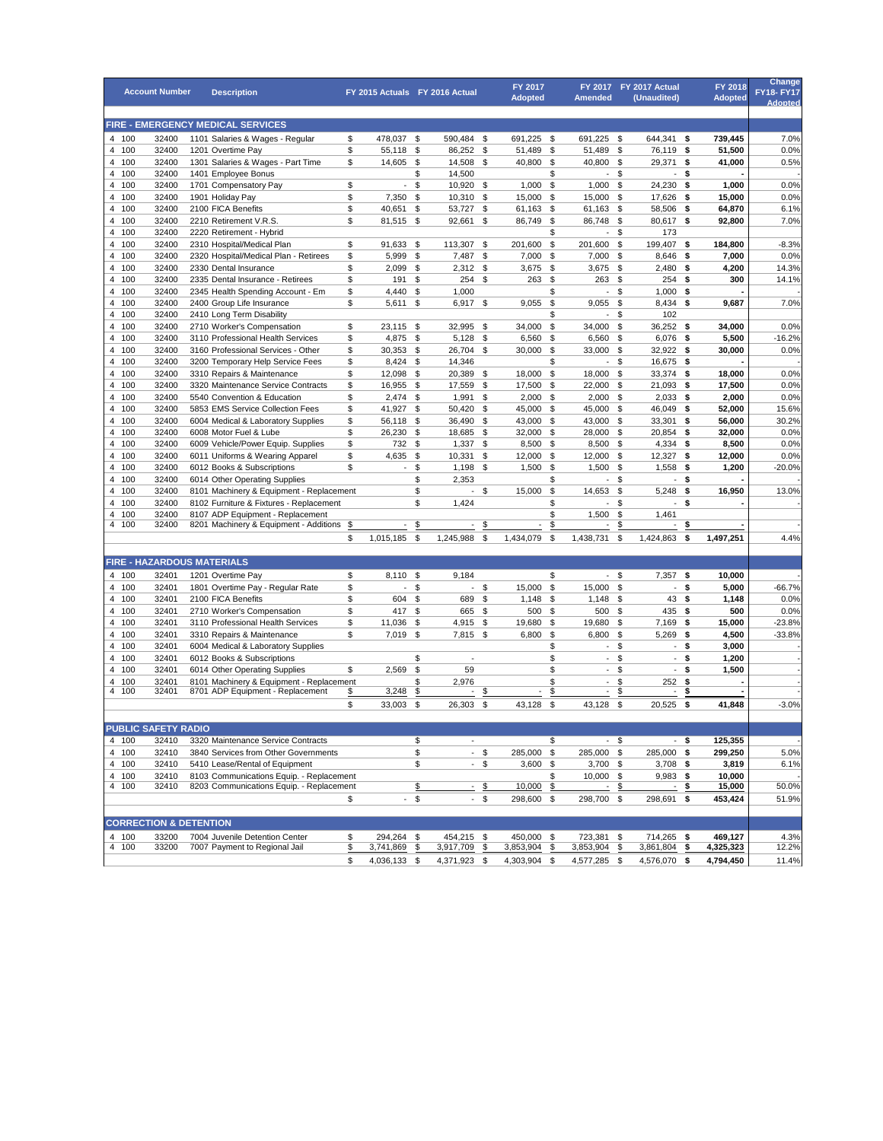|                | <b>Account Number</b>      | <b>Description</b>                                                           |                     | FY 2015 Actuals FY 2016 Actual |               |                                   |               | FY 2017<br><b>Adopted</b> |               | <b>Amended</b>           |          | FY 2017 FY 2017 Actual<br>(Unaudited) |           | FY 2018<br><b>Adopted</b> | <b>Change</b><br><b>FY18-FY17</b><br><b>Adopted</b> |
|----------------|----------------------------|------------------------------------------------------------------------------|---------------------|--------------------------------|---------------|-----------------------------------|---------------|---------------------------|---------------|--------------------------|----------|---------------------------------------|-----------|---------------------------|-----------------------------------------------------|
|                |                            | <b>FIRE - EMERGENCY MEDICAL SERVICES</b>                                     |                     |                                |               |                                   |               |                           |               |                          |          |                                       |           |                           |                                                     |
| 4 100          | 32400                      | 1101 Salaries & Wages - Regular                                              | \$                  | 478,037 \$                     |               | 590,484 \$                        |               | 691,225 \$                |               | 691,225 \$               |          | 644,341 \$                            |           | 739,445                   | 7.0%                                                |
| 4 100          | 32400                      | 1201 Overtime Pay                                                            | \$                  | 55,118 \$                      |               | 86,252 \$                         |               | 51,489                    | - \$          | 51,489                   | \$       | 76,119 \$                             |           | 51,500                    | 0.0%                                                |
| 4 100          | 32400                      | 1301 Salaries & Wages - Part Time                                            | \$                  | 14,605 \$                      |               | 14,508                            | -\$           | 40,800 \$                 |               | 40,800 \$                |          | 29,371 \$                             |           | 41,000                    | 0.5%                                                |
| 4 100          | 32400                      | 1401 Employee Bonus                                                          |                     |                                | \$            | 14,500                            |               |                           | \$            | $\overline{\phantom{a}}$ | \$       | $\sim$                                | \$        |                           |                                                     |
| 4 100          | 32400                      | 1701 Compensatory Pay                                                        | \$                  | $\blacksquare$                 | \$            | 10,920 \$                         |               | 1,000                     | \$            | 1,000                    | \$       | 24,230 \$                             |           | 1,000                     | 0.0%                                                |
| 4 100          | 32400                      | 1901 Holiday Pay                                                             | \$                  | 7,350                          | -\$           | 10,310                            | - \$          | 15,000                    | \$            | 15,000                   | \$       | 17,626                                | \$        | 15,000                    | 0.0%                                                |
| 4 100          | 32400                      | 2100 FICA Benefits                                                           | \$                  | 40,651                         | -\$           | 53,727                            | -\$           | 61,163                    | \$            | 61,163                   | \$       | 58,506                                | \$        | 64,870                    | 6.1%                                                |
| 4 100          | 32400                      | 2210 Retirement V.R.S.                                                       | \$                  | 81,515                         | -\$           | 92,661                            | \$            | 86,749                    | \$            | 86,748                   | \$       | 80,617                                | \$        | 92,800                    | 7.0%                                                |
| 4 100<br>4 100 | 32400<br>32400             | 2220 Retirement - Hybrid<br>2310 Hospital/Medical Plan                       | \$                  | 91,633 \$                      |               | 113,307 \$                        |               | 201,600                   | \$<br>\$      | ÷.<br>201,600            | \$<br>\$ | 173<br>199,407 \$                     |           | 184,800                   | $-8.3%$                                             |
| 4 100          | 32400                      | 2320 Hospital/Medical Plan - Retirees                                        | \$                  | 5,999                          | -\$           | 7,487                             | \$            | 7,000                     | \$            | 7,000                    | \$       | 8,646                                 | \$        | 7,000                     | 0.0%                                                |
| 4 100          | 32400                      | 2330 Dental Insurance                                                        | \$                  | $2,099$ \$                     |               | $2,312$ \$                        |               | 3,675                     | \$            | 3,675                    | \$       | $2,480$ \$                            |           | 4,200                     | 14.3%                                               |
| 4 100          | 32400                      | 2335 Dental Insurance - Retirees                                             | \$                  | 191                            | \$            | 254                               | \$            | 263                       | \$            | 263                      | \$       | $254$ \$                              |           | 300                       | 14.1%                                               |
| 4 100          | 32400                      | 2345 Health Spending Account - Em                                            | \$                  | 4,440                          | -\$           | 1,000                             |               |                           | \$            | $\sim$                   | \$       | 1,000                                 | - \$      |                           |                                                     |
| 4 100          | 32400                      | 2400 Group Life Insurance                                                    | \$                  | 5,611                          | $\mathfrak s$ | 6,917 \$                          |               | 9,055                     | \$            | 9,055                    | \$       | $8,434$ \$                            |           | 9,687                     | 7.0%                                                |
| 4 100          | 32400                      | 2410 Long Term Disability                                                    |                     |                                |               |                                   |               |                           | \$            | ÷.                       | \$       | 102                                   |           |                           |                                                     |
| 4 100          | 32400                      | 2710 Worker's Compensation                                                   | \$                  | 23,115 \$                      |               | 32,995                            | \$            | 34,000                    | \$            | 34,000                   | \$       | 36,252 \$                             |           | 34,000                    | 0.0%                                                |
| 4 100          | 32400                      | 3110 Professional Health Services                                            | \$                  | 4,875 \$                       |               | $5,128$ \$                        |               | 6,560                     | \$            | 6,560                    | \$       | $6,076$ \$                            |           | 5,500                     | $-16.2%$                                            |
| 4 100          | 32400                      | 3160 Professional Services - Other                                           | \$                  | 30,353 \$                      |               | 26,704                            | $\mathfrak s$ | 30,000                    | \$            | 33,000                   | \$       | 32,922 \$                             |           | 30,000                    | 0.0%                                                |
| 4 100          | 32400                      | 3200 Temporary Help Service Fees                                             | \$                  | 8,424 \$                       |               | 14,346                            |               |                           | \$            | $\blacksquare$           | \$       | 16,675 \$                             |           |                           |                                                     |
| 4 100          | 32400                      | 3310 Repairs & Maintenance                                                   | \$                  | 12,098                         | - \$          | 20,389                            | \$            | 18,000                    | \$            | 18,000                   | \$       | 33,374 \$                             |           | 18,000                    | 0.0%                                                |
| 4 100<br>4 100 | 32400<br>32400             | 3320 Maintenance Service Contracts                                           | \$<br>\$            | 16,955 \$<br>$2,474$ \$        |               | 17,559                            | \$            | 17,500                    | \$            | 22,000                   | \$       | 21,093 \$<br>$2,033$ \$               |           | 17,500                    | 0.0%<br>0.0%                                        |
| 4 100          | 32400                      | 5540 Convention & Education<br>5853 EMS Service Collection Fees              | \$                  | 41,927                         | -\$           | 1,991<br>50,420                   | \$<br>\$      | 2,000<br>45,000           | \$<br>\$      | 2,000<br>45.000          | \$<br>\$ | 46.049 \$                             |           | 2,000<br>52,000           | 15.6%                                               |
| 4 100          | 32400                      | 6004 Medical & Laboratory Supplies                                           | \$                  | 56,118                         | - \$          | 36,490                            | -\$           | 43,000                    | \$            | 43,000                   | \$       | 33,301                                | \$        | 56,000                    | 30.2%                                               |
| 4 100          | 32400                      | 6008 Motor Fuel & Lube                                                       | \$                  | 26,230 \$                      |               | 18,685                            | -\$           | 32,000                    | \$            | 28,000                   | \$       | 20,854 \$                             |           | 32,000                    | 0.0%                                                |
| 4 100          | 32400                      | 6009 Vehicle/Power Equip. Supplies                                           | \$                  | 732                            | - \$          | $1,337$ \$                        |               | 8,500                     | \$            | 8,500                    | \$       | $4,334$ \$                            |           | 8,500                     | 0.0%                                                |
| 4 100          | 32400                      | 6011 Uniforms & Wearing Apparel                                              | \$                  | 4,635                          | - \$          | 10,331                            | \$            | 12,000                    | \$            | 12,000                   | \$       | 12,327                                | \$        | 12,000                    | 0.0%                                                |
| 4 100          | 32400                      | 6012 Books & Subscriptions                                                   | \$                  | $\overline{\phantom{a}}$       | \$            | $1,198$ \$                        |               | 1,500                     | \$            | 1,500                    | \$       | 1,558                                 | \$        | 1,200                     | $-20.0%$                                            |
| 4 100          | 32400                      | 6014 Other Operating Supplies                                                |                     |                                | \$            | 2,353                             |               |                           | \$            | $\mathbf{r}$             | \$       | $\sim$                                | \$        |                           |                                                     |
| 4 100          | 32400                      | 8101 Machinery & Equipment - Replacement                                     |                     |                                | \$            |                                   | \$            | 15,000                    | \$            | 14,653                   | \$       | 5,248                                 | \$        | 16,950                    | 13.0%                                               |
| 4 100          | 32400                      | 8102 Furniture & Fixtures - Replacement                                      |                     |                                | \$            | 1,424                             |               |                           | \$            | ÷,                       | \$       |                                       | - \$      |                           |                                                     |
| 4 100<br>4 100 | 32400<br>32400             | 8107 ADP Equipment - Replacement<br>8201 Machinery & Equipment - Additions   | \$                  | $\blacksquare$                 |               | $\overline{\phantom{a}}$          | \$            | ÷                         | \$<br>\$      | 1,500                    | \$<br>\$ | 1,461                                 |           |                           |                                                     |
|                |                            |                                                                              | \$                  |                                | \$            |                                   | \$            | 1,434,079 \$              |               |                          | - \$     |                                       | \$        | 1,497,251                 | 4.4%                                                |
|                |                            |                                                                              |                     | 1,015,185 \$                   |               | 1,245,988                         |               |                           |               | 1,438,731                |          | 1,424,863 \$                          |           |                           |                                                     |
|                |                            | <b>FIRE - HAZARDOUS MATERIALS</b>                                            |                     |                                |               |                                   |               |                           |               |                          |          |                                       |           |                           |                                                     |
| 4 100          | 32401                      | 1201 Overtime Pay                                                            | \$                  | 8,110 \$                       |               | 9,184                             |               |                           | \$            | - \$                     |          | $7,357$ \$                            |           | 10,000                    |                                                     |
| 4 100          | 32401                      | 1801 Overtime Pay - Regular Rate                                             | \$                  | $\blacksquare$                 | \$            |                                   | - \$          | 15,000                    | \$            | 15,000                   | \$       | $\omega$                              | \$        | 5,000                     | $-66.7%$                                            |
| 4 100          | 32401                      | 2100 FICA Benefits                                                           | \$                  | 604                            | \$            | 689                               | \$            | 1,148                     | \$            | 1,148                    | \$       | 43                                    | \$        | 1,148                     | 0.0%                                                |
| 4 100          | 32401                      | 2710 Worker's Compensation                                                   | \$                  | 417                            | \$            | 665                               | \$            | 500                       | \$            | 500                      | \$       | 435                                   | \$        | 500                       | 0.0%                                                |
| 4 100          | 32401                      | 3110 Professional Health Services                                            | \$                  | 11,036                         | \$            | 4,915                             | \$            | 19,680                    | \$            | 19,680                   | \$       | 7,169                                 | \$        | 15,000                    | $-23.8%$                                            |
| 4 100          | 32401                      | 3310 Repairs & Maintenance                                                   | \$                  | 7,019 \$                       |               | 7,815 \$                          |               | 6,800                     | \$            | 6,800                    | \$       | 5,269                                 | \$        | 4,500                     | $-33.8%$                                            |
| 4 100          | 32401                      | 6004 Medical & Laboratory Supplies                                           |                     |                                |               |                                   |               |                           | \$            | $\sim$                   | \$       | $\sim$                                | \$        | 3,000                     |                                                     |
| 4 100          | 32401                      | 6012 Books & Subscriptions                                                   |                     |                                | \$            | ä,                                |               |                           | \$            | ÷.                       | \$       | $\sim$                                | \$        | 1,200                     |                                                     |
| 4 100          | 32401                      | 6014 Other Operating Supplies                                                | \$                  | 2,569                          | \$            | 59                                |               |                           | \$            | $\sim$                   | \$       | $\blacksquare$                        | \$        | 1,500                     |                                                     |
| 4 100<br>4 100 | 32401<br>32401             | 8101 Machinery & Equipment - Replacement<br>8701 ADP Equipment - Replacement | \$                  | 3,248                          | \$<br>\$      | 2,976<br>$\overline{\phantom{a}}$ | \$            |                           | \$<br>\$      | ä,<br>$\blacksquare$     | \$<br>\$ | 252<br>$\overline{\phantom{a}}$       | \$<br>\$  |                           |                                                     |
|                |                            |                                                                              | \$                  | 33,003 \$                      |               | 26,303                            | \$            | 43,128                    | \$            | 43,128                   | \$       | 20,525                                | \$        | 41,848                    | $-3.0%$                                             |
|                |                            |                                                                              |                     |                                |               |                                   |               |                           |               |                          |          |                                       |           |                           |                                                     |
|                | <b>PUBLIC SAFETY RADIO</b> |                                                                              |                     |                                |               |                                   |               |                           |               |                          |          |                                       |           |                           |                                                     |
| 4 100          | 32410                      | 3320 Maintenance Service Contracts                                           |                     |                                | \$            | ٠                                 |               |                           | \$            | - \$                     |          |                                       | - \$      | 125,355                   |                                                     |
| 4 100          | 32410                      | 3840 Services from Other Governments                                         |                     |                                | \$            | ÷.                                | \$            | 285,000                   | \$            | 285,000 \$               |          | 285,000 \$                            |           | 299,250                   | 5.0%                                                |
| 4 100          | 32410                      | 5410 Lease/Rental of Equipment                                               |                     |                                | \$            | ä,                                | \$            | $3,600$ \$                |               | $3,700$ \$               |          | $3,708$ \$                            |           | 3,819                     | 6.1%                                                |
| 4 100          | 32410                      | 8103 Communications Equip. - Replacement                                     |                     |                                |               |                                   |               |                           | \$            | 10,000 \$                |          | $9,983$ \$                            |           | 10,000                    |                                                     |
| 4 100          | 32410                      | 8203 Communications Equip. - Replacement                                     |                     |                                | \$            | $\centering \label{eq:reduced}$   | \$            | 10,000                    | $\frac{1}{2}$ |                          | \$       |                                       | <u>\$</u> | 15,000                    | 50.0%                                               |
|                |                            |                                                                              | \$                  | $\blacksquare$                 | \$            | $\overline{\phantom{a}}$          | \$            | 298,600 \$                |               | 298,700 \$               |          | 298,691 \$                            |           | 453,424                   | 51.9%                                               |
|                |                            |                                                                              |                     |                                |               |                                   |               |                           |               |                          |          |                                       |           |                           |                                                     |
|                |                            | <b>CORRECTION &amp; DETENTION</b>                                            |                     |                                |               |                                   |               |                           |               |                          |          |                                       |           |                           |                                                     |
| 4 100<br>4 100 | 33200<br>33200             | 7004 Juvenile Detention Center<br>7007 Payment to Regional Jail              | \$<br>$\frac{1}{2}$ | 294,264 \$<br>3,741,869        | \$            | 454,215 \$<br>3,917,709           | \$            | 450,000 \$<br>3,853,904   | \$            | 723,381 \$<br>3,853,904  | \$       | 714,265 \$<br>3,861,804               | \$        | 469.127<br>4,325,323      | 4.3%<br>12.2%                                       |
|                |                            |                                                                              | \$                  | 4,036,133 \$                   |               | 4,371,923 \$                      |               | 4,303,904 \$              |               | 4,577,285 \$             |          | 4,576,070 \$                          |           | 4,794,450                 | 11.4%                                               |
|                |                            |                                                                              |                     |                                |               |                                   |               |                           |               |                          |          |                                       |           |                           |                                                     |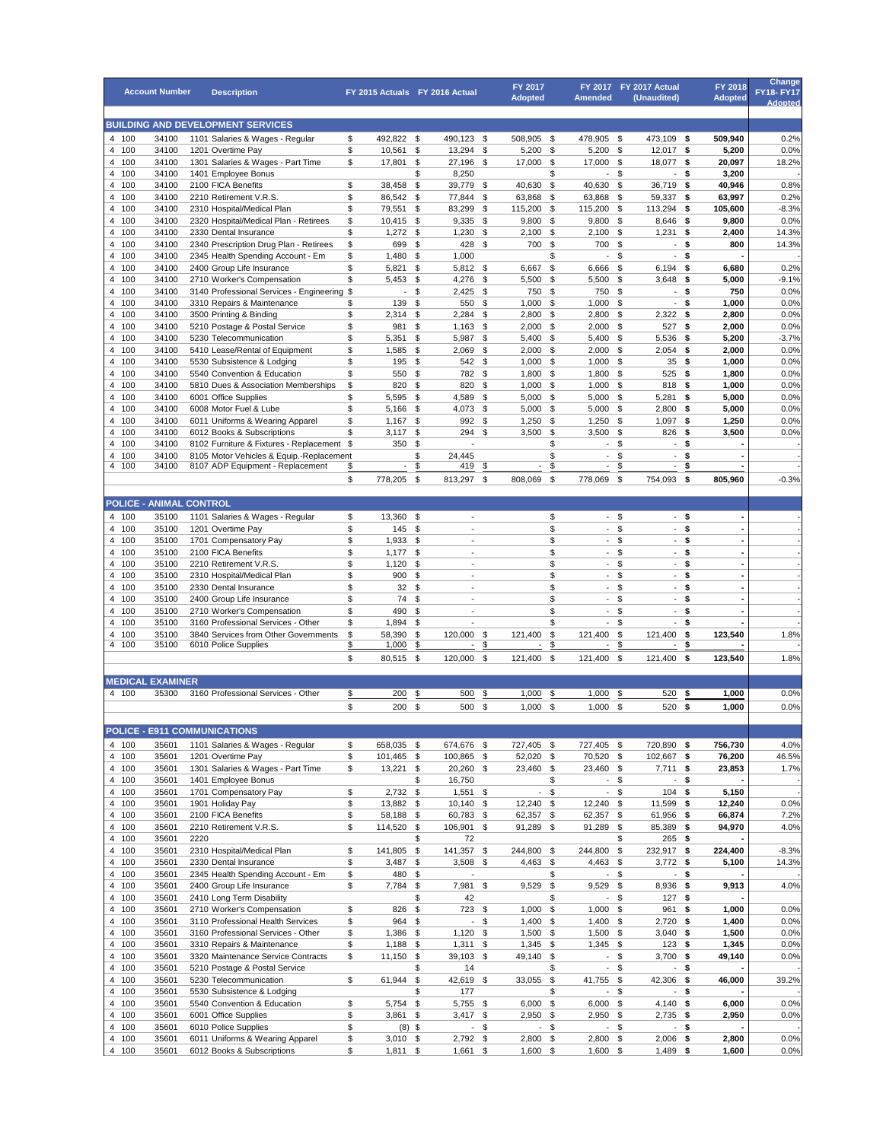|                | <b>Account Number</b>          | <b>Description</b>                                      |          | FY 2015 Actuals FY 2016 Actual |               |                          | <b>FY 2017</b><br><b>Adopted</b> |          | <b>Amended</b>           | FY 2017 FY 2017 Actual<br>(Unaudited)      |          | <b>FY 2018</b><br><b>Adopted</b> | Change<br><b>FY18-FY17</b><br><b>Adopted</b> |
|----------------|--------------------------------|---------------------------------------------------------|----------|--------------------------------|---------------|--------------------------|----------------------------------|----------|--------------------------|--------------------------------------------|----------|----------------------------------|----------------------------------------------|
|                |                                | <b>BUILDING AND DEVELOPMENT SERVICES</b>                |          |                                |               |                          |                                  |          |                          |                                            |          |                                  |                                              |
| 4 100          | 34100                          | 1101 Salaries & Wages - Regular                         | \$       | 492,822 \$                     |               | 490,123 \$               | 508,905 \$                       |          | 478,905                  | - \$<br>473,109 \$                         |          | 509,940                          | 0.2%                                         |
| 4 100          | 34100                          | 1201 Overtime Pay                                       | \$       | 10,561 \$                      |               | 13,294 \$                | 5,200                            | - \$     | 5,200                    | - \$<br>12,017 \$                          |          | 5,200                            | 0.0%                                         |
| 4 100          | 34100                          | 1301 Salaries & Wages - Part Time                       | \$       | 17,801 \$                      |               | 27,196 \$                | 17,000 \$                        |          | 17,000                   | - \$<br>18,077 \$                          |          | 20,097                           | 18.2%                                        |
| 4 100          | 34100                          | 1401 Employee Bonus                                     |          |                                | \$            | 8,250                    |                                  | \$       | $\blacksquare$           | \$                                         | - \$     | 3,200                            |                                              |
| 4 100          | 34100                          | 2100 FICA Benefits                                      | \$       | 38,458 \$                      |               | 39,779                   | \$<br>40,630                     | \$       | 40,630                   | \$<br>36,719                               | \$       | 40,946                           | 0.8%                                         |
| 100<br>4       | 34100                          | 2210 Retirement V.R.S.                                  | \$       | 86,542                         | \$<br>77,844  |                          | \$<br>63,868                     | \$       | 63,868                   | \$<br>59,337                               | \$       | 63,997                           | 0.2%                                         |
| 100<br>4       | 34100                          | 2310 Hospital/Medical Plan                              | \$       | 79,551                         | \$            | 83,299                   | \$<br>115,200                    | \$       | 115,200                  | \$<br>113,294                              | \$       | 105,600                          | $-8.3%$                                      |
| 4 100          | 34100                          | 2320 Hospital/Medical Plan - Retirees                   | \$       | 10,415 \$                      |               | 9,335                    | \$<br>9,800                      | \$       | 9,800                    | \$<br>8,646 \$                             |          | 9,800                            | 0.0%                                         |
| 100<br>4       | 34100                          | 2330 Dental Insurance                                   | \$       | 1,272                          | \$            | 1,230                    | \$<br>2,100                      | \$       | 2,100                    | \$<br>1,231                                | \$       | 2,400                            | 14.3%                                        |
| 4 100          | 34100                          | 2340 Prescription Drug Plan - Retirees                  | \$       | 699                            | - \$          | 428 \$                   | 700                              | \$       | 700                      | \$<br>$\sim$                               | \$       | 800                              | 14.3%                                        |
| 4 100<br>100   | 34100<br>34100                 | 2345 Health Spending Account - Em                       | \$<br>\$ | 1,480<br>5,821                 | \$            | 1,000<br>5,812 \$        |                                  | \$       | $\blacksquare$           | \$<br>$\mathcal{L}_{\mathcal{A}}$<br>6,194 | \$<br>\$ | 6,680                            | 0.2%                                         |
| 4<br>4<br>100  | 34100                          | 2400 Group Life Insurance<br>2710 Worker's Compensation | \$       | 5,453                          | \$<br>\$      | 4,276                    | \$<br>6,667<br>5,500             | \$<br>\$ | 6,666<br>5,500           | \$<br>\$<br>3,648                          | \$       | 5,000                            | $-9.1%$                                      |
| 4 100          | 34100                          | 3140 Professional Services - Engineering \$             |          | ÷,                             | \$            | 2,425                    | \$<br>750                        | \$       | 750                      | \$<br>$\sim$                               | \$       | 750                              | 0.0%                                         |
| 4 100          | 34100                          | 3310 Repairs & Maintenance                              | \$       | 139                            | \$            | 550                      | \$<br>1,000                      | \$       | 1,000                    | \$<br>$\sim$                               | \$       | 1,000                            | 0.0%                                         |
| 100<br>4       | 34100                          | 3500 Printing & Binding                                 | \$       | 2,314                          | \$            | 2,284                    | \$<br>2,800                      | \$       | 2,800                    | 2,322<br>\$                                | \$       | 2,800                            | 0.0%                                         |
| 100<br>4       | 34100                          | 5210 Postage & Postal Service                           | \$       | 981                            | \$            | 1,163                    | \$<br>2,000                      | \$       | 2,000                    | \$<br>527                                  | \$       | 2,000                            | 0.0%                                         |
| 4 100          | 34100                          | 5230 Telecommunication                                  | \$       | 5,351                          | \$            | 5,987                    | \$<br>5,400                      | \$       | 5,400                    | \$<br>$5,536$ \$                           |          | 5,200                            | $-3.7%$                                      |
| 4 100          | 34100                          | 5410 Lease/Rental of Equipment                          | \$       | 1,585                          | \$            | 2,069                    | \$<br>2,000                      | \$       | 2,000                    | -\$<br>2,054                               | \$       | 2,000                            | 0.0%                                         |
| 100<br>4       | 34100                          | 5530 Subsistence & Lodging                              | \$       | 195                            | \$            | 542                      | \$<br>1,000                      | - \$     | 1,000                    | \$<br>35                                   | \$       | 1,000                            | 0.0%                                         |
| 4 100          | 34100                          | 5540 Convention & Education                             | \$       | 550                            | \$            | 782                      | \$<br>1,800                      | \$       | 1,800                    | \$<br>525                                  | \$       | 1,800                            | 0.0%                                         |
| 4 100          | 34100                          | 5810 Dues & Association Memberships                     | \$       | 820                            | \$            | 820                      | \$<br>1,000                      | \$       | 1,000                    | \$<br>818 \$                               |          | 1,000                            | 0.0%                                         |
| 100<br>4       | 34100                          | 6001 Office Supplies                                    | \$       | 5,595                          | -\$           | 4,589                    | \$<br>5,000                      | \$       | 5,000                    | \$<br>5,281                                | \$       | 5,000                            | 0.0%                                         |
| 100<br>4       | 34100                          | 6008 Motor Fuel & Lube                                  | \$       | 5,166                          | -\$           | 4,073                    | \$<br>5,000                      | \$       | 5,000                    | \$<br>2,800                                | \$       | 5,000                            | 0.0%                                         |
| 4 100          | 34100                          | 6011 Uniforms & Wearing Apparel                         | \$       | 1,167                          | \$            | 992                      | \$<br>1,250                      | \$       | 1,250                    | \$<br>1,097                                | \$       | 1,250                            | 0.0%                                         |
| 4 100          | 34100                          | 6012 Books & Subscriptions                              | \$       | $3,117$ \$                     |               | 294                      | \$<br>3,500                      | \$       | $3,500$ \$               | 826 \$                                     |          | 3,500                            | 0.0%                                         |
| 4 100          | 34100                          | 8102 Furniture & Fixtures - Replacement \$              |          | 350                            | \$            | $\overline{\phantom{a}}$ |                                  | \$       | $\mathbf{r}$             | \$<br>$\sim$                               | \$       | $\blacksquare$                   |                                              |
| 100<br>4       | 34100                          | 8105 Motor Vehicles & Equip.-Replacement                |          |                                | \$<br>24,445  |                          |                                  | \$       | ÷.                       | \$<br>$\sim$                               | \$       |                                  |                                              |
| 4 100          | 34100                          | 8107 ADP Equipment - Replacement                        | \$       | $\overline{\phantom{a}}$       | \$            | 419                      | \$<br>$\overline{\phantom{a}}$   | \$       | $\centerdot$             | \$<br>$\overline{\phantom{a}}$             | \$       |                                  |                                              |
|                |                                |                                                         | \$       | 778,205 \$                     | 813,297       |                          | \$<br>808,069                    | \$       | 778,069                  | \$<br>754,093                              | \$       | 805,960                          | $-0.3%$                                      |
|                |                                |                                                         |          |                                |               |                          |                                  |          |                          |                                            |          |                                  |                                              |
|                | <b>POLICE - ANIMAL CONTROL</b> |                                                         |          |                                |               |                          |                                  |          |                          |                                            |          |                                  |                                              |
| 4 100          | 35100                          | 1101 Salaries & Wages - Regular                         | \$       | 13,360                         | - \$          | $\sim$                   |                                  | \$       |                          | - \$                                       | $-$ \$   | $\blacksquare$                   |                                              |
| 4 100          | 35100                          | 1201 Overtime Pay                                       | \$       | 145                            | \$            | $\overline{\phantom{a}}$ |                                  | \$       | $\blacksquare$           | \$<br>$\omega$                             | \$       |                                  |                                              |
| 4 100          | 35100                          | 1701 Compensatory Pay                                   | \$       | $1,933$ \$                     |               | ÷,                       |                                  | \$       | $\blacksquare$           | \$<br>$\blacksquare$                       | \$       | $\overline{\phantom{a}}$         |                                              |
| 4 100          | 35100                          | 2100 FICA Benefits                                      | \$       | 1,177                          | \$            | ÷.                       |                                  | \$       | ÷                        | \$<br>$\sim$                               | \$       | $\overline{\phantom{a}}$         |                                              |
| 4 100          | 35100                          | 2210 Retirement V.R.S.                                  | \$       | 1,120                          | -\$           |                          |                                  | \$       | ä,                       | \$<br>$\sim$                               | \$       |                                  |                                              |
| 4 100          | 35100                          | 2310 Hospital/Medical Plan                              | \$       | 900                            | \$            | $\sim$                   |                                  | \$       | ÷.                       | \$<br>$\sim$                               | \$       | $\blacksquare$                   |                                              |
| 100<br>4       | 35100                          | 2330 Dental Insurance                                   | \$       | 32                             | \$            | $\tilde{\phantom{a}}$    |                                  | \$       | ÷.                       | \$<br>$\blacksquare$                       | \$       |                                  |                                              |
| 4 100          | 35100                          | 2400 Group Life Insurance                               | \$       | 74                             | \$            | ÷.                       |                                  | \$       | ä,                       | \$<br>$\omega$ .                           | \$       | $\blacksquare$                   |                                              |
| 4 100          | 35100                          | 2710 Worker's Compensation                              | \$       | 490                            | \$            | ÷.                       |                                  | \$       | ÷.                       | \$<br>$\sim$                               | \$       | $\blacksquare$                   |                                              |
| 4 100          | 35100                          | 3160 Professional Services - Other                      | \$       | 1,894                          | \$            |                          |                                  | \$       | ÷.                       | \$<br>$\blacksquare$                       | \$       |                                  |                                              |
| 100<br>4       | 35100                          | 3840 Services from Other Governments                    | \$       | 58,390                         | \$<br>120,000 |                          | \$<br>121,400                    | \$       | 121,400                  | 121,400<br>\$                              | \$       | 123,540                          | 1.8%                                         |
| 4 100          | 35100                          | 6010 Police Supplies                                    | \$       | 1,000                          | \$            |                          | \$                               | \$       |                          | \$<br>-                                    | \$       |                                  |                                              |
|                |                                |                                                         | \$       | 80,515 \$                      | 120,000       |                          | \$<br>121,400                    | \$       | 121,400                  | 121,400<br>\$                              | \$       | 123,540                          | 1.8%                                         |
|                | <b>MEDICAL EXAMINER</b>        |                                                         |          |                                |               |                          |                                  |          |                          |                                            |          |                                  |                                              |
| 4 100          | 35300                          | 3160 Professional Services - Other                      |          | 200                            |               | 500                      |                                  |          |                          |                                            |          | 1,000                            | 0.0%                                         |
|                |                                |                                                         | \$       |                                | \$            |                          | \$<br>1,000                      | \$       | 1,000                    | 520<br>\$                                  | \$       |                                  |                                              |
|                |                                |                                                         | \$       | 200 \$                         |               | 500                      | \$<br>$1,000$ \$                 |          | 1,000                    | \$<br>520 \$                               |          | 1,000                            | 0.0%                                         |
|                |                                | <b>POLICE - E911 COMMUNICATIONS</b>                     |          |                                |               |                          |                                  |          |                          |                                            |          |                                  |                                              |
|                |                                | 1101 Salaries & Wages - Regular                         |          |                                |               |                          |                                  |          |                          |                                            |          |                                  |                                              |
| 4 100<br>4 100 | 35601<br>35601                 | 1201 Overtime Pay                                       | \$<br>\$ | 658,035 \$<br>101,465 \$       |               | 674,676 \$<br>100,865 \$ | 727,405 \$<br>52,020 \$          |          | 727,405 \$               | 720,890 \$<br>102,667 \$                   |          | 756,730<br>76,200                | 4.0%<br>46.5%                                |
| 4 100          | 35601                          | 1301 Salaries & Wages - Part Time                       | \$       | 13,221 \$                      |               | 20,260 \$                | 23,460 \$                        |          | 70,520 \$<br>23,460 \$   | $7,711$ \$                                 |          | 23,853                           | 1.7%                                         |
| 4 100          | 35601                          | 1401 Employee Bonus                                     |          |                                | \$<br>16,750  |                          |                                  | \$       |                          | - \$                                       | - \$     |                                  |                                              |
| 4 100          | 35601                          | 1701 Compensatory Pay                                   | \$       | 2,732 \$                       |               | $1,551$ \$               | $-$ \$                           |          |                          | $-$ \$<br>$104$ \$                         |          | 5,150                            |                                              |
| 4 100          | 35601                          | 1901 Holiday Pay                                        | \$       | 13,882 \$                      |               | 10,140 \$                | 12,240 \$                        |          | 12,240                   | -\$<br>11,599 \$                           |          | 12,240                           | 0.0%                                         |
| 4 100          | 35601                          | 2100 FICA Benefits                                      | \$       | 58,188 \$                      |               | 60,783 \$                | 62,357 \$                        |          | 62,357 \$                | 61,956 \$                                  |          | 66,874                           | 7.2%                                         |
| 4 100          | 35601                          | 2210 Retirement V.R.S.                                  | \$       | 114,520 \$                     | 106,901       |                          | \$<br>91,289 \$                  |          | 91,289 \$                | 85,389 \$                                  |          | 94,970                           | 4.0%                                         |
| 4 100          | 35601                          | 2220                                                    |          |                                | \$            | 72                       |                                  |          |                          | \$<br>265 \$                               |          |                                  |                                              |
| 4 100          | 35601                          | 2310 Hospital/Medical Plan                              | \$       | 141,805 \$                     |               | 141,357 \$               | 244,800 \$                       |          | 244,800                  | \$<br>232,917 \$                           |          | 224,400                          | $-8.3%$                                      |
| 4 100          | 35601                          | 2330 Dental Insurance                                   | \$       | 3,487 \$                       |               | $3,508$ \$               | $4,463$ \$                       |          | $4,463$ \$               | $3,772$ \$                                 |          | 5,100                            | 14.3%                                        |
| 4 100          | 35601                          | 2345 Health Spending Account - Em                       | \$       | 480 \$                         |               | $\blacksquare$           |                                  | \$       |                          | - \$                                       | - \$     |                                  |                                              |
| 4 100          | 35601                          | 2400 Group Life Insurance                               | \$       | 7,784 \$                       |               | 7,981                    | \$<br>9,529                      | \$       | $9,529$ \$               | 8,936 \$                                   |          | 9,913                            | 4.0%                                         |
| 4 100          | 35601                          | 2410 Long Term Disability                               |          |                                | \$            | 42                       |                                  | \$       | ÷.                       | \$<br>$127$ \$                             |          |                                  |                                              |
| 4 100          | 35601                          | 2710 Worker's Compensation                              | \$       | 826 \$                         |               | 723 \$                   | 1,000                            | \$       | $1,000$ \$               | 961 \$                                     |          | 1,000                            | 0.0%                                         |
| 4 100          | 35601                          | 3110 Professional Health Services                       | \$       | 964                            | \$            | $\sim$                   | \$<br>1,400                      | \$       | $1,400$ \$               | $2,720$ \$                                 |          | 1,400                            | 0.0%                                         |
| 4 100          | 35601                          | 3160 Professional Services - Other                      | \$       | 1,386                          | - \$          | $1,120$ \$               | 1,500                            | \$       | 1,500 \$                 | $3,040$ \$                                 |          | 1,500                            | 0.0%                                         |
| 4 100          | 35601                          | 3310 Repairs & Maintenance                              | \$       | 1,188 \$                       |               | $1,311$ \$               | $1,345$ \$                       |          | $1,345$ \$               | $123$ \$                                   |          | 1,345                            | 0.0%                                         |
| 4 100          | 35601                          | 3320 Maintenance Service Contracts                      | \$       | 11,150 \$                      |               | 39,103 \$                | 49,140 \$                        |          |                          | $-$ \$<br>$3,700$ \$                       |          | 49,140                           | 0.0%                                         |
| 4 100          | 35601                          | 5210 Postage & Postal Service                           |          |                                | \$            | 14                       |                                  | \$       | $\blacksquare$           | \$                                         | - \$     |                                  |                                              |
| 4 100          | 35601                          | 5230 Telecommunication                                  | \$       | 61,944 \$                      |               | 42,619 \$                | 33,055                           | \$       | 41,755 \$                | 42,306 \$                                  |          | 46,000                           | 39.2%                                        |
| 4 100          | 35601                          | 5530 Subsistence & Lodging                              |          |                                | \$            | 177                      |                                  | \$       | $\overline{\phantom{a}}$ | \$<br>$\sim$                               | \$       |                                  |                                              |
| 4 100          | 35601                          | 5540 Convention & Education                             | \$       | 5,754 \$                       |               | 5,755 \$                 | $6,000$ \$                       |          | $6,000$ \$               | $4,140$ \$                                 |          | 6,000                            | 0.0%                                         |
| 4 100          | 35601                          | 6001 Office Supplies                                    | \$       | 3,861 \$                       |               | $3,417$ \$               | $2,950$ \$                       |          | 2,950                    | $2,735$ \$<br>- \$                         |          | 2,950                            | 0.0%                                         |
| 4 100          | 35601                          | 6010 Police Supplies                                    | \$       | $(8)$ \$                       |               | $-$ \$                   | $-$ \$                           |          |                          | - \$                                       | - \$     |                                  |                                              |
| 4 100          | 35601                          | 6011 Uniforms & Wearing Apparel                         | \$       | $3,010$ \$                     |               | 2,792 \$                 | $2,800$ \$                       |          | $2,800$ \$               | $2,006$ \$                                 |          | 2,800                            | 0.0%                                         |
| 4 100          | 35601                          | 6012 Books & Subscriptions                              | \$       | 1,811 \$                       |               | 1,661 \$                 | $1,600$ \$                       |          | 1,600 \$                 | $1,489$ \$                                 |          | 1,600                            | 0.0%                                         |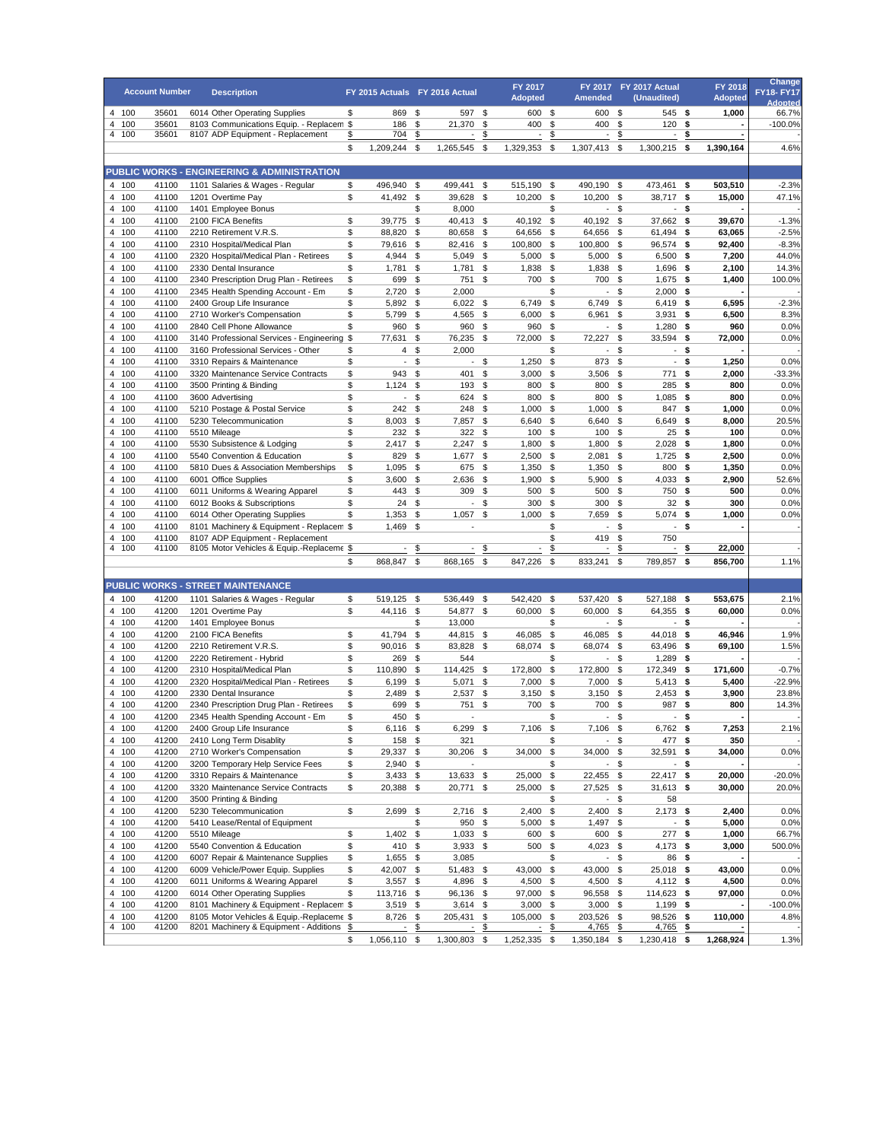|                | <b>Account Number</b> | <b>Description</b>                                                                     | FY 2015 Actuals FY 2016 Actual       |                    |                                        |           | FY 2017<br><b>Adopted</b>       | <b>Amended</b>                              |          | FY 2017 FY 2017 Actual<br>(Unaudited) | FY 2018<br><b>Adopted</b> |                | Change<br><b>FY18-FY17</b><br><b>Adopted</b> |
|----------------|-----------------------|----------------------------------------------------------------------------------------|--------------------------------------|--------------------|----------------------------------------|-----------|---------------------------------|---------------------------------------------|----------|---------------------------------------|---------------------------|----------------|----------------------------------------------|
| 4 100          | 35601                 | 6014 Other Operating Supplies                                                          | \$<br>869                            | - \$               | 597 \$                                 |           | 600 \$                          | 600 \$                                      |          | 545 \$                                |                           | 1,000          | 66.7%                                        |
| 4 100<br>4 100 | 35601<br>35601        | 8103 Communications Equip. - Replacem \$<br>8107 ADP Equipment - Replacement           | 186<br>\$<br>704                     | \$<br>\$           | 21,370                                 | \$<br>\$  | 400<br>$\overline{\phantom{a}}$ | \$<br>400<br>\$<br>$\overline{\phantom{a}}$ | \$<br>\$ | 120<br>$\overline{\phantom{a}}$       | -\$<br>\$                 |                | $-100.0%$                                    |
|                |                       |                                                                                        | \$<br>1,209,244 \$                   |                    | 1,265,545                              | \$        | 1,329,353                       | \$<br>1,307,413 \$                          |          | 1,300,215 \$                          | 1,390,164                 |                | 4.6%                                         |
|                |                       |                                                                                        |                                      |                    |                                        |           |                                 |                                             |          |                                       |                           |                |                                              |
|                |                       | <b>PUBLIC WORKS - ENGINEERING &amp; ADMINISTRATION</b>                                 |                                      |                    |                                        |           |                                 |                                             |          |                                       |                           |                |                                              |
| 4 100          | 41100                 | 1101 Salaries & Wages - Regular                                                        | 496,940<br>\$                        | \$                 | 499,441                                | \$        | 515,190                         | \$<br>490,190                               | \$       | 473,461                               | 503,510<br>-\$            |                | $-2.3%$                                      |
| 4 100          | 41100                 | 1201 Overtime Pay                                                                      | \$<br>41,492                         | $\mathbb{S}$       | 39,628 \$                              |           | 10,200                          | \$<br>10,200                                | \$       | 38,717 \$                             | 15,000                    |                | 47.1%                                        |
| 4 100<br>4 100 | 41100<br>41100        | 1401 Employee Bonus<br>2100 FICA Benefits                                              | \$<br>39,775                         | \$<br>-\$          | 8,000<br>40,413 \$                     |           | 40,192                          | \$<br>$\sim$<br>\$<br>40,192                | \$<br>\$ | - \$<br>37,662                        | 39,670<br>\$              |                | $-1.3%$                                      |
| 4 100          | 41100                 | 2210 Retirement V.R.S.                                                                 | \$<br>88,820                         | - \$               | 80,658                                 | -\$       | 64,656                          | \$<br>64,656                                | \$       | 61,494                                | \$<br>63,065              |                | $-2.5%$                                      |
| 4 100          | 41100                 | 2310 Hospital/Medical Plan                                                             | \$<br>79,616 \$                      |                    | 82,416 \$                              |           | 100,800                         | \$<br>100,800                               | \$       | 96,574                                | 92,400<br>\$              |                | $-8.3%$                                      |
| 4 100          | 41100                 | 2320 Hospital/Medical Plan - Retirees                                                  | \$<br>4,944                          | - \$               | 5,049                                  | - \$      | 5,000                           | \$<br>5,000                                 | \$       | 6,500<br>- \$                         |                           | 7,200          | 44.0%                                        |
| 4 100<br>4 100 | 41100<br>41100        | 2330 Dental Insurance<br>2340 Prescription Drug Plan - Retirees                        | \$<br>1,781<br>\$<br>699             | -\$<br>$\sqrt{2}$  | 1,781<br>751                           | \$<br>\$  | 1,838<br>700                    | \$<br>1,838<br>\$<br>700                    | \$<br>\$ | 1,696<br>1,675                        | \$<br>- \$                | 2,100<br>1,400 | 14.3%<br>100.0%                              |
| 4 100          | 41100                 | 2345 Health Spending Account - Em                                                      | \$<br>2,720                          | - \$               | 2,000                                  |           |                                 | \$<br>$\sim$                                | \$       | $2,000$ \$                            |                           |                |                                              |
| 4 100          | 41100                 | 2400 Group Life Insurance                                                              | \$<br>5,892                          | - \$               | $6,022$ \$                             |           | 6,749                           | \$<br>6,749                                 | \$       | $6,419$ \$                            |                           | 6,595          | $-2.3%$                                      |
| 4 100          | 41100                 | 2710 Worker's Compensation                                                             | \$<br>5,799                          | \$                 | 4,565                                  | \$        | 6,000                           | \$<br>6,961                                 | \$       | 3,931                                 | \$                        | 6,500          | 8.3%                                         |
| 4 100<br>4 100 | 41100<br>41100        | 2840 Cell Phone Allowance<br>3140 Professional Services - Engineering \$               | \$<br>960<br>77,631                  | -\$<br>-\$         | 960<br>76,235                          | \$<br>\$  | 960<br>72,000                   | \$<br>$\mathbf{r}$<br>\$<br>72,227          | \$<br>\$ | $1,280$ \$<br>33,594 \$               | 72,000                    | 960            | 0.0%<br>0.0%                                 |
| 4 100          | 41100                 | 3160 Professional Services - Other                                                     | \$<br>4                              | \$                 | 2,000                                  |           |                                 | \$<br>$\overline{\phantom{a}}$              | \$       | $\sim$                                | \$                        |                |                                              |
| 4 100          | 41100                 | 3310 Repairs & Maintenance                                                             | \$<br>$\sim$                         | -\$                |                                        | - \$      | 1,250                           | \$<br>873                                   | \$       | $\sim$                                | \$                        | 1,250          | 0.0%                                         |
| 4 100          | 41100                 | 3320 Maintenance Service Contracts                                                     | \$<br>943                            | \$                 | 401                                    | \$        | 3,000                           | \$<br>3,506                                 | \$       | 771                                   | \$                        | 2,000          | $-33.3%$                                     |
| 4 100          | 41100                 | 3500 Printing & Binding                                                                | \$<br>1,124<br>$\blacksquare$        | -\$                | 193                                    | \$        | 800                             | \$<br>800                                   | \$       | 285                                   | \$                        | 800            | 0.0%                                         |
| 4 100<br>4 100 | 41100<br>41100        | 3600 Advertising<br>5210 Postage & Postal Service                                      | \$<br>\$<br>242                      | \$<br>\$           | 624<br>248                             | -\$<br>\$ | 800<br>1,000                    | \$<br>800<br>\$<br>1,000                    | \$<br>\$ | 1,085<br>- \$<br>847                  | \$                        | 800<br>1,000   | 0.0%<br>0.0%                                 |
| 4 100          | 41100                 | 5230 Telecommunication                                                                 | \$<br>8,003                          | - \$               | 7,857                                  | -\$       | 6,640                           | \$<br>6,640                                 | \$       | 6,649 \$                              |                           | 8,000          | 20.5%                                        |
| 4 100          | 41100                 | 5510 Mileage                                                                           | \$<br>232                            | - \$               | 322                                    | -\$       | 100                             | \$<br>100                                   | \$       | $25$ \$                               |                           | 100            | 0.0%                                         |
| 4 100          | 41100                 | 5530 Subsistence & Lodging                                                             | \$<br>2,417                          | - \$               | 2,247                                  | -\$       | 1,800                           | \$<br>1,800                                 | \$       | $2,028$ \$                            |                           | 1,800          | 0.0%                                         |
| 4 100<br>4 100 | 41100<br>41100        | 5540 Convention & Education<br>5810 Dues & Association Memberships                     | \$<br>829<br>\$<br>1,095             | \$<br>\$           | 1,677<br>675                           | \$<br>\$  | 2,500<br>1,350                  | \$<br>2,081<br>\$<br>1,350                  | \$<br>\$ | $1,725$ \$<br>800                     | \$                        | 2,500<br>1,350 | 0.0%<br>0.0%                                 |
| 4 100          | 41100                 | 6001 Office Supplies                                                                   | \$<br>3,600                          | $\sqrt{2}$         | 2,636                                  | \$        | 1,900                           | \$<br>5,900                                 | \$       | 4,033                                 | -\$                       | 2,900          | 52.6%                                        |
| 4 100          | 41100                 | 6011 Uniforms & Wearing Apparel                                                        | \$<br>443                            | \$                 | 309                                    | \$        | 500                             | \$<br>500                                   | \$       | 750                                   | - \$                      | 500            | 0.0%                                         |
| 4 100          | 41100                 | 6012 Books & Subscriptions                                                             | \$<br>24                             | \$                 | $\blacksquare$                         | \$        | 300                             | \$<br>300                                   | \$       | 32 \$                                 |                           | 300            | 0.0%                                         |
| 4 100<br>4 100 | 41100<br>41100        | 6014 Other Operating Supplies<br>8101 Machinery & Equipment - Replacem \$              | \$<br>1,353<br>1,469                 | \$<br>\$           | 1,057<br>ä,                            | \$        | 1,000                           | \$<br>7,659<br>\$                           | \$<br>\$ | $5,074$ \$<br>$\sim$                  | \$                        | 1,000          | 0.0%                                         |
| 4 100          | 41100                 | 8107 ADP Equipment - Replacement                                                       |                                      |                    |                                        |           |                                 | \$<br>419                                   | \$       | 750                                   |                           |                |                                              |
| 4 100          | 41100                 | 8105 Motor Vehicles & Equip.-Replaceme \$                                              | $\blacksquare$                       | \$                 | $\overline{\phantom{a}}$               | \$        | ÷,                              | \$                                          | \$       |                                       | 22,000<br>\$              |                |                                              |
|                |                       |                                                                                        | \$<br>868,847 \$                     |                    | 868,165                                | \$        | 847,226                         | \$<br>833,241                               | \$       | 789,857                               | \$<br>856,700             |                | 1.1%                                         |
|                |                       | <b>PUBLIC WORKS - STREET MAINTENANCE</b>                                               |                                      |                    |                                        |           |                                 |                                             |          |                                       |                           |                |                                              |
| 4 100          | 41200                 | 1101 Salaries & Wages - Regular                                                        | \$<br>519,125                        | - \$               | 536,449 \$                             |           | 542,420 \$                      | 537,420                                     | \$       | 527,188 \$                            | 553,675                   |                | 2.1%                                         |
| 4 100          | 41200                 | 1201 Overtime Pay                                                                      | \$<br>44,116 \$                      |                    | 54,877 \$                              |           | 60,000 \$                       | 60,000                                      | \$       | 64,355 \$                             | 60,000                    |                | 0.0%                                         |
| 4 100          | 41200                 | 1401 Employee Bonus                                                                    |                                      | \$                 | 13,000                                 |           |                                 | \$<br>$\blacksquare$                        | \$       | - \$                                  |                           |                |                                              |
| 4 100<br>4 100 | 41200<br>41200        | 2100 FICA Benefits<br>2210 Retirement V.R.S.                                           | 41,794<br>\$<br>\$<br>90,016         | $\sqrt{2}$<br>- \$ | 44,815 \$<br>83,828                    | \$        | 46,085 \$<br>68,074             | 46,085<br>\$<br>68,074                      | \$<br>\$ | 44,018 \$<br>63,496 \$                | 46,946<br>69,100          |                | 1.9%<br>1.5%                                 |
| 4 100          | 41200                 | 2220 Retirement - Hybrid                                                               | \$<br>269                            | \$                 | 544                                    |           |                                 | \$<br>ä,                                    | \$       | $1,289$ \$                            |                           |                |                                              |
| 4 100          | 41200                 | 2310 Hospital/Medical Plan                                                             | \$<br>110,890                        | \$                 | 114,425                                | -\$       | 172,800                         | \$<br>172,800                               | \$       | 172,349                               | -\$<br>171.600            |                | $-0.7%$                                      |
| 4 100          | 41200                 | 2320 Hospital/Medical Plan - Retirees                                                  | \$<br>6,199                          | -\$                | 5,071                                  | \$        | 7,000                           | \$<br>7,000                                 | \$       | $5,413$ \$                            |                           | 5,400          | $-22.9%$                                     |
| 4 100<br>4 100 | 41200<br>41200        | 2330 Dental Insurance<br>2340 Prescription Drug Plan - Retirees                        | \$<br>2,489<br>\$<br>699             | \$<br>\$           | 2,537<br>751                           | \$<br>\$  | 3,150<br>700                    | \$<br>3,150<br>\$<br>700                    | \$<br>\$ | $2,453$ \$<br>987                     | \$                        | 3,900<br>800   | 23.8%<br>14.3%                               |
| 4 100          | 41200                 | 2345 Health Spending Account - Em                                                      | \$<br>450                            | <b>S</b>           | ÷,                                     |           |                                 | \$<br>$\sim$                                | S        | $\sim$                                | \$                        |                |                                              |
| 4 100          | 41200                 | 2400 Group Life Insurance                                                              | \$<br>$6,116$ \$                     |                    | 6,299 \$                               |           | 7,106 \$                        | 7,106 \$                                    |          | $6,762$ \$                            |                           | 7,253          | 2.1%                                         |
| 4 100          | 41200                 | 2410 Long Term Disablity                                                               | \$<br>158 \$                         |                    | 321                                    |           |                                 | \$<br>$\blacksquare$                        | \$       | 477 \$                                |                           | 350            |                                              |
| 4 100<br>4 100 | 41200<br>41200        | 2710 Worker's Compensation<br>3200 Temporary Help Service Fees                         | \$<br>29,337 \$<br>\$<br>2,940 \$    |                    | 30,206 \$<br>$\blacksquare$            |           | 34,000                          | \$<br>34,000 \$<br>\$<br>$\sim$             | \$       | 32,591 \$<br>- \$                     | 34,000                    |                | 0.0%                                         |
| 4 100          | 41200                 | 3310 Repairs & Maintenance                                                             | $3,433$ \$<br>\$                     |                    | 13,633 \$                              |           | 25,000                          | \$<br>22,455 \$                             |          | 22,417 \$                             | 20,000                    |                | $-20.0%$                                     |
| 4 100          | 41200                 | 3320 Maintenance Service Contracts                                                     | \$<br>20,388 \$                      |                    | 20,771 \$                              |           | 25,000                          | \$<br>27,525 \$                             |          | 31,613 \$                             | 30,000                    |                | 20.0%                                        |
| 4 100          | 41200                 | 3500 Printing & Binding                                                                |                                      |                    |                                        |           |                                 | \$<br>$\blacksquare$                        | \$       | 58                                    |                           |                |                                              |
| 4 100<br>4 100 | 41200<br>41200        | 5230 Telecommunication<br>5410 Lease/Rental of Equipment                               | \$<br>2,699 \$                       | \$                 | 2,716 \$<br>950 \$                     |           | 2,400<br>5,000                  | \$<br>2,400 \$<br>\$<br>1,497 \$            |          | $2,173$ \$<br>- \$                    |                           | 2,400<br>5,000 | 0.0%<br>0.0%                                 |
| 4 100          | 41200                 | 5510 Mileage                                                                           | \$<br>$1,402$ \$                     |                    | $1,033$ \$                             |           | 600 \$                          | 600 \$                                      |          | $277$ \$                              |                           | 1,000          | 66.7%                                        |
| 4 100          | 41200                 | 5540 Convention & Education                                                            | \$<br>410 \$                         |                    | $3,933$ \$                             |           | 500 \$                          | $4,023$ \$                                  |          | 4,173 \$                              |                           | 3,000          | 500.0%                                       |
| 4 100          | 41200                 | 6007 Repair & Maintenance Supplies                                                     | \$<br>1,655 \$                       |                    | 3,085                                  |           |                                 | \$                                          | - \$     | 86 \$                                 |                           |                |                                              |
| 4 100<br>4 100 | 41200<br>41200        | 6009 Vehicle/Power Equip. Supplies<br>6011 Uniforms & Wearing Apparel                  | \$<br>42,007 \$<br>\$<br>$3,557$ \$  |                    | 51,483 \$<br>4,896 \$                  |           | 43,000<br>4,500                 | \$<br>43,000 \$<br>\$<br>4,500 \$           |          | 25,018 \$<br>$4,112$ \$               | 43,000                    | 4,500          | 0.0%<br>0.0%                                 |
| 4 100          | 41200                 | 6014 Other Operating Supplies                                                          | \$<br>113,716 \$                     |                    | 96,136 \$                              |           | 97,000 \$                       | 96,558 \$                                   |          | 114,623 \$                            | 97,000                    |                | 0.0%                                         |
| 4 100          | 41200                 | 8101 Machinery & Equipment - Replacem \$                                               | $3,519$ \$                           |                    | $3,614$ \$                             |           | $3,000$ \$                      | $3,000$ \$                                  |          | $1,199$ \$                            |                           |                | $-100.0%$                                    |
| 4 100<br>4 100 | 41200<br>41200        | 8105 Motor Vehicles & Equip.-Replaceme \$<br>8201 Machinery & Equipment - Additions \$ | 8,726 \$<br>$\overline{\phantom{a}}$ | \$                 | 205,431 \$<br>$\overline{\phantom{a}}$ | \$        | 105,000 \$                      | 203,526 \$<br>4,765<br>\$                   | \$       | 98,526 \$<br>$4,765$ \$               | 110,000                   |                | 4.8%                                         |
|                |                       |                                                                                        | 1,056,110 \$<br>\$                   |                    | 1,300,803 \$                           |           | 1,252,335 \$                    | 1,350,184 \$                                |          | 1,230,418 \$                          | 1,268,924                 |                | 1.3%                                         |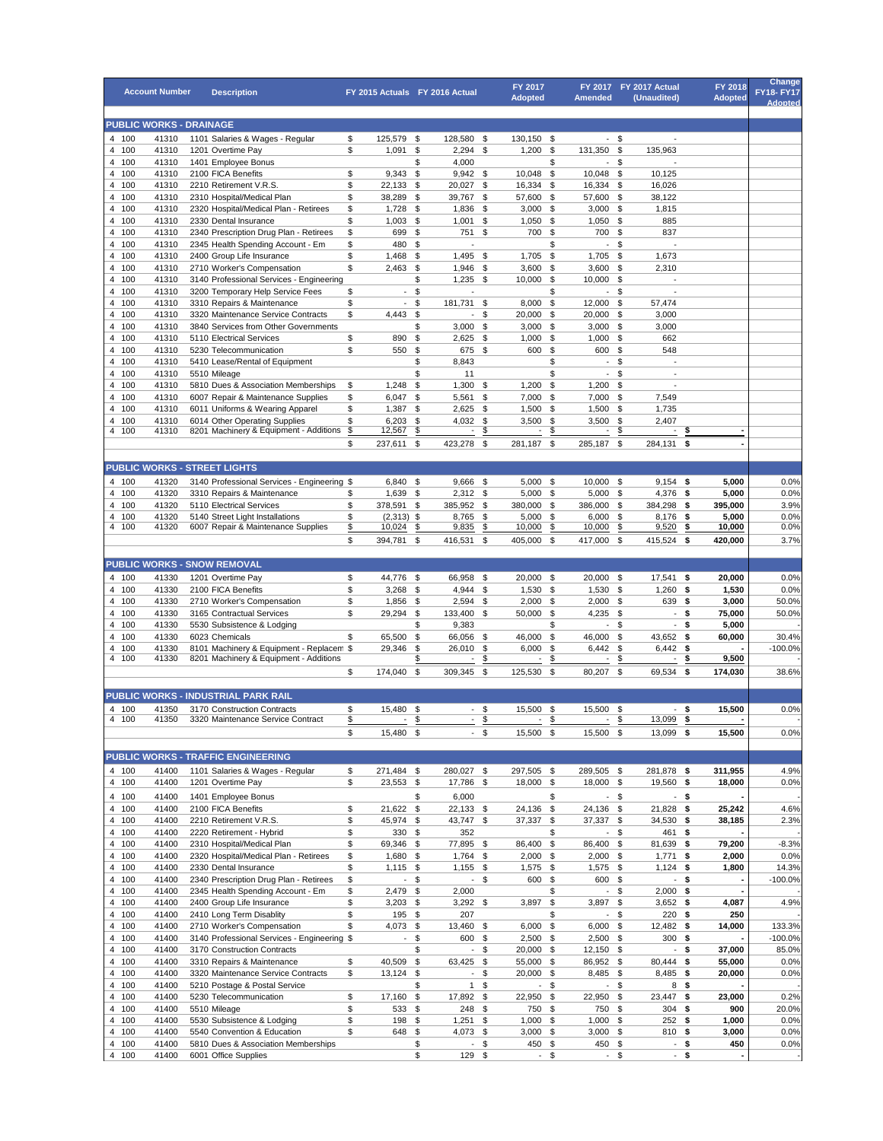|                | <b>Account Number</b> | <b>Description</b>                                                                 |               |                        | FY 2015 Actuals FY 2016 Actual |              | FY 2017<br><b>Adopted</b> | <b>Amended</b>               |          | FY 2017 FY 2017 Actual<br>(Unaudited)  |           | FY 2018<br><b>Adopted</b> | Change<br>FY18-FY17<br><b>Adopted</b> |
|----------------|-----------------------|------------------------------------------------------------------------------------|---------------|------------------------|--------------------------------|--------------|---------------------------|------------------------------|----------|----------------------------------------|-----------|---------------------------|---------------------------------------|
|                |                       | <b>PUBLIC WORKS - DRAINAGE</b>                                                     |               |                        |                                |              |                           |                              |          |                                        |           |                           |                                       |
| 4 100          | 41310                 | 1101 Salaries & Wages - Regular                                                    | \$            | 125,579 \$             | 128,580 \$                     |              | 130,150 \$                |                              | $-$ \$   | $\sim$                                 |           |                           |                                       |
| 4 100          | 41310                 | 1201 Overtime Pay                                                                  | \$            | 1,091                  | \$<br>2,294 \$                 |              | $1,200$ \$                | 131,350 \$                   |          | 135,963                                |           |                           |                                       |
| 4 100          | 41310                 | 1401 Employee Bonus                                                                |               |                        | \$<br>4,000                    |              |                           | \$<br>÷.                     | \$       |                                        |           |                           |                                       |
| 4 100          | 41310                 | 2100 FICA Benefits                                                                 | \$            | 9,343                  | \$<br>$9,942$ \$               |              | 10,048                    | \$<br>10,048                 | -\$      | 10,125                                 |           |                           |                                       |
| 4 100<br>4 100 | 41310<br>41310        | 2210 Retirement V.R.S.<br>2310 Hospital/Medical Plan                               | \$<br>\$      | 22,133 \$<br>38,289    | 20,027<br>-\$<br>39,767        | \$<br>\$     | 16,334<br>57,600          | \$<br>16,334<br>\$<br>57,600 | \$<br>\$ | 16,026<br>38,122                       |           |                           |                                       |
| 4 100          | 41310                 | 2320 Hospital/Medical Plan - Retirees                                              | \$            | 1,728                  | \$<br>1,836                    | \$           | 3,000                     | \$<br>3,000                  | \$       | 1,815                                  |           |                           |                                       |
| 4 100          | 41310                 | 2330 Dental Insurance                                                              | \$            | 1,003                  | \$<br>1,001                    | \$           | 1,050                     | \$<br>1,050                  | \$       | 885                                    |           |                           |                                       |
| 4 100          | 41310                 | 2340 Prescription Drug Plan - Retirees                                             | \$            | 699                    | - \$<br>751                    | \$           | 700                       | \$<br>700                    | \$       | 837                                    |           |                           |                                       |
| 4 100          | 41310                 | 2345 Health Spending Account - Em                                                  | \$            | 480                    | - \$<br>÷.                     |              |                           | \$<br>$\blacksquare$         | -\$      | $\sim$                                 |           |                           |                                       |
| 4 100          | 41310                 | 2400 Group Life Insurance                                                          | \$            | 1,468                  | \$<br>1,495                    | \$           | 1,705                     | \$<br>1,705                  | \$       | 1,673                                  |           |                           |                                       |
| 4 100          | 41310                 | 2710 Worker's Compensation                                                         | \$            | 2,463                  | -\$<br>1,946                   | \$           | 3,600                     | \$<br>3,600                  | \$       | 2,310                                  |           |                           |                                       |
| 4 100          | 41310                 | 3140 Professional Services - Engineering                                           |               | $\omega$               | \$<br>1,235                    | \$           | 10,000                    | \$<br>10,000<br>ä,           | \$       | ÷.                                     |           |                           |                                       |
| 4 100<br>4 100 | 41310<br>41310        | 3200 Temporary Help Service Fees<br>3310 Repairs & Maintenance                     | \$<br>\$      | ÷,                     | \$<br>\$<br>181,731            | \$           | 8,000                     | \$<br>\$<br>12,000           | \$<br>\$ | 57,474                                 |           |                           |                                       |
| 4 100          | 41310                 | 3320 Maintenance Service Contracts                                                 | \$            | 4,443                  | \$<br>$\sim$                   | \$           | 20,000                    | \$<br>20,000                 | \$       | 3,000                                  |           |                           |                                       |
| 4 100          | 41310                 | 3840 Services from Other Governments                                               |               |                        | \$<br>3,000                    | \$           | 3,000                     | \$<br>3,000                  | \$       | 3,000                                  |           |                           |                                       |
| 4 100          | 41310                 | 5110 Electrical Services                                                           | \$            | 890                    | \$<br>2,625                    | \$           | 1,000                     | \$<br>1,000                  | -\$      | 662                                    |           |                           |                                       |
| 4 100          | 41310                 | 5230 Telecommunication                                                             | \$            | 550                    | \$<br>675                      | \$           | 600                       | \$<br>600                    | \$       | 548                                    |           |                           |                                       |
| 4 100          | 41310                 | 5410 Lease/Rental of Equipment                                                     |               |                        | \$<br>8,843                    |              |                           | \$<br>$\blacksquare$         | \$       | $\sim$                                 |           |                           |                                       |
| 4 100          | 41310                 | 5510 Mileage                                                                       |               |                        | \$<br>11                       |              |                           | \$<br>$\blacksquare$         | \$       | ÷,                                     |           |                           |                                       |
| 4 100          | 41310                 | 5810 Dues & Association Memberships                                                | \$            | 1,248                  | \$<br>1,300                    | \$           | 1,200                     | \$<br>1,200                  | \$       | ä,                                     |           |                           |                                       |
| 4 100<br>4 100 | 41310<br>41310        | 6007 Repair & Maintenance Supplies<br>6011 Uniforms & Wearing Apparel              | \$<br>\$      | 6,047<br>1,387         | \$<br>5,561<br>\$<br>2,625     | \$<br>\$     | 7,000                     | \$<br>7,000<br>\$<br>1,500   | \$<br>\$ | 7,549                                  |           |                           |                                       |
| 4 100          | 41310                 | 6014 Other Operating Supplies                                                      | \$            | 6,203                  | \$<br>4,032                    | \$           | 1,500<br>3,500            | -\$<br>3,500                 | \$       | 1,735<br>2,407                         |           |                           |                                       |
| 4 100          | 41310                 | 8201 Machinery & Equipment - Additions                                             | $\frac{3}{2}$ | 12,567                 | \$<br>$\overline{a}$           | \$           | ۰                         | \$<br>٠                      | \$       | $\equiv$                               | \$        |                           |                                       |
|                |                       |                                                                                    | \$            | 237,611 \$             | 423,278 \$                     |              | 281,187 \$                | 285,187 \$                   |          | 284,131                                | \$        |                           |                                       |
|                |                       |                                                                                    |               |                        |                                |              |                           |                              |          |                                        |           |                           |                                       |
|                |                       | <b>PUBLIC WORKS - STREET LIGHTS</b>                                                |               |                        |                                |              |                           |                              |          |                                        |           |                           |                                       |
| 4 100          | 41320                 | 3140 Professional Services - Engineering \$                                        |               | 6,840 \$               | $9,666$ \$                     |              | 5,000                     | -\$<br>10,000                | \$       | $9,154$ \$                             |           | 5,000                     | 0.0%                                  |
| 4 100          | 41320                 | 3310 Repairs & Maintenance                                                         | \$            | 1,639                  | -\$<br>$2,312$ \$              |              | 5,000                     | \$<br>5,000                  | \$       | 4,376 \$                               |           | 5,000                     | 0.0%                                  |
| 4 100          | 41320                 | 5110 Electrical Services                                                           | \$            | 378,591 \$             | 385,952 \$                     |              | 380,000                   | -\$<br>386,000 \$            |          | 384,298 \$                             |           | 395,000                   | 3.9%                                  |
| 4 100<br>4 100 | 41320<br>41320        | 5140 Street Light Installations<br>6007 Repair & Maintenance Supplies              | \$<br>\$      | $(2,313)$ \$<br>10,024 | 8,765<br>\$<br>9,835           | \$<br>\$     | 5,000<br>10,000           | \$<br>6,000<br>\$<br>10,000  | \$<br>\$ | 8,176<br>9,520                         | -\$<br>\$ | 5,000<br>10,000           | 0.0%<br>0.0%                          |
|                |                       |                                                                                    | \$            | 394,781 \$             | 416,531                        | \$           | 405,000                   | \$<br>417,000                | - \$     | 415,524                                | \$        | 420,000                   | 3.7%                                  |
|                |                       |                                                                                    |               |                        |                                |              |                           |                              |          |                                        |           |                           |                                       |
|                |                       | <b>PUBLIC WORKS - SNOW REMOVAL</b>                                                 |               |                        |                                |              |                           |                              |          |                                        |           |                           |                                       |
| 4 100          | 41330                 | 1201 Overtime Pay                                                                  | \$            | 44,776 \$              | 66,958 \$                      |              | 20,000 \$                 | 20,000                       | -\$      | 17,541                                 | -\$       | 20,000                    | 0.0%                                  |
| 4 100          | 41330                 | 2100 FICA Benefits                                                                 | \$            | 3,268                  | \$<br>4,944                    | \$           | 1,530                     | \$<br>1,530                  | \$       | $1,260$ \$                             |           | 1,530                     | 0.0%                                  |
| 4 100          | 41330                 | 2710 Worker's Compensation                                                         | \$            | 1,856                  | \$<br>2,594                    | \$           | 2,000                     | \$<br>2,000                  | \$       | 639                                    | - \$      | 3,000                     | 50.0%                                 |
| 4 100          | 41330                 | 3165 Contractual Services                                                          | \$            | 29,294 \$              | 133,400 \$                     |              | 50,000                    | 4,235<br>\$                  | - \$     | $\sim$                                 | \$        | 75,000                    | 50.0%                                 |
| 4 100          | 41330                 | 5530 Subsistence & Lodging                                                         |               |                        | \$<br>9,383                    |              |                           | \$<br>÷.                     | \$       | ÷.                                     | \$        | 5,000                     |                                       |
| 4 100          | 41330                 | 6023 Chemicals                                                                     | \$            | 65,500 \$              | 66,056                         | \$           | 46,000                    | -\$<br>46,000                | \$       | 43,652 \$                              |           | 60,000                    | 30.4%<br>$-100.0%$                    |
| 4 100<br>4 100 | 41330<br>41330        | 8101 Machinery & Equipment - Replacem \$<br>8201 Machinery & Equipment - Additions |               | 29,346 \$              | 26,010<br>÷,<br>S              | \$<br>\$     | 6,000                     | 6,442<br>\$<br>\$            | \$<br>\$ | $6,442$ \$<br>$\overline{\phantom{a}}$ | \$        | 9,500                     |                                       |
|                |                       |                                                                                    | \$            | 174,040 \$             | 309,345 \$                     |              | 125,530 \$                | 80,207 \$                    |          | 69,534 \$                              |           | 174,030                   | 38.6%                                 |
|                |                       |                                                                                    |               |                        |                                |              |                           |                              |          |                                        |           |                           |                                       |
|                |                       | PUBLIC WORKS - INDUSTRIAL PARK RAIL                                                |               |                        |                                |              |                           |                              |          |                                        |           |                           |                                       |
| 4 100          | 41350                 | 3170 Construction Contracts                                                        | \$            | 15.480 \$              |                                | - \$         | 15.500 \$                 | 15,500 \$                    |          | - \$                                   |           | 15,500                    | 0.0%                                  |
| 4 100          | 41350                 | 3320 Maintenance Service Contract                                                  | \$            | $\blacksquare$         | $\omega$<br>\$                 | \$           |                           | \$                           | \$       | 13,099                                 | - \$      |                           |                                       |
|                |                       |                                                                                    | \$            | 15,480 \$              |                                | $-$ \$       | 15,500 \$                 | 15,500 \$                    |          | 13,099 \$                              |           | 15,500                    | 0.0%                                  |
|                |                       |                                                                                    |               |                        |                                |              |                           |                              |          |                                        |           |                           |                                       |
| 4 100          | 41400                 | PUBLIC WORKS - TRAFFIC ENGINEERING<br>1101 Salaries & Wages - Regular              |               | 271,484 \$             | 280,027 \$                     |              |                           |                              |          |                                        |           | 311,955                   | 4.9%                                  |
| 4 100          | 41400                 | 1201 Overtime Pay                                                                  | \$<br>\$      | 23,553 \$              | 17,786 \$                      |              | 297,505 \$<br>18,000 \$   | 289,505 \$<br>18,000 \$      |          | 281,878 \$<br>19,560 \$                |           | 18,000                    | 0.0%                                  |
| 4 100          | 41400                 | 1401 Employee Bonus                                                                |               |                        | \$<br>6,000                    |              |                           | \$                           | $-$ \$   | - \$                                   |           |                           |                                       |
| 4 100          | 41400                 | 2100 FICA Benefits                                                                 | \$            | 21,622 \$              | 22,133 \$                      |              | 24,136 \$                 | 24,136 \$                    |          | 21,828 \$                              |           | 25,242                    | 4.6%                                  |
| 4 100          | 41400                 | 2210 Retirement V.R.S.                                                             | \$            | 45,974 \$              | 43,747 \$                      |              | 37,337                    | \$<br>37,337 \$              |          | 34,530 \$                              |           | 38,185                    | 2.3%                                  |
| 4 100          | 41400                 | 2220 Retirement - Hybrid                                                           | \$            | 330 \$                 | 352                            |              |                           | \$                           | $-$ \$   | 461 \$                                 |           |                           |                                       |
| 4 100          | 41400                 | 2310 Hospital/Medical Plan                                                         | \$            | 69,346 \$              | 77,895 \$                      |              | 86,400 \$                 | 86,400 \$                    |          | 81,639 \$                              |           | 79,200                    | $-8.3%$                               |
| 4 100          | 41400                 | 2320 Hospital/Medical Plan - Retirees                                              | \$            | 1,680 \$               | $1,764$ \$                     |              | $2,000$ \$                | $2,000$ \$                   |          | $1,771$ \$                             |           | 2,000                     | 0.0%                                  |
| 4 100          | 41400                 | 2330 Dental Insurance                                                              | \$            | $1,115$ \$             | $1,155$ \$                     |              | $1,575$ \$                | 1,575 \$                     |          | $1,124$ \$                             |           | 1,800                     | 14.3%                                 |
| 4 100          | 41400                 | 2340 Prescription Drug Plan - Retirees                                             | \$            | $-$ \$                 |                                | $-$ \$       | 600 \$                    | 600 \$                       |          | - \$                                   |           | $\overline{\phantom{a}}$  | $-100.0%$                             |
| 4 100          | 41400                 | 2345 Health Spending Account - Em                                                  | \$            | 2,479 \$               | 2,000                          |              |                           | \$                           | $-$ \$   | $2,000$ \$                             |           |                           |                                       |
| 4 100<br>4 100 | 41400<br>41400        | 2400 Group Life Insurance<br>2410 Long Term Disablity                              | \$<br>\$      | $3,203$ \$<br>195 \$   | $3,292$ \$<br>207              |              | 3,897                     | \$<br>3,897 \$<br>\$         | - \$     | $3,652$ \$<br>$220$ \$                 |           | 4,087<br>250              | 4.9%                                  |
| 4 100          | 41400                 | 2710 Worker's Compensation                                                         | \$            | 4,073 \$               | 13,460 \$                      |              | 6,000                     | \$<br>$6,000$ \$             |          | 12,482 \$                              |           | 14,000                    | 133.3%                                |
| 4 100          | 41400                 | 3140 Professional Services - Engineering \$                                        |               | $-$ \$                 | 600 \$                         |              | $2,500$ \$                | $2,500$ \$                   |          | $300*$                                 |           | $\overline{\phantom{a}}$  | $-100.0%$                             |
| 4 100          | 41400                 | 3170 Construction Contracts                                                        |               |                        | \$                             | \$<br>$\sim$ | 20,000 \$                 | $12,150$ \$                  |          | $-$ \$                                 |           | 37,000                    | 85.0%                                 |
| 4 100          | 41400                 | 3310 Repairs & Maintenance                                                         | \$            | 40,509 \$              | 63,425 \$                      |              | 55,000 \$                 | 86,952 \$                    |          | 80,444 \$                              |           | 55,000                    | 0.0%                                  |
| 4 100          | 41400                 | 3320 Maintenance Service Contracts                                                 | \$            | 13,124 \$              |                                | $-$ \$       | 20,000 \$                 | 8,485 \$                     |          | 8,485 \$                               |           | 20,000                    | 0.0%                                  |
| 4 100          | 41400                 | 5210 Postage & Postal Service                                                      |               |                        | \$<br>1                        | \$           | $-$ \$                    |                              | - \$     | 8\$                                    |           |                           |                                       |
| 4 100          | 41400                 | 5230 Telecommunication                                                             | \$            | 17,160 \$              | 17,892                         | \$           | 22,950 \$                 | 22,950 \$                    |          | 23,447 \$                              |           | 23,000                    | 0.2%                                  |
| 4 100<br>4 100 | 41400<br>41400        | 5510 Mileage<br>5530 Subsistence & Lodging                                         | \$<br>\$      | 533 \$<br>198 \$       | 248 \$<br>$1,251$ \$           |              | 750 \$<br>1,000           | 750 \$<br>$1,000$ \$<br>-\$  |          | $304$ \$<br>$252$ \$                   |           | 900<br>1,000              | 20.0%<br>0.0%                         |
| 4 100          | 41400                 | 5540 Convention & Education                                                        | \$            | 648 \$                 | 4,073 \$                       |              | $3,000$ \$                | $3,000$ \$                   |          | 810 \$                                 |           | 3,000                     | 0.0%                                  |
| 4 100          | 41400                 | 5810 Dues & Association Memberships                                                |               |                        | \$                             | $-$ \$       | 450 \$                    | 450 \$                       |          | $-$ \$                                 |           | 450                       | 0.0%                                  |
| 4 100          | 41400                 | 6001 Office Supplies                                                               |               |                        | \$<br>129 \$                   |              |                           | $-$ \$                       | $-$ \$   | - \$                                   |           |                           |                                       |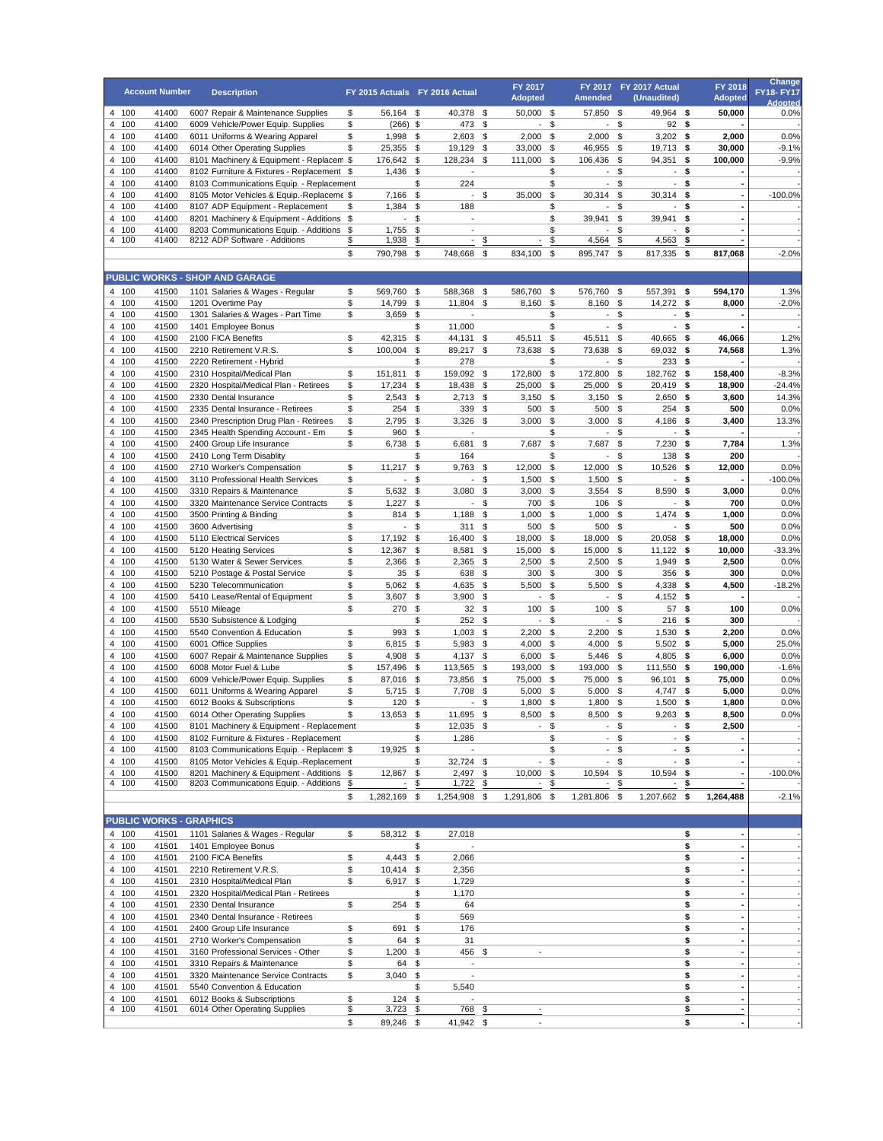|                | <b>Account Number</b> | <b>Description</b>                                                                    |                               | FY 2015 Actuals FY 2016 Actual |            | FY 2017<br><b>Adopted</b> | <b>Amended</b>                 | FY 2017 FY 2017 Actual<br>(Unaudited)       | FY 2018<br><b>Adopted</b>              | Change<br><b>FY18-FY17</b><br><b>Adopted</b> |
|----------------|-----------------------|---------------------------------------------------------------------------------------|-------------------------------|--------------------------------|------------|---------------------------|--------------------------------|---------------------------------------------|----------------------------------------|----------------------------------------------|
| 4 100          | 41400                 | 6007 Repair & Maintenance Supplies                                                    | \$<br>56,164 \$               | 40,378 \$                      |            | 50,000 \$                 | 57,850 \$                      | 49,964 \$                                   | 50,000                                 | 0.0%                                         |
| 4 100          | 41400                 | 6009 Vehicle/Power Equip. Supplies                                                    | \$<br>$(266)$ \$              | 473 \$                         |            | $-$ \$                    | $\blacksquare$                 | \$<br>92\$                                  |                                        |                                              |
| 4 100          | 41400                 | 6011 Uniforms & Wearing Apparel                                                       | \$<br>1,998                   | 2,603<br>- \$                  | - \$       | $2,000$ \$                | 2,000                          | $3,202$ \$<br>\$                            | 2,000                                  | 0.0%                                         |
| 4 100          | 41400                 | 6014 Other Operating Supplies                                                         | \$<br>25,355                  | \$<br>19,129                   | -\$        | 33,000                    | \$<br>46,955                   | 19,713 \$<br>- \$                           | 30,000                                 | $-9.1%$                                      |
| 4 100          | 41400                 | 8101 Machinery & Equipment - Replacem \$                                              | 176,642 \$                    | 128,234                        | \$         | 111,000                   | \$<br>106,436                  | \$<br>94,351 \$                             | 100,000                                | $-9.9%$                                      |
| 4 100<br>4 100 | 41400<br>41400        | 8102 Furniture & Fixtures - Replacement \$                                            | 1,436                         | $\mathbf{s}$<br>\$<br>224      |            |                           | \$<br>\$<br>÷.                 | \$<br>$\sim$<br>$\mathcal{L}_{\mathcal{A}}$ | \$<br>\$                               |                                              |
| 4 100          | 41400                 | 8103 Communications Equip. - Replacement<br>8105 Motor Vehicles & Equip.-Replaceme \$ | 7,166                         | \$<br>$\overline{\phantom{a}}$ | \$         | 35,000                    | \$<br>30,314                   | \$<br>\$<br>30,314                          | \$<br>÷                                | $-100.0%$                                    |
| 4 100          | 41400                 | 8107 ADP Equipment - Replacement                                                      | 1,384 \$<br>\$                | 188                            |            |                           | \$<br>$\overline{\phantom{a}}$ | \$<br>$\sim$                                | \$                                     |                                              |
| 4 100          | 41400                 | 8201 Machinery & Equipment - Additions \$                                             | $\Box$                        | \$<br>÷,                       |            |                           | \$<br>39,941                   | \$<br>39,941                                | \$<br>÷                                |                                              |
| 4 100          | 41400                 | 8203 Communications Equip. - Additions \$                                             | 1,755                         | \$<br>÷,                       |            |                           | \$                             | \$<br>$\sim$                                | \$                                     |                                              |
| 4 100          | 41400                 | 8212 ADP Software - Additions                                                         | 1,938<br>\$                   | \$<br>$\overline{\phantom{a}}$ | \$         | $\overline{\phantom{a}}$  | \$<br>4,564                    | 4,563<br>\$                                 | \$                                     |                                              |
|                |                       |                                                                                       | \$<br>790,798 \$              | 748,668                        | - \$       | 834,100 \$                | 895,747                        | \$<br>817,335 \$                            | 817,068                                | $-2.0%$                                      |
|                |                       |                                                                                       |                               |                                |            |                           |                                |                                             |                                        |                                              |
|                |                       | <b>PUBLIC WORKS - SHOP AND GARAGE</b>                                                 |                               |                                |            |                           |                                |                                             |                                        |                                              |
| 4 100          | 41500                 | 1101 Salaries & Wages - Regular                                                       | 569,760<br>\$                 | \$<br>588,368                  | -\$        | 586,760                   | \$<br>576,760                  | 557,391 \$<br>\$                            | 594,170                                | 1.3%                                         |
| 4 100          | 41500                 | 1201 Overtime Pay                                                                     | \$<br>14,799                  | \$<br>11,804 \$                |            | 8,160                     | \$<br>8,160                    | \$<br>14,272 \$                             | 8,000                                  | $-2.0%$                                      |
| 4 100          | 41500                 | 1301 Salaries & Wages - Part Time                                                     | \$<br>3,659                   | \$                             |            |                           | \$<br>$\blacksquare$           | \$<br>$\sim$                                | \$                                     |                                              |
| 4 100          | 41500                 | 1401 Employee Bonus                                                                   |                               | \$<br>11,000                   |            |                           | \$<br>ä,                       | \$<br>$\omega_{\rm c}$                      | \$                                     |                                              |
| 4 100          | 41500                 | 2100 FICA Benefits                                                                    | \$<br>42,315                  | \$<br>44,131                   | -\$        | 45,511                    | \$<br>45,511                   | \$<br>40,665 \$                             | 46,066                                 | 1.2%                                         |
| 4 100          | 41500                 | 2210 Retirement V.R.S.                                                                | \$<br>100,004                 | \$<br>89,217                   | \$         | 73,638                    | \$<br>73,638                   | \$<br>69,032 \$                             | 74,568                                 | 1.3%                                         |
| 4 100          | 41500                 | 2220 Retirement - Hybrid                                                              |                               | \$<br>278                      |            |                           | \$<br>$\blacksquare$           | \$<br>233 \$                                |                                        |                                              |
| 4 100<br>4 100 | 41500<br>41500        | 2310 Hospital/Medical Plan<br>2320 Hospital/Medical Plan - Retirees                   | \$<br>151,811<br>\$<br>17,234 | \$<br>159,092<br>\$<br>18,438  | \$<br>\$   | 172,800<br>25,000         | \$<br>172,800<br>\$<br>25,000  | \$<br>182,762<br>\$<br>20,419 \$            | -\$<br>158,400<br>18,900               | $-8.3%$<br>$-24.4%$                          |
| 4 100          | 41500                 | 2330 Dental Insurance                                                                 | \$<br>2,543                   | \$<br>$2,713$ \$               |            | 3,150                     | \$<br>3,150                    | \$<br>$2,650$ \$                            | 3,600                                  | 14.3%                                        |
| 4 100          | 41500                 | 2335 Dental Insurance - Retirees                                                      | \$<br>254                     | \$<br>339                      | \$         | 500                       | \$<br>500                      | \$<br>$254$ \$                              | 500                                    | 0.0%                                         |
| 4 100          | 41500                 | 2340 Prescription Drug Plan - Retirees                                                | \$<br>2,795                   | - \$<br>3,326                  | \$         | 3,000                     | \$<br>3,000                    | \$<br>4,186 \$                              | 3,400                                  | 13.3%                                        |
| 4 100          | 41500                 | 2345 Health Spending Account - Em                                                     | \$<br>960                     | \$<br>$\sim$                   |            |                           | \$<br>$\blacksquare$           | \$<br>- \$                                  |                                        |                                              |
| 4 100          | 41500                 | 2400 Group Life Insurance                                                             | \$<br>6,738                   | \$<br>6,681                    | \$         | 7,687                     | \$<br>7,687                    | \$<br>7,230                                 | 7,784<br>\$                            | 1.3%                                         |
| 4 100          | 41500                 | 2410 Long Term Disablity                                                              |                               | \$<br>164                      |            |                           | \$<br>$\blacksquare$           | \$<br>138 \$                                | 200                                    |                                              |
| 4 100          | 41500                 | 2710 Worker's Compensation                                                            | \$<br>11,217                  | \$<br>9,763                    | - \$       | 12,000                    | \$<br>12,000                   | \$<br>10,526                                | -\$<br>12,000                          | 0.0%                                         |
| 4 100          | 41500                 | 3110 Professional Health Services                                                     | \$<br>÷,                      | \$<br>$\overline{\phantom{a}}$ | \$         | 1,500                     | \$<br>1,500                    | \$<br>$\sim$                                | \$                                     | $-100.0%$                                    |
| 4 100          | 41500                 | 3310 Repairs & Maintenance                                                            | \$<br>5,632                   | \$<br>3,080                    | -\$        | 3,000                     | \$<br>3,554                    | \$<br>8,590                                 | 3,000<br>\$                            | 0.0%                                         |
| 4 100          | 41500                 | 3320 Maintenance Service Contracts                                                    | \$<br>$1,227$ \$              | $\sim$                         | \$         | 700                       | \$<br>106                      | \$<br>$\sim$                                | \$<br>700                              | 0.0%                                         |
| 4 100          | 41500                 | 3500 Printing & Binding                                                               | \$<br>814                     | \$<br>1,188                    | \$         | 1,000                     | \$<br>1,000                    | 1,474<br>\$                                 | 1,000<br>\$                            | 0.0%                                         |
| 4 100          | 41500                 | 3600 Advertising                                                                      | \$<br>$\blacksquare$          | \$<br>311                      | -\$        | 500                       | \$<br>500                      | \$<br>$\sim$                                | 500<br>\$                              | 0.0%                                         |
| 4 100          | 41500                 | 5110 Electrical Services                                                              | \$<br>17,192 \$               | 16,400                         | \$         | 18,000                    | \$<br>18,000                   | \$<br>20,058 \$                             | 18,000                                 | 0.0%                                         |
| 4 100<br>4 100 | 41500<br>41500        | 5120 Heating Services                                                                 | \$<br>12,367 \$<br>\$         | 8,581                          | \$         | 15,000<br>2,500           | \$<br>15,000                   | \$<br>$11,122$ \$                           | 10,000<br>2,500                        | $-33.3%$<br>0.0%                             |
| 4 100          | 41500                 | 5130 Water & Sewer Services<br>5210 Postage & Postal Service                          | 2,366<br>\$<br>35             | - \$<br>2,365<br>- \$<br>638   | - \$<br>\$ | 300                       | \$<br>2,500<br>\$<br>300       | \$<br>$1,949$ \$<br>\$<br>356 \$            | 300                                    | 0.0%                                         |
| 4 100          | 41500                 | 5230 Telecommunication                                                                | \$<br>5,062                   | - \$<br>4,635                  | \$         | 5,500                     | \$<br>5,500                    | \$<br>4,338                                 | 4,500<br>- \$                          | $-18.2%$                                     |
| 4 100          | 41500                 | 5410 Lease/Rental of Equipment                                                        | \$<br>3,607                   | \$<br>3,900                    | \$         | ÷.                        | \$<br>÷,                       | \$<br>$4,152$ \$                            |                                        |                                              |
| 4 100          | 41500                 | 5510 Mileage                                                                          | \$<br>270                     | \$<br>32                       | \$         | 100                       | \$<br>100                      | \$<br>57                                    | \$<br>100                              | 0.0%                                         |
| 4 100          | 41500                 | 5530 Subsistence & Lodging                                                            |                               | \$<br>252                      | \$         | ä,                        | \$<br>ä,                       | \$<br>216                                   | 300<br>- \$                            |                                              |
| 4 100          | 41500                 | 5540 Convention & Education                                                           | \$<br>993                     | \$<br>1,003                    | \$         | $2,200$ \$                | 2,200                          | \$<br>1,530                                 | - \$<br>2,200                          | 0.0%                                         |
| 4 100          | 41500                 | 6001 Office Supplies                                                                  | \$<br>6,815 \$                | 5,983                          | -\$        | 4,000                     | \$<br>4,000                    | \$<br>$5,502$ \$                            | 5,000                                  | 25.0%                                        |
| 4 100          | 41500                 | 6007 Repair & Maintenance Supplies                                                    | \$<br>4,908                   | - \$<br>4,137 \$               |            | 6,000                     | \$<br>5,446                    | \$<br>$4,805$ \$                            | 6,000                                  | 0.0%                                         |
| 4 100          | 41500                 | 6008 Motor Fuel & Lube                                                                | \$<br>157,496                 | - \$<br>113,565                | \$         | 193,000                   | \$<br>193,000                  | \$<br>111,550                               | \$<br>190,000                          | $-1.6%$                                      |
| 4 100          | 41500                 | 6009 Vehicle/Power Equip. Supplies                                                    | \$<br>87,016                  | \$<br>73,856                   | \$         | 75,000                    | \$<br>75,000                   | \$<br>96,101                                | 75,000<br>\$                           | 0.0%                                         |
| 4 100          | 41500                 | 6011 Uniforms & Wearing Apparel                                                       | \$<br>5,715 \$                | 7,708                          | -\$        | 5,000                     | \$<br>5,000                    | \$<br>4,747                                 | 5,000<br>\$                            | 0.0%                                         |
| 4 100          | 41500                 | 6012 Books & Subscriptions                                                            | \$<br>120                     | - \$                           | \$         | 1,800                     | \$<br>1,800                    | \$<br>1,500                                 | 1,800<br>\$                            | 0.0%                                         |
| 4 100          | 41500                 | 6014 Other Operating Supplies                                                         | \$<br>13,653 \$               | 11,695 \$                      |            | 8,500                     | \$<br>8,500                    | -\$<br>$9,263$ \$                           | 8,500                                  | 0.0%                                         |
| 4 100<br>4 100 | 41500                 | 8101 Machinery & Equipment - Replacement<br>8102 Furniture & Fixtures - Replacement   |                               | \$<br>12,035 \$<br>1,286       |            | $\overline{\phantom{a}}$  | \$<br>$\sim$<br>\$<br>$\sim$   | -5<br>$\sim$<br>\$<br>- \$                  | \$.<br>2,500                           |                                              |
| 4 100          | 41500<br>41500        | 8103 Communications Equip. - Replacem \$                                              | 19,925 \$                     | \$                             |            |                           | \$<br>÷.                       | \$<br>- \$                                  |                                        |                                              |
| 4 100          | 41500                 | 8105 Motor Vehicles & Equip.-Replacement                                              |                               | 32,724 \$<br>\$                |            | ٠                         | \$<br>$\overline{\phantom{a}}$ | \$<br>- \$                                  |                                        |                                              |
| 4 100          | 41500                 | 8201 Machinery & Equipment - Additions \$                                             | 12,867                        | \$<br>$2,497$ \$               |            | 10,000                    | \$<br>10,594                   | 10,594 \$<br>\$                             | ٠                                      | $-100.0%$                                    |
| 4 100          | 41500                 | 8203 Communications Equip. - Additions \$                                             | $\sim$                        | \$<br>1,722                    | <u>\$</u>  | $\overline{\phantom{a}}$  | \$                             | \$<br>$\sim$                                | \$                                     |                                              |
|                |                       |                                                                                       | \$<br>1,282,169 \$            | 1,254,908 \$                   |            | 1,291,806 \$              | 1,281,806 \$                   | 1,207,662 \$                                | 1,264,488                              | $-2.1%$                                      |
|                |                       |                                                                                       |                               |                                |            |                           |                                |                                             |                                        |                                              |
|                |                       | <b>PUBLIC WORKS - GRAPHICS</b>                                                        |                               |                                |            |                           |                                |                                             |                                        |                                              |
| 4 100          | 41501                 | 1101 Salaries & Wages - Regular                                                       | \$<br>58,312 \$               | 27,018                         |            |                           |                                |                                             | \$<br>$\overline{\phantom{a}}$         |                                              |
| 4 100          | 41501                 | 1401 Employee Bonus                                                                   |                               | \$                             |            |                           |                                |                                             | \$                                     |                                              |
| 4 100          | 41501                 | 2100 FICA Benefits                                                                    | \$<br>$4,443$ \$              | 2,066                          |            |                           |                                |                                             | \$                                     |                                              |
| 4 100          | 41501                 | 2210 Retirement V.R.S.                                                                | \$<br>10,414 \$               | 2,356                          |            |                           |                                |                                             | \$                                     |                                              |
| 4 100          | 41501                 | 2310 Hospital/Medical Plan                                                            | \$<br>6,917 \$                | 1,729                          |            |                           |                                |                                             | \$<br>$\overline{\phantom{a}}$         |                                              |
| 4 100          | 41501                 | 2320 Hospital/Medical Plan - Retirees                                                 |                               | 1,170<br>\$                    |            |                           |                                |                                             | \$                                     |                                              |
| 4 100          | 41501                 | 2330 Dental Insurance                                                                 | \$<br>254                     | \$<br>64                       |            |                           |                                |                                             | \$<br>$\overline{\phantom{a}}$         |                                              |
| 4 100          | 41501                 | 2340 Dental Insurance - Retirees                                                      |                               | \$<br>569                      |            |                           |                                |                                             | \$<br>$\overline{a}$<br>$\blacksquare$ |                                              |
| 4 100<br>4 100 | 41501<br>41501        | 2400 Group Life Insurance<br>2710 Worker's Compensation                               | \$<br>691<br>\$<br>64 \$      | \$<br>176<br>31                |            |                           |                                |                                             | \$<br>\$<br>٠                          |                                              |
| 4 100          | 41501                 | 3160 Professional Services - Other                                                    | \$<br>$1,200$ \$              | 456 \$                         |            |                           |                                |                                             | \$                                     |                                              |
| 4 100          | 41501                 | 3310 Repairs & Maintenance                                                            | \$<br>64 \$                   | $\Box$                         |            |                           |                                |                                             | \$<br>$\blacksquare$                   |                                              |
| 4 100          | 41501                 | 3320 Maintenance Service Contracts                                                    | \$<br>$3,040$ \$              |                                |            |                           |                                |                                             | \$                                     |                                              |
| 4 100          | 41501                 | 5540 Convention & Education                                                           |                               | \$<br>5,540                    |            |                           |                                |                                             | \$                                     |                                              |
| 4 100          | 41501                 | 6012 Books & Subscriptions                                                            | \$<br>124                     | \$                             |            |                           |                                |                                             | \$<br>÷,                               |                                              |
| 4 100          | 41501                 | 6014 Other Operating Supplies                                                         | \$<br>3,723                   | 768<br>$\frac{3}{2}$           | \$         |                           |                                |                                             | \$                                     |                                              |
|                |                       |                                                                                       | \$<br>89,246 \$               | 41,942 \$                      |            | $\sim$                    |                                |                                             | \$                                     |                                              |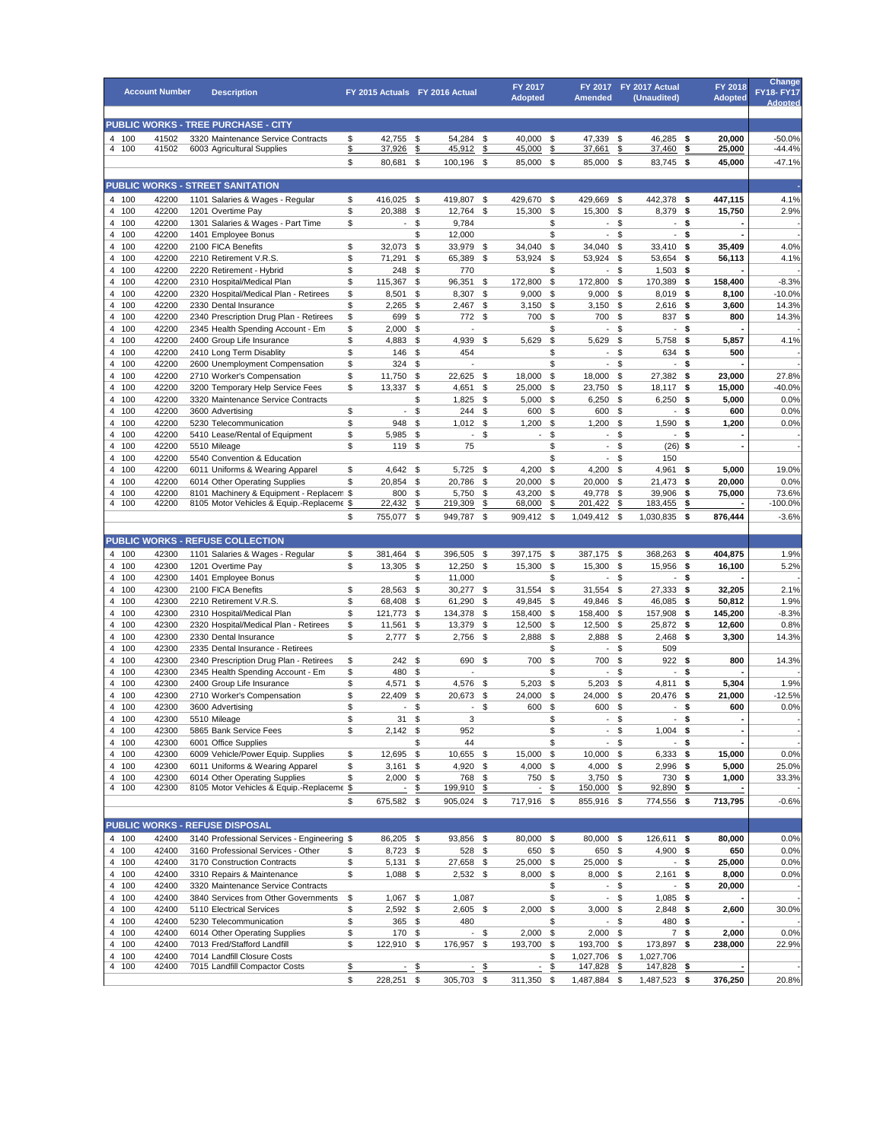|                | <b>Account Number</b> | <b>Description</b>                                                                    | FY 2015 Actuals FY 2016 Actual      |                                |                                   |               | FY 2017<br><b>Adopted</b> | <b>Amended</b>                           |           | FY 2017 FY 2017 Actual<br>(Unaudited) |           | FY 2018<br><b>Adopted</b> | Change<br><b>FY18-FY17</b><br><b>Adopted</b> |
|----------------|-----------------------|---------------------------------------------------------------------------------------|-------------------------------------|--------------------------------|-----------------------------------|---------------|---------------------------|------------------------------------------|-----------|---------------------------------------|-----------|---------------------------|----------------------------------------------|
|                |                       | PUBLIC WORKS - TREE PURCHASE - CITY                                                   |                                     |                                |                                   |               |                           |                                          |           |                                       |           |                           |                                              |
| 4 100          | 41502                 | 3320 Maintenance Service Contracts                                                    | \$<br>42,755 \$                     |                                | 54,284 \$                         |               | 40,000 \$                 | 47,339 \$                                |           | 46,285 \$                             |           | 20,000                    | $-50.0%$                                     |
| 4 100          | 41502                 | 6003 Agricultural Supplies                                                            | \$<br>37,926                        | \$                             | 45,912                            | \$            | 45,000                    | 37,661<br>\$                             | \$        | 37,460                                | \$        | 25,000                    | $-44.4%$                                     |
|                |                       |                                                                                       | \$<br>80,681 \$                     |                                | 100,196 \$                        |               | 85,000 \$                 | 85,000 \$                                |           | 83,745 \$                             |           | 45,000                    | $-47.1%$                                     |
|                |                       | <b>PUBLIC WORKS - STREET SANITATION</b>                                               |                                     |                                |                                   |               |                           |                                          |           |                                       |           |                           |                                              |
| 4 100          | 42200                 | 1101 Salaries & Wages - Regular                                                       | \$<br>416,025 \$                    |                                | 419,807 \$                        |               | 429,670 \$                | 429,669 \$                               |           | 442,378 \$                            |           | 447,115                   | 4.1%                                         |
| 4 100          | 42200                 | 1201 Overtime Pay                                                                     | \$<br>20,388 \$                     |                                | 12,764                            | \$            | 15,300                    | \$<br>15,300                             | \$        | 8,379 \$                              |           | 15,750                    | 2.9%                                         |
| 4 100<br>4 100 | 42200<br>42200        | 1301 Salaries & Wages - Part Time<br>1401 Employee Bonus                              | \$                                  | \$<br>÷.<br>\$                 | 9,784<br>12,000                   |               |                           | \$<br>÷,<br>\$<br>÷.                     | \$<br>\$  | $\sim$<br>$\sim$                      | \$<br>\$  |                           |                                              |
| 4 100          | 42200                 | 2100 FICA Benefits                                                                    | \$<br>32,073 \$                     |                                | 33,979 \$                         |               | 34,040                    | \$<br>34,040                             | \$        | 33,410 \$                             |           | 35,409                    | 4.0%                                         |
| 4 100          | 42200                 | 2210 Retirement V.R.S.                                                                | \$<br>71,291                        | - \$                           | 65,389                            | \$            | 53,924                    | \$<br>53,924 \$                          |           | 53,654 \$                             |           | 56,113                    | 4.1%                                         |
| 4 100<br>4 100 | 42200<br>42200        | 2220 Retirement - Hybrid<br>2310 Hospital/Medical Plan                                | \$<br>248<br>\$<br>115,367 \$       | - \$                           | 770<br>96,351                     | \$            | 172,800                   | \$<br>$\mathbf{r}$<br>\$<br>172,800      | \$<br>\$  | $1,503$ \$<br>170,389 \$              |           | 158.400                   | $-8.3%$                                      |
| 4 100          | 42200                 | 2320 Hospital/Medical Plan - Retirees                                                 | \$<br>8,501                         | \$                             | 8,307                             | \$            | 9,000                     | \$<br>9,000                              | \$        | 8,019 \$                              |           | 8,100                     | $-10.0%$                                     |
| 4 100          | 42200                 | 2330 Dental Insurance                                                                 | \$<br>2,265                         | - \$                           | 2,467                             | \$            | 3,150                     | \$<br>3,150                              | - \$      | $2,616$ \$                            |           | 3,600                     | 14.3%                                        |
| 4 100          | 42200                 | 2340 Prescription Drug Plan - Retirees                                                | \$<br>699                           | \$                             | 772                               | -\$           | 700                       | \$<br>700                                | \$        | 837 \$                                |           | 800                       | 14.3%                                        |
| 4 100<br>4 100 | 42200<br>42200        | 2345 Health Spending Account - Em<br>2400 Group Life Insurance                        | \$<br>2,000<br>\$<br>4,883          | -\$<br>- \$                    | $\overline{\phantom{a}}$<br>4,939 | \$            | 5,629                     | \$<br>$\sim$<br>\$<br>5,629              | \$<br>\$  | $\sim$<br>5,758                       | \$<br>\$  | 5,857                     | 4.1%                                         |
| 4 100          | 42200                 | 2410 Long Term Disablity                                                              | \$<br>146                           | \$                             | 454                               |               |                           | \$<br>$\sim$                             | \$        | 634 \$                                |           | 500                       |                                              |
| 4 100          | 42200                 | 2600 Unemployment Compensation                                                        | \$<br>324                           | \$                             |                                   |               |                           | \$<br>$\mathbf{r}$                       | \$        | - \$                                  |           |                           |                                              |
| 4 100          | 42200                 | 2710 Worker's Compensation                                                            | \$<br>11,750                        | \$                             | 22,625                            | - \$          | 18,000                    | \$<br>18,000                             | \$        | 27,382                                | \$        | 23,000                    | 27.8%                                        |
| 4 100<br>4 100 | 42200<br>42200        | 3200 Temporary Help Service Fees<br>3320 Maintenance Service Contracts                | \$<br>13,337                        | \$<br>\$                       | 4,651<br>1,825                    | \$<br>-\$     | 25,000<br>5,000           | \$<br>23,750<br>\$<br>6,250              | \$<br>\$  | 18.117<br>$6,250$ \$                  | \$        | 15,000<br>5,000           | $-40.0%$<br>0.0%                             |
| 4 100          | 42200                 | 3600 Advertising                                                                      | \$                                  | \$<br>$\blacksquare$           | 244                               | \$            | 600                       | \$<br>600                                | \$        | $\sim$                                | \$        | 600                       | 0.0%                                         |
| 4 100          | 42200                 | 5230 Telecommunication                                                                | \$<br>948                           | \$                             | $1,012$ \$                        |               | 1,200                     | \$<br>1,200                              | \$        | 1,590                                 | \$        | 1,200                     | 0.0%                                         |
| 4 100          | 42200                 | 5410 Lease/Rental of Equipment                                                        | \$<br>5,985                         | -\$                            | $\blacksquare$                    | \$            | ÷.                        | \$<br>$\omega$                           | \$        | $\omega_{\rm c}$                      | \$        |                           |                                              |
| 4 100<br>4 100 | 42200<br>42200        | 5510 Mileage<br>5540 Convention & Education                                           | \$<br>119                           | - \$                           | 75                                |               |                           | \$<br>$\sim$<br>\$<br>$\sim$             | \$<br>\$  | $(26)$ \$<br>150                      |           |                           |                                              |
| 4 100          | 42200                 | 6011 Uniforms & Wearing Apparel                                                       | \$<br>4,642 \$                      |                                | 5,725 \$                          |               | 4,200                     | \$<br>4,200                              | \$        | $4,961$ \$                            |           | 5,000                     | 19.0%                                        |
| 4 100          | 42200                 | 6014 Other Operating Supplies                                                         | 20,854<br>\$                        | \$                             | 20,786                            | \$            | 20,000                    | \$<br>20,000                             | \$        | 21,473 \$                             |           | 20,000                    | 0.0%                                         |
| 4 100<br>4 100 | 42200<br>42200        | 8101 Machinery & Equipment - Replacem \$<br>8105 Motor Vehicles & Equip.-Replaceme \$ | 800<br>22,432                       | \$<br>\$                       | 5,750<br>219,309                  | \$<br>\$      | 43,200<br>68,000          | \$<br>49,778<br>\$<br>201,422            | \$<br>S   | 39,906 \$<br>183,455                  | \$        | 75,000                    | 73.6%<br>$-100.0%$                           |
|                |                       |                                                                                       | 755,077 \$<br>\$                    |                                | 949,787 \$                        |               | 909,412 \$                | 1,049,412 \$                             |           | 1,030,835 \$                          |           | 876,444                   | $-3.6%$                                      |
|                |                       |                                                                                       |                                     |                                |                                   |               |                           |                                          |           |                                       |           |                           |                                              |
|                |                       |                                                                                       |                                     |                                |                                   |               |                           |                                          |           |                                       |           |                           |                                              |
|                |                       | PUBLIC WORKS - REFUSE COLLECTION                                                      |                                     |                                |                                   |               |                           |                                          |           |                                       |           |                           |                                              |
| 4 100          | 42300                 | 1101 Salaries & Wages - Regular                                                       | \$<br>381,464 \$                    |                                | 396,505 \$                        |               | 397,175 \$                | 387,175 \$                               |           | 368,263 \$                            |           | 404,875                   | 1.9%                                         |
| 4 100          | 42300                 | 1201 Overtime Pay                                                                     | \$<br>13,305 \$                     |                                | 12,250 \$                         |               | 15,300 \$                 | 15,300 \$<br>$\sim$                      |           | 15,956 \$<br>$\sim$                   |           | 16,100                    | 5.2%                                         |
| 4 100<br>4 100 | 42300<br>42300        | 1401 Employee Bonus<br>2100 FICA Benefits                                             | \$<br>28,563 \$                     | \$                             | 11,000<br>30,277 \$               |               | 31,554                    | \$<br>\$<br>31,554                       | \$<br>\$  | 27,333 \$                             | \$        | 32,205                    | 2.1%                                         |
| 4 100          | 42300                 | 2210 Retirement V.R.S.                                                                | \$<br>68,408                        | - \$                           | 61,290                            | \$            | 49,845                    | \$<br>49,846                             | \$        | 46,085 \$                             |           | 50,812                    | 1.9%                                         |
| 4 100          | 42300                 | 2310 Hospital/Medical Plan                                                            | \$<br>121,773 \$                    |                                | 134,378 \$                        |               | 158,400                   | \$<br>158,400                            | \$        | 157,908 \$                            |           | 145,200                   | $-8.3%$                                      |
| 4 100<br>4 100 | 42300<br>42300        | 2320 Hospital/Medical Plan - Retirees<br>2330 Dental Insurance                        | \$<br>11,561 \$<br>\$<br>$2,777$ \$ |                                | 13,379 \$<br>2,756                | \$            | 12,500<br>2,888           | \$<br>12,500<br>\$<br>2,888              | \$<br>-\$ | 25,872 \$<br>$2,468$ \$               |           | 12,600<br>3,300           | 0.8%<br>14.3%                                |
| 4 100          | 42300                 | 2335 Dental Insurance - Retirees                                                      |                                     |                                |                                   |               |                           | \$<br>$\sim$                             | \$        | 509                                   |           |                           |                                              |
| 4 100          | 42300                 | 2340 Prescription Drug Plan - Retirees                                                | \$                                  | 242 \$                         | 690                               | - \$          | 700                       | \$<br>700                                | \$        | $922$ \$                              |           | 800                       | 14.3%                                        |
| 4 100          | 42300                 | 2345 Health Spending Account - Em                                                     | \$<br>480                           | \$                             |                                   |               |                           | \$<br>÷.                                 | \$        | $\omega$                              | \$        |                           |                                              |
| 4 100<br>4 100 | 42300<br>42300        | 2400 Group Life Insurance<br>2710 Worker's Compensation                               | \$<br>4,571<br>\$<br>22.409         | \$<br>\$                       | 4,576 \$<br>20,673 \$             |               | 5,203<br>24,000           | \$<br>5,203<br>\$<br>24,000              | \$<br>\$  | 4,811 \$<br>20,476 \$                 |           | 5,304<br>21,000           | 1.9%<br>$-12.5%$                             |
| 4 100          | 42300                 | 3600 Advertisina                                                                      | \$                                  | \$                             |                                   | \$            | 600                       | \$<br>600                                | \$        | $\blacksquare$                        | \$        | 600                       | 0.0%                                         |
| 4 100          | 42300                 | 5510 Mileage                                                                          | \$<br>31                            | \$                             | 3                                 |               |                           | S<br>$\sim$                              | \$        | $\sim$                                | \$        |                           |                                              |
| 4 100          | 42300                 | 5865 Bank Service Fees                                                                | \$<br>$2,142$ \$                    |                                | 952                               |               |                           | \$                                       | - \$      | $1,004$ \$                            |           | $\overline{\phantom{a}}$  |                                              |
| 4 100<br>4 100 | 42300<br>42300        | 6001 Office Supplies<br>6009 Vehicle/Power Equip. Supplies                            | \$<br>12,695 \$                     | \$                             | 44<br>10,655 \$                   |               | 15,000                    | \$<br>ä,<br>\$<br>10,000 \$              | \$        | - \$<br>$6,333$ \$                    |           | 15,000                    | 0.0%                                         |
| 4 100          | 42300                 | 6011 Uniforms & Wearing Apparel                                                       | \$<br>$3,161$ \$                    |                                | 4,920 \$                          |               | 4,000                     | \$<br>$4,000$ \$                         |           | $2,996$ \$                            |           | 5,000                     | 25.0%                                        |
| 4 100          | 42300                 | 6014 Other Operating Supplies                                                         | \$<br>$2,000$ \$                    |                                | 768 \$                            |               | 750 \$                    | $3,750$ \$                               |           | 730 \$                                |           | 1,000                     | 33.3%                                        |
| 4 100          | 42300                 | 8105 Motor Vehicles & Equip.-Replaceme \$                                             |                                     | $\overline{\phantom{a}}$<br>\$ | 199,910                           | $\frac{1}{2}$ |                           | 150,000<br>\$                            | \$        | 92,890                                | <u>\$</u> |                           |                                              |
|                |                       |                                                                                       | \$<br>675,582 \$                    |                                | 905,024 \$                        |               | 717,916                   | \$<br>855,916 \$                         |           | 774,556 \$                            |           | 713,795                   | $-0.6%$                                      |
|                |                       | PUBLIC WORKS - REFUSE DISPOSAL                                                        |                                     |                                |                                   |               |                           |                                          |           |                                       |           |                           |                                              |
| 4 100          | 42400                 | 3140 Professional Services - Engineering \$                                           | 86,205 \$                           |                                | 93,856 \$                         |               | 80,000 \$                 | 80,000 \$                                |           | 126,611 \$                            |           | 80,000                    | 0.0%                                         |
| 4 100          | 42400                 | 3160 Professional Services - Other                                                    | \$<br>8,723 \$                      |                                | 528 \$                            |               | 650 \$                    | 650 \$                                   |           | 4,900 \$                              |           | 650                       | 0.0%                                         |
| 4 100<br>4 100 | 42400<br>42400        | 3170 Construction Contracts<br>3310 Repairs & Maintenance                             | \$<br>$5,131$ \$<br>\$<br>1,088 \$  |                                | 27,658 \$<br>$2,532$ \$           |               | 25,000 \$<br>8,000        | 25,000 \$<br>\$<br>8,000 \$              |           | - \$<br>$2,161$ \$                    |           | 25,000<br>8,000           | 0.0%<br>0.0%                                 |
| 4 100          | 42400                 | 3320 Maintenance Service Contracts                                                    |                                     |                                |                                   |               |                           | \$                                       | - \$      | $\mathcal{L}_{\mathcal{A}}$           | \$        | 20,000                    |                                              |
| 4 100          | 42400                 | 3840 Services from Other Governments                                                  | \$<br>$1,067$ \$                    |                                | 1,087                             |               |                           | \$<br>÷.                                 | \$        | $1,085$ \$                            |           |                           |                                              |
| 4 100          | 42400                 | 5110 Electrical Services                                                              | \$<br>2,592 \$                      |                                | $2,605$ \$                        |               | 2,000                     | \$<br>$3,000$ \$                         |           | $2,848$ \$                            |           | 2,600                     | 30.0%                                        |
| 4 100<br>4 100 | 42400<br>42400        | 5230 Telecommunication<br>6014 Other Operating Supplies                               | \$<br>\$                            | 365 \$<br>170 \$               | 480                               | $-$ \$        | 2,000                     | \$<br>$\blacksquare$<br>\$<br>$2,000$ \$ | \$        | 480 \$<br>7\$                         |           | 2,000                     | 0.0%                                         |
| 4 100          | 42400                 | 7013 Fred/Stafford Landfill                                                           | \$<br>122,910 \$                    |                                | 176,957 \$                        |               | 193,700                   | \$<br>193,700                            | \$        | 173,897 \$                            |           | 238,000                   | 22.9%                                        |
| 4 100<br>4 100 | 42400<br>42400        | 7014 Landfill Closure Costs<br>7015 Landfill Compactor Costs                          | $$\mathbb{S}$$                      | $\frac{3}{2}$<br>٠             | $\overline{\phantom{a}}$          | \$            |                           | \$<br>1,027,706<br>\$<br>147,828         | \$<br>\$  | 1,027,706<br>147,828                  | -\$       |                           |                                              |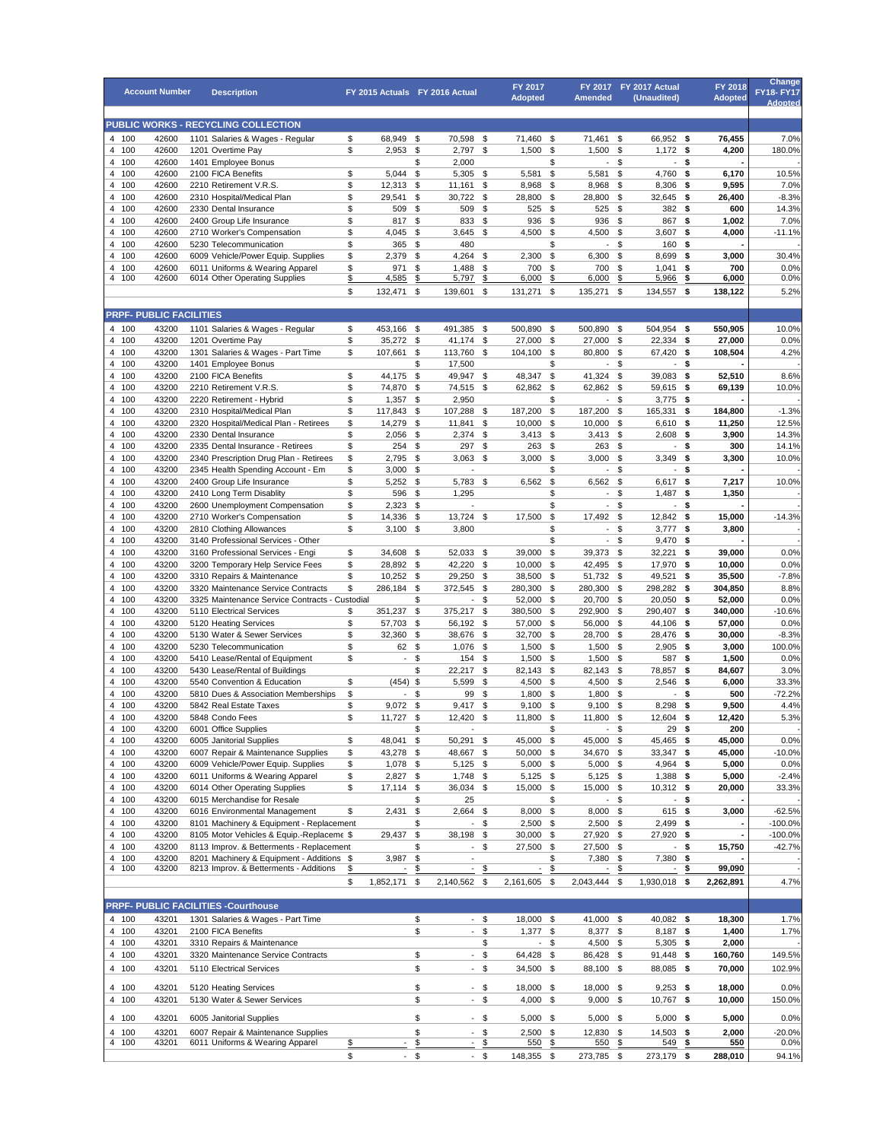|                                | <b>Account Number</b> | <b>Description</b>                                                                    | FY 2015 Actuals FY 2016 Actual            |                                      |                                | FY 2017<br><b>Adopted</b> | <b>Amended</b>                        | FY 2017 FY 2017 Actual<br>(Unaudited) | FY 2018<br><b>Adopted</b> | Change<br><b>FY18-FY17</b> |
|--------------------------------|-----------------------|---------------------------------------------------------------------------------------|-------------------------------------------|--------------------------------------|--------------------------------|---------------------------|---------------------------------------|---------------------------------------|---------------------------|----------------------------|
|                                |                       |                                                                                       |                                           |                                      |                                |                           |                                       |                                       |                           | <b>Adopted</b>             |
|                                |                       | PUBLIC WORKS - RECYCLING COLLECTION                                                   |                                           |                                      |                                |                           |                                       |                                       |                           |                            |
| 4 100<br>4 100                 | 42600<br>42600        | 1101 Salaries & Wages - Regular<br>1201 Overtime Pay                                  | \$<br>68,949<br>\$<br>$2,953$ \$          | \$<br>70,598 \$<br>2,797             | \$                             | 71,460 \$<br>1,500        | 71,461 \$<br>\$<br>1,500              | 66,952 \$<br>\$<br>$1,172$ \$         | 76,455<br>4,200           | 7.0%<br>180.0%             |
| 4 100                          | 42600                 | 1401 Employee Bonus                                                                   |                                           | \$<br>2,000                          |                                |                           | \$<br>ä,                              | \$<br>$\sim$                          | \$                        |                            |
| 4 100                          | 42600                 | 2100 FICA Benefits                                                                    | \$<br>5,044                               | \$<br>5,305                          | - \$                           | 5,581                     | \$<br>5,581                           | \$<br>4,760                           | 6,170<br>\$               | 10.5%                      |
| 4 100                          | 42600                 | 2210 Retirement V.R.S.                                                                | \$<br>12,313                              | \$<br>11,161                         | \$                             | 8,968                     | \$<br>8,968                           | \$<br>8,306                           | 9,595<br>-\$              | 7.0%                       |
| 4 100                          | 42600                 | 2310 Hospital/Medical Plan                                                            | \$<br>29,541                              | \$<br>30,722                         | - \$                           | 28,800                    | \$<br>28,800                          | \$<br>32,645 \$                       | 26,400                    | $-8.3%$                    |
| 4 100<br>4 100                 | 42600<br>42600        | 2330 Dental Insurance<br>2400 Group Life Insurance                                    | \$<br>509<br>\$<br>817                    | \$<br>509<br>\$<br>833               | \$<br>\$                       | 525<br>936                | \$<br>525<br>\$<br>936                | \$<br>382<br>-\$<br>867               | 600<br>\$<br>1,002<br>\$  | 14.3%<br>7.0%              |
| 4 100                          | 42600                 | 2710 Worker's Compensation                                                            | \$<br>4,045                               | 3,645<br>-\$                         | \$                             | 4,500                     | \$<br>4,500                           | \$<br>3,607                           | \$<br>4,000               | $-11.1%$                   |
| 4 100                          | 42600                 | 5230 Telecommunication                                                                | \$<br>365                                 | \$<br>480                            |                                |                           | \$<br>÷,                              | \$<br>160                             | \$                        |                            |
| 4 100                          | 42600                 | 6009 Vehicle/Power Equip. Supplies                                                    | \$<br>2,379                               | \$<br>$4,264$ \$                     |                                | 2,300                     | \$<br>6,300                           | \$<br>8,699 \$                        | 3,000                     | 30.4%                      |
| 4 100<br>4 100                 | 42600<br>42600        | 6011 Uniforms & Wearing Apparel<br>6014 Other Operating Supplies                      | \$<br>971<br>\$<br>4,585                  | \$<br>1,488<br>\$<br>5,797           | \$<br>\$                       | 700<br>6,000              | \$<br>700<br>\$<br>6,000              | $1,041$ \$<br>\$<br>\$<br>5,966       | 700<br>6,000<br>\$        | 0.0%<br>0.0%               |
|                                |                       |                                                                                       | \$<br>132,471                             | $\mathfrak s$<br>139,601             | \$                             | 131,271                   | \$<br>135,271                         | 134,557<br>\$                         | \$<br>138,122             | 5.2%                       |
|                                |                       |                                                                                       |                                           |                                      |                                |                           |                                       |                                       |                           |                            |
| <b>PRPF- PUBLIC FACILITIES</b> |                       |                                                                                       |                                           |                                      |                                |                           |                                       |                                       |                           |                            |
| 4 100<br>4 100                 | 43200<br>43200        | 1101 Salaries & Wages - Regular<br>1201 Overtime Pay                                  | \$<br>453,166 \$<br>\$<br>35,272          | 491,385 \$<br>\$<br>41,174           | \$                             | 500,890 \$<br>27,000      | 500,890<br>\$<br>27,000               | 504,954 \$<br>-\$<br>22,334 \$<br>\$  | 550,905<br>27,000         | 10.0%<br>0.0%              |
| 4 100                          | 43200                 | 1301 Salaries & Wages - Part Time                                                     | \$<br>107,661                             | \$<br>113,760 \$                     |                                | 104,100                   | \$<br>80,800                          | \$<br>67,420 \$                       | 108,504                   | 4.2%                       |
| 4 100                          | 43200                 | 1401 Employee Bonus                                                                   |                                           | \$<br>17,500                         |                                |                           | \$<br>÷.                              | \$<br>$\sim$                          | \$                        |                            |
| 4 100                          | 43200                 | 2100 FICA Benefits                                                                    | \$<br>44,175                              | \$<br>49,947                         | \$                             | 48,347                    | \$<br>41,324                          | 39,083<br>\$                          | 52,510<br>\$              | 8.6%                       |
| 4 100                          | 43200                 | 2210 Retirement V.R.S.                                                                | \$<br>74,870                              | 74,515 \$<br>- \$                    |                                | 62,862                    | \$<br>62,862                          | \$<br>59,615 \$                       | 69,139                    | 10.0%                      |
| 4 100<br>4 100                 | 43200<br>43200        | 2220 Retirement - Hybrid                                                              | \$<br>1,357                               | 2,950<br>-\$                         |                                | 187,200                   | \$<br>$\sim$<br>\$                    | \$<br>$3,775$ \$                      | 184,800                   |                            |
| 4 100                          | 43200                 | 2310 Hospital/Medical Plan<br>2320 Hospital/Medical Plan - Retirees                   | \$<br>117,843<br>\$<br>14,279             | - \$<br>107,288 \$<br>- \$<br>11,841 | \$                             | 10,000                    | 187,200<br>\$<br>10,000               | \$<br>165,331<br>\$<br>$6,610$ \$     | \$<br>11,250              | $-1.3%$<br>12.5%           |
| 4 100                          | 43200                 | 2330 Dental Insurance                                                                 | \$<br>2,056                               | - \$<br>2,374                        | \$                             | 3,413                     | \$<br>3,413                           | \$<br>2,608                           | 3,900<br>- \$             | 14.3%                      |
| 4 100                          | 43200                 | 2335 Dental Insurance - Retirees                                                      | \$<br>254 \$                              | 297                                  | \$                             | 263                       | \$<br>263                             | \$                                    | 300<br>- \$               | 14.1%                      |
| 4 100                          | 43200                 | 2340 Prescription Drug Plan - Retirees                                                | \$<br>2,795                               | -\$<br>3,063                         | \$                             | 3,000                     | \$<br>3,000                           | \$<br>3,349                           | 3,300<br>\$               | 10.0%                      |
| 4 100<br>4 100                 | 43200<br>43200        | 2345 Health Spending Account - Em<br>2400 Group Life Insurance                        | \$<br>3,000<br>\$<br>5,252                | \$<br>-\$<br>5,783 \$                |                                | 6,562                     | \$<br>٠<br>\$<br>6,562                | \$<br>$\sim$<br>6,617<br>\$           | \$<br>7,217<br>\$         | 10.0%                      |
| 4 100                          | 43200                 | 2410 Long Term Disablity                                                              | \$<br>596                                 | - \$<br>1,295                        |                                |                           | \$<br>$\blacksquare$                  | \$<br>1,487                           | \$<br>1,350               |                            |
| 4 100                          | 43200                 | 2600 Unemployment Compensation                                                        | \$<br>2,323                               | -\$                                  |                                |                           | \$<br>÷                               | \$<br>$\sim$                          | \$                        |                            |
| 4 100                          | 43200                 | 2710 Worker's Compensation                                                            | \$<br>14,336                              | - \$<br>13,724 \$                    |                                | 17,500                    | \$<br>17,492 \$                       | $12,842$ \$                           | 15,000                    | $-14.3%$                   |
| 4 100                          | 43200                 | 2810 Clothing Allowances                                                              | $3,100$ \$<br>\$                          | 3,800                                |                                |                           | \$<br>$\mathbf{r}$                    | \$<br>$3,777$ \$                      | 3,800                     |                            |
| 4 100                          | 43200                 | 3140 Professional Services - Other                                                    | \$                                        |                                      |                                | 39,000                    | \$<br>ä,<br>\$                        | \$<br>$9,470$ \$                      |                           | 0.0%                       |
| 4 100<br>4 100                 | 43200<br>43200        | 3160 Professional Services - Engi<br>3200 Temporary Help Service Fees                 | 34,608 \$<br>\$<br>28,892 \$              | 52,033 \$<br>42,220                  | - \$                           | 10,000                    | 39,373 \$<br>\$<br>42,495             | $32,221$ \$<br>-\$<br>17,970 \$       | 39,000<br>10,000          | 0.0%                       |
| 4 100                          | 43200                 | 3310 Repairs & Maintenance                                                            | \$<br>10,252 \$                           | 29,250 \$                            |                                | 38,500                    | \$<br>51,732                          | 49,521<br>\$                          | 35,500<br>\$              | $-7.8%$                    |
| 4 100                          | 43200                 | 3320 Maintenance Service Contracts                                                    | \$<br>286,184 \$                          | 372,545                              | - \$                           | 280,300                   | \$<br>280,300                         | - \$<br>298,282 \$                    | 304,850                   | 8.8%                       |
| 4 100                          | 43200                 | 3325 Maintenance Service Contracts - Custodial                                        |                                           | \$                                   | \$<br>$\blacksquare$           | 52,000                    | \$<br>20,700                          | \$<br>20,050 \$                       | 52,000                    | 0.0%                       |
| 4 100                          | 43200                 | 5110 Electrical Services                                                              | 351,237<br>\$                             | \$<br>375,217                        | - \$                           | 380,500                   | \$<br>292,900                         | \$<br>290,407                         | 340,000<br>\$             | $-10.6%$                   |
| 4 100<br>4 100                 | 43200<br>43200        | 5120 Heating Services<br>5130 Water & Sewer Services                                  | \$<br>57,703<br>\$<br>32,360              | -\$<br>56,192<br>\$<br>38,676        | \$<br>- \$                     | 57,000<br>32,700          | \$<br>56,000<br>\$<br>28,700          | \$<br>44,106 \$<br>28,476<br>\$       | 57,000<br>30,000<br>- \$  | 0.0%<br>$-8.3%$            |
| 4 100                          | 43200                 | 5230 Telecommunication                                                                | \$<br>62                                  | - \$<br>1,076                        | - \$                           | 1,500                     | \$<br>1,500                           | \$<br>$2,905$ \$                      | 3,000                     | 100.0%                     |
| 4 100                          | 43200                 | 5410 Lease/Rental of Equipment                                                        | \$<br>$\sim$                              | \$<br>154                            | \$                             | 1,500                     | \$<br>1,500                           | \$<br>587                             | 1,500<br>\$               | 0.0%                       |
| 4 100                          | 43200                 | 5430 Lease/Rental of Buildings                                                        |                                           | \$<br>22,217 \$                      |                                | 82,143                    | \$<br>82,143                          | 78,857<br>-\$                         | 84,607<br>\$              | 3.0%                       |
| 4 100                          | 43200                 | 5540 Convention & Education                                                           | $(454)$ \$<br>\$                          | 5,599                                | \$                             | 4,500                     | \$<br>4,500                           | \$<br>2,546                           | \$<br>6,000               | 33.3%<br>$-72.2%$          |
| 4 100<br>4 100                 | 43200<br>43200        | 5810 Dues & Association Memberships<br>5842 Real Estate Taxes                         | \$<br>$9,072$ \$<br>\$                    | \$<br>99<br>$9,417$ \$               | \$                             | 1,800<br>9,100            | \$<br>1,800<br>\$<br>9,100            | \$<br>÷,<br>\$<br>$8,298$ \$          | 500<br>\$<br>9,500        | 4.4%                       |
| 4 100                          | 43200                 | 5848 Condo Fees                                                                       | \$<br>11,727                              | 12,420<br>\$                         | \$                             | 11,800                    | 11,800<br>\$                          | \$<br>12,604 \$                       | 12,420                    | 5.3%                       |
| 4 100                          | 43200                 | 6001 Office Supplies                                                                  |                                           | \$                                   | $\sim$                         |                           | \$                                    | - \$<br>$29$ \$                       | 200                       |                            |
| 4 100                          | 43200                 | 6005 Janitorial Supplies                                                              | \$<br>48,041                              | \$<br>50,291 \$                      |                                | 45,000                    | \$<br>45,000 \$                       | 45,465 \$                             | 45,000                    | 0.0%                       |
| 4 100                          | 43200                 | 6007 Repair & Maintenance Supplies                                                    | \$<br>43,278                              | \$<br>48,667 \$                      |                                | 50,000                    | \$<br>34,670 \$                       | 33,347 \$                             | 45,000                    | $-10.0%$                   |
| 4 100<br>4 100                 | 43200<br>43200        | 6009 Vehicle/Power Equip. Supplies<br>6011 Uniforms & Wearing Apparel                 | \$<br>1,078 \$<br>\$<br>2,827 \$          | $5,125$ \$<br>1,748 \$               |                                | 5,000<br>5,125            | -\$<br>$5,000$ \$<br>\$<br>$5,125$ \$ | 4,964 \$<br>$1,388$ \$                | 5,000<br>5,000            | 0.0%<br>$-2.4%$            |
| 4 100                          | 43200                 | 6014 Other Operating Supplies                                                         | \$<br>$17,114$ \$                         | 36,034 \$                            |                                | 15,000                    | \$<br>15,000 \$                       | $10,312$ \$                           | 20,000                    | 33.3%                      |
| 4 100                          | 43200                 | 6015 Merchandise for Resale                                                           |                                           | \$<br>25                             |                                |                           | \$<br>÷.                              | \$<br>$\mathcal{L}_{\mathcal{A}}$     | \$                        |                            |
| 4 100                          | 43200                 | 6016 Environmental Management                                                         | \$<br>2,431                               | \$<br>$2,664$ \$                     |                                | 8,000                     | \$<br>8,000 \$                        | 615 \$                                | 3,000                     | $-62.5%$                   |
| 4 100                          | 43200                 | 8101 Machinery & Equipment - Replacement                                              |                                           | \$                                   | \$<br>÷.                       | 2,500                     | \$<br>$2,500$ \$                      | $2,499$ \$                            | $\blacksquare$            | $-100.0%$                  |
| 4 100<br>4 100                 | 43200<br>43200        | 8105 Motor Vehicles & Equip.-Replaceme \$<br>8113 Improv. & Betterments - Replacement | 29,437 \$                                 | 38,198 \$<br>\$                      | $-$ \$                         | 30,000 \$<br>27,500 \$    | 27,920 \$<br>27,500 \$                | 27,920 \$                             | $-$ \$<br>15,750          | $-100.0%$<br>$-42.7%$      |
| 4 100                          | 43200                 | 8201 Machinery & Equipment - Additions \$                                             | 3,987                                     | \$                                   | ÷,                             |                           | \$<br>7,380 \$                        | 7,380 \$                              |                           |                            |
| 4 100                          | 43200                 | 8213 Improv. & Betterments - Additions                                                | $\overline{e}$                            | \$                                   | $\frac{1}{2}$<br>È.            | $\overline{\phantom{a}}$  | \$<br>٠                               | \$<br>$\overline{a}$                  | 99,090<br><u>\$</u>       |                            |
|                                |                       |                                                                                       | \$<br>1,852,171                           | \$<br>2,140,562                      | \$                             | 2,161,605                 | \$<br>2,043,444 \$                    | 1,930,018 \$                          | 2,262,891                 | 4.7%                       |
|                                |                       | <b>PRPF- PUBLIC FACILITIES -Courthouse</b>                                            |                                           |                                      |                                |                           |                                       |                                       |                           |                            |
| 4 100                          | 43201                 | 1301 Salaries & Wages - Part Time                                                     |                                           | \$                                   | $-$ \$                         | 18,000 \$                 | 41,000 \$                             | 40,082 \$                             | 18,300                    | 1.7%                       |
| 4 100                          | 43201                 | 2100 FICA Benefits                                                                    |                                           | \$                                   | ÷.<br>\$                       | $1,377$ \$                | 8,377                                 | 8,187 \$<br>\$                        | 1,400                     | 1.7%                       |
| 4 100                          | 43201                 | 3310 Repairs & Maintenance                                                            |                                           |                                      | \$                             | - \$                      | 4,500 \$                              | $5,305$ \$                            | 2,000                     |                            |
| 4 100                          | 43201                 | 3320 Maintenance Service Contracts                                                    |                                           | \$                                   | \$<br>÷.                       | 64,428 \$                 | 86,428 \$                             | 91,448 \$                             | 160,760                   | 149.5%                     |
| 4 100                          | 43201                 | 5110 Electrical Services                                                              |                                           | \$                                   | \$<br>$\overline{\phantom{a}}$ | 34,500 \$                 | 88,100 \$                             | 88,085 \$                             | 70,000                    | 102.9%                     |
| 4 100                          | 43201                 | 5120 Heating Services                                                                 |                                           | \$                                   | $-$ \$                         | 18,000 \$                 | 18,000 \$                             | $9,253$ \$                            | 18,000                    | 0.0%                       |
| 4 100                          | 43201                 | 5130 Water & Sewer Services                                                           |                                           | \$                                   | \$<br>$\overline{\phantom{a}}$ | $4,000$ \$                | $9,000$ \$                            | 10,767 \$                             | 10,000                    | 150.0%                     |
| 4 100                          | 43201                 | 6005 Janitorial Supplies                                                              |                                           | \$                                   | \$<br>$\overline{\phantom{a}}$ | 5,000 \$                  | $5,000$ \$                            | $5,000$ \$                            | 5,000                     | 0.0%                       |
| 4 100                          | 43201                 | 6007 Repair & Maintenance Supplies                                                    |                                           | \$                                   | \$<br>÷.                       | 2,500                     | \$<br>12,830                          | \$<br>14,503 \$                       | 2,000                     | $-20.0%$                   |
| 4 100                          | 43201                 | 6011 Uniforms & Wearing Apparel                                                       | $\frac{1}{2}$<br>$\overline{\phantom{a}}$ | \$                                   | $\overline{\phantom{a}}$<br>\$ | 550                       | 550<br>\$                             | 549<br>\$                             | 550<br>\$                 | 0.0%                       |
|                                |                       |                                                                                       | \$<br>$\omega$                            | \$                                   | - \$                           | 148,355                   | 273,785 \$<br>\$                      | 273,179 \$                            | 288,010                   | 94.1%                      |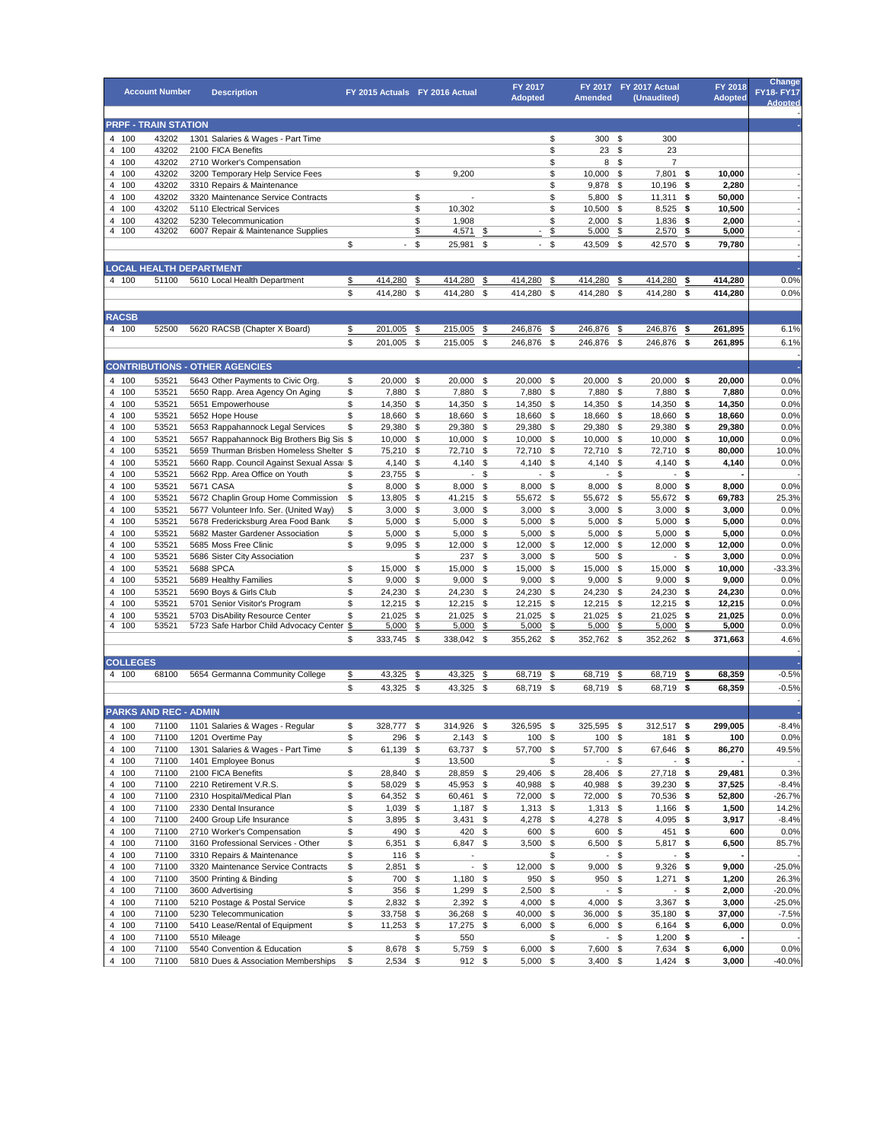|                 | <b>Account Number</b>        | <b>Description</b>                                      | FY 2015 Actuals FY 2016 Actual |      |                          | FY 2017<br><b>Adopted</b> |                          | <b>Amended</b> |            | FY 2017 FY 2017 Actual<br>(Unaudited) |      | FY 2018<br><b>Adopted</b> | Change<br>FY18-FY17<br><b>Adopted</b> |
|-----------------|------------------------------|---------------------------------------------------------|--------------------------------|------|--------------------------|---------------------------|--------------------------|----------------|------------|---------------------------------------|------|---------------------------|---------------------------------------|
|                 | <b>PRPF - TRAIN STATION</b>  |                                                         |                                |      |                          |                           |                          |                |            |                                       |      |                           |                                       |
|                 |                              |                                                         |                                |      |                          |                           |                          |                |            |                                       |      |                           |                                       |
| 4 100<br>4 100  | 43202<br>43202               | 1301 Salaries & Wages - Part Time<br>2100 FICA Benefits |                                |      |                          |                           | \$<br>\$                 | 300<br>23      | - \$<br>\$ | 300<br>23                             |      |                           |                                       |
| 100<br>4        | 43202                        | 2710 Worker's Compensation                              |                                |      |                          |                           | \$                       | 8              | - \$       | $\overline{7}$                        |      |                           |                                       |
| 100<br>4        | 43202                        | 3200 Temporary Help Service Fees                        |                                | \$   | 9,200                    |                           | \$                       | 10,000         | \$         | 7,801                                 | -\$  | 10,000                    |                                       |
| 4 100           | 43202                        | 3310 Repairs & Maintenance                              |                                |      |                          |                           | \$                       | 9,878          | - \$       | 10,196                                | -\$  | 2,280                     |                                       |
| 4 100           | 43202                        | 3320 Maintenance Service Contracts                      |                                | \$   |                          |                           | \$                       | 5,800          | - \$       | 11,311                                | -\$  | 50,000                    |                                       |
| 4 100           | 43202                        | 5110 Electrical Services                                |                                | \$   | 10,302                   |                           | \$                       | 10,500         | - \$       | $8,525$ \$                            |      | 10,500                    |                                       |
| 100<br>4        | 43202                        | 5230 Telecommunication                                  |                                | \$   | 1,908                    |                           | \$                       | 2,000          | - \$       | 1,836                                 | - \$ | 2,000                     |                                       |
| 100<br>4        | 43202                        | 6007 Repair & Maintenance Supplies                      |                                | \$   | 4,571                    | \$                        | $\overline{\mathcal{L}}$ | 5,000          | \$         | 2,570                                 | \$   | 5,000                     |                                       |
|                 |                              |                                                         | \$<br>÷.                       | \$   | 25,981                   | \$<br>$\omega$            | \$                       | 43,509         | - \$       | 42,570 \$                             |      | 79,780                    |                                       |
|                 |                              |                                                         |                                |      |                          |                           |                          |                |            |                                       |      |                           |                                       |
|                 |                              | <b>LOCAL HEALTH DEPARTMENT</b>                          |                                |      |                          |                           |                          |                |            |                                       |      |                           |                                       |
| 4 100           | 51100                        | 5610 Local Health Department                            | \$<br>414,280                  | \$   | 414,280                  | \$<br>414,280             | \$                       | 414,280        | \$         | 414,280                               | -\$  | 414,280                   | 0.0%                                  |
|                 |                              |                                                         | \$<br>414,280                  | \$   | 414,280                  | \$<br>414,280             | \$                       | 414,280        | - \$       | 414,280                               | \$   | 414,280                   | 0.0%                                  |
|                 |                              |                                                         |                                |      |                          |                           |                          |                |            |                                       |      |                           |                                       |
| <b>RACSB</b>    |                              |                                                         |                                |      |                          |                           |                          |                |            |                                       |      |                           |                                       |
| 4 100           | 52500                        | 5620 RACSB (Chapter X Board)                            | \$<br>201,005                  | \$   | 215,005                  | \$<br>246,876             | \$                       | 246,876        | \$         | 246,876                               | \$   | 261,895                   | 6.1%                                  |
|                 |                              |                                                         | \$<br>201,005 \$               |      |                          | \$<br>246,876 \$          |                          |                | - \$       |                                       | \$   |                           | 6.1%                                  |
|                 |                              |                                                         |                                |      | 215,005                  |                           |                          | 246,876        |            | 246,876                               |      | 261,895                   |                                       |
|                 |                              | <b>CONTRIBUTIONS - OTHER AGENCIES</b>                   |                                |      |                          |                           |                          |                |            |                                       |      |                           |                                       |
|                 |                              |                                                         |                                |      |                          |                           |                          |                |            |                                       |      |                           |                                       |
| 4 100           | 53521                        | 5643 Other Payments to Civic Org.                       | \$<br>20,000 \$                |      | 20,000 \$                | 20,000 \$                 |                          | 20,000 \$      |            | 20,000 \$                             |      | 20,000                    | 0.0%                                  |
| 4 100           | 53521                        | 5650 Rapp. Area Agency On Aging                         | \$<br>7,880 \$                 |      | 7,880                    | \$<br>7,880               | \$                       | 7,880          | \$         | 7,880 \$                              |      | 7,880                     | 0.0%                                  |
| 100<br>4        | 53521                        | 5651 Empowerhouse                                       | \$<br>14,350                   | -\$  | 14,350                   | \$<br>14,350              | \$                       | 14,350         | \$         | 14,350                                | -\$  | 14,350                    | 0.0%                                  |
| 4 100           | 53521                        | 5652 Hope House                                         | \$<br>18,660 \$                |      | 18,660                   | \$<br>18,660              | \$                       | 18,660         | - \$       | 18,660 \$                             |      | 18,660                    | 0.0%                                  |
| 4 100           | 53521                        | 5653 Rappahannock Legal Services                        | \$<br>29,380 \$                |      | 29.380 \$                | 29,380                    | \$                       | 29,380 \$      |            | 29,380 \$                             |      | 29,380                    | 0.0%                                  |
| 100<br>4        | 53521                        | 5657 Rappahannock Big Brothers Big Sis \$               | 10,000 \$                      |      | 10.000                   | \$<br>10,000              | \$                       | 10,000         | - \$       | 10,000                                | - \$ | 10,000                    | 0.0%                                  |
| 4<br>100        | 53521                        | 5659 Thurman Brisben Homeless Shelter \$                | 75,210 \$                      |      | 72,710                   | \$<br>72,710              | \$                       | 72,710         | \$         | 72,710 \$                             |      | 80,000                    | 10.0%                                 |
| 4 100           | 53521                        | 5660 Rapp. Council Against Sexual Assar \$              | 4,140 \$                       |      | 4,140                    | \$<br>4,140 \$            |                          | 4,140          | - \$       | 4,140                                 | - \$ | 4,140                     | 0.0%                                  |
| 4 100           | 53521                        | 5662 Rpp. Area Office on Youth                          | \$<br>23,755 \$                |      | $\sim$                   | \$<br>$\sim$              | \$                       | $\blacksquare$ | \$         | $\sim$                                | -\$  |                           |                                       |
| 100<br>4        | 53521                        | 5671 CASA                                               | \$<br>8,000 \$                 |      | 8,000                    | \$<br>8,000               | -\$                      | 8,000          | \$         | $8,000$ \$                            |      | 8,000                     | 0.0%                                  |
| 100<br>4        | 53521                        | 5672 Chaplin Group Home Commission                      | \$<br>13,805                   | - \$ | 41,215                   | \$<br>55,672              | - \$                     | 55,672         | - \$       | 55,672                                | - \$ | 69,783                    | 25.3%                                 |
| 4 100           | 53521                        | 5677 Volunteer Info. Ser. (United Way)                  | \$<br>$3,000$ \$               |      | 3,000                    | \$<br>3,000               | \$                       | 3,000          | - \$       | 3,000                                 | - \$ | 3,000                     | 0.0%                                  |
| 4 100           | 53521                        | 5678 Fredericksburg Area Food Bank                      | \$<br>$5,000$ \$               |      | 5,000                    | \$<br>5,000               | \$                       | $5,000$ \$     |            | $5,000$ \$                            |      | 5,000                     | 0.0%                                  |
| 100<br>4        | 53521                        | 5682 Master Gardener Association                        | \$<br>$5,000$ \$               |      | 5,000                    | \$<br>5,000               | - \$                     | 5,000          | - \$       | 5,000                                 | -\$  | 5,000                     | 0.0%                                  |
| 4 100           | 53521                        | 5685 Moss Free Clinic                                   | \$<br>9,095                    | \$   | 12,000                   | \$<br>12,000              | \$                       | 12,000         | - \$       | 12,000                                | -\$  | 12,000                    | 0.0%                                  |
| 4 100           | 53521                        | 5686 Sister City Association                            |                                | \$   | 237                      | \$<br>3,000               | \$                       | 500            | \$         | $\mathcal{L}_{\mathcal{A}}$           | -\$  | 3,000                     | 0.0%                                  |
| 100<br>4        | 53521                        | 5688 SPCA                                               | \$<br>15,000 \$                |      | 15,000                   | \$<br>15,000              | \$                       | 15,000         | - \$       | 15,000                                | - \$ | 10,000                    | $-33.3%$                              |
| 100<br>4        | 53521                        | 5689 Healthy Families                                   | \$<br>$9,000$ \$               |      | 9,000                    | \$<br>9,000               | \$                       | 9,000          | - \$       | $9,000$ \$                            |      | 9,000                     | 0.0%                                  |
| 4 100           | 53521                        | 5690 Boys & Girls Club                                  | \$<br>24,230                   | \$   | 24,230                   | \$<br>24,230              | \$                       | 24,230         | - \$       | 24,230                                | -\$  | 24,230                    | 0.0%                                  |
| 4 100           | 53521                        | 5701 Senior Visitor's Program                           | \$<br>12,215 \$                |      | 12,215                   | \$<br>12,215              | - \$                     | 12,215         | - \$       | $12,215$ \$                           |      | 12,215                    | 0.0%                                  |
| 4 100           | 53521                        | 5703 DisAbility Resource Center                         | \$<br>21,025                   | - \$ | 21,025                   | \$<br>21,025              | - \$                     | 21,025         | - \$       | $21,025$ \$                           |      | 21,025                    | 0.0%                                  |
| 4 100           | 53521                        | 5723 Safe Harbor Child Advocacy Center \$               | 5,000                          | \$   | 5,000                    | \$<br>5,000               | \$                       | 5,000          | \$         | 5,000                                 | \$   | 5,000                     | 0.0%                                  |
|                 |                              |                                                         | \$<br>333,745 \$               |      | 338,042 \$               | 355,262 \$                |                          | 352,762 \$     |            | 352,262 \$                            |      | 371,663                   | 4.6%                                  |
|                 |                              |                                                         |                                |      |                          |                           |                          |                |            |                                       |      |                           |                                       |
| <b>COLLEGES</b> |                              |                                                         |                                |      |                          |                           |                          |                |            |                                       |      |                           |                                       |
| 4 100           | 68100                        | 5654 Germanna Community College                         | \$<br>43,325                   | - \$ | 43,325                   | \$<br>68,719              | \$                       | 68,719         | \$         | 68,719                                | \$   | 68,359                    | $-0.5%$                               |
|                 |                              |                                                         | \$<br>43,325 \$                |      | 43,325                   | \$<br>68,719 \$           |                          | 68,719 \$      |            | 68,719                                | \$   | 68,359                    | $-0.5%$                               |
|                 |                              |                                                         |                                |      |                          |                           |                          |                |            |                                       |      |                           |                                       |
|                 | <b>PARKS AND REC - ADMIN</b> |                                                         |                                |      |                          |                           |                          |                |            |                                       |      |                           |                                       |
| 4 100           | 71100                        | 1101 Salaries & Wages - Regular                         | \$<br>328,777 \$               |      | 314,926 \$               | 326,595 \$                |                          | 325,595 \$     |            | 312,517 \$                            |      | 299,005                   | -8.4%                                 |
| 4 100           | 71100                        | 1201 Overtime Pay                                       | \$<br>296 \$                   |      | $2,143$ \$               | 100 \$                    |                          | 100 \$         |            | 181 \$                                |      | 100                       | 0.0%                                  |
| 4 100           | 71100                        | 1301 Salaries & Wages - Part Time                       | \$<br>61,139 \$                |      | 63,737 \$                | 57,700 \$                 |                          | 57,700 \$      |            | 67,646 \$                             |      | 86,270                    | 49.5%                                 |
| 4 100           | 71100                        | 1401 Employee Bonus                                     |                                | \$   | 13,500                   |                           | \$                       |                | - \$       | - \$                                  |      |                           |                                       |
| 4 100           | 71100                        | 2100 FICA Benefits                                      | \$<br>28,840 \$                |      | 28,859 \$                | 29,406 \$                 |                          | 28,406 \$      |            | 27,718 \$                             |      | 29,481                    | 0.3%                                  |
| 4 100           | 71100                        | 2210 Retirement V.R.S.                                  | \$<br>58,029 \$                |      | 45,953 \$                | 40,988                    | \$                       | 40,988 \$      |            | 39,230 \$                             |      | 37,525                    | $-8.4%$                               |
| 4 100           | 71100                        | 2310 Hospital/Medical Plan                              | \$<br>64,352 \$                |      | 60,461 \$                | 72,000 \$                 |                          | 72,000 \$      |            | 70,536 \$                             |      | 52,800                    | $-26.7%$                              |
| 4 100           | 71100                        | 2330 Dental Insurance                                   | \$<br>1,039 \$                 |      | $1,187$ \$               | $1,313$ \$                |                          | $1,313$ \$     |            | $1,166$ \$                            |      | 1,500                     | 14.2%                                 |
| 4 100           | 71100                        | 2400 Group Life Insurance                               | \$<br>$3,895$ \$               |      | $3,431$ \$               | 4,278 \$                  |                          | 4,278 \$       |            | 4,095 \$                              |      | 3,917                     | $-8.4%$                               |
| 4 100           | 71100                        | 2710 Worker's Compensation                              | \$<br>490 \$                   |      | 420 \$                   | 600 \$                    |                          | 600 \$         |            | 451 \$                                |      | 600                       | 0.0%                                  |
| 4 100           | 71100                        | 3160 Professional Services - Other                      | \$<br>$6,351$ \$               |      | 6,847 \$                 | $3,500$ \$                |                          | 6,500 \$       |            | $5,817$ \$                            |      | 6,500                     | 85.7%                                 |
| 4 100           | 71100                        | 3310 Repairs & Maintenance                              | \$<br>116 \$                   |      | $\overline{\phantom{a}}$ |                           | \$                       |                | - \$       | - \$                                  |      |                           |                                       |
| 4 100           | 71100                        | 3320 Maintenance Service Contracts                      | \$<br>2,851 \$                 |      | ÷.                       | \$<br>12,000              | \$                       | $9,000$ \$     |            | $9,326$ \$                            |      | 9,000                     | $-25.0%$                              |
| 4 100           | 71100                        | 3500 Printing & Binding                                 | \$<br>700 \$                   |      | $1,180$ \$               | 950                       | - \$                     | 950 \$         |            | $1,271$ \$                            |      | 1,200                     | 26.3%                                 |
| 4 100           | 71100                        | 3600 Advertising                                        | \$<br>356 \$                   |      | 1,299 \$                 | $2,500$ \$                |                          |                | $-$ \$     | - \$                                  |      | 2,000                     | $-20.0%$                              |
| 4 100           | 71100                        | 5210 Postage & Postal Service                           | \$<br>2,832 \$                 |      | 2,392 \$                 | 4,000 \$                  |                          | $4,000$ \$     |            | $3,367$ \$                            |      | 3,000                     | $-25.0%$                              |
| 4 100           | 71100                        | 5230 Telecommunication                                  | \$<br>33,758 \$                |      | 36,268 \$                | 40,000 \$                 |                          | 36,000 \$      |            | 35,180 \$                             |      | 37,000                    | $-7.5%$                               |
| 4 100           | 71100                        | 5410 Lease/Rental of Equipment                          | \$<br>11,253 \$                |      | 17,275 \$                | $6,000$ \$                |                          | $6,000$ \$     |            | $6,164$ \$                            |      | 6,000                     | 0.0%                                  |
| 4 100           | 71100                        | 5510 Mileage                                            |                                | \$   | 550                      |                           | \$                       |                | - \$       | $1,200$ \$                            |      |                           |                                       |
| 4 100           | 71100                        | 5540 Convention & Education                             | \$<br>8,678 \$                 |      | 5,759 \$                 | $6,000$ \$                |                          | 7,600 \$       |            | 7,634 \$                              |      | 6,000                     | 0.0%                                  |
| 4 100           | 71100                        | 5810 Dues & Association Memberships                     | \$<br>2,534 \$                 |      | 912 \$                   | $5,000$ \$                |                          | $3,400$ \$     |            | $1,424$ \$                            |      | 3,000                     | $-40.0%$                              |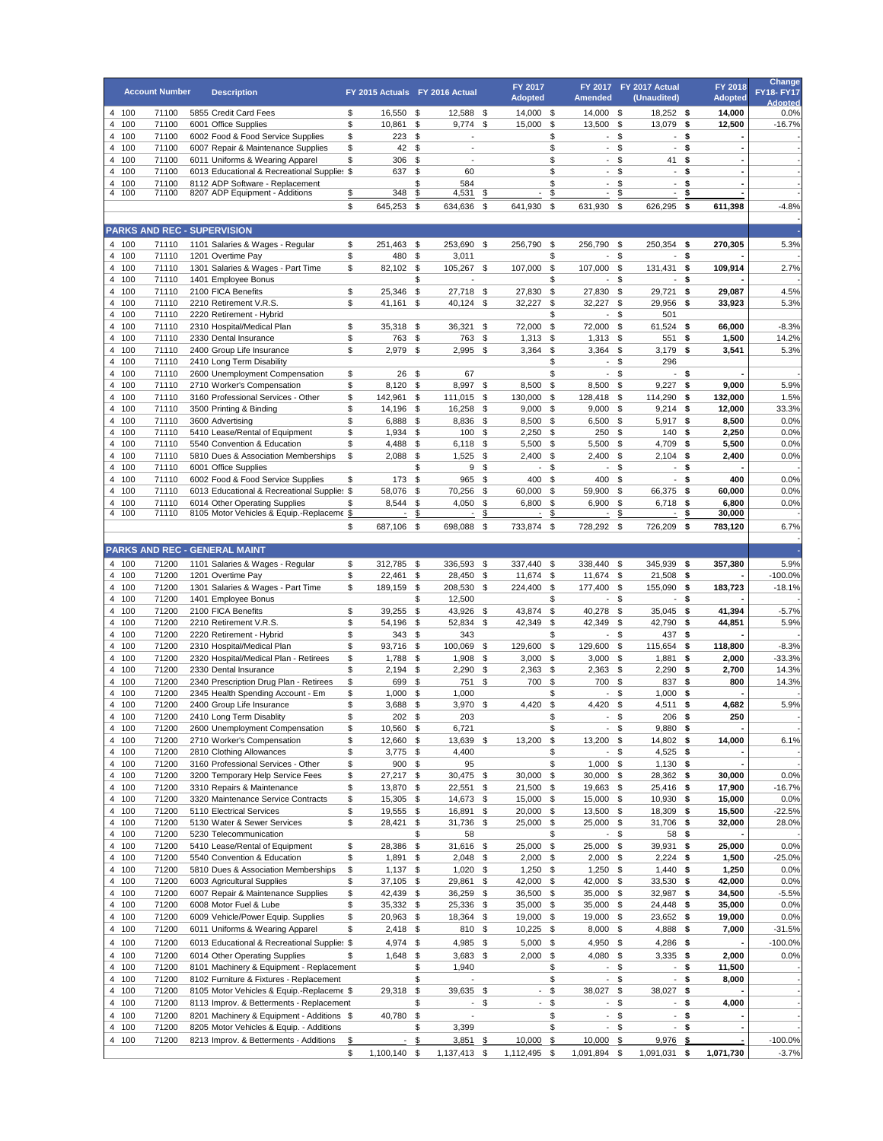|                | <b>Account Number</b> | <b>Description</b>                                                                  | FY 2015 Actuals FY 2016 Actual     |                      |                              |          | FY 2017<br><b>Adopted</b> | <b>Amended</b>                    |          | FY 2017 FY 2017 Actual<br>(Unaudited)        | <b>FY 2018</b><br><b>Adopted</b> | Change<br><b>FY18-FY17</b><br><b>Adopted</b> |
|----------------|-----------------------|-------------------------------------------------------------------------------------|------------------------------------|----------------------|------------------------------|----------|---------------------------|-----------------------------------|----------|----------------------------------------------|----------------------------------|----------------------------------------------|
| 4 100          | 71100                 | 5855 Credit Card Fees                                                               | \$<br>16,550 \$                    |                      | 12,588 \$                    |          | 14,000 \$                 | 14,000                            | -\$      | $18,252$ \$                                  | 14,000                           | 0.0%                                         |
| 4 100          | 71100                 | 6001 Office Supplies                                                                | \$<br>10,861                       | \$                   | 9,774                        | \$       | 15,000                    | \$<br>13,500                      | \$       | 13,079 \$                                    | 12,500                           | $-16.7%$                                     |
| 4 100          | 71100<br>71100        | 6002 Food & Food Service Supplies                                                   | \$<br>223                          | - \$<br>\$           | ÷,                           |          |                           | \$<br>\$<br>$\omega$              | \$       | \$<br>$\blacksquare$<br>\$<br>$\blacksquare$ |                                  |                                              |
| 4 100<br>4 100 | 71100                 | 6007 Repair & Maintenance Supplies<br>6011 Uniforms & Wearing Apparel               | \$<br>42<br>\$<br>306              | \$                   | $\sim$                       |          |                           | \$<br>÷.                          | \$<br>\$ | 41<br>\$                                     |                                  |                                              |
| 4 100          | 71100                 | 6013 Educational & Recreational Supplie: \$                                         | 637                                | \$                   | 60                           |          |                           | \$<br>÷.                          | \$       | \$<br>$\blacksquare$                         |                                  |                                              |
| 4 100          | 71100                 | 8112 ADP Software - Replacement                                                     |                                    | \$                   | 584                          |          |                           | \$<br>÷                           | \$       | ÷.<br>\$                                     |                                  |                                              |
| 4 100          | 71100                 | 8207 ADP Equipment - Additions                                                      | \$<br>348                          | \$                   | 4,531                        | \$       | ÷                         | \$                                | \$       | $\blacksquare$                               | \$                               |                                              |
|                |                       |                                                                                     | \$<br>645,253 \$                   |                      | 634,636                      | \$       | 641,930                   | - \$<br>631,930                   | \$       | 626,295<br>-\$                               | 611,398                          | $-4.8%$                                      |
|                |                       | <b>PARKS AND REC - SUPERVISION</b>                                                  |                                    |                      |                              |          |                           |                                   |          |                                              |                                  |                                              |
| 4 100          | 71110                 | 1101 Salaries & Wages - Regular                                                     | \$<br>251,463 \$                   |                      | 253,690 \$                   |          | 256,790 \$                | 256.790 \$                        |          | 250,354 \$                                   | 270,305                          | 5.3%                                         |
| 4 100          | 71110                 | 1201 Overtime Pay                                                                   | \$<br>480                          | \$                   | 3,011                        |          |                           | \$<br>$\mathbf{r}$                | \$       | \$<br>÷.                                     |                                  |                                              |
| 4 100<br>4 100 | 71110                 | 1301 Salaries & Wages - Part Time                                                   | \$<br>82,102                       | \$                   | 105,267                      | \$       | 107,000                   | \$<br>107,000<br>$\mathbf{r}$     | \$       | 131,431<br>\$<br>÷.                          | 109.914                          | 2.7%                                         |
| 4 100          | 71110<br>71110        | 1401 Employee Bonus<br>2100 FICA Benefits                                           | \$<br>25,346                       | \$<br>- \$           | 27,718                       | -\$      | 27,830 \$                 | \$<br>27,830                      | \$<br>\$ | \$<br>29,721<br>\$                           | 29,087                           | 4.5%                                         |
| 4 100          | 71110                 | 2210 Retirement V.R.S.                                                              | \$<br>41,161                       | \$                   | 40,124                       | -\$      | 32,227                    | \$<br>32,227                      | \$       | 29,956 \$                                    | 33,923                           | 5.3%                                         |
| 4 100          | 71110                 | 2220 Retirement - Hybrid                                                            |                                    |                      |                              |          |                           | \$<br>$\omega$                    | \$       | 501                                          |                                  |                                              |
| 100<br>4       | 71110                 | 2310 Hospital/Medical Plan                                                          | \$<br>35,318                       | - \$                 | 36,321                       | \$       | 72,000                    | \$<br>72,000                      | \$       | 61,524<br>-\$                                | 66,000                           | $-8.3%$                                      |
| 4 100<br>4 100 | 71110<br>71110        | 2330 Dental Insurance<br>2400 Group Life Insurance                                  | \$<br>763<br>\$<br>2,979           | - \$<br>\$           | 763<br>2,995                 | \$<br>\$ | 1,313<br>3,364            | \$<br>1,313<br>\$<br>3,364        | \$<br>\$ | 551<br>\$<br>3,179<br>- \$                   | 1,500<br>3,541                   | 14.2%<br>5.3%                                |
| 4 100          | 71110                 | 2410 Long Term Disability                                                           |                                    |                      |                              |          |                           | \$<br>$\omega$                    | \$       | 296                                          |                                  |                                              |
| 4 100          | 71110                 | 2600 Unemployment Compensation                                                      | \$<br>26                           | \$                   | 67                           |          |                           | \$<br>÷.                          | \$       | - \$                                         |                                  |                                              |
| 4 100          | 71110                 | 2710 Worker's Compensation                                                          | \$<br>8,120                        | - \$                 | 8,997                        | \$       | 8,500                     | \$<br>8,500                       | \$       | 9,227<br>- \$                                | 9,000                            | 5.9%                                         |
| 4 100<br>4 100 | 71110<br>71110        | 3160 Professional Services - Other                                                  | \$<br>142,961                      | \$                   | 111,015                      | \$       | 130.000                   | \$<br>128,418                     | \$       | 114,290<br>-\$<br>$9,214$ \$                 | 132,000                          | 1.5%                                         |
| 4 100          | 71110                 | 3500 Printing & Binding<br>3600 Advertising                                         | \$<br>14,196<br>\$<br>6,888        | - \$<br>\$           | 16,258<br>8,836              | \$<br>\$ | 9,000<br>8,500            | \$<br>9,000<br>\$<br>6,500        | \$<br>\$ | 5,917<br>-\$                                 | 12,000<br>8,500                  | 33.3%<br>0.0%                                |
| 4 100          | 71110                 | 5410 Lease/Rental of Equipment                                                      | \$<br>1,934                        | \$                   | 100                          | \$       | 2,250                     | \$<br>250                         | \$       | 140<br>-\$                                   | 2,250                            | 0.0%                                         |
| 4 100          | 71110                 | 5540 Convention & Education                                                         | \$<br>4,488                        | \$                   | 6,118                        | \$       | 5,500                     | \$<br>5,500                       | \$       | 4,709<br>-\$                                 | 5,500                            | 0.0%                                         |
| 100<br>4       | 71110                 | 5810 Dues & Association Memberships                                                 | \$<br>2,088                        | \$                   | 1,525                        | \$       | 2,400                     | \$<br>2,400                       | \$       | 2,104<br>-\$                                 | 2,400                            | 0.0%                                         |
| 4 100<br>4 100 | 71110<br>71110        | 6001 Office Supplies<br>6002 Food & Food Service Supplies                           | 173<br>\$                          | \$<br>\$             | 9<br>965                     | \$<br>\$ | $\sim$<br>400             | \$<br>\$<br>400                   | \$<br>\$ | \$<br>÷.<br>÷.<br>\$                         | 400                              | 0.0%                                         |
| 4 100          | 71110                 | 6013 Educational & Recreational Supplie: \$                                         | 58,076                             | -\$                  | 70,256                       | - \$     | 60,000                    | \$<br>59,900                      | \$       | 66,375<br>- \$                               | 60,000                           | 0.0%                                         |
| 4 100          | 71110                 | 6014 Other Operating Supplies                                                       | 8,544<br>\$                        | \$                   | 4,050                        | \$       | 6,800                     | \$<br>6,900                       | \$       | $6,718$ \$                                   | 6,800                            | 0.0%                                         |
| 4 100          | 71110                 | 8105 Motor Vehicles & Equip.-Replaceme \$                                           |                                    | \$                   | $\qquad \qquad \blacksquare$ | \$       | ÷,                        | \$                                | \$       | \$                                           | 30,000                           |                                              |
|                |                       |                                                                                     | \$<br>687,106                      | - \$                 | 698,088                      | \$       | 733,874                   | \$<br>728,292                     | \$       | 726,209<br>\$                                | 783,120                          | 6.7%                                         |
|                |                       | <b>PARKS AND REC - GENERAL MAINT</b>                                                |                                    |                      |                              |          |                           |                                   |          |                                              |                                  |                                              |
| 4 100          | 71200                 | 1101 Salaries & Wages - Regular                                                     | \$<br>312,785 \$                   |                      | 336,593 \$                   |          | 337,440 \$                | 338,440                           | -\$      | 345,939 \$                                   | 357,380                          | 5.9%                                         |
| 4 100          | 71200                 | 1201 Overtime Pay                                                                   | \$<br>22,461                       | -\$                  | 28,450                       | \$       | 11,674 \$                 | 11,674                            | \$       | 21,508 \$                                    |                                  | $-100.0%$                                    |
| 4 100<br>4 100 | 71200<br>71200        | 1301 Salaries & Wages - Part Time<br>1401 Employee Bonus                            | \$<br>189,159 \$                   | \$                   | 208,530 \$<br>12,500         |          | 224,400 \$                | 177,400<br>\$<br>$\mathbf{r}$     | \$<br>\$ | 155,090 \$<br>\$<br>÷.                       | 183,723                          | $-18.1%$                                     |
| 4 100          | 71200                 | 2100 FICA Benefits                                                                  | \$<br>39,255                       | \$                   | 43,926                       | \$       | 43,874                    | \$<br>40,278                      | \$       | 35,045<br>- \$                               | 41,394                           | $-5.7%$                                      |
| 4 100          | 71200                 | 2210 Retirement V.R.S.                                                              | \$<br>54,196                       | -\$                  | 52,834 \$                    |          | 42,349                    | \$<br>42,349                      | \$       | 42,790<br>- \$                               | 44,851                           | 5.9%                                         |
| 4 100          | 71200                 | 2220 Retirement - Hybrid                                                            | \$<br>343                          | -\$                  | 343                          |          |                           | \$<br>$\omega$                    | \$       | 437 \$                                       |                                  |                                              |
| 4 100<br>4 100 | 71200<br>71200        | 2310 Hospital/Medical Plan<br>2320 Hospital/Medical Plan - Retirees                 | \$<br>93,716<br>\$<br>1,788        | -\$<br>-\$           | 100.069<br>1,908             | \$<br>\$ | 129,600<br>3,000          | \$<br>129,600<br>\$<br>3,000      | \$<br>\$ | 115.654<br>\$<br>1,881<br>\$                 | 118,800<br>2,000                 | $-8.3%$<br>$-33.3%$                          |
| 4 100          | 71200                 | 2330 Dental Insurance                                                               | \$<br>2,194                        | \$                   | 2,290                        | \$       | 2,363                     | \$<br>2,363                       | \$       | 2,290<br>\$                                  | 2,700                            | 14.3%                                        |
| 4 100          | 71200                 | 2340 Prescription Drug Plan - Retirees                                              | \$<br>699                          | -\$                  | 751                          | \$       | 700                       | \$<br>700                         | \$       | 837<br>\$                                    | 800                              | 14.3%                                        |
| 4 100          | 71200                 | 2345 Health Spending Account - Em                                                   | \$<br>1,000                        | - \$                 | 1,000                        |          |                           | \$<br>$\sim$                      | \$       | 1,000<br>-\$                                 |                                  |                                              |
| 4 100<br>4 100 | 71200<br>71200        | 2400 Group Life Insurance<br>2410 Long Term Disablity                               | \$<br>3,688<br>\$<br>202           | - \$<br>-\$          | 3,970<br>203                 | \$       | 4,420                     | \$<br>4,420<br>\$<br>÷.           | \$<br>\$ | 4,511<br>-\$<br>206<br>-\$                   | 4,682<br>250                     | 5.9%                                         |
| 4 100          | 71200                 | 2600 Unemployment Compensation                                                      | \$<br>10,560 \$                    |                      | 6,721                        |          |                           | \$<br>$\sim$                      | \$       | $9,880$ \$                                   |                                  |                                              |
| 4 100          | 71200                 | 2710 Worker's Compensation                                                          | \$<br>12,660 \$                    |                      | 13,639 \$                    |          | 13,200 \$                 | 13,200 \$                         |          | 14,802 \$                                    | 14,000                           | 6.1%                                         |
| 4 100          | 71200                 | 2810 Clothing Allowances                                                            | \$<br>3,775 \$                     |                      | 4,400                        |          |                           | \$<br>$\mathcal{L}_{\mathcal{A}}$ | \$       | $4,525$ \$                                   |                                  |                                              |
| 4 100<br>4 100 | 71200<br>71200        | 3160 Professional Services - Other<br>3200 Temporary Help Service Fees              | \$<br>900 \$<br>\$<br>27,217 \$    |                      | 95<br>30,475 \$              |          | 30,000 \$                 | \$<br>1,000<br>30,000 \$          | \$       | $1,130$ \$<br>28,362 \$                      | 30,000                           | 0.0%                                         |
| 4 100          | 71200                 | 3310 Repairs & Maintenance                                                          | \$<br>13,870 \$                    |                      | 22,551 \$                    |          | 21,500 \$                 | 19,663 \$                         |          | 25,416 \$                                    | 17,900                           | $-16.7%$                                     |
| 4 100          | 71200                 | 3320 Maintenance Service Contracts                                                  | \$<br>15,305 \$                    |                      | 14,673 \$                    |          | 15,000 \$                 | 15,000 \$                         |          | $10,930$ \$                                  | 15,000                           | 0.0%                                         |
| 4 100          | 71200                 | 5110 Electrical Services                                                            | \$<br>19,555 \$                    |                      | 16,891 \$                    |          | 20,000 \$                 | 13,500 \$                         |          | 18,309 \$                                    | 15,500                           | $-22.5%$                                     |
| 4 100<br>4 100 | 71200                 | 5130 Water & Sewer Services<br>5230 Telecommunication                               | \$<br>28,421 \$                    |                      | 31,736 \$                    |          | 25,000                    | \$<br>25,000                      | -\$      | 31,706 \$                                    | 32,000                           | 28.0%                                        |
| 4 100          | 71200<br>71200        | 5410 Lease/Rental of Equipment                                                      | \$<br>28,386 \$                    | \$                   | 58<br>31,616 \$              |          | 25,000 \$                 | \$<br>$-$ \$<br>25,000 \$         |          | 58 \$<br>39,931 \$                           | 25,000                           | 0.0%                                         |
| 4 100          | 71200                 | 5540 Convention & Education                                                         | \$<br>1,891 \$                     |                      | $2,048$ \$                   |          | 2,000                     | \$<br>2,000                       | \$       | $2,224$ \$                                   | 1,500                            | $-25.0%$                                     |
| 4 100          | 71200                 | 5810 Dues & Association Memberships                                                 | \$<br>$1,137$ \$                   |                      | $1,020$ \$                   |          | $1,250$ \$                | $1,250$ \$                        |          | $1,440$ \$                                   | 1,250                            | 0.0%                                         |
| 4 100          | 71200                 | 6003 Agricultural Supplies                                                          | \$<br>37,105 \$                    |                      | 29,861 \$                    |          | 42,000 \$                 | 42,000 \$                         |          | 33,530 \$                                    | 42,000                           | 0.0%                                         |
| 4 100<br>4 100 | 71200<br>71200        | 6007 Repair & Maintenance Supplies<br>6008 Motor Fuel & Lube                        | \$<br>42,439 \$<br>\$<br>35,332 \$ |                      | 36,259 \$<br>25,336 \$       |          | 36,500 \$<br>35,000 \$    | 35,000 \$<br>35,000 \$            |          | 32,987 \$<br>24,448 \$                       | 34,500<br>35,000                 | $-5.5%$<br>0.0%                              |
| 4 100          | 71200                 | 6009 Vehicle/Power Equip. Supplies                                                  | \$<br>20,963 \$                    |                      | 18,364 \$                    |          | 19,000 \$                 | 19,000                            | \$       | 23,652 \$                                    | 19,000                           | 0.0%                                         |
| 4 100          | 71200                 | 6011 Uniforms & Wearing Apparel                                                     | \$<br>$2,418$ \$                   |                      | 810 \$                       |          | 10,225 \$                 | 8,000 \$                          |          | 4,888 \$                                     | 7,000                            | $-31.5%$                                     |
| 4 100          | 71200                 | 6013 Educational & Recreational Supplies \$                                         | 4,974 \$                           |                      | 4,985 \$                     |          | $5,000$ \$                | 4,950 \$                          |          | $4,286$ \$                                   |                                  | $-100.0%$                                    |
| 4 100          | 71200                 | 6014 Other Operating Supplies                                                       | \$<br>1,648 \$                     |                      | $3,683$ \$                   |          | $2,000$ \$                | 4,080 \$                          |          | $3,335$ \$                                   | 2,000                            | 0.0%                                         |
| 4 100<br>4 100 | 71200<br>71200        | 8101 Machinery & Equipment - Replacement<br>8102 Furniture & Fixtures - Replacement |                                    | \$<br>\$             | 1,940                        |          |                           | \$<br>$\omega$<br>\$<br>÷.        | \$<br>\$ | - \$<br>- \$                                 | 11,500<br>8,000                  |                                              |
| 4 100          | 71200                 | 8105 Motor Vehicles & Equip.-Replaceme \$                                           | 29,318                             | \$                   | 39,635 \$                    |          | $-$ \$                    | 38,027 \$                         |          | 38,027 \$                                    |                                  |                                              |
| 4 100          | 71200                 | 8113 Improv. & Betterments - Replacement                                            |                                    | \$                   | $\blacksquare$               | \$       | $-$ \$                    | $-$ \$                            |          | $-$ \$                                       | 4,000                            |                                              |
| 4 100          | 71200                 | 8201 Machinery & Equipment - Additions \$                                           | 40,780                             | \$                   | $\blacksquare$               |          |                           | \$<br>$\sim$                      | \$       | $-$ \$                                       |                                  |                                              |
| 4 100<br>4 100 | 71200<br>71200        | 8205 Motor Vehicles & Equip. - Additions<br>8213 Improv. & Betterments - Additions  | \$                                 | \$<br>$\mathfrak{S}$ | 3,399<br>$3,851$ \$          |          | 10,000                    | \$<br>$\sim$<br>\$<br>10,000      | \$<br>\$ | - \$<br>$9,976$ \$                           | $\overline{\phantom{a}}$         | $-100.0%$                                    |
|                |                       |                                                                                     | 1,100,140 \$<br>\$                 |                      | 1,137,413 \$                 |          | 1,112,495 \$              | 1,091,894 \$                      |          | 1,091,031 \$                                 | 1,071,730                        | $-3.7%$                                      |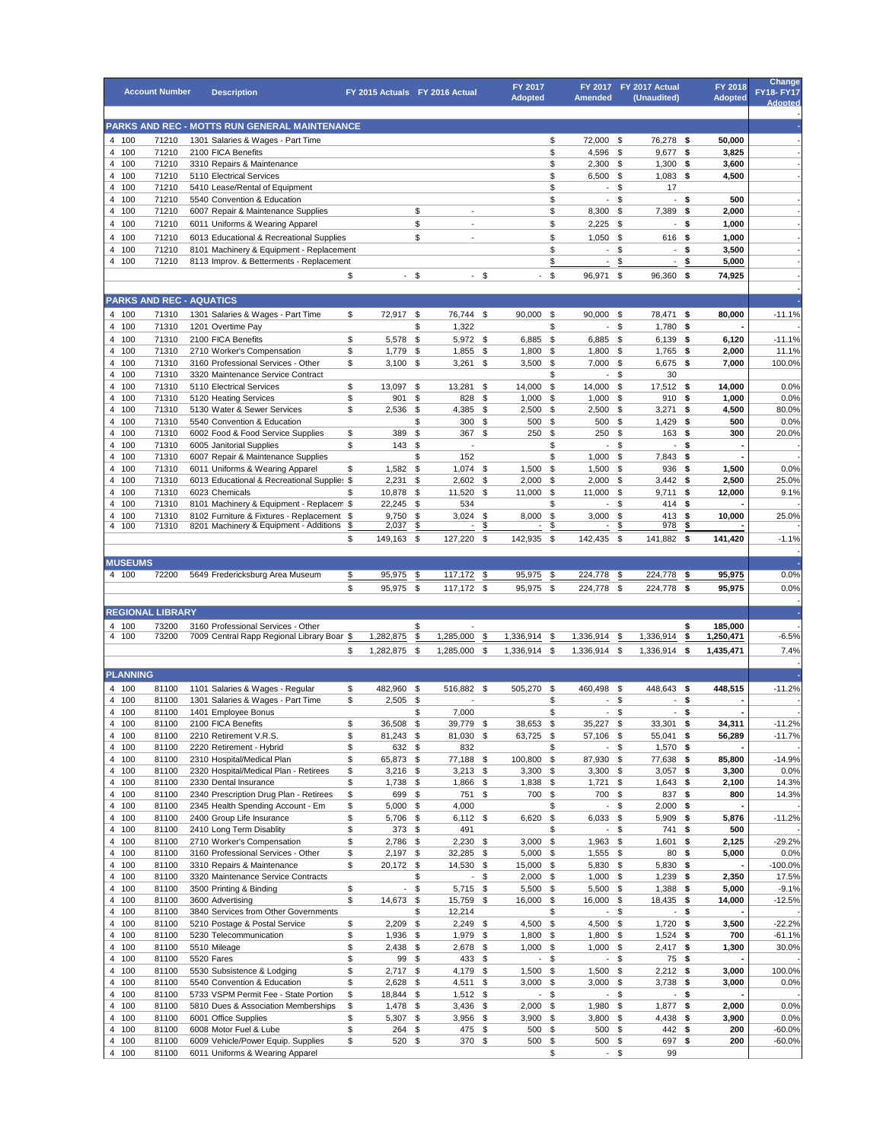|                         | <b>Account Number</b> | <b>Description</b>                                                                   |          |                        |              | FY 2015 Actuals FY 2016 Actual |          | FY 2017<br><b>Adopted</b> |                 | <b>Amended</b>                        |            | FY 2017 FY 2017 Actual<br>(Unaudited) |      | <b>FY 2018</b><br><b>Adopted</b> | Change<br>FY18-FY17<br><b>Adopted</b> |
|-------------------------|-----------------------|--------------------------------------------------------------------------------------|----------|------------------------|--------------|--------------------------------|----------|---------------------------|-----------------|---------------------------------------|------------|---------------------------------------|------|----------------------------------|---------------------------------------|
|                         |                       |                                                                                      |          |                        |              |                                |          |                           |                 |                                       |            |                                       |      |                                  |                                       |
|                         |                       | <b>PARKS AND REC - MOTTS RUN GENERAL MAINTENANCE</b>                                 |          |                        |              |                                |          |                           |                 |                                       |            |                                       |      |                                  |                                       |
| 4 100<br>4 100          | 71210<br>71210        | 1301 Salaries & Wages - Part Time<br>2100 FICA Benefits                              |          |                        |              |                                |          |                           | \$<br>\$        | 72,000 \$<br>4,596 \$                 |            | 76,278 \$<br>$9,677$ \$               |      | 50,000<br>3,825                  |                                       |
| 4 100                   | 71210                 | 3310 Repairs & Maintenance                                                           |          |                        |              |                                |          |                           | \$              | $2,300$ \$                            |            | $1,300$ \$                            |      | 3,600                            |                                       |
| 4 100                   | 71210                 | 5110 Electrical Services                                                             |          |                        |              |                                |          |                           | \$              | 6,500                                 | - \$       | $1,083$ \$                            |      | 4,500                            |                                       |
| 4 100                   | 71210                 | 5410 Lease/Rental of Equipment                                                       |          |                        |              |                                |          |                           | \$              | $\overline{\phantom{a}}$              | \$         | 17                                    |      |                                  |                                       |
| 4 100                   | 71210                 | 5540 Convention & Education                                                          |          |                        |              |                                |          |                           | \$              | ÷.                                    | -\$        |                                       | - \$ | 500                              |                                       |
| 4 100                   | 71210                 | 6007 Repair & Maintenance Supplies                                                   |          |                        | \$           | ÷,<br>÷.                       |          |                           | \$              | 8,300                                 | -\$        | 7,389                                 | -\$  | 2,000                            |                                       |
| 4 100                   | 71210                 | 6011 Uniforms & Wearing Apparel                                                      |          |                        | \$           | ÷,                             |          |                           | \$              | $2,225$ \$<br>$1.050$ \$              |            |                                       | - \$ | 1,000                            |                                       |
| 4 100<br>4 100          | 71210<br>71210        | 6013 Educational & Recreational Supplies<br>8101 Machinery & Equipment - Replacement |          |                        | \$           |                                |          |                           | \$<br>\$        | ÷.                                    | \$         | 616 \$                                | - \$ | 1,000<br>3,500                   |                                       |
| 4 100                   | 71210                 | 8113 Improv. & Betterments - Replacement                                             |          |                        |              |                                |          |                           | \$              | $\blacksquare$                        | \$         | $\blacksquare$                        | \$   | 5,000                            |                                       |
|                         |                       |                                                                                      | \$       |                        | $-$ \$       |                                | $-$ \$   | $-$ \$                    |                 | 96,971                                | \$         | 96,360 \$                             |      | 74,925                           |                                       |
|                         |                       |                                                                                      |          |                        |              |                                |          |                           |                 |                                       |            |                                       |      |                                  |                                       |
|                         |                       | <b>PARKS AND REC - AQUATICS</b>                                                      |          |                        |              |                                |          |                           |                 |                                       |            |                                       |      |                                  |                                       |
| 4 100<br>4 100          | 71310<br>71310        | 1301 Salaries & Wages - Part Time<br>1201 Overtime Pay                               | \$       | 72,917 \$              | \$           | 76,744 \$<br>1,322             |          | 90,000 \$                 | \$              | 90,000 \$<br>$\overline{\phantom{a}}$ | \$         | 78,471 \$<br>$1,780$ \$               |      | 80,000                           | $-11.1%$                              |
| 4 100                   | 71310                 | 2100 FICA Benefits                                                                   | \$       | 5,578 \$               |              | 5,972 \$                       |          | 6,885 \$                  |                 | 6,885 \$                              |            | 6,139 \$                              |      | 6,120                            | $-11.1%$                              |
| 4 100                   | 71310                 | 2710 Worker's Compensation                                                           | \$       | 1,779 \$               |              | 1,855 \$                       |          | 1,800                     | \$              | $1,800$ \$                            |            | $1,765$ \$                            |      | 2,000                            | 11.1%                                 |
| 100<br>4                | 71310                 | 3160 Professional Services - Other                                                   | \$       | $3,100$ \$             |              | $3,261$ \$                     |          | 3,500                     | - \$            | $7,000$ \$                            |            | 6,675 \$                              |      | 7,000                            | 100.0%                                |
| 4 100                   | 71310                 | 3320 Maintenance Service Contract                                                    |          |                        |              |                                |          |                           | \$              | $\blacksquare$                        | \$         | 30                                    |      |                                  |                                       |
| 4 100                   | 71310                 | 5110 Electrical Services                                                             | \$       | 13,097                 | -\$          | 13,281                         | \$       | 14,000                    | \$              | 14,000                                | - \$       | 17,512 \$                             |      | 14,000                           | 0.0%                                  |
| 4 100<br>4 100          | 71310<br>71310        | 5120 Heating Services<br>5130 Water & Sewer Services                                 | \$<br>\$ | 901<br>2,536           | \$<br>\$     | 828<br>4,385                   | \$<br>\$ | 1,000<br>2,500            | \$<br>\$        | $1,000$ \$<br>2,500                   | - \$       | 910S<br>$3,271$ \$                    |      | 1,000<br>4,500                   | 0.0%<br>80.0%                         |
| 4 100                   | 71310                 | 5540 Convention & Education                                                          |          |                        | \$           | 300                            | \$       | 500                       | -\$             | 500                                   | - \$       | $1,429$ \$                            |      | 500                              | 0.0%                                  |
| 4 100                   | 71310                 | 6002 Food & Food Service Supplies                                                    | \$       | 389 \$                 |              | 367 \$                         |          | 250                       | \$              | 250S                                  |            | 163 \$                                |      | 300                              | 20.0%                                 |
| 4 100                   | 71310                 | 6005 Janitorial Supplies                                                             | \$       | 143S                   |              | $\overline{\phantom{a}}$       |          |                           | \$              | ÷.                                    | -\$        |                                       | - \$ |                                  |                                       |
| 4 100                   | 71310                 | 6007 Repair & Maintenance Supplies                                                   |          |                        | \$           | 152                            |          |                           | \$              | 1,000                                 | -\$        | 7,843 \$                              |      |                                  |                                       |
| 4 100                   | 71310                 | 6011 Uniforms & Wearing Apparel                                                      | \$       | 1,582 \$               |              | $1,074$ \$                     |          | 1,500                     | \$              | 1,500                                 | - \$       | 936 \$                                |      | 1,500                            | 0.0%                                  |
| 4 100                   | 71310<br>71310        | 6013 Educational & Recreational Supplie: \$                                          |          | 2,231                  | -\$          | 2,602                          | \$       | 2,000                     | \$              | $2,000$ \$                            |            | $3,442$ \$                            |      | 2,500<br>12,000                  | 25.0%                                 |
| 100<br>4<br>4 100       | 71310                 | 6023 Chemicals<br>8101 Machinery & Equipment - Replacem \$                           | \$       | 10,878 \$<br>22,245 \$ |              | 11,520<br>534                  | \$       | 11,000                    | \$<br>\$        | 11,000<br>$\mathbf{r}$                | - \$<br>\$ | $9,711$ \$<br>$414$ \$                |      |                                  | 9.1%                                  |
| 4 100                   | 71310                 | 8102 Furniture & Fixtures - Replacement \$                                           |          | $9,750$ \$             |              | 3,024                          | \$       | 8,000 \$                  |                 | 3,000                                 | -\$        | 413 \$                                |      | 10,000                           | 25.0%                                 |
| 4 100                   | 71310                 | 8201 Machinery & Equipment - Additions \$                                            |          | 2,037                  | <u>\$</u>    |                                | \$       |                           | \$              |                                       | \$         | 978                                   | - \$ |                                  |                                       |
|                         |                       |                                                                                      | \$       | 149,163 \$             |              | 127,220 \$                     |          | 142,935 \$                |                 | 142,435 \$                            |            | 141,882 \$                            |      | 141,420                          | $-1.1%$                               |
| <b>MUSEUMS</b>          |                       |                                                                                      |          |                        |              |                                |          |                           |                 |                                       |            |                                       |      |                                  |                                       |
| $4 - 100$               | 72200                 | 5649 Fredericksburg Area Museum                                                      | \$       | 95,975 \$              |              | 117,172 \$                     |          | 95,975                    | \$              | 224,778                               | -\$        | 224,778                               | \$   | 95,975                           | 0.0%                                  |
|                         |                       |                                                                                      | \$       | 95,975 \$              |              | 117,172 \$                     |          | 95,975 \$                 |                 | 224,778 \$                            |            | 224,778 \$                            |      | 95,975                           | 0.0%                                  |
|                         |                       |                                                                                      |          |                        |              |                                |          |                           |                 |                                       |            |                                       |      |                                  |                                       |
| <b>REGIONAL LIBRARY</b> |                       |                                                                                      |          |                        |              |                                |          |                           |                 |                                       |            |                                       |      |                                  |                                       |
| 4 100                   | 73200                 | 3160 Professional Services - Other                                                   |          |                        | \$           |                                |          |                           |                 |                                       |            |                                       | \$   | 185,000                          |                                       |
| 4 100                   | 73200                 | 7009 Central Rapp Regional Library Boar \$                                           |          | 1,282,875              | \$           | 1,285,000                      | \$       | 1,336,914                 | \$<br>1,336,914 |                                       | \$         | 1,336,914                             | \$   | 1,250,471                        | $-6.5%$                               |
|                         |                       |                                                                                      | \$       | 1,282,875 \$           |              | 1,285,000 \$                   |          | 1,336,914 \$              |                 | 1,336,914 \$                          |            | 1,336,914 \$                          |      | 1,435,471                        | 7.4%                                  |
| <b>PLANNING</b>         |                       |                                                                                      |          |                        |              |                                |          |                           |                 |                                       |            |                                       |      |                                  |                                       |
| 4 100                   | 81100                 | 1101 Salaries & Wages - Regular                                                      | \$       | 482,960 \$             |              | 516,882 \$                     |          | 505,270 \$                |                 | 460,498 \$                            |            | 448,643 \$                            |      | 448,515                          | $-11.2%$                              |
| 4 100                   | 81100                 | 1301 Salaries & Wages - Part Time                                                    | \$       | $2,505$ \$             |              |                                |          |                           | \$              |                                       | - \$       |                                       | - \$ |                                  |                                       |
| 4 100                   | 81100                 | 1401 Employee Bonus                                                                  |          |                        | \$           | 7,000                          |          |                           | \$              |                                       | - \$       |                                       | - \$ |                                  |                                       |
| 4 100                   | 81100                 | 2100 FICA Benefits                                                                   | \$       | 36,508 \$              |              | 39,779 \$                      |          | 38,653 \$                 |                 | 35,227 \$                             |            | 33,301 \$                             |      | 34,311                           | $-11.2%$                              |
| 4 100<br>4 100          | 81100<br>81100        | 2210 Retirement V.R.S.<br>2220 Retirement - Hybrid                                   | \$<br>\$ | 81,243 \$<br>632 \$    |              | 81,030 \$<br>832               |          | 63,725 \$                 | \$              | 57,106 \$<br>$\sim$                   | \$         | 55,041 \$<br>$1,570$ \$               |      | 56,289                           | $-11.7%$                              |
| 4 100                   | 81100                 | 2310 Hospital/Medical Plan                                                           | \$       | 65,873 \$              |              | 77,188 \$                      |          | 100,800                   | - \$            | 87,930 \$                             |            | 77,638 \$                             |      | 85,800                           | $-14.9%$                              |
| 4 100                   | 81100                 | 2320 Hospital/Medical Plan - Retirees                                                | \$       | $3,216$ \$             |              | $3,213$ \$                     |          | 3,300                     | \$              | $3,300$ \$                            |            | $3,057$ \$                            |      | 3,300                            | 0.0%                                  |
| 4 100                   | 81100                 | 2330 Dental Insurance                                                                | \$       | 1,738 \$               |              | 1,866 \$                       |          | 1,838 \$                  |                 | $1,721$ \$                            |            | $1,643$ \$                            |      | 2,100                            | 14.3%                                 |
| 4 100                   | 81100                 | 2340 Prescription Drug Plan - Retirees                                               | \$       | 699 \$                 |              | 751                            | \$       | 700                       | - \$            | 700 \$                                |            | 837 \$                                |      | 800                              | 14.3%                                 |
| 4 100<br>4 100          | 81100<br>81100        | 2345 Health Spending Account - Em<br>2400 Group Life Insurance                       | \$<br>\$ | $5,000$ \$<br>5,706 \$ |              | 4,000<br>$6,112$ \$            |          | 6,620 \$                  | \$              | $6,033$ \$                            | - \$       | $2,000$ \$<br>$5,909$ \$              |      | 5,876                            | $-11.2%$                              |
| 4 100                   | 81100                 | 2410 Long Term Disablity                                                             | \$       | 373 \$                 |              | 491                            |          |                           | \$              |                                       | - \$       | 741 \$                                |      | 500                              |                                       |
| 4 100                   | 81100                 | 2710 Worker's Compensation                                                           | \$       | 2,786 \$               |              | 2,230 \$                       |          | 3,000                     | \$              | $1,963$ \$                            |            | $1,601$ \$                            |      | 2,125                            | $-29.2%$                              |
| 4 100                   | 81100                 | 3160 Professional Services - Other                                                   | \$       | $2,197$ \$             |              | 32,285 \$                      |          | 5,000                     | \$              | 1,555 \$                              |            | 80 \$                                 |      | 5,000                            | 0.0%                                  |
| 4 100                   | 81100                 | 3310 Repairs & Maintenance                                                           | \$       | 20,172 \$              |              | 14,530 \$                      |          | 15,000 \$                 |                 | 5,830 \$                              |            | $5,830$ \$                            |      |                                  | $-100.0%$                             |
| 4 100<br>4 100          | 81100                 | 3320 Maintenance Service Contracts                                                   |          |                        | \$<br>$-$ \$ | $\sim$                         | \$       | $2,000$ \$                |                 | $1,000$ \$                            |            | $1,239$ \$<br>$1,388$ \$              |      | 2,350                            | 17.5%                                 |
| 4 100                   | 81100<br>81100        | 3500 Printing & Binding<br>3600 Advertising                                          | \$<br>\$ | 14,673 \$              |              | 5,715 \$<br>15,759 \$          |          | 5,500 \$<br>16,000 \$     |                 | 5,500 \$<br>16,000 \$                 |            | 18,435 \$                             |      | 5,000<br>14,000                  | $-9.1%$<br>$-12.5%$                   |
| 4 100                   | 81100                 | 3840 Services from Other Governments                                                 |          |                        | \$           | 12,214                         |          |                           | \$              |                                       | - \$       |                                       | - \$ |                                  |                                       |
| 4 100                   | 81100                 | 5210 Postage & Postal Service                                                        | \$       | $2,209$ \$             |              | $2,249$ \$                     |          | 4,500 \$                  |                 | 4,500 \$                              |            | $1,720$ \$                            |      | 3,500                            | $-22.2%$                              |
| 4 100                   | 81100                 | 5230 Telecommunication                                                               | \$       | 1,936 \$               |              | 1,979 \$                       |          | $1,800$ \$                |                 | $1,800$ \$                            |            | $1,524$ \$                            |      | 700                              | $-61.1%$                              |
| 4 100                   | 81100                 | 5510 Mileage                                                                         | \$       | 2,438 \$               |              | 2,678 \$                       |          | $1,000$ \$                |                 | $1,000$ \$                            |            | $2,417$ \$                            |      | 1,300                            | 30.0%                                 |
| 4 100<br>4 100          | 81100<br>81100        | 5520 Fares<br>5530 Subsistence & Lodging                                             | \$<br>\$ | 99 \$<br>2,717 \$      |              | 433 \$<br>4,179 \$             |          | $\sim$<br>$1,500$ \$      | \$              | $1,500$ \$                            | - \$       | 75\$<br>$2,212$ \$                    |      | 3,000                            | 100.0%                                |
| 4 100                   | 81100                 | 5540 Convention & Education                                                          | \$       | 2,628 \$               |              | 4,511 \$                       |          | $3,000$ \$                |                 | $3,000$ \$                            |            | $3,738$ \$                            |      | 3,000                            | 0.0%                                  |
| 4 100                   | 81100                 | 5733 VSPM Permit Fee - State Portion                                                 | \$       | 18,844 \$              |              | $1,512$ \$                     |          | $-$ \$                    |                 |                                       | - \$       |                                       | - \$ |                                  |                                       |
| 4 100                   | 81100                 | 5810 Dues & Association Memberships                                                  | \$       | 1,478 \$               |              | $3,436$ \$                     |          | $2,000$ \$                |                 | 1,980 \$                              |            | $1,877$ \$                            |      | 2,000                            | 0.0%                                  |
| 4 100                   | 81100                 | 6001 Office Supplies                                                                 | \$       | 5,307 \$               |              | 3,956 \$                       |          | $3,900$ \$                |                 | $3,800$ \$                            |            | $4,438$ \$                            |      | 3,900                            | 0.0%                                  |
| 4 100<br>4 100          | 81100<br>81100        | 6008 Motor Fuel & Lube<br>6009 Vehicle/Power Equip. Supplies                         | \$<br>\$ | 264 \$<br>520 \$       |              | 475 \$<br>370 \$               |          | 500 \$<br>500 \$          |                 | 500 \$<br>500 \$                      |            | 442 \$<br>697 \$                      |      | 200<br>200                       | $-60.0%$<br>$-60.0\%$                 |
| 4 100                   | 81100                 | 6011 Uniforms & Wearing Apparel                                                      |          |                        |              |                                |          |                           | \$              |                                       | $-$ \$     | 99                                    |      |                                  |                                       |
|                         |                       |                                                                                      |          |                        |              |                                |          |                           |                 |                                       |            |                                       |      |                                  |                                       |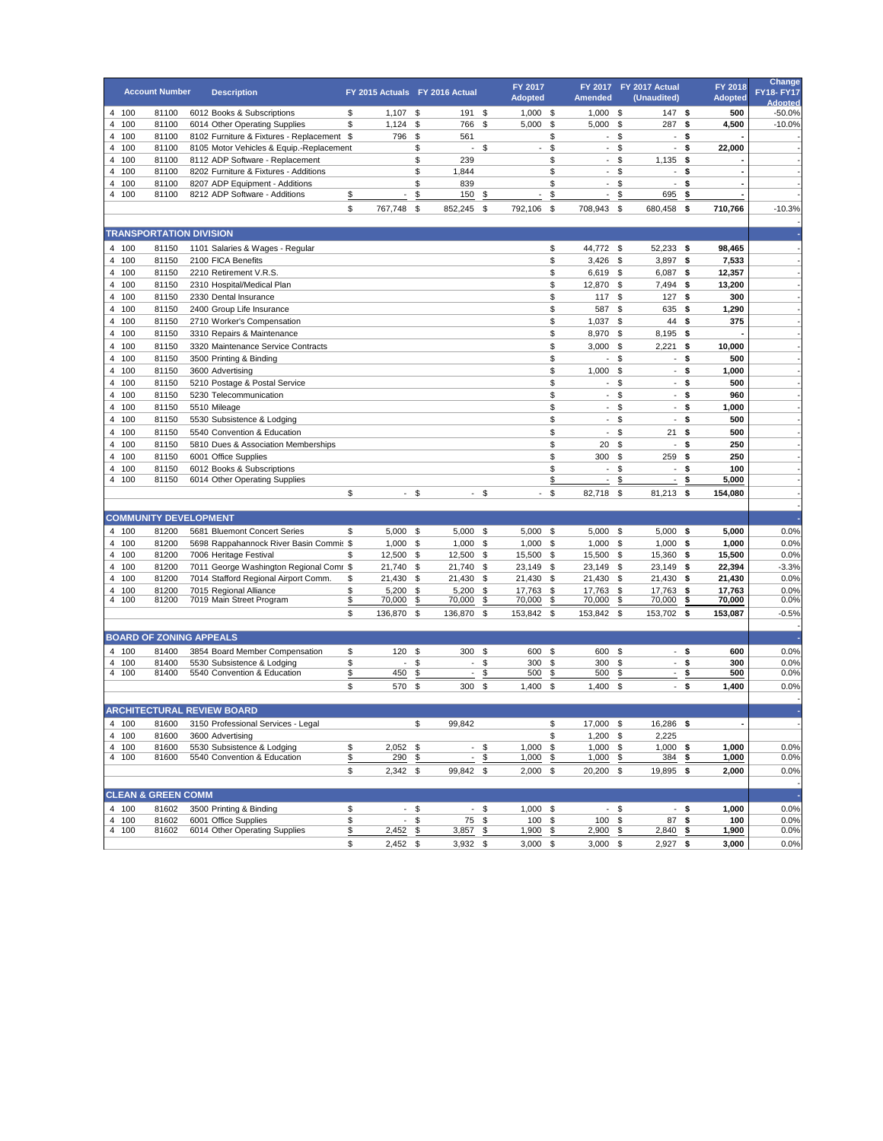|                | <b>Account Number</b>         | <b>Description</b>                                        |               |                        |          | FY 2015 Actuals FY 2016 Actual |               | FY 2017<br><b>Adopted</b> |               | <b>Amended</b> |              | FY 2017 FY 2017 Actual<br>(Unaudited) |            | FY 2018<br><b>Adopted</b> | Change<br><b>FY18-FY17</b><br>Adopted |
|----------------|-------------------------------|-----------------------------------------------------------|---------------|------------------------|----------|--------------------------------|---------------|---------------------------|---------------|----------------|--------------|---------------------------------------|------------|---------------------------|---------------------------------------|
| 4 100          | 81100                         | 6012 Books & Subscriptions                                | \$            | $1,107$ \$             |          | 191                            | \$            | $1,000$ \$                |               | $1,000$ \$     |              | 147S                                  |            | 500                       | $-50.0%$                              |
| 4 100          | 81100                         | 6014 Other Operating Supplies                             | \$            | 1,124                  | \$       | 766                            | \$            | 5,000                     | \$            | 5,000          | - \$         | 287                                   | \$         | 4,500                     | $-10.0%$                              |
| 4 100          | 81100                         | 8102 Furniture & Fixtures - Replacement \$                |               | 796                    | \$       | 561                            |               |                           | \$            | $\omega$       | \$           |                                       | - \$       |                           |                                       |
| 4 100          | 81100                         | 8105 Motor Vehicles & Equip.-Replacement                  |               |                        | \$       | $\overline{\phantom{a}}$       | \$            | $\omega$                  | \$            | $\blacksquare$ | \$           | $\blacksquare$                        | \$         | 22.000                    |                                       |
| 4 100          | 81100                         | 8112 ADP Software - Replacement                           |               |                        | \$       | 239                            |               |                           | \$            | ÷.             | \$           | $1,135$ \$                            |            |                           |                                       |
| 4 100          | 81100                         | 8202 Furniture & Fixtures - Additions                     |               |                        | \$       | 1,844                          |               |                           | \$            | ÷.             | \$           | $\blacksquare$                        | \$         |                           |                                       |
| 4 100          | 81100                         | 8207 ADP Equipment - Additions                            |               |                        | \$       | 839                            |               |                           | \$            | ÷.             | \$           | $\mathbf{r}$                          | \$         |                           |                                       |
| 4 100          | 81100                         | 8212 ADP Software - Additions                             | \$            | $\blacksquare$         | \$       | 150                            | \$            | $\overline{\phantom{a}}$  | \$            | $\blacksquare$ | \$           | 695                                   | \$         |                           |                                       |
|                |                               |                                                           | \$            | 767,748                | \$       | 852,245                        | \$            | 792,106                   | \$            | 708,943 \$     |              | 680,458 \$                            |            | 710,766                   | $-10.3%$                              |
|                |                               | <b>TRANSPORTATION DIVISION</b>                            |               |                        |          |                                |               |                           |               |                |              |                                       |            |                           |                                       |
| 4 100          | 81150                         | 1101 Salaries & Wages - Regular                           |               |                        |          |                                |               |                           | \$            | 44,772 \$      |              | 52,233 \$                             |            | 98,465                    |                                       |
| 4 100          | 81150                         | 2100 FICA Benefits                                        |               |                        |          |                                |               |                           | \$            | 3,426          | -\$          | $3,897$ \$                            |            | 7,533                     |                                       |
| 4 100          | 81150                         | 2210 Retirement V.R.S.                                    |               |                        |          |                                |               |                           | \$            | 6,619 \$       |              | $6,087$ \$                            |            | 12,357                    |                                       |
| 4 100          | 81150                         | 2310 Hospital/Medical Plan                                |               |                        |          |                                |               |                           | \$            | 12,870 \$      |              | $7,494$ \$                            |            | 13,200                    |                                       |
| 4 100          | 81150                         | 2330 Dental Insurance                                     |               |                        |          |                                |               |                           | \$            | 117            | - \$         | 127S                                  |            | 300                       |                                       |
| 4 100          | 81150                         | 2400 Group Life Insurance                                 |               |                        |          |                                |               |                           | \$            | 587            | -\$          | 635 \$                                |            | 1,290                     |                                       |
| 4 100          | 81150                         | 2710 Worker's Compensation                                |               |                        |          |                                |               |                           | \$            | 1,037          | -\$          | 44 \$                                 |            | 375                       |                                       |
| 4 100          | 81150                         | 3310 Repairs & Maintenance                                |               |                        |          |                                |               |                           | \$            | 8,970          | - \$         | $8,195$ \$                            |            |                           |                                       |
| 4 100          | 81150                         | 3320 Maintenance Service Contracts                        |               |                        |          |                                |               |                           | \$            | $3,000$ \$     |              | $2,221$ \$                            |            | 10,000                    |                                       |
| 4 100          | 81150                         | 3500 Printing & Binding                                   |               |                        |          |                                |               |                           | \$            | $\blacksquare$ | \$           |                                       | - \$       | 500                       |                                       |
| 4 100          | 81150                         | 3600 Advertising                                          |               |                        |          |                                |               |                           | \$            | $1,000$ \$     |              | ÷.                                    | \$         | 1,000                     |                                       |
| 4 100          | 81150                         | 5210 Postage & Postal Service                             |               |                        |          |                                |               |                           | \$            | $\mathbf{r}$   | \$           | $\omega$ .                            | \$         | 500                       |                                       |
| 4 100          | 81150                         | 5230 Telecommunication                                    |               |                        |          |                                |               |                           | \$            |                | $-$ \$       |                                       | - \$       | 960                       |                                       |
| 4 100          | 81150                         | 5510 Mileage                                              |               |                        |          |                                |               |                           | \$            | $\blacksquare$ | \$           |                                       | $-$ \$     | 1,000                     |                                       |
| 4 100          | 81150                         | 5530 Subsistence & Lodging                                |               |                        |          |                                |               |                           | \$            | $\blacksquare$ | \$           | $\sim$                                | \$         | 500                       |                                       |
| 4 100          | 81150                         | 5540 Convention & Education                               |               |                        |          |                                |               |                           | \$            | ä,             | \$           | 21                                    | -\$        | 500                       |                                       |
| 100<br>4       | 81150                         | 5810 Dues & Association Memberships                       |               |                        |          |                                |               |                           | \$            | 20             | \$           | $\blacksquare$                        | \$         | 250                       |                                       |
| 4 100          | 81150                         | 6001 Office Supplies                                      |               |                        |          |                                |               |                           | \$            | 300            | \$           | 259 \$                                |            | 250                       |                                       |
| 4 100          | 81150                         | 6012 Books & Subscriptions                                |               |                        |          |                                |               |                           | \$            | ÷.             | \$           | $\omega$ .                            | -\$        | 100                       |                                       |
| 4 100          | 81150                         | 6014 Other Operating Supplies                             |               |                        |          |                                |               |                           | \$            | $\blacksquare$ | \$           | $\overline{\phantom{a}}$              | \$         | 5,000                     |                                       |
|                |                               |                                                           | \$            | $-$ \$                 |          |                                | $-$ \$        |                           | $-$ \$        | 82,718 \$      |              | 81,213 \$                             |            | 154,080                   |                                       |
|                |                               | <b>COMMUNITY DEVELOPMENT</b>                              |               |                        |          |                                |               |                           |               |                |              |                                       |            |                           |                                       |
| 4 100          | 81200                         | 5681 Bluemont Concert Series                              | \$            | $5,000$ \$             |          | $5,000$ \$                     |               | $5,000$ \$                |               | $5,000$ \$     |              | $5,000$ \$                            |            | 5,000                     | 0.0%                                  |
| 4 100          | 81200                         | 5698 Rappahannock River Basin Commit \$                   |               | $1,000$ \$             |          | $1,000$ \$                     |               | 1,000                     | - \$          | $1,000$ \$     |              | $1,000$ \$                            |            | 1,000                     | 0.0%                                  |
| 4 100          | 81200                         | 7006 Heritage Festival                                    | \$            | 12,500 \$              |          | 12,500 \$                      |               | 15,500 \$                 |               | 15,500 \$      |              | 15,360 \$                             |            | 15,500                    | 0.0%                                  |
| 4 100          | 81200                         | 7011 George Washington Regional Comr \$                   |               | 21,740 \$              |          | 21,740 \$                      |               | 23,149                    | \$            | 23,149         | - \$         | 23,149 \$                             |            | 22,394                    | $-3.3%$                               |
| 100<br>4       | 81200                         | 7014 Stafford Regional Airport Comm.                      | \$            | 21,430 \$              |          | 21,430                         | \$            | 21,430                    | - \$          | 21,430 \$      |              | 21,430 \$                             |            | 21,430                    | 0.0%                                  |
| 4<br>100       | 81200                         | 7015 Regional Alliance                                    | \$            | 5,200                  | \$       | 5,200                          | \$            | 17,763                    | \$            | 17,763         | \$           | 17,763                                | -\$        | 17,763                    | 0.0%                                  |
| 4 100          | 81200                         | 7019 Main Street Program                                  | \$            | 70,000                 | \$       | 70,000                         | \$            | 70,000                    | \$            | 70,000         | \$           | 70,000                                | \$         | 70,000                    | 0.0%                                  |
|                |                               |                                                           | \$            | 136,870 \$             |          | 136,870                        | \$            | 153,842 \$                |               | 153,842        | - \$         | 153,702 \$                            |            | 153,087                   | $-0.5%$                               |
|                |                               |                                                           |               |                        |          |                                |               |                           |               |                |              |                                       |            |                           |                                       |
|                |                               | <b>BOARD OF ZONING APPEALS</b>                            |               |                        |          |                                |               |                           |               |                |              |                                       |            |                           |                                       |
| 4 100          | 81400                         | 3854 Board Member Compensation                            | \$            | 120 \$<br>$\mathbf{r}$ |          | 300<br>$\sim$                  | \$            | 600                       | \$            | 600            | $\mathbb{S}$ |                                       | $-$ \$     | 600<br>300                | 0.0%                                  |
| 4 100<br>4 100 | 81400<br>81400                | 5530 Subsistence & Lodging<br>5540 Convention & Education | \$<br>\$      | 450                    | \$<br>\$ | ,                              | \$<br>\$      | 300<br>500                | \$<br>\$      | 300<br>500     | \$<br>\$     | ž.                                    | - \$<br>\$ | 500                       | 0.0%<br>0.0%                          |
|                |                               |                                                           | \$            | 570 \$                 |          | 300                            | \$            | 1,400                     | $\mathbf{s}$  | 1,400          | - \$         | $\sim$                                | \$         | 1,400                     | 0.0%                                  |
|                |                               |                                                           |               |                        |          |                                |               |                           |               |                |              |                                       |            |                           |                                       |
|                |                               | <b>ARCHITECTURAL REVIEW BOARD</b>                         |               |                        |          |                                |               |                           |               |                |              |                                       |            |                           |                                       |
| 4 100          | 81600                         | 3150 Professional Services - Legal                        |               |                        | \$       | 99,842                         |               |                           | \$            | 17,000 \$      |              | 16,286 \$                             |            |                           |                                       |
| 4 100          | 81600                         | 3600 Advertising                                          |               |                        |          |                                |               |                           | \$            | $1,200$ \$     |              | 2,225                                 |            |                           |                                       |
| 4 100<br>4 100 | 81600<br>81600                | 5530 Subsistence & Lodging<br>5540 Convention & Education | \$            | $2,052$ \$             |          |                                | $-$ \$        | 1,000                     | \$            | $1,000$ \$     |              | $1,000$ \$                            |            | 1,000                     | 0.0%<br>0.0%                          |
|                |                               |                                                           | $\frac{1}{2}$ | 290 \$                 |          | $\sim$                         | \$            | 1,000                     | \$            | $1,000$ \$     |              | 384 \$                                |            | 1,000                     |                                       |
|                |                               |                                                           | \$            | $2,342$ \$             |          | 99,842 \$                      |               | $2,000$ \$                |               | 20,200 \$      |              | 19,895 \$                             |            | 2,000                     | 0.0%                                  |
|                | <b>CLEAN &amp; GREEN COMM</b> |                                                           |               |                        |          |                                |               |                           |               |                |              |                                       |            |                           |                                       |
| 4 100          | 81602                         | 3500 Printing & Binding                                   | \$            | $-$ \$                 |          |                                | - \$          | $1,000$ \$                |               |                | $-$ \$       |                                       | - \$       | 1,000                     | 0.0%                                  |
| 4 100          | 81602                         | 6001 Office Supplies                                      | \$            | - \$                   |          | 75 \$                          |               | 100 \$                    |               | 100 \$         |              | 87 \$                                 |            | 100                       | 0.0%                                  |
| 4 100          | 81602                         | 6014 Other Operating Supplies                             | \$            | $2,452$ \$             |          | 3,857                          | $\frac{3}{2}$ | 1,900                     | $\frac{1}{2}$ | 2,900          | \$           | $2,840$ \$                            |            | 1,900                     | 0.0%                                  |
|                |                               |                                                           | \$            | $2,452$ \$             |          | $3,932$ \$                     |               | $3,000$ \$                |               | $3,000$ \$     |              | $2,927$ \$                            |            | 3,000                     | 0.0%                                  |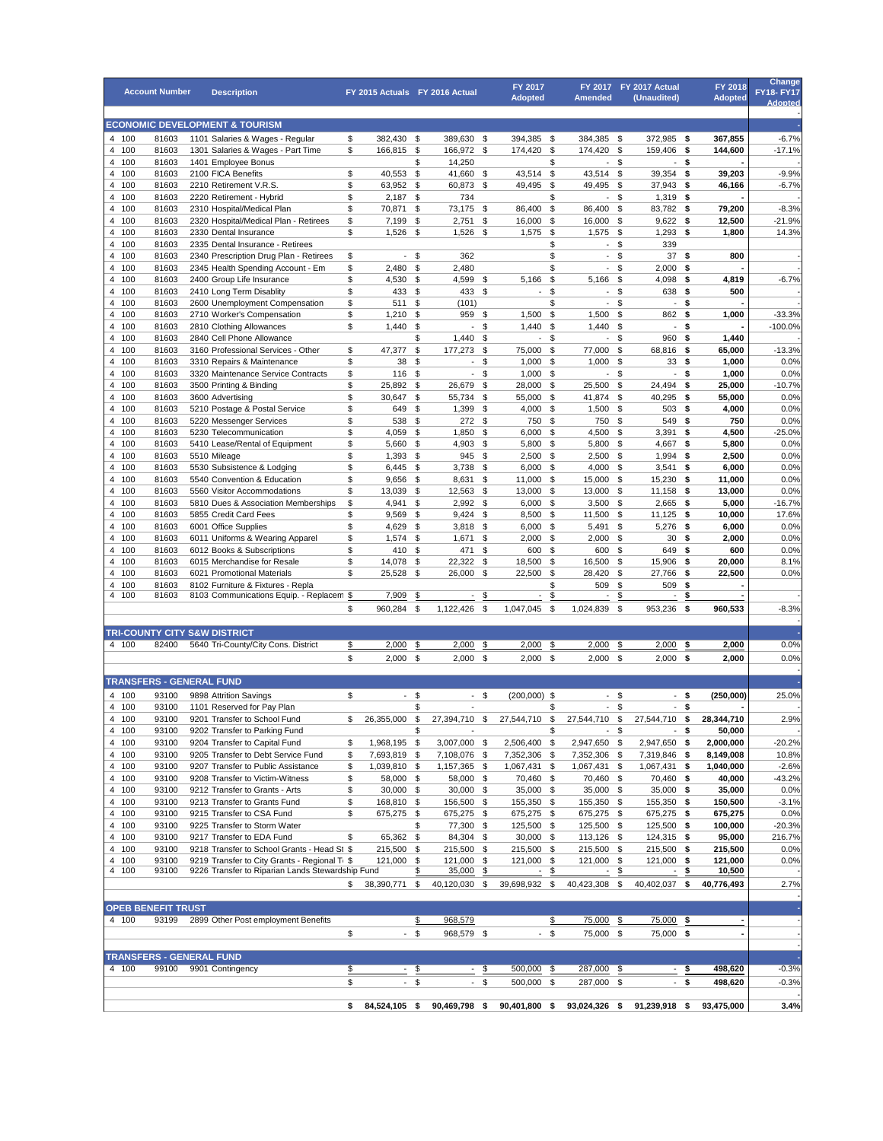|                           | <b>Account Number</b> | <b>Description</b>                                                                                |          | FY 2015 Actuals FY 2016 Actual |               |                              |          | FY 2017<br><b>Adopted</b> |            | <b>Amended</b>               |          | FY 2017 FY 2017 Actual<br>(Unaudited) |             | FY 2018<br><b>Adopted</b> | Change<br><b>FY18-FY17</b><br><b>Adopted</b> |
|---------------------------|-----------------------|---------------------------------------------------------------------------------------------------|----------|--------------------------------|---------------|------------------------------|----------|---------------------------|------------|------------------------------|----------|---------------------------------------|-------------|---------------------------|----------------------------------------------|
|                           |                       | <b>ECONOMIC DEVELOPMENT &amp; TOURISM</b>                                                         |          |                                |               |                              |          |                           |            |                              |          |                                       |             |                           |                                              |
| 4 100                     | 81603                 | 1101 Salaries & Wages - Regular                                                                   | \$       | 382,430 \$                     |               | 389,630 \$                   |          | 394,385 \$                |            | 384,385                      | - \$     | 372,985 \$                            |             | 367,855                   | $-6.7%$                                      |
| 4 100                     | 81603                 | 1301 Salaries & Wages - Part Time                                                                 | \$       | 166,815 \$                     |               | 166,972 \$                   |          | 174,420 \$                |            | 174,420                      | - \$     | 159.406 \$                            |             | 144,600                   | $-17.1%$                                     |
| 4 100                     | 81603                 | 1401 Employee Bonus                                                                               |          |                                | \$            | 14,250                       |          |                           | \$         | $\mathbf{r}$                 | \$       | $\sim$                                | \$          |                           |                                              |
| 4 100                     | 81603                 | 2100 FICA Benefits                                                                                | \$       | 40,553                         | \$            | 41,660                       | \$       | 43,514                    | \$         | 43,514                       | \$       | 39,354                                | -\$         | 39,203                    | $-9.9%$                                      |
| 4 100                     | 81603<br>81603        | 2210 Retirement V.R.S.                                                                            | \$       | 63,952 \$                      |               | 60,873                       | \$       | 49,495                    | \$<br>\$   | 49,495<br>$\blacksquare$     | \$       | 37,943                                | -\$         | 46,166                    | $-6.7%$                                      |
| 4 100<br>4 100            | 81603                 | 2220 Retirement - Hybrid<br>2310 Hospital/Medical Plan                                            | \$<br>\$ | 2,187<br>70,871                | \$<br>\$      | 734<br>73,175 \$             |          | 86,400                    | \$         | 86,400                       | \$<br>\$ | 1,319<br>83,782                       | -\$<br>- \$ | 79,200                    | $-8.3%$                                      |
| 4 100                     | 81603                 | 2320 Hospital/Medical Plan - Retirees                                                             | \$       | 7,199                          | \$            | 2,751                        | \$       | 16,000                    | \$         | 16,000                       | \$       | $9,622$ \$                            |             | 12,500                    | $-21.9%$                                     |
| 4 100                     | 81603                 | 2330 Dental Insurance                                                                             | \$       | 1,526                          | - \$          | 1,526                        | \$       | 1,575                     | \$         | 1,575                        | - \$     | 1,293                                 | \$          | 1,800                     | 14.3%                                        |
| 4 100                     | 81603                 | 2335 Dental Insurance - Retirees                                                                  |          |                                |               |                              |          |                           | \$         | $\mathbf{r}$                 | \$       | 339                                   |             |                           |                                              |
| 4 100                     | 81603                 | 2340 Prescription Drug Plan - Retirees                                                            | \$       | $\overline{\phantom{a}}$       | \$            | 362                          |          |                           | \$         | $\blacksquare$               | \$       | 37                                    | \$          | 800                       |                                              |
| 4 100                     | 81603                 | 2345 Health Spending Account - Em                                                                 | \$       | 2,480                          | \$            | 2,480                        |          |                           | \$         | ä,                           | \$       | 2,000                                 | - \$        |                           |                                              |
| 4 100<br>4 100            | 81603<br>81603        | 2400 Group Life Insurance<br>2410 Long Term Disablity                                             | \$<br>\$ | 4,530<br>433                   | -\$<br>- \$   | 4,599<br>433                 | \$<br>\$ | 5,166<br>$\sim$           | \$<br>\$   | 5,166<br>÷.                  | \$<br>\$ | $4,098$ \$<br>638 \$                  |             | 4,819<br>500              | $-6.7%$                                      |
| 4 100                     | 81603                 | 2600 Unemployment Compensation                                                                    | \$       | 511                            | \$            | (101)                        |          |                           | \$         | ÷.                           | \$       | $\sim$                                | \$          |                           |                                              |
| 4 100                     | 81603                 | 2710 Worker's Compensation                                                                        | \$       | 1,210                          | \$            | 959                          | \$       | 1,500                     | \$         | 1,500                        | \$       | 862                                   | \$          | 1,000                     | $-33.3%$                                     |
| 4 100                     | 81603                 | 2810 Clothing Allowances                                                                          | \$       | 1,440                          | \$            |                              | \$       | $1,440$ \$                |            | 1,440                        | \$       | $\blacksquare$                        | \$          |                           | $-100.0%$                                    |
| 4 100                     | 81603                 | 2840 Cell Phone Allowance                                                                         |          |                                | \$            | 1,440                        | \$       | ÷.                        | \$         | ä,                           | \$       | 960                                   | \$          | 1,440                     |                                              |
| 4 100                     | 81603                 | 3160 Professional Services - Other                                                                | \$       | 47,377                         | \$            | 177,273                      | \$       | 75,000                    | \$         | 77,000                       | \$       | 68,816 \$                             |             | 65,000                    | $-13.3%$                                     |
| 4 100                     | 81603                 | 3310 Repairs & Maintenance                                                                        | \$       | 38                             | \$            |                              | \$       | 1,000                     | \$         | 1,000                        | \$       | 33                                    | - \$        | 1,000                     | 0.0%                                         |
| 4 100                     | 81603                 | 3320 Maintenance Service Contracts                                                                | \$       | 116                            | -\$           | $\sim$                       | \$       | 1,000                     | \$         | ä,                           | \$       | ¥.                                    | \$          | 1,000                     | 0.0%                                         |
| 4 100<br>4 100            | 81603<br>81603        | 3500 Printing & Binding                                                                           | \$<br>\$ | 25,892                         | \$            | 26,679                       | -\$      | 28,000                    | \$         | 25,500                       | \$       | 24,494                                | \$          | 25,000<br>55,000          | $-10.7%$                                     |
| 4 100                     | 81603                 | 3600 Advertising<br>5210 Postage & Postal Service                                                 | \$       | 30,647<br>649                  | \$<br>- \$    | 55,734 \$<br>1,399           | \$       | 55,000<br>4,000           | \$<br>- \$ | 41,874<br>1,500              | \$<br>\$ | 40,295 \$<br>503 \$                   |             | 4,000                     | 0.0%<br>0.0%                                 |
| 4 100                     | 81603                 | 5220 Messenger Services                                                                           | \$       | 538                            | \$            | 272                          | \$       | 750                       | \$         | 750                          | \$       | 549                                   | - \$        | 750                       | 0.0%                                         |
| 4 100                     | 81603                 | 5230 Telecommunication                                                                            | \$       | 4,059                          | - \$          | 1,850                        | \$       | 6,000                     | -\$        | 4,500                        | \$       | $3,391$ \$                            |             | 4,500                     | $-25.0%$                                     |
| 4 100                     | 81603                 | 5410 Lease/Rental of Equipment                                                                    | \$       | 5,660                          | \$            | 4,903                        | \$       | 5,800                     | \$         | 5,800                        | \$       | 4,667 \$                              |             | 5,800                     | 0.0%                                         |
| 4 100                     | 81603                 | 5510 Mileage                                                                                      | \$       | 1,393                          | \$            | 945                          | \$       | 2,500                     | \$         | 2,500                        | \$       | 1,994                                 | -\$         | 2,500                     | 0.0%                                         |
| 4 100                     | 81603                 | 5530 Subsistence & Lodging                                                                        | \$       | 6,445                          | \$            | 3,738                        | \$       | 6,000                     | \$         | 4,000                        | \$       | 3,541                                 | \$          | 6,000                     | 0.0%                                         |
| 4 100                     | 81603                 | 5540 Convention & Education                                                                       | \$       | 9,656                          | -\$           | 8,631                        | \$       | 11,000                    | \$         | 15,000                       | \$       | 15,230                                | -\$         | 11,000                    | 0.0%                                         |
| 4 100                     | 81603                 | 5560 Visitor Accommodations                                                                       | \$       | 13,039                         | \$            | 12,563                       | \$       | 13,000                    | \$         | 13,000                       | \$       | 11,158                                | -\$         | 13,000                    | 0.0%                                         |
| 4 100<br>4 100            | 81603<br>81603        | 5810 Dues & Association Memberships<br>5855 Credit Card Fees                                      | \$<br>\$ | 4,941<br>9,569                 | \$<br>\$      | 2,992<br>9,424               | \$<br>\$ | 6,000<br>8,500            | \$<br>\$   | 3,500<br>11,500              | \$<br>\$ | $2,665$ \$<br>$11,125$ \$             |             | 5,000<br>10,000           | $-16.7%$<br>17.6%                            |
| 4 100                     | 81603                 | 6001 Office Supplies                                                                              | \$       | 4,629                          | \$            | 3,818                        | \$       | 6,000                     | \$         | 5,491                        | \$       | 5,276                                 | -\$         | 6,000                     | 0.0%                                         |
| 4 100                     | 81603                 | 6011 Uniforms & Wearing Apparel                                                                   | \$       | $1,574$ \$                     |               | 1,671                        | \$       | 2,000                     | \$         | 2,000                        | \$       | 30                                    | -\$         | 2,000                     | 0.0%                                         |
| 4 100                     | 81603                 | 6012 Books & Subscriptions                                                                        | \$       | 410                            | \$            | 471                          | \$       | 600                       | \$         | 600                          | \$       | 649                                   | \$          | 600                       | 0.0%                                         |
| 4 100                     | 81603                 | 6015 Merchandise for Resale                                                                       | \$       | 14,078                         | \$            | 22,322                       | \$       | 18,500                    | \$         | 16,500                       | \$       | 15,906                                | - \$        | 20,000                    | 8.1%                                         |
| 4 100                     | 81603                 | 6021 Promotional Materials                                                                        | \$       | 25,528                         | \$            | 26,000 \$                    |          | 22,500                    | \$         | 28,420                       | \$       | 27,766 \$                             |             | 22,500                    | 0.0%                                         |
| 4 100                     | 81603                 | 8102 Furniture & Fixtures - Repla                                                                 |          |                                |               |                              |          |                           | \$         | 509                          | \$       | 509                                   | -\$         |                           |                                              |
| 4 100                     | 81603                 | 8103 Communications Equip. - Replacem \$                                                          |          | 7,909                          | \$            |                              | \$       |                           | \$         |                              | \$       | $\overline{\phantom{a}}$              | \$          |                           |                                              |
|                           |                       |                                                                                                   | \$       | 960,284                        | \$            | 1,122,426                    | \$       | 1,047,045                 | -\$        | 1,024,839                    | \$       | 953,236                               | \$          | 960,533                   | $-8.3%$                                      |
|                           |                       | <b>TRI-COUNTY CITY S&amp;W DISTRICT</b>                                                           |          |                                |               |                              |          |                           |            |                              |          |                                       |             |                           |                                              |
| 4 100                     | 82400                 | 5640 Tri-County/City Cons. District                                                               | \$       | 2,000                          | \$            | 2,000                        | \$       | 2,000                     | \$         | 2,000                        | \$       | 2,000                                 | \$          | 2,000                     | 0.0%                                         |
|                           |                       |                                                                                                   | \$       | $2,000$ \$                     |               | $2,000$ \$                   |          | $2,000$ \$                |            | 2,000                        | \$       | $2,000$ \$                            |             | 2,000                     | 0.0%                                         |
|                           |                       |                                                                                                   |          |                                |               |                              |          |                           |            |                              |          |                                       |             |                           |                                              |
|                           |                       | <b>TRANSFERS - GENERAL FUND</b>                                                                   |          |                                |               |                              |          |                           |            |                              |          |                                       |             |                           |                                              |
| 4 100                     | 93100                 | 9898 Attrition Savings                                                                            | \$       | - \$                           |               |                              | - \$     | $(200,000)$ \$            |            |                              | - \$     |                                       | - \$        | (250,000)                 | 25.0%                                        |
| 4 100                     | 93100                 | 1101 Reserved for Pay Plan                                                                        |          |                                | \$            |                              |          |                           | \$         | $\mathbf{r}$                 | \$       | ¥.                                    | \$          |                           |                                              |
| 4 100                     | 93100                 | 9201 Transfer to School Fund                                                                      | \$       | 26,355,000                     | \$            | 27,394,710 \$                |          | 27,544,710                | \$         | 27,544,710                   | \$       | 27,544,710                            | \$          | 28,344,710                | 2.9%                                         |
| 4 100                     | 93100                 | 9202 Transfer to Parking Fund                                                                     |          |                                | \$            | $\sim$                       |          |                           | \$         |                              | - \$     |                                       | $-$ \$      | 50,000                    |                                              |
| 4 100                     | 93100                 | 9204 Transfer to Capital Fund                                                                     | \$       | 1,968,195 \$                   |               | 3,007,000 \$                 |          | 2,506,400 \$              |            | 2,947,650 \$                 |          | 2,947,650 \$                          |             | 2,000,000                 | $-20.2%$                                     |
| 4 100<br>4 100            | 93100<br>93100        | 9205 Transfer to Debt Service Fund<br>9207 Transfer to Public Assistance                          | \$<br>\$ | 7,693,819 \$<br>1,039,810 \$   |               | 7,108,076 \$<br>1,157,365 \$ |          | 7,352,306<br>1,067,431 \$ | - \$       | 7,352,306 \$<br>1,067,431 \$ |          | 7,319,846 \$<br>1,067,431 \$          |             | 8,149,008<br>1,040,000    | 10.8%<br>$-2.6%$                             |
| 4 100                     | 93100                 | 9208 Transfer to Victim-Witness                                                                   | \$       | 58,000 \$                      |               | 58,000 \$                    |          | 70,460 \$                 |            | 70,460 \$                    |          | 70,460 \$                             |             | 40,000                    | $-43.2%$                                     |
| 4 100                     | 93100                 | 9212 Transfer to Grants - Arts                                                                    | \$       | 30,000 \$                      |               | 30,000 \$                    |          | 35,000 \$                 |            | 35,000 \$                    |          | 35,000 \$                             |             | 35,000                    | 0.0%                                         |
| 4 100                     | 93100                 | 9213 Transfer to Grants Fund                                                                      | \$       | 168,810 \$                     |               | 156,500 \$                   |          | 155,350 \$                |            | 155,350 \$                   |          | 155,350 \$                            |             | 150,500                   | $-3.1%$                                      |
| 4 100                     | 93100                 | 9215 Transfer to CSA Fund                                                                         | \$       | 675,275 \$                     |               | 675,275 \$                   |          | 675,275                   | - \$       | 675,275 \$                   |          | 675,275 \$                            |             | 675,275                   | 0.0%                                         |
| 4 100                     | 93100                 | 9225 Transfer to Storm Water                                                                      |          |                                | \$            | 77,300 \$                    |          | 125,500 \$                |            | 125,500 \$                   |          | 125,500 \$                            |             | 100,000                   | $-20.3%$                                     |
| 4 100                     | 93100                 | 9217 Transfer to EDA Fund                                                                         | \$       | 65,362 \$                      |               | 84,304 \$                    |          | 30,000 \$                 |            | 113,126 \$                   |          | 124,315 \$                            |             | 95,000                    | 216.7%                                       |
| 4 100                     | 93100                 | 9218 Transfer to School Grants - Head St \$                                                       |          | 215,500 \$                     |               | 215,500 \$                   |          | 215,500 \$                |            | 215,500 \$                   |          | 215,500 \$                            |             | 215,500                   | 0.0%                                         |
| 4 100<br>4 100            | 93100<br>93100        | 9219 Transfer to City Grants - Regional Ti \$<br>9226 Transfer to Riparian Lands Stewardship Fund |          | 121,000 \$                     | \$            | 121,000 \$<br>35,000         | \$       | 121,000                   | \$<br>\$   | 121,000 \$                   | \$       | 121,000 \$                            | \$          | 121,000<br>10,500         | 0.0%                                         |
|                           |                       |                                                                                                   | \$       | 38,390,771                     | \$            | 40,120,030                   | \$       | 39,698,932                | \$         | 40,423,308                   | -\$      | 40,402,037                            | \$          | 40,776,493                | 2.7%                                         |
|                           |                       |                                                                                                   |          |                                |               |                              |          |                           |            |                              |          |                                       |             |                           |                                              |
| <b>OPEB BENEFIT TRUST</b> |                       |                                                                                                   |          |                                |               |                              |          |                           |            |                              |          |                                       |             |                           |                                              |
| 4 100                     | 93199                 | 2899 Other Post employment Benefits                                                               |          |                                | \$            | 968,579                      |          |                           | \$         | 75,000                       | \$       | 75,000                                | -\$         |                           |                                              |
|                           |                       |                                                                                                   | \$       | $\blacksquare$                 | \$            | 968,579 \$                   |          | $\blacksquare$            | \$         | 75,000                       | \$       | 75,000 \$                             |             |                           |                                              |
|                           |                       |                                                                                                   |          |                                |               |                              |          |                           |            |                              |          |                                       |             |                           |                                              |
|                           |                       | <b>TRANSFERS - GENERAL FUND</b>                                                                   |          |                                |               |                              |          |                           |            |                              |          |                                       |             |                           |                                              |
| 4 100                     | 99100                 | 9901 Contingency                                                                                  | \$       | $\overline{\phantom{a}}$       | $\frac{3}{2}$ |                              | \$       | 500,000                   | -\$        | 287,000                      | \$       | ۰.                                    | \$          | 498,620                   | $-0.3%$                                      |
|                           |                       |                                                                                                   | \$       | $\sim$                         | \$            |                              | $-$ \$   | 500,000 \$                |            | 287,000                      | \$       | $\sim$                                | \$          | 498,620                   | $-0.3%$                                      |
|                           |                       |                                                                                                   |          |                                |               |                              |          |                           |            |                              |          |                                       |             |                           |                                              |
|                           |                       |                                                                                                   | \$       | 84,524,105 \$                  |               | 90,469,798 \$                |          | 90,401,800 \$             |            | 93,024,326 \$                |          | 91,239,918 \$                         |             | 93,475,000                | 3.4%                                         |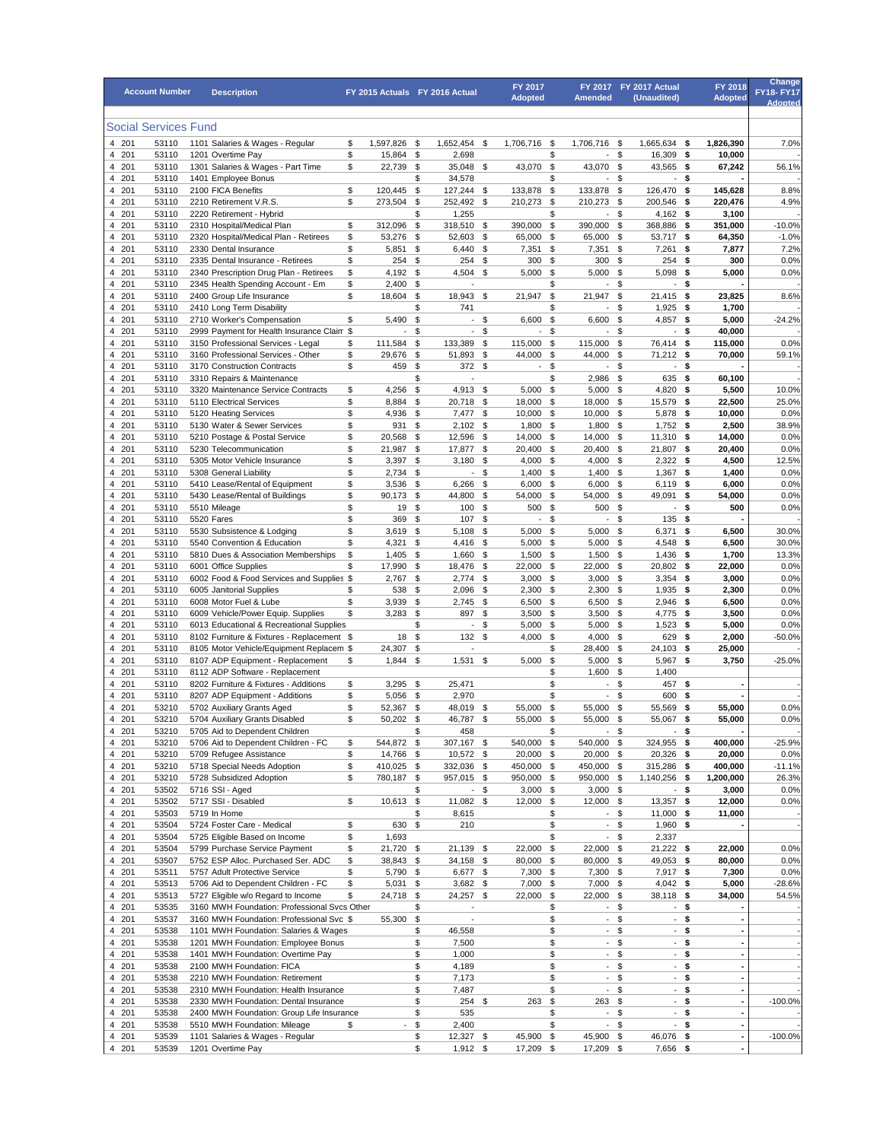|                | <b>Account Number</b>       | <b>Description</b>                                                                     |          |                         |                      | FY 2015 Actuals FY 2016 Actual |               | FY 2017<br><b>Adopted</b>   | <b>Amended</b>                          | FY 2017 FY 2017 Actual<br>(Unaudited)  | FY 2018<br><b>Adopted</b>      | Change<br><b>FY18-FY17</b><br><b>Adopted</b>                      |
|----------------|-----------------------------|----------------------------------------------------------------------------------------|----------|-------------------------|----------------------|--------------------------------|---------------|-----------------------------|-----------------------------------------|----------------------------------------|--------------------------------|-------------------------------------------------------------------|
|                |                             |                                                                                        |          |                         |                      |                                |               |                             |                                         |                                        |                                |                                                                   |
|                | <b>Social Services Fund</b> |                                                                                        |          |                         |                      |                                |               |                             |                                         |                                        |                                |                                                                   |
| 4 201<br>4 201 | 53110<br>53110              | 1101 Salaries & Wages - Regular<br>1201 Overtime Pay                                   | \$<br>\$ | 1,597,826<br>15,864     | - \$<br>\$           | 1,652,454<br>2,698             | -\$           | 1,706,716 \$                | 1,706,716 \$<br>\$                      | 1,665,634 \$<br>\$<br>16,309           | 1,826,390<br>\$<br>10,000      | 7.0%                                                              |
| 4 201          | 53110                       | 1301 Salaries & Wages - Part Time                                                      | \$       | 22,739                  | - \$                 | 35,048 \$                      |               | 43,070                      | \$<br>43,070                            | \$<br>43,565 \$                        | 67,242                         | 56.1%                                                             |
| 4 201          | 53110                       | 1401 Employee Bonus                                                                    |          |                         | \$                   | 34,578                         |               |                             | \$<br>$\overline{a}$                    | \$<br>$\sim$                           | \$                             |                                                                   |
| 4 201          | 53110                       | 2100 FICA Benefits                                                                     | \$       | 120,445                 | - \$                 | 127,244 \$                     |               | 133,878                     | - \$<br>133,878                         | \$<br>126,470 \$                       | 145,628                        | 8.8%                                                              |
| 4 201<br>4 201 | 53110<br>53110              | 2210 Retirement V.R.S.<br>2220 Retirement - Hybrid                                     | \$       | 273,504 \$              | \$                   | 252,492 \$<br>1,255            |               | 210,273 \$                  | 210,273<br>\$<br>÷,                     | - \$<br>200,546 \$<br>\$<br>$4,162$ \$ | 220,476<br>3,100               | 4.9%                                                              |
| 4 201          | 53110                       | 2310 Hospital/Medical Plan                                                             | \$       | 312,096                 | -\$                  | 318,510 \$                     |               | 390,000                     | \$<br>390,000                           | \$<br>368,886 \$                       | 351,000                        | $-10.0%$                                                          |
| 4 201          | 53110                       | 2320 Hospital/Medical Plan - Retirees                                                  | \$       | 53,276                  | - \$                 | 52,603                         | \$            | 65,000                      | \$<br>65,000                            | \$<br>53,717 \$                        | 64,350                         | $-1.0%$                                                           |
| 4 201<br>4 201 | 53110<br>53110              | 2330 Dental Insurance<br>2335 Dental Insurance - Retirees                              | \$<br>\$ | 5,851<br>254            | -\$<br>$\mathfrak s$ | 6,440<br>254                   | \$<br>\$      | 7,351<br>300                | \$<br>7,351<br>\$<br>300                | \$<br>7,261<br>254<br>\$               | 7,877<br>\$<br>\$<br>300       | 7.2%<br>0.0%                                                      |
| 4 201          | 53110                       | 2340 Prescription Drug Plan - Retirees                                                 | \$       | 4,192                   | - \$                 | 4,504                          | \$            | 5,000                       | \$<br>5,000                             | \$<br>$5,098$ \$                       | 5,000                          | 0.0%                                                              |
| 4 201          | 53110                       | 2345 Health Spending Account - Em                                                      | \$       | 2,400                   | -\$                  |                                |               |                             | \$<br>٠                                 | \$<br>$\sim$                           | \$                             |                                                                   |
| 4 201          | 53110                       | 2400 Group Life Insurance                                                              | \$       | 18,604                  | -\$                  | 18,943 \$                      |               | 21,947                      | \$<br>21,947                            | \$<br>21,415 \$                        | 23,825                         | 8.6%                                                              |
| 4 201<br>4 201 | 53110<br>53110              | 2410 Long Term Disability<br>2710 Worker's Compensation                                | \$       | 5,490                   | \$<br>\$             | 741<br>ä,                      | \$            | 6,600                       | \$<br>\$<br>6,600                       | $1,925$ \$<br>\$<br>\$<br>4,857 \$     | 1,700<br>5,000                 | $-24.2%$                                                          |
| 4 201          | 53110                       | 2999 Payment for Health Insurance Claim \$                                             |          | $\blacksquare$          | \$                   | $\omega$                       | \$            | ÷.                          | \$<br>÷.                                | \$                                     | 40,000<br>- \$                 |                                                                   |
| 4 201          | 53110                       | 3150 Professional Services - Legal                                                     | \$       | 111,584                 | \$                   | 133,389                        | \$            | 115,000                     | \$<br>115,000                           | 76,414<br>\$                           | 115,000<br>\$                  | 0.0%                                                              |
| 4 201<br>4 201 | 53110                       | 3160 Professional Services - Other                                                     | \$<br>\$ | 29,676                  | -\$                  | 51,893                         | \$            | 44,000<br>$\blacksquare$    | \$<br>44,000<br>\$                      | \$<br>71,212<br>$\sim$                 | \$<br>70,000                   | 59.1%                                                             |
| 4 201          | 53110<br>53110              | 3170 Construction Contracts<br>3310 Repairs & Maintenance                              |          | 459                     | -\$<br>\$            | 372<br>٠                       | \$            |                             | $\overline{\phantom{a}}$<br>\$<br>2,986 | \$<br>\$<br>635 \$                     | \$<br>60,100                   |                                                                   |
| 4 201          | 53110                       | 3320 Maintenance Service Contracts                                                     | \$       | 4,256                   | \$                   | 4,913 \$                       |               | 5,000                       | \$<br>5,000                             | \$<br>$4,820$ \$                       | 5,500                          | 10.0%                                                             |
| 4 201          | 53110                       | 5110 Electrical Services                                                               | \$       | 8,884                   | \$                   | 20,718 \$                      |               | 18,000                      | \$<br>18,000                            | 15,579<br>-\$                          | 22,500<br>\$                   | 25.0%                                                             |
| 4 201<br>4 201 | 53110<br>53110              | 5120 Heating Services<br>5130 Water & Sewer Services                                   | \$<br>\$ | 4,936<br>931            | - \$<br>- \$         | 7,477<br>2,102                 | -\$<br>- \$   | 10,000<br>1,800             | \$<br>10,000<br>\$<br>1,800             | \$<br>5,878<br>\$<br>1,752             | 10,000<br>-\$<br>2,500<br>- \$ | 0.0%<br>38.9%                                                     |
| 4 201          | 53110                       | 5210 Postage & Postal Service                                                          | \$       | 20,568                  | \$                   | 12,596                         | $\mathfrak s$ | 14,000                      | \$<br>14,000                            | \$<br>$11,310$ \$                      | 14,000                         | 0.0%                                                              |
| 4 201          | 53110                       | 5230 Telecommunication                                                                 | \$       | 21,987                  | \$                   | 17,877                         | \$            | 20,400                      | \$<br>20,400                            | \$<br>21,807                           | 20,400<br>\$                   | 0.0%                                                              |
| 4 201          | 53110                       | 5305 Motor Vehicle Insurance                                                           | \$       | $3,397$ \$              |                      | 3,180                          | -\$           | 4,000                       | \$<br>4,000                             | \$<br>2,322                            | 4,500<br>- \$                  | 12.5%                                                             |
| 4 201<br>4 201 | 53110<br>53110              | 5308 General Liability<br>5410 Lease/Rental of Equipment                               | \$<br>\$ | 2,734<br>3,536          | -\$<br>- \$          | $\blacksquare$<br>$6,266$ \$   | \$            | 1,400<br>6,000              | \$<br>1,400<br>- \$<br>6,000            | \$<br>$1,367$ \$<br>\$<br>$6,119$ \$   | 1,400<br>6,000                 | 0.0%<br>0.0%                                                      |
| 4 201          | 53110                       | 5430 Lease/Rental of Buildings                                                         | \$       | 90,173 \$               |                      | 44,800                         | -\$           | 54,000                      | \$<br>54,000                            | 49,091<br>\$                           | 54,000<br>\$                   | 0.0%                                                              |
| 4 201          | 53110                       | 5510 Mileage                                                                           | \$       | 19                      | - \$                 | 100                            | \$            | 500                         | \$<br>500                               | \$<br>$\overline{\phantom{a}}$         | 500<br>\$                      | 0.0%                                                              |
| 4 201          | 53110                       | 5520 Fares                                                                             | \$       | 369                     | - \$                 | 107 \$                         |               | $\mathcal{L}_{\mathcal{A}}$ | \$<br>$\mathbf{r}$                      | \$<br>135                              | -\$                            |                                                                   |
| 4 201<br>4 201 | 53110<br>53110              | 5530 Subsistence & Lodging<br>5540 Convention & Education                              | \$<br>\$ | 3,619<br>4,321          | - \$<br>\$           | 5,108<br>4,416                 | \$<br>\$      | 5,000<br>5,000              | \$<br>5,000<br>\$<br>5,000              | \$<br>6,371<br>\$<br>4,548             | \$<br>6,500<br>6,500<br>\$     | 30.0%<br>30.0%                                                    |
| 4 201          | 53110                       | 5810 Dues & Association Memberships                                                    | \$       | 1,405                   | - \$                 | 1,660                          | -\$           | 1,500                       | \$<br>1,500                             | \$<br>1,436                            | 1,700<br>-\$                   | 13.3%                                                             |
| 4 201          | 53110                       | 6001 Office Supplies                                                                   | \$       | 17,990                  | - \$                 | 18,476 \$                      |               | 22,000                      | \$<br>22,000                            | \$<br>20,802 \$                        | 22,000                         | 0.0%                                                              |
| 4 201          | 53110                       | 6002 Food & Food Services and Supplies \$                                              |          | 2,767 \$                |                      | 2,774                          | \$            | 3,000                       | \$<br>3,000                             | \$<br>3,354                            | 3,000<br>\$                    | 0.0%                                                              |
| 4 201<br>4 201 | 53110<br>53110              | 6005 Janitorial Supplies<br>6008 Motor Fuel & Lube                                     | \$<br>\$ | 538<br>3,939            | - \$<br>\$           | 2,096<br>2,745                 | \$<br>-\$     | 2,300<br>6,500              | \$<br>2,300<br>\$<br>6,500              | \$<br>1,935<br>\$<br>$2,946$ \$        | 2,300<br>- \$<br>6,500         | 0.0%<br>0.0%                                                      |
| 4 201          | 53110                       | 6009 Vehicle/Power Equip. Supplies                                                     | \$       | 3,283                   | $\mathfrak s$        | 897                            | \$            | 3,500                       | \$<br>3,500                             | \$<br>4,775                            | 3,500<br>\$                    | 0.0%                                                              |
| 4 201          | 53110                       | 6013 Educational & Recreational Supplies                                               |          |                         | \$                   | ÷.                             | \$            | 5,000                       | \$<br>5,000                             | \$<br>$1,523$ \$                       | 5,000                          | 0.0%                                                              |
| 4 201<br>4 201 | 53110<br>53110              | 8102 Furniture & Fixtures - Replacement \$<br>8105 Motor Vehicle/Equipment Replacem \$ |          | 18<br>24,307            | \$<br>\$             | 132                            | \$            | 4,000                       | \$<br>4,000<br>\$<br>28,400             | \$<br>629<br>\$<br>24,103              | 2,000<br>\$<br>\$<br>25,000    | $-50.0%$                                                          |
| 4 201          | 53110                       | 8107 ADP Equipment - Replacement                                                       | \$       | 1,844                   | - \$                 | 1,531                          | -\$           | 5,000                       | \$<br>5,000                             | \$<br>$5,967$ \$                       | 3,750                          | $-25.0%$                                                          |
| 4 201          | 53110                       | 8112 ADP Software - Replacement                                                        |          |                         |                      |                                |               |                             | \$<br>1,600                             | \$<br>1,400                            |                                |                                                                   |
| 4 201          | 53110                       | 8202 Furniture & Fixtures - Additions                                                  | \$       | $3,295$ \$              |                      | 25,471                         |               |                             | \$<br>$\sim$                            | \$<br>457 \$                           |                                |                                                                   |
| 4 201<br>4 201 | 53110<br>53210              | 8207 ADP Equipment - Additions<br>5702 Auxiliary Grants Aged                           | \$<br>\$ | 5,056<br>52,367 \$      | -\$                  | 2,970<br>48,019                | -\$           | 55,000                      | \$<br>ä,<br>\$<br>55,000                | \$<br>600<br>\$<br>55,569              | \$<br>-\$<br>55,000            | 0.0%                                                              |
| 4 201          | 53210                       | 5704 Auxiliary Grants Disabled                                                         | \$       | 50,202 \$               |                      | 46,787                         | \$            | 55,000                      | \$<br>55,000                            | \$<br>55,067                           | 55,000<br>\$                   | 0.0%                                                              |
| 4 201          | 53210                       | 5705 Aid to Dependent Children                                                         |          |                         | \$                   | 458                            |               |                             | \$                                      | $-$ \$                                 | - \$                           |                                                                   |
| 4 201          | 53210                       | 5706 Aid to Dependent Children - FC                                                    | \$       | 544,872                 | -\$                  | 307,167 \$                     |               | 540,000 \$                  | 540,000 \$                              | 324,955 \$                             | 400,000                        | $-25.9%$                                                          |
| 4 201<br>4 201 | 53210<br>53210              | 5709 Refugee Assistance<br>5718 Special Needs Adoption                                 | \$<br>\$ | 14,766 \$<br>410,025 \$ |                      | 10,572 \$<br>332,036 \$        |               | 20,000<br>450,000 \$        | \$<br>20,000<br>450,000 \$              | \$<br>20,326 \$<br>315,286 \$          | 20,000<br>400,000              | 0.0%<br>$-11.1%$                                                  |
| 4 201          | 53210                       | 5728 Subsidized Adoption                                                               | \$       | 780,187 \$              |                      | 957,015 \$                     |               | 950,000 \$                  | 950,000 \$                              | 1,140,256 \$                           | 1,200,000                      | 26.3%                                                             |
| 4 201          | 53502                       | 5716 SSI - Aged                                                                        |          |                         | \$                   |                                | - \$          | $3,000$ \$                  | $3,000$ \$                              |                                        | - \$<br>3,000                  | 0.0%                                                              |
| 4 201<br>4 201 | 53502<br>53503              | 5717 SSI - Disabled<br>5719 In Home                                                    | \$       | 10,613 \$               | \$                   | 11,082 \$<br>8,615             |               | 12,000 \$                   | 12,000 \$<br>\$<br>- \$                 | 13,357 \$<br>11,000 \$                 | 12,000<br>11,000               | 0.0%                                                              |
| 4 201          | 53504                       | 5724 Foster Care - Medical                                                             | \$       | 630 \$                  |                      | 210                            |               |                             | \$<br>$\omega$                          | \$<br>$1,960$ \$                       |                                |                                                                   |
| 4 201          | 53504                       | 5725 Eligible Based on Income                                                          | \$       | 1,693                   |                      |                                |               |                             | \$<br>$\omega$                          | 2,337<br>\$                            |                                |                                                                   |
| 4 201          | 53504                       | 5799 Purchase Service Payment                                                          | \$       | 21,720 \$               |                      | 21,139 \$                      |               | 22,000                      | \$<br>22,000 \$                         | $21,222$ \$                            | 22,000                         | 0.0%                                                              |
| 4 201<br>4 201 | 53507<br>53511              | 5752 ESP Alloc. Purchased Ser. ADC<br>5757 Adult Protective Service                    | \$<br>\$ | 38,843 \$<br>5,790 \$   |                      | 34,158 \$<br>6,677 \$          |               | 80,000 \$<br>7,300 \$       | 80,000 \$<br>7,300 \$                   | 49,053 \$<br>7,917 \$                  | 80,000<br>7,300                | 0.0%<br>0.0%                                                      |
| 4 201          | 53513                       | 5706 Aid to Dependent Children - FC                                                    | \$       | $5,031$ \$              |                      | $3,682$ \$                     |               | 7,000                       | \$<br>7,000 \$                          | $4,042$ \$                             | 5,000                          | $-28.6%$                                                          |
| 4 201          | 53513                       | 5727 Eligible w/o Regard to Income                                                     | \$       | 24,718 \$               |                      | 24,257 \$                      |               | 22,000                      | \$<br>22,000 \$                         | 38,118 \$                              | 34,000                         | 54.5%                                                             |
| 4 201          | 53535                       | 3160 MWH Foundation: Professional Svcs Other                                           |          |                         | \$                   |                                |               |                             | \$<br>٠                                 | \$                                     | - \$                           |                                                                   |
| 4 201<br>4 201 | 53537<br>53538              | 3160 MWH Foundation: Professional Svc \$<br>1101 MWH Foundation: Salaries & Wages      |          | 55,300 \$               | \$                   | ÷,<br>46,558                   |               |                             | \$<br>$\omega$<br>\$<br>$\blacksquare$  | \$<br>\$<br>$\omega_{\rm{eff}}$        | $-$ \$<br>\$                   | ÷                                                                 |
| 4 201          | 53538                       | 1201 MWH Foundation: Employee Bonus                                                    |          |                         | \$                   | 7,500                          |               |                             | \$<br>$\omega_{\rm c}$                  | \$<br>$\mathcal{L}_{\mathcal{A}}$      | \$                             | $\overline{\phantom{a}}$                                          |
| 4 201          | 53538                       | 1401 MWH Foundation: Overtime Pay                                                      |          |                         | \$                   | 1,000                          |               |                             | \$<br>÷.                                | \$<br>$\omega$                         | \$                             | $\overline{\phantom{a}}$                                          |
| 4 201<br>4 201 | 53538                       | 2100 MWH Foundation: FICA<br>2210 MWH Foundation: Retirement                           |          |                         | \$                   | 4,189                          |               |                             | \$<br>$\blacksquare$<br>\$<br>$\sim$    | \$<br>$\sim$<br>\$                     | \$<br>$-$ \$                   | ٠                                                                 |
| 4 201          | 53538<br>53538              | 2310 MWH Foundation: Health Insurance                                                  |          |                         | \$<br>\$             | 7,173<br>7,487                 |               |                             | \$<br>÷.                                | \$<br>÷.                               | \$                             | $\overline{\phantom{a}}$                                          |
| 4 201          | 53538                       | 2330 MWH Foundation: Dental Insurance                                                  |          |                         | \$                   | 254 \$                         |               | 263                         | \$<br>263                               | \$<br>$\sim$                           | \$                             | $-100.0%$<br>$\blacksquare$                                       |
| 4 201          | 53538                       | 2400 MWH Foundation: Group Life Insurance                                              |          |                         | \$                   | 535                            |               |                             | \$<br>$\blacksquare$                    | \$                                     | $-$ \$                         |                                                                   |
| 4 201<br>4 201 | 53538<br>53539              | 5510 MWH Foundation: Mileage<br>1101 Salaries & Wages - Regular                        | \$       | $\sim$                  | \$<br>\$             | 2,400<br>12,327 \$             |               | 45,900 \$                   | \$<br>$\omega$<br>45,900 \$             | \$<br>46,076 \$                        | $-$ \$                         | $\overline{\phantom{a}}$<br>$-100.0%$<br>$\overline{\phantom{a}}$ |
| 4 201          | 53539                       | 1201 Overtime Pay                                                                      |          |                         | \$                   | $1,912$ \$                     |               | 17,209 \$                   | 17,209 \$                               | 7,656 \$                               |                                |                                                                   |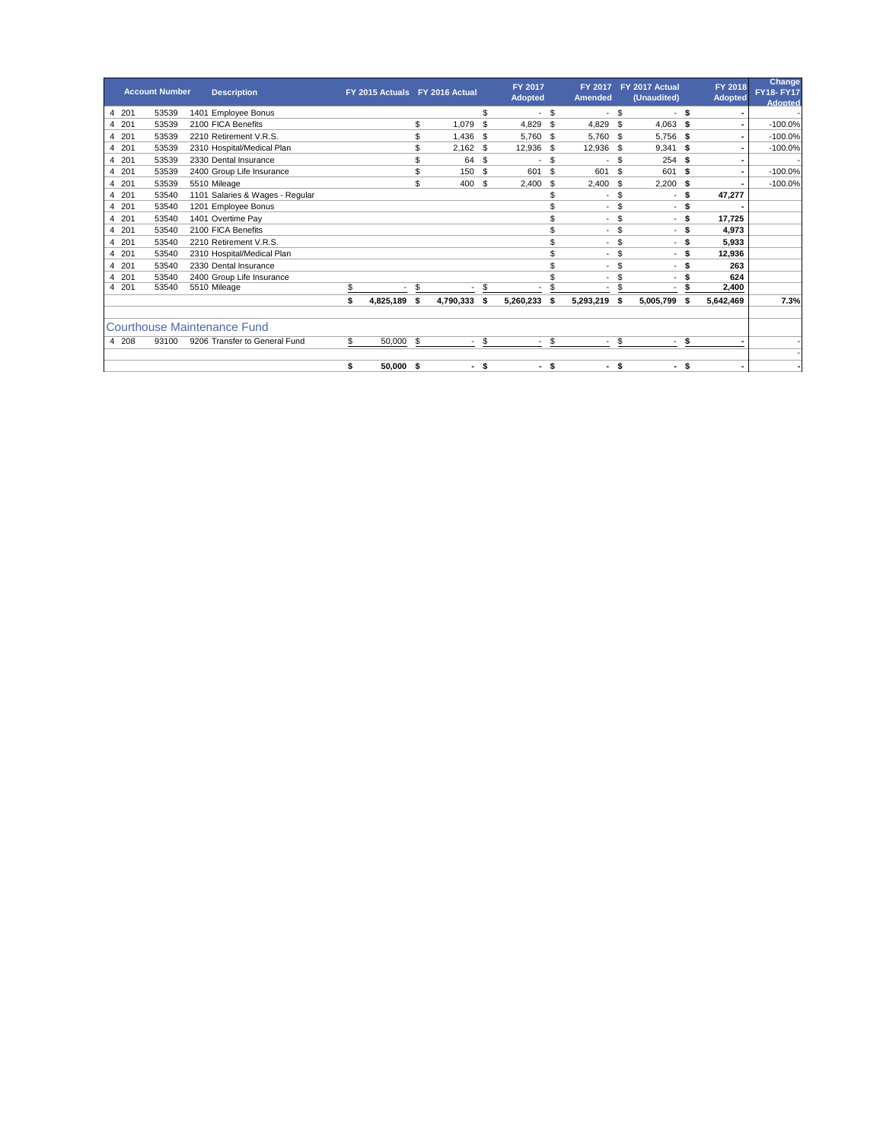|       | <b>Account Number</b> | <b>Description</b>                 |                    |     | FY 2015 Actuals FY 2016 Actual |      | FY 2017<br><b>Adopted</b> |        | <b>Amended</b>           |        | FY 2017 FY 2017 Actual<br>(Unaudited) |      | FY 2018<br><b>Adopted</b> | Change<br>FY18-FY17<br><b>Adopted</b> |
|-------|-----------------------|------------------------------------|--------------------|-----|--------------------------------|------|---------------------------|--------|--------------------------|--------|---------------------------------------|------|---------------------------|---------------------------------------|
| 4 201 | 53539                 | 1401 Employee Bonus                |                    |     |                                | \$   |                           | $-$ \$ |                          | $-$ \$ |                                       | - \$ |                           |                                       |
| 4 201 | 53539                 | 2100 FICA Benefits                 |                    | \$  | 1,079                          | \$   | 4,829                     | - \$   | 4,829                    | -S     | $4,063$ \$                            |      |                           | $-100.0%$                             |
| 4 201 | 53539                 | 2210 Retirement V.R.S.             |                    | \$  | 1,436                          | - \$ | 5,760 \$                  |        | 5,760 \$                 |        | 5,756 \$                              |      |                           | $-100.0%$                             |
| 4 201 | 53539                 | 2310 Hospital/Medical Plan         |                    | \$  | $2,162$ \$                     |      | 12,936 \$                 |        | 12,936 \$                |        | $9,341$ \$                            |      |                           | $-100.0%$                             |
| 4 201 | 53539                 | 2330 Dental Insurance              |                    | S   | 64 \$                          |      |                           | - \$   |                          | -S     | 254S                                  |      |                           |                                       |
| 4 201 | 53539                 | 2400 Group Life Insurance          |                    | \$  | 150 \$                         |      | 601                       | -S     | 601                      | Ŝ.     | 601 \$                                |      |                           | $-100.0%$                             |
| 4 201 | 53539                 | 5510 Mileage                       |                    | \$  | 400                            | \$   | 2,400                     | -S     | 2,400                    | -S     | $2,200$ \$                            |      |                           | $-100.0%$                             |
| 4 201 | 53540                 | 1101 Salaries & Wages - Regular    |                    |     |                                |      |                           | \$     | $\sim$                   | - \$   |                                       | - \$ | 47,277                    |                                       |
| 4 201 | 53540                 | 1201 Employee Bonus                |                    |     |                                |      |                           | \$     |                          | - \$   | $\sim$                                | \$   |                           |                                       |
| 4 201 | 53540                 | 1401 Overtime Pay                  |                    |     |                                |      |                           | \$     |                          | $-$ \$ |                                       | - \$ | 17,725                    |                                       |
| 4 201 | 53540                 | 2100 FICA Benefits                 |                    |     |                                |      |                           | \$     |                          | - \$   |                                       | - \$ | 4,973                     |                                       |
| 4 201 | 53540                 | 2210 Retirement V.R.S.             |                    |     |                                |      |                           | \$     |                          | - \$   | $\sim$                                | \$   | 5,933                     |                                       |
| 4 201 | 53540                 | 2310 Hospital/Medical Plan         |                    |     |                                |      |                           | \$     |                          | - \$   |                                       | - \$ | 12,936                    |                                       |
| 4 201 | 53540                 | 2330 Dental Insurance              |                    |     |                                |      |                           | \$     |                          | - \$   | $\sim$                                | \$   | 263                       |                                       |
| 4 201 | 53540                 | 2400 Group Life Insurance          |                    |     |                                |      |                           | \$     | $\overline{\phantom{a}}$ | Ŝ.     | $\sim$                                | \$   | 624                       |                                       |
| 4201  | 53540                 | 5510 Mileage                       | \$                 | \$. |                                | \$.  |                           | S      |                          | S      | ۰                                     | \$   | 2,400                     |                                       |
|       |                       |                                    | \$<br>4,825,189 \$ |     | 4,790,333                      | \$   | 5,260,233                 | \$     | 5,293,219                | \$     | 5,005,799 \$                          |      | 5,642,469                 | 7.3%                                  |
|       |                       |                                    |                    |     |                                |      |                           |        |                          |        |                                       |      |                           |                                       |
|       |                       | <b>Courthouse Maintenance Fund</b> |                    |     |                                |      |                           |        |                          |        |                                       |      |                           |                                       |
| 4 208 | 93100                 | 9206 Transfer to General Fund      | \$<br>$50,000$ \$  |     |                                | \$   |                           | S      |                          | \$.    |                                       | \$   |                           |                                       |
|       |                       |                                    |                    |     |                                |      |                           |        |                          |        |                                       |      |                           |                                       |
|       |                       |                                    | \$<br>50,000 \$    |     |                                | - \$ |                           | - \$   |                          | - \$   | ۰.                                    | \$   |                           |                                       |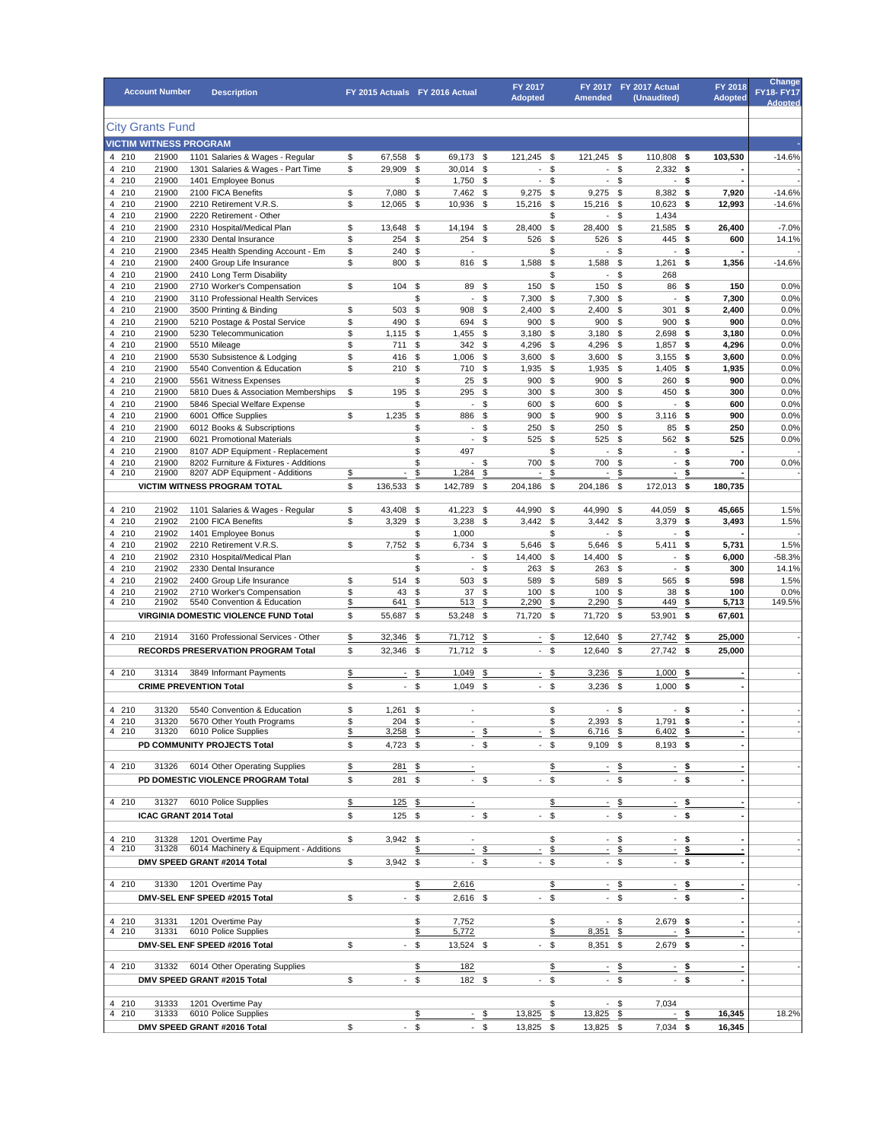|                                | <b>Account Number</b>                                    | <b>Description</b>                                                   |               |                          |             | FY 2015 Actuals FY 2016 Actual     |               | FY 2017<br><b>Adopted</b> | <b>Amended</b>                           |                      | FY 2017 FY 2017 Actual<br>(Unaudited) | <b>FY 2018</b><br><b>Adopted</b> | Change<br><b>FY18-FY17</b><br><b>Adopted</b> |
|--------------------------------|----------------------------------------------------------|----------------------------------------------------------------------|---------------|--------------------------|-------------|------------------------------------|---------------|---------------------------|------------------------------------------|----------------------|---------------------------------------|----------------------------------|----------------------------------------------|
|                                |                                                          |                                                                      |               |                          |             |                                    |               |                           |                                          |                      |                                       |                                  |                                              |
|                                | <b>City Grants Fund</b><br><b>VICTIM WITNESS PROGRAM</b> |                                                                      |               |                          |             |                                    |               |                           |                                          |                      |                                       |                                  |                                              |
| 4 210                          | 21900                                                    | 1101 Salaries & Wages - Regular                                      | \$            | 67,558 \$                |             | 69,173 \$                          |               | 121,245 \$                | 121,245 \$                               |                      | 110,808 \$                            | 103,530                          | $-14.6%$                                     |
| 4 210                          | 21900                                                    | 1301 Salaries & Wages - Part Time                                    | \$            | 29,909                   | \$          | 30,014 \$                          |               | $\blacksquare$            | \$<br>$\sim$                             | \$                   | $2,332$ \$                            |                                  |                                              |
| 4 210                          | 21900                                                    | 1401 Employee Bonus                                                  |               |                          | \$          | 1,750                              | - \$          | $\overline{\phantom{a}}$  | \$<br>÷,                                 | \$                   | ÷.                                    | \$                               |                                              |
| 4 210<br>4 210                 | 21900<br>21900                                           | 2100 FICA Benefits<br>2210 Retirement V.R.S.                         | \$<br>\$      | 7,080<br>12,065          | \$<br>\$    | 7,462<br>10,936                    | \$<br>\$      | 9,275<br>15,216           | -\$<br>9,275<br>\$<br>15,216             | -\$<br>-\$           | 8,382<br>10,623                       | \$<br>7,920<br>\$<br>12,993      | $-14.6%$<br>$-14.6%$                         |
| 4 210                          | 21900                                                    | 2220 Retirement - Other                                              |               |                          |             |                                    |               |                           | \$<br>$\sim$                             | \$                   | 1,434                                 |                                  |                                              |
| 4 210                          | 21900                                                    | 2310 Hospital/Medical Plan                                           | \$            | 13,648                   | - \$        | 14,194                             | \$            | 28,400                    | \$<br>28,400                             | \$                   | 21,585 \$                             | 26,400                           | $-7.0%$                                      |
| 4 210                          | 21900                                                    | 2330 Dental Insurance                                                | \$            | 254                      | \$          | 254                                | \$            | 526                       | \$<br>526                                | -\$                  | 445 \$                                | 600                              | 14.1%                                        |
| 4 210<br>4 210                 | 21900<br>21900                                           | 2345 Health Spending Account - Em<br>2400 Group Life Insurance       | \$<br>\$      | 240<br>800               | -\$<br>- \$ | ٠<br>816 \$                        |               | 1,588                     | \$<br>$\bar{\phantom{a}}$<br>\$<br>1,588 | \$<br>\$             | $\sim$<br>1,261                       | \$<br>\$<br>1,356                | $-14.6%$                                     |
| 4 210                          | 21900                                                    | 2410 Long Term Disability                                            |               |                          |             |                                    |               |                           | \$<br>$\sim$                             | \$                   | 268                                   |                                  |                                              |
| 4 210                          | 21900                                                    | 2710 Worker's Compensation                                           | \$            | 104                      | -\$         | 89                                 | - \$          | 150                       | \$<br>150                                | \$                   | 86                                    | - \$<br>150                      | 0.0%                                         |
| 4 210                          | 21900                                                    | 3110 Professional Health Services                                    |               |                          | \$          | ٠                                  | \$            | 7,300                     | \$<br>7,300                              | \$                   | $\sim$                                | \$<br>7,300                      | 0.0%                                         |
| 4 210<br>4 210                 | 21900<br>21900                                           | 3500 Printing & Binding<br>5210 Postage & Postal Service             | \$<br>\$      | 503<br>490               | \$<br>\$    | 908<br>694                         | \$<br>\$      | 2,400<br>900              | \$<br>2,400<br>\$<br>900                 | \$<br>\$             | 301<br>900                            | 2,400<br>\$<br>\$<br>900         | 0.0%<br>0.0%                                 |
| 4 210                          | 21900                                                    | 5230 Telecommunication                                               | \$            | 1,115                    | -\$         | 1,455                              | \$            | 3,180                     | \$<br>3,180                              | - \$                 | 2,698                                 | -\$<br>3,180                     | 0.0%                                         |
| 4 210                          | 21900                                                    | 5510 Mileage                                                         | \$            | 711                      | \$          | $342$ \$                           |               | 4,296                     | \$<br>4,296                              | \$                   | 1,857                                 | 4,296<br>\$                      | 0.0%                                         |
| 4 210                          | 21900                                                    | 5530 Subsistence & Lodging                                           | \$            | 416                      | -\$         | 1,006                              | -\$           | 3,600                     | \$<br>3,600                              | \$                   | $3,155$ \$                            | 3,600                            | 0.0%                                         |
| 4 210<br>4 210                 | 21900<br>21900                                           | 5540 Convention & Education<br>5561 Witness Expenses                 | \$            | 210                      | \$<br>\$    | 710<br>25                          | \$<br>-\$     | 1,935<br>900              | \$<br>1,935<br>\$<br>900                 | \$<br>\$             | 1,405<br>260 \$                       | \$<br>1,935<br>900               | 0.0%<br>0.0%                                 |
| 4 210                          | 21900                                                    | 5810 Dues & Association Memberships                                  | \$            | 195                      | \$          | 295                                | \$            | 300                       | \$<br>300                                | \$                   | 450                                   | \$<br>300                        | 0.0%                                         |
| 4 210                          | 21900                                                    | 5846 Special Welfare Expense                                         |               |                          | \$          | $\sim$                             | \$            | 600                       | \$<br>600                                | \$                   | $\sim$                                | 600<br>\$                        | 0.0%                                         |
| 4 210                          | 21900                                                    | 6001 Office Supplies                                                 | \$            | 1,235                    | \$          | 886                                | \$            | 900                       | \$<br>900                                | \$                   | $3,116$ \$                            | 900                              | 0.0%                                         |
| 4 210                          | 21900                                                    | 6012 Books & Subscriptions                                           |               |                          | \$<br>\$    | ÷.<br>ä,                           | \$            | 250                       | \$<br>250<br>\$                          | \$                   | 85                                    | -\$<br>250<br>525                | 0.0%                                         |
| 4 210<br>4 210                 | 21900<br>21900                                           | 6021 Promotional Materials<br>8107 ADP Equipment - Replacement       |               |                          | \$          | 497                                | \$            | 525                       | 525<br>\$<br>$\mathbf{r}$                | \$<br>\$             | 562 \$<br>$\sim$                      | \$                               | 0.0%                                         |
| 4 210                          | 21900                                                    | 8202 Furniture & Fixtures - Additions                                |               |                          | \$          |                                    | - \$          | 700                       | \$<br>700                                | \$                   | $\sim$                                | \$<br>700                        | 0.0%                                         |
| 4210                           | 21900                                                    | 8207 ADP Equipment - Additions                                       | $\frac{1}{2}$ |                          | \$          | 1,284                              | \$            | $\overline{\phantom{a}}$  | \$                                       | \$                   | $\overline{\phantom{a}}$              | \$                               |                                              |
|                                |                                                          | VICTIM WITNESS PROGRAM TOTAL                                         | \$            | 136,533                  | -\$         | 142,789                            | -\$           | 204,186                   | \$<br>204,186                            | \$                   | 172,013 \$                            | 180,735                          |                                              |
| 4 210                          | 21902                                                    | 1101 Salaries & Wages - Regular                                      | \$            | 43,408                   | -\$         | 41,223                             | -\$           | 44,990                    | \$<br>44,990                             | \$                   | 44,059                                | 45,665<br>\$                     | 1.5%                                         |
| 4 210                          | 21902                                                    | 2100 FICA Benefits                                                   | \$            | 3,329                    | -\$         | 3,238                              | \$            | 3,442                     | \$<br>3,442                              | \$                   | $3,379$ \$                            | 3,493                            | 1.5%                                         |
| 4 210                          | 21902                                                    | 1401 Employee Bonus                                                  |               |                          | \$          | 1,000                              |               |                           | \$<br>$\mathbf{r}$                       | \$                   | $\sim$                                | \$                               |                                              |
| 4 210<br>4 210                 | 21902<br>21902                                           | 2210 Retirement V.R.S.<br>2310 Hospital/Medical Plan                 | \$            | 7,752                    | \$<br>\$    | 6,734 \$<br>$\frac{1}{2}$          | \$            | 5,646<br>14,400           | \$<br>5,646<br>\$<br>14,400              | \$<br>\$             | 5,411<br>$\mathcal{L}_{\mathcal{A}}$  | 5,731<br>\$<br>\$<br>6,000       | 1.5%<br>$-58.3%$                             |
| 4 210                          | 21902                                                    | 2330 Dental Insurance                                                |               |                          | \$          | $\sim$                             | \$            | 263                       | \$<br>263                                | \$                   | $\sim$                                | 300<br>\$                        | 14.1%                                        |
| 4 210                          | 21902                                                    | 2400 Group Life Insurance                                            | \$            | 514                      | \$          | 503                                | \$            | 589                       | \$<br>589                                | \$                   | 565 \$                                | 598                              | 1.5%                                         |
| 4 210<br>4210                  | 21902<br>21902                                           | 2710 Worker's Compensation                                           | \$            | 43                       | \$          | 37                                 | \$            | 100                       | \$<br>100                                | \$                   | 38                                    | \$<br>100                        | 0.0%<br>149.5%                               |
|                                |                                                          | 5540 Convention & Education<br>VIRGINIA DOMESTIC VIOLENCE FUND Total | \$<br>\$      | 641<br>55,687            | \$<br>\$    | 513<br>53,248                      | \$<br>\$      | 2,290<br>71,720           | \$<br>2,290<br>\$<br>71,720              | \$<br>\$             | 449<br>53,901                         | 5,713<br>\$<br>\$<br>67,601      |                                              |
|                                |                                                          |                                                                      |               |                          |             |                                    |               |                           |                                          |                      |                                       |                                  |                                              |
| 4210                           | 21914                                                    | 3160 Professional Services - Other                                   | \$            | 32,346                   | \$          | 71,712                             | \$            | $\overline{\phantom{a}}$  | \$<br>12,640                             | \$                   | 27,742                                | 25,000<br>\$                     |                                              |
|                                |                                                          | RECORDS PRESERVATION PROGRAM Total                                   | \$            | 32,346 \$                |             | 71,712 \$                          |               | - \$                      | 12,640                                   | - \$                 | 27,742 \$                             | 25,000                           |                                              |
| 4 210                          | 31314                                                    | 3849 Informant Payments                                              | \$            | $\overline{\phantom{a}}$ | \$          | 1,049                              | \$            | $\overline{\phantom{a}}$  | \$<br>3,236                              | \$                   | 1,000                                 | \$                               |                                              |
|                                |                                                          | <b>CRIME PREVENTION Total</b>                                        | \$            | $\blacksquare$           | \$          | 1,049                              | \$            | - \$                      | $3,236$ \$                               |                      | $1,000$ \$                            | $\overline{\phantom{a}}$         |                                              |
|                                |                                                          |                                                                      |               |                          |             |                                    |               |                           |                                          |                      |                                       |                                  |                                              |
| 4 210                          | 31320                                                    | 5540 Convention & Education                                          | \$            | 1,261                    | \$          | $\sim$                             |               |                           | \$<br>$\blacksquare$                     | - \$                 |                                       | - \$<br>$\blacksquare$           |                                              |
| $\overline{4}$<br>210<br>4 210 | 31320                                                    | 5670 Other Youth Programs<br>31320 6010 Police Supplies              | \$<br>\$      | 204<br>$3,258$ \$        | \$          | $\sim$                             | $\frac{3}{2}$ | <u>- \$</u>               | \$<br>2,393<br>6,716                     | \$<br><u>s</u>       | 1,791<br>$6,402$ \$                   | \$                               |                                              |
|                                |                                                          | PD COMMUNITY PROJECTS Total                                          | \$            | 4,723 \$                 |             |                                    | - \$          |                           | - \$<br>$9,109$ \$                       |                      | 8,193 \$                              |                                  |                                              |
|                                |                                                          |                                                                      |               |                          |             |                                    |               |                           |                                          |                      |                                       |                                  |                                              |
| 4 210                          |                                                          | 31326 6014 Other Operating Supplies                                  | $\frac{1}{2}$ | 281 \$                   |             | $\overline{\phantom{a}}$           |               |                           | \$<br>$\sim$                             | \$                   | $\sim$                                | $\frac{3}{2}$                    |                                              |
|                                |                                                          | PD DOMESTIC VIOLENCE PROGRAM Total                                   | \$            | 281 \$                   |             |                                    | - \$          |                           | - \$                                     | - \$                 |                                       | $-$ \$                           |                                              |
| 4 210                          |                                                          | 31327 6010 Police Supplies                                           | $\frac{1}{2}$ | 125                      | \$          | $\overline{\phantom{a}}$           |               |                           | \$<br>$\sim$                             | \$                   | $\sim$                                | \$                               |                                              |
|                                | ICAC GRANT 2014 Total                                    |                                                                      | \$            | $125$ \$                 |             |                                    | - \$          | - \$                      |                                          | $-$ \$               | $\mathcal{L}_{\mathcal{A}}$           | \$                               |                                              |
|                                |                                                          |                                                                      |               |                          |             |                                    |               |                           |                                          |                      |                                       |                                  |                                              |
| 4 210<br>4 210                 | 31328<br>31328                                           | 1201 Overtime Pay<br>6014 Machinery & Equipment - Additions          | \$            | $3,942$ \$               | \$          | $\sim$<br>$\overline{\phantom{a}}$ | \$            | $\overline{\phantom{a}}$  | \$<br>\$<br>$\overline{\phantom{a}}$     | $-$ \$<br>\$         | $-5$<br>$\blacksquare$                | $\overline{\phantom{a}}$<br>\$   |                                              |
|                                |                                                          | DMV SPEED GRANT #2014 Total                                          | \$            | $3,942$ \$               |             |                                    | $-$ \$        |                           | - \$                                     | - \$                 |                                       | $-$ \$                           |                                              |
|                                |                                                          |                                                                      |               |                          |             |                                    |               |                           |                                          |                      |                                       |                                  |                                              |
| 4 210                          | 31330                                                    | 1201 Overtime Pay                                                    |               |                          | \$          | 2,616                              |               |                           | \$<br>$\overline{z}$                     | \$                   | $\equiv$                              | \$                               |                                              |
|                                |                                                          | DMV-SEL ENF SPEED #2015 Total                                        | \$            | $\blacksquare$           | \$          | $2,616$ \$                         |               |                           | - \$<br>$\sim$                           | \$                   | ÷.                                    | \$                               |                                              |
| 4 210                          | 31331                                                    | 1201 Overtime Pay                                                    |               |                          | \$          | 7,752                              |               |                           | \$                                       | - \$                 | $2,679$ \$                            |                                  |                                              |
| 4 210                          | 31331                                                    | 6010 Police Supplies                                                 |               |                          | \$          | 5,772                              |               |                           | \$<br>8,351                              | \$                   | $\mathcal{L}_{\mathcal{A}}$           | \$                               |                                              |
|                                |                                                          | DMV-SEL ENF SPEED #2016 Total                                        | \$            |                          | - \$        | 13,524 \$                          |               |                           | - \$<br>8,351 \$                         |                      | $2,679$ \$                            |                                  |                                              |
|                                |                                                          | 6014 Other Operating Supplies                                        |               |                          |             |                                    |               |                           |                                          |                      |                                       |                                  |                                              |
| 4 210                          | 31332                                                    | DMV SPEED GRANT #2015 Total                                          | \$            | $\blacksquare$           | \$<br>\$    | <u>182</u><br>182 \$               |               |                           | \$<br>- \$                               | <u>- s</u><br>$-$ \$ |                                       | <u>- \$</u><br>$-$ \$            |                                              |
|                                |                                                          |                                                                      |               |                          |             |                                    |               |                           |                                          |                      |                                       |                                  |                                              |
| 4 210                          | 31333                                                    | 1201 Overtime Pay                                                    |               |                          |             |                                    |               |                           | \$                                       | - \$                 | 7,034                                 |                                  |                                              |
| 4 210                          | 31333                                                    | 6010 Police Supplies                                                 |               |                          | \$          | ž,                                 | - \$          | 13,825                    | \$<br>$13,825$ \$                        |                      |                                       | 16,345<br>\$                     | 18.2%                                        |
|                                |                                                          | DMV SPEED GRANT #2016 Total                                          | \$            |                          | \$          |                                    | - \$          | 13,825 \$                 | 13,825 \$                                |                      | 7,034 \$                              | 16,345                           |                                              |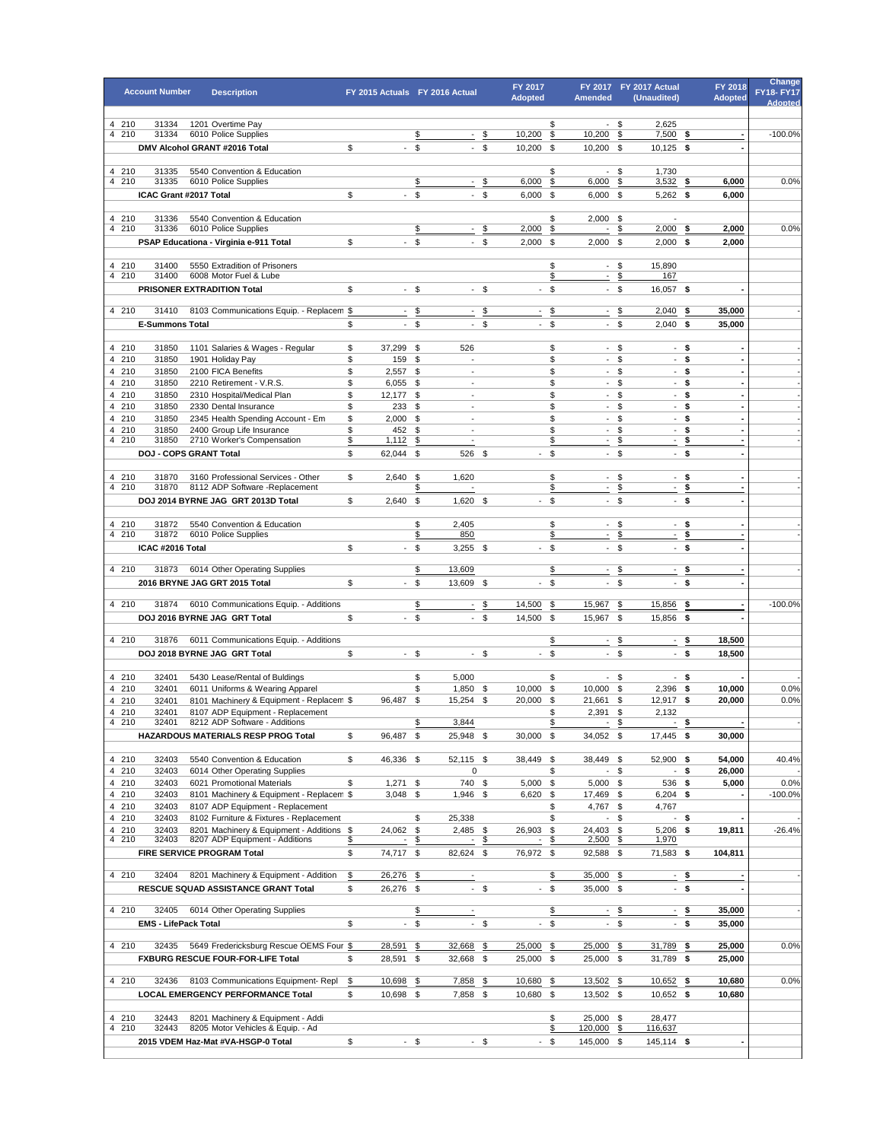| <b>Account Number</b><br><b>Description</b>                                                                     |                      | FY 2015 Actuals FY 2016 Actual        |               |                                            |            | FY 2017<br><b>Adopted</b>             | <b>Amended</b>                                                      |                          | FY 2017 FY 2017 Actual<br>(Unaudited) | FY 2018<br><b>Adopted</b>                                        | Change<br>FY18-FY17 |
|-----------------------------------------------------------------------------------------------------------------|----------------------|---------------------------------------|---------------|--------------------------------------------|------------|---------------------------------------|---------------------------------------------------------------------|--------------------------|---------------------------------------|------------------------------------------------------------------|---------------------|
|                                                                                                                 |                      |                                       |               |                                            |            |                                       |                                                                     |                          |                                       |                                                                  | <b>Adopted</b>      |
| 4 210<br>1201 Overtime Pay<br>31334<br>4 210<br>31334<br>6010 Police Supplies                                   |                      |                                       | \$            | $\frac{1}{2}$                              | \$         | 10,200                                | \$<br>$\omega$<br>\$<br>10,200                                      | \$<br>\$                 | 2,625<br>7,500                        | \$                                                               | $-100.0%$           |
| DMV Alcohol GRANT #2016 Total                                                                                   | \$                   | $\blacksquare$                        | \$            | $\overline{\phantom{a}}$                   | \$         | 10,200 \$                             | 10,200 \$                                                           |                          | $10,125$ \$                           |                                                                  |                     |
|                                                                                                                 |                      |                                       |               |                                            |            |                                       |                                                                     |                          |                                       |                                                                  |                     |
| 4 210<br>31335<br>5540 Convention & Education<br>4 210<br>31335<br>6010 Police Supplies                         |                      |                                       | \$            |                                            | \$         | 6,000                                 | \$<br>$\mathbf{r}$<br>\$<br>6,000                                   | \$<br>\$                 | 1,730<br>3,532                        | 6,000<br>\$                                                      | 0.0%                |
| ICAC Grant #2017 Total                                                                                          | \$                   | $\blacksquare$                        | \$            | $\blacksquare$                             | \$         | 6,000                                 | \$<br>6,000                                                         | \$                       | $5,262$ \$                            | 6,000                                                            |                     |
| 4 210<br>31336<br>5540 Convention & Education                                                                   |                      |                                       |               |                                            |            |                                       | \$<br>2,000                                                         | - \$                     |                                       |                                                                  |                     |
| 4 210<br>31336<br>6010 Police Supplies                                                                          |                      |                                       | \$            | $\overline{\phantom{a}}$                   | \$         | 2,000                                 | \$<br>$\overline{\phantom{a}}$                                      | \$                       | 2,000                                 | 2,000<br>\$                                                      | 0.0%                |
| PSAP Educationa - Virginia e-911 Total                                                                          | \$                   | $\blacksquare$                        | $\mathfrak s$ | ÷.                                         | \$         | $2,000$ \$                            | $2,000$ \$                                                          |                          | $2,000$ \$                            | 2,000                                                            |                     |
| 5550 Extradition of Prisoners<br>4 210<br>31400                                                                 |                      |                                       |               |                                            |            |                                       | \$<br>$\sim$                                                        | \$                       | 15,890                                |                                                                  |                     |
| 4 210<br>31400<br>6008 Motor Fuel & Lube                                                                        |                      |                                       |               |                                            |            |                                       | \$<br>$\overline{\phantom{a}}$                                      | \$                       | 167                                   |                                                                  |                     |
| PRISONER EXTRADITION Total                                                                                      | \$                   |                                       | - \$          |                                            | $-$ \$     | $-$ \$                                | $\sim$                                                              | \$                       | 16,057 \$                             |                                                                  |                     |
| 4 210<br>31410<br>8103 Communications Equip. - Replacem \$                                                      |                      | $\sim$                                | \$            | $\sim$                                     | \$         | $-$ \$                                | $\sim$                                                              | $\overline{\mathcal{S}}$ | 2,040                                 | 35,000<br>\$                                                     |                     |
| <b>E-Summons Total</b>                                                                                          | \$                   | $\blacksquare$                        | \$            | $\overline{\phantom{a}}$                   | \$         | $-$ \$                                | $\sim$                                                              | \$                       | $2,040$ \$                            | 35,000                                                           |                     |
| 4 210<br>1101 Salaries & Wages - Regular<br>31850                                                               | \$                   | 37,299 \$                             |               | 526                                        |            |                                       | \$                                                                  | - \$                     | - \$                                  |                                                                  |                     |
| 4 210<br>31850<br>1901 Holiday Pay<br>4 210<br>31850<br>2100 FICA Benefits                                      | \$<br>\$             | 159 \$<br>$2,557$ \$                  |               | ÷,<br>ä,                                   |            |                                       | \$<br>$\mathcal{L}_{\mathcal{A}}$<br>\$<br>$\overline{\phantom{a}}$ | \$<br>\$                 | $\sim$<br>$\sim$                      | \$<br>$\overline{\phantom{a}}$<br>\$                             |                     |
| 4 210<br>31850<br>2210 Retirement - V.R.S.                                                                      | \$                   | $6,055$ \$                            |               | ä,                                         |            |                                       | \$<br>$\omega$                                                      | \$                       | - \$                                  | $\blacksquare$                                                   |                     |
| 4 210<br>31850<br>2310 Hospital/Medical Plan                                                                    | \$                   | 12,177                                | \$            | ÷,                                         |            |                                       | \$<br>$\mathbf{r}$                                                  | \$                       | $\sim$                                | \$<br>$\blacksquare$                                             |                     |
| 4 210<br>31850<br>2330 Dental Insurance<br>4 210<br>31850<br>2345 Health Spending Account - Em                  | \$<br>\$             | 233<br>2,000                          | - \$<br>- \$  | ÷,<br>÷,                                   |            |                                       | \$<br>$\blacksquare$<br>\$<br>÷.                                    | \$<br>\$                 | $\sim$<br>$\sim$                      | \$<br>$\overline{\phantom{a}}$<br>\$<br>÷,                       |                     |
| 4 210<br>31850<br>2400 Group Life Insurance                                                                     | \$                   | 452                                   | \$            | ÷,                                         |            |                                       | \$<br>÷.                                                            | \$                       | - \$                                  |                                                                  |                     |
| 4 210<br>31850<br>2710 Worker's Compensation<br><b>DOJ - COPS GRANT Total</b>                                   | $$\mathbb{S}$$<br>\$ | 1,112<br>62,044 \$                    | \$            | $\overline{\phantom{m}}$<br>526            | \$         | $-$ \$                                | \$<br>$\overline{\phantom{a}}$<br>$\sim$                            | \$<br>\$                 | $\overline{\phantom{a}}$<br>$\sim$    | \$<br>$\overline{\phantom{a}}$<br>\$<br>$\overline{\phantom{a}}$ |                     |
|                                                                                                                 |                      |                                       |               |                                            |            |                                       |                                                                     |                          |                                       |                                                                  |                     |
| 4 210<br>31870<br>3160 Professional Services - Other<br>4 210<br>31870<br>8112 ADP Software -Replacement        | \$                   | 2,640                                 | \$<br>\$      | 1,620                                      |            |                                       | \$<br>$\sim$<br>$\blacksquare$                                      | \$                       | - \$<br>$\omega$                      | $\overline{\phantom{a}}$                                         |                     |
| DOJ 2014 BYRNE JAG GRT 2013D Total                                                                              | \$                   | 2,640                                 | - \$          | $1,620$ \$                                 |            | $-$ \$                                | \$<br>$\sim$                                                        | \$<br>\$                 | $\sim$                                | \$<br>\$<br>$\overline{\phantom{a}}$                             |                     |
|                                                                                                                 |                      |                                       |               |                                            |            |                                       |                                                                     |                          |                                       |                                                                  |                     |
| 5540 Convention & Education<br>4 210<br>31872<br>4 210<br>31872<br>6010 Police Supplies                         |                      |                                       | \$<br>\$      | 2,405<br>850                               |            |                                       | \$<br>\$<br>$\overline{\phantom{a}}$                                | - \$<br>\$               | - \$<br>$\blacksquare$                | $\overline{\phantom{a}}$<br>\$                                   |                     |
| ICAC #2016 Total                                                                                                | \$                   | $\omega$                              | \$            | $3,255$ \$                                 |            | $-$ \$                                |                                                                     | - \$                     | $-$ \$                                | ×                                                                |                     |
| 4 210<br>6014 Other Operating Supplies<br>31873                                                                 |                      |                                       | \$            | 13,609                                     |            |                                       | \$<br>$\overline{\phantom{a}}$                                      |                          | $\sim$                                |                                                                  |                     |
| 2016 BRYNE JAG GRT 2015 Total                                                                                   | \$                   | $\blacksquare$                        | \$            | 13,609 \$                                  |            | - \$                                  | $\blacksquare$                                                      | \$<br>\$                 | $\sim$                                | $\frac{3}{2}$<br>\$                                              |                     |
|                                                                                                                 |                      |                                       |               |                                            |            |                                       |                                                                     |                          |                                       |                                                                  |                     |
| 4 210<br>6010 Communications Equip. - Additions<br>31874<br>DOJ 2016 BYRNE JAG GRT Total                        | \$                   |                                       | \$<br>$-$ \$  | $\overline{\phantom{a}}$                   | \$<br>- \$ | 14,500<br>14,500 \$                   | \$<br>15,967<br>15,967                                              | \$<br>\$                 | 15,856<br>15,856 \$                   | \$<br>$\blacksquare$                                             | $-100.0%$           |
|                                                                                                                 |                      |                                       |               |                                            |            |                                       |                                                                     |                          |                                       |                                                                  |                     |
| 4210<br>6011 Communications Equip. - Additions<br>31876<br>DOJ 2018 BYRNE JAG GRT Total                         | \$                   | - \$                                  |               |                                            | - \$       | $-$ \$                                | \$<br>$\blacksquare$<br>$\sim$                                      | \$<br>\$                 | $\blacksquare$<br>$\sim$              | 18,500<br>\$<br>\$<br>18,500                                     |                     |
|                                                                                                                 |                      |                                       |               |                                            |            |                                       |                                                                     |                          |                                       |                                                                  |                     |
| 4 210<br>32401<br>5430 Lease/Rental of Buldings                                                                 |                      |                                       | \$            | 5,000                                      |            |                                       | \$<br>$\sim$                                                        | \$                       | - \$                                  |                                                                  |                     |
| 4 210<br>6011 Uniforms & Wearing Apparel<br>32401<br>4 210<br>8101 Machinery & Equipment - Replacem \$<br>32401 |                      | 96,487                                | \$<br>\$      | 1,850<br>15,254                            | \$<br>\$   | 10,000<br>20,000                      | \$<br>10,000<br>\$<br>21,661                                        | \$<br>\$                 | $2,396$ \$<br>12,917 \$               | 10,000<br>20,000                                                 | 0.0%<br>0.0%        |
| 4 210<br>8107 ADP Equipment - Replacement<br>32401                                                              |                      |                                       |               |                                            |            |                                       | \$<br>2,391                                                         | \$                       | 2,132                                 |                                                                  |                     |
| 4 210<br>32401<br>8212 ADP Software - Additions<br>HAZARDOUS MATERIALS RESP PROG Total                          | \$                   | 96,487 \$                             | \$            | 3,844<br>25,948 \$                         |            | 30,000 \$                             | \$<br>۰.<br>34,052 \$                                               | \$                       | 17,445 \$                             | \$<br>30,000                                                     |                     |
|                                                                                                                 |                      |                                       |               |                                            |            |                                       |                                                                     |                          |                                       |                                                                  |                     |
| 4 210<br>32403<br>5540 Convention & Education<br>4 210<br>32403<br>6014 Other Operating Supplies                | \$                   | 46,336 \$                             |               | 52,115 \$<br>0                             |            | 38,449                                | \$<br>38,449 \$<br>\$                                               | - \$                     | 52,900 \$<br>- \$                     | 54,000<br>26,000                                                 | 40.4%               |
| 6021 Promotional Materials<br>4 210<br>32403                                                                    | \$                   | $1,271$ \$                            |               | 740 \$                                     |            | 5,000                                 | \$<br>5,000 \$                                                      |                          | 536 \$                                | 5,000                                                            | 0.0%                |
| 4 210<br>8101 Machinery & Equipment - Replacem \$<br>32403<br>8107 ADP Equipment - Replacement                  |                      | $3,048$ \$                            |               | 1,946 \$                                   |            | 6,620                                 | \$<br>17,469 \$                                                     |                          | $6,204$ \$                            |                                                                  | $-100.0%$           |
| 4 210<br>32403<br>4 210<br>32403<br>8102 Furniture & Fixtures - Replacement                                     |                      |                                       | \$            | 25,338                                     |            |                                       | \$<br>4,767 \$<br>\$<br>$\blacksquare$                              | \$                       | 4,767<br>- \$                         |                                                                  |                     |
| 8201 Machinery & Equipment - Additions \$<br>4 210<br>32403                                                     |                      | 24,062 \$                             |               | $2,485$ \$                                 |            | 26,903                                | \$<br>24,403 \$                                                     |                          | $5,206$ \$                            | 19,811                                                           | $-26.4%$            |
| 4 210<br>32403<br>8207 ADP Equipment - Additions<br>FIRE SERVICE PROGRAM Total                                  | \$<br>\$             | $\overline{\phantom{a}}$<br>74,717 \$ | $\frac{3}{2}$ | ٠<br>82,624 \$                             | \$         | $\overline{\phantom{a}}$<br>76,972 \$ | \$<br>2,500<br>92,588                                               | \$<br>\$                 | 1,970<br>71,583 \$                    | 104,811                                                          |                     |
|                                                                                                                 |                      |                                       |               |                                            |            |                                       |                                                                     |                          |                                       |                                                                  |                     |
| 4210<br>32404<br>8201 Machinery & Equipment - Addition<br>RESCUE SQUAD ASSISTANCE GRANT Total                   | \$<br>\$             | 26,276 \$<br>26,276 \$                |               | $\overline{\phantom{a}}$<br>$\blacksquare$ | \$         | $-$ \$                                | \$<br>35,000<br>35,000                                              | \$<br>\$                 | $\sim$<br>$\sim$                      | \$<br>\$                                                         |                     |
|                                                                                                                 |                      |                                       |               |                                            |            |                                       |                                                                     |                          |                                       |                                                                  |                     |
| 4 210<br>6014 Other Operating Supplies<br>32405                                                                 |                      |                                       | \$            | $\blacksquare$                             |            |                                       | \$<br>$\overline{a}$                                                | \$                       | $\overline{a}$                        | \$<br>35,000                                                     |                     |
| <b>EMS - LifePack Total</b>                                                                                     | \$                   | $\blacksquare$                        | \$            |                                            | - \$       | - \$                                  | $\mathcal{L}_{\mathcal{A}}$                                         | \$                       | $\sim$                                | \$<br>35,000                                                     |                     |
| 5649 Fredericksburg Rescue OEMS Four \$<br>4 210<br>32435                                                       |                      | 28,591                                | \$            | 32,668                                     | \$         | 25,000                                | 25,000<br>\$                                                        | \$                       | 31,789                                | \$<br>25,000                                                     | 0.0%                |
| <b>FXBURG RESCUE FOUR-FOR-LIFE Total</b>                                                                        | \$                   | 28,591                                | \$            | 32,668                                     | - \$       | 25,000 \$                             | 25,000                                                              | \$                       | 31,789 \$                             | 25,000                                                           |                     |
| 4 210<br>32436<br>8103 Communications Equipment- Repl                                                           | $\sqrt[6]{3}$        | 10,698 \$                             |               | 7,858                                      | \$         | 10,680                                | \$<br>13,502                                                        | \$                       | 10,652 \$                             | 10,680                                                           | 0.0%                |
| <b>LOCAL EMERGENCY PERFORMANCE Total</b>                                                                        | \$                   | 10,698 \$                             |               | 7,858 \$                                   |            | 10,680 \$                             | 13,502 \$                                                           |                          | 10,652 \$                             | 10,680                                                           |                     |
| 8201 Machinery & Equipment - Addi<br>4 210<br>32443                                                             |                      |                                       |               |                                            |            |                                       | \$<br>25,000                                                        | \$                       | 28,477                                |                                                                  |                     |
| 4 210<br>32443<br>8205 Motor Vehicles & Equip. - Ad                                                             |                      |                                       |               |                                            |            |                                       | \$<br>120,000                                                       | \$                       | 116,637                               |                                                                  |                     |
| 2015 VDEM Haz-Mat #VA-HSGP-0 Total                                                                              | \$                   |                                       | - \$          |                                            | - \$       | - \$                                  | 145,000 \$                                                          |                          | 145,114 \$                            |                                                                  |                     |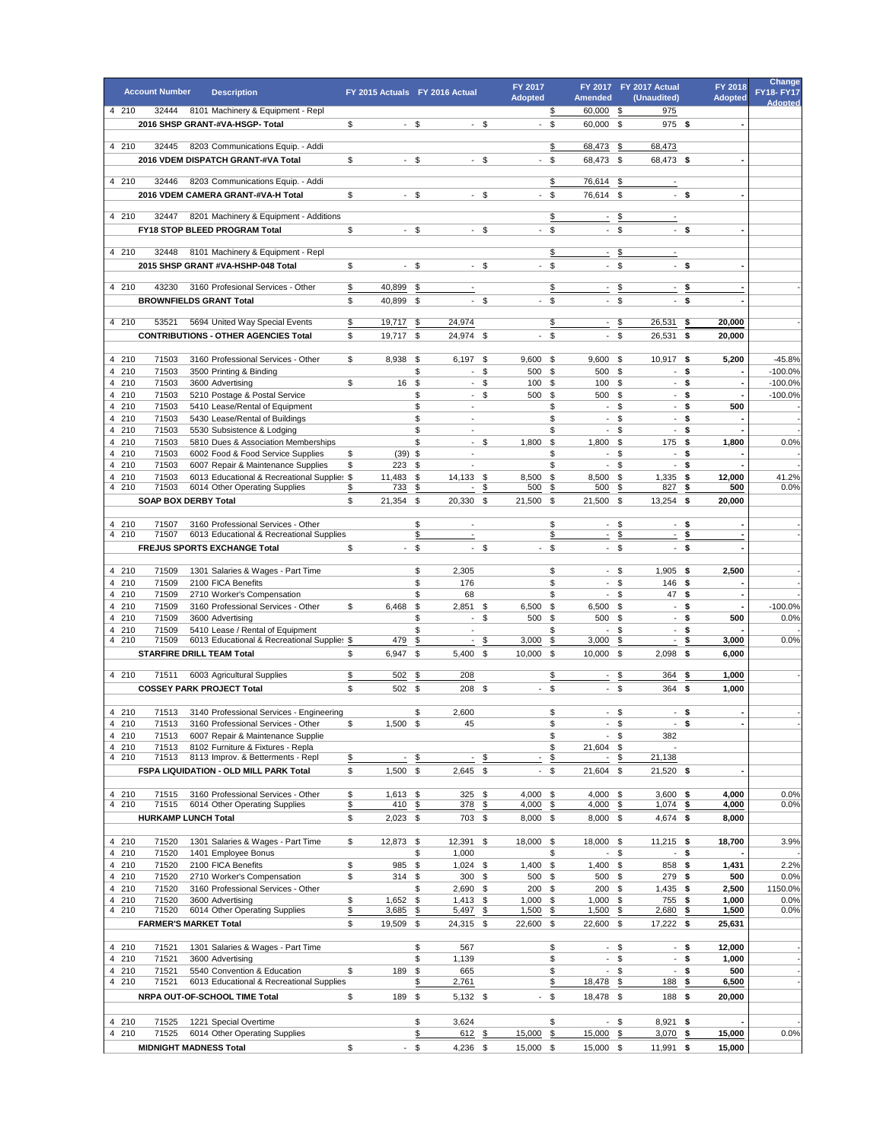|                | <b>Account Number</b> | <b>Description</b>                                                             |               |                  |          | FY 2015 Actuals FY 2016 Actual |               | FY 2017<br><b>Adopted</b> | <b>Amended</b>                 |                          | FY 2017 FY 2017 Actual<br>(Unaudited) | FY 2018<br><b>Adopted</b>       | Change<br><b>FY18-FY17</b> |
|----------------|-----------------------|--------------------------------------------------------------------------------|---------------|------------------|----------|--------------------------------|---------------|---------------------------|--------------------------------|--------------------------|---------------------------------------|---------------------------------|----------------------------|
| 4 210          | 32444                 | 8101 Machinery & Equipment - Repl                                              |               |                  |          |                                |               |                           | 60,000<br>\$                   | \$                       | 975                                   |                                 | <b>Adopted</b>             |
|                |                       | 2016 SHSP GRANT-#VA-HSGP- Total                                                | \$            |                  | - \$     |                                | - \$          | $-$ \$                    | 60,000 \$                      |                          | 975 \$                                | $\overline{\phantom{a}}$        |                            |
|                |                       |                                                                                |               |                  |          |                                |               |                           |                                |                          |                                       |                                 |                            |
| 4 210          | 32445                 | 8203 Communications Equip. - Addi                                              |               |                  |          |                                |               |                           | \$<br>68,473                   | \$                       | 68,473                                |                                 |                            |
|                |                       | 2016 VDEM DISPATCH GRANT-#VA Total                                             | \$            |                  | - \$     |                                | $-$ \$        | $-$ \$                    | 68,473                         | \$                       | 68,473 \$                             |                                 |                            |
| 4 210          | 32446                 | 8203 Communications Equip. - Addi                                              |               |                  |          |                                |               |                           | \$<br>76,614                   | \$                       |                                       |                                 |                            |
|                |                       |                                                                                | \$            |                  | - \$     |                                | - \$          | $-$ \$                    | 76,614                         | \$                       | - \$                                  |                                 |                            |
|                |                       | 2016 VDEM CAMERA GRANT-#VA-H Total                                             |               |                  |          |                                |               |                           |                                |                          |                                       |                                 |                            |
| 4 210          | 32447                 | 8201 Machinery & Equipment - Additions                                         |               |                  |          |                                |               |                           | \$<br>$\blacksquare$           | \$                       |                                       |                                 |                            |
|                |                       | FY18 STOP BLEED PROGRAM Total                                                  | \$            | $\sim$           | -\$      |                                | - \$          | $-$ \$                    | ÷.                             | \$                       | $\sim$                                | \$<br>÷.                        |                            |
|                |                       |                                                                                |               |                  |          |                                |               |                           |                                |                          |                                       |                                 |                            |
| 4 210          | 32448                 | 8101 Machinery & Equipment - Repl                                              |               |                  |          |                                |               |                           | \$<br>÷,                       | \$                       | $\sim$                                |                                 |                            |
|                |                       | 2015 SHSP GRANT #VA-HSHP-048 Total                                             | \$            | ÷.               | \$       | ÷.                             | \$            | \$<br>$\sim$              | ÷.                             | \$                       | $\sim$                                | \$                              |                            |
|                |                       |                                                                                |               |                  |          |                                |               |                           |                                |                          |                                       |                                 |                            |
| 4 210          | 43230                 | 3160 Profesional Services - Other                                              | \$            | 40,899           | \$       | ÷.                             |               |                           | \$<br>÷.                       | \$                       | $\overline{\phantom{a}}$              | \$                              |                            |
|                |                       | <b>BROWNFIELDS GRANT Total</b>                                                 | \$            | 40,899           | -\$      | $\sim$                         | \$            | \$                        | $\sim$                         | \$                       |                                       | \$                              |                            |
| 4 210          | 53521                 | 5694 United Way Special Events                                                 | \$            | 19,717           | \$       | 24,974                         |               | \$                        | $\overline{\phantom{a}}$       | \$                       | 26,531                                | 20,000<br>\$                    |                            |
|                |                       | <b>CONTRIBUTIONS - OTHER AGENCIES Total</b>                                    | \$            | 19,717           | \$       | 24,974 \$                      |               | \$<br>٠                   | $\sim$                         | \$                       | 26,531                                | \$<br>20,000                    |                            |
|                |                       |                                                                                |               |                  |          |                                |               |                           |                                |                          |                                       |                                 |                            |
| 4 210          | 71503                 | 3160 Professional Services - Other                                             | \$            | 8,938            | \$       | 6,197                          | -\$           | 9,600<br>\$               | 9,600                          | \$                       | 10,917 \$                             | 5,200                           | $-45.8%$                   |
| 4 210          | 71503                 | 3500 Printing & Binding                                                        |               |                  | \$       | $\overline{\phantom{a}}$       | \$            | \$<br>500                 | 500                            | \$                       | $\sim$                                | \$                              | $-100.0%$                  |
| 4 210          | 71503                 | 3600 Advertising                                                               | \$            | 16               | - \$     | $\blacksquare$                 | \$            | 100<br>\$                 | 100                            | \$                       | $\sim$                                | \$<br>٠                         | $-100.0%$                  |
| 4 210          | 71503                 | 5210 Postage & Postal Service                                                  |               |                  | \$       | ÷.                             | \$            | \$<br>500                 | 500                            | \$                       | $\sim$                                | \$                              | $-100.0%$                  |
| 4 210          | 71503                 | 5410 Lease/Rental of Equipment                                                 |               |                  | \$       | ٠                              |               |                           | \$<br>$\sim$                   | \$                       | $\sim$                                | 500<br>\$                       |                            |
| 4 210          | 71503                 | 5430 Lease/Rental of Buildings                                                 |               |                  | \$       | ä,                             |               |                           | \$<br>÷.                       | \$                       | $\sim$                                | \$<br>×                         |                            |
| 4 210          | 71503                 | 5530 Subsistence & Lodging                                                     |               |                  | \$       | ä,                             |               |                           | \$<br>ä,                       | \$                       | $\sim$                                | \$                              |                            |
| 4 210<br>4 210 | 71503                 | 5810 Dues & Association Memberships                                            |               |                  | \$       | ä,<br>$\sim$                   | \$            | \$<br>1,800               | 1,800<br>$\sim$                | \$                       | 175 \$<br>$\sim$                      | 1,800                           | 0.0%                       |
| 4 210          | 71503<br>71503        | 6002 Food & Food Service Supplies<br>6007 Repair & Maintenance Supplies        | \$<br>\$      | $(39)$ \$<br>223 |          |                                |               | \$                        | \$<br>$\sim$                   | \$<br>\$                 | $\omega$                              | \$<br>\$                        |                            |
| 4 210          | 71503                 | 6013 Educational & Recreational Supplie: \$                                    |               | 11,483           | \$<br>\$ | 14,133                         | -\$           | \$<br>8,500               | 8,500                          | \$                       | 1,335                                 | 12,000<br>\$                    | 41.2%                      |
| 4 210          | 71503                 | 6014 Other Operating Supplies                                                  | \$            | 733              | \$       |                                | \$            | 500<br>\$                 | 500                            | \$                       | 827                                   | \$<br>500                       | 0.0%                       |
|                |                       | SOAP BOX DERBY Total                                                           | \$            | 21,354           | -\$      | 20,330                         | \$            | 21,500 \$                 | 21,500                         | \$                       | $13,254$ \$                           | 20,000                          |                            |
|                |                       |                                                                                |               |                  |          |                                |               |                           |                                |                          |                                       |                                 |                            |
| 4 210          | 71507                 | 3160 Professional Services - Other                                             |               |                  | \$       | ÷.                             |               |                           | \$<br>$\sim$                   | \$                       | $\sim$                                | \$                              |                            |
| 4 210          | 71507                 | 6013 Educational & Recreational Supplies                                       |               |                  | \$       |                                |               |                           | \$<br>$\blacksquare$           | $\overline{\mathcal{E}}$ |                                       | \$                              |                            |
|                |                       | <b>FREJUS SPORTS EXCHANGE Total</b>                                            | \$            | $\sim$           | \$       | $\overline{\phantom{a}}$       | \$            | - \$                      | $\omega$                       | \$                       | $\sim$                                | \$                              |                            |
|                |                       |                                                                                |               |                  |          |                                |               |                           |                                |                          |                                       |                                 |                            |
| 4 210          | 71509                 | 1301 Salaries & Wages - Part Time                                              |               |                  | \$       | 2,305                          |               | \$                        | - \$                           |                          | $1,905$ \$                            | 2,500                           |                            |
| 4 210<br>4 210 | 71509<br>71509        | 2100 FICA Benefits                                                             |               |                  | \$       | 176<br>68                      |               | \$<br>\$                  | $\sim$<br>$\mathbf{r}$         | \$                       | 146<br>47S                            | -\$<br>٠                        |                            |
| 4 210          | 71509                 | 2710 Worker's Compensation<br>3160 Professional Services - Other               | \$            | 6,468            | \$<br>\$ | 2,851                          | -\$           | 6,500<br>\$               | 6,500                          | \$<br>\$                 | $\mathcal{L}_{\mathcal{A}}$           | \$                              | $-100.0%$                  |
| 4 210          | 71509                 | 3600 Advertising                                                               |               |                  | \$       | $\blacksquare$                 | \$            | \$<br>500                 | 500                            | \$                       | $\sim$                                | \$<br>500                       | 0.0%                       |
| 4 210          | 71509                 | 5410 Lease / Rental of Equipment                                               |               |                  | \$       | ٠                              |               |                           | \$<br>$\sim$                   | \$                       | $\sim$                                | \$                              |                            |
| 4210           | 71509                 | 6013 Educational & Recreational Supplie: \$                                    |               | 479              | \$       | $\overline{\phantom{a}}$       | \$            | \$<br>3,000               | 3,000                          | \$                       | $\overline{\phantom{a}}$              | \$<br>3,000                     | 0.0%                       |
|                |                       | <b>STARFIRE DRILL TEAM Total</b>                                               | \$            | 6,947            | \$       | 5,400                          | \$            | \$<br>10,000              | 10,000                         | \$                       | 2,098                                 | \$<br>6,000                     |                            |
|                |                       |                                                                                |               |                  |          |                                |               |                           |                                |                          |                                       |                                 |                            |
| 4 210          | 71511                 | 6003 Agricultural Supplies                                                     | \$            | 502              | \$       | 208                            |               |                           | \$<br>$\overline{\phantom{a}}$ | \$                       | 364                                   | 1,000<br>\$                     |                            |
|                |                       | <b>COSSEY PARK PROJECT Total</b>                                               | \$            | 502              | \$       | 208                            | - \$          | $-$ \$                    | $\sim$                         | \$                       | 364 \$                                | 1,000                           |                            |
|                |                       |                                                                                |               |                  |          |                                |               |                           | $\sim$                         |                          |                                       |                                 |                            |
| 4 210<br>4 210 | 71513<br>71513        | 3140 Professional Services - Engineering<br>3160 Professional Services - Other |               | 1,500            | \$<br>\$ | 2,600                          |               | \$                        | \$                             | \$<br>\$                 | $\sim$                                | \$                              |                            |
| 4 210          | 71513                 | 6007 Repair & Maintenance Supplie                                              |               |                  |          |                                |               | \$                        | - \$                           |                          | 382                                   |                                 |                            |
| 4 210          | 71513                 | 8102 Furniture & Fixtures - Repla                                              |               |                  |          |                                |               |                           | \$<br>21,604 \$                |                          | $\sim$                                |                                 |                            |
| 4 210          | 71513                 | 8113 Improv. & Betterments - Repl                                              | $\frac{1}{2}$ | $\sim$           | \$       | $\blacksquare$                 | \$            | $\blacksquare$<br>\$      |                                | \$                       | 21,138                                |                                 |                            |
|                |                       | FSPA LIQUIDATION - OLD MILL PARK Total                                         | \$            | $1,500$ \$       |          | $2,645$ \$                     |               | - \$                      | 21,604 \$                      |                          | 21,520 \$                             |                                 |                            |
|                |                       |                                                                                |               |                  |          |                                |               |                           |                                |                          |                                       |                                 |                            |
| 4 210          | 71515                 | 3160 Professional Services - Other                                             | \$            | $1,613$ \$       |          | 325 \$                         |               | 4,000 \$                  | 4,000 \$                       |                          | $3,600$ \$                            | 4,000                           | 0.0%                       |
| 4 210          | 71515                 | 6014 Other Operating Supplies                                                  | $\frac{1}{2}$ | 410              | \$       | 378                            | $\frac{1}{2}$ | 4,000<br>\$               | 4,000                          | \$                       | $1,074$ \$                            | 4,000                           | 0.0%                       |
|                |                       | <b>HURKAMP LUNCH Total</b>                                                     | \$            | $2,023$ \$       |          | 703 \$                         |               | $8,000$ \$                | 8,000 \$                       |                          | $4,674$ \$                            | 8,000                           |                            |
|                |                       |                                                                                | \$            |                  |          | 12,391 \$                      |               |                           | 18,000 \$                      |                          |                                       |                                 |                            |
| 4 210<br>4 210 | 71520<br>71520        | 1301 Salaries & Wages - Part Time<br>1401 Employee Bonus                       |               | 12,873 \$        | \$       | 1,000                          |               | 18,000 \$                 | \$<br>÷.                       | \$                       | $11,215$ \$<br>- \$                   | 18,700                          | 3.9%                       |
| 4 210          | 71520                 | 2100 FICA Benefits                                                             | \$            | 985 \$           |          | $1,024$ \$                     |               | $1,400$ \$                | $1,400$ \$                     |                          | 858 \$                                | 1,431                           | 2.2%                       |
| 4 210          | 71520                 | 2710 Worker's Compensation                                                     | \$            | $314$ \$         |          | 300 <sup>5</sup>               |               | 500<br>\$                 | 500 \$                         |                          | 279 \$                                | 500                             | 0.0%                       |
| 4 210          | 71520                 | 3160 Professional Services - Other                                             |               |                  | \$       | $2,690$ \$                     |               | 200 \$                    | 200 \$                         |                          | $1,435$ \$                            | 2,500                           | 1150.0%                    |
| 4 210          | 71520                 | 3600 Advertising                                                               | \$            | 1,652            | -\$      | $1,413$ \$                     |               | 1,000<br>\$               | $1,000$ \$                     |                          | 755 \$                                | 1,000                           | 0.0%                       |
| 4 210          | 71520                 | 6014 Other Operating Supplies                                                  | \$            | 3,685            | \$       | $5,497$ \$                     |               | 1,500<br>\$               | 1,500                          | \$                       | $2,680$ \$                            | 1,500                           | 0.0%                       |
|                |                       | <b>FARMER'S MARKET Total</b>                                                   | \$            | 19,509 \$        |          | 24,315 \$                      |               | 22,600 \$                 | 22,600 \$                      |                          | 17,222 \$                             | 25,631                          |                            |
|                |                       |                                                                                |               |                  |          |                                |               |                           |                                |                          |                                       |                                 |                            |
| 4 210          | 71521                 | 1301 Salaries & Wages - Part Time                                              |               |                  | \$       | 567                            |               |                           | \$<br>- \$                     |                          | - \$                                  | 12,000                          |                            |
| 4 210          | 71521                 | 3600 Advertising                                                               |               |                  | \$       | 1,139                          |               |                           | \$<br>$\sim$                   | \$                       | $\sim$                                | 1,000<br>\$                     |                            |
| 4 210<br>4 210 | 71521<br>71521        | 5540 Convention & Education<br>6013 Educational & Recreational Supplies        | \$            | 189              | \$<br>\$ | 665<br>2,761                   |               |                           | È.<br>\$<br>\$<br>18,478       | \$<br>\$                 | ÷.<br>188                             | \$<br>500<br>6,500<br><u>\$</u> |                            |
|                |                       |                                                                                |               |                  |          |                                |               |                           |                                |                          |                                       |                                 |                            |
|                |                       | NRPA OUT-OF-SCHOOL TIME Total                                                  | \$            | 189 \$           |          | $5,132$ \$                     |               | - \$                      | 18,478 \$                      |                          | 188 \$                                | 20,000                          |                            |
|                |                       |                                                                                |               |                  |          |                                |               |                           |                                |                          |                                       |                                 |                            |
| 4 210<br>4 210 | 71525<br>71525        | 1221 Special Overtime<br>6014 Other Operating Supplies                         |               |                  | \$<br>\$ | 3,624<br>612 \$                |               | 15,000<br>$\frac{1}{2}$   | \$<br>15,000 \$                | - \$                     | $8,921$ \$<br>$3,070$ \$              | 15,000                          | 0.0%                       |
|                |                       | <b>MIDNIGHT MADNESS Total</b>                                                  | \$            |                  | $-$ \$   | 4,236 \$                       |               | 15,000 \$                 | 15,000 \$                      |                          | $11,991$ \$                           | 15,000                          |                            |
|                |                       |                                                                                |               |                  |          |                                |               |                           |                                |                          |                                       |                                 |                            |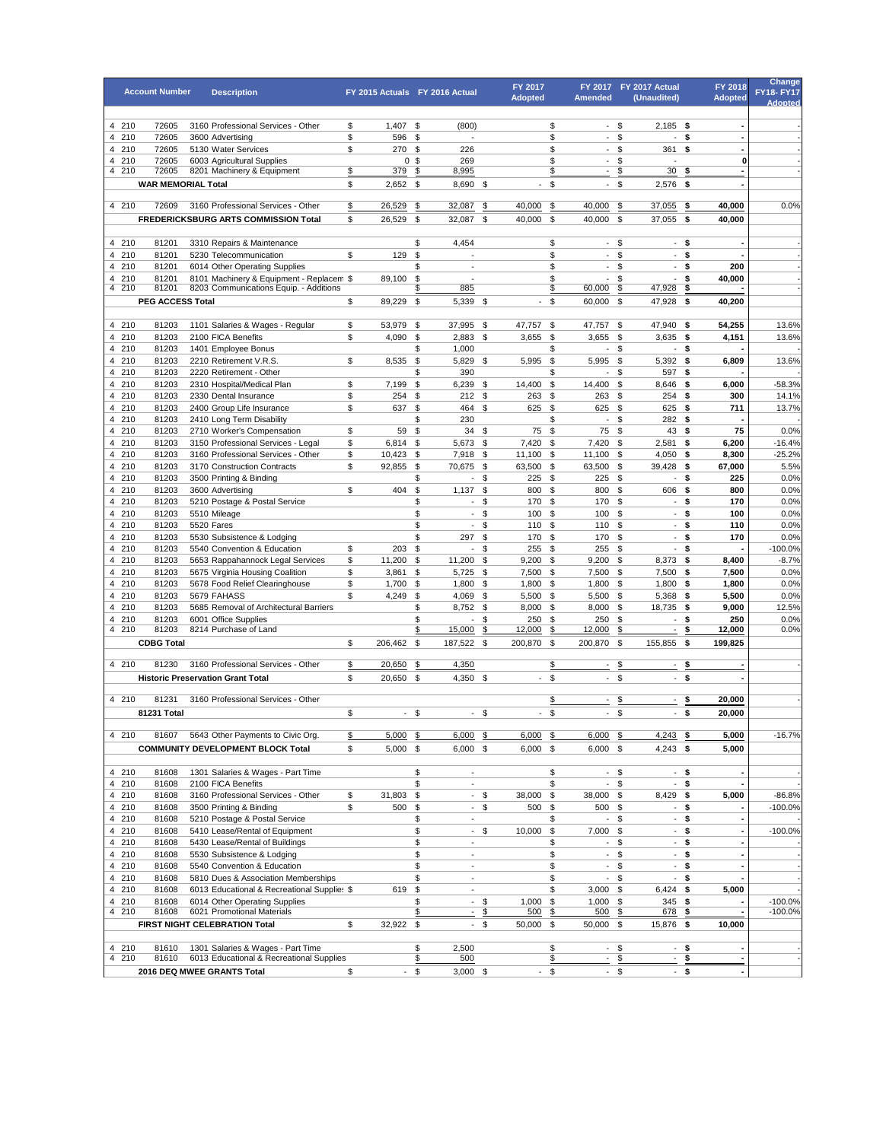|                | <b>Account Number</b>     | <b>Description</b>                                                           |                      |                 |                | FY 2015 Actuals FY 2016 Actual |               | FY 2017<br><b>Adopted</b> | <b>Amended</b>                    |                          | FY 2017 FY 2017 Actual<br>(Unaudited) | FY 2018<br><b>Adopted</b>      | Change<br><b>FY18-FY17</b> |
|----------------|---------------------------|------------------------------------------------------------------------------|----------------------|-----------------|----------------|--------------------------------|---------------|---------------------------|-----------------------------------|--------------------------|---------------------------------------|--------------------------------|----------------------------|
|                |                           |                                                                              |                      |                 |                |                                |               |                           |                                   |                          |                                       |                                | <b>Adopted</b>             |
| 4 210          | 72605                     | 3160 Professional Services - Other                                           | \$                   | 1,407 \$        |                | (800)                          |               |                           | \$                                | $-$ \$                   | $2,185$ \$                            | $\blacksquare$                 |                            |
| 4 210          | 72605                     | 3600 Advertising                                                             | \$                   | 596             | - \$           | ÷,                             |               |                           | \$<br>ä,                          | \$                       | $\sim$                                | \$                             |                            |
| 4 210          | 72605                     | 5130 Water Services                                                          | \$                   | 270             | - \$           | 226                            |               |                           | \$<br>÷.                          | \$                       | 361                                   | \$<br>$\overline{\phantom{a}}$ |                            |
| 4 210          | 72605                     | 6003 Agricultural Supplies                                                   |                      |                 | 0 <sup>5</sup> | 269                            |               |                           | \$<br>$\overline{\phantom{a}}$    | \$                       |                                       | $\mathbf 0$                    |                            |
| 4 210          | 72605                     | 8201 Machinery & Equipment                                                   | $\sqrt{\frac{2}{5}}$ | 379             | \$             | 8,995                          |               |                           | \$<br>$\blacksquare$              | \$                       | 30                                    | \$<br>$\overline{\phantom{a}}$ |                            |
|                | <b>WAR MEMORIAL Total</b> |                                                                              | \$                   | 2,652           | \$             | 8,690                          | -\$           | $\sim$                    | \$<br>$\blacksquare$              | \$                       | 2,576                                 | \$<br>$\overline{\phantom{a}}$ |                            |
| 4 210          | 72609                     | 3160 Professional Services - Other                                           | \$                   | 26,529          | \$             | 32,087                         | \$            | 40,000                    | $\overline{\mathbb{S}}$<br>40,000 | $\overline{\mathcal{S}}$ | 37,055                                | 40,000<br>\$                   | 0.0%                       |
|                |                           | <b>FREDERICKSBURG ARTS COMMISSION Total</b>                                  | \$                   | 26,529          | \$             | 32,087                         | \$            | 40.000                    | \$<br>40.000                      | \$                       | 37.055                                | \$<br>40,000                   |                            |
|                |                           |                                                                              |                      |                 |                |                                |               |                           |                                   |                          |                                       |                                |                            |
| 4 210          | 81201                     | 3310 Repairs & Maintenance                                                   |                      |                 | \$             | 4,454                          |               |                           | \$<br>$\sim$                      | \$                       | - \$                                  |                                |                            |
| 4 210          | 81201                     | 5230 Telecommunication                                                       | \$                   | 129             | \$             | ÷,                             |               |                           | \$<br>$\omega$                    | \$                       | $\sim$                                | \$<br>÷.                       |                            |
| 4 210          | 81201                     | 6014 Other Operating Supplies                                                |                      |                 | \$             | ä,                             |               |                           | \$<br>ä,                          | \$                       | $\omega$                              | \$<br>200                      |                            |
| 4 210          | 81201                     | 8101 Machinery & Equipment - Replacem \$                                     |                      | 89,100          | \$             | ä,                             |               |                           | \$<br>÷.                          | \$                       | $\sim$                                | \$<br>40,000                   |                            |
| 4 210          | 81201                     | 8203 Communications Equip. - Additions                                       |                      |                 | S              | 885                            |               |                           | \$<br>60,000                      | \$                       | 47,928                                | \$                             |                            |
|                | <b>PEG ACCESS Total</b>   |                                                                              | \$                   | 89,229          | \$             | 5,339                          | \$            | ÷.                        | \$<br>60,000                      | \$                       | 47,928                                | \$<br>40,200                   |                            |
| 4 210          | 81203                     | 1101 Salaries & Wages - Regular                                              | \$                   | 53,979          | -\$            | 37,995                         | \$            | 47,757                    | \$<br>47,757                      | \$                       | 47,940                                | \$<br>54,255                   | 13.6%                      |
| 4 210          | 81203                     | 2100 FICA Benefits                                                           | \$                   | 4,090           | \$             | 2,883                          | $\mathfrak s$ | 3,655                     | \$<br>3,655                       | \$                       | $3,635$ \$                            | 4,151                          | 13.6%                      |
| 4 210          | 81203                     | 1401 Employee Bonus                                                          |                      |                 | \$             | 1,000                          |               |                           | \$<br>$\bar{\phantom{a}}$         | \$                       | $\sim$                                | \$                             |                            |
| 4 210          | 81203                     | 2210 Retirement V.R.S.                                                       | \$                   | 8,535           | -\$            | 5,829                          | \$            | 5,995                     | \$<br>5,995                       | \$                       | 5,392                                 | \$<br>6,809                    | 13.6%                      |
| 4 210          | 81203                     | 2220 Retirement - Other                                                      |                      |                 | \$             | 390                            |               |                           | \$<br>$\sim$                      | \$                       | 597                                   | \$                             |                            |
| 4 210          | 81203                     | 2310 Hospital/Medical Plan                                                   | \$                   | 7,199           | \$             | 6,239                          | \$            | 14,400                    | \$<br>14,400                      | \$                       | $8,646$ \$                            | 6,000                          | $-58.3%$                   |
| 4 210          | 81203                     | 2330 Dental Insurance                                                        | \$                   | 254             | \$             | 212                            | \$            | 263                       | \$<br>263                         | \$                       | 254                                   | 300<br>\$                      | 14.1%                      |
| 4 210          | 81203                     | 2400 Group Life Insurance                                                    | \$                   | 637             | $\sqrt{2}$     | 464                            | -\$           | 625                       | \$<br>625                         | \$                       | 625                                   | \$<br>711                      | 13.7%                      |
| 4 210          | 81203                     | 2410 Long Term Disability                                                    |                      |                 | \$             | 230                            |               |                           | \$<br>$\sim$                      | \$                       | 282                                   | \$                             |                            |
| 4 210          | 81203                     | 2710 Worker's Compensation                                                   | \$                   | 59              | -\$            | 34S                            |               | 75                        | \$<br>75                          | \$                       | 43 \$                                 | 75                             | 0.0%                       |
| 4 210<br>4 210 | 81203                     | 3150 Professional Services - Legal<br>3160 Professional Services - Other     | \$<br>\$             | 6,814<br>10.423 | \$             | 5,673                          | - \$          | 7,420                     | \$<br>7,420                       | \$                       | 2,581                                 | 6,200<br>\$<br>8,300           | $-16.4%$<br>$-25.2%$       |
| 4 210          | 81203<br>81203            | 3170 Construction Contracts                                                  | \$                   | 92,855          | \$<br>-\$      | 7,918<br>70,675                | -\$<br>- \$   | 11,100<br>63,500          | \$<br>11,100<br>\$<br>63,500      | \$<br>\$                 | 4,050<br>39,428 \$                    | \$<br>67,000                   | 5.5%                       |
| 4 210          | 81203                     | 3500 Printing & Binding                                                      |                      |                 | \$             | $\frac{1}{2}$                  | \$            | 225                       | \$<br>225                         | \$                       | $\sim$                                | \$<br>225                      | 0.0%                       |
| 4 210          | 81203                     | 3600 Advertising                                                             | \$                   | 404             | \$             | 1,137                          | -\$           | 800                       | \$<br>800                         | \$                       | 606                                   | \$<br>800                      | 0.0%                       |
| 4 210          | 81203                     | 5210 Postage & Postal Service                                                |                      |                 | \$             | $\blacksquare$                 | \$            | 170                       | \$<br>170                         | \$                       | $\sim$                                | 170<br>\$                      | 0.0%                       |
| 4 210          | 81203                     | 5510 Mileage                                                                 |                      |                 | \$             | $\blacksquare$                 | \$            | 100                       | \$<br>100                         | \$                       | $\sim$                                | \$<br>100                      | 0.0%                       |
| 4 210          | 81203                     | 5520 Fares                                                                   |                      |                 | \$             | ÷.                             | \$            | 110                       | \$<br>110                         | \$                       | $\mathcal{L}_{\mathcal{A}}$           | \$<br>110                      | 0.0%                       |
| 4 210          | 81203                     | 5530 Subsistence & Lodging                                                   |                      |                 | \$             | 297                            | - \$          | 170                       | \$<br>170                         | \$                       | $\sim$                                | \$<br>170                      | 0.0%                       |
| 4 210          | 81203                     | 5540 Convention & Education                                                  | \$                   | 203             | \$             | ä,                             | \$            | 255                       | \$<br>255                         | \$                       | $\sim$                                | \$                             | $-100.0%$                  |
| 4 210          | 81203                     | 5653 Rappahannock Legal Services                                             | \$                   | 11,200          | \$             | 11,200                         | -\$           | 9,200                     | \$<br>9,200                       | \$                       | 8,373                                 | 8,400<br>- \$                  | $-8.7%$                    |
| 4 210          | 81203                     | 5675 Virginia Housing Coalition                                              | \$                   | 3,861           | \$             | 5,725                          | -\$           | 7,500                     | \$<br>7,500                       | \$                       | 7,500                                 | 7,500<br>\$                    | 0.0%                       |
| 4 210          | 81203                     | 5678 Food Relief Clearinghouse                                               | \$                   | 1,700           | \$             | 1,800                          | \$            | 1,800                     | \$<br>1,800                       | \$                       | 1,800                                 | 1,800<br>\$                    | 0.0%                       |
| 4 210          | 81203                     | 5679 FAHASS                                                                  | \$                   | 4,249           | \$             | 4,069                          | -\$           | 5,500                     | \$<br>5,500                       | \$                       | 5,368                                 | 5,500<br>\$                    | 0.0%                       |
| 4 210<br>4 210 | 81203<br>81203            | 5685 Removal of Architectural Barriers<br>6001 Office Supplies               |                      |                 | \$<br>\$       | 8,752<br>٠                     | \$<br>\$      | 8,000<br>250              | \$<br>8,000<br>\$<br>250          | \$<br>\$                 | 18,735 \$<br>$\sim$                   | 9,000<br>\$<br>250             | 12.5%<br>0.0%              |
| 4 210          | 81203                     | 8214 Purchase of Land                                                        |                      |                 | \$             | 15,000                         | \$            | 12,000                    | \$<br>12,000                      | \$                       | $\overline{\phantom{a}}$              | 12,000<br>\$                   | 0.0%                       |
|                | <b>CDBG Total</b>         |                                                                              | \$                   | 206,462         | \$             | 187,522 \$                     |               | 200,870                   | \$<br>200,870                     | - \$                     | 155,855 \$                            | 199,825                        |                            |
|                |                           |                                                                              |                      |                 |                |                                |               |                           |                                   |                          |                                       |                                |                            |
| 4 210          | 81230                     | 3160 Professional Services - Other                                           | \$                   | 20,650          | \$             | 4,350                          |               |                           | \$<br>÷,                          | \$                       | $\overline{\phantom{a}}$              | \$                             |                            |
|                |                           | <b>Historic Preservation Grant Total</b>                                     | \$                   | 20,650          | -\$            | 4,350                          | -\$           | $-$ \$                    | $\omega$                          | \$                       | $\blacksquare$                        | \$<br>٠                        |                            |
|                |                           |                                                                              |                      |                 |                |                                |               |                           |                                   |                          |                                       |                                |                            |
| 4210           | 81231                     | 3160 Professional Services - Other                                           |                      |                 |                |                                |               |                           | \$<br>$\sim$                      | \$                       | $\overline{\phantom{a}}$              | \$<br>20,000                   |                            |
|                | 81231 Total               |                                                                              | \$                   |                 | $-$ \$         |                                | $-$ \$        | $-$ \$                    | $\mathcal{L}_{\mathcal{A}}$       | \$                       | $\sim$                                | \$<br>20,000                   |                            |
| 4 210          | 81607                     | 5643 Other Payments to Civic Org.                                            | \$                   | 5,000           | \$             | 6,000                          | \$            | 6,000                     | \$<br>6,000                       | \$                       | $4,243$ \$                            | 5,000                          | $-16.7%$                   |
|                |                           | <b>COMMUNITY DEVELOPMENT BLOCK Total</b>                                     | \$                   | $5,000$ \$      |                | 6,000                          | \$            | $6,000$ \$                | 6,000                             | \$                       | $4,243$ \$                            | 5,000                          |                            |
|                |                           |                                                                              |                      |                 |                |                                |               |                           |                                   |                          |                                       |                                |                            |
| 4 210          | 81608                     | 1301 Salaries & Wages - Part Time                                            |                      |                 | \$             | ÷,                             |               |                           | \$                                | - \$                     | $-$ \$                                |                                |                            |
| 4 210          | 81608                     | 2100 FICA Benefits                                                           |                      |                 | \$             | ÷.                             |               |                           | \$<br>$\omega$                    | \$                       | - \$                                  |                                |                            |
| 4 210          | 81608                     | 3160 Professional Services - Other                                           | \$                   | 31,803          | \$             | $\overline{\phantom{a}}$       | \$            | 38,000                    | \$<br>38,000                      | \$                       | 8,429 \$                              | 5,000                          | $-86.8%$                   |
| 4 210          | 81608                     | 3500 Printing & Binding                                                      | \$                   | 500             | \$             | ÷.                             | \$            | 500                       | \$<br>500                         | \$                       | - \$                                  |                                | $-100.0%$                  |
| 4 210          | 81608                     | 5210 Postage & Postal Service                                                |                      |                 | \$             | ä,                             |               |                           | \$<br>$\overline{\phantom{a}}$    | \$                       | $-$ \$                                | $\overline{\phantom{a}}$       |                            |
| 4 210          | 81608                     | 5410 Lease/Rental of Equipment                                               |                      |                 | \$             | $\overline{\phantom{a}}$       | \$            | 10,000                    | \$<br>$7,000$ \$                  |                          | - \$                                  |                                | $-100.0%$                  |
| 4 210          | 81608                     | 5430 Lease/Rental of Buildings                                               |                      |                 | \$             | $\blacksquare$                 |               |                           | \$<br>$\tau_{\rm{L}}$             | \$                       | $\sim$                                | \$<br>$\overline{\phantom{a}}$ |                            |
| 4 210          | 81608                     | 5530 Subsistence & Lodging                                                   |                      |                 | \$             | ÷,                             |               |                           | \$<br>$\blacksquare$              | \$                       | $\sim$                                | \$<br>÷                        |                            |
| 4 210          | 81608                     | 5540 Convention & Education                                                  |                      |                 | \$             | ä,                             |               |                           | \$<br>$\omega$                    | \$                       | $\mathcal{L}_{\mathcal{A}}$           | \$<br>٠                        |                            |
| 4 210          | 81608                     | 5810 Dues & Association Memberships                                          |                      |                 | \$             | $\frac{1}{2}$<br>ä,            |               |                           | \$<br>$\blacksquare$              | \$                       | $\sim$                                | \$                             |                            |
| 4 210<br>4 210 | 81608<br>81608            | 6013 Educational & Recreational Supplies \$<br>6014 Other Operating Supplies |                      | 619             | \$<br>\$       | $\blacksquare$                 | \$            | 1,000                     | \$<br>$3,000$ \$<br>\$<br>1,000   | -\$                      | $6,424$ \$<br>345 \$                  | 5,000                          | $-100.0%$                  |
| 4 210          | 81608                     | 6021 Promotional Materials                                                   |                      |                 | \$             | ÷                              | \$            | 500                       | \$<br>500                         | \$                       | 678 \$                                |                                | $-100.0%$                  |
|                |                           | FIRST NIGHT CELEBRATION Total                                                | \$                   | 32,922 \$       |                |                                | - \$          | 50,000 \$                 | 50,000 \$                         |                          | 15,876 \$                             | 10,000                         |                            |
|                |                           |                                                                              |                      |                 |                |                                |               |                           |                                   |                          |                                       |                                |                            |
| 4 210          | 81610                     | 1301 Salaries & Wages - Part Time                                            |                      |                 | \$             | 2,500                          |               |                           | \$<br>$\omega$                    | \$                       | - \$                                  |                                |                            |
| 4 210          | 81610                     | 6013 Educational & Recreational Supplies                                     |                      |                 | \$             | 500                            |               |                           | \$<br>$\blacksquare$              | \$                       | $\blacksquare$                        | \$<br>÷,                       |                            |
|                |                           | 2016 DEQ MWEE GRANTS Total                                                   | \$                   |                 | $-$ \$         | $3,000$ \$                     |               | - \$                      |                                   | $-$ \$                   | $-$ \$                                |                                |                            |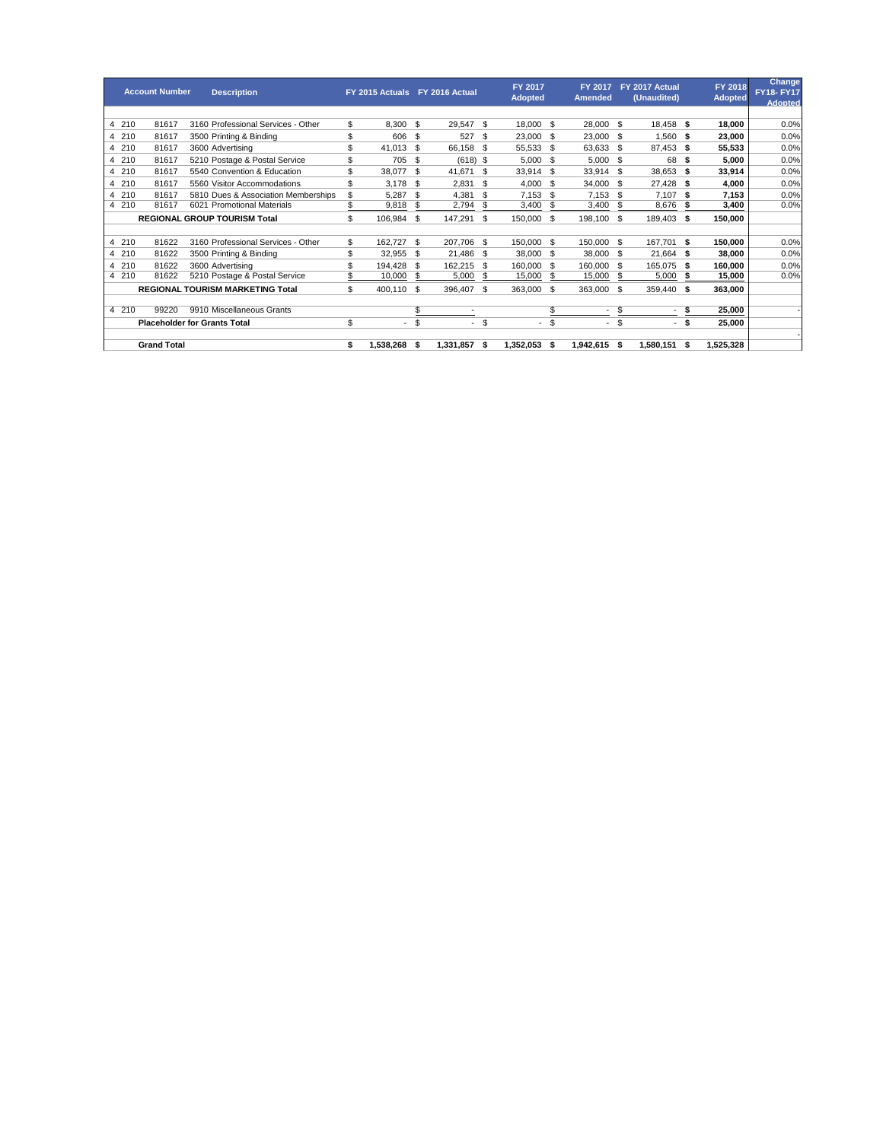|        |                                     | <b>Account Number</b> | <b>Description</b>                      |         | FY 2015 Actuals |         | FY 2016 Actual           |         | <b>FY 2017</b><br><b>Adopted</b> |         | FY 2017<br><b>Amended</b> |         | FY 2017 Actual<br>(Unaudited) |         | FY 2018<br><b>Adopted</b> | <b>Change</b><br><b>FY18-FY17</b><br>Adopted |
|--------|-------------------------------------|-----------------------|-----------------------------------------|---------|-----------------|---------|--------------------------|---------|----------------------------------|---------|---------------------------|---------|-------------------------------|---------|---------------------------|----------------------------------------------|
|        |                                     |                       |                                         |         |                 |         |                          |         |                                  |         |                           |         |                               |         |                           |                                              |
| 4 210  |                                     | 81617                 | 3160 Professional Services - Other      | \$      | 8,300           | - \$    | 29,547                   | S.      | 18,000                           | S       | 28,000                    | \$      | 18,458 \$                     |         | 18,000                    | 0.0%                                         |
| 4 210  |                                     | 81617                 | 3500 Printing & Binding                 | \$      | 606             | - \$    | 527                      | - \$    | 23,000                           | -S      | 23,000                    | S.      | 1,560                         | - \$    | 23,000                    | 0.0%                                         |
| 4 210  |                                     | 81617                 | 3600 Advertising                        | \$      | 41,013          | - \$    | 66,158 \$                |         | 55,533                           | - \$    | 63,633                    | \$.     | 87,453                        | - \$    | 55,533                    | 0.0%                                         |
| 4 210  |                                     | 81617                 | 5210 Postage & Postal Service           | \$.     | 705             | -S      | $(618)$ \$               |         | 5,000                            | S.      | 5,000                     | \$      | 68                            | \$.     | 5,000                     | 0.0%                                         |
| 4 210  |                                     | 81617                 | 5540 Convention & Education             | \$      | 38,077          | - \$    | 41,671                   | - \$    | 33,914                           | S.      | 33,914                    | \$      | 38,653                        | \$      | 33,914                    | 0.0%                                         |
| 4 210  |                                     | 81617                 | 5560 Visitor Accommodations             | \$      | 3,178           | - \$    | 2,831                    | \$      | 4,000                            | \$      | 34,000                    | S       | 27,428                        | - \$    | 4.000                     | 0.0%                                         |
| 4 210  |                                     | 81617                 | 5810 Dues & Association Memberships     | \$      | 5.287           | - \$    | 4,381                    | \$      | 7.153                            | S       | 7,153                     | S       | 7,107                         | \$      | 7,153                     | 0.0%                                         |
| 4 210  |                                     | 81617                 | 6021 Promotional Materials              | \$      | 9,818           | \$      | 2,794                    |         | 3,400                            | \$      | 3,400                     | S       | 8,676                         | \$      | 3,400                     | 0.0%                                         |
|        | <b>REGIONAL GROUP TOURISM Total</b> |                       | \$                                      | 106,984 | - \$            | 147,291 | \$                       | 150.000 | S                                | 198,100 | S                         | 189,403 | - \$                          | 150,000 |                           |                                              |
|        |                                     |                       |                                         |         |                 |         |                          |         |                                  |         |                           |         |                               |         |                           |                                              |
| 4 210  |                                     | 81622                 | 3160 Professional Services - Other      | \$      | 162.727         | - \$    | 207,706 \$               |         | 150,000 \$                       |         | 150,000                   | \$      | 167.701 \$                    |         | 150.000                   | 0.0%                                         |
| 4 210  |                                     | 81622                 | 3500 Printing & Binding                 | \$      | 32,955          | - \$    | 21,486 \$                |         | 38,000                           | S       | 38,000                    | S       | 21,664 \$                     |         | 38,000                    | 0.0%                                         |
| 4 210  |                                     | 81622                 | 3600 Advertising                        | \$      | 194,428         | -S      | 162,215                  | Ŝ.      | 160,000                          | \$.     | 160,000                   | S       | 165,075                       | \$      | 160.000                   | 0.0%                                         |
| 4 210  |                                     | 81622                 | 5210 Postage & Postal Service           | \$      | 10,000          | \$      | 5,000                    | \$      | 15,000                           | \$      | 15,000                    | S       | 5,000                         | \$      | 15,000                    | 0.0%                                         |
|        |                                     |                       | <b>REGIONAL TOURISM MARKETING Total</b> | \$      | 400,110 \$      |         | 396,407 \$               |         | 363,000                          | - \$    | 363,000                   | \$      | 359,440                       | - \$    | 363,000                   |                                              |
|        |                                     |                       |                                         |         |                 |         |                          |         |                                  |         |                           |         |                               |         |                           |                                              |
| 4, 210 |                                     | 99220                 | 9910 Miscellaneous Grants               |         |                 | \$      |                          |         |                                  | S.      |                           | S       |                               | s       | 25,000                    |                                              |
|        | <b>Placeholder for Grants Total</b> |                       |                                         |         | $\overline{a}$  | \$      | $\overline{\phantom{a}}$ | \$.     | ٠                                | \$.     |                           | \$      |                               | \$      | 25.000                    |                                              |
|        |                                     |                       |                                         |         |                 |         |                          |         |                                  |         |                           |         |                               |         |                           |                                              |
|        |                                     | <b>Grand Total</b>    |                                         |         | 1,538,268       | \$      | 1.331.857                | -S      | 1.352.053                        | - \$    | 1,942,615                 | \$      | 1,580,151                     | \$      | 1,525,328                 |                                              |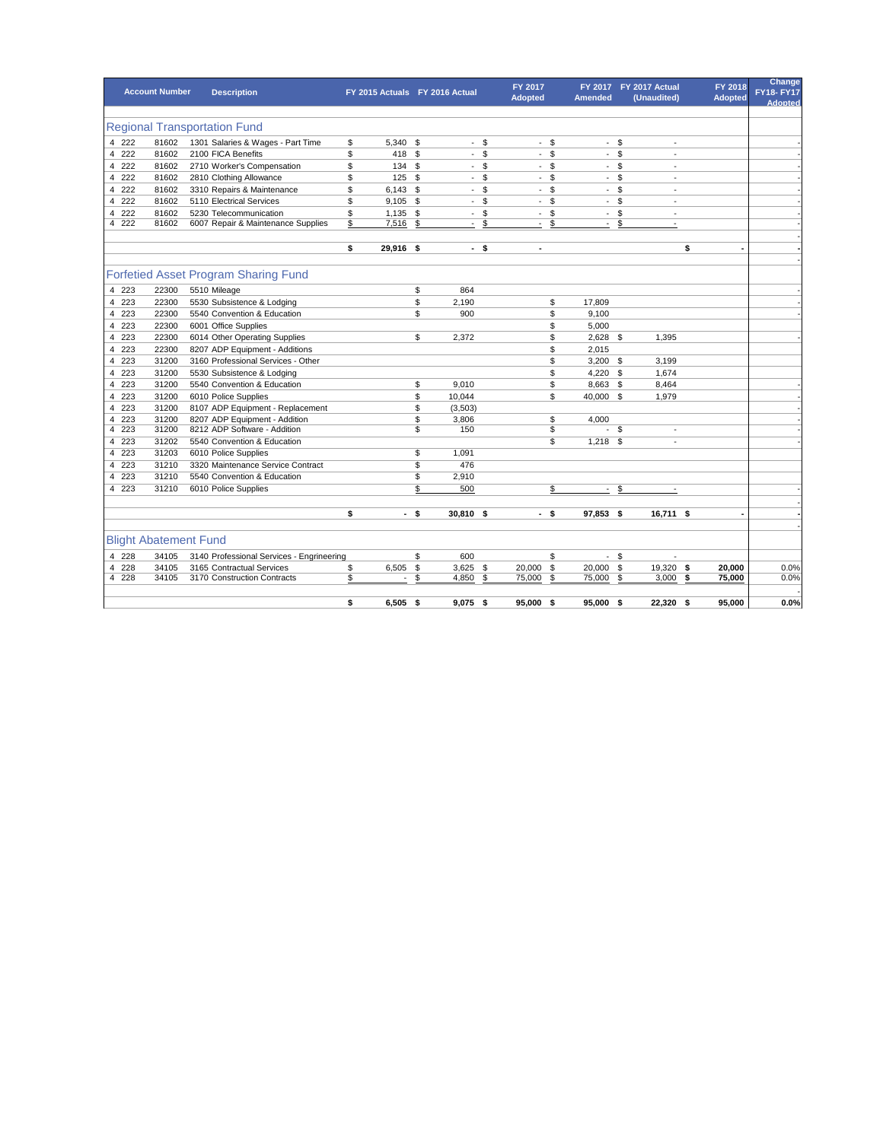|                   | <b>Account Number</b>        | <b>Description</b>                          |                 |                |                          | FY 2015 Actuals FY 2016 Actual |                          | FY 2017<br><b>Adopted</b>          | <b>Amended</b>              |                         | FY 2017 FY 2017 Actual<br>(Unaudited) | FY 2018<br><b>Adopted</b> | Change<br><b>FY18-FY17</b><br><b>Adopted</b> |
|-------------------|------------------------------|---------------------------------------------|-----------------|----------------|--------------------------|--------------------------------|--------------------------|------------------------------------|-----------------------------|-------------------------|---------------------------------------|---------------------------|----------------------------------------------|
|                   |                              | <b>Regional Transportation Fund</b>         |                 |                |                          |                                |                          |                                    |                             |                         |                                       |                           |                                              |
| 4 222             | 81602                        | 1301 Salaries & Wages - Part Time           | \$              | 5,340 \$       |                          | $\blacksquare$                 | \$                       | $-$ \$                             | - \$                        |                         | $\overline{\phantom{a}}$              |                           |                                              |
| 4 222             | 81602                        | 2100 FICA Benefits                          | \$              | 418 \$         |                          | ÷.                             | \$                       | $-$ \$                             | $\mathcal{L}^{\pm}$         | \$                      | ÷.                                    |                           |                                              |
| 4 222             | 81602                        | 2710 Worker's Compensation                  | \$              | 134 \$         |                          | $\blacksquare$                 | \$                       | $-$ \$                             | $\mathcal{L}_{\mathcal{A}}$ | -\$                     | $\ddot{\phantom{1}}$                  |                           |                                              |
| 4 222             | 81602                        | 2810 Clothing Allowance                     | \$              | 125S           |                          | $\blacksquare$                 | -S                       | $-$ \$                             | - \$                        |                         | $\sim$                                |                           |                                              |
| 4 222             | 81602                        | 3310 Repairs & Maintenance                  | \$              | $6,143$ \$     |                          | $\blacksquare$                 | <b>S</b>                 | $-$ \$                             | $\sim$                      | $\mathbf{s}$            | $\sim$                                |                           |                                              |
| 4 222             | 81602                        | 5110 Electrical Services                    | \$              | $9,105$ \$     |                          | $\blacksquare$                 | <b>S</b>                 | $-$ \$                             | $\blacksquare$              | <b>S</b>                | $\ddot{\phantom{1}}$                  |                           |                                              |
| 4 222             | 81602                        | 5230 Telecommunication                      | \$              | $1,135$ \$     |                          | $\blacksquare$                 | \$                       | $-$ \$                             | $\sim$                      | <b>S</b>                | $\sim$                                |                           |                                              |
| $4\overline{222}$ | 81602                        | 6007 Repair & Maintenance Supplies          | \$              | 7,516          | $\overline{\mathcal{S}}$ | $\blacksquare$                 | $\overline{\mathcal{S}}$ | $\overline{\mathcal{S}}$<br>$\sim$ | $\sim$                      | s                       | $\blacksquare$                        |                           |                                              |
|                   |                              |                                             |                 |                |                          |                                |                          |                                    |                             |                         |                                       |                           |                                              |
|                   |                              |                                             | \$              | 29,916 \$      |                          |                                | - \$                     | $\blacksquare$                     |                             |                         |                                       | \$                        |                                              |
|                   |                              | <b>Forfetied Asset Program Sharing Fund</b> |                 |                |                          |                                |                          |                                    |                             |                         |                                       |                           |                                              |
| 4 223             | 22300                        | 5510 Mileage                                |                 |                | \$                       | 864                            |                          |                                    |                             |                         |                                       |                           |                                              |
| 4 2 2 3           | 22300                        | 5530 Subsistence & Lodging                  |                 |                | \$                       | 2,190                          |                          | \$                                 | 17,809                      |                         |                                       |                           |                                              |
| 4 223             | 22300                        | 5540 Convention & Education                 |                 |                | \$                       | 900                            |                          | \$                                 | 9,100                       |                         |                                       |                           |                                              |
| 4 223             | 22300                        | 6001 Office Supplies                        |                 |                |                          |                                |                          | \$                                 | 5,000                       |                         |                                       |                           |                                              |
| 4 2 2 3           | 22300                        | 6014 Other Operating Supplies               |                 |                | \$                       | 2.372                          |                          | \$                                 | $2,628$ \$                  |                         | 1.395                                 |                           |                                              |
| 4 223             | 22300                        | 8207 ADP Equipment - Additions              |                 |                |                          |                                |                          | \$                                 | 2,015                       |                         |                                       |                           |                                              |
| 4 223             | 31200                        | 3160 Professional Services - Other          |                 |                |                          |                                |                          | \$                                 | $3,200$ \$                  |                         | 3,199                                 |                           |                                              |
| 4 2 2 3           | 31200                        | 5530 Subsistence & Lodging                  |                 |                |                          |                                |                          | \$                                 | 4,220                       | \$                      | 1,674                                 |                           |                                              |
| 4 223             | 31200                        | 5540 Convention & Education                 |                 |                | \$                       | 9,010                          |                          | \$                                 | 8,663 \$                    |                         | 8,464                                 |                           |                                              |
| 4 2 2 3           | 31200                        | 6010 Police Supplies                        |                 |                | \$                       | 10,044                         |                          | \$                                 | 40.000 \$                   |                         | 1,979                                 |                           |                                              |
| 4 223             | 31200                        | 8107 ADP Equipment - Replacement            |                 |                | \$                       | (3,503)                        |                          |                                    |                             |                         |                                       |                           |                                              |
| 4 223             | 31200                        | 8207 ADP Equipment - Addition               |                 |                | \$                       | 3.806                          |                          | \$                                 | 4,000                       |                         |                                       |                           |                                              |
| $4\overline{223}$ | 31200                        | 8212 ADP Software - Addition                |                 |                | s                        | 150                            |                          | s                                  | ä,                          | $\overline{\mathbb{S}}$ | $\overline{a}$                        |                           |                                              |
| 4 2 2 3           | 31202                        | 5540 Convention & Education                 |                 |                |                          |                                |                          | \$                                 | $1,218$ \$                  |                         | $\sim$                                |                           |                                              |
| 4 2 2 3           | 31203                        | 6010 Police Supplies                        |                 |                | \$                       | 1,091                          |                          |                                    |                             |                         |                                       |                           |                                              |
| 4 223             | 31210                        | 3320 Maintenance Service Contract           |                 |                | $\overline{\mathbb{S}}$  | 476                            |                          |                                    |                             |                         |                                       |                           |                                              |
| 4 223             | 31210                        | 5540 Convention & Education                 |                 |                | $\overline{\mathbb{S}}$  | 2,910                          |                          |                                    |                             |                         |                                       |                           |                                              |
| 4 2 2 3           | 31210                        | 6010 Police Supplies                        |                 |                | \$                       | 500                            |                          | \$                                 | $\blacksquare$              | \$                      |                                       |                           |                                              |
|                   |                              |                                             |                 |                |                          |                                |                          |                                    |                             |                         |                                       |                           |                                              |
|                   |                              |                                             | \$              |                | - \$                     | 30,810 \$                      |                          | - \$                               | 97,853 \$                   |                         | 16,711 \$                             |                           |                                              |
|                   | <b>Blight Abatement Fund</b> |                                             |                 |                |                          |                                |                          |                                    |                             |                         |                                       |                           |                                              |
| 4 228             | 34105                        | 3140 Professional Services - Engrineering   |                 |                | \$                       | 600                            |                          | S.                                 | - \$                        |                         | ÷                                     |                           |                                              |
| 4 228             | 34105                        | 3165 Contractual Services                   | \$              | 6,505          | \$                       | $3,625$ \$                     |                          | \$<br>20,000                       | 20,000 \$                   |                         | 19,320 \$                             | 20,000                    | 0.0%                                         |
| 4 2 2 8           | 34105                        | 3170 Construction Contracts                 | $\overline{\$}$ | $\blacksquare$ | $\overline{\mathbb{S}}$  | 4,850                          | $\overline{\mathbb{S}}$  | s<br>75,000                        | 75,000                      | $\overline{\mathbb{S}}$ | 3,000                                 | \$<br>75,000              | 0.0%                                         |
|                   |                              |                                             |                 |                |                          |                                |                          |                                    |                             |                         |                                       |                           |                                              |
|                   |                              |                                             | \$              | 6.505 S        |                          | 9.075                          | - \$                     | 95.000 \$                          | 95.000                      | Ŝ.                      | 22.320                                | \$<br>95.000              | 0.0%                                         |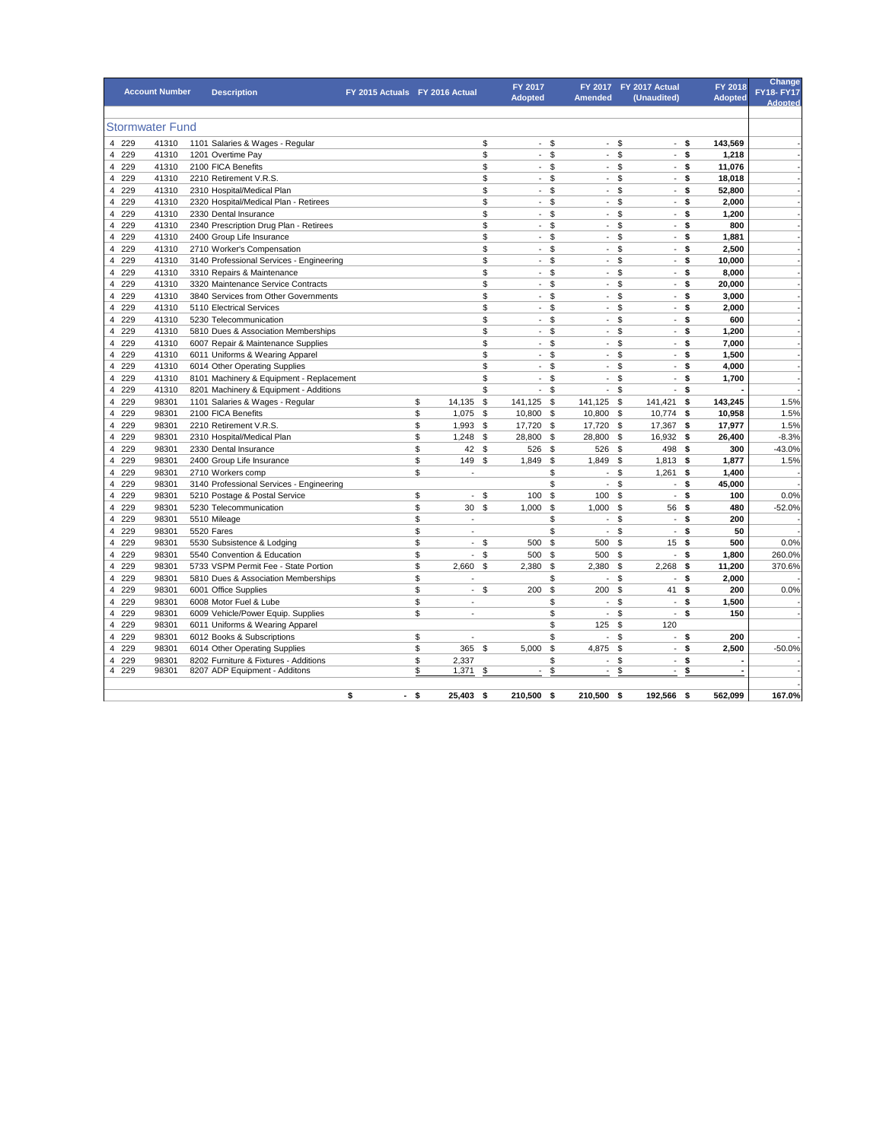|                                  | Stormwater Fund |                                          |                                   |                 |                     |               |                             |                     |             |  |
|----------------------------------|-----------------|------------------------------------------|-----------------------------------|-----------------|---------------------|---------------|-----------------------------|---------------------|-------------|--|
| 4 2 2 9                          | 41310           | 1101 Salaries & Wages - Regular          |                                   | \$              | $-5$                |               | $-5$                        | $-$ \$              | 143,569     |  |
| 4 2 2 9                          | 41310           | 1201 Overtime Pay                        |                                   | \$              | ÷.                  | \$            | $\blacksquare$              | \$<br>- \$          | 1,218       |  |
| 4 2 2 9                          | 41310           | 2100 FICA Benefits                       |                                   | \$              | $\mathcal{L}^{\pm}$ | \$            | ÷.                          | $\$$<br>- \$        | 11,076      |  |
| 229<br>$\overline{4}$            | 41310           | 2210 Retirement V.R.S.                   |                                   | \$              | $-$ \$              |               | $\sim$                      | \$<br>$-$ \$        | 18,018      |  |
| 229<br>4                         | 41310           | 2310 Hospital/Medical Plan               |                                   | \$              | $-$ \$              |               | $\sim$                      | \$<br>$-$ \$        | 52,800      |  |
| 4 229                            | 41310           | 2320 Hospital/Medical Plan - Retirees    |                                   | \$              | $-$ \$              |               | $\Delta \phi$               | $\$$<br>- \$        | 2,000       |  |
| 229<br>$\overline{4}$            | 41310           | 2330 Dental Insurance                    |                                   | \$              | ä,                  | \$            | ä,                          | $\$$<br>- \$        | 1,200       |  |
| 4 2 2 9                          | 41310           | 2340 Prescription Drug Plan - Retirees   |                                   | \$              | $-$ \$              |               | $\omega_{\rm c}$            | \$<br>- \$          | 800         |  |
| 4 2 2 9                          | 41310           | 2400 Group Life Insurance                |                                   | \$              | ä,                  | $\mathbf{s}$  | $\sim$                      | \$<br>$-5$          | 1.881       |  |
| 229<br>$\overline{4}$            | 41310           | 2710 Worker's Compensation               |                                   | \$              | $-5$                |               | $\sim$                      | \$<br>$-$ \$        | 2,500       |  |
| 4 2 2 9                          | 41310           | 3140 Professional Services - Engineering |                                   | \$              | $-$ \$              |               | ä,                          | \$<br>- \$          | 10,000      |  |
| 229<br>$\overline{4}$            | 41310           | 3310 Repairs & Maintenance               |                                   | \$              | $-$ \$              |               | $\sim$                      | \$<br>$-$ \$        | 8,000       |  |
| 229<br>$\overline{4}$            | 41310           | 3320 Maintenance Service Contracts       |                                   | \$              | $-$ \$              |               | $\omega$                    | $\mathbb S$<br>$-5$ | 20.000      |  |
| 4 2 2 9                          | 41310           | 3840 Services from Other Governments     |                                   | \$              | $-5$                |               | $\sim$                      | $\$$<br>$-$ \$      | 3,000       |  |
| 229<br>$\overline{4}$            | 41310           | 5110 Electrical Services                 |                                   | \$              | ÷.                  | $\mathbb{S}$  | ÷.                          | $\$$<br>- \$        | 2,000       |  |
| 229<br>$\overline{4}$            | 41310           | 5230 Telecommunication                   |                                   | \$              | $-$ \$              |               | $\mathcal{L}^{\pm}$         | \$<br>$-$ \$        | 600         |  |
| 4 2 2 9                          | 41310           | 5810 Dues & Association Memberships      |                                   | \$              | $-$ \$              |               | $\omega$                    | $\mathbb S$<br>$-5$ | 1,200       |  |
| 4 2 2 9                          | 41310           | 6007 Repair & Maintenance Supplies       |                                   | \$              | $-$ \$              |               | $\sim$                      | \$<br>$-$ \$        | 7,000       |  |
| 4 2 2 9                          | 41310           | 6011 Uniforms & Wearing Apparel          |                                   | \$              | $-$ \$              |               | $\mathcal{L}_{\mathcal{A}}$ | \$<br>- \$          | 1.500       |  |
| 229<br>$\overline{4}$            | 41310           | 6014 Other Operating Supplies            |                                   | \$              | $-$ \$              |               | $\Delta \phi$               | \$<br>$-5$          | 4,000       |  |
| 4 2 2 9                          | 41310           | 8101 Machinery & Equipment - Replacement |                                   | \$              | $-5$                |               | $\sim$                      | \$<br>$-$ \$        | 1,700       |  |
| 4 2 2 9                          | 41310           | 8201 Machinery & Equipment - Additions   |                                   | \$              | $-$ \$              |               | $\omega_{\rm c}$            | \$<br>- \$          |             |  |
| 229<br>$\overline{4}$            | 98301           | 1101 Salaries & Wages - Regular          | \$<br>14,135 \$                   |                 | 141,125 \$          | 141,125 \$    |                             | 141,421 \$          | 143,245     |  |
| 4 2 2 9                          | 98301           | 2100 FICA Benefits                       | \$<br>$1,075$ \$                  |                 | 10,800 \$           | 10,800 \$     |                             | 10,774 \$           | 10,958      |  |
| 4 2 2 9                          | 98301           | 2210 Retirement V.R.S.                   | \$<br>$1,993$ \$                  |                 | 17,720 \$           | 17,720 \$     |                             | 17,367 \$           | 17,977      |  |
| 229<br>$\overline{4}$            | 98301           | 2310 Hospital/Medical Plan               | \$<br>$1,248$ \$                  |                 | 28,800 \$           | 28,800 \$     |                             | 16,932 \$           | 26.400      |  |
| 4 2 2 9                          | 98301           | 2330 Dental Insurance                    | \$<br>42                          | \$              | 526 \$              |               | 526 \$                      | 498 \$              | 300         |  |
| 229<br>$\overline{4}$            | 98301           | 2400 Group Life Insurance                | \$<br>149 \$                      |                 | 1,849 \$            |               | 1,849 \$                    | $1,813$ \$          | 1,877       |  |
| 4 2 2 9                          | 98301           | 2710 Workers comp                        | \$<br>÷,                          |                 |                     | \$            | $\sim$                      | \$<br>$1,261$ \$    | 1,400       |  |
| 4 2 2 9                          | 98301           | 3140 Professional Services - Engineering |                                   |                 |                     | \$            | $\mathcal{L}^{\pm}$         | \$<br>$-5$          | 45,000      |  |
| 229<br>$\overline{4}$            | 98301           | 5210 Postage & Postal Service            | \$                                | $-$ \$          | 100 \$              |               | 100 \$                      | - \$                | 100         |  |
| 4 2 2 9                          | 98301           | 5230 Telecommunication                   | \$                                | 30 <sup>5</sup> | $1,000$ \$          |               | $1,000$ \$                  | 56 \$               | 480         |  |
| 4 2 2 9                          | 98301           | 5510 Mileage                             | \$<br>÷.                          |                 |                     | \$            | $-$ \$                      | - \$                | 200         |  |
| 229<br>$\overline{4}$            | 98301           | 5520 Fares                               | \$<br>÷.                          |                 |                     | \$            | $-5$                        | $-5$                | 50          |  |
| 4 229                            | 98301           | 5530 Subsistence & Lodging               | \$<br>$\mathcal{L}_{\mathcal{A}}$ | \$              | 500                 | \$            | 500 \$                      | $15$ \$             | 500         |  |
| 229<br>$\overline{4}$            | 98301           | 5540 Convention & Education              | \$<br>$\omega$                    | \$              | 500 \$              |               | 500 \$                      | - \$                | 1,800       |  |
| 4 2 2 9                          | 98301           | 5733 VSPM Permit Fee - State Portion     | \$<br>$2,660$ \$                  |                 | 2,380 \$            |               | 2,380 \$                    | $2,268$ \$          | 11,200      |  |
| 4 2 2 9                          | 98301           | 5810 Dues & Association Memberships      | \$<br>$\sim$                      |                 |                     | \$            | $\sim$                      | \$<br>$-$ \$        | 2,000       |  |
| 229<br>$\overline{4}$            | 98301           | 6001 Office Supplies                     | \$                                | $-$ \$          | 200                 | \$            | 200 \$                      | 41 \$               | 200         |  |
| 4 2 2 9                          | 98301           | 6008 Motor Fuel & Lube                   | \$<br>÷,                          |                 |                     | \$            | ÷.                          | \$<br>- \$          | 1,500       |  |
| 229<br>$\overline{4}$            | 98301           | 6009 Vehicle/Power Equip. Supplies       | \$<br>÷.                          |                 |                     | \$            | $\sim$                      | \$<br>¥.            | 150<br>S.   |  |
| 229<br>4                         | 98301           | 6011 Uniforms & Wearing Apparel          |                                   |                 |                     | \$            | 125S                        | 120                 |             |  |
| 4 2 2 9                          | 98301           | 6012 Books & Subscriptions               | \$<br>÷.                          |                 |                     | \$            | ÷.                          | \$<br>- \$          | 200         |  |
| 229<br>$\overline{4}$            | 98301           | 6014 Other Operating Supplies            | \$<br>365                         | $\mathfrak{s}$  | 5,000               | $\$$<br>4,875 |                             | \$<br>÷.            | \$<br>2,500 |  |
| 229<br>$\overline{4}$<br>4 2 2 9 | 98301<br>98301  | 8202 Furniture & Fixtures - Additions    | \$<br>2,337                       |                 |                     | \$<br>S       | $\sim$                      | \$<br>$\omega$      | \$          |  |
|                                  |                 | 8207 ADP Equipment - Additons            | $\frac{1}{2}$<br>1,371            | \$              | $\frac{1}{2}$       |               | $\overline{\phantom{a}}$    | \$<br>$\equiv$      | \$          |  |
|                                  |                 |                                          |                                   |                 |                     |               |                             |                     |             |  |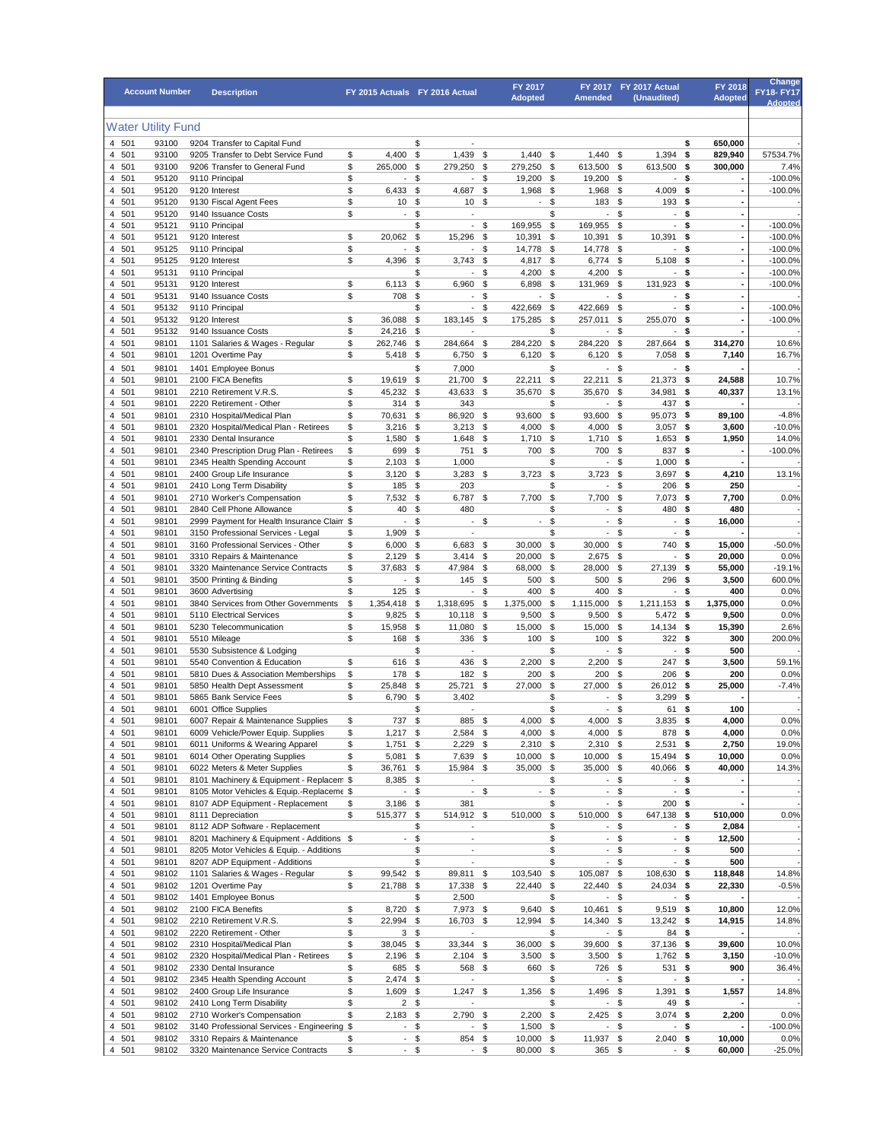|                       | <b>Account Number</b>              | <b>Description</b>                                                            | FY 2015 Actuals FY 2016 Actual       |                                                 |            | FY 2017<br><b>Adopted</b>   | <b>Amended</b>                                    | FY 2017 FY 2017 Actual<br>(Unaudited) | <b>FY 2018</b><br><b>Adopted</b>             | Change<br><b>FY18-FY17</b><br><b>Adopted</b> |
|-----------------------|------------------------------------|-------------------------------------------------------------------------------|--------------------------------------|-------------------------------------------------|------------|-----------------------------|---------------------------------------------------|---------------------------------------|----------------------------------------------|----------------------------------------------|
|                       |                                    |                                                                               |                                      |                                                 |            |                             |                                                   |                                       |                                              |                                              |
| 4 501                 | <b>Water Utility Fund</b><br>93100 | 9204 Transfer to Capital Fund                                                 |                                      | \$                                              |            |                             |                                                   |                                       | 650,000<br>\$                                |                                              |
| 4 501                 | 93100                              | 9205 Transfer to Debt Service Fund                                            | \$<br>4,400                          | \$<br>1,439                                     | \$         | 1,440                       | \$<br>1,440                                       | 1,394<br>\$                           | \$<br>829,940                                | 57534.7%                                     |
| 4 501                 | 93100                              | 9206 Transfer to General Fund                                                 | \$<br>265,000                        | 279,250<br>-\$                                  | \$         | 279,250                     | \$<br>613,500                                     | 613,500 \$<br>\$                      | 300,000                                      | 7.4%                                         |
| 4 501<br>4 501        | 95120<br>95120                     | 9110 Principal<br>9120 Interest                                               | \$<br>$\sim$<br>\$<br>6,433          | \$<br>$\overline{\phantom{a}}$<br>- \$<br>4,687 | - \$<br>\$ | 19,200<br>1,968 \$          | \$<br>19,200<br>1,968                             | \$<br>$\sim$<br>4,009<br>- \$         | \$<br>$\blacksquare$<br>\$<br>$\blacksquare$ | $-100.0%$<br>$-100.0%$                       |
| 4 501                 | 95120                              | 9130 Fiscal Agent Fees                                                        | \$<br>10                             | \$<br>10                                        | -\$        | $-$ \$                      | 183                                               | 193 \$<br>- \$                        | $\overline{\phantom{a}}$                     |                                              |
| 4 501<br>4 501        | 95120<br>95121                     | 9140 Issuance Costs<br>9110 Principal                                         | \$<br>$\blacksquare$                 | \$<br>$\sim$<br>\$<br>$\overline{\phantom{a}}$  | \$         | 169,955                     | \$<br>$\blacksquare$<br>-\$<br>169,955            | \$<br>$\sim$<br>\$<br>$\sim$          | \$<br>\$<br>$\blacksquare$                   | $-100.0%$                                    |
| 4 501                 | 95121                              | 9120 Interest                                                                 | \$<br>20,062                         | - \$<br>15,296                                  | \$         | 10,391                      | \$<br>10.391                                      | \$<br>10,391                          | \$                                           | $-100.0%$                                    |
| 4 501                 | 95125                              | 9110 Principal                                                                | \$<br>$\sim$                         | \$<br>$\sim$                                    | \$         | 14,778                      | \$<br>14,778                                      | \$<br>$\sim$                          | \$<br>٠                                      | $-100.0%$                                    |
| 4 501<br>4 501        | 95125<br>95131                     | 9120 Interest<br>9110 Principal                                               | \$<br>4,396                          | \$<br>3,743<br>\$<br>$\overline{\phantom{a}}$   | \$<br>\$   | 4,817<br>$4,200$ \$         | \$<br>6,774<br>4,200                              | 5,108<br>\$<br>$\omega$<br>- \$       | \$<br>\$<br>$\blacksquare$                   | $-100.0%$<br>$-100.0%$                       |
| 4 501                 | 95131                              | 9120 Interest                                                                 | \$<br>6,113                          | - \$<br>6,960                                   | -\$        | 6,898                       | - \$<br>131,969                                   | 131,923 \$<br>- \$                    |                                              | $-100.0%$                                    |
| 4 501                 | 95131                              | 9140 Issuance Costs                                                           | \$<br>708                            | \$<br>$\sim$                                    | \$         | $\sim$                      | \$<br>÷.                                          | \$<br>$\sim$                          | \$                                           |                                              |
| 4 501<br>4 501        | 95132<br>95132                     | 9110 Principal<br>9120 Interest                                               | \$<br>36,088                         | \$<br>ä,<br>\$<br>183,145                       | \$<br>- \$ | 422,669<br>175,285          | \$<br>422,669<br>\$<br>257,011                    | \$<br>$\omega$ .<br>\$<br>255,070     | \$<br>$\overline{\phantom{a}}$<br>\$         | $-100.0%$<br>$-100.0%$                       |
| 4 501                 | 95132                              | 9140 Issuance Costs                                                           | \$<br>24,216                         | - \$                                            |            |                             | \$<br>ä,                                          | \$<br>$\sim$                          | \$                                           |                                              |
| 4 501                 | 98101                              | 1101 Salaries & Wages - Regular                                               | \$<br>262,746                        | 284,664<br>\$                                   | \$         | 284,220                     | \$<br>284,220                                     | \$<br>287,664                         | \$<br>314,270                                | 10.6%                                        |
| 4 501                 | 98101                              | 1201 Overtime Pay                                                             | \$<br>5,418                          | - \$<br>6,750 \$                                |            | 6,120                       | \$<br>6,120                                       | \$<br>7,058                           | \$<br>7,140                                  | 16.7%                                        |
| 4 501<br>4 501        | 98101<br>98101                     | 1401 Employee Bonus<br>2100 FICA Benefits                                     | \$<br>19.619                         | \$<br>7,000<br>\$<br>21,700                     | - \$       | 22,211                      | \$<br>$\mathbf{r}$<br>\$<br>22,211                | \$<br>$\sim$<br>\$<br>21,373          | \$<br>24,588<br>\$                           | 10.7%                                        |
| 4 501                 | 98101                              | 2210 Retirement V.R.S.                                                        | \$<br>45,232                         | - \$<br>43,633                                  | - \$       | 35,670                      | \$<br>35,670                                      | \$<br>34,981                          | 40,337<br>\$                                 | 13.1%                                        |
| 4 501                 | 98101                              | 2220 Retirement - Other                                                       | \$<br>314                            | \$<br>343                                       |            |                             | \$<br>ä,                                          | \$<br>437                             | \$                                           |                                              |
| 4 501<br>4 501        | 98101<br>98101                     | 2310 Hospital/Medical Plan<br>2320 Hospital/Medical Plan - Retirees           | \$<br>70,631<br>\$<br>3,216          | 86,920 \$<br>\$<br>\$<br>3,213                  | -\$        | 93,600<br>4,000             | \$<br>93,600<br>\$<br>4,000                       | \$<br>95,073 \$<br>\$<br>$3,057$ \$   | 89,100<br>3,600                              | $-4.8%$<br>$-10.0%$                          |
| 4 501                 | 98101                              | 2330 Dental Insurance                                                         | \$<br>1,580                          | - \$<br>1,648                                   | \$         | 1,710                       | \$<br>1,710                                       | -\$<br>$1,653$ \$                     | 1,950                                        | 14.0%                                        |
| 4 501                 | 98101                              | 2340 Prescription Drug Plan - Retirees                                        | \$<br>699                            | \$<br>751                                       | \$         | 700                         | \$<br>700                                         | 837<br>\$                             | \$                                           | $-100.0%$                                    |
| 4 501<br>4 501        | 98101<br>98101                     | 2345 Health Spending Account<br>2400 Group Life Insurance                     | \$<br>2,103<br>\$<br>3,120           | \$<br>1,000<br>\$<br>3,283                      | \$         | 3,723                       | \$<br>ä,<br>\$<br>3,723                           | \$<br>1,000<br>\$<br>3,697            | \$<br>4,210<br>\$                            | 13.1%                                        |
| 4 501                 | 98101                              | 2410 Long Term Disability                                                     | \$<br>185                            | \$<br>203                                       |            |                             | \$<br>$\blacksquare$                              | \$<br>206                             | 250<br>- \$                                  |                                              |
| 4 501                 | 98101                              | 2710 Worker's Compensation                                                    | \$<br>7,532                          | \$<br>6,787                                     | \$         | 7,700                       | \$<br>7,700                                       | \$<br>7,073 \$                        | 7,700                                        | 0.0%                                         |
| 4 501<br>4 501        | 98101<br>98101                     | 2840 Cell Phone Allowance<br>2999 Payment for Health Insurance Claim \$       | \$<br>40<br>$\omega$                 | \$<br>480<br>\$                                 | - \$       | $\sim$                      | \$<br>$\sim$<br>\$<br>÷.                          | \$<br>480<br>\$<br>¥.                 | 480<br>-\$<br>16,000<br>\$                   |                                              |
| 4 501                 | 98101                              | 3150 Professional Services - Legal                                            | 1,909<br>\$                          | \$<br>$\overline{\phantom{a}}$                  |            |                             | \$<br>÷.                                          | \$<br>$\omega$                        | \$<br>$\overline{\phantom{a}}$               |                                              |
| 4 501                 | 98101                              | 3160 Professional Services - Other                                            | \$<br>6,000                          | \$<br>6,683 \$                                  |            | 30,000                      | \$<br>30,000                                      | \$<br>740 \$                          | 15,000                                       | $-50.0%$                                     |
| 4 501<br>4 501        | 98101<br>98101                     | 3310 Repairs & Maintenance<br>3320 Maintenance Service Contracts              | \$<br>2,129<br>\$<br>37,683          | - \$<br>3,414<br>-\$<br>47,984                  | \$<br>\$   | 20,000<br>68,000            | \$<br>2,675<br>\$<br>28,000                       | \$<br>- \$<br>\$<br>27,139            | 20,000<br>55,000<br>\$                       | 0.0%<br>$-19.1%$                             |
| 4 501                 | 98101                              | 3500 Printing & Binding                                                       | \$<br>$\overline{\phantom{a}}$       | \$<br>145                                       | - \$       | 500                         | -\$<br>500                                        | \$<br>296 \$                          | 3,500                                        | 600.0%                                       |
| 4 501                 | 98101                              | 3600 Advertising                                                              | \$<br>125                            | -\$                                             | \$         | 400                         | \$<br>400                                         | \$<br>$\omega$                        | 400<br>\$                                    | 0.0%                                         |
| 4 501<br>4 501        | 98101<br>98101                     | 3840 Services from Other Governments<br>5110 Electrical Services              | \$<br>1,354,418<br>9,825<br>\$       | \$<br>1,318,695<br>\$<br>10,118                 | \$<br>-\$  | 1,375,000<br>9,500          | \$<br>1,115,000<br>\$<br>9,500                    | \$<br>1,211,153 \$<br>\$<br>5,472     | 1,375,000<br>\$<br>9,500                     | 0.0%<br>0.0%                                 |
| 4 501                 | 98101                              | 5230 Telecommunication                                                        | \$<br>15,958                         | - \$<br>11,080 \$                               |            | 15,000                      | \$<br>15,000                                      | \$<br>$14,134$ \$                     | 15,390                                       | 2.6%                                         |
| 4 501                 | 98101                              | 5510 Mileage                                                                  | \$<br>168                            | \$<br>336                                       | \$         | 100                         | \$<br>100                                         | $322$ \$<br>- \$                      | 300                                          | 200.0%                                       |
| 4 501<br>4 501        | 98101<br>98101                     | 5530 Subsistence & Lodging<br>5540 Convention & Education                     | \$<br>616                            | \$<br>$\sim$<br>-\$<br>436                      | -\$        | 2,200                       | \$<br>$\sim$<br>\$<br>2,200                       | \$<br>$\sim$<br>\$<br>247             | \$<br>500<br>3,500<br>\$                     | 59.1%                                        |
| 4 501                 | 98101                              | 5810 Dues & Association Memberships                                           | \$<br>178                            | \$<br>182 \$                                    |            | 200                         | \$<br>200                                         | \$<br>206                             | 200<br>\$                                    | 0.0%                                         |
| 4 501                 | 98101                              | 5850 Health Dept Assessment                                                   | 25,848<br>\$                         | \$<br>25,721 \$                                 |            | 27,000                      | \$<br>27,000                                      | \$<br>26,012 \$                       | 25,000                                       | $-7.4%$                                      |
| 4 501<br>4 501        | 98101<br>98101                     | 5865 Bank Service Fees<br>6001 Office Supplies                                | \$<br>6,790                          | \$<br>3,402<br>\$                               |            |                             | \$<br>\$<br>ä,                                    | \$<br>3,299<br>\$<br>61               | \$<br>\$<br>100                              |                                              |
| $\overline{4}$<br>501 | 98101                              | 6007 Repair & Maintenance Supplies                                            | \$<br>737                            | \$<br>885                                       | \$         | 4,000                       | \$<br>4,000                                       | \$<br>3,835                           | 4,000<br>\$                                  | 0.0%                                         |
| 4 501                 | 98101                              | 6009 Vehicle/Power Equip. Supplies                                            | \$<br>$1,217$ \$                     | 2,584 \$                                        |            | 4,000 \$                    | 4,000 \$                                          | 878 \$                                | 4,000                                        | 0.0%                                         |
| 4 501<br>4 501        | 98101<br>98101                     | 6011 Uniforms & Wearing Apparel<br>6014 Other Operating Supplies              | \$<br>$1,751$ \$<br>\$               | $2,229$ \$<br>7,639 \$                          |            | $2,310$ \$                  | 2,310 \$<br>-\$                                   | $2,531$ \$                            | 2,750<br>10,000                              | 19.0%<br>0.0%                                |
| 4 501                 | 98101                              | 6022 Meters & Meter Supplies                                                  | $5,081$ \$<br>\$<br>36,761 \$        | 15,984 \$                                       |            | 10,000<br>35,000            | 10,000 \$<br>\$<br>35,000 \$                      | 15,494 \$<br>40,066 \$                | 40,000                                       | 14.3%                                        |
| 4 501                 | 98101                              | 8101 Machinery & Equipment - Replacem \$                                      | 8,385 \$                             | $\sim$                                          |            |                             | \$<br>$\blacksquare$                              | \$<br>- \$                            |                                              |                                              |
| 4 501<br>4 501        | 98101<br>98101                     | 8105 Motor Vehicles & Equip.-Replaceme \$<br>8107 ADP Equipment - Replacement | $-$ \$<br>\$<br>3,186                | 381<br>\$                                       | $-$ \$     | $\mathcal{L}_{\mathcal{A}}$ | \$<br>$\omega$<br>\$<br>÷.                        | \$<br>$-$ \$<br>200 \$<br>\$          | $\overline{\phantom{a}}$                     |                                              |
| 4 501                 | 98101                              | 8111 Depreciation                                                             | \$<br>515,377 \$                     | 514,912 \$                                      |            | 510,000                     | \$<br>510,000 \$                                  | 647,138 \$                            | 510,000                                      | 0.0%                                         |
| 4 501                 | 98101                              | 8112 ADP Software - Replacement                                               |                                      | \$<br>$\blacksquare$                            |            |                             | \$<br>$-$ \$                                      | $-$ \$                                | 2,084                                        |                                              |
| 4 501                 | 98101                              | 8201 Machinery & Equipment - Additions \$                                     | $\blacksquare$                       | \$<br>$\overline{\phantom{a}}$<br>ä,            |            |                             | \$<br>$-$ \$                                      | $-$ \$                                | 12,500                                       |                                              |
| 4 501<br>4 501        | 98101<br>98101                     | 8205 Motor Vehicles & Equip. - Additions<br>8207 ADP Equipment - Additions    |                                      | \$<br>\$<br>ä,                                  |            |                             | \$<br>÷.<br>\$<br>$\blacksquare$                  | $-$ \$<br>\$<br>\$<br>- \$            | 500<br>500                                   |                                              |
| 4 501                 | 98102                              | 1101 Salaries & Wages - Regular                                               | \$<br>99,542 \$                      | 89,811 \$                                       |            | 103,540                     | \$<br>105,087                                     | 108,630 \$<br>\$                      | 118,848                                      | 14.8%                                        |
| 4 501                 | 98102                              | 1201 Overtime Pay                                                             | \$<br>21,788 \$                      | 17,338 \$                                       |            | 22,440                      | \$<br>22,440 \$                                   | 24,034 \$                             | 22,330                                       | $-0.5%$                                      |
| 4 501<br>4 501        | 98102<br>98102                     | 1401 Employee Bonus<br>2100 FICA Benefits                                     | \$<br>8,720 \$                       | 2,500<br>\$<br>7,973 \$                         |            | 9,640                       | \$<br>$\mathcal{L}_{\mathcal{A}}$<br>\$<br>10,461 | \$<br>- \$<br>$9,519$ \$<br>\$        | 10,800                                       | 12.0%                                        |
| 4 501                 | 98102                              | 2210 Retirement V.R.S.                                                        | \$<br>22,994 \$                      | 16,703 \$                                       |            | 12,994                      | \$<br>14,340 \$                                   | 13,242 \$                             | 14,915                                       | 14.8%                                        |
| 4 501                 | 98102                              | 2220 Retirement - Other                                                       | \$<br>3 <sup>3</sup>                 |                                                 |            |                             | \$<br>÷.                                          | \$<br>84 \$                           |                                              |                                              |
| 4 501<br>4 501        | 98102<br>98102                     | 2310 Hospital/Medical Plan<br>2320 Hospital/Medical Plan - Retirees           | \$<br>38,045 \$<br>\$<br>2,196 \$    | 33,344 \$<br>$2,104$ \$                         |            | 36,000<br>3,500             | \$<br>39,600 \$<br>\$<br>$3,500$ \$               | 37,136 \$<br>$1,762$ \$               | 39,600<br>3,150                              | 10.0%<br>$-10.0%$                            |
| 4 501                 | 98102                              | 2330 Dental Insurance                                                         | \$<br>685 \$                         | 568 \$                                          |            | 660                         | \$<br>726 \$                                      | 531 \$                                | 900                                          | 36.4%                                        |
| 4 501                 | 98102                              | 2345 Health Spending Account                                                  | \$<br>$2,474$ \$                     | $\blacksquare$                                  |            |                             | \$<br>- \$                                        | - \$                                  |                                              |                                              |
| 4 501<br>4 501        | 98102<br>98102                     | 2400 Group Life Insurance<br>2410 Long Term Disability                        | \$<br>1,609 \$<br>$2 \sqrt{3}$<br>\$ | $1,247$ \$                                      |            | 1,356                       | \$<br>1,496 \$<br>\$<br>$\blacksquare$            | 1,391<br>\$<br>49 \$                  | \$<br>1,557                                  | 14.8%                                        |
| 4 501                 | 98102                              | 2710 Worker's Compensation                                                    | \$<br>$2,183$ \$                     | 2,790 \$                                        |            | 2,200                       | \$<br>$2,425$ \$                                  | $3,074$ \$                            | 2,200                                        | 0.0%                                         |
| 4 501                 | 98102                              | 3140 Professional Services - Engineering \$                                   | $-$ \$                               |                                                 | $-$ \$     | $1,500$ \$                  | $\sim$                                            | \$<br>- \$                            |                                              | $-100.0%$                                    |
| 4 501<br>4 501        | 98102<br>98102                     | 3310 Repairs & Maintenance<br>3320 Maintenance Service Contracts              | $-$ \$<br>\$<br>\$<br>$-$ \$         | 854 \$                                          | - \$       | 10,000 \$<br>80,000 \$      | 11,937 \$<br>365 \$                               | $2,040$ \$<br>- \$                    | 10,000<br>60,000                             | 0.0%<br>$-25.0%$                             |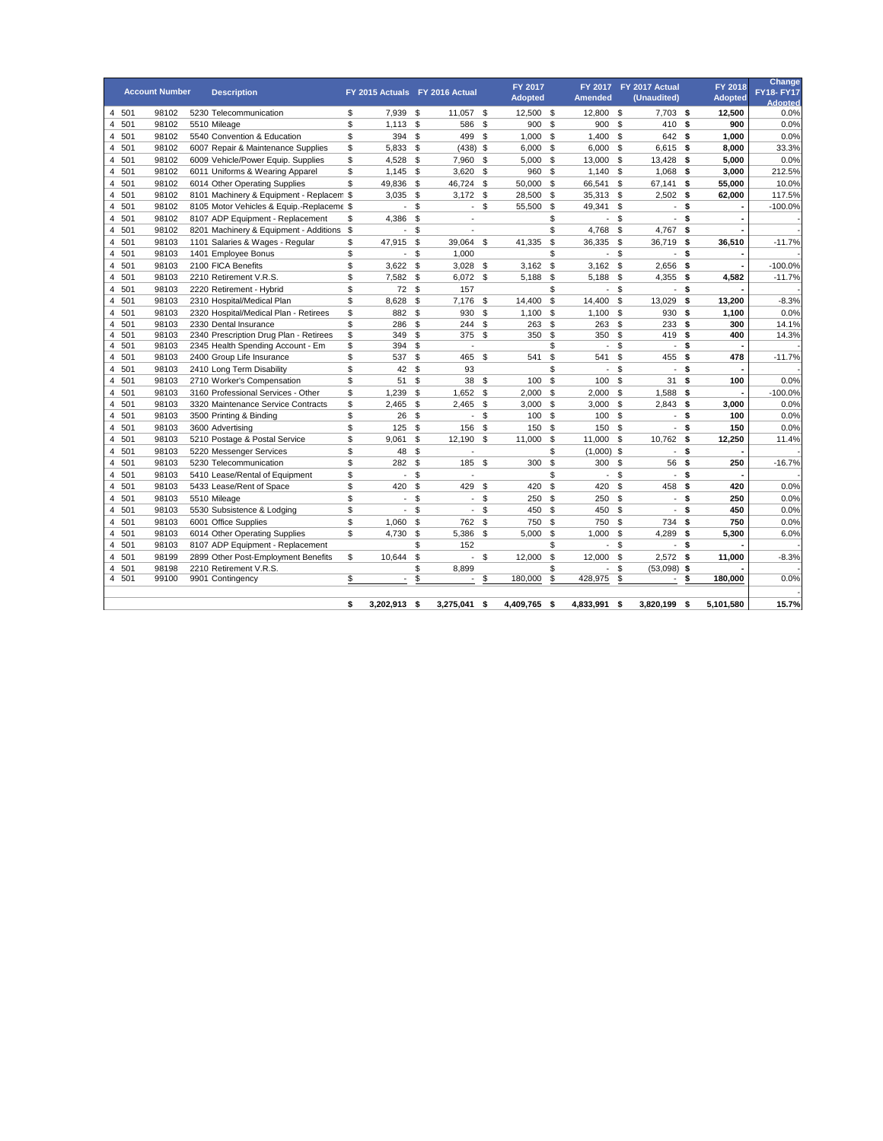|       |                       |                                           |                                |                          |                          |               | FY 2017        |              |                |          | FY 2017 FY 2017 Actual |        | FY 2018                  | Change                             |
|-------|-----------------------|-------------------------------------------|--------------------------------|--------------------------|--------------------------|---------------|----------------|--------------|----------------|----------|------------------------|--------|--------------------------|------------------------------------|
|       | <b>Account Number</b> | <b>Description</b>                        | FY 2015 Actuals FY 2016 Actual |                          |                          |               | <b>Adopted</b> |              | <b>Amended</b> |          | (Unaudited)            |        | <b>Adopted</b>           | <b>FY18-FY17</b><br><b>Adopted</b> |
| 4 501 | 98102                 | 5230 Telecommunication                    | \$<br>7,939                    | - \$                     | 11,057 \$                |               | 12,500 \$      |              | 12,800 \$      |          | $7,703$ \$             |        | 12,500                   | 0.0%                               |
| 4 501 | 98102                 | 5510 Mileage                              | \$<br>$1,113$ \$               |                          | 586                      | $\mathbb{S}$  | 900            | $\mathbf{s}$ | 900            | \$       | 410 \$                 |        | 900                      | 0.0%                               |
| 4 501 | 98102                 | 5540 Convention & Education               | \$<br>394 \$                   |                          | 499                      | \$            | 1,000          | \$           | 1,400 \$       |          | 642 \$                 |        | 1,000                    | 0.0%                               |
| 4 501 | 98102                 | 6007 Repair & Maintenance Supplies        | \$<br>5,833 \$                 |                          | $(438)$ \$               |               | 6,000          | -S           | 6,000          | <b>S</b> | $6,615$ \$             |        | 8,000                    | 33.3%                              |
| 4 501 | 98102                 | 6009 Vehicle/Power Equip. Supplies        | \$<br>4,528                    | - \$                     | 7,960                    | \$            | 5,000          | \$           | 13,000         | \$       | 13,428 \$              |        | 5,000                    | 0.0%                               |
| 4 501 | 98102                 | 6011 Uniforms & Wearing Apparel           | \$<br>$1,145$ \$               |                          | 3,620                    | - \$          | 960            | \$           | 1,140          | Ŝ.       | $1,068$ \$             |        | 3,000                    | 212.5%                             |
| 4 501 | 98102                 | 6014 Other Operating Supplies             | \$<br>49,836                   | <b>S</b>                 | 46,724 \$                |               | 50,000         | \$           | 66,541         | - \$     | 67,141 \$              |        | 55,000                   | 10.0%                              |
| 4 501 | 98102                 | 8101 Machinery & Equipment - Replacem \$  | $3,035$ \$                     |                          | $3,172$ \$               |               | 28,500         | \$           | 35,313         | \$       | $2,502$ \$             |        | 62,000                   | 117.5%                             |
| 4 501 | 98102                 | 8105 Motor Vehicles & Equip.-Replaceme \$ |                                | $-5$                     |                          | $-$ \$        | 55,500         | \$           | 49,341         | \$       |                        | - \$   |                          | $-100.0%$                          |
| 4 501 | 98102                 | 8107 ADP Equipment - Replacement          | \$<br>4,386                    | <b>S</b>                 | $\sim$                   |               |                | S            |                | - \$     |                        | - \$   | $\overline{\phantom{a}}$ |                                    |
| 4 501 | 98102                 | 8201 Machinery & Equipment - Additions \$ |                                | - \$                     | $\ddot{\phantom{1}}$     |               |                | \$           | 4,768          | - \$     | 4,767                  | \$     |                          |                                    |
| 4 501 | 98103                 | 1101 Salaries & Wages - Regular           | \$<br>47,915                   | - \$                     | 39,064 \$                |               | 41,335         | \$           | 36,335         | - \$     | 36,719 \$              |        | 36,510                   | $-11.7%$                           |
| 4 501 | 98103                 | 1401 Employee Bonus                       | \$                             | $-5$                     | 1.000                    |               |                | S            |                | $-$ \$   |                        | $-5$   |                          |                                    |
| 4 501 | 98103                 | 2100 FICA Benefits                        | \$<br>3,622                    | - \$                     | 3,028                    | -\$           | 3,162          | \$           | 3,162          | -S       | $2,656$ \$             |        |                          | $-100.0%$                          |
| 4 501 | 98103                 | 2210 Retirement V.R.S.                    | \$<br>7,582 \$                 |                          | 6,072 \$                 |               | 5,188          | \$           | 5,188          | -S       | $4,355$ \$             |        | 4.582                    | $-11.7%$                           |
| 4 501 | 98103                 | 2220 Retirement - Hybrid                  | \$<br>72 \$                    |                          | 157                      |               |                | \$           | $\omega$ .     | <b>S</b> |                        | $-$ \$ |                          |                                    |
| 4 501 | 98103                 | 2310 Hospital/Medical Plan                | \$<br>8,628                    | - \$                     | 7,176 \$                 |               | 14,400         | \$           | 14,400         | \$       | 13,029 \$              |        | 13,200                   | $-8.3%$                            |
| 4 501 | 98103                 | 2320 Hospital/Medical Plan - Retirees     | \$<br>882 \$                   |                          | 930                      | $\mathfrak s$ | 1,100          | \$           | 1,100          | \$       | 930 \$                 |        | 1,100                    | 0.0%                               |
| 4 501 | 98103                 | 2330 Dental Insurance                     | \$<br>286                      | \$                       | 244                      | \$            | 263            | \$           | 263            | \$       | 233                    | \$     | 300                      | 14.1%                              |
| 4 501 | 98103                 | 2340 Prescription Drug Plan - Retirees    | \$<br>349                      | \$                       | 375 \$                   |               | 350            | \$           | 350            | \$       | 419                    | \$     | 400                      | 14.3%                              |
| 4 501 | 98103                 | 2345 Health Spending Account - Em         | \$<br>394                      | \$                       | $\overline{\phantom{a}}$ |               |                | \$           | $\blacksquare$ | \$       | $\sim$                 | \$     |                          |                                    |
| 4 501 | 98103                 | 2400 Group Life Insurance                 | \$<br>537 \$                   |                          | 465                      | <b>S</b>      | 541            | \$           | 541            | \$       | 455                    | \$     | 478                      | $-11.7%$                           |
| 4 501 | 98103                 | 2410 Long Term Disability                 | \$<br>42                       | $\mathbf s$              | 93                       |               |                | S            | $\sim$         | \$       | $\omega_{\rm{eff}}$    | \$     |                          |                                    |
| 4 501 | 98103                 | 2710 Worker's Compensation                | \$<br>51                       | \$                       | 38                       | \$            | 100            | \$           | 100            | \$       | 31                     | \$     | 100                      | 0.0%                               |
| 4 501 | 98103                 | 3160 Professional Services - Other        | \$<br>1,239                    | <b>S</b>                 | 1,652                    | \$            | 2,000          | \$           | 2,000          | \$       | $1,588$ \$             |        |                          | $-100.0%$                          |
| 4 501 | 98103                 | 3320 Maintenance Service Contracts        | \$<br>2.465                    | <b>S</b>                 | 2,465                    | <b>S</b>      | 3,000          | <b>S</b>     | 3.000          | <b>S</b> | $2.843$ \$             |        | 3,000                    | 0.0%                               |
| 4 501 | 98103                 | 3500 Printing & Binding                   | \$<br>26                       | - \$                     |                          | $-$ \$        | 100            | \$           | 100            | \$       |                        | - \$   | 100                      | 0.0%                               |
| 4 501 | 98103                 | 3600 Advertising                          | \$<br>125                      | \$                       | 156                      | - \$          | 150            | \$           | 150            | <b>S</b> |                        | $-5$   | 150                      | 0.0%                               |
| 4 501 | 98103                 | 5210 Postage & Postal Service             | \$<br>9,061                    | \$                       | 12,190                   | \$            | 11,000         | \$           | 11,000         | \$       | 10,762 \$              |        | 12,250                   | 11.4%                              |
| 4 501 | 98103                 | 5220 Messenger Services                   | \$<br>48                       | - \$                     |                          |               |                | \$           | $(1,000)$ \$   |          | $\sim$                 | s.     |                          |                                    |
| 4 501 | 98103                 | 5230 Telecommunication                    | \$<br>282 \$                   |                          | 185                      | -S            | 300            | \$           | 300            | <b>S</b> | 56 \$                  |        | 250                      | $-16.7%$                           |
| 4 501 | 98103                 | 5410 Lease/Rental of Equipment            | \$                             | $-$ \$                   |                          |               |                | \$           | $\sim$         | <b>S</b> | $\sim$                 | \$     |                          |                                    |
| 4 501 | 98103                 | 5433 Lease/Rent of Space                  | \$<br>420                      | <b>S</b>                 | 429                      | - \$          | 420            | \$           | 420            | \$       | 458                    | S.     | 420                      | 0.0%                               |
| 4 501 | 98103                 | 5510 Mileage                              | \$<br>$\sim$                   | \$                       |                          | $-$ \$        | 250            | \$           | 250            | \$       | $\omega_{\rm{eff}}$    | \$     | 250                      | 0.0%                               |
| 4 501 | 98103                 | 5530 Subsistence & Lodging                | \$<br>$\sim$                   | \$                       |                          | $-$ \$        | 450            | $\mathbf{s}$ | 450            | \$       | $\omega$ .             | s.     | 450                      | 0.0%                               |
| 4 501 | 98103                 | 6001 Office Supplies                      | \$<br>1,060                    | - \$                     | 762 \$                   |               | 750            | \$           | 750            | Ŝ.       | 734 \$                 |        | 750                      | 0.0%                               |
| 4 501 | 98103                 | 6014 Other Operating Supplies             | \$<br>4,730 \$                 |                          | 5,386 \$                 |               | 5,000          | \$           | 1,000          | \$       | 4,289                  | - \$   | 5,300                    | 6.0%                               |
| 4 501 | 98103                 | 8107 ADP Equipment - Replacement          |                                | \$                       | 152                      |               |                | \$           | $\blacksquare$ | <b>S</b> | $\omega_{\rm{eff}}$    | \$     |                          |                                    |
| 4 501 | 98199                 | 2899 Other Post-Employment Benefits       | \$<br>10.644 \$                |                          |                          | $-$ \$        | 12,000         | <b>S</b>     | 12,000         | <b>S</b> | $2,572$ \$             |        | 11.000                   | $-8.3%$                            |
| 4 501 | 98198                 | 2210 Retirement V.R.S.                    |                                | \$                       | 8,899                    |               |                | \$           |                | \$       | $(53,098)$ \$          |        |                          |                                    |
| 4 501 | 99100                 | 9901 Contingency                          | \$<br>$\overline{\phantom{a}}$ | $\overline{\mathcal{S}}$ | $\overline{\phantom{a}}$ | \$            | 180,000        | \$           | 428,975        | \$       | $\blacksquare$         | \$     | 180,000                  | 0.0%                               |
|       |                       |                                           |                                |                          |                          |               |                |              |                |          |                        |        |                          |                                    |
|       |                       |                                           | \$<br>3,202,913 \$             |                          | 3,275,041 \$             |               | 4,409,765 \$   |              | 4,833,991 \$   |          | 3,820,199 \$           |        | 5,101,580                | 15.7%                              |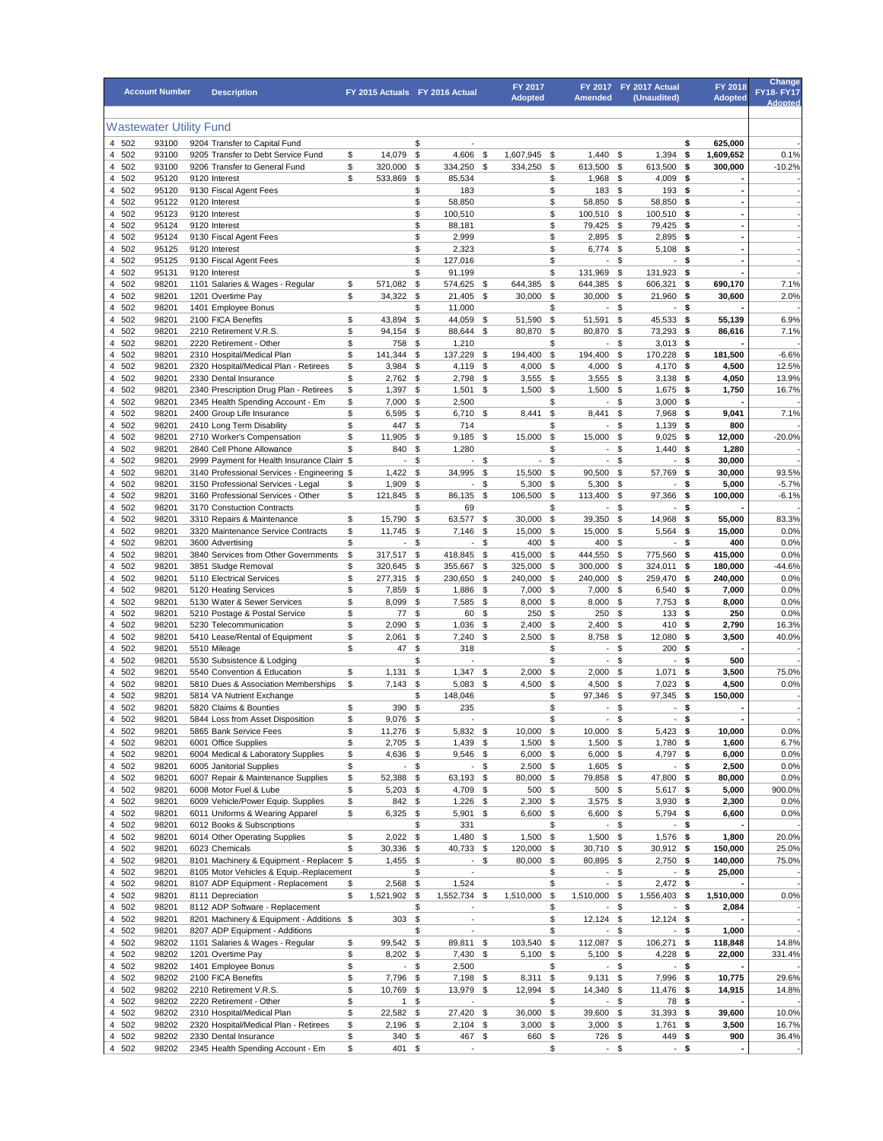|                | <b>Account Number</b> | <b>Description</b>                                                           | FY 2015 Actuals FY 2016 Actual    |                                       |        | <b>FY 2017</b><br><b>Adopted</b> | <b>Amended</b>                         | FY 2017 FY 2017 Actual<br>(Unaudited) | FY 2018<br><b>Adopted</b> | Change<br><b>FY18-FY17</b><br><b>Adopted</b> |
|----------------|-----------------------|------------------------------------------------------------------------------|-----------------------------------|---------------------------------------|--------|----------------------------------|----------------------------------------|---------------------------------------|---------------------------|----------------------------------------------|
|                |                       | <b>Wastewater Utility Fund</b>                                               |                                   |                                       |        |                                  |                                        |                                       |                           |                                              |
| 4 502          |                       |                                                                              |                                   |                                       |        |                                  |                                        |                                       | 625,000                   |                                              |
| 4 502          | 93100<br>93100        | 9204 Transfer to Capital Fund<br>9205 Transfer to Debt Service Fund          | \$<br>14.079                      | \$<br>\$<br>4,606                     | \$     | 1,607,945                        | \$<br>1,440                            | 1,394<br>\$                           | \$<br>\$<br>1,609,652     | 0.1%                                         |
| 4 502          | 93100                 | 9206 Transfer to General Fund                                                | \$<br>320,000                     | \$<br>334,250                         | \$     | 334,250                          | \$<br>613,500                          | \$<br>613,500                         | \$<br>300.000             | $-10.2%$                                     |
| 4 502          | 95120                 | 9120 Interest                                                                | \$<br>533,869                     | \$<br>85,534                          |        |                                  | \$<br>1,968                            | \$<br>4,009 \$                        | ٠                         |                                              |
| 4 502          | 95120                 | 9130 Fiscal Agent Fees                                                       |                                   | \$<br>183                             |        |                                  | \$<br>183 \$                           | 193 \$                                | $\overline{\phantom{a}}$  |                                              |
| 4 502<br>4 502 | 95122<br>95123        | 9120 Interest<br>9120 Interest                                               |                                   | \$<br>58,850<br>\$<br>100,510         |        |                                  | \$<br>58,850<br>\$<br>100,510          | \$<br>58,850 \$<br>\$<br>100,510      | $\overline{a}$<br>-\$     |                                              |
| 4 502          | 95124                 | 9120 Interest                                                                |                                   | \$<br>88,181                          |        |                                  | \$<br>79,425                           | 79,425 \$<br>\$                       | $\overline{\phantom{a}}$  |                                              |
| 4 502          | 95124                 | 9130 Fiscal Agent Fees                                                       |                                   | \$<br>2,999                           |        |                                  | \$<br>2,895                            | \$<br>$2,895$ \$                      | ÷                         |                                              |
| 4 502          | 95125                 | 9120 Interest                                                                |                                   | \$<br>2,323                           |        |                                  | \$<br>6,774                            | \$<br>$5,108$ \$                      |                           |                                              |
| 4 502<br>4 502 | 95125<br>95131        | 9130 Fiscal Agent Fees<br>9120 Interest                                      |                                   | \$<br>127,016<br>\$<br>91,199         |        |                                  | \$<br>$\sim$<br>\$<br>131,969          | \$<br>$\sim$<br>\$<br>131,923 \$      | \$                        |                                              |
| 4 502          | 98201                 | 1101 Salaries & Wages - Regular                                              | \$<br>571,082                     | $\sqrt{2}$<br>574,625                 | -\$    | 644,385                          | \$<br>644,385                          | 606,321<br>- \$                       | 690.170<br>\$             | 7.1%                                         |
| 4 502          | 98201                 | 1201 Overtime Pay                                                            | \$<br>34,322                      | -\$<br>21,405 \$                      |        | 30,000                           | \$<br>30,000                           | \$<br>21,960                          | -\$<br>30,600             | 2.0%                                         |
| 4 502          | 98201                 | 1401 Employee Bonus                                                          |                                   | \$<br>11,000                          |        |                                  | \$<br>÷.                               | \$<br>$\sim$                          | \$                        |                                              |
| 4 502          | 98201                 | 2100 FICA Benefits                                                           | \$<br>43,894                      | \$<br>44,059                          | \$     | 51,590                           | \$<br>51,591                           | \$<br>45,533                          | 55,139<br>\$              | 6.9%                                         |
| 4 502          | 98201                 | 2210 Retirement V.R.S.                                                       | \$<br>94,154                      | - \$<br>88,644                        | \$     | 80,870                           | \$<br>80,870                           | \$<br>73,293 \$                       | 86,616                    | 7.1%                                         |
| 4 502<br>4 502 | 98201<br>98201        | 2220 Retirement - Other<br>2310 Hospital/Medical Plan                        | \$<br>758<br>\$<br>141,344        | 1,210<br>- \$<br>\$<br>137,229        | \$     | 194,400                          | \$<br>÷,<br>\$<br>194,400              | \$<br>$3,013$ \$<br>\$<br>170,228 \$  | 181,500                   | $-6.6%$                                      |
| 4 502          | 98201                 | 2320 Hospital/Medical Plan - Retirees                                        | \$<br>3,984                       | - \$<br>4,119                         | \$     | 4,000                            | \$<br>4,000                            | \$<br>4,170 \$                        | 4,500                     | 12.5%                                        |
| 4 502          | 98201                 | 2330 Dental Insurance                                                        | \$<br>$2,762$ \$                  | 2,798 \$                              |        | 3,555                            | - \$<br>3,555                          | \$<br>$3,138$ \$                      | 4,050                     | 13.9%                                        |
| 4 502          | 98201                 | 2340 Prescription Drug Plan - Retirees                                       | \$<br>1,397                       | \$<br>1,501                           | \$     | 1,500                            | \$<br>1,500                            | \$<br>$1,675$ \$                      | 1,750                     | 16.7%                                        |
| 4 502          | 98201                 | 2345 Health Spending Account - Em                                            | \$<br>7,000                       | -\$<br>2,500                          |        |                                  | \$<br>$\blacksquare$                   | \$<br>$3,000$ \$                      |                           |                                              |
| 4 502<br>4 502 | 98201<br>98201        | 2400 Group Life Insurance<br>2410 Long Term Disability                       | \$<br>6,595<br>\$<br>447          | - \$<br>6,710<br>\$<br>714            | \$     | 8,441                            | \$<br>8,441<br>\$<br>$\blacksquare$    | \$<br>7,968<br>\$<br>$1,139$ \$       | 9,041<br>- \$<br>800      | 7.1%                                         |
| 4 502          | 98201                 | 2710 Worker's Compensation                                                   | \$<br>11,905                      | -\$<br>9,185                          | \$     | 15,000                           | \$<br>15,000                           | \$<br>$9,025$ \$                      | 12,000                    | $-20.0%$                                     |
| 4 502          | 98201                 | 2840 Cell Phone Allowance                                                    | \$<br>840                         | -\$<br>1,280                          |        |                                  | \$<br>$\blacksquare$                   | \$<br>$1,440$ \$                      | 1,280                     |                                              |
| 4 502          | 98201                 | 2999 Payment for Health Insurance Claim \$                                   | $\mathbf{r}$                      | \$<br>$\overline{\phantom{a}}$        | \$     | ÷.                               | \$<br>÷.                               | \$<br>$\omega$                        | \$<br>30,000              |                                              |
| 4 502          | 98201                 | 3140 Professional Services - Engineering \$                                  | 1,422                             | 34,995<br>\$                          | \$     | 15,500                           | \$<br>90,500                           | 57,769<br>\$                          | 30,000<br>\$              | 93.5%                                        |
| 4 502<br>4 502 | 98201                 | 3150 Professional Services - Legal                                           | 1,909<br>\$<br>\$                 | - \$<br>$\blacksquare$                | \$     | 5,300 \$                         | 5,300<br>- \$                          | $\sim$<br>-\$                         | 5,000<br>\$<br>100.000    | $-5.7%$                                      |
| 4 502          | 98201<br>98201        | 3160 Professional Services - Other<br>3170 Constuction Contracts             | 121,845                           | - \$<br>86,135<br>\$<br>69            | -\$    | 106,500                          | 113,400<br>\$<br>÷,                    | \$<br>97,366 \$<br>\$<br>÷,           | \$                        | $-6.1%$                                      |
| 4 502          | 98201                 | 3310 Repairs & Maintenance                                                   | \$<br>15,790                      | \$<br>63,577 \$                       |        | 30,000                           | \$<br>39,350                           | \$<br>14,968 \$                       | 55,000                    | 83.3%                                        |
| 4 502          | 98201                 | 3320 Maintenance Service Contracts                                           | \$<br>11,745                      | - \$<br>7,146                         | -\$    | 15,000                           | \$<br>15,000                           | \$<br>5,564                           | \$<br>15,000              | 0.0%                                         |
| 4 502          | 98201                 | 3600 Advertising                                                             | \$<br>$\mathbf{r}$                | \$<br>ä,                              | \$     | 400                              | \$<br>400                              | \$<br>$\sim$                          | 400<br>\$                 | 0.0%                                         |
| 4 502          | 98201                 | 3840 Services from Other Governments                                         | \$<br>317,517 \$                  | 418,845                               | -\$    | 415,000                          | 444,550<br>\$                          | \$<br>775,560 \$                      | 415,000                   | 0.0%                                         |
| 4 502<br>4 502 | 98201<br>98201        | 3851 Sludge Removal<br>5110 Electrical Services                              | \$<br>320,645<br>\$<br>277,315    | - \$<br>355,667 \$<br>- \$<br>230,650 | \$     | 325,000<br>240,000               | - \$<br>300,000<br>\$<br>240,000       | \$<br>324,011 \$<br>259,470<br>\$     | 180,000<br>240,000<br>\$  | $-44.6%$<br>0.0%                             |
| 4 502          | 98201                 | 5120 Heating Services                                                        | \$<br>7,859                       | - \$<br>1,886                         | -\$    | 7,000                            | \$<br>7,000                            | \$<br>6,540                           | \$<br>7,000               | 0.0%                                         |
| 4 502          | 98201                 | 5130 Water & Sewer Services                                                  | 8,099<br>\$                       | -\$<br>7,585                          | -\$    | 8,000                            | \$<br>8,000                            | \$<br>$7,753$ \$                      | 8,000                     | 0.0%                                         |
| 4 502          | 98201                 | 5210 Postage & Postal Service                                                | \$<br>77                          | \$<br>60                              | \$     | 250                              | \$<br>250                              | \$<br>133                             | 250<br>\$                 | 0.0%                                         |
| 4 502          | 98201                 | 5230 Telecommunication                                                       | \$<br>2,090                       | -\$<br>1,036                          | \$     | 2,400                            | \$<br>2,400                            | \$<br>410                             | \$<br>2,790               | 16.3%                                        |
| 4 502<br>4 502 | 98201<br>98201        | 5410 Lease/Rental of Equipment<br>5510 Mileage                               | \$<br>2,061<br>\$<br>47           | \$<br>7,240<br>\$<br>318              | \$     | 2,500                            | \$<br>8,758<br>\$<br>$\blacksquare$    | \$<br>12,080<br>\$<br>200             | 3,500<br>\$<br>- \$       | 40.0%                                        |
| 4 502          | 98201                 | 5530 Subsistence & Lodging                                                   |                                   | \$<br>L.                              |        |                                  | \$<br>÷.                               | \$<br>$\omega_{\rm{eff}}$             | 500<br>\$                 |                                              |
| 4 502          | 98201                 | 5540 Convention & Education                                                  | 1,131<br>\$                       | \$<br>1,347                           | \$     | 2,000                            | \$<br>2,000                            | \$<br>1,071                           | 3,500<br>\$               | 75.0%                                        |
| 4 502          | 98201                 | 5810 Dues & Association Memberships                                          | \$<br>$7,143$ \$                  | 5,083 \$                              |        | 4,500                            | \$<br>4,500                            | $7,023$ \$<br>\$                      | 4,500                     | 0.0%                                         |
| 4 502          | 98201                 | 5814 VA Nutrient Exchange                                                    |                                   | \$<br>148,046                         |        |                                  | \$<br>97,346                           | \$<br>97,345 \$                       | 150.000                   |                                              |
| 4 502<br>4 502 | 98201<br>98201        | 5820 Claims & Bounties                                                       | 390<br>\$<br>\$<br>9,076          | $\sqrt{2}$<br>235<br>\$<br>÷,         |        |                                  | \$<br>$\sim$<br>\$<br>÷,               | \$<br>$\omega$ .<br>$\$$              | \$<br>\$                  |                                              |
| 4 502          | 98201                 | 5844 Loss from Asset Disposition<br>5865 Bank Service Fees                   | \$<br>11,276 \$                   | 5,832 \$                              |        | 10,000 \$                        | 10,000 \$                              | $\blacksquare$<br>$5,423$ \$          | 10,000                    | 0.0%                                         |
| 4 502          | 98201                 | 6001 Office Supplies                                                         | \$<br>2,705 \$                    | 1,439 \$                              |        | 1,500 \$                         | 1,500 \$                               | 1,780 \$                              | 1,600                     | 6.7%                                         |
| 4 502          | 98201                 | 6004 Medical & Laboratory Supplies                                           | \$<br>4,636 \$                    | 9,546 \$                              |        | 6,000                            | \$<br>$6,000$ \$                       | 4,797 \$                              | 6,000                     | 0.0%                                         |
| 4 502          | 98201                 | 6005 Janitorial Supplies                                                     | \$                                | $-$ \$                                | - \$   | $2,500$ \$                       | $1,605$ \$                             | $-$ \$                                | 2,500                     | 0.0%                                         |
| 4 502          | 98201                 | 6007 Repair & Maintenance Supplies                                           | \$<br>52,388 \$                   | 63,193 \$                             |        | 80,000 \$                        | 79,858 \$                              | 47,800 \$                             | 80,000                    | 0.0%                                         |
| 4 502<br>4 502 | 98201<br>98201        | 6008 Motor Fuel & Lube<br>6009 Vehicle/Power Equip. Supplies                 | \$<br>$5,203$ \$<br>\$<br>842 \$  | 4,709 \$<br>$1,226$ \$                |        | 500<br>$2,300$ \$                | \$<br>500 \$<br>$3,575$ \$             | $5,617$ \$<br>$3,930$ \$              | 5,000<br>2,300            | 900.0%<br>0.0%                               |
| 4 502          | 98201                 | 6011 Uniforms & Wearing Apparel                                              | \$<br>$6,325$ \$                  | $5,901$ \$                            |        | 6,600 \$                         | 6,600 \$                               | 5,794 \$                              | 6,600                     | 0.0%                                         |
| 4 502          | 98201                 | 6012 Books & Subscriptions                                                   |                                   | \$<br>331                             |        |                                  | $-$ \$<br>\$                           | $-$ \$                                |                           |                                              |
| 4 502          | 98201                 | 6014 Other Operating Supplies                                                | \$<br>$2,022$ \$                  | $1,480$ \$                            |        | $1,500$ \$                       | 1,500 \$                               | $1,576$ \$                            | 1,800                     | 20.0%                                        |
| 4 502          | 98201                 | 6023 Chemicals                                                               | \$<br>30,336 \$                   | 40,733 \$                             |        | 120,000                          | \$<br>30,710 \$                        | 30,912 \$                             | 150,000                   | 25.0%                                        |
| 4 502          | 98201                 | 8101 Machinery & Equipment - Replacem \$                                     | $1,455$ \$                        | ÷,                                    | $-$ \$ | 80,000 \$                        | 80,895 \$                              | $2,750$ \$                            | 140,000                   | 75.0%                                        |
| 4 502<br>4 502 | 98201<br>98201        | 8105 Motor Vehicles & Equip.-Replacement<br>8107 ADP Equipment - Replacement | 2,568 \$<br>\$                    | \$<br>1,524                           |        |                                  | \$<br>$\blacksquare$<br>\$<br>$\omega$ | \$<br>- \$<br>\$<br>$2,472$ \$        | 25,000                    |                                              |
| 4 502          | 98201                 | 8111 Depreciation                                                            | 1,521,902 \$<br>\$                | 1,552,734 \$                          |        | 1,510,000                        | \$<br>1,510,000                        | 1,556,403 \$<br>\$                    | 1,510,000                 | 0.0%                                         |
| 4 502          | 98201                 | 8112 ADP Software - Replacement                                              |                                   | \$                                    |        |                                  | \$<br>٠                                | \$<br>- \$                            | 2,084                     |                                              |
| 4 502          | 98201                 | 8201 Machinery & Equipment - Additions \$                                    | 303                               | \$<br>÷,                              |        |                                  | \$<br>$12,124$ \$                      | $12,124$ \$                           |                           |                                              |
| 4 502          | 98201                 | 8207 ADP Equipment - Additions                                               |                                   | \$<br>L,                              |        |                                  | \$<br>÷.                               | \$<br>$\sim$                          | \$<br>1,000               |                                              |
| 4 502<br>4 502 | 98202<br>98202        | 1101 Salaries & Wages - Regular<br>1201 Overtime Pay                         | \$<br>99,542 \$<br>\$<br>8,202 \$ | 89,811 \$<br>7,430 \$                 |        | 103,540<br>5,100                 | \$<br>112,087<br>\$<br>5,100 \$        | \$<br>106,271 \$<br>$4,228$ \$        | 118,848<br>22,000         | 14.8%<br>331.4%                              |
| 4 502          | 98202                 | 1401 Employee Bonus                                                          | \$                                | - \$<br>2,500                         |        |                                  | \$<br>$-$ \$                           | - \$                                  |                           |                                              |
| 4 502          | 98202                 | 2100 FICA Benefits                                                           | \$<br>7,796 \$                    | 7,198 \$                              |        | 8,311                            | \$<br>9,131                            | 7,996 \$<br>\$                        | 10,775                    | 29.6%                                        |
| 4 502          | 98202                 | 2210 Retirement V.R.S.                                                       | \$<br>10,769 \$                   | 13,979 \$                             |        | 12,994                           | \$<br>14,340 \$                        | 11,476 \$                             | 14,915                    | 14.8%                                        |
| 4 502          | 98202                 | 2220 Retirement - Other                                                      | \$<br>$1 \quad$                   |                                       |        |                                  | \$<br>$\overline{\phantom{a}}$         | \$<br>78 \$                           |                           |                                              |
| 4 502          | 98202                 | 2310 Hospital/Medical Plan                                                   | \$<br>22,582 \$                   | 27,420 \$                             |        | 36,000                           | \$<br>39,600                           | \$<br>31,393 \$                       | 39,600                    | 10.0%                                        |
| 4 502<br>4 502 | 98202<br>98202        | 2320 Hospital/Medical Plan - Retirees<br>2330 Dental Insurance               | \$<br>$2,196$ \$<br>\$<br>340 \$  | $2,104$ \$<br>467 \$                  |        | 3,000<br>660 \$                  | $3,000$ \$<br>\$<br>726 \$             | $1,761$ \$<br>449 \$                  | 3,500<br>900              | 16.7%<br>36.4%                               |
| 4 502          | 98202                 | 2345 Health Spending Account - Em                                            | \$<br>401 \$                      | $\sim$                                |        |                                  | \$<br>- \$                             | - \$                                  |                           |                                              |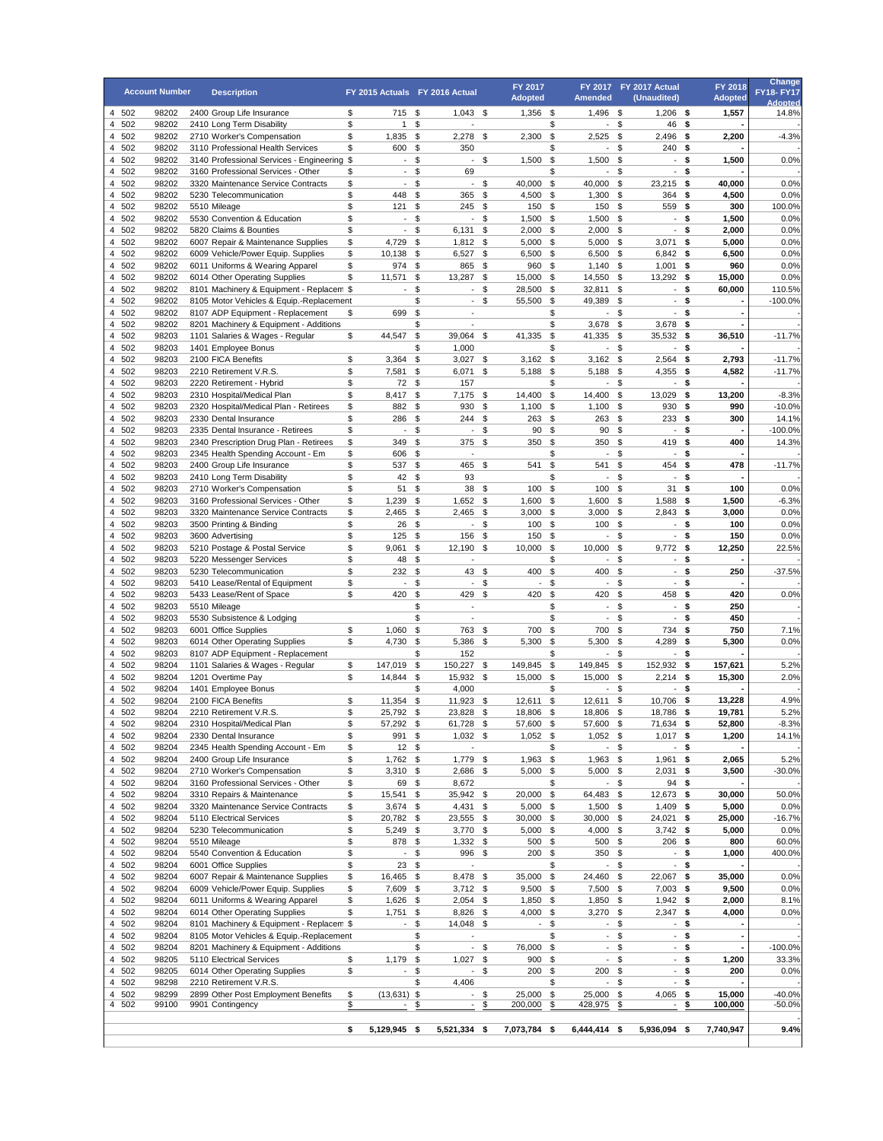|                | <b>Account Number</b> | <b>Description</b>                                                    | FY 2015 Actuals FY 2016 Actual       |                                           |               | FY 2017<br><b>Adopted</b> | <b>Amended</b>                   | FY 2017 FY 2017 Actual<br>(Unaudited) | <b>FY 2018</b><br><b>Adopted</b> | Change<br><b>FY18-FY17</b><br><b>Adopted</b> |
|----------------|-----------------------|-----------------------------------------------------------------------|--------------------------------------|-------------------------------------------|---------------|---------------------------|----------------------------------|---------------------------------------|----------------------------------|----------------------------------------------|
| 4 502          | 98202                 | 2400 Group Life Insurance                                             | 715 \$<br>\$                         | $1,043$ \$                                |               | 1,356 \$                  | 1,496 \$                         | $1,206$ \$                            | 1,557                            | 14.8%                                        |
| 4 502          | 98202                 | 2410 Long Term Disability                                             | \$<br>1                              | \$                                        |               |                           | \$<br>$\blacksquare$             | \$<br>46 \$                           |                                  |                                              |
| 4 502<br>4 502 | 98202<br>98202        | 2710 Worker's Compensation<br>3110 Professional Health Services       | 1,835<br>\$<br>\$<br>600             | \$<br>2,278<br>\$<br>350                  | \$            | 2,300                     | \$<br>2,525<br>\$<br>$\sim$      | -\$<br>$2,496$ \$<br>\$<br>240 \$     | 2,200                            | $-4.3%$                                      |
| 4 502          | 98202                 | 3140 Professional Services - Engineering \$                           | $\blacksquare$                       | \$                                        | $-$ \$        | 1,500                     | \$<br>1,500                      | \$<br>$\sim$                          | \$<br>1,500                      | 0.0%                                         |
| 4 502          | 98202                 | 3160 Professional Services - Other                                    | \$<br>$\omega$                       | \$<br>69                                  |               |                           | \$<br>÷.                         | \$<br>$\sim$                          | \$                               |                                              |
| 4 502          | 98202                 | 3320 Maintenance Service Contracts                                    | \$<br>$\blacksquare$                 | $\mathfrak s$<br>$\overline{\phantom{a}}$ | $\mathfrak s$ | 40.000                    | \$<br>40,000                     | \$<br>$23,215$ \$                     | 40,000                           | 0.0%                                         |
| 4 502<br>4 502 | 98202<br>98202        | 5230 Telecommunication<br>5510 Mileage                                | \$<br>448<br>\$<br>121               | \$<br>365<br>\$<br>245                    | \$<br>- \$    | 4,500<br>150              | \$<br>1,300<br>\$<br>150         | \$<br>364<br>\$<br>559 \$             | 4,500<br>\$<br>300               | 0.0%<br>100.0%                               |
| 4 502          | 98202                 | 5530 Convention & Education                                           | \$<br>$\mathbf{r}$                   | \$<br>$\mathbf{r}$                        | \$            | 1,500                     | \$<br>1,500                      | \$<br>$\sim$                          | \$<br>1,500                      | 0.0%                                         |
| 4 502          | 98202                 | 5820 Claims & Bounties                                                | \$<br>$\blacksquare$                 | \$<br>6,131                               | \$            | 2,000                     | \$<br>2,000                      | \$<br>$\sim$                          | 2,000<br>\$                      | 0.0%                                         |
| 4 502          | 98202                 | 6007 Repair & Maintenance Supplies                                    | \$<br>4,729                          | - \$<br>$1,812$ \$                        |               | 5,000                     | \$<br>5,000                      | \$<br>3,071                           | 5,000<br>\$                      | 0.0%                                         |
| 4 502<br>4 502 | 98202                 | 6009 Vehicle/Power Equip. Supplies                                    | \$<br>10,138<br>\$                   | - \$<br>6,527                             | \$            | 6,500                     | \$<br>6,500<br>\$                | $6,842$ \$<br>- \$                    | 6,500<br>960                     | 0.0%<br>0.0%                                 |
| 4 502          | 98202<br>98202        | 6011 Uniforms & Wearing Apparel<br>6014 Other Operating Supplies      | 974<br>\$<br>11,571                  | \$<br>865<br>\$<br>13,287 \$              | \$            | 960<br>15,000             | 1,140<br>\$<br>14,550            | \$<br>1,001<br>\$<br>13,292 \$        | \$<br>15,000                     | 0.0%                                         |
| 4 502          | 98202                 | 8101 Machinery & Equipment - Replacem \$                              | $\Box$                               | \$<br>$\overline{\phantom{a}}$            | \$            | 28,500                    | \$<br>32,811                     | \$<br>- \$                            | 60,000                           | 110.5%                                       |
| 4 502          | 98202                 | 8105 Motor Vehicles & Equip.-Replacement                              |                                      | \$<br>$\mathcal{L}$                       | \$            | 55,500                    | \$<br>49,389                     | \$<br>$\mathcal{L}_{\mathrm{eff}}$    | \$                               | $-100.0%$                                    |
| 4 502          | 98202                 | 8107 ADP Equipment - Replacement                                      | 699<br>\$                            | \$<br>$\overline{\phantom{a}}$            |               |                           | \$<br>$\overline{\phantom{a}}$   | \$<br>$\sim$                          | \$                               |                                              |
| 4 502          | 98202<br>98203        | 8201 Machinery & Equipment - Additions                                | 44,547                               | \$<br>\$                                  |               |                           | \$<br>3,678                      | \$<br>$3,678$ \$                      |                                  | $-11.7%$                                     |
| 4 502<br>4 502 | 98203                 | 1101 Salaries & Wages - Regular<br>1401 Employee Bonus                | \$                                   | 39,064<br>\$<br>1,000                     | -\$           | 41,335                    | \$<br>41,335<br>\$<br>÷.         | 35,532 \$<br>-\$<br>\$<br>$\sim$      | 36,510<br>\$                     |                                              |
| 4 502          | 98203                 | 2100 FICA Benefits                                                    | 3,364<br>\$                          | \$<br>$3,027$ \$                          |               | 3,162                     | \$<br>3,162                      | \$<br>2,564                           | 2,793<br>\$                      | $-11.7%$                                     |
| 4 502          | 98203                 | 2210 Retirement V.R.S.                                                | \$<br>7,581                          | \$<br>6,071                               | \$            | 5,188                     | \$<br>5,188                      | -\$<br>4,355                          | 4,582<br>- \$                    | $-11.7%$                                     |
| 4 502          | 98203                 | 2220 Retirement - Hybrid                                              | 72 \$<br>\$                          | 157                                       |               |                           | \$<br>$\omega$                   | \$<br>$\sim$                          | \$                               |                                              |
| 4 502<br>4 502 | 98203<br>98203        | 2310 Hospital/Medical Plan                                            | \$<br>8,417                          | \$<br>7,175<br>- \$<br>930                | \$            | 14,400                    | \$<br>14,400<br>\$               | \$<br>13,029<br>930                   | 13,200<br>\$<br>\$<br>990        | $-8.3%$<br>$-10.0%$                          |
| 4 502          | 98203                 | 2320 Hospital/Medical Plan - Retirees<br>2330 Dental Insurance        | \$<br>882<br>\$<br>286               | \$<br>244                                 | \$<br>\$      | 1,100<br>263              | 1,100<br>\$<br>263               | \$<br>\$<br>233                       | \$<br>300                        | 14.1%                                        |
| 4 502          | 98203                 | 2335 Dental Insurance - Retirees                                      | \$<br>$\mathbf{r}$                   | \$<br>$\blacksquare$                      | \$            | 90                        | \$<br>90                         | \$<br>$\sim$                          | \$                               | $-100.0%$                                    |
| 4 502          | 98203                 | 2340 Prescription Drug Plan - Retirees                                | \$<br>349                            | \$<br>375 \$                              |               | 350                       | \$<br>350                        | \$<br>419                             | 400<br>\$                        | 14.3%                                        |
| 4 502          | 98203                 | 2345 Health Spending Account - Em                                     | \$<br>606                            | \$<br>$\overline{a}$                      |               |                           | \$<br>$\overline{\phantom{a}}$   | \$<br>$\sim$                          | \$                               |                                              |
| 4 502<br>4 502 | 98203<br>98203        | 2400 Group Life Insurance<br>2410 Long Term Disability                | \$<br>537<br>\$<br>42                | -\$<br>465<br>\$<br>93                    | \$            | 541                       | \$<br>541<br>\$<br>ä,            | \$<br>454 \$<br>\$<br>$\sim$          | 478<br>\$                        | $-11.7%$                                     |
| 4 502          | 98203                 | 2710 Worker's Compensation                                            | \$<br>51                             | \$<br>38                                  | - \$          | 100                       | \$<br>100                        | \$<br>31                              | 100<br>\$                        | 0.0%                                         |
| 502<br>4       | 98203                 | 3160 Professional Services - Other                                    | 1,239<br>\$                          | \$<br>1,652                               | \$            | 1,600                     | \$<br>1,600                      | 1,588<br>\$                           | 1,500<br>\$                      | $-6.3%$                                      |
| 4 502          | 98203                 | 3320 Maintenance Service Contracts                                    | \$<br>2,465                          | \$<br>2,465                               | - \$          | 3,000                     | \$<br>3,000                      | \$<br>$2,843$ \$                      | 3,000                            | 0.0%                                         |
| 4 502          | 98203                 | 3500 Printing & Binding                                               | \$<br>26                             | \$<br>$\blacksquare$                      | \$            | 100                       | \$<br>100                        | \$<br>$\sim$                          | 100<br>\$                        | 0.0%                                         |
| 4 502<br>4 502 | 98203<br>98203        | 3600 Advertising<br>5210 Postage & Postal Service                     | \$<br>125<br>\$<br>9,061             | - \$<br>156 \$<br>\$<br>12,190            | \$            | 150<br>10,000             | \$<br>$\sim$<br>\$<br>10,000     | \$<br>$\sim$<br>$9,772$ \$<br>\$      | 150<br>\$<br>12,250              | 0.0%<br>22.5%                                |
| 4 502          | 98203                 | 5220 Messenger Services                                               | \$<br>48                             | \$<br>$\tilde{\phantom{a}}$               |               |                           | \$<br>÷,                         | \$<br>$\sim$                          | \$                               |                                              |
| 4 502          | 98203                 | 5230 Telecommunication                                                | \$<br>232                            | - \$<br>43 \$                             |               | 400 \$                    | 400                              | \$<br>$\sim$                          | 250<br>\$                        | $-37.5%$                                     |
| 4 502          | 98203                 | 5410 Lease/Rental of Equipment                                        | \$<br>$\overline{\phantom{a}}$       | \$                                        | \$            | $\overline{\phantom{a}}$  | \$<br>÷,                         | \$<br>$\sim$                          | \$                               |                                              |
| 4 502          | 98203                 | 5433 Lease/Rent of Space                                              | \$<br>420                            | \$<br>429                                 | \$            | 420                       | \$<br>420                        | \$<br>458                             | 420<br>\$                        | 0.0%                                         |
| 4 502<br>4 502 | 98203<br>98203        | 5510 Mileage<br>5530 Subsistence & Lodging                            |                                      | \$<br>$\sim$<br>\$<br>ä,                  |               |                           | \$<br>÷.<br>\$<br>ä,             | \$<br>$\sim$<br>\$<br>$\sim$          | 250<br>\$<br>450<br>\$           |                                              |
| 4 502          | 98203                 | 6001 Office Supplies                                                  | \$<br>1,060                          | \$<br>763                                 | \$            | 700                       | \$<br>700                        | \$<br>734                             | 750<br>\$                        | 7.1%                                         |
| 4 502          | 98203                 | 6014 Other Operating Supplies                                         | \$<br>4,730                          | \$<br>5,386 \$                            |               | 5,300                     | \$<br>5,300                      | \$<br>4,289                           | - \$<br>5,300                    | 0.0%                                         |
| 4 502          | 98203                 | 8107 ADP Equipment - Replacement                                      |                                      | \$<br>152                                 |               |                           | \$<br>$\mathbf{r}$               | \$<br>$\sim$                          | \$                               |                                              |
| 4 502          | 98204                 | 1101 Salaries & Wages - Regular                                       | \$<br>147,019                        | \$<br>150,227                             | \$            | 149,845                   | \$<br>149,845                    | \$<br>152,932<br>$2,214$ \$           | 157,621<br>\$                    | 5.2%                                         |
| 4 502<br>4 502 | 98204<br>98204        | 1201 Overtime Pay<br>1401 Employee Bonus                              | \$<br>14,844 \$                      | 15,932 \$<br>4,000<br>\$                  |               | 15,000                    | \$<br>15,000<br>\$<br>÷,         | \$<br>\$<br>$\sim$                    | 15,300<br>\$                     | 2.0%                                         |
| 4 502          | 98204                 | 2100 FICA Benefits                                                    | \$<br>11,354                         | \$<br>11,923                              | \$            | 12,611                    | \$<br>12,611                     | \$<br>10,706                          | 13,228<br>\$                     | 4.9%                                         |
| 4 502          | 98204                 | 2210 Retirement V.R.S.                                                | \$<br>25,792                         | \$<br>23,828 \$                           |               | 18,806                    | - \$<br>18,806 \$                | 18,786 \$                             | 19,781                           | 5.2%                                         |
| 4 502          | 98204                 | 2310 Hospital/Medical Plan                                            | 57,292 \$<br>\$                      | 61,728 \$                                 |               | 57,600 \$                 | 57,600 \$                        | 71.634 \$                             | 52,800                           | $-8.3%$                                      |
| 4 502          | 98204<br>98204        | 2330 Dental Insurance                                                 | \$<br>991 \$                         | $1,032$ \$                                |               | $1,052$ \$                | $1,052$ \$                       | $1,017$ \$                            | 1,200                            | 14.1%                                        |
| 4 502<br>4 502 | 98204                 | 2345 Health Spending Account - Em<br>2400 Group Life Insurance        | \$<br>$12 \quad $$<br>\$<br>1,762 \$ | 1,779 \$                                  |               | 1,963                     | \$<br>٠<br>\$<br>1,963           | \$<br>- \$<br>$1,961$ \$<br>- \$      | 2,065                            | 5.2%                                         |
| 4 502          | 98204                 | 2710 Worker's Compensation                                            | \$<br>$3,310$ \$                     | 2,686 \$                                  |               | 5,000                     | \$<br>5,000 \$                   | $2,031$ \$                            | 3,500                            | $-30.0%$                                     |
| 4 502          | 98204                 | 3160 Professional Services - Other                                    | \$<br>69\$                           | 8,672                                     |               |                           | \$<br>- \$                       | 94\$                                  |                                  |                                              |
| 4 502          | 98204                 | 3310 Repairs & Maintenance                                            | \$<br>15,541 \$                      | 35,942 \$                                 |               | 20,000 \$                 | 64,483 \$                        | 12,673 \$                             | 30,000                           | 50.0%                                        |
| 4 502          | 98204                 | 3320 Maintenance Service Contracts                                    | \$<br>$3,674$ \$                     | $4,431$ \$                                |               | 5,000                     | \$<br>$1,500$ \$                 | $1,409$ \$<br>24,021 \$               | 5,000                            | 0.0%                                         |
| 4 502<br>4 502 | 98204<br>98204        | 5110 Electrical Services<br>5230 Telecommunication                    | \$<br>20,782 \$<br>\$<br>5,249 \$    | 23,555 \$<br>3,770 \$                     |               | 30,000<br>$5,000$ \$      | -\$<br>30,000 \$<br>$4,000$ \$   | $3,742$ \$                            | 25,000<br>5,000                  | $-16.7%$<br>0.0%                             |
| 4 502          | 98204                 | 5510 Mileage                                                          | \$<br>878 \$                         | $1,332$ \$                                |               | 500                       | \$<br>500 \$                     | 206 \$                                | 800                              | 60.0%                                        |
| 4 502          | 98204                 | 5540 Convention & Education                                           | \$<br>$\blacksquare$                 | \$<br>996 \$                              |               | 200                       | -\$<br>350 \$                    | - \$                                  | 1,000                            | 400.0%                                       |
| 4 502          | 98204                 | 6001 Office Supplies                                                  | $23 \quad$<br>\$                     | $\overline{\phantom{a}}$                  |               |                           | \$<br>$\sim$                     | \$<br>- \$                            |                                  |                                              |
| 4 502          | 98204                 | 6007 Repair & Maintenance Supplies                                    | \$<br>16,465 \$                      | 8,478 \$                                  |               | 35,000                    | \$<br>24,460                     | \$<br>22,067 \$                       | 35,000                           | 0.0%                                         |
| 4 502<br>4 502 | 98204<br>98204        | 6009 Vehicle/Power Equip. Supplies<br>6011 Uniforms & Wearing Apparel | \$<br>7,609 \$<br>\$<br>1,626 \$     | $3,712$ \$<br>$2,054$ \$                  |               | 9,500<br>1,850            | \$<br>7,500 \$<br>\$<br>1,850 \$ | $7,003$ \$<br>$1,942$ \$              | 9,500<br>2,000                   | 0.0%<br>8.1%                                 |
| 4 502          | 98204                 | 6014 Other Operating Supplies                                         | \$<br>$1,751$ \$                     | 8,826 \$                                  |               | 4,000 \$                  | $3,270$ \$                       | $2,347$ \$                            | 4,000                            | 0.0%                                         |
| 4 502          | 98204                 | 8101 Machinery & Equipment - Replacem \$                              | $-$ \$                               | 14,048 \$                                 |               | $\blacksquare$            | \$<br>$\blacksquare$             | $-$ \$<br>\$                          |                                  |                                              |
| 4 502          | 98204                 | 8105 Motor Vehicles & Equip.-Replacement                              |                                      | \$<br>ä,                                  |               |                           | \$<br>$\blacksquare$             | \$<br>- \$                            |                                  |                                              |
| 4 502          | 98204                 | 8201 Machinery & Equipment - Additions                                |                                      | \$                                        | $-$ \$        | 76,000 \$                 | $\mathcal{L}_{\mathcal{A}}$      | \$<br>- \$                            |                                  | $-100.0%$                                    |
| 4 502<br>4 502 | 98205<br>98205        | 5110 Electrical Services<br>6014 Other Operating Supplies             | \$<br>1,179<br>\$<br>$\blacksquare$  | \$<br>$1,027$ \$<br>\$                    | - \$          | 900<br>200                | \$<br>÷.<br>-\$<br>200           | \$<br>$-$ \$<br>\$<br>$\sim$          | 1,200<br>\$<br>200               | 33.3%<br>0.0%                                |
| 4 502          | 98298                 | 2210 Retirement V.R.S.                                                |                                      | 4,406<br>\$                               |               |                           | \$                               | \$<br>- \$                            |                                  |                                              |
| 4 502          | 98299                 | 2899 Other Post Employment Benefits                                   | \$<br>$(13,631)$ \$                  |                                           | $-$ \$        | 25,000 \$                 | 25,000                           | \$<br>4,065 \$                        | 15,000                           | $-40.0%$                                     |
| 4 502          | 99100                 | 9901 Contingency                                                      | \$<br>$\overline{\phantom{a}}$       | \$<br>$\overline{\phantom{a}}$            | \$            | 200,000                   | 428,975<br>\$                    | \$<br>÷                               | 100,000<br>\$                    | $-50.0%$                                     |
|                |                       |                                                                       | \$<br>5,129,945 \$                   | 5,521,334 \$                              |               | 7,073,784 \$              | 6,444,414 \$                     | 5,936,094 \$                          | 7,740,947                        | 9.4%                                         |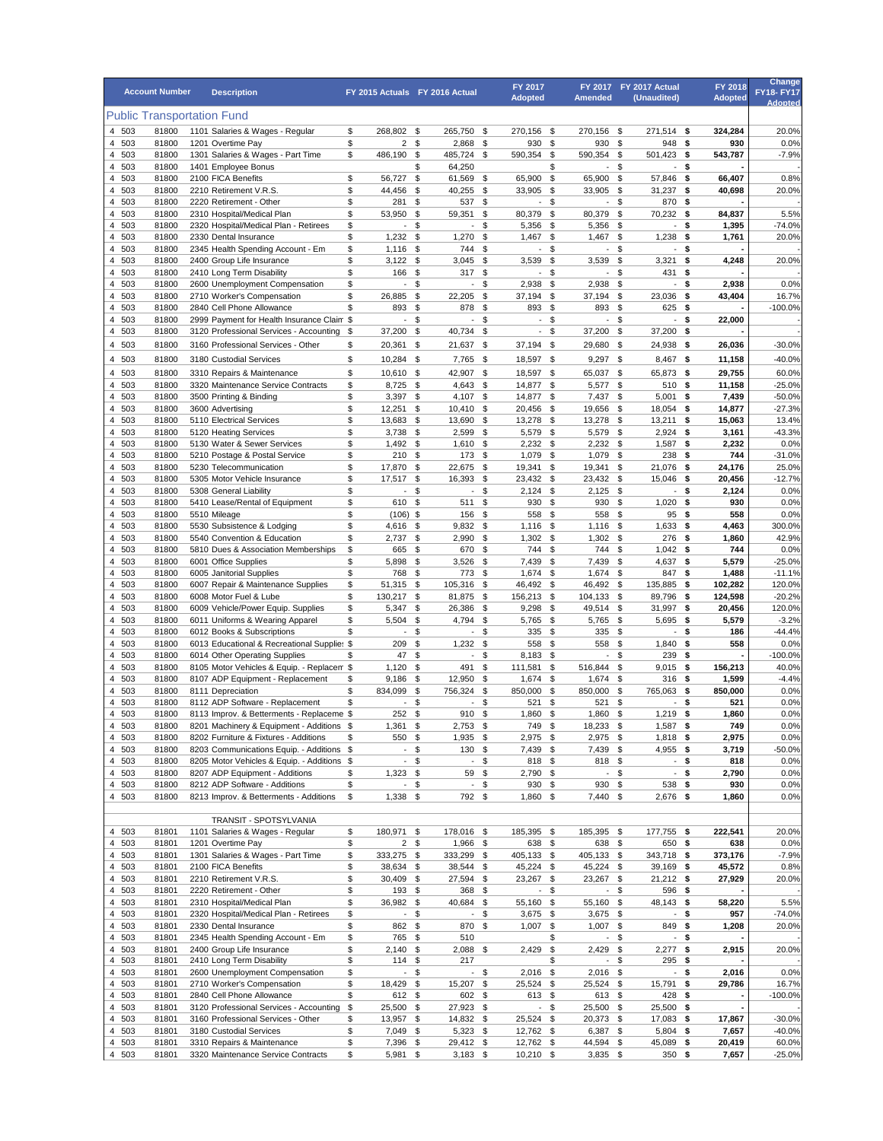|                | <b>Account Number</b> | <b>Description</b>                                                                    | FY 2015 Actuals FY 2016 Actual       |                                                 | <b>FY 2017</b><br><b>Adopted</b>             | <b>Amended</b>                  | FY 2017 FY 2017 Actual<br>(Unaudited) | FY 2018<br><b>Adopted</b> | Change<br><b>FY18-FY17</b><br><b>Adopted</b> |
|----------------|-----------------------|---------------------------------------------------------------------------------------|--------------------------------------|-------------------------------------------------|----------------------------------------------|---------------------------------|---------------------------------------|---------------------------|----------------------------------------------|
|                |                       | <b>Public Transportation Fund</b>                                                     |                                      |                                                 |                                              |                                 |                                       |                           |                                              |
| 4 503          | 81800                 | 1101 Salaries & Wages - Regular                                                       | \$<br>268,802 \$                     | 265,750 \$                                      | 270,156 \$                                   | 270,156 \$                      | 271,514 \$                            | 324,284                   | 20.0%                                        |
| 4 503          | 81800                 | 1201 Overtime Pay                                                                     | \$<br>2 <sup>5</sup>                 | 2,868                                           | \$<br>930                                    | \$<br>930                       | \$<br>948 \$                          | 930                       | 0.0%                                         |
| 4 503<br>4 503 | 81800<br>81800        | 1301 Salaries & Wages - Part Time<br>1401 Employee Bonus                              | \$<br>486,190                        | \$<br>485,724<br>\$<br>64,250                   | 590,354<br>\$                                | \$<br>590,354<br>\$<br>ä,       | \$<br>501,423 \$<br>\$<br>¥.          | 543,787<br>\$             | $-7.9%$                                      |
| 4 503          | 81800                 | 2100 FICA Benefits                                                                    | \$<br>56,727                         | \$<br>61,569                                    | 65,900<br>- \$                               | \$<br>65,900                    | \$<br>57,846                          | 66,407<br>\$              | 0.8%                                         |
| 4 503          | 81800                 | 2210 Retirement V.R.S.                                                                | \$<br>44,456                         | - \$<br>40,255                                  | \$<br>33,905 \$                              | 33,905 \$                       | 31,237                                | 40,698<br>\$              | 20.0%                                        |
| 4 503          | 81800                 | 2220 Retirement - Other                                                               | \$<br>281                            | -\$<br>537                                      | \$<br>$\sim$                                 | \$<br>$\sim$                    | \$<br>870 \$                          |                           |                                              |
| 4 503<br>4 503 | 81800<br>81800        | 2310 Hospital/Medical Plan<br>2320 Hospital/Medical Plan - Retirees                   | \$<br>53,950<br>\$<br>$\blacksquare$ | -\$<br>59,351<br>\$<br>$\overline{\phantom{a}}$ | \$<br>80,379<br>\$<br>5,356                  | \$<br>80,379<br>-\$<br>5,356    | \$<br>70,232 \$<br>$\sim$<br>\$       | 84,837<br>\$<br>1,395     | 5.5%<br>$-74.0%$                             |
| 4 503          | 81800                 | 2330 Dental Insurance                                                                 | \$<br>1,232                          | -\$<br>1,270                                    | \$<br>1,467                                  | - \$<br>1,467                   | \$<br>1,238                           | \$<br>1,761               | 20.0%                                        |
| 4 503          | 81800                 | 2345 Health Spending Account - Em                                                     | \$<br>1,116                          | \$<br>744                                       | \$<br>÷.                                     | \$<br>$\sim$                    | \$<br>$\mathbf{r}$                    | \$                        |                                              |
| 4 503          | 81800                 | 2400 Group Life Insurance                                                             | \$<br>3,122                          | \$<br>3,045                                     | 3,539<br>\$                                  | - \$<br>3,539<br>$\blacksquare$ | \$<br>3,321                           | 4,248<br>\$               | 20.0%                                        |
| 4 503<br>4 503 | 81800<br>81800        | 2410 Long Term Disability<br>2600 Unemployment Compensation                           | \$<br>166<br>\$<br>$\sim$            | - \$<br>317S<br>\$                              | ÷.<br>\$<br>2,938                            | \$<br>-\$<br>2,938              | \$<br>431<br>\$<br>$\sim$             | \$<br>\$<br>2,938         | 0.0%                                         |
| 4 503          | 81800                 | 2710 Worker's Compensation                                                            | \$<br>26,885 \$                      | 22,205                                          | \$<br>37,194                                 | \$<br>37,194                    | \$<br>23,036 \$                       | 43,404                    | 16.7%                                        |
| 4 503          | 81800                 | 2840 Cell Phone Allowance                                                             | \$<br>893 \$                         | 878 \$                                          | 893 \$                                       | 893                             | \$<br>625 \$                          |                           | $-100.0%$                                    |
| 4 503<br>4 503 | 81800<br>81800        | 2999 Payment for Health Insurance Claim \$<br>3120 Professional Services - Accounting | ÷.<br>37,200<br>\$                   | \$<br>- \$<br>40,734                            | \$<br>$\blacksquare$<br>\$<br>$\blacksquare$ | \$<br>\$<br>37,200              | \$<br>$\blacksquare$<br>\$<br>37,200  | \$<br>22,000<br>\$        |                                              |
| 4 503          | 81800                 | 3160 Professional Services - Other                                                    | \$<br>20,361 \$                      | 21,637                                          | 37,194<br>\$                                 | -\$<br>29,680                   | \$<br>24,938                          | 26,036<br>\$              | $-30.0%$                                     |
| 4 503          | 81800                 | 3180 Custodial Services                                                               | \$<br>10,284 \$                      | 7,765 \$                                        | 18,597 \$                                    | 9,297                           | \$<br>8,467 \$                        | 11,158                    | $-40.0%$                                     |
| 4 503          | 81800                 | 3310 Repairs & Maintenance                                                            | \$<br>10,610                         | \$<br>42,907                                    | \$<br>18,597                                 | \$<br>65,037                    | \$<br>65,873 \$                       | 29,755                    | 60.0%                                        |
| 4 503          | 81800                 | 3320 Maintenance Service Contracts                                                    | \$<br>8,725                          | - \$<br>4,643                                   | -\$<br>14,877                                | \$<br>5,577                     | \$<br>510 \$                          | 11,158                    | $-25.0%$                                     |
| 4 503          | 81800                 | 3500 Printing & Binding                                                               | \$<br>3,397 \$                       | 4,107                                           | -\$<br>14,877                                | \$<br>7,437                     | 5,001<br>\$                           | 7,439<br>\$               | $-50.0%$                                     |
| 4 503<br>4 503 | 81800<br>81800        | 3600 Advertising<br>5110 Electrical Services                                          | \$<br>12,251<br>\$<br>13,683 \$      | -\$<br>10,410<br>13,690                         | \$<br>20,456<br>\$<br>13,278                 | \$<br>19,656<br>\$<br>13,278    | \$<br>18,054 \$<br>\$<br>13,211       | 14,877<br>15,063<br>\$    | $-27.3%$<br>13.4%                            |
| 4 503          | 81800                 | 5120 Heating Services                                                                 | \$<br>3,738                          | - \$<br>2,599                                   | \$<br>5,579                                  | \$<br>5,579                     | 2,924<br>\$                           | 3,161<br>\$               | $-43.3%$                                     |
| 4 503          | 81800                 | 5130 Water & Sewer Services                                                           | \$<br>1,492                          | - \$<br>1,610                                   | -\$<br>2,232                                 | \$<br>2,232                     | \$<br>1,587                           | 2,232<br>\$               | 0.0%                                         |
| 4 503          | 81800                 | 5210 Postage & Postal Service                                                         | \$<br>210                            | \$<br>173                                       | \$<br>1,079                                  | \$<br>1,079                     | \$<br>238                             | 744<br>\$                 | $-31.0%$                                     |
| 4 503<br>4 503 | 81800<br>81800        | 5230 Telecommunication<br>5305 Motor Vehicle Insurance                                | \$<br>17,870<br>\$<br>17,517         | -\$<br>22,675 \$<br>16,393<br>-\$               | 19,341<br>23,432<br>\$                       | \$<br>19,341<br>\$<br>23,432    | \$<br>21,076 \$<br>\$<br>15,046 \$    | 24,176<br>20,456          | 25.0%<br>$-12.7%$                            |
| 4 503          | 81800                 | 5308 General Liability                                                                | \$                                   | \$<br>$\sim$                                    | \$<br>2,124                                  | \$<br>2,125                     | \$<br>$\sim$                          | 2,124<br>\$               | 0.0%                                         |
| 4 503          | 81800                 | 5410 Lease/Rental of Equipment                                                        | \$<br>610                            | \$<br>511                                       | -\$<br>930                                   | \$<br>930                       | $1,020$ \$<br>\$                      | 930                       | 0.0%                                         |
| 4 503          | 81800                 | 5510 Mileage                                                                          | \$<br>$(106)$ \$<br>\$               | 156                                             | \$<br>558                                    | \$<br>558                       | \$<br>$95$ \$                         | 558<br>4,463              | 0.0%                                         |
| 4 503<br>4 503 | 81800<br>81800        | 5530 Subsistence & Lodging<br>5540 Convention & Education                             | 4,616<br>\$<br>2,737                 | -\$<br>9,832<br>\$<br>2,990                     | \$<br>1,116<br>\$<br>1,302                   | \$<br>1,116<br>\$<br>1,302      | \$<br>$1,633$ \$<br>\$<br>276 \$      | 1,860                     | 300.0%<br>42.9%                              |
| 4 503          | 81800                 | 5810 Dues & Association Memberships                                                   | \$<br>665                            | -\$<br>670 \$                                   | 744                                          | \$<br>744                       | \$<br>$1,042$ \$                      | 744                       | 0.0%                                         |
| 4 503          | 81800                 | 6001 Office Supplies                                                                  | \$<br>5,898                          | -\$<br>3,526                                    | - \$<br>7,439                                | \$<br>7,439                     | \$<br>4,637                           | 5,579<br>\$               | $-25.0%$                                     |
| 4 503<br>4 503 | 81800<br>81800        | 6005 Janitorial Supplies<br>6007 Repair & Maintenance Supplies                        | \$<br>768<br>\$<br>51,315            | - \$<br>773<br>-\$<br>105,316                   | -\$<br>1,674<br>- \$<br>46,492               | \$<br>1,674<br>\$<br>46,492     | \$<br>847<br>\$<br>135,885 \$         | \$<br>1,488<br>102,282    | $-11.1%$<br>120.0%                           |
| 4 503          | 81800                 | 6008 Motor Fuel & Lube                                                                | \$<br>130,217 \$                     | 81,875 \$                                       | 156,213                                      | -\$<br>104,133                  | 89,796 \$<br>-\$                      | 124,598                   | $-20.2%$                                     |
| 4 503          | 81800                 | 6009 Vehicle/Power Equip. Supplies                                                    | \$<br>5,347 \$                       | 26,386                                          | -\$<br>9,298                                 | \$<br>49,514 \$                 | 31,997 \$                             | 20,456                    | 120.0%                                       |
| 4 503          | 81800                 | 6011 Uniforms & Wearing Apparel                                                       | \$<br>5,504                          | -\$<br>4,794                                    | \$<br>5,765                                  | \$<br>5,765                     | \$<br>$5,695$ \$                      | 5,579                     | $-3.2%$                                      |
| 4 503<br>4 503 | 81800<br>81800        | 6012 Books & Subscriptions<br>6013 Educational & Recreational Supplie: \$             | \$<br>$\blacksquare$<br>209          | \$<br>$\blacksquare$<br>\$<br>1,232             | \$<br>335<br>\$<br>558                       | -\$<br>335<br>\$<br>558         | \$<br>$\sim$<br>\$<br>1,840           | \$<br>186<br>\$<br>558    | $-44.4%$<br>0.0%                             |
| 4 503          | 81800                 | 6014 Other Operating Supplies                                                         | \$<br>47                             | \$                                              | \$<br>8,183                                  | \$<br>$\blacksquare$            | \$<br>239                             | \$                        | $-100.0%$                                    |
| 4 503          | 81800                 | 8105 Motor Vehicles & Equip. - Replacem \$                                            | 1,120                                | \$<br>491                                       | \$<br>111,581                                | \$<br>516,844                   | \$<br>$9,015$ \$                      | 156,213                   | 40.0%                                        |
| 4 503<br>4 503 | 81800<br>81800        | 8107 ADP Equipment - Replacement<br>8111 Depreciation                                 | \$<br>9,186<br>\$<br>834,099         | \$<br>12,950<br>\$<br>756,324                   | \$<br>1,674<br>\$<br>850,000                 | \$<br>1,674<br>\$<br>850,000    | \$<br>$316$ \$<br>\$<br>765,063 \$    | 1,599<br>850.000          | $-4.4%$<br>0.0%                              |
| 4 503          | 81800                 | 8112 ADP Software - Replacement                                                       | \$<br>$\mathbf{r}$                   | -\$<br>$\sim$                                   | \$<br>521                                    | \$<br>521                       | \$<br>$\sim$                          | \$<br>521                 | 0.0%                                         |
| 4 503          | 81800                 | 8113 Improv. & Betterments - Replaceme \$                                             | 252                                  | \$<br>910                                       | \$<br>1,860                                  | \$<br>1,860                     | \$<br>$1,219$ \$                      | 1,860                     | 0.0%                                         |
| 4 503          | 81800                 | 8201 Machinery & Equipment - Additions \$                                             | 1,361                                | 2,753<br>\$                                     | \$<br>749                                    | \$<br>18,233 \$                 | 1,587                                 | 749<br>\$                 | 0.0%                                         |
| 4 503<br>4 503 | 81800<br>81800        | 8202 Furniture & Fixtures - Additions<br>8203 Communications Equip. - Additions \$    | 550<br>\$<br>- \$                    | \$<br>1,935 \$<br>130 \$                        | 2,975<br>7,439 \$                            | -\$<br>2,975 \$<br>7,439 \$     | $1,818$ \$<br>$4,955$ \$              | 2,975<br>3,719            | 0.0%<br>$-50.0%$                             |
| 4 503          | 81800                 | 8205 Motor Vehicles & Equip. - Additions \$                                           | - \$                                 |                                                 | - \$<br>818 \$                               | 818 \$                          | - \$                                  | 818                       | 0.0%                                         |
| 4 503          | 81800                 | 8207 ADP Equipment - Additions                                                        | \$<br>$1,323$ \$                     | 59                                              | -\$<br>2,790 \$                              |                                 | $-$ \$<br>- \$                        | 2,790                     | 0.0%                                         |
| 4 503          | 81800                 | 8212 ADP Software - Additions                                                         | \$<br>$-$ \$                         |                                                 | $-$ \$<br>930 \$                             | 930 \$                          | 538 \$                                | 930                       | 0.0%                                         |
| 4 503          | 81800                 | 8213 Improv. & Betterments - Additions                                                | 1,338 \$<br>\$                       | 792 \$                                          | 1,860 \$                                     | 7,440 \$                        | 2,676 \$                              | 1,860                     | 0.0%                                         |
|                |                       | TRANSIT - SPOTSYLVANIA                                                                |                                      |                                                 |                                              |                                 |                                       |                           |                                              |
| 4 503          | 81801                 | 1101 Salaries & Wages - Regular                                                       | \$<br>180,971 \$                     | 178,016 \$                                      | 185,395 \$                                   | 185,395 \$                      | 177,755 \$                            | 222,541                   | 20.0%                                        |
| 4 503          | 81801                 | 1201 Overtime Pay<br>1301 Salaries & Wages - Part Time                                | \$<br>$2 \sqrt{3}$                   | 1,966 \$                                        | 638 \$                                       | 638 \$                          | 650 \$                                | 638<br>373,176            | 0.0%                                         |
| 4 503<br>4 503 | 81801<br>81801        | 2100 FICA Benefits                                                                    | \$<br>333,275 \$<br>\$<br>38,634 \$  | 333,299 \$<br>38,544 \$                         | 405,133 \$<br>45,224 \$                      | 405,133 \$<br>45,224 \$         | 343,718 \$<br>39,169 \$               | 45,572                    | $-7.9%$<br>0.8%                              |
| 4 503          | 81801                 | 2210 Retirement V.R.S.                                                                | \$<br>30,409 \$                      | 27,594 \$                                       | 23,267 \$                                    | 23,267 \$                       | $21,212$ \$                           | 27,929                    | 20.0%                                        |
| 4 503          | 81801                 | 2220 Retirement - Other                                                               | \$<br>193 \$                         | 368 \$                                          |                                              | - \$                            | - \$<br>596 \$                        |                           |                                              |
| 4 503<br>4 503 | 81801<br>81801        | 2310 Hospital/Medical Plan<br>2320 Hospital/Medical Plan - Retirees                   | \$<br>36,982 \$<br>\$<br>$-$ \$      | 40,684 \$                                       | 55,160 \$<br>- \$<br>$3,675$ \$              | 55,160 \$<br>$3,675$ \$         | 48,143 \$<br>- \$                     | 58,220<br>957             | 5.5%<br>$-74.0%$                             |
| 4 503          | 81801                 | 2330 Dental Insurance                                                                 | \$<br>862 \$                         | 870 \$                                          | $1,007$ \$                                   | $1,007$ \$                      | 849 \$                                | 1,208                     | 20.0%                                        |
| 4 503          | 81801                 | 2345 Health Spending Account - Em                                                     | \$<br>765 \$                         | 510                                             |                                              | \$                              | - \$<br>÷.                            | \$                        |                                              |
| 4 503          | 81801                 | 2400 Group Life Insurance                                                             | \$<br>$2,140$ \$                     | $2,088$ \$                                      | 2,429                                        | \$<br>$2,429$ \$                | $2,277$ \$                            | 2,915                     | 20.0%                                        |
| 4 503<br>4 503 | 81801<br>81801        | 2410 Long Term Disability<br>2600 Unemployment Compensation                           | \$<br>114S<br>\$<br>- \$             | 217                                             | $-$ \$<br>$2,016$ \$                         | \$<br>$\sim$<br>$2,016$ \$      | 295 \$<br>\$<br>- \$                  | 2,016                     | 0.0%                                         |
| 4 503          | 81801                 | 2710 Worker's Compensation                                                            | \$<br>18,429 \$                      | 15,207 \$                                       | 25,524 \$                                    | 25,524 \$                       | 15,791 \$                             | 29,786                    | 16.7%                                        |
| 4 503          | 81801                 | 2840 Cell Phone Allowance                                                             | \$<br>612 \$                         | 602 \$                                          | 613 \$                                       | 613 \$                          | 428 \$                                |                           | $-100.0%$                                    |
| 4 503<br>4 503 | 81801<br>81801        | 3120 Professional Services - Accounting                                               | \$<br>25,500 \$                      | 27,923 \$                                       | 25,524 \$                                    | - \$<br>25,500 \$               | 25,500 \$                             | 17,867                    | $-30.0%$                                     |
| 4 503          | 81801                 | 3160 Professional Services - Other<br>3180 Custodial Services                         | \$<br>13,957 \$<br>\$<br>7,049 \$    | 14,832 \$<br>5,323 \$                           | 12,762 \$                                    | 20,373 \$<br>6,387 \$           | 17,083 \$<br>$5,804$ \$               | 7,657                     | $-40.0%$                                     |
| 4 503          | 81801                 | 3310 Repairs & Maintenance                                                            | \$<br>7,396 \$                       | 29,412 \$                                       | 12,762 \$                                    | 44,594 \$                       | 45,089 \$                             | 20,419                    | 60.0%                                        |
| 4 503          | 81801                 | 3320 Maintenance Service Contracts                                                    | \$<br>5,981 \$                       | $3,183$ \$                                      | 10,210 \$                                    | 3,835 \$                        | 350 \$                                | 7,657                     | $-25.0%$                                     |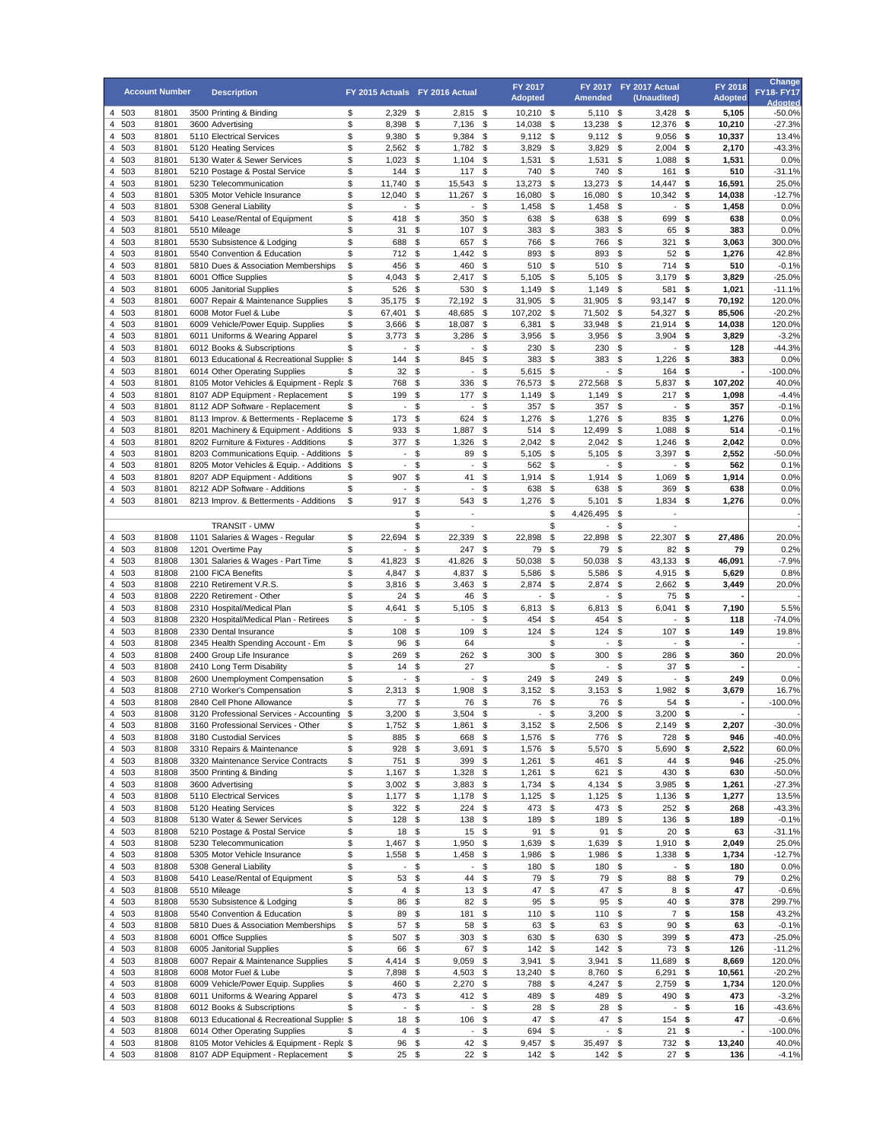|                | <b>Account Number</b> | <b>Description</b>                                           | FY 2015 Actuals FY 2016 Actual |                                | FY 2017<br><b>Adopted</b>      | <b>Amended</b>               | FY 2017 FY 2017 Actual<br>(Unaudited) | <b>FY 2018</b><br><b>Adopted</b> | Change<br><b>FY18-FY17</b><br><b>Adopted</b> |
|----------------|-----------------------|--------------------------------------------------------------|--------------------------------|--------------------------------|--------------------------------|------------------------------|---------------------------------------|----------------------------------|----------------------------------------------|
| 4 503          | 81801                 | 3500 Printing & Binding                                      | \$<br>2,329                    | \$<br>$2,815$ \$               | 10,210 \$                      | $5,110$ \$                   | $3,428$ \$                            | 5,105                            | $-50.0%$                                     |
| 4 503          | 81801                 | 3600 Advertising                                             | \$<br>8,398                    | \$<br>7,136                    | \$<br>14,038                   | \$<br>13,238                 | -\$<br>12,376 \$                      | 10,210                           | $-27.3%$                                     |
| 4 503          | 81801                 | 5110 Electrical Services                                     | \$<br>9,380                    | - \$<br>9,384                  | $9,112$ \$<br>\$               | 9,112                        | -\$<br>$9,056$ \$                     | 10,337                           | 13.4%                                        |
| 4 503          | 81801                 | 5120 Heating Services                                        | \$<br>$2,562$ \$               | 1,782 \$                       | 3,829                          | \$<br>3,829                  | $2,004$ \$<br>-\$                     | 2,170                            | $-43.3%$                                     |
| 4 503          | 81801                 | 5130 Water & Sewer Services                                  | \$<br>1,023                    | \$<br>1,104                    | 1,531<br>\$                    | \$<br>1,531                  | \$<br>1,088                           | \$<br>1,531                      | 0.0%                                         |
| 4 503          | 81801                 | 5210 Postage & Postal Service                                | \$<br>144 \$                   | 117                            | 740<br>\$                      | \$<br>740                    | \$<br>161<br>- \$                     | 510                              | $-31.1%$                                     |
| 4 503          | 81801                 | 5230 Telecommunication                                       | \$<br>11,740                   | -\$<br>15,543                  | \$<br>13,273                   | \$<br>13,273                 | \$<br>14,447                          | \$<br>16,591                     | 25.0%                                        |
| 4 503          | 81801                 | 5305 Motor Vehicle Insurance                                 | \$<br>12,040                   | \$<br>11,267                   | 16,080<br>\$                   | \$<br>16,080                 | 10,342 \$<br>\$                       | 14,038                           | $-12.7%$                                     |
| 503<br>4       | 81801                 | 5308 General Liability                                       | \$<br>٠                        | \$                             | \$<br>1,458                    | \$<br>1,458                  | \$<br>$\blacksquare$                  | 1,458<br>\$                      | 0.0%                                         |
| 4 503          | 81801                 | 5410 Lease/Rental of Equipment                               | \$<br>418                      | \$<br>350                      | \$<br>638                      | \$<br>638                    | \$<br>699                             | \$<br>638                        | 0.0%                                         |
| 4 503          | 81801                 | 5510 Mileage                                                 | \$<br>31                       | \$<br>107                      | \$<br>383                      | \$<br>383                    | \$<br>65                              | 383<br>\$                        | 0.0%                                         |
| 4 503          | 81801                 | 5530 Subsistence & Lodging                                   | \$<br>688 \$                   | 657 \$                         | 766                            | \$<br>766                    | \$<br>321 \$                          | 3,063                            | 300.0%                                       |
| 4 503          | 81801                 | 5540 Convention & Education                                  | \$<br>712 \$                   | 1,442                          | \$<br>893                      | 893<br>- \$                  | $52$ \$<br>- \$                       | 1,276                            | 42.8%                                        |
| 4 503          | 81801                 | 5810 Dues & Association Memberships                          | \$<br>456                      | \$<br>460                      | \$<br>510                      | \$<br>510                    | \$<br>714                             | 510<br>\$                        | $-0.1%$                                      |
| 4 503          | 81801                 | 6001 Office Supplies                                         | $4,043$ \$<br>\$               | $2,417$ \$                     | $5,105$ \$                     | 5,105                        | -\$<br>$3,179$ \$                     | 3,829                            | $-25.0%$                                     |
| 4 503          | 81801                 | 6005 Janitorial Supplies                                     | \$<br>526                      | - \$<br>530                    | \$<br>1,149                    | \$<br>1,149                  | \$<br>581 \$                          | 1,021                            | $-11.1%$                                     |
| 4 503<br>4 503 | 81801<br>81801        | 6007 Repair & Maintenance Supplies<br>6008 Motor Fuel & Lube | \$<br>35,175<br>67,401<br>\$   | -\$<br>72,192<br>\$<br>48,685  | \$<br>31,905<br>107,202<br>\$  | \$<br>31,905<br>\$<br>71,502 | \$<br>93,147 \$<br>54,327<br>\$       | 70,192<br>85,506<br>\$           | 120.0%<br>$-20.2%$                           |
| 4 503          | 81801                 | 6009 Vehicle/Power Equip. Supplies                           | \$<br>$3,666$ \$               | 18,087 \$                      | 6,381                          | \$<br>33,948                 | \$<br>$21,914$ \$                     | 14,038                           | 120.0%                                       |
| 4 503          | 81801                 | 6011 Uniforms & Wearing Apparel                              | \$<br>$3,773$ \$               | 3,286                          | \$<br>3,956                    | \$<br>3,956                  | $3,904$ \$<br>\$                      | 3,829                            | $-3.2%$                                      |
| 4 503          | 81801                 | 6012 Books & Subscriptions                                   | \$<br>$\sim$                   | \$<br>- \$                     | 230                            | \$<br>230                    | \$<br>$\sim$                          | \$<br>128                        | $-44.3%$                                     |
| 4 503          | 81801                 | 6013 Educational & Recreational Supplie: \$                  | 144                            | -\$<br>845                     | -\$<br>383                     | \$<br>383                    | \$<br>$1,226$ \$                      | 383                              | 0.0%                                         |
| 4 503          | 81801                 | 6014 Other Operating Supplies                                | 32<br>\$                       | \$                             | \$<br>5,615                    | \$                           | \$<br>164 \$                          |                                  | $-100.0%$                                    |
| 4 503          | 81801                 | 8105 Motor Vehicles & Equipment - Repla \$                   | 768                            | \$<br>336                      | -\$<br>76,573                  | \$<br>272,568                | \$<br>5,837 \$                        | 107,202                          | 40.0%                                        |
| 4 503          | 81801                 | 8107 ADP Equipment - Replacement                             | 199<br>\$                      | \$<br>177                      | \$<br>1,149                    | \$<br>1,149                  | \$<br>217                             | 1,098<br>\$                      | $-4.4%$                                      |
| 4 503          | 81801                 | 8112 ADP Software - Replacement                              | \$<br>$\blacksquare$           | \$<br>$\overline{\phantom{a}}$ | \$<br>357                      | \$<br>357                    | \$<br>$\sim$                          | \$<br>357                        | $-0.1%$                                      |
| 4 503          | 81801                 | 8113 Improv. & Betterments - Replaceme \$                    | 173 \$                         | 624                            | \$<br>1,276                    | \$<br>1,276                  | \$<br>835                             | 1,276<br>\$                      | 0.0%                                         |
| 4 503          | 81801                 | 8201 Machinery & Equipment - Additions \$                    | 933                            | -\$<br>1,887 \$                | 514                            | \$<br>12,499                 | \$<br>$1,088$ \$                      | 514                              | $-0.1%$                                      |
| 4 503          | 81801                 | 8202 Furniture & Fixtures - Additions                        | 377<br>\$                      | \$<br>$1,326$ \$               | 2,042                          | \$<br>2,042                  | \$<br>$1,246$ \$                      | 2,042                            | 0.0%                                         |
| 4 503          | 81801                 | 8203 Communications Equip. - Additions \$                    | $\overline{\phantom{a}}$       | \$<br>89                       | \$<br>5,105                    | -\$<br>5,105 \$              | $3,397$ \$                            | 2,552                            | $-50.0%$                                     |
| 4 503          | 81801                 | 8205 Motor Vehicles & Equip. - Additions \$                  | $\omega$                       | \$<br>$\sim$                   | \$<br>562                      | \$<br>ä,                     | \$<br>$\sim$                          | \$<br>562                        | 0.1%                                         |
| 4 503          | 81801                 | 8207 ADP Equipment - Additions                               | \$<br>907                      | \$<br>41                       | \$<br>1,914                    | \$<br>1,914                  | \$<br>$1,069$ \$                      | 1,914                            | 0.0%                                         |
| 4 503          | 81801                 | 8212 ADP Software - Additions                                | \$<br>$\sim$                   | \$<br>$\overline{\phantom{a}}$ | \$<br>638                      | \$<br>638                    | \$<br>369 \$                          | 638                              | 0.0%                                         |
| 4 503          | 81801                 | 8213 Improv. & Betterments - Additions                       | 917<br>\$                      | \$<br>543                      | \$<br>1,276                    | -\$<br>5,101                 | $1,834$ \$<br>\$                      | 1,276                            | 0.0%                                         |
|                |                       |                                                              |                                | \$<br>÷.                       |                                | \$<br>4,426,495              | - \$<br>÷.                            |                                  |                                              |
|                |                       | <b>TRANSIT - UMW</b>                                         |                                | \$                             |                                | \$<br>$\sim$                 | \$                                    |                                  |                                              |
| 4 503          | 81808                 | 1101 Salaries & Wages - Regular                              | \$<br>22,694                   | \$<br>22,339 \$                | 22,898                         | \$<br>22,898                 | \$<br>22,307 \$                       | 27,486                           | 20.0%                                        |
| 4 503          | 81808                 | 1201 Overtime Pay                                            | \$<br>$\blacksquare$           | \$<br>247                      | \$<br>79                       | \$<br>79                     | \$<br>82 \$                           | 79                               | 0.2%                                         |
| 4 503          | 81808                 | 1301 Salaries & Wages - Part Time                            | \$<br>41,823                   | \$<br>41,826                   | \$<br>50,038                   | \$<br>50,038                 | -\$<br>43,133 \$                      | 46,091                           | $-7.9%$                                      |
| 4 503          | 81808                 | 2100 FICA Benefits                                           | \$<br>4,847 \$                 | 4,837                          | \$<br>5,586                    | \$<br>5,586                  | 4,915 \$<br>-\$                       | 5,629                            | 0.8%                                         |
| 4 503          | 81808                 | 2210 Retirement V.R.S.                                       | \$<br>$3,816$ \$               | 3,463                          | 2,874 \$<br>\$                 | 2,874 \$                     | $2,662$ \$                            | 3,449                            | 20.0%                                        |
| 4 503          | 81808                 | 2220 Retirement - Other                                      | \$<br>24                       | - \$<br>46                     | \$<br>$\overline{\phantom{a}}$ | \$<br>÷,                     | \$<br>75 \$                           |                                  |                                              |
| 4 503          | 81808                 | 2310 Hospital/Medical Plan                                   | \$<br>4,641                    | \$<br>5,105                    | \$<br>6,813                    | \$<br>6,813                  | 6,041<br>\$                           | \$<br>7,190                      | 5.5%                                         |
| 4 503          | 81808                 | 2320 Hospital/Medical Plan - Retirees                        | \$<br>$\blacksquare$           | \$<br>$\overline{\phantom{a}}$ | \$<br>454                      | \$<br>454                    | \$<br>$\blacksquare$                  | \$<br>118                        | $-74.0%$                                     |
| 4 503          | 81808                 | 2330 Dental Insurance                                        | \$<br>108                      | \$<br>109                      | \$<br>124                      | \$<br>124                    | \$<br>107                             | 149<br>\$                        | 19.8%                                        |
| 4 503          | 81808                 | 2345 Health Spending Account - Em                            | \$<br>96                       | \$<br>64                       |                                | \$<br>$\Box$                 | \$<br>$\sim$                          | \$                               |                                              |
| 4 503          | 81808                 | 2400 Group Life Insurance                                    | \$<br>269                      | 262<br>- \$                    | \$<br>300                      | \$<br>300                    | \$<br>286                             | 360<br>\$                        | 20.0%                                        |
| 4 503          | 81808                 | 2410 Long Term Disability                                    | \$<br>$14 \quad $$             | 27                             |                                | \$<br>$\sim$                 | \$<br>37                              | \$                               |                                              |
| 4 503          | 81808                 | 2600 Unemployment Compensation                               | \$<br>$\blacksquare$           | $-$ \$<br>\$                   | 249                            | \$<br>249                    | \$<br>$\sim$                          | \$<br>249                        | 0.0%                                         |
| 4 503          | 81808                 | 2710 Worker's Compensation                                   | \$<br>$2,313$ \$               | 1,908                          | 3,152<br>\$                    | \$<br>3,153                  | 1,982<br>\$                           | 3,679<br>\$                      | 16.7%                                        |
| 4 503          | 81808                 | 2840 Cell Phone Allowance                                    | \$<br>77                       | \$<br>76                       | 76<br>\$                       | - \$<br>76                   | -\$<br>54                             | \$                               | $-100.0%$                                    |
| 4 503          | 81808                 | 3120 Professional Services - Accounting                      | $3,200$ \$<br>\$               | 3,504                          | - \$<br>\$                     | $3,200$ \$                   | $3,200$ \$                            |                                  |                                              |
| 503            | 81808                 | 3160 Professional Services - Other                           | 1,752<br>\$                    | \$<br>1,861                    | $3,152$ \$<br>$\pmb{\$}$       | 2,506                        | $\$$<br>2,149                         | 2,207<br>\$                      | $-30.0%$                                     |
| 4 503          | 81808                 | 3180 Custodial Services                                      | \$<br>885 \$                   | 668 \$                         | 1,576 \$                       | 776 \$                       | 728 \$                                | 946                              | $-40.0%$                                     |
| 4 503          | 81808                 | 3310 Repairs & Maintenance                                   | \$<br>928 \$                   | 3,691                          | \$<br>1,576 \$                 | 5,570 \$                     | $5,690$ \$                            | 2,522                            | 60.0%                                        |
| 4 503          | 81808                 | 3320 Maintenance Service Contracts                           | \$<br>751 \$                   | 399 \$                         | $1,261$ \$                     | 461 \$                       | 44 \$                                 | 946                              | $-25.0%$                                     |
| 4 503          | 81808                 | 3500 Printing & Binding<br>3600 Advertising                  | \$<br>$1,167$ \$<br>\$         | $1,328$ \$<br>3,883 \$         | $1,261$ \$<br>1,734 \$         | 621                          | 430 \$<br>\$                          | 630                              | $-50.0%$                                     |
| 4 503<br>4 503 | 81808<br>81808        | 5110 Electrical Services                                     | $3,002$ \$<br>$1,177$ \$<br>\$ | $1,178$ \$                     | $1,125$ \$                     | 4,134 \$<br>$1,125$ \$       | $3,985$ \$<br>$1,136$ \$              | 1,261<br>1,277                   | $-27.3%$<br>13.5%                            |
| 4 503          | 81808                 | 5120 Heating Services                                        | \$<br>322 \$                   | 224                            | \$<br>473                      | 473 \$<br>\$                 | $252$ \$                              | 268                              | $-43.3%$                                     |
| 4 503          | 81808                 | 5130 Water & Sewer Services                                  | \$<br>128 \$                   | 138 \$                         | 189                            | \$<br>189                    | -\$<br>136 \$                         | 189                              | $-0.1%$                                      |
| 4 503          | 81808                 | 5210 Postage & Postal Service                                | \$<br>18 \$                    | $15 \t$$                       | 91                             | \$<br>91                     | \$<br>20 <sup>5</sup>                 | 63                               | $-31.1%$                                     |
| 4 503          | 81808                 | 5230 Telecommunication                                       | \$<br>$1,467$ \$               | 1,950 \$                       | 1,639                          | \$<br>1,639                  | \$<br>$1,910$ \$                      | 2,049                            | 25.0%                                        |
| 4 503          | 81808                 | 5305 Motor Vehicle Insurance                                 | \$<br>1,558 \$                 | 1,458 \$                       | 1,986 \$                       | 1,986                        | -\$<br>$1,338$ \$                     | 1,734                            | $-12.7%$                                     |
| 4 503          | 81808                 | 5308 General Liability                                       | \$<br>- \$                     | - \$                           | 180 \$                         | 180                          | -\$<br>- \$                           | 180                              | 0.0%                                         |
| 4 503          | 81808                 | 5410 Lease/Rental of Equipment                               | \$<br>53 \$                    | 44                             | \$<br>79                       | \$<br>79                     | \$<br>88 \$                           | 79                               | 0.2%                                         |
| 4 503          | 81808                 | 5510 Mileage                                                 | \$<br>$4 \quad$                | $13 \quad$                     | 47                             | \$<br>47                     | \$<br>8\$                             | 47                               | $-0.6%$                                      |
| 4 503          | 81808                 | 5530 Subsistence & Lodging                                   | \$<br>86 \$                    | 82                             | \$<br>95                       | \$<br>95                     | 40 \$<br>\$                           | 378                              | 299.7%                                       |
| 4 503          | 81808                 | 5540 Convention & Education                                  | \$<br>89                       | \$<br>181                      | \$<br>110                      | \$<br>110                    | \$<br>7 <sup>5</sup>                  | 158                              | 43.2%                                        |
| 4 503          | 81808                 | 5810 Dues & Association Memberships                          | \$<br>57 \$                    | 58 \$                          | 63                             | \$<br>63                     | $90*$<br>-\$                          | 63                               | $-0.1%$                                      |
| 4 503          | 81808                 | 6001 Office Supplies                                         | \$<br>507 \$                   | $303$ \$                       | 630                            | \$<br>630                    | 399 \$<br>\$                          | 473                              | $-25.0%$                                     |
| 4 503          | 81808                 | 6005 Janitorial Supplies                                     | \$<br>66 \$                    | 67 \$                          | 142 \$                         | 142                          | -\$<br>73 \$                          | 126                              | $-11.2%$                                     |
| 4 503          | 81808                 | 6007 Repair & Maintenance Supplies                           | \$<br>$4,414$ \$               | 9,059 \$                       | 3,941                          | \$<br>3,941                  | 11,689 \$<br>\$                       | 8,669                            | 120.0%                                       |
| 4 503          | 81808                 | 6008 Motor Fuel & Lube                                       | \$<br>7,898 \$                 | $4,503$ \$                     | 13,240                         | 8,760 \$<br>\$               | $6,291$ \$                            | 10,561                           | $-20.2%$                                     |
| 4 503          | 81808                 | 6009 Vehicle/Power Equip. Supplies                           | \$<br>460 \$                   | 2,270 \$                       | 788                            | \$<br>4,247 \$               | 2,759 \$                              | 1,734                            | 120.0%                                       |
| 4 503          | 81808                 | 6011 Uniforms & Wearing Apparel                              | \$<br>473                      | - \$<br>412 \$                 | 489 \$                         | 489                          | -\$<br>490 \$                         | 473                              | $-3.2%$                                      |
| 4 503          | 81808                 | 6012 Books & Subscriptions                                   | \$<br>$\overline{\phantom{a}}$ | \$<br>- \$                     | 28 \$                          | 28 \$                        | - \$                                  | 16                               | $-43.6%$                                     |
| 4 503          | 81808                 | 6013 Educational & Recreational Supplie: \$                  | 18 \$                          | 106 \$                         | 47                             | \$<br>47                     | \$<br>154 \$                          | 47                               | $-0.6%$                                      |
| 4 503          | 81808                 | 6014 Other Operating Supplies                                | $4 \quad$<br>\$                | - \$                           | 694 \$                         | $\omega_{\rm c}$             | \$<br>$21 \quad $$                    |                                  | $-100.0%$                                    |
| 4 503          | 81808                 | 8105 Motor Vehicles & Equipment - Repla \$                   | 96 \$                          | 42 \$                          | $9,457$ \$                     | 35,497 \$                    | 732 \$                                | 13,240                           | 40.0%                                        |
| 4 503          | 81808                 | 8107 ADP Equipment - Replacement                             | \$<br>25\$                     | $22 \quad$                     | 142 \$                         | 142 \$                       | 27S                                   | 136                              | $-4.1%$                                      |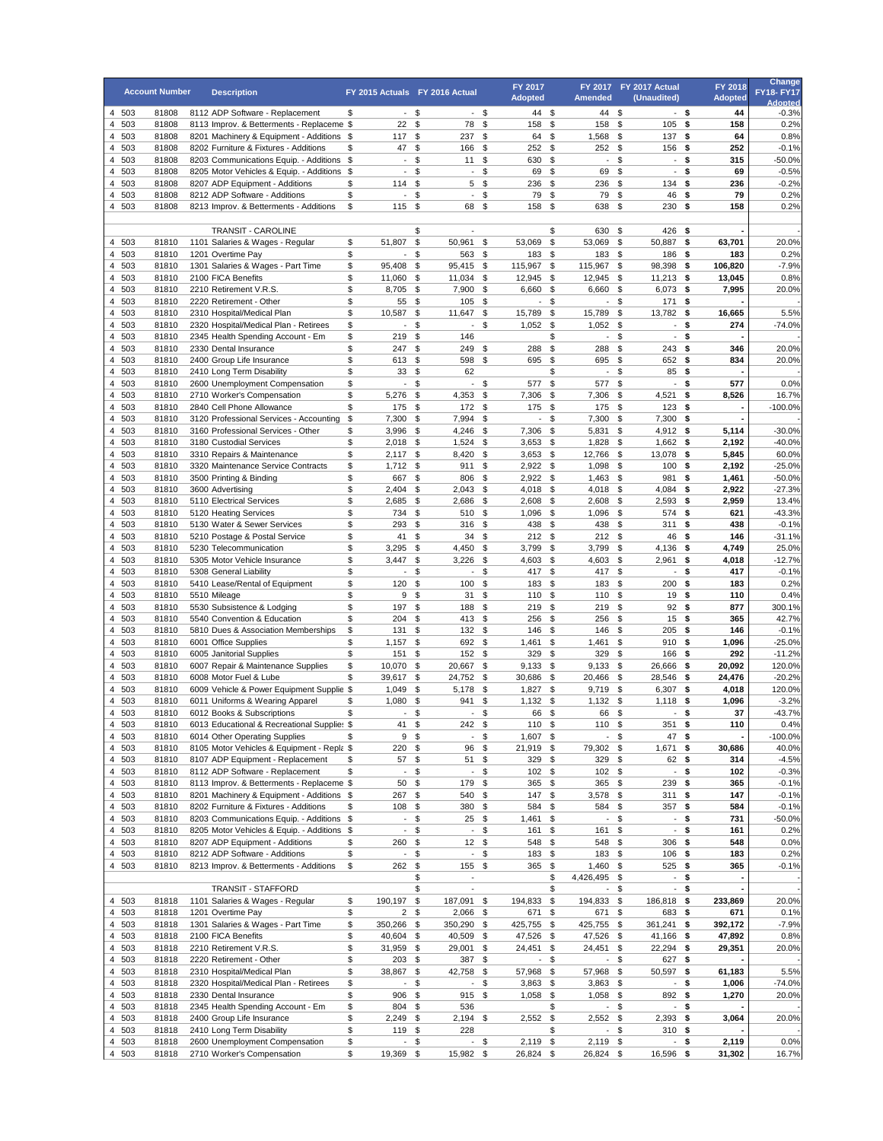|                | <b>Account Number</b> | <b>Description</b>                                                            | FY 2015 Actuals FY 2016 Actual                 |                                                | FY 2017<br><b>Adopted</b>       | <b>Amended</b>                           | FY 2017 FY 2017 Actual<br>(Unaudited) | <b>FY 2018</b><br><b>Adopted</b> | Change<br>FY18-FY17<br><b>Adopted</b> |
|----------------|-----------------------|-------------------------------------------------------------------------------|------------------------------------------------|------------------------------------------------|---------------------------------|------------------------------------------|---------------------------------------|----------------------------------|---------------------------------------|
| 4 503          | 81808                 | 8112 ADP Software - Replacement                                               | \$<br>$-$ \$                                   | - \$                                           | 44 \$                           | 44 \$                                    | - \$                                  | 44                               | $-0.3%$                               |
| 4 503          | 81808                 | 8113 Improv. & Betterments - Replaceme \$                                     | 22S                                            | 78                                             | \$<br>158                       | \$<br>158                                | \$<br>105                             | \$<br>158                        | 0.2%                                  |
| 4 503          | 81808                 | 8201 Machinery & Equipment - Additions \$                                     | 117S                                           | 237                                            | \$<br>64                        | \$<br>1,568                              | \$<br>137S                            | 64                               | 0.8%                                  |
| 4 503          | 81808                 | 8202 Furniture & Fixtures - Additions                                         | 47<br>\$                                       | \$<br>166                                      | - \$<br>252                     | \$<br>252                                | \$<br>156 \$                          | 252                              | $-0.1%$                               |
| 4 503          | 81808                 | 8203 Communications Equip. - Additions \$                                     | $\blacksquare$                                 | \$<br>11                                       | \$<br>630                       | \$<br>$\overline{\phantom{a}}$           | \$<br>$\sim$                          | 315<br>\$                        | $-50.0%$                              |
| 4 503<br>4 503 | 81808<br>81808        | 8205 Motor Vehicles & Equip. - Additions \$<br>8207 ADP Equipment - Additions | ÷.<br>\$<br>114S                               | \$<br>÷.<br>5                                  | \$<br>69<br>\$<br>236           | \$<br>69<br>\$<br>236                    | \$<br>$\sim$<br>\$<br>134             | \$<br>69<br>236<br>\$            | $-0.5%$<br>$-0.2%$                    |
| 4 503          | 81808                 | 8212 ADP Software - Additions                                                 | \$<br>$\overline{\phantom{a}}$                 | \$<br>$\blacksquare$                           | \$<br>79                        | \$<br>79                                 | \$<br>46                              | 79<br>\$                         | 0.2%                                  |
| 4 503          | 81808                 | 8213 Improv. & Betterments - Additions                                        | \$<br>115 \$                                   | 68 \$                                          | 158 \$                          | 638                                      | -\$<br>230 \$                         | 158                              | 0.2%                                  |
|                |                       |                                                                               |                                                |                                                |                                 |                                          |                                       |                                  |                                       |
|                |                       | TRANSIT - CAROLINE                                                            |                                                | \$                                             |                                 | \$<br>630                                | \$<br>426 \$                          |                                  |                                       |
| 4 503          | 81810                 | 1101 Salaries & Wages - Regular                                               | \$<br>51,807 \$                                | 50,961                                         | \$<br>53,069                    | \$<br>53,069                             | \$<br>50,887 \$                       | 63,701                           | 20.0%                                 |
| 4 503          | 81810                 | 1201 Overtime Pay                                                             | \$<br>$\overline{\phantom{a}}$                 | \$<br>563                                      | 183<br>\$                       | - \$<br>183                              | - \$<br>186 \$                        | 183                              | 0.2%                                  |
| 4 503          | 81810                 | 1301 Salaries & Wages - Part Time                                             | \$<br>95,408                                   | -\$<br>95,415                                  | 115,967<br>\$                   | \$<br>115,967                            | \$<br>98,398 \$                       | 106,820                          | $-7.9%$                               |
| 4 503          | 81810                 | 2100 FICA Benefits                                                            | \$<br>11,060                                   | - \$<br>11,034                                 | \$<br>12,945                    | \$<br>12,945                             | \$<br>$11,213$ \$                     | 13,045                           | 0.8%                                  |
| 4 503          | 81810                 | 2210 Retirement V.R.S.                                                        | \$<br>8,705 \$                                 | 7,900                                          | 6,660 \$<br>\$                  | 6,660                                    | \$<br>$6,073$ \$                      | 7,995                            | 20.0%                                 |
| 4 503          | 81810                 | 2220 Retirement - Other                                                       | \$<br>55                                       | - \$<br>105                                    | \$                              | \$                                       | \$<br>171                             | \$                               |                                       |
| 4 503<br>4 503 | 81810<br>81810        | 2310 Hospital/Medical Plan<br>2320 Hospital/Medical Plan - Retirees           | \$<br>10,587<br>\$<br>$\overline{\phantom{a}}$ | \$<br>11,647<br>\$<br>$\overline{\phantom{a}}$ | -\$<br>15,789<br>\$<br>1,052    | \$<br>15,789<br>\$<br>1,052              | \$<br>13,782 \$<br>\$<br>$\sim$       | 16,665<br>274<br>\$              | 5.5%<br>$-74.0%$                      |
| 4 503          | 81810                 | 2345 Health Spending Account - Em                                             | \$<br>219                                      | \$<br>146                                      |                                 | \$<br>$\sim$                             | ÷.<br>\$                              | \$                               |                                       |
| 4 503          | 81810                 | 2330 Dental Insurance                                                         | \$<br>247 \$                                   | 249 \$                                         | 288                             | \$<br>288                                | \$<br>$243$ \$                        | 346                              | 20.0%                                 |
| 4 503          | 81810                 | 2400 Group Life Insurance                                                     | \$<br>613                                      | \$<br>598                                      | \$<br>695                       | \$<br>695                                | -\$<br>652 \$                         | 834                              | 20.0%                                 |
| 4 503          | 81810                 | 2410 Long Term Disability                                                     | \$<br>$33^{\circ}$                             | 62                                             |                                 | \$<br>$\mathbf{r}$                       | \$<br>85 \$                           |                                  |                                       |
| 4 503          | 81810                 | 2600 Unemployment Compensation                                                | \$<br>$\Box$                                   | \$<br>- \$                                     | 577                             | \$<br>577                                | \$<br>$\sim$                          | 577<br>\$                        | 0.0%                                  |
| 4 503          | 81810                 | 2710 Worker's Compensation                                                    | \$<br>5,276                                    | -\$<br>4,353                                   | \$<br>7,306                     | \$<br>7,306                              | \$<br>4,521                           | \$<br>8,526                      | 16.7%                                 |
| 4 503          | 81810                 | 2840 Cell Phone Allowance                                                     | \$<br>175                                      | -\$<br>172                                     | \$<br>175                       | \$<br>175                                | \$<br>$123$ \$                        |                                  | $-100.0%$                             |
| 4 503          | 81810                 | 3120 Professional Services - Accounting                                       | \$<br>7,300                                    | -\$<br>7,994                                   | \$<br>÷.                        | \$<br>7,300                              | \$<br>7,300                           | \$                               |                                       |
| 4 503          | 81810                 | 3160 Professional Services - Other                                            | 3,996<br>\$                                    | \$<br>4,246                                    | 7,306<br>\$                     | -\$<br>5,831                             | \$<br>$4,912$ \$                      | 5,114                            | $-30.0%$                              |
| 4 503          | 81810                 | 3180 Custodial Services                                                       | \$<br>2,018                                    | \$<br>1,524                                    | \$<br>3,653                     | \$<br>1,828                              | - \$<br>$1,662$ \$                    | 2,192                            | $-40.0%$                              |
| 4 503<br>4 503 | 81810<br>81810        | 3310 Repairs & Maintenance<br>3320 Maintenance Service Contracts              | \$<br>$2,117$ \$<br>\$<br>1,712                | 8,420<br>\$<br>911                             | \$<br>$3,653$ \$<br>\$<br>2,922 | 12,766 \$<br>\$<br>1,098                 | 13,078 \$<br>100<br>-\$               | 5,845<br>2,192<br>\$             | 60.0%<br>$-25.0%$                     |
| 4 503          | 81810                 | 3500 Printing & Binding                                                       | \$<br>667 \$                                   | 806                                            | \$<br>2,922                     | \$<br>1,463                              | -\$<br>981                            | \$<br>1,461                      | $-50.0%$                              |
| 4 503          | 81810                 | 3600 Advertising                                                              | \$<br>2,404                                    | \$<br>2,043                                    | \$<br>4,018                     | \$<br>4,018                              | \$<br>4,084                           | 2,922<br>\$                      | $-27.3%$                              |
| 4 503          | 81810                 | 5110 Electrical Services                                                      | \$<br>2,685                                    | - \$<br>2,686                                  | \$<br>2,608                     | \$<br>2,608                              | \$<br>$2,593$ \$                      | 2,959                            | 13.4%                                 |
| 4 503          | 81810                 | 5120 Heating Services                                                         | \$<br>734 \$                                   | 510 \$                                         | 1,096                           | \$<br>1,096                              | \$<br>574 \$                          | 621                              | $-43.3%$                              |
| 4 503          | 81810                 | 5130 Water & Sewer Services                                                   | \$<br>293                                      | - \$<br>$316$ \$                               | 438                             | \$<br>438                                | \$<br>311                             | 438<br>\$                        | $-0.1%$                               |
| 4 503          | 81810                 | 5210 Postage & Postal Service                                                 | \$<br>41                                       | \$<br>34S                                      | 212S                            | 212                                      | 46 \$<br>\$                           | 146                              | $-31.1%$                              |
| 4 503          | 81810                 | 5230 Telecommunication                                                        | \$<br>3,295                                    | \$<br>4,450                                    | 3,799<br>\$                     | \$<br>3,799                              | \$<br>$4,136$ \$                      | 4,749                            | 25.0%                                 |
| 4 503          | 81810                 | 5305 Motor Vehicle Insurance                                                  | \$<br>3,447                                    | \$<br>3,226                                    | \$<br>4,603                     | \$<br>4,603                              | \$<br>$2,961$ \$                      | 4,018                            | $-12.7%$                              |
| 4 503          | 81810                 | 5308 General Liability                                                        | \$<br>$\overline{\phantom{a}}$                 | \$<br>$\overline{\phantom{a}}$                 | \$<br>417                       | \$<br>417                                | \$<br>$\sim$                          | 417<br>\$                        | $-0.1%$                               |
| 4 503          | 81810                 | 5410 Lease/Rental of Equipment                                                | \$<br>120                                      | \$<br>100                                      | \$<br>183                       | \$<br>183                                | 200<br>\$                             | \$<br>183                        | 0.2%                                  |
| 4 503<br>4 503 | 81810<br>81810        | 5510 Mileage<br>5530 Subsistence & Lodging                                    | \$<br>9<br>\$<br>197 \$                        | \$<br>31<br>188                                | \$<br>110<br>- \$<br>219        | \$<br>110<br>\$<br>219                   | \$<br>19<br>\$<br>$92$ \$             | 110<br>\$<br>877                 | 0.4%<br>300.1%                        |
| 4 503          | 81810                 | 5540 Convention & Education                                                   | 204 \$<br>\$                                   | 413 \$                                         | 256                             | \$<br>256                                | \$<br>$15$ \$                         | 365                              | 42.7%                                 |
| 4 503          | 81810                 | 5810 Dues & Association Memberships                                           | \$<br>131                                      | \$<br>132S                                     | 146                             | \$<br>146                                | \$<br>$205$ \$                        | 146                              | $-0.1%$                               |
| 4 503          | 81810                 | 6001 Office Supplies                                                          | \$<br>$1,157$ \$                               | 692 \$                                         | $1,461$ \$                      | 1,461                                    | \$<br>910S                            | 1,096                            | $-25.0%$                              |
| 4 503          | 81810                 | 6005 Janitorial Supplies                                                      | \$<br>151                                      | \$<br>152                                      | 329<br>\$                       | \$<br>329                                | \$<br>166 \$                          | 292                              | $-11.2%$                              |
| 4 503          | 81810                 | 6007 Repair & Maintenance Supplies                                            | 10,070 \$<br>\$                                | 20,667 \$                                      | 9,133                           | -\$<br>9,133                             | \$<br>26,666 \$                       | 20,092                           | 120.0%                                |
| 4 503          | 81810                 | 6008 Motor Fuel & Lube                                                        | \$<br>39,617 \$                                | 24,752                                         | \$<br>30,686                    | - \$<br>20,466 \$                        | 28,546 \$                             | 24,476                           | $-20.2%$                              |
| 4 503          | 81810                 | 6009 Vehicle & Power Equipment Supplie \$                                     | $1,049$ \$                                     | 5,178                                          | \$<br>1,827                     | -\$<br>9,719                             | $6,307$ \$<br>-\$                     | 4,018                            | 120.0%                                |
| 4 503          | 81810                 | 6011 Uniforms & Wearing Apparel                                               | $1,080$ \$<br>\$                               | 941                                            | \$<br>1,132                     | \$<br>1,132                              | \$<br>$1,118$ \$                      | 1,096                            | $-3.2%$                               |
| 4 503          | 81810                 | 6012 Books & Subscriptions                                                    | \$<br>$\blacksquare$                           | \$<br>$\sim$                                   | \$<br>66                        | - \$<br>66 \$                            | $\sim$                                | 37<br>\$                         | $-43.7%$                              |
| 503<br>4       | 81810                 | 6013 Educational & Recreational Supplies \$                                   | $41 \quad$                                     | 242S                                           | 110 \$                          | 110 \$                                   | 351                                   | \$<br>110                        | 0.4%                                  |
| 4 503<br>4 503 | 81810<br>81810        | 6014 Other Operating Supplies<br>8105 Motor Vehicles & Equipment - Repla \$   | \$<br>9<br>220 \$                              | - \$<br>- \$<br>96 \$                          | 1,607 \$<br>21,919 \$           | $\sim$<br>79,302 \$                      | \$<br>47 \$<br>$1,671$ \$             | 30,686                           | $-100.0%$<br>40.0%                    |
| 4 503          | 81810                 | 8107 ADP Equipment - Replacement                                              | 57 \$<br>\$                                    | 51 \$                                          | 329                             | \$<br>329 \$                             | 62 \$                                 | 314                              | $-4.5%$                               |
| 4 503          | 81810                 | 8112 ADP Software - Replacement                                               | \$<br>$\overline{\phantom{a}}$                 | \$<br>$-$ \$                                   | 102 \$                          | 102S                                     | $-$ \$                                | 102                              | $-0.3%$                               |
| 4 503          | 81810                 | 8113 Improv. & Betterments - Replaceme \$                                     | 50                                             | \$<br>179                                      | \$<br>365                       | \$<br>365                                | \$<br>239 \$                          | 365                              | $-0.1%$                               |
| 4 503          | 81810                 | 8201 Machinery & Equipment - Additions \$                                     | 267 \$                                         | 540 \$                                         | 147                             | \$<br>3,578 \$                           | $311$ \$                              | 147                              | $-0.1%$                               |
| 4 503          | 81810                 | 8202 Furniture & Fixtures - Additions                                         | \$<br>108 \$                                   | 380 \$                                         | 584                             | \$<br>584                                | \$<br>$357$ \$                        | 584                              | $-0.1%$                               |
| 4 503          | 81810                 | 8203 Communications Equip. - Additions \$                                     | $\sim$                                         | \$<br>$25 \quad$                               | $1,461$ \$                      | $\overline{\phantom{a}}$                 | \$<br>- \$                            | 731                              | $-50.0%$                              |
| 4 503          | 81810                 | 8205 Motor Vehicles & Equip. - Additions \$                                   | $-$ \$                                         | $-$ \$                                         | 161                             | \$<br>161                                | \$<br>- \$                            | 161                              | 0.2%                                  |
| 4 503          | 81810                 | 8207 ADP Equipment - Additions                                                | \$<br>260                                      | -\$<br>$12 \quad $$                            | 548                             | \$<br>548                                | $306$ \$<br>\$                        | 548                              | 0.0%                                  |
| 4 503          | 81810                 | 8212 ADP Software - Additions                                                 | \$<br>$\blacksquare$                           | \$<br>$-$ \$                                   | 183 \$                          | 183 \$                                   | 106 \$                                | 183                              | 0.2%                                  |
| 4 503          | 81810                 | 8213 Improv. & Betterments - Additions                                        | \$<br>262 \$                                   | 155 \$                                         | 365 \$                          | 1,460 \$                                 | 525 \$                                | 365                              | $-0.1%$                               |
|                |                       |                                                                               |                                                | \$<br>$\frac{1}{2}$                            |                                 | \$<br>4,426,495 \$                       | - \$                                  | $\blacksquare$                   |                                       |
| 4 503          | 81818                 | TRANSIT - STAFFORD<br>1101 Salaries & Wages - Regular                         | \$<br>190,197 \$                               | \$<br>187,091 \$                               | 194,833                         | \$<br>$\blacksquare$<br>\$<br>194,833 \$ | $-$ \$<br>\$<br>186,818 \$            | 233,869                          | 20.0%                                 |
| 4 503          | 81818                 | 1201 Overtime Pay                                                             | \$<br>$2 \sqrt{3}$                             | $2,066$ \$                                     | 671 \$                          | 671 \$                                   | 683 \$                                | 671                              | 0.1%                                  |
| 4 503          | 81818                 | 1301 Salaries & Wages - Part Time                                             | \$<br>350,266 \$                               | 350,290 \$                                     | 425,755 \$                      | 425,755 \$                               | 361,241 \$                            | 392,172                          | $-7.9%$                               |
| 4 503          | 81818                 | 2100 FICA Benefits                                                            | \$<br>40,604 \$                                | 40,509 \$                                      | 47,526 \$                       | 47,526 \$                                | 41,166 \$                             | 47,892                           | 0.8%                                  |
| 4 503          | 81818                 | 2210 Retirement V.R.S.                                                        | \$<br>31,959 \$                                | 29,001 \$                                      | 24,451 \$                       | 24,451                                   | \$<br>22,294 \$                       | 29,351                           | 20.0%                                 |
| 4 503          | 81818                 | 2220 Retirement - Other                                                       | \$<br>$203$ \$                                 | 387 \$                                         | - \$                            | $\sim$                                   | \$<br>627 \$                          |                                  |                                       |
| 4 503          | 81818                 | 2310 Hospital/Medical Plan                                                    | \$<br>38,867 \$                                | 42,758 \$                                      | 57,968 \$                       | 57,968 \$                                | 50,597 \$                             | 61,183                           | 5.5%                                  |
| 4 503          | 81818                 | 2320 Hospital/Medical Plan - Retirees                                         | \$<br>$\blacksquare$                           | \$<br>$\sim$                                   | 3,863 \$<br>\$                  | $3,863$ \$                               | $\sim$                                | 1,006<br>\$                      | $-74.0%$                              |
| 4 503          | 81818                 | 2330 Dental Insurance                                                         | \$<br>906 \$                                   | $915$ \$                                       | 1,058                           | \$<br>1,058 \$                           | 892 \$                                | 1,270                            | 20.0%                                 |
| 4 503          | 81818                 | 2345 Health Spending Account - Em                                             | \$<br>804 \$                                   | 536                                            |                                 | \$<br>- \$                               | $\mathcal{L}_{\mathcal{A}}$           | \$                               |                                       |
| 4 503          | 81818                 | 2400 Group Life Insurance                                                     | \$<br>2,249 \$                                 | $2,194$ \$                                     | $2,552$ \$                      | $2,552$ \$                               | 2,393 \$                              | 3,064                            | 20.0%                                 |
| 4 503<br>4 503 | 81818<br>81818        | 2410 Long Term Disability<br>2600 Unemployment Compensation                   | \$<br>119<br>\$<br>- \$                        | \$<br>228<br>- \$                              |                                 | \$<br>- \$                               | 310 \$<br>- \$                        |                                  | 0.0%                                  |
| 4 503          | 81818                 | 2710 Worker's Compensation                                                    | \$                                             | 15,982 \$                                      | $2,119$ \$<br>26,824 \$         | $2,119$ \$<br>26,824 \$                  |                                       | 2,119<br>31,302                  | 16.7%                                 |
|                |                       |                                                                               | 19,369 \$                                      |                                                |                                 |                                          | 16,596 \$                             |                                  |                                       |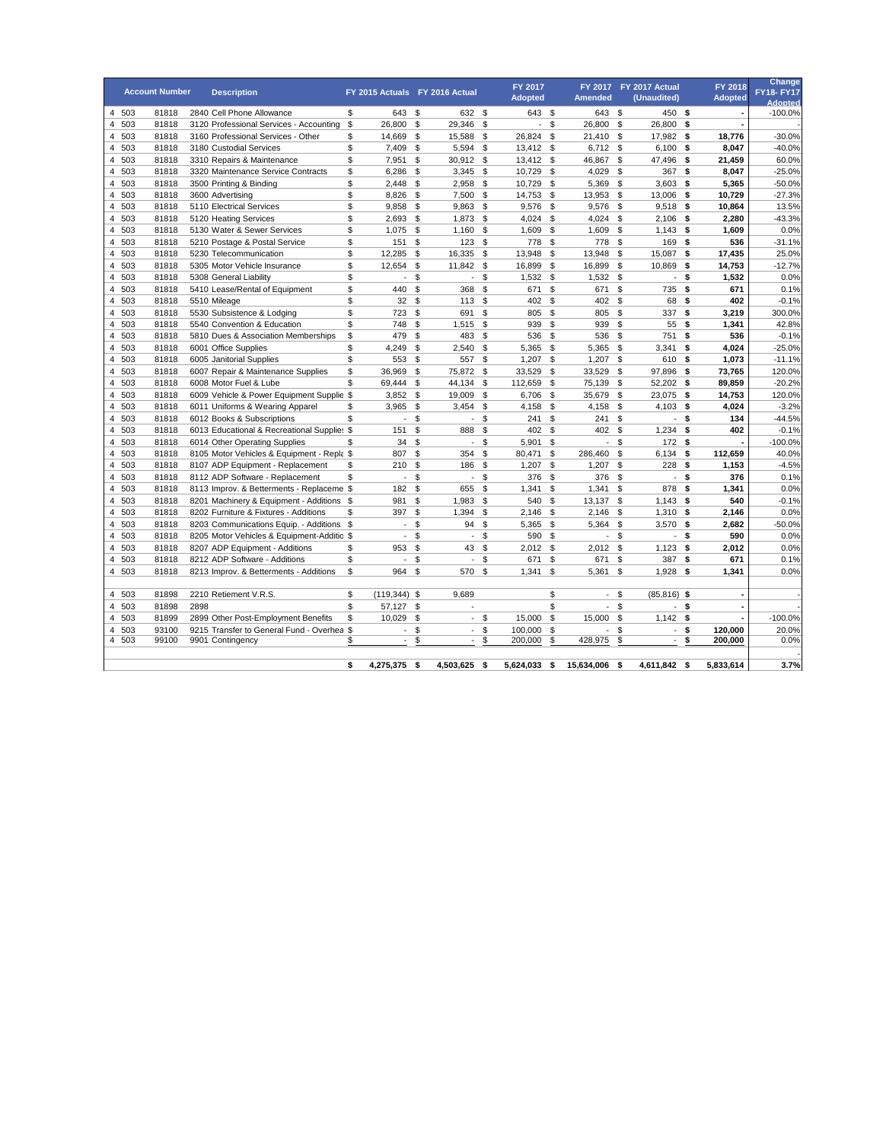|       | <b>Account Number</b> | <b>Description</b>                          |                       |                           | FY 2015 Actuals FY 2016 Actual |               | FY 2017<br><b>Adopted</b> |              | <b>Amended</b>           |                         | FY 2017 FY 2017 Actual<br>(Unaudited) |      | FY 2018<br><b>Adopted</b> | Change<br><b>FY18-FY17</b><br><b>Adopted</b> |
|-------|-----------------------|---------------------------------------------|-----------------------|---------------------------|--------------------------------|---------------|---------------------------|--------------|--------------------------|-------------------------|---------------------------------------|------|---------------------------|----------------------------------------------|
| 4 503 | 81818                 | 2840 Cell Phone Allowance                   | \$<br>643             | - \$                      | 632 \$                         |               | 643 \$                    |              | 643 \$                   |                         | 450 \$                                |      | $\overline{\phantom{a}}$  | $-100.0%$                                    |
| 4 503 | 81818                 | 3120 Professional Services - Accounting \$  | 26,800                | $\mathbb{S}$              | 29,346 \$                      |               |                           | $-$ \$       | 26,800                   | \$                      | 26,800 \$                             |      |                           |                                              |
| 4 503 | 81818                 | 3160 Professional Services - Other          | \$<br>14,669          | - \$                      | 15,588 \$                      |               | 26,824 \$                 |              | 21,410 \$                |                         | 17,982 \$                             |      | 18,776                    | $-30.0%$                                     |
| 4 503 | 81818                 | 3180 Custodial Services                     | \$<br>7,409           | - \$                      | 5,594 \$                       |               | 13,412 \$                 |              | 6,712 \$                 |                         | $6,100$ \$                            |      | 8,047                     | $-40.0%$                                     |
| 4 503 | 81818                 | 3310 Repairs & Maintenance                  | \$<br>7,951 \$        |                           | 30,912                         | \$            | 13,412 \$                 |              | 46,867                   | \$                      | 47,496                                | Ŝ.   | 21,459                    | 60.0%                                        |
| 4 503 | 81818                 | 3320 Maintenance Service Contracts          | \$<br>6,286           | $\mathbb{S}$              | 3,345                          | \$            | 10,729                    | \$           | 4,029                    | \$                      | 367                                   | S.   | 8,047                     | $-25.0%$                                     |
| 4 503 | 81818                 | 3500 Printing & Binding                     | \$<br>2,448 \$        |                           | 2,958                          | <b>S</b>      | 10,729                    | <b>S</b>     | 5,369                    | <b>S</b>                | $3,603$ \$                            |      | 5,365                     | $-50.0%$                                     |
| 4 503 | 81818                 | 3600 Advertising                            | \$<br>8,826           | $\mathbb{S}$              | 7,500                          | \$            | 14,753 \$                 |              | 13,953                   | <b>S</b>                | 13,006                                | - \$ | 10,729                    | $-27.3%$                                     |
| 4 503 | 81818                 | 5110 Electrical Services                    | \$<br>9,858           | $\mathbf s$               | 9,863                          | \$            | 9,576                     | \$           | 9,576 \$                 |                         | $9,518$ \$                            |      | 10,864                    | 13.5%                                        |
| 4 503 | 81818                 | 5120 Heating Services                       | \$<br>2,693           | - \$                      | 1,873                          | \$            | 4,024                     | \$           | 4,024                    | <b>S</b>                | 2,106                                 | - \$ | 2.280                     | $-43.3%$                                     |
| 4 503 | 81818                 | 5130 Water & Sewer Services                 | \$<br>1,075 \$        |                           | $1,160$ \$                     |               | 1,609                     | - \$         | $1,609$ \$               |                         | $1,143$ \$                            |      | 1,609                     | 0.0%                                         |
| 4 503 | 81818                 | 5210 Postage & Postal Service               | \$<br>151 \$          |                           | $123$ \$                       |               | 778                       | $\mathbb{S}$ | 778 \$                   |                         | 169 \$                                |      | 536                       | $-31.1%$                                     |
| 4 503 | 81818                 | 5230 Telecommunication                      | \$<br>12,285 \$       |                           | 16,335                         | - \$          | 13,948                    | Ŝ.           | 13,948                   | - \$                    | 15,087 \$                             |      | 17,435                    | 25.0%                                        |
| 4 503 | 81818                 | 5305 Motor Vehicle Insurance                | \$<br>12,654 \$       |                           | 11.842                         | -\$           | 16,899                    | \$           | 16,899                   | \$                      | 10,869 \$                             |      | 14,753                    | $-12.7%$                                     |
| 4 503 | 81818                 | 5308 General Liability                      | \$                    | $-$ \$                    |                                | $-$ \$        | 1,532                     | $\mathbb{S}$ | 1,532                    | \$                      |                                       | - \$ | 1,532                     | 0.0%                                         |
| 4 503 | 81818                 | 5410 Lease/Rental of Equipment              | \$<br>440             | \$                        | 368                            | \$            | 671                       | \$           | 671                      | \$                      | 735                                   | \$   | 671                       | 0.1%                                         |
| 4 503 | 81818                 | 5510 Mileage                                | \$<br>32              | $\mathbf{\$}$             | $113 - $$                      |               | 402                       | \$           | 402                      | \$                      | 68                                    | \$   | 402                       | $-0.1%$                                      |
| 4 503 | 81818                 | 5530 Subsistence & Lodging                  | \$<br>723             | \$                        | 691                            | \$            | 805                       | $\mathbb{S}$ | 805                      | \$                      | 337                                   | \$   | 3,219                     | 300.0%                                       |
| 4 503 | 81818                 | 5540 Convention & Education                 | \$<br>748             | $\overline{\mathfrak{s}}$ | $1,515$ \$                     |               | 939                       | \$           | 939                      | \$                      | 55                                    | -\$  | 1,341                     | 42.8%                                        |
| 4 503 | 81818                 | 5810 Dues & Association Memberships         | \$<br>479             | \$                        | 483                            | \$            | 536                       | $\$$         | 536                      | \$                      | 751                                   | \$   | 536                       | $-0.1%$                                      |
| 4 503 | 81818                 | 6001 Office Supplies                        | \$<br>4,249           | \$                        | $2,540$ \$                     |               | 5,365                     | \$           | 5,365                    | \$                      | 3,341                                 | \$   | 4,024                     | $-25.0%$                                     |
| 4 503 | 81818                 | 6005 Janitorial Supplies                    | \$<br>553             | \$                        | 557                            | $\mathfrak s$ | 1,207                     | \$           | 1,207                    | \$                      | 610 \$                                |      | 1,073                     | $-11.1%$                                     |
| 4 503 | 81818                 | 6007 Repair & Maintenance Supplies          | \$<br>36,969          | \$                        | 75,872 \$                      |               | 33,529                    | \$           | 33,529                   | \$                      | 97,896                                | - \$ | 73,765                    | 120.0%                                       |
| 4 503 | 81818                 | 6008 Motor Fuel & Lube                      | \$<br>69,444          | \$                        | 44,134                         | \$            | 112,659                   | \$           | 75,139                   | \$                      | 52,202 \$                             |      | 89,859                    | $-20.2%$                                     |
| 4 503 | 81818                 | 6009 Vehicle & Power Equipment Supplie \$   | $3,852$ \$            |                           | 19,009                         | \$            | 6,706                     | \$           | 35,679                   | \$                      | 23,075 \$                             |      | 14,753                    | 120.0%                                       |
| 4 503 | 81818                 | 6011 Uniforms & Wearing Apparel             | \$<br>3,965           | \$                        | 3,454                          | \$            | 4,158                     | \$           | 4,158                    | \$                      | $4,103$ \$                            |      | 4,024                     | $-3.2%$                                      |
| 4 503 | 81818                 | 6012 Books & Subscriptions                  | \$<br>$\sim$          | \$                        | $\sim$                         | \$            | 241                       | \$           | 241                      | \$                      | $\mathcal{L}_{\mathcal{A}}$           | \$   | 134                       | $-44.5%$                                     |
| 4 503 | 81818                 | 6013 Educational & Recreational Supplie: \$ | 151                   | \$                        | 888                            | \$            | 402                       | \$           | 402                      | \$                      | 1,234                                 | \$   | 402                       | $-0.1%$                                      |
| 4 503 | 81818                 | 6014 Other Operating Supplies               | \$<br>34              | \$                        | $\sim$                         | \$            | 5,901                     | \$           | ÷,                       | \$                      | 172 \$                                |      |                           | $-100.0%$                                    |
| 4 503 | 81818                 | 8105 Motor Vehicles & Equipment - Repla \$  | 807                   | \$                        | 354                            | \$            | 80,471                    | \$           | 286,460                  | \$                      | $6,134$ \$                            |      | 112,659                   | 40.0%                                        |
| 4 503 | 81818                 | 8107 ADP Equipment - Replacement            | \$<br>210             | - \$                      | 186                            | \$            | 1,207                     | \$           | 1,207                    | \$                      | $228$ \$                              |      | 1,153                     | $-4.5%$                                      |
| 4 503 | 81818                 | 8112 ADP Software - Replacement             | \$<br>$\blacksquare$  | \$                        | $\sim$                         | -S            | 376                       | <b>S</b>     | 376                      | <b>S</b>                | $\mathcal{L}_{\mathcal{A}}$           | S.   | 376                       | 0.1%                                         |
| 4 503 | 81818                 | 8113 Improv. & Betterments - Replaceme \$   | 182                   | \$                        | 655                            | - \$          | 1,341                     | \$           | 1,341                    | \$                      | 878 \$                                |      | 1,341                     | 0.0%                                         |
| 4 503 | 81818                 | 8201 Machinery & Equipment - Additions \$   | 981                   | - \$                      | 1,983                          | S             | 540                       | Ŝ.           | 13,137                   | -S                      | $1,143$ \$                            |      | 540                       | $-0.1%$                                      |
| 4 503 | 81818                 | 8202 Furniture & Fixtures - Additions       | \$<br>397 \$          |                           | 1,394                          | \$            | 2,146                     | -S           | 2,146                    | -S                      | $1,310$ \$                            |      | 2,146                     | 0.0%                                         |
| 4 503 | 81818                 | 8203 Communications Equip. - Additions \$   |                       | $-5$                      | 94                             | - \$          | 5,365 \$                  |              | 5,364 \$                 |                         | $3,570$ \$                            |      | 2.682                     | $-50.0%$                                     |
| 4 503 | 81818                 | 8205 Motor Vehicles & Equipment-Additio \$  |                       | $-5$                      | $\sim$                         | <b>S</b>      | 590                       | - \$         | $\overline{\phantom{a}}$ | <b>S</b>                | $\sim$                                | \$   | 590                       | 0.0%                                         |
| 4 503 | 81818                 | 8207 ADP Equipment - Additions              | \$<br>953             | - \$                      | 43                             | - \$          | $2,012$ \$                |              | $2,012$ \$               |                         | $1,123$ \$                            |      | 2.012                     | 0.0%                                         |
| 4 503 | 81818                 | 8212 ADP Software - Additions               | \$<br>$\sim$          | \$                        | $\sim$                         | \$            | 671                       | \$           | 671                      | \$                      | 387 \$                                |      | 671                       | 0.1%                                         |
| 4 503 | 81818                 | 8213 Improv. & Betterments - Additions      | \$<br>964 \$          |                           | 570 \$                         |               | 1,341                     | \$           | 5,361 \$                 |                         | $1,928$ \$                            |      | 1,341                     | 0.0%                                         |
|       |                       |                                             |                       |                           |                                |               |                           |              |                          |                         |                                       |      |                           |                                              |
| 4 503 | 81898                 | 2210 Retiement V.R.S.                       | \$<br>$(119, 344)$ \$ |                           | 9,689                          |               |                           | \$           |                          | - \$                    | $(85, 816)$ \$                        |      |                           |                                              |
| 4 503 | 81898                 | 2898                                        | \$<br>57,127 \$       |                           | ÷                              |               |                           | \$           | ÷.                       | \$                      | $\sim$                                | \$   |                           |                                              |
| 4 503 | 81899                 | 2899 Other Post-Employment Benefits         | \$<br>10,029          | \$                        | $\blacksquare$                 | \$            | 15,000                    | \$           | 15,000                   | \$                      | $1,142$ \$                            |      |                           | $-100.0%$                                    |
| 4 503 | 93100                 | 9215 Transfer to General Fund - Overhea \$  | $\omega$              | \$                        | ÷.                             | \$            | 100,000                   | $\$$         |                          | \$                      | $\sim$                                | \$   | 120,000                   | 20.0%                                        |
| 4 503 | 99100                 | 9901 Contingency                            | \$<br>$\blacksquare$  | $\overline{\mathcal{S}}$  | ÷,                             | \$            | 200,000                   | \$           | 428,975                  | $\overline{\mathbb{S}}$ | $\blacksquare$                        | \$   | 200,000                   | 0.0%                                         |
|       |                       |                                             |                       |                           |                                |               |                           |              |                          |                         |                                       |      |                           |                                              |
|       |                       |                                             | \$<br>4,275,375       | - \$                      | 4,503,625 \$                   |               | 5,624,033 \$              |              | 15.634.006               | S.                      | 4.611.842 \$                          |      | 5.833.614                 | 3.7%                                         |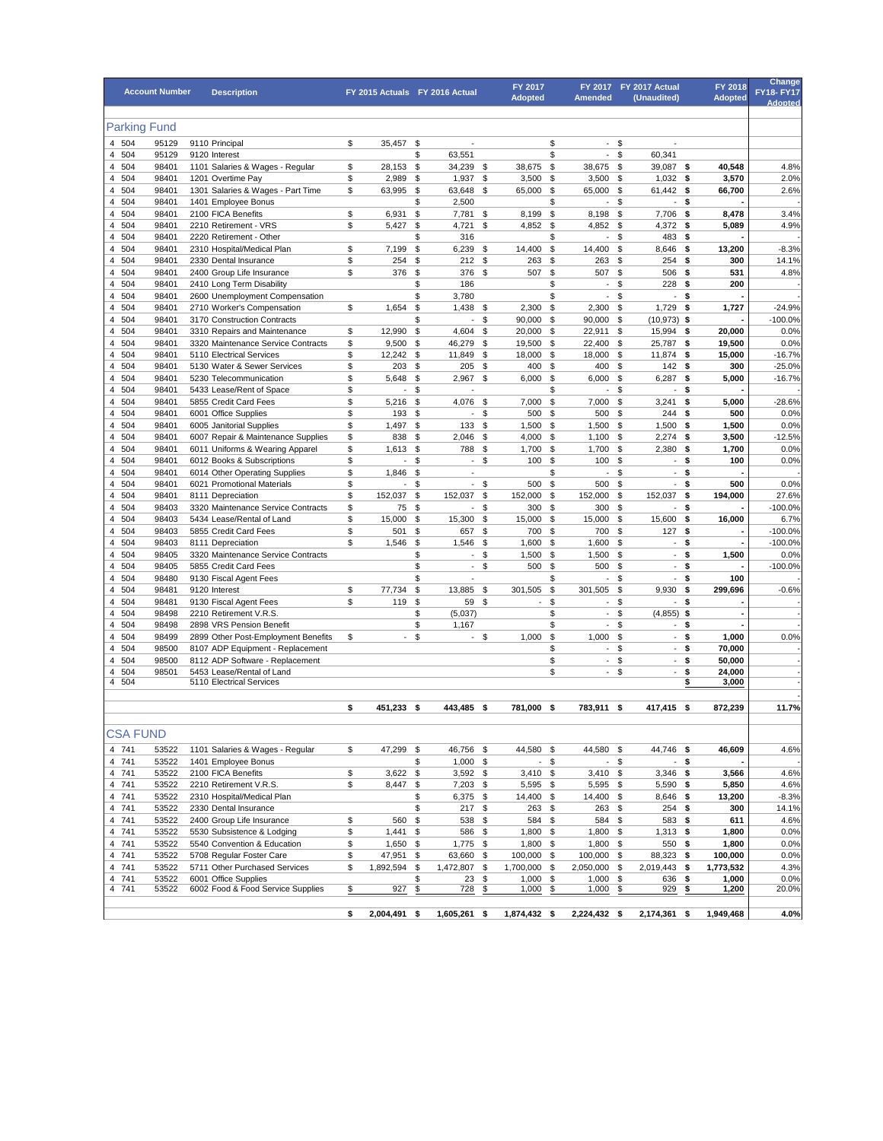|                              | <b>Account Number</b> | <b>Description</b>                                                 |          | FY 2015 Actuals FY 2016 Actual |           |                                        |          | FY 2017<br><b>Adopted</b> |          | FY 2017<br><b>Amended</b>      |          | FY 2017 Actual<br>(Unaudited) |          | FY 2018<br><b>Adopted</b> | Change<br><b>FY18-FY17</b><br><b>Adopted</b> |
|------------------------------|-----------------------|--------------------------------------------------------------------|----------|--------------------------------|-----------|----------------------------------------|----------|---------------------------|----------|--------------------------------|----------|-------------------------------|----------|---------------------------|----------------------------------------------|
|                              |                       |                                                                    |          |                                |           |                                        |          |                           |          |                                |          |                               |          |                           |                                              |
| <b>Parking Fund</b><br>4 504 | 95129                 | 9110 Principal                                                     | \$       | 35,457                         | -\$       |                                        |          |                           | \$       | $\sim$                         | \$       |                               |          |                           |                                              |
| 4 504                        | 95129                 | 9120 Interest                                                      |          |                                | \$        | 63,551                                 |          |                           | \$       | ÷,                             | \$       | 60,341                        |          |                           |                                              |
| 4 504                        | 98401                 | 1101 Salaries & Wages - Regular                                    | \$       | 28,153                         | \$        | 34,239                                 | -\$      | 38,675                    | \$       | 38,675                         | \$       | 39,087 \$                     |          | 40,548                    | 4.8%                                         |
| 4 504<br>4 504               | 98401<br>98401        | 1201 Overtime Pav<br>1301 Salaries & Wages - Part Time             | \$<br>\$ | 2,989<br>63,995                | \$<br>-\$ | 1,937<br>63,648 \$                     | \$       | 3,500<br>65,000           | \$<br>\$ | 3,500<br>65,000                | \$<br>\$ | 1,032<br>61,442 \$            | \$       | 3,570<br>66,700           | 2.0%<br>2.6%                                 |
| 4 504                        | 98401                 | 1401 Employee Bonus                                                |          |                                | \$        | 2,500                                  |          |                           | \$       | ÷.                             | \$       | $\sim$                        | \$       |                           |                                              |
| 4 504                        | 98401                 | 2100 FICA Benefits                                                 | \$       | 6,931                          | \$        | 7,781                                  | \$       | 8,199                     | \$       | 8,198                          | \$       | 7,706                         | \$       | 8,478                     | 3.4%                                         |
| 4 504<br>4 504               | 98401<br>98401        | 2210 Retirement - VRS<br>2220 Retirement - Other                   | \$       | 5,427                          | \$<br>\$  | 4,721<br>316                           | \$       | 4,852                     | \$<br>\$ | 4,852<br>ä,                    | \$<br>\$ | 4,372<br>483                  | \$<br>\$ | 5,089                     | 4.9%                                         |
| 4 504                        | 98401                 | 2310 Hospital/Medical Plan                                         | \$       | 7,199                          | \$        | 6,239                                  | \$       | 14,400                    | \$       | 14,400                         | \$       | 8,646 \$                      |          | 13,200                    | $-8.3%$                                      |
| 4 504                        | 98401                 | 2330 Dental Insurance                                              | \$       | 254                            | \$        | 212                                    | \$       | 263                       | \$       | 263                            | \$       | $254$ \$                      |          | 300                       | 14.1%                                        |
| 4 504                        | 98401                 | 2400 Group Life Insurance                                          | \$       | 376                            | \$        | 376                                    | \$       | 507                       | \$       | 507                            | \$       | 506 \$                        |          | 531                       | 4.8%                                         |
| 4 504<br>4 504               | 98401<br>98401        | 2410 Long Term Disability<br>2600 Unemployment Compensation        |          |                                | \$<br>\$  | 186<br>3,780                           |          |                           | \$<br>\$ | $\mathbf{r}$<br>L,             | \$<br>\$ | $228$ \$<br>$\omega$          | \$       | 200                       |                                              |
| 4 504                        | 98401                 | 2710 Worker's Compensation                                         | \$       | 1,654                          | \$        | 1,438                                  | \$       | 2,300                     | \$       | 2,300                          | \$       | 1,729                         | \$       | 1,727                     | $-24.9%$                                     |
| 4 504                        | 98401                 | 3170 Construction Contracts                                        |          |                                | \$        | $\overline{\phantom{a}}$               | \$       | 90,000                    | \$       | 90,000                         | \$       | $(10, 973)$ \$                |          |                           | $-100.0%$                                    |
| 4 504<br>4 504               | 98401<br>98401        | 3310 Repairs and Maintenance<br>3320 Maintenance Service Contracts | \$<br>\$ | 12,990<br>9,500                | \$<br>\$  | 4,604<br>46,279                        | \$<br>\$ | 20,000<br>19,500          | \$<br>\$ | 22,911<br>22,400               | \$<br>\$ | 15,994 \$<br>25,787           | \$       | 20,000<br>19,500          | 0.0%<br>0.0%                                 |
| 4 504                        | 98401                 | 5110 Electrical Services                                           | \$       | 12,242                         | -\$       | 11,849                                 | \$       | 18,000                    | \$       | 18,000                         | \$       | 11,874                        | \$       | 15,000                    | $-16.7%$                                     |
| 4 504                        | 98401                 | 5130 Water & Sewer Services                                        | \$       | 203                            | \$        | 205                                    | \$       | 400                       | \$       | 400                            | \$       | 142                           | \$       | 300                       | $-25.0%$                                     |
| 4 504                        | 98401                 | 5230 Telecommunication                                             | \$       | 5,648                          | \$        | 2,967                                  | -\$      | 6,000                     | \$       | 6,000                          | - \$     | $6,287$ \$                    |          | 5,000                     | $-16.7%$                                     |
| 4 504<br>4 504               | 98401<br>98401        | 5433 Lease/Rent of Space<br>5855 Credit Card Fees                  | \$<br>\$ | ÷.<br>5,216                    | \$<br>\$  | ÷,<br>4,076                            | \$       | 7,000                     | \$<br>\$ | ä,<br>7,000                    | \$<br>\$ | $\sim$<br>3,241               | \$<br>\$ | 5,000                     | $-28.6%$                                     |
| 4 504                        | 98401                 | 6001 Office Supplies                                               | \$       | 193                            | -\$       | ä,                                     | \$       | 500                       | \$       | 500                            | \$       | 244                           | \$       | 500                       | 0.0%                                         |
| 4 504                        | 98401                 | 6005 Janitorial Supplies                                           | \$       | 1,497                          | \$        | 133                                    | \$       | 1,500                     | \$       | 1,500                          | \$       | 1,500                         | \$       | 1,500                     | 0.0%                                         |
| 4 504                        | 98401                 | 6007 Repair & Maintenance Supplies                                 | \$       | 838                            | \$        | 2,046                                  | \$       | 4,000                     | \$       | 1,100                          | \$       | 2,274                         | \$       | 3,500                     | $-12.5%$                                     |
| 4 504<br>4 504               | 98401<br>98401        | 6011 Uniforms & Wearing Apparel<br>6012 Books & Subscriptions      | \$<br>\$ | 1,613<br>÷.                    | \$<br>\$  | 788<br>$\centering \label{eq:reduced}$ | \$<br>\$ | 1,700<br>100              | \$<br>\$ | 1,700<br>100                   | \$<br>\$ | 2,380<br>$\omega$             | \$<br>\$ | 1,700<br>100              | 0.0%<br>0.0%                                 |
| 4 504                        | 98401                 | 6014 Other Operating Supplies                                      | \$       | 1,846                          | -\$       | ÷,                                     |          |                           | \$       | ä,                             | \$       | $\mathcal{L}_{\mathcal{A}}$   | \$       |                           |                                              |
| 4 504                        | 98401                 | 6021 Promotional Materials                                         | \$       | $\mathbf{r}$                   | \$        | $\sim$                                 | \$       | 500                       | \$       | 500                            | \$       | $\sim$                        | \$       | 500                       | 0.0%                                         |
| 4 504                        | 98401                 | 8111 Depreciation                                                  | \$<br>\$ | 152,037<br>75                  | \$        | 152,037                                | \$<br>\$ | 152,000                   | \$       | 152,000                        | \$       | 152,037<br>÷.                 | \$<br>\$ | 194,000                   | 27.6%<br>$-100.0%$                           |
| 4 504<br>4 504               | 98403<br>98403        | 3320 Maintenance Service Contracts<br>5434 Lease/Rental of Land    | \$       | 15,000                         | \$<br>-\$ | 15,300                                 | \$       | 300<br>15,000             | \$<br>\$ | 300<br>15,000                  | \$<br>\$ | 15,600                        | \$       | 16,000                    | 6.7%                                         |
| 4 504                        | 98403                 | 5855 Credit Card Fees                                              | \$       | 501                            | \$        | 657                                    | \$       | 700                       | \$       | 700                            | \$       | 127                           | \$       |                           | $-100.0%$                                    |
| 4 504                        | 98403                 | 8111 Depreciation                                                  | \$       | 1,546                          | \$        | 1,546                                  | \$       | 1,600                     | \$       | 1,600                          | \$       | $\sim$                        | \$       |                           | $-100.0%$                                    |
| 4 504<br>4 504               | 98405<br>98405        | 3320 Maintenance Service Contracts<br>5855 Credit Card Fees        |          |                                | \$<br>\$  | ÷,<br>$\sim$                           | \$<br>\$ | 1,500<br>500              | \$<br>\$ | 1,500<br>500                   | \$<br>\$ | $\omega$<br>$\sim$            | \$<br>\$ | 1,500                     | 0.0%<br>$-100.0%$                            |
| 4 504                        | 98480                 | 9130 Fiscal Agent Fees                                             |          |                                | \$        | ÷.                                     |          |                           | \$       | $\overline{\phantom{a}}$       | \$       | $\omega$                      | \$       | 100                       |                                              |
| 4 504                        | 98481                 | 9120 Interest                                                      | \$       | 77,734                         | \$        | 13,885                                 | \$       | 301,505                   | \$       | 301,505                        | \$       | 9,930                         | \$       | 299,696                   | $-0.6%$                                      |
| 4 504                        | 98481                 | 9130 Fiscal Agent Fees                                             | \$       | 119                            | \$        | 59                                     | \$       | ÷.                        | \$       | ä,                             | \$       | $\sim$                        | \$       | $\overline{\phantom{a}}$  |                                              |
| 4 504<br>4 504               | 98498<br>98498        | 2210 Retirement V.R.S.<br>2898 VRS Pension Benefit                 |          |                                | \$<br>\$  | (5,037)<br>1,167                       |          |                           | \$<br>\$ | ÷,<br>L,                       | \$<br>\$ | $(4,855)$ \$<br>$\omega$ .    | \$       |                           |                                              |
| 4 504                        | 98499                 | 2899 Other Post-Employment Benefits                                | \$       | $\omega$                       | \$        | ÷.                                     | \$       | 1,000                     | \$       | 1,000                          | \$       | $\omega$                      | \$       | 1,000                     | 0.0%                                         |
| 4 504                        | 98500                 | 8107 ADP Equipment - Replacement                                   |          |                                |           |                                        |          |                           | \$       | ä,                             | \$       | $\omega$                      | \$       | 70,000                    |                                              |
| 4 504<br>4 504               | 98500                 | 8112 ADP Software - Replacement                                    |          |                                |           |                                        |          |                           | \$<br>\$ | $\overline{\phantom{a}}$<br>÷. | \$<br>\$ | $\omega$<br>$\omega$          | \$       | 50,000                    |                                              |
| 4 504                        | 98501                 | 5453 Lease/Rental of Land<br>5110 Electrical Services              |          |                                |           |                                        |          |                           |          |                                |          |                               | \$<br>\$ | 24,000<br>3,000           |                                              |
|                              |                       |                                                                    |          |                                |           |                                        |          |                           |          |                                |          |                               |          |                           |                                              |
|                              |                       |                                                                    | \$       | 451,233 \$                     |           | 443,485 \$                             |          | 781,000 \$                |          | 783,911 \$                     |          | 417,415 \$                    |          | 872,239                   | 11.7%                                        |
| CSA FUND                     |                       |                                                                    |          |                                |           |                                        |          |                           |          |                                |          |                               |          |                           |                                              |
| 4 741                        | 53522                 | 1101 Salaries & Wages - Regular                                    | \$       | 47,299                         | - \$      | 46,756 \$                              |          | 44,580 \$                 |          | 44,580 \$                      |          | 44,746 \$                     |          | 46,609                    | 4.6%                                         |
| 4 741                        | 53522                 | 1401 Employee Bonus                                                |          |                                | \$        | $1,000$ \$                             |          | - \$                      |          | - \$                           |          | - \$                          |          |                           |                                              |
| 4 741                        | 53522                 | 2100 FICA Benefits                                                 | \$       | $3,622$ \$                     |           | $3,592$ \$                             |          | $3,410$ \$                |          | $3,410$ \$                     |          | $3,346$ \$                    |          | 3,566                     | 4.6%                                         |
| 4 741<br>4 741               | 53522<br>53522        | 2210 Retirement V.R.S.<br>2310 Hospital/Medical Plan               | \$       | 8,447 \$                       | \$        | $7,203$ \$<br>6,375 \$                 |          | 5,595 \$<br>14,400 \$     |          | 5,595 \$<br>14,400 \$          |          | 5,590 \$<br>8,646 \$          |          | 5,850<br>13,200           | 4.6%<br>$-8.3%$                              |
| 4 741                        | 53522                 | 2330 Dental Insurance                                              |          |                                | \$        | $217$ \$                               |          | 263 \$                    |          | 263 \$                         |          | $254$ \$                      |          | 300                       | 14.1%                                        |
| 4 741                        | 53522                 | 2400 Group Life Insurance                                          | \$       | 560 \$                         |           | 538 \$                                 |          | 584 \$                    |          | 584 \$                         |          | 583 \$                        |          | 611                       | 4.6%                                         |
| 4 741                        | 53522                 | 5530 Subsistence & Lodging                                         | \$       | 1,441                          | \$        | 586 \$                                 |          | $1,800$ \$                |          | 1,800 \$                       |          | $1,313$ \$                    |          | 1,800                     | 0.0%                                         |
| 4 741<br>4 741               | 53522<br>53522        | 5540 Convention & Education<br>5708 Regular Foster Care            | \$<br>\$ | 1,650 \$<br>47,951 \$          |           | $1,775$ \$<br>63,660 \$                |          | 1,800 \$<br>100,000       | - \$     | 1,800 \$<br>100,000 \$         |          | 550 \$<br>88,323 \$           |          | 1,800<br>100,000          | 0.0%<br>0.0%                                 |
| 4 741                        | 53522                 | 5711 Other Purchased Services                                      | \$       | 1,892,594                      | \$        | 1,472,807 \$                           |          | 1,700,000 \$              |          | 2,050,000 \$                   |          | 2,019,443 \$                  |          | 1,773,532                 | 4.3%                                         |
| 4 741                        | 53522                 | 6001 Office Supplies                                               |          |                                | \$        | $23 \quad $$                           |          | 1,000                     | \$       | $1,000$ \$                     |          | 636 \$                        |          | 1,000                     | 0.0%                                         |
| 4 741                        | 53522                 | 6002 Food & Food Service Supplies                                  | \$       | 927                            | \$        | 728                                    | \$       | 1,000                     | \$       | 1,000                          | \$       | 929                           | \$       | 1,200                     | 20.0%                                        |
|                              |                       |                                                                    | \$       | 2,004,491 \$                   |           | 1,605,261 \$                           |          | 1,874,432 \$              |          | 2,224,432 \$                   |          | 2,174,361 \$                  |          | 1,949,468                 | 4.0%                                         |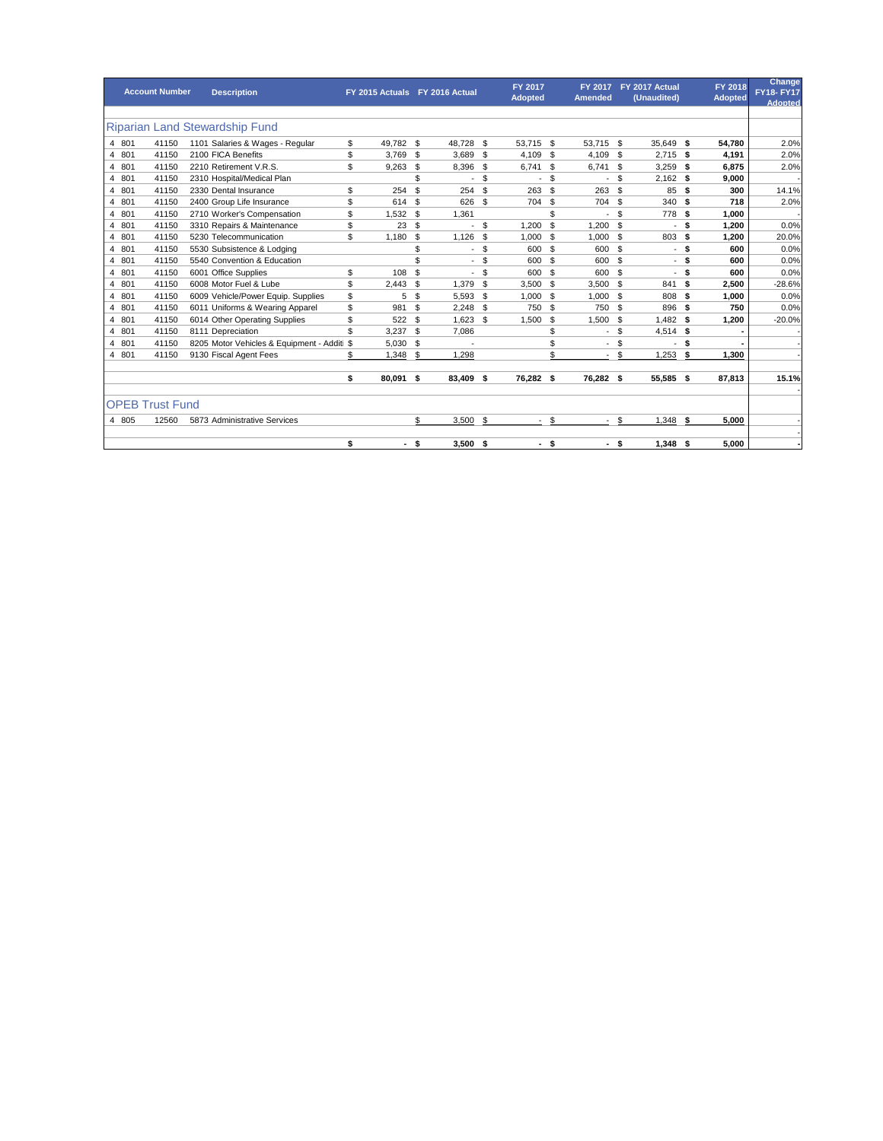|                        | <b>Account Number</b> | <b>Description</b>                          |    |            |                | FY 2015 Actuals FY 2016 Actual |          | FY 2017<br><b>Adopted</b> |          | <b>Amended</b> |          | FY 2017 FY 2017 Actual<br>(Unaudited) |      | <b>FY 2018</b><br><b>Adopted</b> | Change<br>FY18-FY17<br><b>Adopted</b> |
|------------------------|-----------------------|---------------------------------------------|----|------------|----------------|--------------------------------|----------|---------------------------|----------|----------------|----------|---------------------------------------|------|----------------------------------|---------------------------------------|
|                        |                       | <b>Riparian Land Stewardship Fund</b>       |    |            |                |                                |          |                           |          |                |          |                                       |      |                                  |                                       |
| 4 801                  | 41150                 | 1101 Salaries & Wages - Regular             | \$ | 49.782 \$  |                | 48.728 \$                      |          | 53.715 \$                 |          | 53.715 \$      |          | 35.649 \$                             |      | 54.780                           | 2.0%                                  |
| 4 801                  | 41150                 | 2100 FICA Benefits                          | \$ | 3.769      | - \$           | 3,689 \$                       |          | 4.109                     | - \$     | 4,109          | - \$     | $2,715$ \$                            |      | 4,191                            | 2.0%                                  |
| 4 801                  | 41150                 | 2210 Retirement V.R.S.                      | \$ | 9,263      | <b>S</b>       | 8,396 \$                       |          | $6,741$ \$                |          | 6,741          | -S       | $3,259$ \$                            |      | 6.875                            | 2.0%                                  |
| 4 801                  | 41150                 | 2310 Hospital/Medical Plan                  |    |            | S              |                                | <b>S</b> |                           | $-5$     | ۰              | -S       | $2,162$ \$                            |      | 9.000                            |                                       |
| 4 801                  | 41150                 | 2330 Dental Insurance                       | \$ | 254S       |                | 254                            | -S       | 263                       | <b>S</b> | 263            | <b>S</b> | 85 \$                                 |      | 300                              | 14.1%                                 |
| 4 801                  | 41150                 | 2400 Group Life Insurance                   | \$ | 614 \$     |                | 626 \$                         |          | 704 \$                    |          | 704 \$         |          | 340 \$                                |      | 718                              | 2.0%                                  |
| 4 801                  | 41150                 | 2710 Worker's Compensation                  | \$ | $1.532$ \$ |                | 1,361                          |          |                           | \$       | $\sim$         | -S       | 778 \$                                |      | 1.000                            |                                       |
| 4 801                  | 41150                 | 3310 Repairs & Maintenance                  | \$ | 23S        |                |                                | $-$ \$   | 1,200                     | -S       | 1,200          | <b>S</b> | $\sim$                                | S.   | 1,200                            | 0.0%                                  |
| 4 801                  | 41150                 | 5230 Telecommunication                      | \$ | $1,180$ \$ |                | $1,126$ \$                     |          | 1,000                     | \$       | 1,000          | -S       | 803 \$                                |      | 1,200                            | 20.0%                                 |
| 4 801                  | 41150                 | 5530 Subsistence & Lodging                  |    |            | S              |                                | $-5$     | 600 \$                    |          | 600            | -S       |                                       | - \$ | 600                              | 0.0%                                  |
| 4 801                  | 41150                 | 5540 Convention & Education                 |    |            | $\mathfrak{L}$ |                                | $-5$     | 600 \$                    |          | 600            | <b>S</b> | $\sim$                                | S.   | 600                              | 0.0%                                  |
| 4 801                  | 41150                 | 6001 Office Supplies                        | \$ | 108        | <b>\$</b>      |                                | $-$ \$   | 600 \$                    |          | 600            | -S       | $\sim$                                | S.   | 600                              | 0.0%                                  |
| 4 801                  | 41150                 | 6008 Motor Fuel & Lube                      | \$ | $2.443$ \$ |                | 1.379 \$                       |          | 3.500                     | -S       | 3.500          | -S       | 841                                   | S.   | 2.500                            | $-28.6%$                              |
| 4 801                  | 41150                 | 6009 Vehicle/Power Equip. Supplies          | \$ | 5          | - \$           | 5,593 \$                       |          | 1,000                     | -S       | 1,000          | -S       | 808                                   | S.   | 1,000                            | 0.0%                                  |
| 4 801                  | 41150                 | 6011 Uniforms & Wearing Apparel             | \$ | 981        | <b>S</b>       | 2,248                          | - \$     | 750 \$                    |          | 750            | -S       | 896 \$                                |      | 750                              | 0.0%                                  |
| 4 801                  | 41150                 | 6014 Other Operating Supplies               | \$ | 522 \$     |                | $1,623$ \$                     |          | 1.500                     | -S       | 1.500          | -S       | $1,482$ \$                            |      | 1,200                            | $-20.0%$                              |
| 4 801                  | 41150                 | 8111 Depreciation                           | \$ | $3.237$ \$ |                | 7,086                          |          |                           | \$       |                | - \$     | $4,514$ \$                            |      |                                  |                                       |
| 4 801                  | 41150                 | 8205 Motor Vehicles & Equipment - Additi \$ |    | 5,030 \$   |                |                                |          |                           | \$       |                | - \$     | $\sim$                                | - \$ |                                  |                                       |
| 4 801                  | 41150                 | 9130 Fiscal Agent Fees                      | \$ | 1,348      | \$             | 1.298                          |          |                           | \$       |                | \$       | 1,253                                 | S.   | 1.300                            |                                       |
|                        |                       |                                             |    |            |                |                                |          |                           |          |                |          |                                       |      |                                  |                                       |
|                        |                       |                                             | \$ | 80.091 \$  |                | 83,409 \$                      |          | 76,282 \$                 |          | 76,282 \$      |          | 55,585 \$                             |      | 87,813                           | 15.1%                                 |
| <b>OPEB Trust Fund</b> |                       |                                             |    |            |                |                                |          |                           |          |                |          |                                       |      |                                  |                                       |
| 4 805                  | 12560                 | 5873 Administrative Services                |    |            | \$             | $3,500$ \$                     |          |                           | $-5$     |                | $-$ \$   | $1,348$ \$                            |      | 5.000                            |                                       |
|                        |                       |                                             | \$ |            | - \$           | 3.500S                         |          |                           | - \$     |                | - \$     | $1.348$ \$                            |      | 5.000                            |                                       |